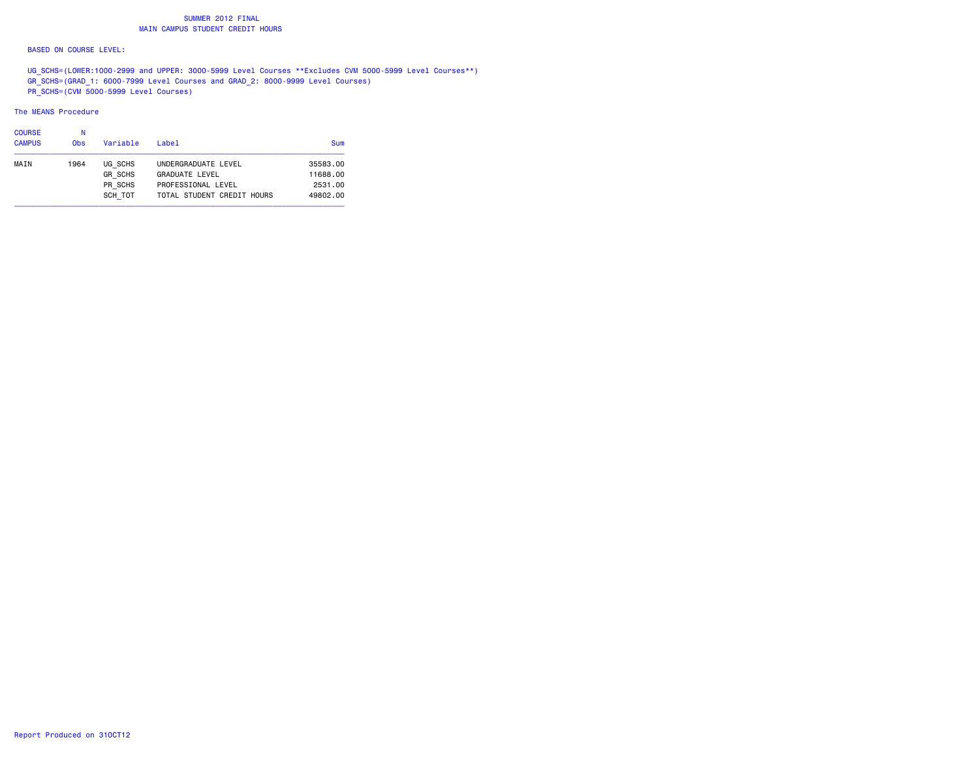## SUMMER 2012 FINAL**MAIN CAMPUS STUDENT CREDIT HOURS**

#### BASED ON COURSE LEVEL:

 UG\_SCHS=(LOWER:1000-2999 and UPPER: 3000-5999 Level Courses \*\*Excludes CVM 5000-5999 Level Courses\*\*) GR\_SCHS=(GRAD\_1: 6000-7999 Level Courses and GRAD\_2: 8000-9999 Level Courses) PR\_SCHS=(CVM 5000-5999 Level Courses)

#### The MEANS Procedure

| <b>COURSE</b> |            |                |                            |          |
|---------------|------------|----------------|----------------------------|----------|
| <b>CAMPUS</b> | <b>Obs</b> | Variable       | Label                      | Sum      |
| MAIN          | 1964       | UG SCHS        | UNDERGRADUATE LEVEL        | 35583.00 |
|               |            | <b>GR SCHS</b> | GRADUATE LEVEL             | 11688.00 |
|               |            | PR SCHS        | PROFESSIONAL LEVEL         | 2531,00  |
|               |            | SCH TOT        | TOTAL STUDENT CREDIT HOURS | 49802.00 |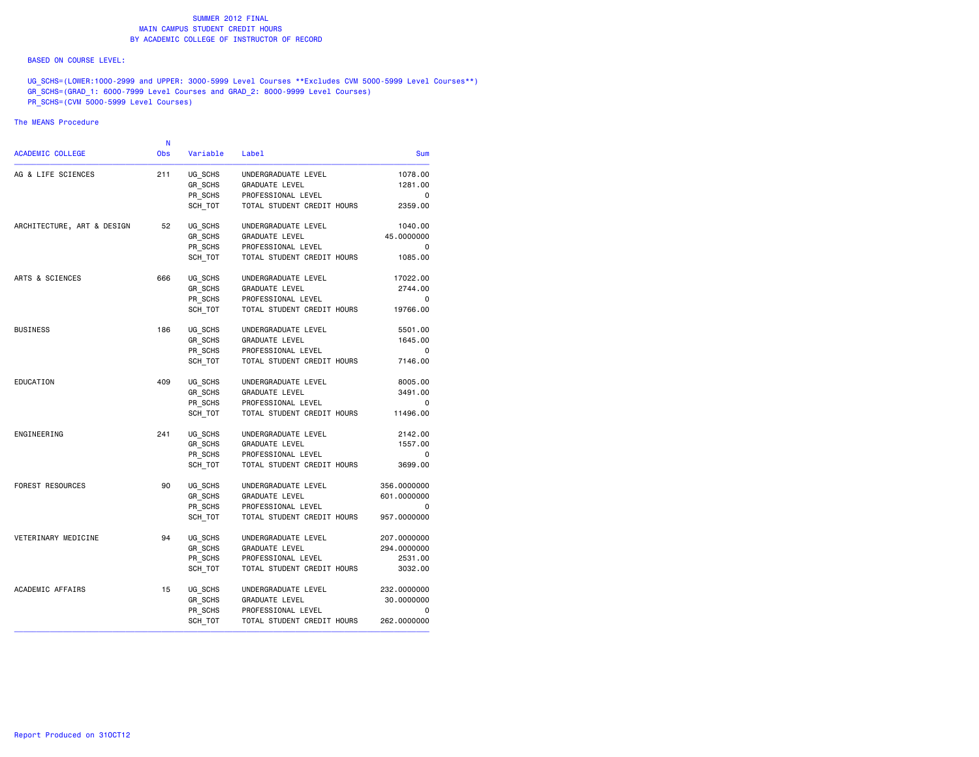#### BASED ON COURSE LEVEL:

UG\_SCHS=(LOWER:1000-2999 and UPPER: 3000-5999 Level Courses \*\*Excludes CVM 5000-5999 Level Courses\*\*) GR\_SCHS=(GRAD\_1: 6000-7999 Level Courses and GRAD\_2: 8000-9999 Level Courses) PR\_SCHS=(CVM 5000-5999 Level Courses)

### The MEANS Procedure

|             |                            |          | N          |                            |
|-------------|----------------------------|----------|------------|----------------------------|
| <b>Sum</b>  | Label                      | Variable | <b>Obs</b> | <b>ACADEMIC COLLEGE</b>    |
| 1078.00     | UNDERGRADUATE LEVEL        | UG_SCHS  | 211        | AG & LIFE SCIENCES         |
| 1281.00     | <b>GRADUATE LEVEL</b>      | GR SCHS  |            |                            |
| 0           | PROFESSIONAL LEVEL         | PR SCHS  |            |                            |
| 2359.00     | TOTAL STUDENT CREDIT HOURS | SCH_TOT  |            |                            |
| 1040.00     | UNDERGRADUATE LEVEL        | UG SCHS  | 52         | ARCHITECTURE, ART & DESIGN |
| 45.0000000  | <b>GRADUATE LEVEL</b>      | GR SCHS  |            |                            |
| 0           | PROFESSIONAL LEVEL         | PR SCHS  |            |                            |
| 1085.00     | TOTAL STUDENT CREDIT HOURS | SCH TOT  |            |                            |
| 17022.00    | UNDERGRADUATE LEVEL        | UG SCHS  | 666        | ARTS & SCIENCES            |
| 2744.00     | <b>GRADUATE LEVEL</b>      | GR SCHS  |            |                            |
| 0           | PROFESSIONAL LEVEL         | PR SCHS  |            |                            |
| 19766.00    | TOTAL STUDENT CREDIT HOURS | SCH TOT  |            |                            |
| 5501.00     | UNDERGRADUATE LEVEL        | UG SCHS  | 186        | <b>BUSINESS</b>            |
| 1645.00     | GRADUATE LEVEL             | GR_SCHS  |            |                            |
| 0           | PROFESSIONAL LEVEL         | PR SCHS  |            |                            |
| 7146.00     | TOTAL STUDENT CREDIT HOURS | SCH TOT  |            |                            |
| 8005.00     | UNDERGRADUATE LEVEL        | UG SCHS  | 409        | EDUCATION                  |
| 3491.00     | <b>GRADUATE LEVEL</b>      | GR_SCHS  |            |                            |
| 0           | PROFESSIONAL LEVEL         | PR SCHS  |            |                            |
| 11496.00    | TOTAL STUDENT CREDIT HOURS | SCH TOT  |            |                            |
| 2142.00     | UNDERGRADUATE LEVEL        | UG SCHS  | 241        | ENGINEERING                |
| 1557.00     | <b>GRADUATE LEVEL</b>      | GR SCHS  |            |                            |
| 0           | PROFESSIONAL LEVEL         | PR_SCHS  |            |                            |
| 3699.00     | TOTAL STUDENT CREDIT HOURS | SCH_TOT  |            |                            |
| 356.0000000 | UNDERGRADUATE LEVEL        | UG SCHS  | 90         | FOREST RESOURCES           |
| 601.0000000 | GRADUATE LEVEL             | GR SCHS  |            |                            |
| 0           | PROFESSIONAL LEVEL         | PR SCHS  |            |                            |
| 957.0000000 | TOTAL STUDENT CREDIT HOURS | SCH TOT  |            |                            |
| 207.0000000 | UNDERGRADUATE LEVEL        | UG_SCHS  | 94         | VETERINARY MEDICINE        |
| 294.0000000 | GRADUATE LEVEL             | GR SCHS  |            |                            |
| 2531.00     | PROFESSIONAL LEVEL         | PR SCHS  |            |                            |
| 3032,00     | TOTAL STUDENT CREDIT HOURS | SCH TOT  |            |                            |
| 232.0000000 | UNDERGRADUATE LEVEL        | UG SCHS  | 15         | ACADEMIC AFFAIRS           |
| 30.0000000  | <b>GRADUATE LEVEL</b>      | GR_SCHS  |            |                            |
| 0           | PROFESSIONAL LEVEL         | PR SCHS  |            |                            |
| 262,0000000 | TOTAL STUDENT CREDIT HOURS | SCH_TOT  |            |                            |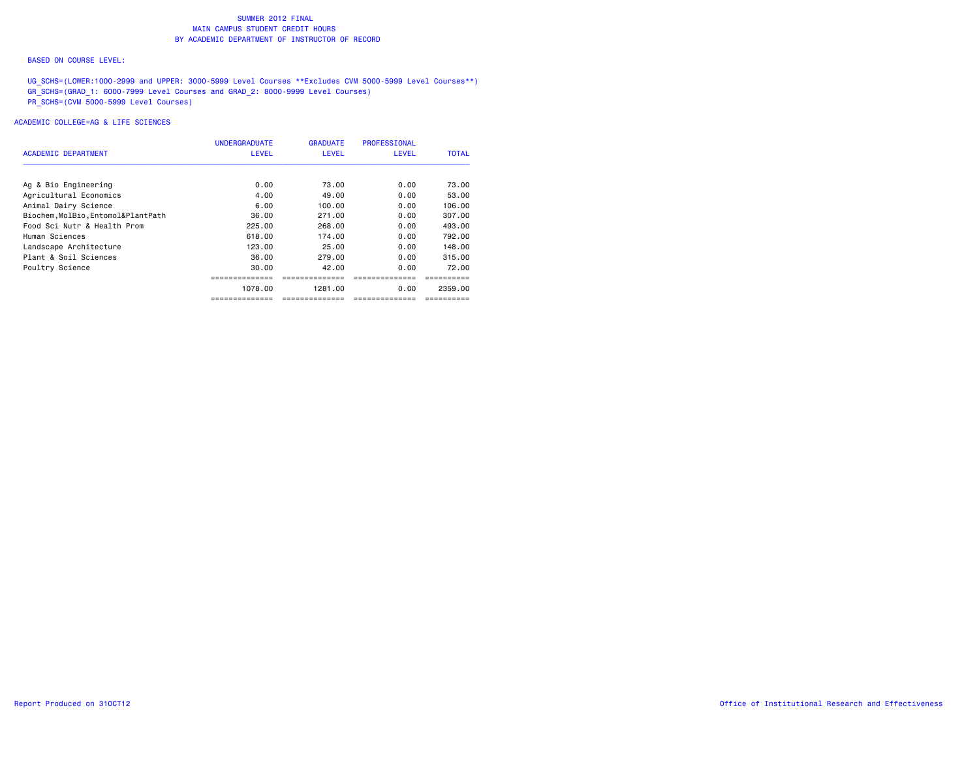#### BASED ON COURSE LEVEL:

UG\_SCHS=(LOWER:1000-2999 and UPPER: 3000-5999 Level Courses \*\*Excludes CVM 5000-5999 Level Courses\*\*) GR\_SCHS=(GRAD\_1: 6000-7999 Level Courses and GRAD\_2: 8000-9999 Level Courses) PR\_SCHS=(CVM 5000-5999 Level Courses)

|                                    | <b>UNDERGRADUATE</b> | <b>GRADUATE</b> | <b>PROFESSIONAL</b> |              |
|------------------------------------|----------------------|-----------------|---------------------|--------------|
| ACADEMIC DEPARTMENT                | <b>LEVEL</b>         | <b>LEVEL</b>    | <b>LEVEL</b>        | <b>TOTAL</b> |
| Ag & Bio Engineering               | 0.00                 | 73.00           | 0.00                | 73.00        |
| Agricultural Economics             | 4.00                 | 49.00           | 0.00                | 53.00        |
| Animal Dairy Science               | 6.00                 | 100.00          | 0.00                | 106,00       |
| Biochem, MolBio, Entomol&PlantPath | 36.00                | 271.00          | 0.00                | 307,00       |
| Food Sci Nutr & Health Prom        | 225.00               | 268,00          | 0.00                | 493.00       |
| Human Sciences                     | 618,00               | 174.00          | 0.00                | 792.00       |
| Landscape Architecture             | 123.00               | 25.00           | 0.00                | 148.00       |
| Plant & Soil Sciences              | 36.00                | 279.00          | 0.00                | 315.00       |
| Poultry Science                    | 30.00                | 42.00           | 0.00                | 72.00        |
|                                    |                      |                 |                     |              |
|                                    | 1078.00              | 1281.00         | 0.00                | 2359.00      |
|                                    | ==============       | ==============  | -------------       | =========    |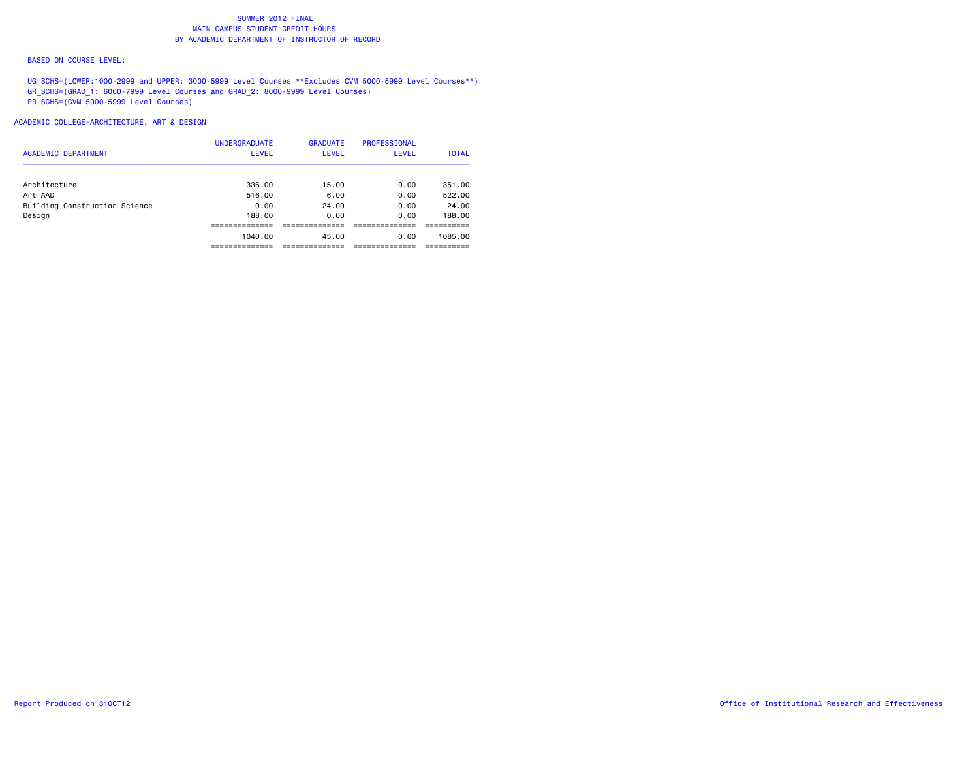#### BASED ON COURSE LEVEL:

UG\_SCHS=(LOWER:1000-2999 and UPPER: 3000-5999 Level Courses \*\*Excludes CVM 5000-5999 Level Courses\*\*) GR\_SCHS=(GRAD\_1: 6000-7999 Level Courses and GRAD\_2: 8000-9999 Level Courses) PR\_SCHS=(CVM 5000-5999 Level Courses)

| <b>ACADEMIC DEPARTMENT</b>    | <b>UNDERGRADUATE</b><br><b>LEVEL</b> | <b>GRADUATE</b><br><b>LEVEL</b> | PROFESSIONAL<br><b>LEVEL</b> | <b>TOTAL</b>     |
|-------------------------------|--------------------------------------|---------------------------------|------------------------------|------------------|
|                               |                                      |                                 |                              |                  |
| Architecture<br>Art AAD       | 336.00<br>516.00                     | 15.00<br>6.00                   | 0.00<br>0.00                 | 351.00<br>522.00 |
| Building Construction Science | 0.00                                 | 24.00                           | 0.00                         | 24.00            |
| Design                        | 188,00                               | 0.00                            | 0.00                         | 188.00           |
|                               |                                      |                                 |                              |                  |
|                               | 1040.00                              | 45.00                           | 0.00                         | 1085.00          |
|                               |                                      |                                 |                              |                  |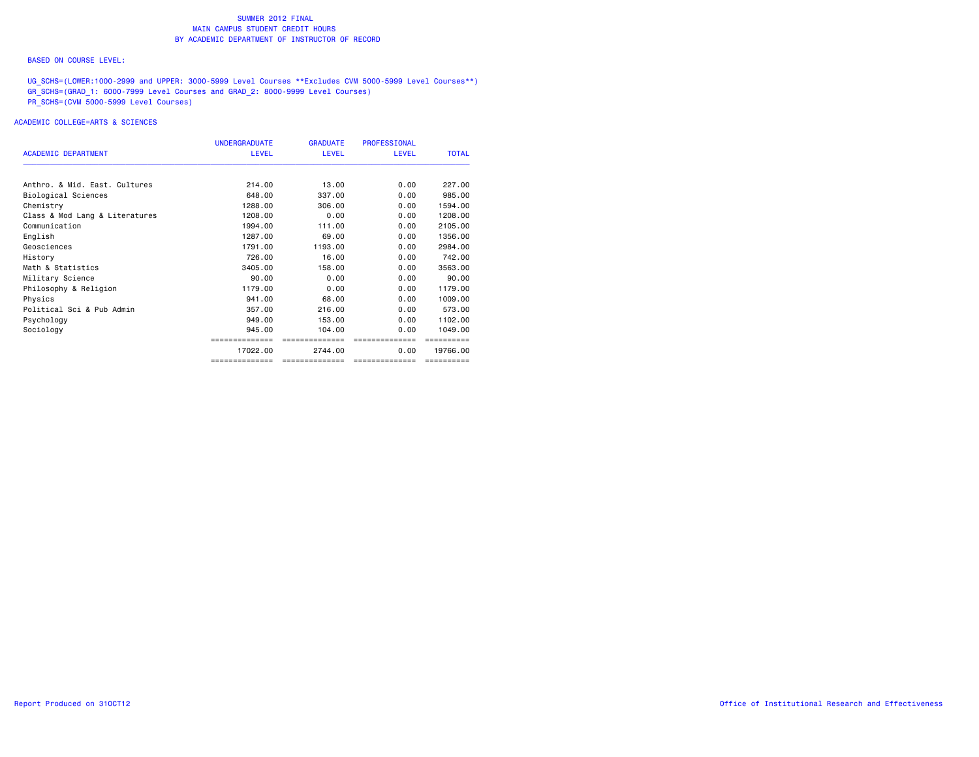#### BASED ON COURSE LEVEL:

UG\_SCHS=(LOWER:1000-2999 and UPPER: 3000-5999 Level Courses \*\*Excludes CVM 5000-5999 Level Courses\*\*) GR\_SCHS=(GRAD\_1: 6000-7999 Level Courses and GRAD\_2: 8000-9999 Level Courses) PR\_SCHS=(CVM 5000-5999 Level Courses)

|                                | <b>UNDERGRADUATE</b> | <b>GRADUATE</b> | <b>PROFESSIONAL</b> |              |
|--------------------------------|----------------------|-----------------|---------------------|--------------|
| <b>ACADEMIC DEPARTMENT</b>     | <b>LEVEL</b>         | <b>LEVEL</b>    | <b>LEVEL</b>        | <b>TOTAL</b> |
| Anthro, & Mid. East. Cultures  | 214.00               | 13,00           | 0.00                | 227,00       |
| Biological Sciences            | 648,00               | 337,00          | 0.00                | 985,00       |
| Chemistry                      | 1288.00              | 306,00          | 0.00                | 1594.00      |
| Class & Mod Lang & Literatures | 1208.00              | 0.00            | 0.00                | 1208,00      |
| Communication                  | 1994.00              | 111.00          | 0.00                | 2105.00      |
| English                        | 1287.00              | 69,00           | 0.00                | 1356.00      |
| Geosciences                    | 1791.00              | 1193.00         | 0.00                | 2984.00      |
| History                        | 726,00               | 16.00           | 0.00                | 742.00       |
| Math & Statistics              | 3405.00              | 158,00          | 0.00                | 3563.00      |
| Military Science               | 90.00                | 0.00            | 0.00                | 90.00        |
| Philosophy & Religion          | 1179.00              | 0.00            | 0.00                | 1179.00      |
| Physics                        | 941.00               | 68.00           | 0.00                | 1009.00      |
| Political Sci & Pub Admin      | 357.00               | 216,00          | 0.00                | 573.00       |
| Psychology                     | 949,00               | 153,00          | 0.00                | 1102.00      |
| Sociology                      | 945,00               | 104,00          | 0.00                | 1049.00      |
|                                |                      | ==============  | ==============      |              |
|                                | 17022.00             | 2744.00         | 0.00                | 19766.00     |
|                                | ==============       | ==============  | ==============      | ==========   |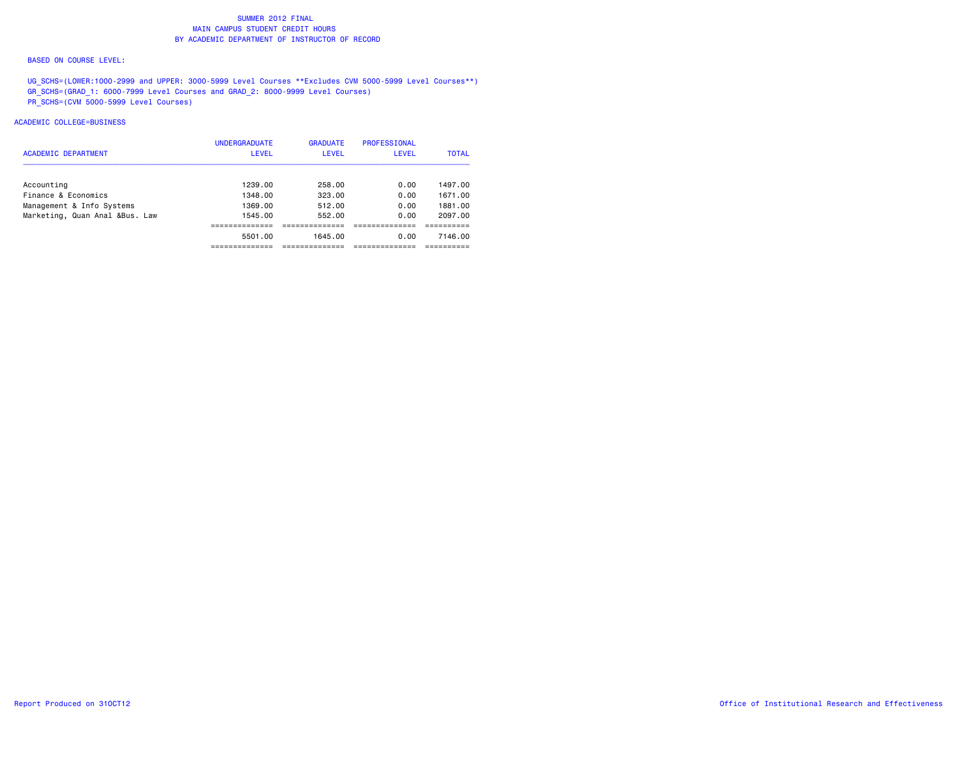#### BASED ON COURSE LEVEL:

UG\_SCHS=(LOWER:1000-2999 and UPPER: 3000-5999 Level Courses \*\*Excludes CVM 5000-5999 Level Courses\*\*) GR\_SCHS=(GRAD\_1: 6000-7999 Level Courses and GRAD\_2: 8000-9999 Level Courses) PR\_SCHS=(CVM 5000-5999 Level Courses)

### ACADEMIC COLLEGE=BUSINESS

|                                | <b>UNDERGRADUATE</b> | <b>GRADUATE</b> | <b>PROFESSIONAL</b> |              |
|--------------------------------|----------------------|-----------------|---------------------|--------------|
| <b>ACADEMIC DEPARTMENT</b>     | LEVEL                | <b>LEVEL</b>    | <b>LEVEL</b>        | <b>TOTAL</b> |
|                                |                      |                 |                     |              |
| Accounting                     | 1239.00              | 258.00          | 0.00                | 1497.00      |
| Finance & Economics            | 1348.00              | 323.00          | 0.00                | 1671.00      |
| Management & Info Systems      | 1369.00              | 512.00          | 0.00                | 1881.00      |
| Marketing, Quan Anal &Bus. Law | 1545.00              | 552.00          | 0.00                | 2097.00      |
|                                | ----------           |                 |                     |              |
|                                | 5501.00              | 1645.00         | 0.00                | 7146.00      |
|                                |                      |                 |                     |              |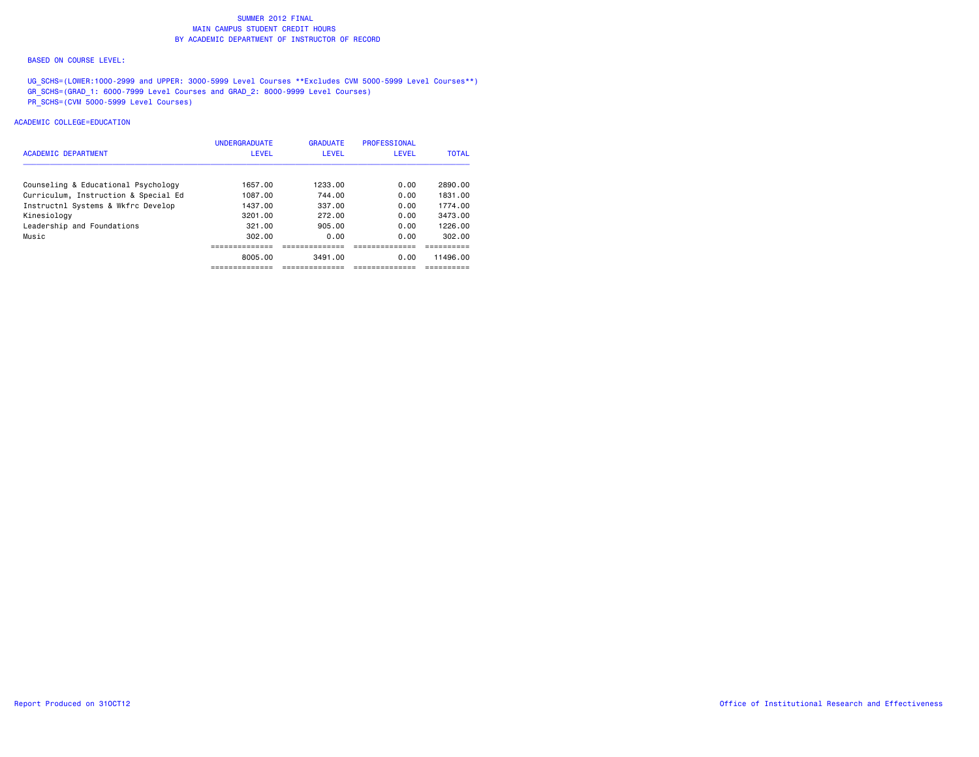#### BASED ON COURSE LEVEL:

UG\_SCHS=(LOWER:1000-2999 and UPPER: 3000-5999 Level Courses \*\*Excludes CVM 5000-5999 Level Courses\*\*) GR\_SCHS=(GRAD\_1: 6000-7999 Level Courses and GRAD\_2: 8000-9999 Level Courses) PR\_SCHS=(CVM 5000-5999 Level Courses)

### ACADEMIC COLLEGE=EDUCATION

| <b>ACADEMIC DEPARTMENT</b>           | <b>UNDERGRADUATE</b><br><b>LEVEL</b> | <b>GRADUATE</b><br><b>LEVEL</b> | <b>PROFESSIONAL</b><br><b>LEVEL</b> | <b>TOTAL</b> |
|--------------------------------------|--------------------------------------|---------------------------------|-------------------------------------|--------------|
|                                      |                                      |                                 |                                     |              |
| Counseling & Educational Psychology  | 1657.00                              | 1233.00                         | 0.00                                | 2890.00      |
| Curriculum, Instruction & Special Ed | 1087.00                              | 744.00                          | 0.00                                | 1831.00      |
| Instructnl Systems & Wkfrc Develop   | 1437.00                              | 337.00                          | 0.00                                | 1774.00      |
| Kinesiology                          | 3201.00                              | 272.00                          | 0.00                                | 3473.00      |
| Leadership and Foundations           | 321.00                               | 905.00                          | 0.00                                | 1226.00      |
| Music                                | 302.00                               | 0.00                            | 0.00                                | 302.00       |
|                                      |                                      |                                 |                                     |              |
|                                      | 8005.00                              | 3491.00                         | 0.00                                | 11496.00     |
|                                      |                                      |                                 |                                     |              |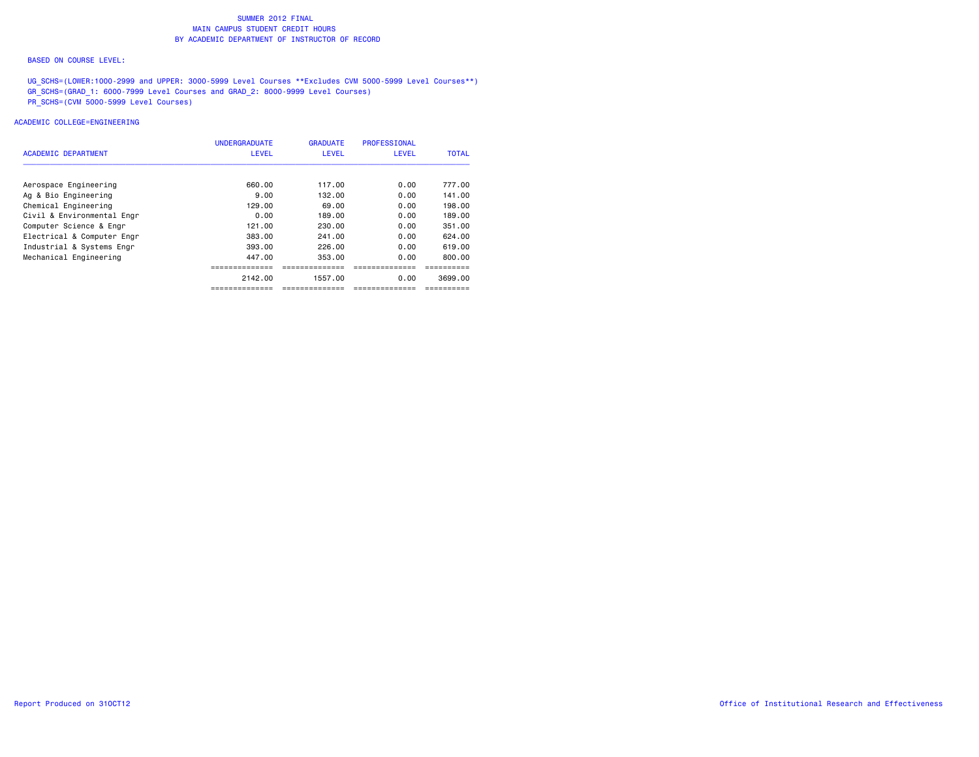#### BASED ON COURSE LEVEL:

UG\_SCHS=(LOWER:1000-2999 and UPPER: 3000-5999 Level Courses \*\*Excludes CVM 5000-5999 Level Courses\*\*) GR\_SCHS=(GRAD\_1: 6000-7999 Level Courses and GRAD\_2: 8000-9999 Level Courses) PR\_SCHS=(CVM 5000-5999 Level Courses)

### ACADEMIC COLLEGE=ENGINEERING

|                            | <b>UNDERGRADUATE</b> | <b>GRADUATE</b> | <b>PROFESSIONAL</b> |              |
|----------------------------|----------------------|-----------------|---------------------|--------------|
| ACADEMIC DEPARTMENT        | <b>LEVEL</b>         | <b>LEVEL</b>    | <b>LEVEL</b>        | <b>TOTAL</b> |
| Aerospace Engineering      | 660.00               | 117.00          | 0.00                | 777.00       |
| Ag & Bio Engineering       | 9.00                 | 132.00          | 0.00                | 141.00       |
| Chemical Engineering       | 129,00               | 69.00           | 0.00                | 198,00       |
| Civil & Environmental Engr | 0.00                 | 189.00          | 0.00                | 189.00       |
| Computer Science & Engr    | 121.00               | 230.00          | 0.00                | 351.00       |
| Electrical & Computer Engr | 383.00               | 241.00          | 0.00                | 624.00       |
| Industrial & Systems Engr  | 393,00               | 226.00          | 0.00                | 619.00       |
| Mechanical Engineering     | 447.00               | 353.00          | 0.00                | 800.00       |
|                            |                      |                 |                     |              |
|                            | 2142.00              | 1557.00         | 0.00                | 3699.00      |
|                            | ==============       | -----------     | ------------        |              |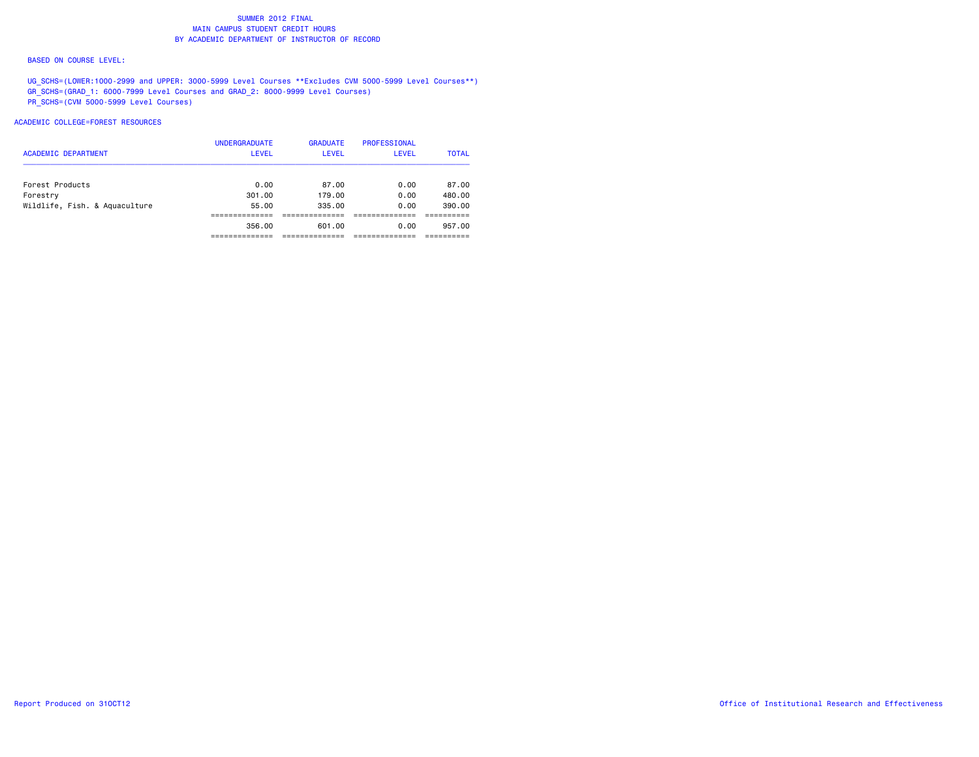#### BASED ON COURSE LEVEL:

UG\_SCHS=(LOWER:1000-2999 and UPPER: 3000-5999 Level Courses \*\*Excludes CVM 5000-5999 Level Courses\*\*) GR\_SCHS=(GRAD\_1: 6000-7999 Level Courses and GRAD\_2: 8000-9999 Level Courses) PR\_SCHS=(CVM 5000-5999 Level Courses)

### ACADEMIC COLLEGE=FOREST RESOURCES

| <b>ACADEMIC DEPARTMENT</b>    | <b>UNDERGRADUATE</b><br><b>LEVEL</b> | <b>GRADUATE</b><br><b>LEVEL</b> | PROFESSIONAL<br><b>LEVEL</b> | <b>TOTAL</b> |
|-------------------------------|--------------------------------------|---------------------------------|------------------------------|--------------|
| Forest Products               | 0.00                                 | 87.00                           | 0.00                         | 87.00        |
| Forestry                      | 301.00                               | 179.00                          | 0.00                         | 480.00       |
| Wildlife, Fish. & Aquaculture | 55,00                                | 335.00                          | 0.00                         | 390.00       |
|                               |                                      |                                 |                              |              |
|                               | 356.00                               | 601.00                          | 0.00                         | 957.00       |
|                               |                                      |                                 |                              |              |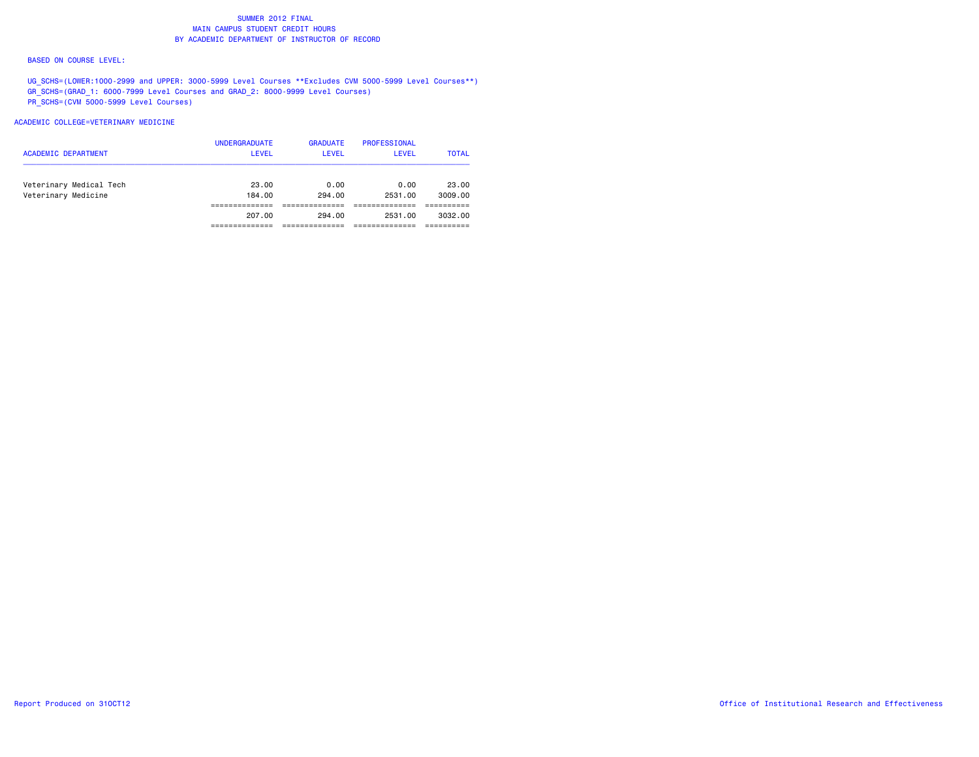#### BASED ON COURSE LEVEL:

UG\_SCHS=(LOWER:1000-2999 and UPPER: 3000-5999 Level Courses \*\*Excludes CVM 5000-5999 Level Courses\*\*) GR\_SCHS=(GRAD\_1: 6000-7999 Level Courses and GRAD\_2: 8000-9999 Level Courses) PR\_SCHS=(CVM 5000-5999 Level Courses)

#### ACADEMIC COLLEGE=VETERINARY MEDICINE

|                         | 207.00                               | 294.00                          | 2531.00                      | 3032.00      |
|-------------------------|--------------------------------------|---------------------------------|------------------------------|--------------|
| Veterinary Medicine     | 184.00                               | 294.00                          | 2531.00                      | 3009.00      |
| Veterinary Medical Tech | 23.00                                | 0.00                            | 0.00                         | 23.00        |
| ACADEMIC DEPARTMENT     | <b>UNDERGRADUATE</b><br><b>LEVEL</b> | <b>GRADUATE</b><br><b>LEVEL</b> | PROFESSIONAL<br><b>LEVEL</b> | <b>TOTAL</b> |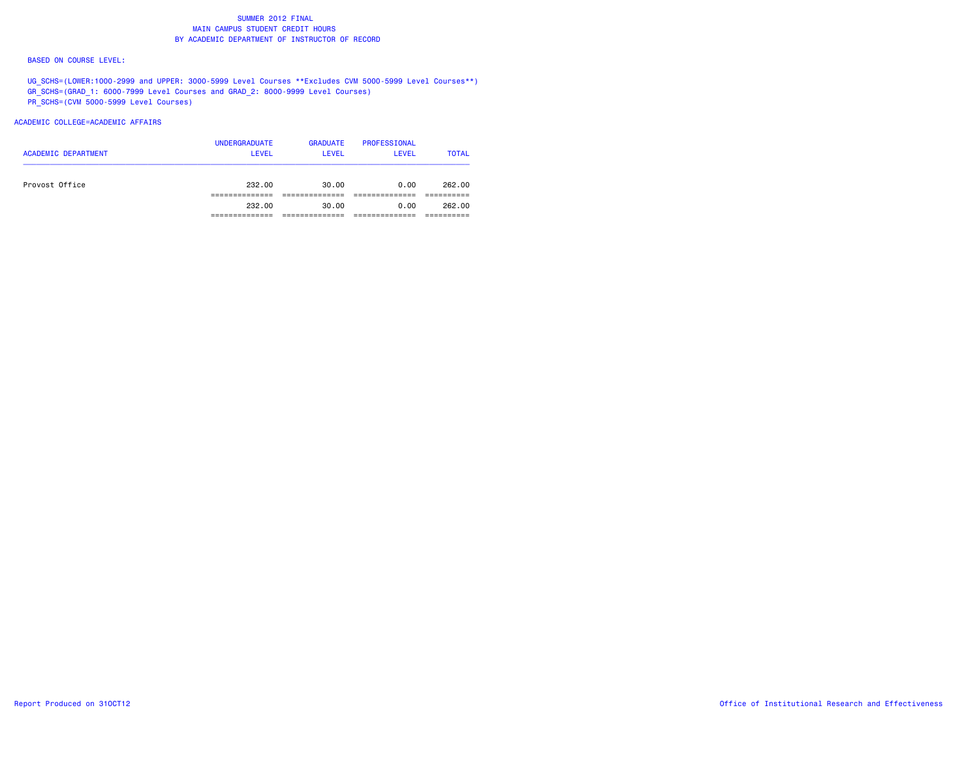#### BASED ON COURSE LEVEL:

UG\_SCHS=(LOWER:1000-2999 and UPPER: 3000-5999 Level Courses \*\*Excludes CVM 5000-5999 Level Courses\*\*) GR\_SCHS=(GRAD\_1: 6000-7999 Level Courses and GRAD\_2: 8000-9999 Level Courses) PR\_SCHS=(CVM 5000-5999 Level Courses)

## ACADEMIC COLLEGE=ACADEMIC AFFAIRS

| <b>ACADEMIC DEPARTMENT</b> | <b>UNDERGRADUATE</b><br>LEVEL | <b>GRADUATE</b><br>LEVEL | PROFESSIONAL<br><b>LEVEL</b> | <b>TOTAL</b> |
|----------------------------|-------------------------------|--------------------------|------------------------------|--------------|
| Provost Office             | 232.00                        | 30.00                    | 0.00                         | 262.00       |
|                            | 232.00                        | 30.00                    | 0.00                         | 262.00       |
|                            |                               |                          |                              |              |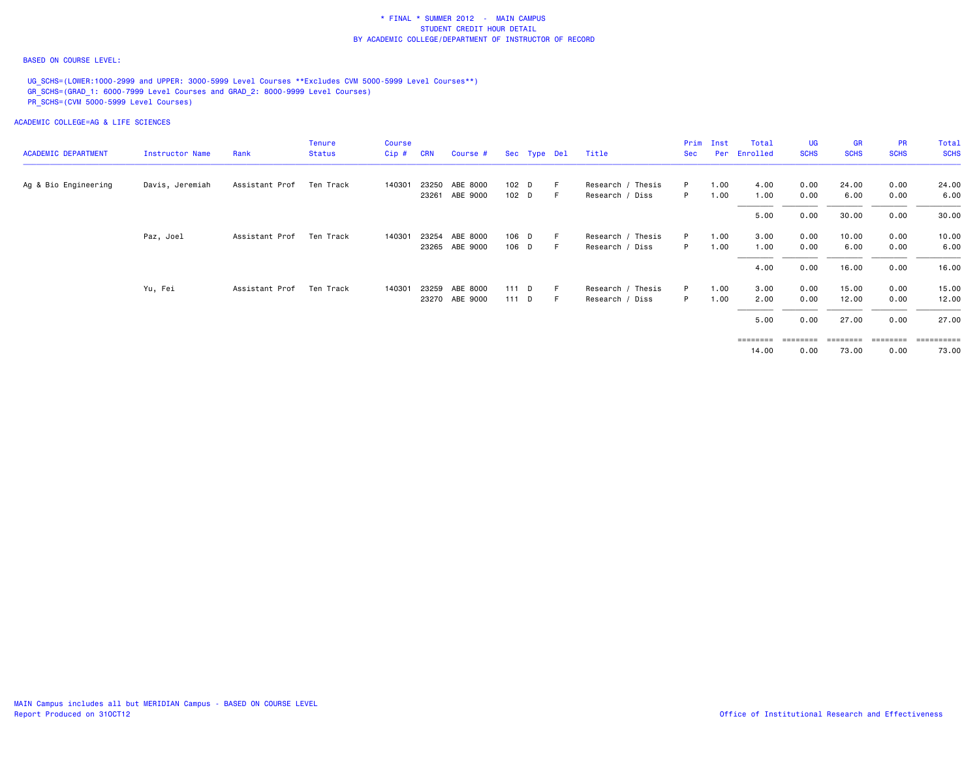#### BASED ON COURSE LEVEL:

UG SCHS=(LOWER:1000-2999 and UPPER: 3000-5999 Level Courses \*\*Excludes CVM 5000-5999 Level Courses\*\*) GR\_SCHS=(GRAD\_1: 6000-7999 Level Courses and GRAD\_2: 8000-9999 Level Courses) PR\_SCHS=(CVM 5000-5999 Level Courses)

ACADEMIC COLLEGE=AG & LIFE SCIENCES

|                            |                 |                | <b>Tenure</b> | Course |            |                |         |              |       |                   | Prim | Inst | Total    | UG          | <b>GR</b>   | <b>PR</b>   | Total       |
|----------------------------|-----------------|----------------|---------------|--------|------------|----------------|---------|--------------|-------|-------------------|------|------|----------|-------------|-------------|-------------|-------------|
| <b>ACADEMIC DEPARTMENT</b> | Instructor Name | Rank           | <b>Status</b> | Cip#   | <b>CRN</b> | Course #       |         | Sec Type Del |       | Title             | Sec  | Per  | Enrolled | <b>SCHS</b> | <b>SCHS</b> | <b>SCHS</b> | <b>SCHS</b> |
| Ag & Bio Engineering       | Davis, Jeremiah | Assistant Prof | Ten Track     | 140301 |            | 23250 ABE 8000 | 102 D   |              |       | Research / Thesis | P.   | 1.00 | 4.00     | 0.00        | 24.00       | 0.00        | 24.00       |
|                            |                 |                |               |        | 23261      | ABE 9000       | 102 D   |              |       | Research / Diss   | P.   | 1.00 | 1.00     | 0.00        | 6.00        | 0.00        | 6.00        |
| Paz, Joel                  |                 |                |               |        |            |                |         |              |       |                   |      |      | 5.00     | 0.00        | 30.00       | 0.00        | 30.00       |
|                            |                 | Assistant Prof | Ten Track     | 140301 | 23254      | ABE 8000       | 106 D   |              |       | Research / Thesis | P    | 1.00 | 3.00     | 0.00        | 10.00       | 0.00        | 10.00       |
|                            |                 |                |               |        |            | 23265 ABE 9000 | 106 D   |              |       | Research / Diss   | P.   | 1.00 | 1.00     | 0.00        | 6.00        | 0.00        | 6.00        |
|                            |                 |                |               |        |            |                |         |              |       |                   |      |      | 4.00     | 0.00        | 16.00       | 0.00        | 16.00       |
|                            | Yu, Fei         | Assistant Prof | Ten Track     | 140301 |            | 23259 ABE 8000 | $111$ D |              |       | Research / Thesis | P    | 1.00 | 3.00     | 0.00        | 15.00       | 0.00        | 15.00       |
|                            |                 |                |               |        |            | 23270 ABE 9000 | 111 D   |              | - F - | Research / Diss   | P.   | 1.00 | 2.00     | 0.00        | 12.00       | 0.00        | 12.00       |
|                            |                 |                |               |        |            |                |         |              |       |                   |      |      | 5.00     | 0.00        | 27.00       | 0.00        | 27.00       |
|                            |                 |                |               |        |            |                |         |              |       |                   |      |      |          |             |             |             |             |

 ======== ======== ======== ======== ==========14.00 0.00 73.00 0.00 73.00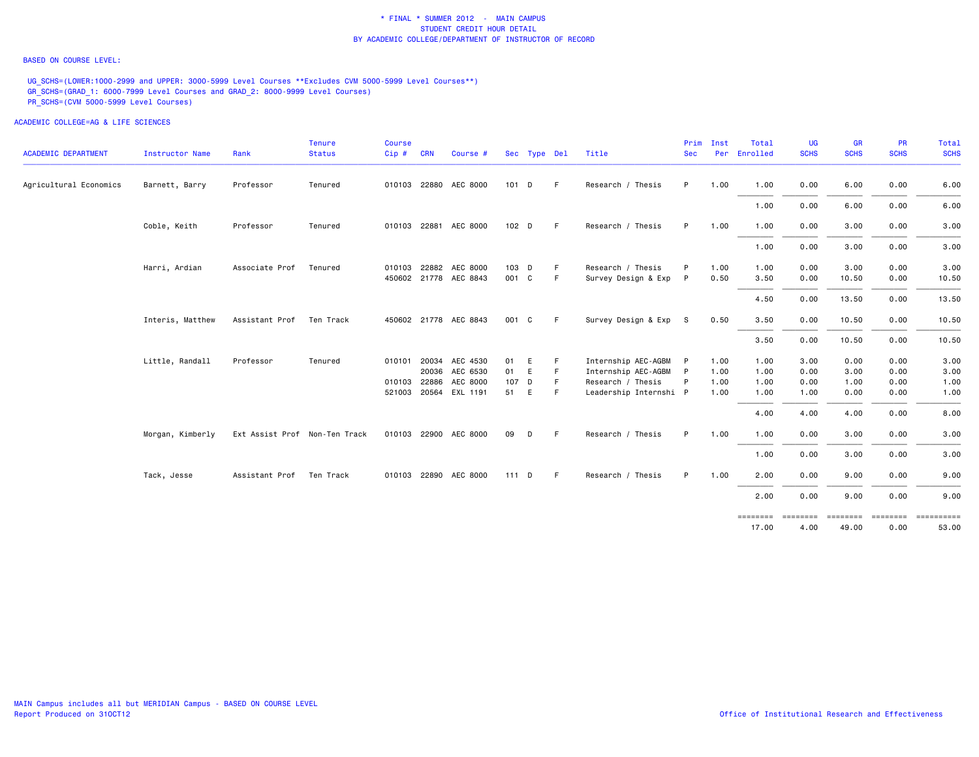#### BASED ON COURSE LEVEL:

UG\_SCHS=(LOWER:1000-2999 and UPPER: 3000-5999 Level Courses \*\*Excludes CVM 5000-5999 Level Courses\*\*) GR\_SCHS=(GRAD\_1: 6000-7999 Level Courses and GRAD\_2: 8000-9999 Level Courses) PR\_SCHS=(CVM 5000-5999 Level Courses)

| <b>ACADEMIC DEPARTMENT</b> | <b>Instructor Name</b> | Rank                          | <b>Tenure</b><br><b>Status</b> | <b>Course</b><br>Cip# | <b>CRN</b> | Course #              |         | Sec Type Del |    | Title                  | Prim<br><b>Sec</b> | Inst | Total<br>Per Enrolled | <b>UG</b><br><b>SCHS</b> | <b>GR</b><br><b>SCHS</b> | <b>PR</b><br><b>SCHS</b> | Total<br><b>SCHS</b> |
|----------------------------|------------------------|-------------------------------|--------------------------------|-----------------------|------------|-----------------------|---------|--------------|----|------------------------|--------------------|------|-----------------------|--------------------------|--------------------------|--------------------------|----------------------|
| Agricultural Economics     | Barnett, Barry         | Professor                     | Tenured                        |                       |            | 010103 22880 AEC 8000 | 101 D   |              | -F | Research / Thesis      | P.                 | 1.00 | 1.00                  | 0.00                     | 6.00                     | 0.00                     | 6.00                 |
|                            |                        |                               |                                |                       |            |                       |         |              |    |                        |                    |      | 1.00                  | 0.00                     | 6.00                     | 0.00                     | 6.00                 |
|                            | Coble, Keith           | Professor                     | Tenured                        |                       |            | 010103 22881 AEC 8000 | 102 D   |              | F. | Research / Thesis      | P.                 | 1.00 | 1.00                  | 0.00                     | 3.00                     | 0.00                     | 3.00                 |
|                            |                        |                               |                                |                       |            |                       |         |              |    |                        |                    |      | 1.00                  | 0.00                     | 3.00                     | 0.00                     | 3.00                 |
|                            | Harri, Ardian          | Associate Prof                | Tenured                        |                       |            | 010103 22882 AEC 8000 | 103 D   |              | -F | Research / Thesis      | P                  | 1.00 | 1.00                  | 0.00                     | 3.00                     | 0.00                     | 3.00                 |
|                            |                        |                               |                                |                       |            | 450602 21778 AEC 8843 | 001 C   |              | F  | Survey Design & Exp    | P                  | 0.50 | 3.50                  | 0.00                     | 10.50                    | 0.00                     | 10.50                |
|                            |                        |                               |                                |                       |            |                       |         |              |    |                        |                    |      | 4.50                  | 0.00                     | 13.50                    | 0.00                     | 13.50                |
|                            | Interis, Matthew       | Assistant Prof                | Ten Track                      |                       |            | 450602 21778 AEC 8843 | 001 C   |              | -F | Survey Design & Exp S  |                    | 0.50 | 3.50                  | 0.00                     | 10.50                    | 0.00                     | 10.50                |
|                            |                        |                               |                                |                       |            |                       |         |              |    |                        |                    |      | 3.50                  | 0.00                     | 10.50                    | 0.00                     | 10.50                |
|                            | Little, Randall        | Professor                     | Tenured                        |                       |            | 010101 20034 AEC 4530 | 01      | E            | -F | Internship AEC-AGBM    | P                  | 1.00 | 1.00                  | 3.00                     | 0.00                     | 0.00                     | 3.00                 |
|                            |                        |                               |                                |                       |            | 20036 AEC 6530        | 01 E    |              | F. | Internship AEC-AGBM    | P                  | 1.00 | 1.00                  | 0.00                     | 3.00                     | 0.00                     | 3.00                 |
|                            |                        |                               |                                | 010103 22886          |            | AEC 8000              | 107 D   |              | F. | Research / Thesis      | P                  | 1.00 | 1.00                  | 0.00                     | 1.00                     | 0.00                     | 1.00                 |
|                            |                        |                               |                                |                       |            | 521003 20564 EXL 1191 | 51      | E            | F. | Leadership Internshi P |                    | 1.00 | 1.00                  | 1.00                     | 0.00                     | 0.00                     | 1.00                 |
|                            |                        |                               |                                |                       |            |                       |         |              |    |                        |                    |      | 4.00                  | 4.00                     | 4.00                     | 0.00                     | 8.00                 |
|                            | Morgan, Kimberly       | Ext Assist Prof Non-Ten Track |                                |                       |            | 010103 22900 AEC 8000 | 09      | D            | -F | Research / Thesis      | P.                 | 1.00 | 1.00                  | 0.00                     | 3.00                     | 0.00                     | 3.00                 |
|                            |                        |                               |                                |                       |            |                       |         |              |    |                        |                    |      | 1.00                  | 0.00                     | 3.00                     | 0.00                     | 3.00                 |
|                            | Tack, Jesse            | Assistant Prof                | Ten Track                      |                       |            | 010103 22890 AEC 8000 | $111$ D |              | -F | Research / Thesis      | P.                 | 1.00 | 2.00                  | 0.00                     | 9.00                     | 0.00                     | 9.00                 |
|                            |                        |                               |                                |                       |            |                       |         |              |    |                        |                    |      | 2.00                  | 0.00                     | 9.00                     | 0.00                     | 9.00                 |
|                            |                        |                               |                                |                       |            |                       |         |              |    |                        |                    |      | ========<br>17.00     | ========<br>4.00         | ========<br>49.00        | ========<br>0.00         | ==========<br>53.00  |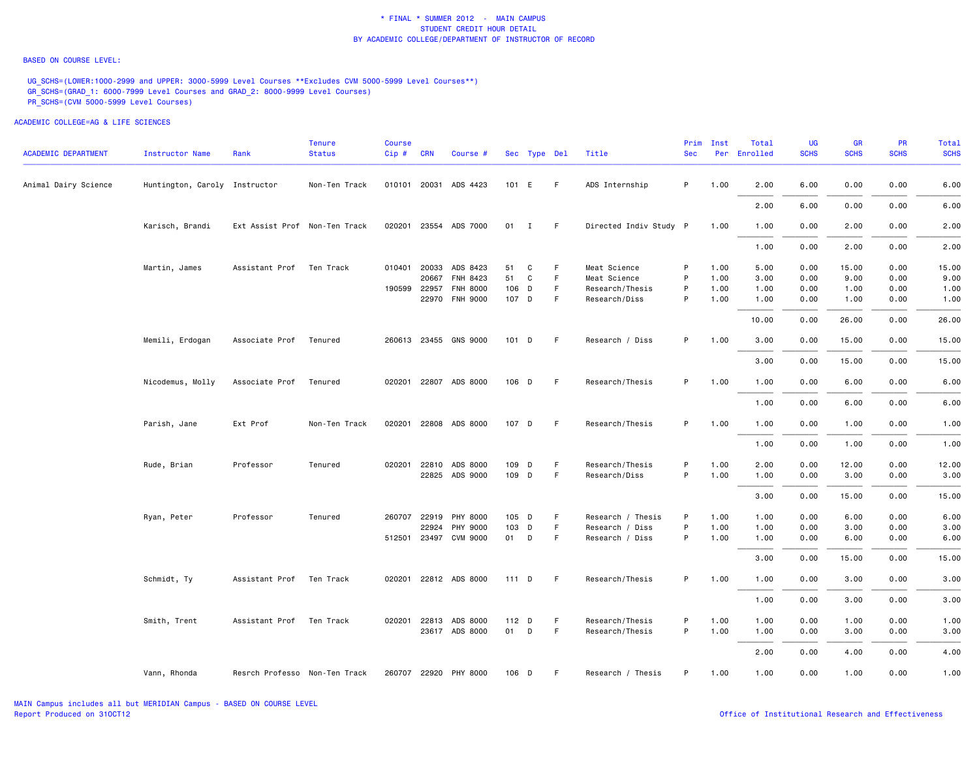#### BASED ON COURSE LEVEL:

UG\_SCHS=(LOWER:1000-2999 and UPPER: 3000-5999 Level Courses \*\*Excludes CVM 5000-5999 Level Courses\*\*) GR\_SCHS=(GRAD\_1: 6000-7999 Level Courses and GRAD\_2: 8000-9999 Level Courses) PR\_SCHS=(CVM 5000-5999 Level Courses)

| <b>ACADEMIC DEPARTMENT</b> | <b>Instructor Name</b>        | Rank                          | <b>Tenure</b><br><b>Status</b> | Course<br>Cip# | <b>CRN</b>   | Course #              |         | Sec Type Del |    | Title                  | Prim<br><b>Sec</b> | Inst | Total<br>Per Enrolled | UG<br><b>SCHS</b> | <b>GR</b><br><b>SCHS</b> | <b>PR</b><br><b>SCHS</b> | Total<br><b>SCHS</b> |
|----------------------------|-------------------------------|-------------------------------|--------------------------------|----------------|--------------|-----------------------|---------|--------------|----|------------------------|--------------------|------|-----------------------|-------------------|--------------------------|--------------------------|----------------------|
| Animal Dairy Science       | Huntington, Caroly Instructor |                               | Non-Ten Track                  |                |              | 010101 20031 ADS 4423 | 101 E   |              | F. | ADS Internship         | P                  | 1.00 | 2.00                  | 6.00              | 0.00                     | 0.00                     | 6.00                 |
|                            |                               |                               |                                |                |              |                       |         |              |    |                        |                    |      | 2.00                  | 6.00              | 0.00                     | 0.00                     | 6.00                 |
|                            | Karisch, Brandi               | Ext Assist Prof Non-Ten Track |                                |                |              | 020201 23554 ADS 7000 | 01 I    |              | F. | Directed Indiv Study P |                    | 1.00 | 1.00                  | 0.00              | 2.00                     | 0.00                     | 2.00                 |
|                            |                               |                               |                                |                |              |                       |         |              |    |                        |                    |      | 1.00                  | 0.00              | 2.00                     | 0.00                     | 2.00                 |
|                            | Martin, James                 | Assistant Prof Ten Track      |                                |                |              | 010401 20033 ADS 8423 | 51      | C            | F  | Meat Science           | P                  | 1.00 | 5.00                  | 0.00              | 15.00                    | 0.00                     | 15.00                |
|                            |                               |                               |                                |                | 20667        | <b>FNH 8423</b>       | 51      | C            | F. | Meat Science           | P                  | 1.00 | 3.00                  | 0.00              | 9.00                     | 0.00                     | 9.00                 |
|                            |                               |                               |                                | 190599         | 22957        | <b>FNH 8000</b>       | 106 D   |              | F  | Research/Thesis        | P                  | 1.00 | 1.00                  | 0.00              | 1.00                     | 0.00                     | 1.00                 |
|                            |                               |                               |                                |                | 22970        | <b>FNH 9000</b>       | 107 D   |              | F  | Research/Diss          | P                  | 1.00 | 1.00                  | 0.00              | 1.00                     | 0.00                     | 1.00                 |
|                            |                               |                               |                                |                |              |                       |         |              |    |                        |                    |      | 10.00                 | 0.00              | 26.00                    | 0.00                     | 26.00                |
|                            | Memili, Erdogan               | Associate Prof Tenured        |                                |                |              | 260613 23455 GNS 9000 | $101$ D |              | F  | Research / Diss        | P.                 | 1.00 | 3.00                  | 0.00              | 15.00                    | 0.00                     | 15.00                |
|                            |                               |                               |                                |                |              |                       |         |              |    |                        |                    |      | 3.00                  | 0.00              | 15.00                    | 0.00                     | 15.00                |
|                            | Nicodemus, Molly              | Associate Prof                | Tenured                        |                |              | 020201 22807 ADS 8000 | 106 D   |              | F  | Research/Thesis        | P.                 | 1.00 | 1.00                  | 0.00              | 6.00                     | 0.00                     | 6.00                 |
|                            |                               |                               |                                |                |              |                       |         |              |    |                        |                    |      | 1.00                  | 0.00              | 6.00                     | 0.00                     | 6.00                 |
|                            | Parish, Jane                  | Ext Prof                      | Non-Ten Track                  |                |              | 020201 22808 ADS 8000 | 107 D   |              | -F | Research/Thesis        | P                  | 1.00 | 1.00                  | 0.00              | 1.00                     | 0.00                     | 1.00                 |
|                            |                               |                               |                                |                |              |                       |         |              |    |                        |                    |      | 1.00                  | 0.00              | 1.00                     | 0.00                     | 1.00                 |
|                            | Rude, Brian                   | Professor                     | Tenured                        |                | 020201 22810 | ADS 8000              | 109 D   |              | F  | Research/Thesis        | P                  | 1.00 | 2.00                  | 0.00              | 12.00                    | 0.00                     | 12.00                |
|                            |                               |                               |                                |                |              | 22825 ADS 9000        | 109 D   |              | F. | Research/Diss          | P                  | 1.00 | 1.00                  | 0.00              | 3.00                     | 0.00                     | 3.00                 |
|                            |                               |                               |                                |                |              |                       |         |              |    |                        |                    |      | 3.00                  | 0.00              | 15.00                    | 0.00                     | 15.00                |
|                            | Ryan, Peter                   | Professor                     | Tenured                        |                | 260707 22919 | PHY 8000              | 105 D   |              | F  | Research / Thesis      | P                  | 1.00 | 1.00                  | 0.00              | 6.00                     | 0.00                     | 6.00                 |
|                            |                               |                               |                                |                | 22924        | PHY 9000              | 103     | D            | F  | Research / Diss        | P                  | 1.00 | 1.00                  | 0.00              | 3.00                     | 0.00                     | 3.00                 |
|                            |                               |                               |                                |                |              | 512501 23497 CVM 9000 | 01 D    |              | F  | Research / Diss        | P                  | 1.00 | 1.00                  | 0.00              | 6.00                     | 0.00                     | 6.00                 |
|                            |                               |                               |                                |                |              |                       |         |              |    |                        |                    |      | 3.00                  | 0.00              | 15.00                    | 0.00                     | 15.00                |
|                            | Schmidt, Ty                   | Assistant Prof                | Ten Track                      |                |              | 020201 22812 ADS 8000 | $111$ D |              | F. | Research/Thesis        | P                  | 1.00 | 1.00                  | 0.00              | 3.00                     | 0.00                     | 3.00                 |
|                            |                               |                               |                                |                |              |                       |         |              |    |                        |                    |      | 1.00                  | 0.00              | 3.00                     | 0.00                     | 3.00                 |
|                            | Smith, Trent                  | Assistant Prof                | Ten Track                      |                |              | 020201 22813 ADS 8000 | 112 D   |              | F. | Research/Thesis        | P                  | 1.00 | 1.00                  | 0.00              | 1.00                     | 0.00                     | 1.00                 |
|                            |                               |                               |                                |                |              | 23617 ADS 8000        | 01 D    |              | F. | Research/Thesis        | P                  | 1.00 | 1.00                  | 0.00              | 3.00                     | 0.00                     | 3.00                 |
|                            |                               |                               |                                |                |              |                       |         |              |    |                        |                    |      | 2.00                  | 0.00              | 4.00                     | 0.00                     | 4.00                 |
|                            | Vann, Rhonda                  | Resrch Professo Non-Ten Track |                                |                |              | 260707 22920 PHY 8000 | 106 D   |              | F. | Research / Thesis      | P                  | 1.00 | 1.00                  | 0.00              | 1.00                     | 0.00                     | 1.00                 |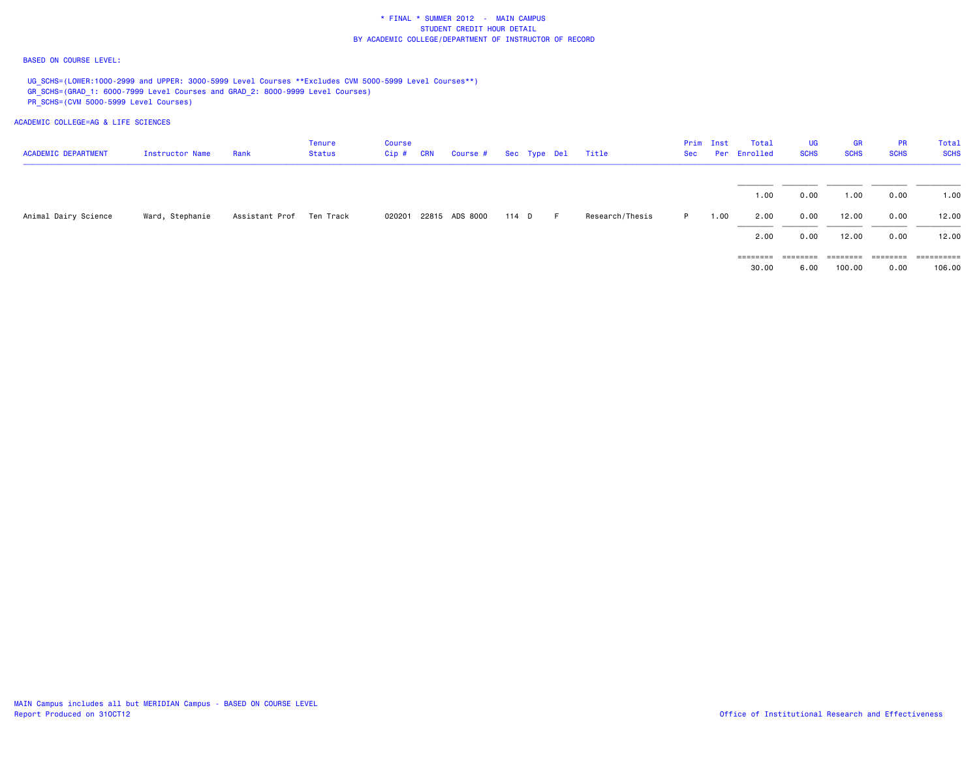#### BASED ON COURSE LEVEL:

UG\_SCHS=(LOWER:1000-2999 and UPPER: 3000-5999 Level Courses \*\*Excludes CVM 5000-5999 Level Courses\*\*) GR\_SCHS=(GRAD\_1: 6000-7999 Level Courses and GRAD\_2: 8000-9999 Level Courses) PR\_SCHS=(CVM 5000-5999 Level Courses)

| <b>ACADEMIC DEPARTMENT</b> | Instructor Name | Rank                       | Tenure<br>Status | <b>Course</b><br>$Cip$ # | <b>CRN</b> | Course # Sec Type Del |       |         | Title           | Sec | Prim Inst | Total<br>Per Enrolled | <b>UG</b><br><b>SCHS</b> | GR<br><b>SCHS</b> | <b>PR</b><br><b>SCHS</b> | Total<br><b>SCHS</b> |
|----------------------------|-----------------|----------------------------|------------------|--------------------------|------------|-----------------------|-------|---------|-----------------|-----|-----------|-----------------------|--------------------------|-------------------|--------------------------|----------------------|
|                            |                 |                            |                  |                          |            |                       |       |         |                 |     |           | 1.00                  | 0.00                     | 1.00              | 0.00                     | 1.00                 |
| Animal Dairy Science       | Ward, Stephanie | Assistant Prof – Ten Track |                  | 020201                   |            | 22815 ADS 8000        | 114 D | $F = 1$ | Research/Thesis | P.  | 1.00      | 2.00                  | 0.00                     | 12.00             | 0.00                     | 12.00                |
|                            |                 |                            |                  |                          |            |                       |       |         |                 |     |           | 2.00                  | 0.00                     | 12.00             | 0.00                     | 12.00                |
|                            |                 |                            |                  |                          |            |                       |       |         |                 |     |           | ========              | ========                 | ========          | ---------                |                      |
|                            |                 |                            |                  |                          |            |                       |       |         |                 |     |           | 30.00                 | 6.00                     | 100.00            | 0.00                     | 106.00               |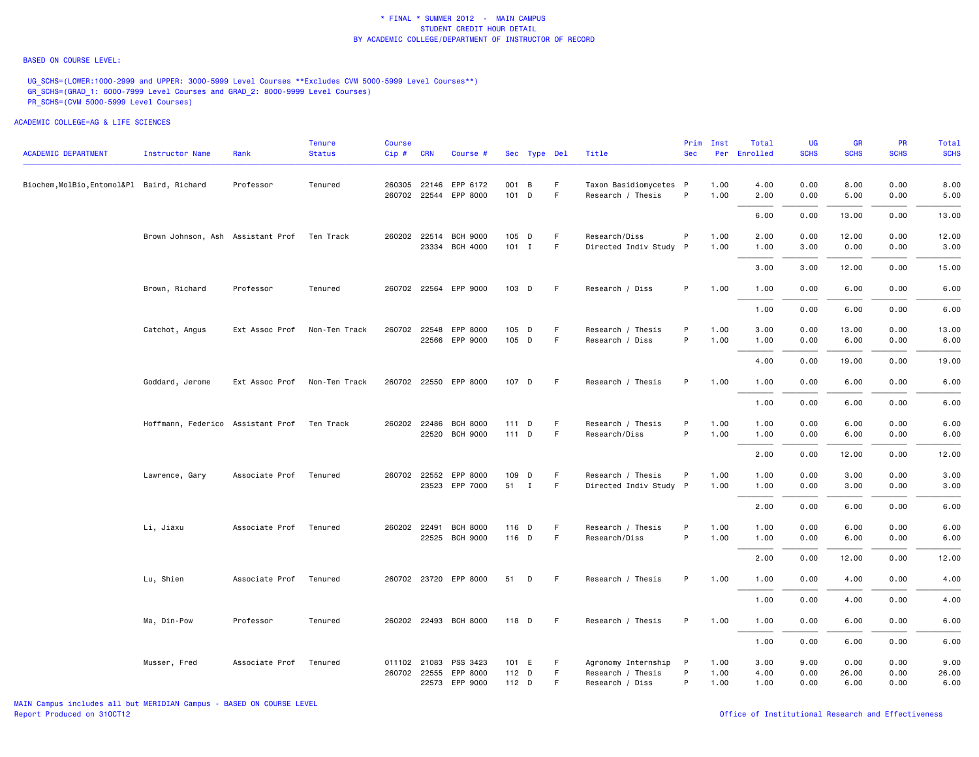#### BASED ON COURSE LEVEL:

UG\_SCHS=(LOWER:1000-2999 and UPPER: 3000-5999 Level Courses \*\*Excludes CVM 5000-5999 Level Courses\*\*) GR\_SCHS=(GRAD\_1: 6000-7999 Level Courses and GRAD\_2: 8000-9999 Level Courses) PR\_SCHS=(CVM 5000-5999 Level Courses)

| <b>ACADEMIC DEPARTMENT</b>                 | <b>Instructor Name</b>                      | Rank           | Tenure<br><b>Status</b> | Course<br>Cip# | <b>CRN</b>   | Course #              |         | Sec Type Del |    | Title                  | Prim<br><b>Sec</b> | Inst | Total<br>Per Enrolled | UG<br><b>SCHS</b> | GR<br><b>SCHS</b> | <b>PR</b><br><b>SCHS</b> | Total<br><b>SCHS</b> |
|--------------------------------------------|---------------------------------------------|----------------|-------------------------|----------------|--------------|-----------------------|---------|--------------|----|------------------------|--------------------|------|-----------------------|-------------------|-------------------|--------------------------|----------------------|
|                                            |                                             |                |                         |                |              |                       |         |              |    |                        |                    |      |                       |                   |                   |                          |                      |
| Biochem, MolBio, Entomol&Pl Baird, Richard |                                             | Professor      | Tenured                 |                | 260305 22146 | EPP 6172              | 001 B   |              | F  | Taxon Basidiomycetes P |                    | 1.00 | 4.00                  | 0.00              | 8.00              | 0.00                     | 8.00                 |
|                                            |                                             |                |                         |                |              | 260702 22544 EPP 8000 | 101 D   |              | F  | Research / Thesis      | P                  | 1.00 | 2.00                  | 0.00              | 5.00              | 0.00                     | 5.00                 |
|                                            |                                             |                |                         |                |              |                       |         |              |    |                        |                    |      | 6.00                  | 0.00              | 13.00             | 0.00                     | 13.00                |
|                                            | Brown Johnson, Ash Assistant Prof           |                | Ten Track               |                |              | 260202 22514 BCH 9000 | 105 D   |              | F  | Research/Diss          | P                  | 1.00 | 2.00                  | 0.00              | 12.00             | 0.00                     | 12.00                |
|                                            |                                             |                |                         |                |              | 23334 BCH 4000        | $101$ I |              | F  | Directed Indiv Study P |                    | 1.00 | 1.00                  | 3.00              | 0.00              | 0.00                     | 3.00                 |
|                                            |                                             |                |                         |                |              |                       |         |              |    |                        |                    |      | 3.00                  | 3.00              | 12.00             | 0.00                     | 15.00                |
|                                            | Brown, Richard                              | Professor      | Tenured                 |                |              | 260702 22564 EPP 9000 | 103 D   |              | F. | Research / Diss        | P                  | 1.00 | 1.00                  | 0.00              | 6.00              | 0.00                     | 6.00                 |
|                                            |                                             |                |                         |                |              |                       |         |              |    |                        |                    |      | 1.00                  | 0.00              | 6.00              | 0.00                     | 6.00                 |
|                                            | Catchot, Angus                              | Ext Assoc Prof | Non-Ten Track           |                | 260702 22548 | EPP 8000              | 105 D   |              | F  | Research / Thesis      | P                  | 1.00 | 3.00                  | 0.00              | 13.00             | 0.00                     | 13.00                |
|                                            |                                             |                |                         |                |              | 22566 EPP 9000        | 105 D   |              | F. | Research / Diss        | P                  | 1.00 | 1.00                  | 0.00              | 6.00              | 0.00                     | 6.00                 |
|                                            |                                             |                |                         |                |              |                       |         |              |    |                        |                    |      | 4.00                  | 0.00              | 19.00             | 0.00                     | 19.00                |
|                                            | Goddard, Jerome                             | Ext Assoc Prof | Non-Ten Track           |                |              | 260702 22550 EPP 8000 | 107 D   |              | F. | Research / Thesis      | P                  | 1.00 | 1.00                  | 0.00              | 6.00              | 0.00                     | 6.00                 |
|                                            |                                             |                |                         |                |              |                       |         |              |    |                        |                    |      | 1.00                  | 0.00              | 6.00              | 0.00                     | 6.00                 |
|                                            | Hoffmann, Federico Assistant Prof Ten Track |                |                         |                | 260202 22486 | <b>BCH 8000</b>       | 111     | D            | F  | Research / Thesis      | P                  | 1.00 | 1.00                  | 0.00              | 6.00              | 0.00                     | 6.00                 |
|                                            |                                             |                |                         |                |              | 22520 BCH 9000        | $111$ D |              | F  | Research/Diss          | P                  | 1.00 | 1.00                  | 0.00              | 6.00              | 0.00                     | 6.00                 |
|                                            |                                             |                |                         |                |              |                       |         |              |    |                        |                    |      | 2.00                  | 0.00              | 12.00             | 0.00                     | 12.00                |
|                                            | Lawrence, Gary                              | Associate Prof | Tenured                 |                |              | 260702 22552 EPP 8000 | 109 D   |              | F  | Research / Thesis      | P                  | 1.00 | 1.00                  | 0.00              | 3.00              | 0.00                     | 3.00                 |
|                                            |                                             |                |                         |                |              | 23523 EPP 7000        | 51      | $\mathbf{I}$ | F  | Directed Indiv Study P |                    | 1.00 | 1.00                  | 0.00              | 3.00              | 0.00                     | 3.00                 |
|                                            |                                             |                |                         |                |              |                       |         |              |    |                        |                    |      | 2.00                  | 0.00              | 6.00              | 0.00                     | 6.00                 |
|                                            | Li, Jiaxu                                   | Associate Prof | Tenured                 |                | 260202 22491 | <b>BCH 8000</b>       | 116 D   |              | E  | Research / Thesis      | P                  | 1.00 | 1.00                  | 0.00              | 6.00              | 0.00                     | 6.00                 |
|                                            |                                             |                |                         |                |              | 22525 BCH 9000        | 116 D   |              | F  | Research/Diss          | P                  | 1.00 | 1.00                  | 0.00              | 6.00              | 0.00                     | 6.00                 |
|                                            |                                             |                |                         |                |              |                       |         |              |    |                        |                    |      | 2.00                  | 0.00              | 12.00             | 0.00                     | 12.00                |
|                                            | Lu, Shien                                   | Associate Prof | Tenured                 |                |              | 260702 23720 EPP 8000 | 51      | D            | -F | Research / Thesis      | P                  | 1.00 | 1.00                  | 0.00              | 4.00              | 0.00                     | 4.00                 |
|                                            |                                             |                |                         |                |              |                       |         |              |    |                        |                    |      | 1.00                  | 0.00              | 4.00              | 0.00                     | 4.00                 |
|                                            | Ma, Din-Pow                                 | Professor      | Tenured                 |                |              | 260202 22493 BCH 8000 | 118 D   |              | F. | Research / Thesis      | P                  | 1.00 | 1.00                  | 0.00              | 6.00              | 0.00                     | 6.00                 |
|                                            |                                             |                |                         |                |              |                       |         |              |    |                        |                    |      | 1.00                  | 0.00              | 6.00              | 0.00                     | 6.00                 |
|                                            | Musser, Fred                                | Associate Prof | Tenured                 |                | 011102 21083 | PSS 3423              | 101 E   |              | -F | Agronomy Internship    | $\mathsf{P}$       | 1.00 | 3.00                  | 9.00              | 0.00              | 0.00                     | 9.00                 |
|                                            |                                             |                |                         |                | 260702 22555 | EPP 8000              | 112 D   |              | F. | Research / Thesis      | P                  | 1.00 | 4.00                  | 0.00              | 26.00             | 0.00                     | 26.00                |
|                                            |                                             |                |                         |                |              | 22573 EPP 9000        | 112 D   |              | F. | Research / Diss        | P                  | 1.00 | 1.00                  | 0.00              | 6.00              | 0.00                     | 6.00                 |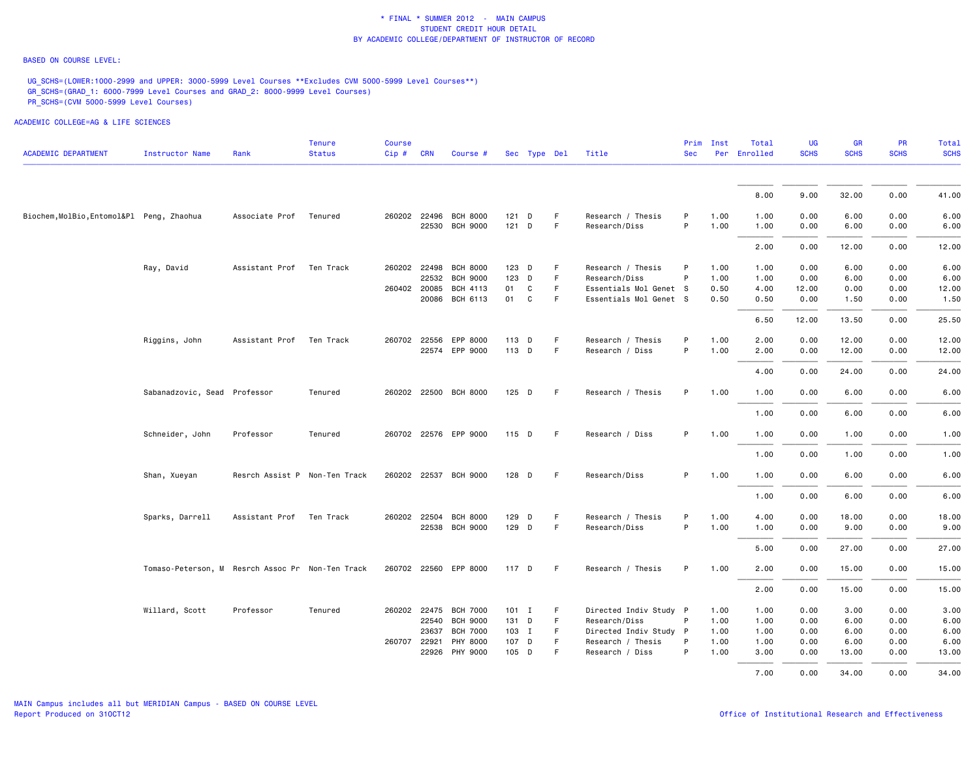#### BASED ON COURSE LEVEL:

UG\_SCHS=(LOWER:1000-2999 and UPPER: 3000-5999 Level Courses \*\*Excludes CVM 5000-5999 Level Courses\*\*) GR\_SCHS=(GRAD\_1: 6000-7999 Level Courses and GRAD\_2: 8000-9999 Level Courses) PR\_SCHS=(CVM 5000-5999 Level Courses)

| <b>ACADEMIC DEPARTMENT</b>                | Instructor Name                                  | Rank                          | <b>Tenure</b><br><b>Status</b> | <b>Course</b><br>Cip# | <b>CRN</b> | Course #              |         | Sec Type Del |    | Title                  | <b>Sec</b> | Prim Inst | Total<br>Per Enrolled | UG<br><b>SCHS</b> | <b>GR</b><br><b>SCHS</b> | PR<br><b>SCHS</b> | Total<br><b>SCHS</b> |
|-------------------------------------------|--------------------------------------------------|-------------------------------|--------------------------------|-----------------------|------------|-----------------------|---------|--------------|----|------------------------|------------|-----------|-----------------------|-------------------|--------------------------|-------------------|----------------------|
|                                           |                                                  |                               |                                |                       |            |                       |         |              |    |                        |            |           |                       |                   |                          |                   |                      |
|                                           |                                                  |                               |                                |                       |            |                       |         |              |    |                        |            |           | 8.00                  | 9.00              | 32.00                    | 0.00              | 41.00                |
| Biochem, MolBio, Entomol&Pl Peng, Zhaohua |                                                  | Associate Prof                | Tenured                        | 260202 22496          |            | <b>BCH 8000</b>       | 121     | D            | F  | Research / Thesis      | P          | 1.00      | 1.00                  | 0.00              | 6.00                     | 0.00              | 6.00                 |
|                                           |                                                  |                               |                                |                       |            | 22530 BCH 9000        | $121$ D |              | F  | Research/Diss          | P          | 1.00      | 1.00                  | 0.00              | 6.00                     | 0.00              | 6.00                 |
|                                           |                                                  |                               |                                |                       |            |                       |         |              |    |                        |            |           | 2.00                  | 0.00              | 12.00                    | 0.00              | 12.00                |
|                                           | Ray, David                                       | Assistant Prof Ten Track      |                                |                       |            | 260202 22498 BCH 8000 | 123 D   |              | F  | Research / Thesis      | P          | 1.00      | 1.00                  | 0.00              | 6.00                     | 0.00              | 6.00                 |
|                                           |                                                  |                               |                                |                       | 22532      | <b>BCH 9000</b>       | 123 D   |              | F. | Research/Diss          | P          | 1.00      | 1.00                  | 0.00              | 6.00                     | 0.00              | 6.00                 |
|                                           |                                                  |                               |                                | 260402 20085          |            | BCH 4113              | 01      | C            | F  | Essentials Mol Genet S |            | 0.50      | 4.00                  | 12.00             | 0.00                     | 0.00              | 12.00                |
|                                           |                                                  |                               |                                |                       | 20086      | BCH 6113              | 01      | $\mathtt{C}$ | F  | Essentials Mol Genet S |            | 0.50      | 0.50                  | 0.00              | 1.50                     | 0.00              | 1.50                 |
|                                           |                                                  |                               |                                |                       |            |                       |         |              |    |                        |            |           | 6.50                  | 12.00             | 13.50                    | 0.00              | 25.50                |
|                                           | Riggins, John                                    | Assistant Prof                | Ten Track                      | 260702 22556          |            | EPP 8000              | 113 D   |              | F. | Research / Thesis      | P          | 1.00      | 2.00                  | 0.00              | 12.00                    | 0.00              | 12.00                |
|                                           |                                                  |                               |                                |                       |            | 22574 EPP 9000        | 113 D   |              | F. | Research / Diss        | P          | 1.00      | 2.00                  | 0.00              | 12.00                    | 0.00              | 12.00                |
|                                           |                                                  |                               |                                |                       |            |                       |         |              |    |                        |            |           | 4.00                  | 0.00              | 24.00                    | 0.00              | 24.00                |
|                                           | Sabanadzovic, Sead Professor                     |                               | Tenured                        |                       |            | 260202 22500 BCH 8000 | 125 D   |              | F. | Research / Thesis      | P          | 1.00      | 1.00                  | 0.00              | 6.00                     | 0.00              | 6.00                 |
|                                           |                                                  |                               |                                |                       |            |                       |         |              |    |                        |            |           | 1.00                  | 0.00              | 6.00                     | 0.00              | 6.00                 |
|                                           | Schneider, John                                  | Professor                     | Tenured                        |                       |            | 260702 22576 EPP 9000 | $115$ D |              | -F | Research / Diss        | P          | 1.00      | 1.00                  | 0.00              | 1.00                     | 0.00              | 1.00                 |
|                                           |                                                  |                               |                                |                       |            |                       |         |              |    |                        |            |           | 1.00                  | 0.00              | 1.00                     | 0.00              | 1.00                 |
|                                           | Shan, Xueyan                                     | Resrch Assist P Non-Ten Track |                                |                       |            | 260202 22537 BCH 9000 | $128$ D |              | -F | Research/Diss          | P          | 1.00      | 1.00                  | 0.00              | 6.00                     | 0.00              | 6.00                 |
|                                           |                                                  |                               |                                |                       |            |                       |         |              |    |                        |            |           | 1.00                  | 0.00              | 6.00                     | 0.00              | 6.00                 |
|                                           | Sparks, Darrell                                  | Assistant Prof                | Ten Track                      | 260202 22504          |            | <b>BCH 8000</b>       | 129 D   |              | F. | Research / Thesis      | P          | 1.00      | 4.00                  | 0.00              | 18.00                    | 0.00              | 18.00                |
|                                           |                                                  |                               |                                |                       |            | 22538 BCH 9000        | 129 D   |              | F  | Research/Diss          | P          | 1.00      | 1.00                  | 0.00              | 9.00                     | 0.00              | 9.00                 |
|                                           |                                                  |                               |                                |                       |            |                       |         |              |    |                        |            |           | 5.00                  | 0.00              | 27.00                    | 0.00              | 27.00                |
|                                           | Tomaso-Peterson, M Resrch Assoc Pr Non-Ten Track |                               |                                |                       |            | 260702 22560 EPP 8000 | 117 D   |              | -F | Research / Thesis      | P          | 1.00      | 2.00                  | 0.00              | 15.00                    | 0.00              | 15.00                |
|                                           |                                                  |                               |                                |                       |            |                       |         |              |    |                        |            |           | 2.00                  | 0.00              | 15.00                    | 0.00              | 15.00                |
|                                           | Willard, Scott                                   | Professor                     | Tenured                        | 260202 22475          |            | <b>BCH 7000</b>       | $101$ I |              | F  | Directed Indiv Study P |            | 1.00      | 1.00                  | 0.00              | 3.00                     | 0.00              | 3.00                 |
|                                           |                                                  |                               |                                |                       | 22540      | <b>BCH 9000</b>       | 131 D   |              | F. | Research/Diss          | P          | 1.00      | 1.00                  | 0.00              | 6.00                     | 0.00              | 6.00                 |
|                                           |                                                  |                               |                                |                       | 23637      | <b>BCH 7000</b>       | 103 I   |              | F. | Directed Indiv Study P |            | 1.00      | 1.00                  | 0.00              | 6.00                     | 0.00              | 6.00                 |
|                                           |                                                  |                               |                                | 260707 22921          |            | PHY 8000              | 107 D   |              | F  | Research / Thesis      | P          | 1.00      | 1.00                  | 0.00              | 6.00                     | 0.00              | 6.00                 |
|                                           |                                                  |                               |                                |                       |            | 22926 PHY 9000        | 105 D   |              | F  | Research / Diss        | P          | 1.00      | 3.00                  | 0.00              | 13.00                    | 0.00              | 13.00                |
|                                           |                                                  |                               |                                |                       |            |                       |         |              |    |                        |            |           | 7.00                  | 0.00              | 34.00                    | 0.00              | 34.00                |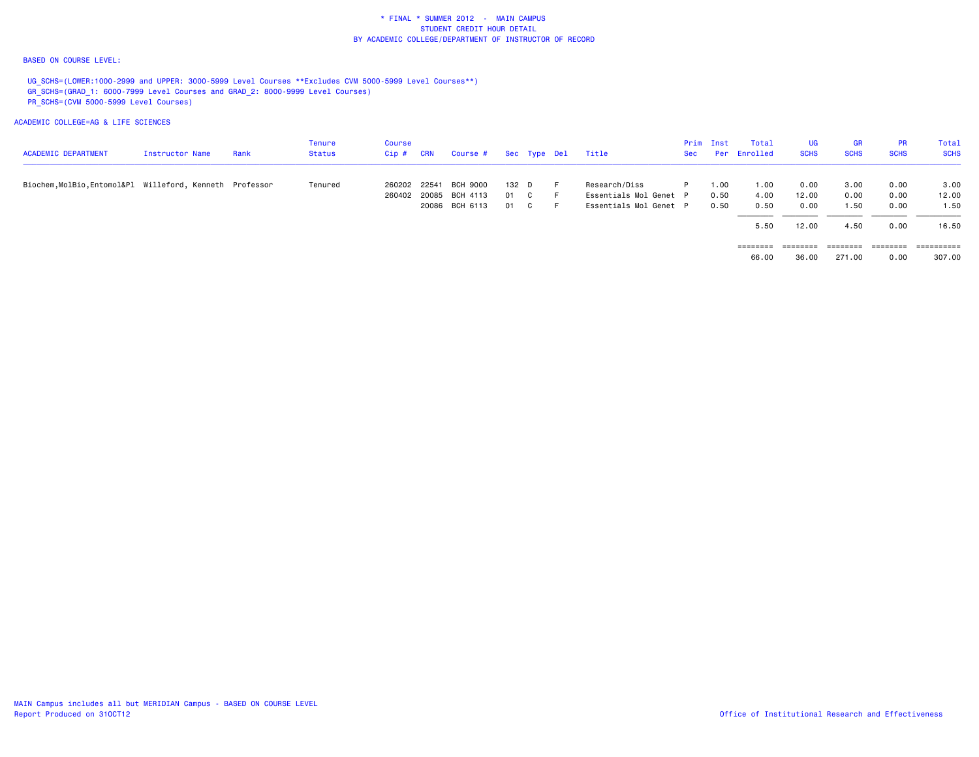#### BASED ON COURSE LEVEL:

UG\_SCHS=(LOWER:1000-2999 and UPPER: 3000-5999 Level Courses \*\*Excludes CVM 5000-5999 Level Courses\*\*) GR\_SCHS=(GRAD\_1: 6000-7999 Level Courses and GRAD\_2: 8000-9999 Level Courses) PR\_SCHS=(CVM 5000-5999 Level Courses)

| <b>ACADEMIC DEPARTMENT</b>                               | Instructor Name | Rank | Tenure<br>Status | <b>Course</b><br>$Cip$ # | <b>CRN</b> | Course #              |       | Sec Type Del | Title                  | Prim<br>Sec | Inst<br>Per | Total<br>Enrolled | <b>UG</b><br><b>SCHS</b> | <b>GR</b><br><b>SCHS</b> | <b>PR</b><br><b>SCHS</b> | Total<br><b>SCHS</b> |
|----------------------------------------------------------|-----------------|------|------------------|--------------------------|------------|-----------------------|-------|--------------|------------------------|-------------|-------------|-------------------|--------------------------|--------------------------|--------------------------|----------------------|
| Biochem, MolBio, Entomol&Pl Willeford, Kenneth Professor |                 |      | Tenured          | 260202 22541             |            | BCH 9000              | 132 D |              | Research/Diss          | P.          | 1.00        | 1.00              | 0.00                     | 3.00                     | 0.00                     | 3.00                 |
|                                                          |                 |      |                  |                          |            | 260402 20085 BCH 4113 | 01 C  |              | Essentials Mol Genet P |             | 0.50        | 4.00              | 12.00                    | 0.00                     | 0.00                     | 12.00                |
|                                                          |                 |      |                  |                          |            | 20086 BCH 6113        | 01 C  |              | Essentials Mol Genet P |             | 0.50        | 0.50              | 0.00                     | 1.50                     | 0.00                     | 1.50                 |
|                                                          |                 |      |                  |                          |            |                       |       |              |                        |             |             | 5.50              | 12.00                    | 4.50                     | 0.00                     | 16.50                |
|                                                          |                 |      |                  |                          |            |                       |       |              |                        |             |             |                   | ========                 | ========                 | ======                   | :=======             |
|                                                          |                 |      |                  |                          |            |                       |       |              |                        |             |             | 66.00             | 36.00                    | 271.00                   | 0.00                     | 307.00               |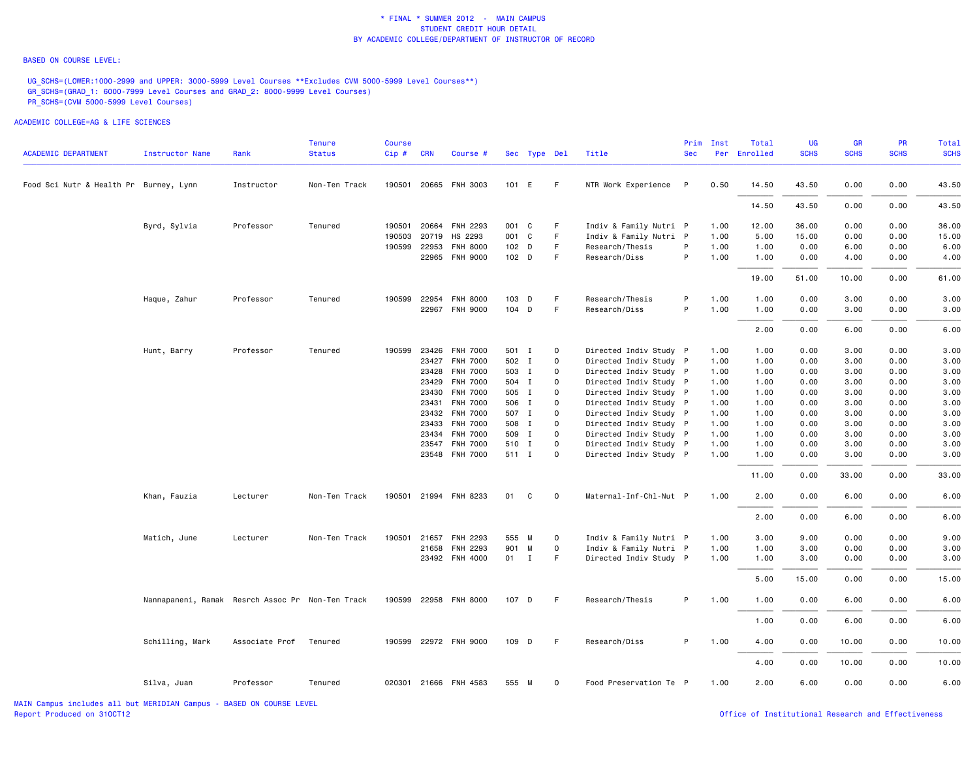#### BASED ON COURSE LEVEL:

UG\_SCHS=(LOWER:1000-2999 and UPPER: 3000-5999 Level Courses \*\*Excludes CVM 5000-5999 Level Courses\*\*) GR\_SCHS=(GRAD\_1: 6000-7999 Level Courses and GRAD\_2: 8000-9999 Level Courses) PR\_SCHS=(CVM 5000-5999 Level Courses)

| <b>ACADEMIC DEPARTMENT</b>             | <b>Instructor Name</b>                           | Rank           | <b>Tenure</b><br><b>Status</b> | <b>Course</b><br>Cip# | <b>CRN</b> | Course #              |                  | Sec Type Del |             | Title                  | Prim<br><b>Sec</b> | Inst | Total<br>Per Enrolled | UG<br><b>SCHS</b> | GR<br><b>SCHS</b> | <b>PR</b><br><b>SCHS</b> | Total<br><b>SCHS</b> |
|----------------------------------------|--------------------------------------------------|----------------|--------------------------------|-----------------------|------------|-----------------------|------------------|--------------|-------------|------------------------|--------------------|------|-----------------------|-------------------|-------------------|--------------------------|----------------------|
| Food Sci Nutr & Health Pr Burney, Lynn |                                                  | Instructor     | Non-Ten Track                  |                       |            | 190501 20665 FNH 3003 | 101 E            |              | -F          | NTR Work Experience    | $\mathsf{P}$       | 0.50 | 14.50                 | 43.50             | 0.00              | 0.00                     | 43.50                |
|                                        |                                                  |                |                                |                       |            |                       |                  |              |             |                        |                    |      | 14.50                 | 43.50             | 0.00              | 0.00                     | 43.50                |
|                                        |                                                  |                |                                |                       |            |                       |                  |              |             |                        |                    |      |                       |                   |                   |                          |                      |
|                                        | Byrd, Sylvia                                     | Professor      | Tenured                        | 190501 20664          |            | FNH 2293              | 001 C            |              | F.          | Indiv & Family Nutri P |                    | 1.00 | 12.00                 | 36.00             | 0.00              | 0.00                     | 36.00                |
|                                        |                                                  |                |                                | 190503                | 20719      | HS 2293               | 001 C            |              | F.          | Indiv & Family Nutri P |                    | 1.00 | 5.00                  | 15.00             | 0.00              | 0.00                     | 15.00                |
|                                        |                                                  |                |                                | 190599 22953          |            | <b>FNH 8000</b>       | 102 D            |              | F           | Research/Thesis        | P                  | 1.00 | 1.00                  | 0.00              | 6.00              | 0.00                     | 6.00                 |
|                                        |                                                  |                |                                |                       |            | 22965 FNH 9000        | 102 <sub>D</sub> |              | F.          | Research/Diss          | P                  | 1.00 | 1.00                  | 0.00              | 4.00              | 0.00                     | 4.00                 |
|                                        |                                                  |                |                                |                       |            |                       |                  |              |             |                        |                    |      | 19.00                 | 51.00             | 10.00             | 0.00                     | 61.00                |
|                                        | Haque, Zahur                                     | Professor      | Tenured                        | 190599 22954          |            | FNH 8000              | 103 D            |              | F.          | Research/Thesis        | P                  | 1.00 | 1.00                  | 0.00              | 3.00              | 0.00                     | 3.00                 |
|                                        |                                                  |                |                                |                       |            | 22967 FNH 9000        | 104 D            |              | F.          | Research/Diss          | P                  | 1.00 | 1.00                  | 0.00              | 3.00              | 0.00                     | 3.00                 |
|                                        |                                                  |                |                                |                       |            |                       |                  |              |             |                        |                    |      | 2.00                  | 0.00              | 6.00              | 0.00                     | 6.00                 |
|                                        | Hunt, Barry                                      | Professor      | Tenured                        | 190599 23426          |            | <b>FNH 7000</b>       | 501 I            |              | $\mathbf 0$ | Directed Indiv Study P |                    | 1.00 | 1.00                  | 0.00              | 3.00              | 0.00                     | 3.00                 |
|                                        |                                                  |                |                                |                       |            | 23427 FNH 7000        | 502 I            |              | 0           | Directed Indiv Study P |                    | 1.00 | 1.00                  | 0.00              | 3.00              | 0.00                     | 3.00                 |
|                                        |                                                  |                |                                |                       |            | 23428 FNH 7000        | 503 I            |              | $\Omega$    | Directed Indiv Study P |                    | 1.00 | 1.00                  | 0.00              | 3.00              | 0.00                     | 3.00                 |
|                                        |                                                  |                |                                |                       | 23429      | <b>FNH 7000</b>       | 504 I            |              | $\Omega$    | Directed Indiv Study P |                    | 1.00 | 1.00                  | 0.00              | 3.00              | 0.00                     | 3.00                 |
|                                        |                                                  |                |                                |                       | 23430      | <b>FNH 7000</b>       | 505 I            |              | 0           | Directed Indiv Study P |                    | 1.00 | 1.00                  | 0.00              | 3.00              | 0.00                     | 3.00                 |
|                                        |                                                  |                |                                |                       | 23431      | <b>FNH 7000</b>       | 506 I            |              | $\Omega$    | Directed Indiv Study P |                    | 1.00 | 1.00                  | 0.00              | 3.00              | 0.00                     | 3.00                 |
|                                        |                                                  |                |                                |                       |            | 23432 FNH 7000        | 507 I            |              | $\circ$     | Directed Indiv Study P |                    | 1.00 | 1.00                  | 0.00              | 3.00              | 0.00                     | 3.00                 |
|                                        |                                                  |                |                                |                       | 23433      | <b>FNH 7000</b>       | 508 I            |              | $\Omega$    | Directed Indiv Study P |                    | 1.00 | 1.00                  | 0.00              | 3.00              | 0.00                     | 3.00                 |
|                                        |                                                  |                |                                |                       | 23434      | <b>FNH 7000</b>       | 509 I            |              | $\circ$     | Directed Indiv Study P |                    | 1.00 | 1.00                  | 0.00              | 3.00              | 0.00                     | 3.00                 |
|                                        |                                                  |                |                                |                       | 23547      | <b>FNH 7000</b>       | 510 I            |              | $\Omega$    | Directed Indiv Study P |                    | 1.00 | 1.00                  | 0.00              | 3.00              | 0.00                     | 3.00                 |
|                                        |                                                  |                |                                |                       |            | 23548 FNH 7000        | 511 I            |              | $\Omega$    | Directed Indiv Study P |                    | 1.00 | 1.00                  | 0.00              | 3.00              | 0.00                     | 3.00                 |
|                                        |                                                  |                |                                |                       |            |                       |                  |              |             |                        |                    |      | 11.00                 | 0.00              | 33.00             | 0.00                     | 33.00                |
|                                        | Khan, Fauzia                                     | Lecturer       | Non-Ten Track                  |                       |            | 190501 21994 FNH 8233 | 01               | C            | $\mathbf 0$ | Maternal-Inf-Chl-Nut P |                    | 1.00 | 2.00                  | 0.00              | 6.00              | 0.00                     | 6.00                 |
|                                        |                                                  |                |                                |                       |            |                       |                  |              |             |                        |                    |      | 2.00                  | 0.00              | 6.00              | 0.00                     | 6.00                 |
|                                        | Matich, June                                     | Lecturer       | Non-Ten Track                  | 190501                | 21657      | FNH 2293              | 555 M            |              | $\circ$     | Indiv & Family Nutri P |                    | 1.00 | 3.00                  | 9.00              | 0.00              | 0.00                     | 9.00                 |
|                                        |                                                  |                |                                |                       | 21658      | FNH 2293              | 901 M            |              | 0           | Indiv & Family Nutri P |                    | 1.00 | 1.00                  | 3.00              | 0.00              | 0.00                     | 3.00                 |
|                                        |                                                  |                |                                |                       |            | 23492 FNH 4000        |                  | 01 I         | F.          | Directed Indiv Study P |                    | 1.00 | 1.00                  | 3.00              | 0.00              | 0.00                     | 3.00                 |
|                                        |                                                  |                |                                |                       |            |                       |                  |              |             |                        |                    |      | 5.00                  | 15.00             | 0.00              | 0.00                     | 15.00                |
|                                        | Nannapaneni, Ramak Resrch Assoc Pr Non-Ten Track |                |                                |                       |            | 190599 22958 FNH 8000 | 107 D            |              | -F          | Research/Thesis        | P                  | 1.00 | 1.00                  | 0.00              | 6.00              | 0.00                     | 6.00                 |
|                                        |                                                  |                |                                |                       |            |                       |                  |              |             |                        |                    |      | 1.00                  | 0.00              | 6.00              | 0.00                     | 6.00                 |
|                                        | Schilling, Mark                                  | Associate Prof | Tenured                        |                       |            | 190599 22972 FNH 9000 | 109 D            |              | -F          | Research/Diss          | P.                 | 1.00 | 4.00                  | 0.00              | 10.00             | 0.00                     | 10.00                |
|                                        |                                                  |                |                                |                       |            |                       |                  |              |             |                        |                    |      | 4.00                  | 0.00              | 10.00             | 0.00                     | 10.00                |
|                                        | Silva, Juan                                      | Professor      | Tenured                        |                       |            | 020301 21666 FNH 4583 | 555 M            |              | $\Omega$    | Food Preservation Te P |                    | 1.00 | 2.00                  | 6.00              | 0.00              | 0.00                     | 6.00                 |
|                                        |                                                  |                |                                |                       |            |                       |                  |              |             |                        |                    |      |                       |                   |                   |                          |                      |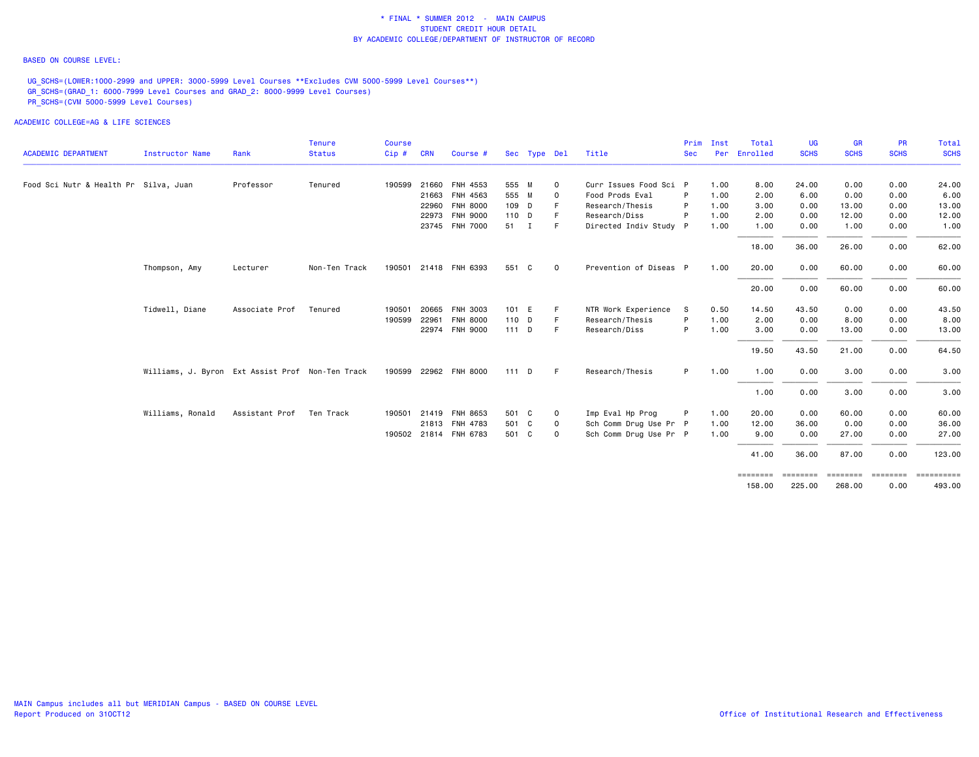#### BASED ON COURSE LEVEL:

UG\_SCHS=(LOWER:1000-2999 and UPPER: 3000-5999 Level Courses \*\*Excludes CVM 5000-5999 Level Courses\*\*) GR\_SCHS=(GRAD\_1: 6000-7999 Level Courses and GRAD\_2: 8000-9999 Level Courses) PR\_SCHS=(CVM 5000-5999 Level Courses)

|                                       |                                                  |                | <b>Tenure</b> | <b>Course</b> |            |                       |         |              |             |                        | Prim         | Inst | Total              | <b>UG</b>          | <b>GR</b>                | <b>PR</b>               | Total                             |
|---------------------------------------|--------------------------------------------------|----------------|---------------|---------------|------------|-----------------------|---------|--------------|-------------|------------------------|--------------|------|--------------------|--------------------|--------------------------|-------------------------|-----------------------------------|
| <b>ACADEMIC DEPARTMENT</b>            | <b>Instructor Name</b>                           | Rank           | <b>Status</b> | Cip#          | <b>CRN</b> | Course #              |         | Sec Type Del |             | Title                  | <b>Sec</b>   | Per  | Enrolled           | <b>SCHS</b>        | <b>SCHS</b>              | <b>SCHS</b>             | <b>SCHS</b>                       |
| Food Sci Nutr & Health Pr Silva, Juan |                                                  | Professor      | Tenured       | 190599        |            | 21660 FNH 4553        | 555 M   |              | 0           | Curr Issues Food Sci P |              | 1.00 | 8.00               | 24.00              | 0.00                     | 0.00                    | 24.00                             |
|                                       |                                                  |                |               |               |            | 21663 FNH 4563        | 555 M   |              | 0           | Food Prods Eval        | P            | 1.00 | 2.00               | 6.00               | 0.00                     | 0.00                    | 6.00                              |
|                                       |                                                  |                |               |               |            | 22960 FNH 8000        | 109 D   |              | F           | Research/Thesis        | P            | 1.00 | 3.00               | 0.00               | 13.00                    | 0.00                    | 13.00                             |
|                                       |                                                  |                |               |               |            | 22973 FNH 9000        | 110 D   |              | F.          | Research/Diss          | P            | 1.00 | 2.00               | 0.00               | 12.00                    | 0.00                    | 12.00                             |
|                                       |                                                  |                |               |               |            | 23745 FNH 7000        | 51 I    |              | F.          | Directed Indiv Study P |              | 1.00 | 1.00               | 0.00               | 1.00                     | 0.00                    | 1.00                              |
|                                       |                                                  |                |               |               |            |                       |         |              |             |                        |              |      | 18.00              | 36.00              | 26.00                    | 0.00                    | 62.00                             |
|                                       | Thompson, Amy                                    | Lecturer       | Non-Ten Track | 190501        |            | 21418 FNH 6393        | 551 C   |              | $\mathbf 0$ | Prevention of Diseas P |              | 1.00 | 20.00              | 0.00               | 60.00                    | 0.00                    | 60.00                             |
|                                       |                                                  |                |               |               |            |                       |         |              |             |                        |              |      | 20.00              | 0.00               | 60.00                    | 0.00                    | 60.00                             |
|                                       | Tidwell, Diane                                   | Associate Prof | Tenured       | 190501        |            | 20665 FNH 3003        | 101 E   |              | F.          | NTR Work Experience    | -S           | 0.50 | 14.50              | 43.50              | 0.00                     | 0.00                    | 43.50                             |
|                                       |                                                  |                |               | 190599        |            | 22961 FNH 8000        | 110 D   |              | F.          | Research/Thesis        | P            | 1.00 | 2.00               | 0.00               | 8.00                     | 0.00                    | 8.00                              |
|                                       |                                                  |                |               |               |            | 22974 FNH 9000        | $111$ D |              | F.          | Research/Diss          | P            | 1.00 | 3.00               | 0.00               | 13.00                    | 0.00                    | 13.00                             |
|                                       |                                                  |                |               |               |            |                       |         |              |             |                        |              |      | 19.50              | 43.50              | 21.00                    | 0.00                    | 64.50                             |
|                                       | Williams, J. Byron Ext Assist Prof Non-Ten Track |                |               |               |            | 190599 22962 FNH 8000 | 111D    |              | F.          | Research/Thesis        | P            | 1.00 | 1.00               | 0.00               | 3.00                     | 0.00                    | 3.00                              |
|                                       |                                                  |                |               |               |            |                       |         |              |             |                        |              |      | 1.00               | 0.00               | 3.00                     | 0.00                    | 3.00                              |
|                                       | Williams, Ronald                                 | Assistant Prof | Ten Track     | 190501        |            | 21419 FNH 8653        | 501 C   |              | 0           | Imp Eval Hp Prog       | $\mathsf{P}$ | 1.00 | 20.00              | 0.00               | 60.00                    | 0.00                    | 60.00                             |
|                                       |                                                  |                |               |               |            | 21813 FNH 4783        | 501 C   |              | 0           | Sch Comm Drug Use Pr P |              | 1.00 | 12.00              | 36.00              | 0.00                     | 0.00                    | 36.00                             |
|                                       |                                                  |                |               |               |            | 190502 21814 FNH 6783 | 501 C   |              | 0           | Sch Comm Drug Use Pr P |              | 1.00 | 9.00               | 0.00               | 27.00                    | 0.00                    | 27.00                             |
|                                       |                                                  |                |               |               |            |                       |         |              |             |                        |              |      | 41.00              | 36.00              | 87.00                    | 0.00                    | 123.00                            |
|                                       |                                                  |                |               |               |            |                       |         |              |             |                        |              |      | ========<br>158,00 | ========<br>225.00 | <b>ESSESSE</b><br>268,00 | <b>ESSESSEE</b><br>0.00 | $=$ = = = = = = = = = =<br>493.00 |
|                                       |                                                  |                |               |               |            |                       |         |              |             |                        |              |      |                    |                    |                          |                         |                                   |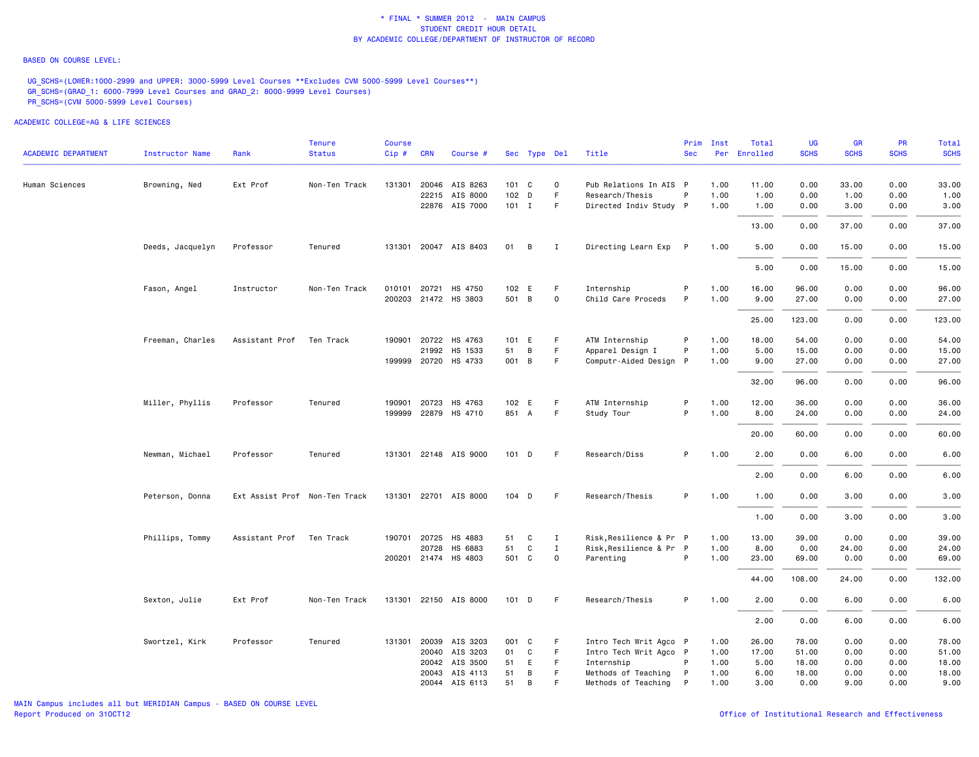#### BASED ON COURSE LEVEL:

UG\_SCHS=(LOWER:1000-2999 and UPPER: 3000-5999 Level Courses \*\*Excludes CVM 5000-5999 Level Courses\*\*) GR\_SCHS=(GRAD\_1: 6000-7999 Level Courses and GRAD\_2: 8000-9999 Level Courses) PR\_SCHS=(CVM 5000-5999 Level Courses)

|                            |                        |                               | Tenure        | Course |            |                       |         |              |              |                         | Prim       | Inst | Total        | UG          | GR          | <b>PR</b>   | Total       |
|----------------------------|------------------------|-------------------------------|---------------|--------|------------|-----------------------|---------|--------------|--------------|-------------------------|------------|------|--------------|-------------|-------------|-------------|-------------|
| <b>ACADEMIC DEPARTMENT</b> | <b>Instructor Name</b> | Rank                          | <b>Status</b> | Cip#   | <b>CRN</b> | Course #              |         | Sec Type Del |              | Title                   | <b>Sec</b> |      | Per Enrolled | <b>SCHS</b> | <b>SCHS</b> | <b>SCHS</b> | <b>SCHS</b> |
| Human Sciences             | Browning, Ned          | Ext Prof                      | Non-Ten Track | 131301 |            | 20046 AIS 8263        | 101 C   |              | 0            | Pub Relations In AIS P  |            | 1.00 | 11.00        | 0.00        | 33.00       | 0.00        | 33.00       |
|                            |                        |                               |               |        |            | 22215 AIS 8000        | 102 D   |              | F            | Research/Thesis         | P          | 1.00 | 1.00         | 0.00        | 1.00        | 0.00        | 1.00        |
|                            |                        |                               |               |        |            | 22876 AIS 7000        | $101$ I |              | F            | Directed Indiv Study P  |            | 1.00 | 1.00         | 0.00        | 3.00        | 0.00        | 3.00        |
|                            |                        |                               |               |        |            |                       |         |              |              |                         |            |      | 13.00        | 0.00        | 37.00       | 0.00        | 37.00       |
|                            | Deeds, Jacquelyn       | Professor                     | Tenured       |        |            | 131301 20047 AIS 8403 | 01      | B            | I            | Directing Learn Exp P   |            | 1.00 | 5.00         | 0.00        | 15.00       | 0.00        | 15.00       |
|                            |                        |                               |               |        |            |                       |         |              |              |                         |            |      | 5.00         | 0.00        | 15.00       | 0.00        | 15.00       |
|                            | Fason, Angel           | Instructor                    | Non-Ten Track |        |            | 010101 20721 HS 4750  | 102 E   |              | F            | Internship              | P          | 1.00 | 16.00        | 96.00       | 0.00        | 0.00        | 96.00       |
|                            |                        |                               |               |        |            | 200203 21472 HS 3803  | 501 B   |              | $\mathbf 0$  | Child Care Proceds      | P          | 1.00 | 9.00         | 27.00       | 0.00        | 0.00        | 27.00       |
|                            |                        |                               |               |        |            |                       |         |              |              |                         |            |      | 25.00        | 123.00      | 0.00        | 0.00        | 123.00      |
|                            | Freeman, Charles       | Assistant Prof                | Ten Track     |        |            | 190901 20722 HS 4763  | 101 E   |              | F            | ATM Internship          | P          | 1.00 | 18.00        | 54.00       | 0.00        | 0.00        | 54.00       |
|                            |                        |                               |               |        |            | 21992 HS 1533         | 51      | B            | F.           | Apparel Design I        | P          | 1.00 | 5.00         | 15.00       | 0.00        | 0.00        | 15.00       |
|                            |                        |                               |               |        |            | 199999 20720 HS 4733  | 001 B   |              | F            | Computr-Aided Design P  |            | 1.00 | 9.00         | 27.00       | 0.00        | 0.00        | 27.00       |
|                            |                        |                               |               |        |            |                       |         |              |              |                         |            |      | 32.00        | 96.00       | 0.00        | 0.00        | 96.00       |
|                            | Miller, Phyllis        | Professor                     | Tenured       |        |            | 190901 20723 HS 4763  | 102 E   |              | F            | ATM Internship          | P          | 1.00 | 12.00        | 36.00       | 0.00        | 0.00        | 36.00       |
|                            |                        |                               |               |        |            | 199999 22879 HS 4710  | 851 A   |              | F            | Study Tour              | P          | 1.00 | 8.00         | 24.00       | 0.00        | 0.00        | 24.00       |
|                            |                        |                               |               |        |            |                       |         |              |              |                         |            |      | 20.00        | 60.00       | 0.00        | 0.00        | 60.00       |
|                            | Newman, Michael        | Professor                     | Tenured       |        |            | 131301 22148 AIS 9000 | $101$ D |              | F.           | Research/Diss           | P          | 1.00 | 2.00         | 0.00        | 6.00        | 0.00        | 6.00        |
|                            |                        |                               |               |        |            |                       |         |              |              |                         |            |      | 2.00         | 0.00        | 6.00        | 0.00        | 6.00        |
|                            | Peterson, Donna        | Ext Assist Prof Non-Ten Track |               |        |            | 131301 22701 AIS 8000 | 104 D   |              | F.           | Research/Thesis         | P          | 1.00 | 1.00         | 0.00        | 3.00        | 0.00        | 3.00        |
|                            |                        |                               |               |        |            |                       |         |              |              |                         |            |      | 1.00         | 0.00        | 3.00        | 0.00        | 3.00        |
|                            | Phillips, Tommy        | Assistant Prof                | Ten Track     |        |            | 190701 20725 HS 4883  | 51      | C            | $\mathbf{I}$ | Risk, Resilience & Pr P |            | 1.00 | 13.00        | 39.00       | 0.00        | 0.00        | 39.00       |
|                            |                        |                               |               |        | 20728      | HS 6883               | 51      | C            | $\mathbf{I}$ | Risk, Resilience & Pr P |            | 1.00 | 8.00         | 0.00        | 24.00       | 0.00        | 24.00       |
|                            |                        |                               |               |        |            | 200201 21474 HS 4803  | 501 C   |              | $\mathbf 0$  | Parenting               | P          | 1.00 | 23.00        | 69.00       | 0.00        | 0.00        | 69.00       |
|                            |                        |                               |               |        |            |                       |         |              |              |                         |            |      | 44.00        | 108.00      | 24.00       | 0.00        | 132.00      |
|                            | Sexton, Julie          | Ext Prof                      | Non-Ten Track |        |            | 131301 22150 AIS 8000 | $101$ D |              | -F           | Research/Thesis         | P          | 1.00 | 2.00         | 0.00        | 6.00        | 0.00        | 6.00        |
|                            |                        |                               |               |        |            |                       |         |              |              |                         |            |      | 2.00         | 0.00        | 6.00        | 0.00        | 6.00        |
|                            | Swortzel, Kirk         | Professor                     | Tenured       | 131301 |            | 20039 AIS 3203        | 001 C   |              | F            | Intro Tech Writ Agco P  |            | 1.00 | 26.00        | 78.00       | 0.00        | 0.00        | 78.00       |
|                            |                        |                               |               |        |            | 20040 AIS 3203        | 01      | C            | F            | Intro Tech Writ Agco P  |            | 1.00 | 17.00        | 51.00       | 0.00        | 0.00        | 51.00       |
|                            |                        |                               |               |        |            | 20042 AIS 3500        | 51      | E            | F.           | Internship              | P          | 1.00 | 5.00         | 18.00       | 0.00        | 0.00        | 18.00       |
|                            |                        |                               |               |        | 20043      | AIS 4113              | 51      | В            | F.           | Methods of Teaching     | P          | 1.00 | 6.00         | 18.00       | 0.00        | 0.00        | 18.00       |
|                            |                        |                               |               |        |            | 20044 AIS 6113        | 51      | В            | F.           | Methods of Teaching     | P          | 1.00 | 3.00         | 0.00        | 9.00        | 0.00        | 9.00        |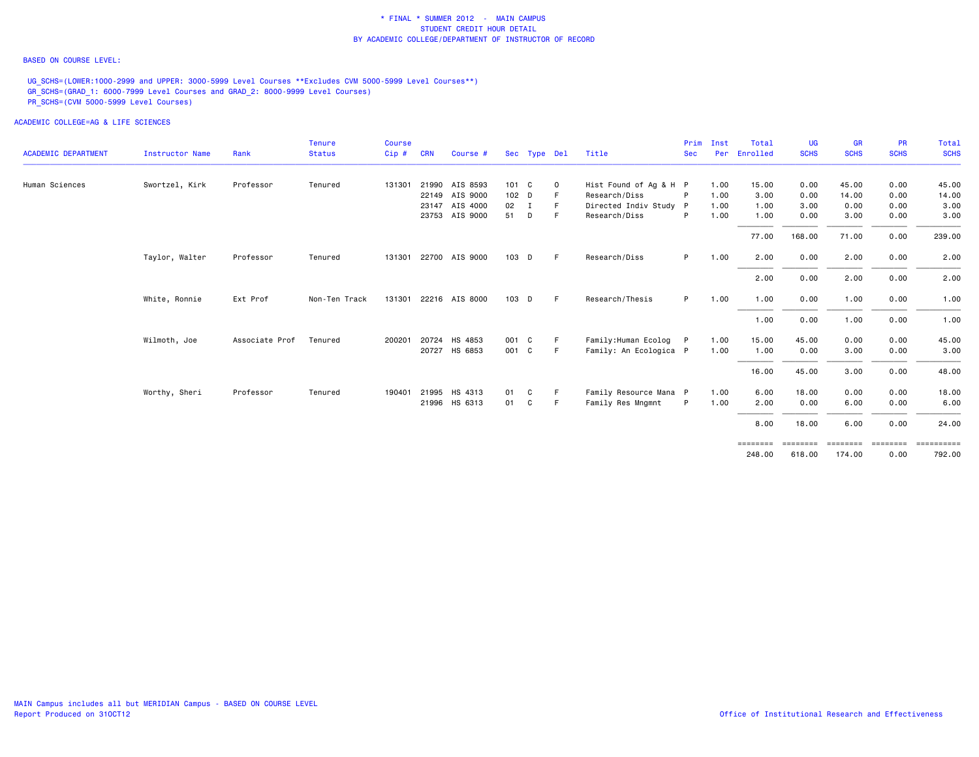#### BASED ON COURSE LEVEL:

UG\_SCHS=(LOWER:1000-2999 and UPPER: 3000-5999 Level Courses \*\*Excludes CVM 5000-5999 Level Courses\*\*) GR\_SCHS=(GRAD\_1: 6000-7999 Level Courses and GRAD\_2: 8000-9999 Level Courses) PR\_SCHS=(CVM 5000-5999 Level Courses)

|                            |                        |                | <b>Tenure</b> | Course |            |                |       |              |             |                        | Prim           | Inst | Total             | UG          | <b>GR</b>   | <b>PR</b>                                                               | Total       |
|----------------------------|------------------------|----------------|---------------|--------|------------|----------------|-------|--------------|-------------|------------------------|----------------|------|-------------------|-------------|-------------|-------------------------------------------------------------------------|-------------|
| <b>ACADEMIC DEPARTMENT</b> | <b>Instructor Name</b> | Rank           | <b>Status</b> | Cip#   | <b>CRN</b> | Course #       |       | Sec Type Del |             | Title                  | <b>Sec</b>     | Per  | Enrolled          | <b>SCHS</b> | <b>SCHS</b> | <b>SCHS</b>                                                             | <b>SCHS</b> |
| Human Sciences             | Swortzel, Kirk         | Professor      | Tenured       | 131301 |            | 21990 AIS 8593 | 101 C |              | $\mathbf 0$ | Hist Found of Ag & H P |                | 1.00 | 15.00             | 0.00        | 45.00       | 0.00                                                                    | 45.00       |
|                            |                        |                |               |        | 22149      | AIS 9000       | 102 D |              |             | Research/Diss          | P              | 1.00 | 3.00              | 0.00        | 14.00       | 0.00                                                                    | 14.00       |
|                            |                        |                |               |        |            | 23147 AIS 4000 | 02 I  |              |             | Directed Indiv Study P |                | 1.00 | 1.00              | 3.00        | 0.00        | 0.00                                                                    | 3.00        |
|                            |                        |                |               |        |            | 23753 AIS 9000 | 51    | D            | F.          | Research/Diss          | P              | 1.00 | 1.00              | 0.00        | 3.00        | 0.00                                                                    | 3.00        |
|                            |                        |                |               |        |            |                |       |              |             |                        |                |      | 77.00             | 168.00      | 71.00       | 0.00                                                                    | 239.00      |
|                            | Taylor, Walter         | Professor      | Tenured       | 131301 |            | 22700 AIS 9000 | 103 D |              | E           | Research/Diss          | P <sub>1</sub> | 1.00 | 2.00              | 0.00        | 2.00        | 0.00                                                                    | 2.00        |
|                            |                        |                |               |        |            |                |       |              |             |                        |                |      | 2.00              | 0.00        | 2.00        | 0.00                                                                    | 2.00        |
|                            | White, Ronnie          | Ext Prof       | Non-Ten Track | 131301 |            | 22216 AIS 8000 | 103 D |              | E           | Research/Thesis        | P.             | 1.00 | 1.00              | 0.00        | 1.00        | 0.00                                                                    | 1.00        |
|                            |                        |                |               |        |            |                |       |              |             |                        |                |      | 1.00              | 0.00        | 1.00        | 0.00                                                                    | 1.00        |
|                            | Wilmoth, Joe           | Associate Prof | Tenured       | 200201 | 20724      | HS 4853        | 001 C |              | F           | Family:Human Ecolog    | P              | 1.00 | 15.00             | 45.00       | 0.00        | 0.00                                                                    | 45.00       |
|                            |                        |                |               |        | 20727      | HS 6853        | 001 C |              | F.          | Family: An Ecologica P |                | 1.00 | 1.00              | 0.00        | 3.00        | 0.00                                                                    | 3.00        |
|                            |                        |                |               |        |            |                |       |              |             |                        |                |      | 16.00             | 45.00       | 3.00        | 0.00                                                                    | 48.00       |
|                            | Worthy, Sheri          | Professor      | Tenured       | 190401 |            | 21995 HS 4313  | 01    | C            | F.          | Family Resource Mana P |                | 1.00 | 6.00              | 18.00       | 0.00        | 0.00                                                                    | 18.00       |
|                            |                        |                |               |        |            | 21996 HS 6313  | 01    | C            | F           | Family Res Mngmnt      | P              | 1.00 | 2.00              | 0.00        | 6.00        | 0.00                                                                    | 6.00        |
|                            |                        |                |               |        |            |                |       |              |             |                        |                |      | 8.00              | 18.00       | 6.00        | 0.00                                                                    | 24.00       |
|                            |                        |                |               |        |            |                |       |              |             |                        |                |      | $=$ = = = = = = = |             |             | $\qquad \qquad \equiv \equiv \equiv \equiv \equiv \equiv \equiv \equiv$ | ==========  |
|                            |                        |                |               |        |            |                |       |              |             |                        |                |      | 248,00            | 618.00      | 174.00      | 0.00                                                                    | 792.00      |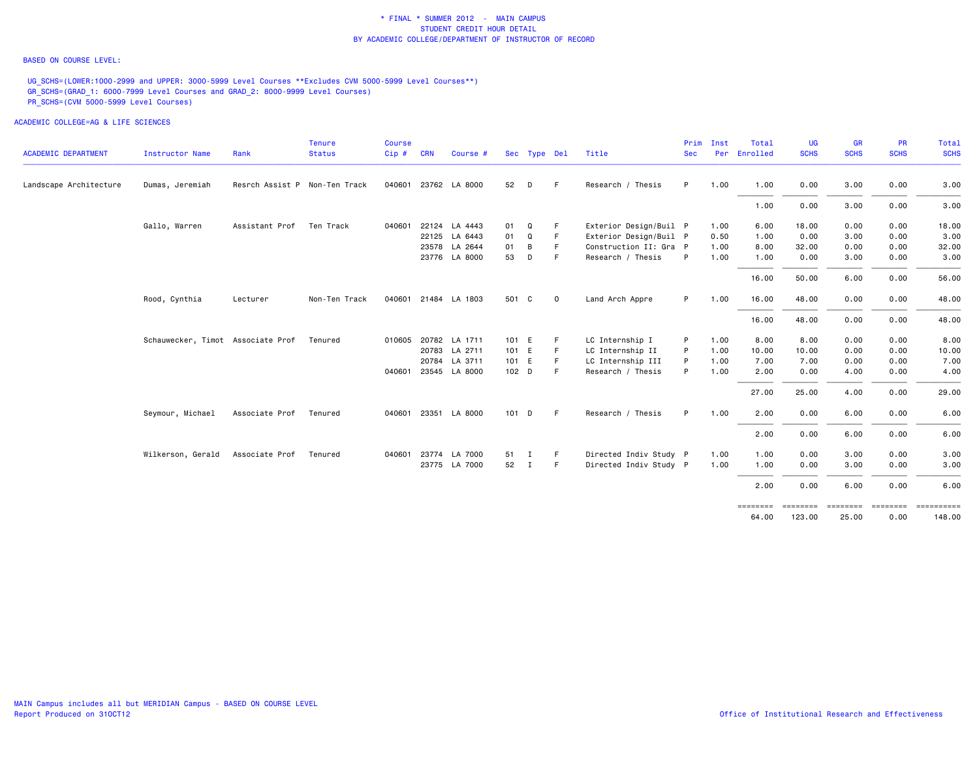#### BASED ON COURSE LEVEL:

UG\_SCHS=(LOWER:1000-2999 and UPPER: 3000-5999 Level Courses \*\*Excludes CVM 5000-5999 Level Courses\*\*) GR\_SCHS=(GRAD\_1: 6000-7999 Level Courses and GRAD\_2: 8000-9999 Level Courses) PR\_SCHS=(CVM 5000-5999 Level Courses)

|                            |                                   |                               | <b>Tenure</b> | <b>Course</b> |            |                      |       |              |             |                        | Prim       | Inst | Total    | <b>UG</b>   | GR          | <b>PR</b>       | Total                |
|----------------------------|-----------------------------------|-------------------------------|---------------|---------------|------------|----------------------|-------|--------------|-------------|------------------------|------------|------|----------|-------------|-------------|-----------------|----------------------|
| <b>ACADEMIC DEPARTMENT</b> | Instructor Name                   | Rank                          | <b>Status</b> | Cip#          | <b>CRN</b> | Course #             |       | Sec Type Del |             | Title                  | <b>Sec</b> | Per  | Enrolled | <b>SCHS</b> | <b>SCHS</b> | <b>SCHS</b>     | <b>SCHS</b>          |
| Landscape Architecture     | Dumas, Jeremiah                   | Resrch Assist P Non-Ten Track |               | 040601        |            | 23762 LA 8000        | 52    | D            | F.          | Research / Thesis      | P          | 1.00 | 1.00     | 0.00        | 3.00        | 0.00            | 3.00                 |
|                            |                                   |                               |               |               |            |                      |       |              |             |                        |            |      | 1.00     | 0.00        | 3.00        | 0.00            | 3.00                 |
|                            | Gallo, Warren                     | Assistant Prof                | Ten Track     | 040601        |            | 22124 LA 4443        | 01    | Q            | F           | Exterior Design/Buil P |            | 1.00 | 6.00     | 18.00       | 0.00        | 0.00            | 18.00                |
|                            |                                   |                               |               |               |            | 22125 LA 6443        | 01    | Q            | F           | Exterior Design/Buil P |            | 0.50 | 1.00     | 0.00        | 3.00        | 0.00            | 3.00                 |
|                            |                                   |                               |               |               |            | 23578 LA 2644        | 01    | B            | F.          | Construction II: Gra P |            | 1.00 | 8.00     | 32.00       | 0.00        | 0.00            | 32.00                |
|                            |                                   |                               |               |               |            | 23776 LA 8000        | 53    | D            | -F          | Research / Thesis      | - P        | 1.00 | 1.00     | 0.00        | 3.00        | 0.00            | 3.00                 |
|                            |                                   |                               |               |               |            |                      |       |              |             |                        |            |      | 16.00    | 50.00       | 6.00        | 0.00            | 56.00                |
|                            | Rood, Cynthia                     | Lecturer                      | Non-Ten Track |               |            | 040601 21484 LA 1803 | 501 C |              | $\mathbf 0$ | Land Arch Appre        | P.         | 1.00 | 16.00    | 48.00       | 0.00        | 0.00            | 48.00                |
|                            |                                   |                               |               |               |            |                      |       |              |             |                        |            |      | 16.00    | 48.00       | 0.00        | 0.00            | 48.00                |
|                            | Schauwecker, Timot Associate Prof |                               | Tenured       | 010605        |            | 20782 LA 1711        | 101 E |              | F           | LC Internship I        | P          | 1.00 | 8.00     | 8.00        | 0.00        | 0.00            | 8.00                 |
|                            |                                   |                               |               |               |            | 20783 LA 2711        | 101 E |              | F.          | LC Internship II       | P          | 1.00 | 10.00    | 10.00       | 0.00        | 0.00            | 10.00                |
|                            |                                   |                               |               |               |            | 20784 LA 3711        | 101 E |              | F.          | LC Internship III      | P          | 1.00 | 7.00     | 7.00        | 0.00        | 0.00            | 7.00                 |
|                            |                                   |                               |               | 040601        |            | 23545 LA 8000        | 102 D |              | F.          | Research / Thesis      | P          | 1.00 | 2.00     | 0.00        | 4.00        | 0.00            | 4.00                 |
|                            |                                   |                               |               |               |            |                      |       |              |             |                        |            |      | 27.00    | 25.00       | 4.00        | 0.00            | 29.00                |
|                            | Seymour, Michael                  | Associate Prof                | Tenured       |               |            | 040601 23351 LA 8000 | 101 D |              | F.          | Research / Thesis      | P          | 1.00 | 2.00     | 0.00        | 6.00        | 0.00            | 6.00                 |
|                            |                                   |                               |               |               |            |                      |       |              |             |                        |            |      | 2.00     | 0.00        | 6.00        | 0.00            | 6.00                 |
|                            | Wilkerson, Gerald                 | Associate Prof                | Tenured       | 040601        |            | 23774 LA 7000        | 51    | $\mathbf{I}$ | F.          | Directed Indiv Study P |            | 1.00 | 1.00     | 0.00        | 3.00        | 0.00            | 3.00                 |
|                            |                                   |                               |               |               |            | 23775 LA 7000        | 52 I  |              | F.          | Directed Indiv Study P |            | 1.00 | 1.00     | 0.00        | 3.00        | 0.00            | 3.00                 |
|                            |                                   |                               |               |               |            |                      |       |              |             |                        |            |      | 2.00     | 0.00        | 6.00        | 0.00            | 6.00                 |
|                            |                                   |                               |               |               |            |                      |       |              |             |                        |            |      | 64.00    | 123.00      | 25.00       | -------<br>0.00 | ==========<br>148.00 |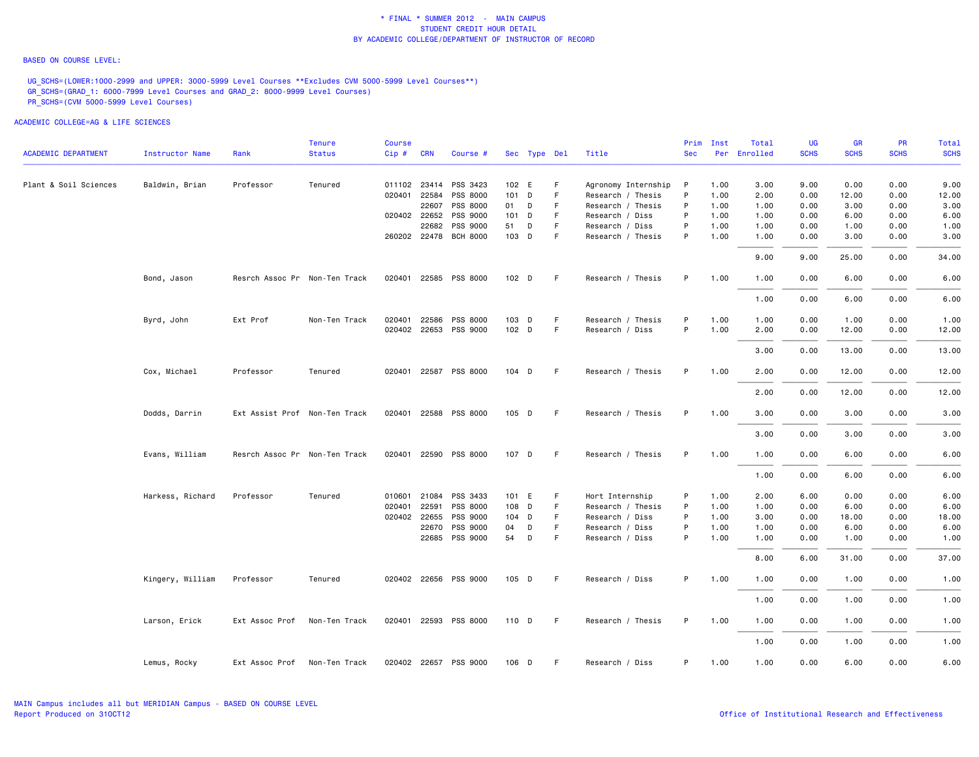#### BASED ON COURSE LEVEL:

UG\_SCHS=(LOWER:1000-2999 and UPPER: 3000-5999 Level Courses \*\*Excludes CVM 5000-5999 Level Courses\*\*) GR\_SCHS=(GRAD\_1: 6000-7999 Level Courses and GRAD\_2: 8000-9999 Level Courses) PR\_SCHS=(CVM 5000-5999 Level Courses)

|                            |                        |                               | <b>Tenure</b> | <b>Course</b> |            |                       |       |              |             |                     | Prim       | Inst | Total        | UG          | <b>GR</b>   | <b>PR</b>   | Total       |
|----------------------------|------------------------|-------------------------------|---------------|---------------|------------|-----------------------|-------|--------------|-------------|---------------------|------------|------|--------------|-------------|-------------|-------------|-------------|
| <b>ACADEMIC DEPARTMENT</b> | <b>Instructor Name</b> | Rank                          | <b>Status</b> | Cip#          | <b>CRN</b> | Course #              |       | Sec Type Del |             | Title               | <b>Sec</b> |      | Per Enrolled | <b>SCHS</b> | <b>SCHS</b> | <b>SCHS</b> | <b>SCHS</b> |
| Plant & Soil Sciences      | Baldwin, Brian         | Professor                     | Tenured       |               |            | 011102 23414 PSS 3423 |       | 102 E        | F           | Agronomy Internship | P          | 1.00 | 3.00         | 9.00        | 0.00        | 0.00        | 9.00        |
|                            |                        |                               |               | 020401        |            | 22584 PSS 8000        |       | 101 D        | $\mathsf F$ | Research / Thesis   | P          | 1.00 | 2.00         | 0.00        | 12.00       | 0.00        | 12.00       |
|                            |                        |                               |               |               |            | 22607 PSS 8000        |       | 01 D         | F           | Research / Thesis   | P          | 1.00 | 1.00         | 0.00        | 3.00        | 0.00        | 3.00        |
|                            |                        |                               |               |               |            | 020402 22652 PSS 9000 |       | $101$ D      | F           | Research / Diss     | P          | 1.00 | 1.00         | 0.00        | 6.00        | 0.00        | 6.00        |
|                            |                        |                               |               |               |            | 22682 PSS 9000        | 51    | D            | F           | Research / Diss     | P          | 1.00 | 1.00         | 0.00        | 1.00        | 0.00        | 1.00        |
|                            |                        |                               |               |               |            | 260202 22478 BCH 8000 |       | 103 D        | F           | Research / Thesis   | P          | 1.00 | 1.00         | 0.00        | 3.00        | 0.00        | 3.00        |
|                            |                        |                               |               |               |            |                       |       |              |             |                     |            |      | 9.00         | 9.00        | 25.00       | 0.00        | 34.00       |
|                            | Bond, Jason            | Resrch Assoc Pr Non-Ten Track |               |               |            | 020401 22585 PSS 8000 |       | $102$ D      | -F          | Research / Thesis   | P          | 1.00 | 1.00         | 0.00        | 6.00        | 0.00        | 6.00        |
|                            |                        |                               |               |               |            |                       |       |              |             |                     |            |      | 1.00         | 0.00        | 6.00        | 0.00        | 6.00        |
|                            | Byrd, John             | Ext Prof                      | Non-Ten Track | 020401        |            | 22586 PSS 8000        |       | 103 D        | F           | Research / Thesis   | P          | 1.00 | 1.00         | 0.00        | 1.00        | 0.00        | 1.00        |
|                            |                        |                               |               |               |            | 020402 22653 PSS 9000 |       | $102$ D      | F.          | Research / Diss     | P          | 1.00 | 2.00         | 0.00        | 12.00       | 0.00        | 12.00       |
|                            |                        |                               |               |               |            |                       |       |              |             |                     |            |      | 3.00         | 0.00        | 13.00       | 0.00        | 13.00       |
|                            | Cox, Michael           | Professor                     | Tenured       |               |            | 020401 22587 PSS 8000 | 104 D |              | F           | Research / Thesis   | P          | 1.00 | 2.00         | 0.00        | 12.00       | 0.00        | 12.00       |
|                            |                        |                               |               |               |            |                       |       |              |             |                     |            |      | 2.00         | 0.00        | 12.00       | 0.00        | 12.00       |
|                            | Dodds, Darrin          | Ext Assist Prof Non-Ten Track |               |               |            | 020401 22588 PSS 8000 |       | 105 D        | -F          | Research / Thesis   | P.         | 1.00 | 3.00         | 0.00        | 3.00        | 0.00        | 3.00        |
|                            |                        |                               |               |               |            |                       |       |              |             |                     |            |      | 3.00         | 0.00        | 3.00        | 0.00        | 3.00        |
|                            | Evans, William         | Resrch Assoc Pr Non-Ten Track |               |               |            | 020401 22590 PSS 8000 |       | 107 D        | F           | Research / Thesis   | P.         | 1.00 | 1.00         | 0.00        | 6.00        | 0.00        | 6.00        |
|                            |                        |                               |               |               |            |                       |       |              |             |                     |            |      | 1.00         | 0.00        | 6.00        | 0.00        | 6.00        |
|                            | Harkess, Richard       | Professor                     | Tenured       | 010601        |            | 21084 PSS 3433        |       | 101 E        | F           | Hort Internship     | P          | 1.00 | 2.00         | 6.00        | 0.00        | 0.00        | 6.00        |
|                            |                        |                               |               | 020401        | 22591      | PSS 8000              |       | 108 D        | $\mathsf F$ | Research / Thesis   | P          | 1.00 | 1.00         | 0.00        | 6.00        | 0.00        | 6.00        |
|                            |                        |                               |               |               |            | 020402 22655 PSS 9000 |       | 104 D        | F           | Research / Diss     | P          | 1.00 | 3.00         | 0.00        | 18.00       | 0.00        | 18.00       |
|                            |                        |                               |               |               |            | 22670 PSS 9000        | 04    | D            | $\mathsf F$ | Research / Diss     | P          | 1.00 | 1.00         | 0.00        | 6.00        | 0.00        | 6.00        |
|                            |                        |                               |               |               |            | 22685 PSS 9000        | 54    | $\mathsf{D}$ | F           | Research / Diss     | P          | 1.00 | 1.00         | 0.00        | 1.00        | 0.00        | 1.00        |
|                            |                        |                               |               |               |            |                       |       |              |             |                     |            |      | 8,00         | 6.00        | 31.00       | 0.00        | 37.00       |
|                            | Kingery, William       | Professor                     | Tenured       |               |            | 020402 22656 PSS 9000 |       | 105 D        | -F          | Research / Diss     | P          | 1.00 | 1.00         | 0.00        | 1.00        | 0.00        | 1.00        |
|                            |                        |                               |               |               |            |                       |       |              |             |                     |            |      | 1.00         | 0.00        | 1.00        | 0.00        | 1.00        |
|                            | Larson, Erick          | Ext Assoc Prof                | Non-Ten Track |               |            | 020401 22593 PSS 8000 | 110 D |              | F.          | Research / Thesis   | P          | 1.00 | 1.00         | 0.00        | 1.00        | 0.00        | 1.00        |
|                            |                        |                               |               |               |            |                       |       |              |             |                     |            |      | 1.00         | 0.00        | 1.00        | 0.00        | 1.00        |
|                            | Lemus, Rocky           | Ext Assoc Prof                | Non-Ten Track |               |            | 020402 22657 PSS 9000 | 106 D |              | -F          | Research / Diss     | P.         | 1.00 | 1.00         | 0.00        | 6.00        | 0.00        | 6.00        |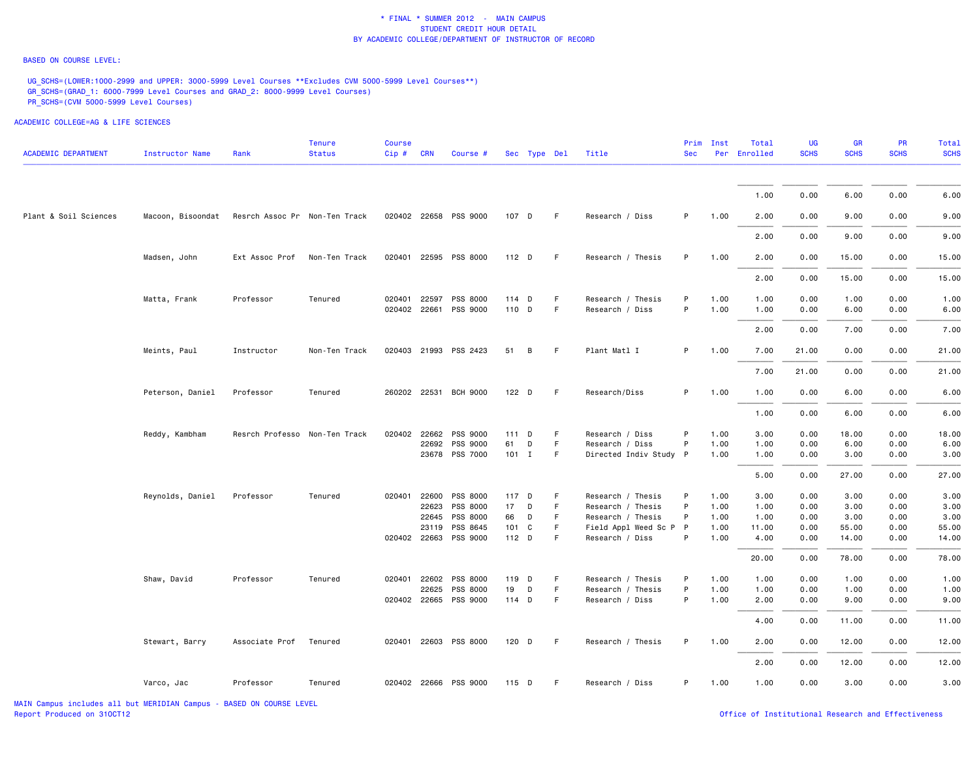#### BASED ON COURSE LEVEL:

UG\_SCHS=(LOWER:1000-2999 and UPPER: 3000-5999 Level Courses \*\*Excludes CVM 5000-5999 Level Courses\*\*) GR\_SCHS=(GRAD\_1: 6000-7999 Level Courses and GRAD\_2: 8000-9999 Level Courses) PR\_SCHS=(CVM 5000-5999 Level Courses)

ACADEMIC COLLEGE=AG & LIFE SCIENCES

| <b>ACADEMIC DEPARTMENT</b> | <b>Instructor Name</b>                          | Rank                          | <b>Tenure</b><br><b>Status</b> | <b>Course</b><br>$Cip \#$ | <b>CRN</b> | Course #              | Sec Type Del |   |    | Title                  | <b>Sec</b> | Prim Inst | Total<br>Per Enrolled | UG<br><b>SCHS</b> | <b>GR</b><br><b>SCHS</b> | <b>PR</b><br><b>SCHS</b> | <b>Total</b><br><b>SCHS</b> |
|----------------------------|-------------------------------------------------|-------------------------------|--------------------------------|---------------------------|------------|-----------------------|--------------|---|----|------------------------|------------|-----------|-----------------------|-------------------|--------------------------|--------------------------|-----------------------------|
|                            |                                                 |                               |                                |                           |            |                       |              |   |    |                        |            |           |                       |                   |                          |                          |                             |
|                            |                                                 |                               |                                |                           |            |                       |              |   |    |                        |            |           | 1.00                  | 0.00              | 6.00                     | 0.00                     | 6.00                        |
| Plant & Soil Sciences      | Macoon, Bisoondat Resrch Assoc Pr Non-Ten Track |                               |                                |                           |            | 020402 22658 PSS 9000 | 107 D        |   | F. | Research / Diss        | P          | 1.00      | 2.00                  | 0.00              | 9.00                     | 0.00                     | 9.00                        |
|                            |                                                 |                               |                                |                           |            |                       |              |   |    |                        |            |           | 2.00                  | 0.00              | 9.00                     | 0.00                     | 9.00                        |
|                            | Madsen, John                                    | Ext Assoc Prof                | Non-Ten Track                  |                           |            | 020401 22595 PSS 8000 | $112$ D      |   | F. | Research / Thesis      | P          | 1.00      | 2.00                  | 0.00              | 15.00                    | 0.00                     | 15.00                       |
|                            |                                                 |                               |                                |                           |            |                       |              |   |    |                        |            |           | 2.00                  | 0.00              | 15.00                    | 0.00                     | 15.00                       |
|                            | Matta, Frank                                    | Professor                     | Tenured                        | 020401 22597              |            | PSS 8000              | 114 D        |   | F  | Research / Thesis      | P          | 1.00      | 1.00                  | 0.00              | 1.00                     | 0.00                     | 1.00                        |
|                            |                                                 |                               |                                | 020402 22661              |            | PSS 9000              | 110 D        |   | F  | Research / Diss        | P          | 1.00      | 1.00                  | 0.00              | 6.00                     | 0.00                     | 6.00                        |
|                            |                                                 |                               |                                |                           |            |                       |              |   |    |                        |            |           | 2.00                  | 0.00              | 7.00                     | 0.00                     | 7.00                        |
|                            | Meints, Paul                                    | Instructor                    | Non-Ten Track                  |                           |            | 020403 21993 PSS 2423 | 51           | B | F. | Plant Matl I           | P          | 1.00      | 7.00                  | 21.00             | 0.00                     | 0.00                     | 21.00                       |
|                            |                                                 |                               |                                |                           |            |                       |              |   |    |                        |            |           | 7.00                  | 21.00             | 0.00                     | 0.00                     | 21.00                       |
|                            | Peterson, Daniel                                | Professor                     | Tenured                        |                           |            | 260202 22531 BCH 9000 | $122$ D      |   | F. | Research/Diss          | P          | 1.00      | 1.00                  | 0.00              | 6.00                     | 0.00                     | 6.00                        |
|                            |                                                 |                               |                                |                           |            |                       |              |   |    |                        |            |           | 1.00                  | 0.00              | 6.00                     | 0.00                     | 6.00                        |
|                            | Reddy, Kambham                                  | Resrch Professo Non-Ten Track |                                | 020402 22662              |            | PSS 9000              | 111 D        |   | F  | Research / Diss        | P          | 1.00      | 3.00                  | 0.00              | 18.00                    | 0.00                     | 18.00                       |
|                            |                                                 |                               |                                |                           |            | 22692 PSS 9000        | 61           | D | F  | Research / Diss        | P          | 1.00      | 1.00                  | 0.00              | 6.00                     | 0.00                     | 6.00                        |
|                            |                                                 |                               |                                |                           |            | 23678 PSS 7000        | $101$ I      |   | F  | Directed Indiv Study P |            | 1.00      | 1.00                  | 0.00              | 3.00                     | 0.00                     | 3.00                        |
|                            |                                                 |                               |                                |                           |            |                       |              |   |    |                        |            |           | 5.00                  | 0.00              | 27.00                    | 0.00                     | 27.00                       |
|                            | Reynolds, Daniel                                | Professor                     | Tenured                        | 020401 22600              |            | PSS 8000              | 117 D        |   | F  | Research / Thesis      | P          | 1.00      | 3.00                  | 0.00              | 3.00                     | 0.00                     | 3.00                        |
|                            |                                                 |                               |                                |                           | 22623      | PSS 8000              | 17           | D | F  | Research / Thesis      | P          | 1.00      | 1.00                  | 0.00              | 3.00                     | 0.00                     | 3.00                        |
|                            |                                                 |                               |                                |                           | 22645      | PSS 8000              | 66           | D | F  | Research / Thesis      | P          | 1.00      | 1.00                  | 0.00              | 3.00                     | 0.00                     | 3.00                        |
|                            |                                                 |                               |                                |                           | 23119      | PSS 8645              | 101 C        |   | F. | Field Appl Weed Sc P P |            | 1.00      | 11.00                 | 0.00              | 55.00                    | 0.00                     | 55.00                       |
|                            |                                                 |                               |                                |                           |            | 020402 22663 PSS 9000 | 112 D        |   | F  | Research / Diss        | P          | 1.00      | 4.00                  | 0.00              | 14.00                    | 0.00                     | 14.00                       |
|                            |                                                 |                               |                                |                           |            |                       |              |   |    |                        |            |           | 20.00                 | 0.00              | 78.00                    | 0.00                     | 78.00                       |
|                            | Shaw, David                                     | Professor                     | Tenured                        | 020401 22602              |            | PSS 8000              | 119 D        |   | F  | Research / Thesis      | P          | 1.00      | 1.00                  | 0.00              | 1.00                     | 0.00                     | 1.00                        |
|                            |                                                 |                               |                                |                           | 22625      | PSS 8000              | 19           | D | F. | Research / Thesis      | P          | 1.00      | 1.00                  | 0.00              | 1.00                     | 0.00                     | 1.00                        |
|                            |                                                 |                               |                                |                           |            | 020402 22665 PSS 9000 | 114 D        |   | F  | Research / Diss        | P          | 1.00      | 2.00                  | 0.00              | 9.00                     | 0.00                     | 9.00                        |
|                            |                                                 |                               |                                |                           |            |                       |              |   |    |                        |            |           | 4.00                  | 0.00              | 11.00                    | 0.00                     | 11.00                       |
|                            | Stewart, Barry                                  | Associate Prof                | Tenured                        |                           |            | 020401 22603 PSS 8000 | $120$ D      |   | F. | Research / Thesis      | P          | 1.00      | 2.00                  | 0.00              | 12.00                    | 0.00                     | 12.00                       |
|                            |                                                 |                               |                                |                           |            |                       |              |   |    |                        |            |           | 2.00                  | 0.00              | 12.00                    | 0.00                     | 12.00                       |
|                            | Varco, Jac                                      | Professor                     | Tenured                        |                           |            | 020402 22666 PSS 9000 | 115 D        |   | F  | Research / Diss        | P          | 1.00      | 1.00                  | 0.00              | 3.00                     | 0.00                     | 3.00                        |

MAIN Campus includes all but MERIDIAN Campus - BASED ON COURSE LEVEL Report Produced on 310CT12 **Containers** of the USD office of Institutional Research and Effectiveness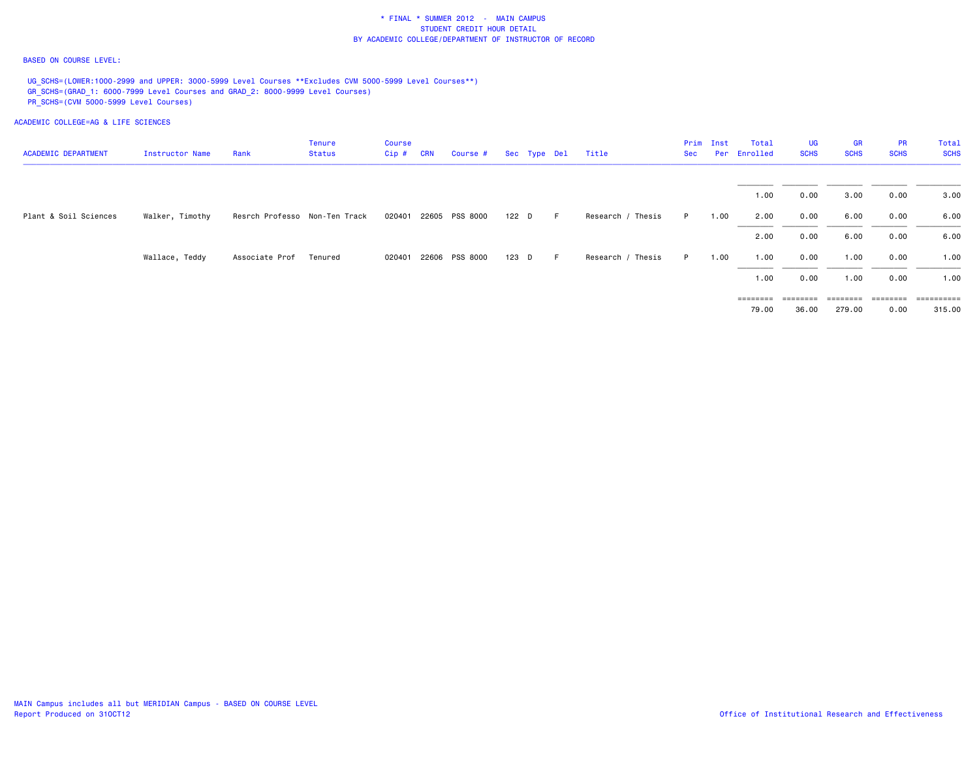#### BASED ON COURSE LEVEL:

UG\_SCHS=(LOWER:1000-2999 and UPPER: 3000-5999 Level Courses \*\*Excludes CVM 5000-5999 Level Courses\*\*) GR\_SCHS=(GRAD\_1: 6000-7999 Level Courses and GRAD\_2: 8000-9999 Level Courses) PR\_SCHS=(CVM 5000-5999 Level Courses)

| <b>ACADEMIC DEPARTMENT</b> | Instructor Name | Rank                          | <b>Tenure</b><br>Status | <b>Course</b><br>Cip# | <b>CRN</b> | Course # Sec Type Del |       |   | Title             | Sec | Prim Inst | Total<br>Per Enrolled      | UG<br><b>SCHS</b> | GR<br><b>SCHS</b>  | <b>PR</b><br><b>SCHS</b> | Total<br><b>SCHS</b> |
|----------------------------|-----------------|-------------------------------|-------------------------|-----------------------|------------|-----------------------|-------|---|-------------------|-----|-----------|----------------------------|-------------------|--------------------|--------------------------|----------------------|
|                            |                 |                               |                         |                       |            |                       |       |   |                   |     |           | 1.00                       | 0.00              | 3.00               | 0.00                     | 3.00                 |
| Plant & Soil Sciences      | Walker, Timothy | Resrch Professo Non-Ten Track |                         |                       |            | 020401 22605 PSS 8000 | 122 D | F | Research / Thesis | P.  | 1.00      | 2.00                       | 0.00              | 6.00               | 0.00                     | 6.00                 |
|                            |                 |                               |                         |                       |            |                       |       |   |                   |     |           | 2.00                       | 0.00              | 6.00               | 0.00                     | 6.00                 |
|                            | Wallace, Teddy  | Associate Prof                | Tenured                 |                       |            | 020401 22606 PSS 8000 | 123 D | F | Research / Thesis | P   | 1.00      | 1.00                       | 0.00              | 1.00               | 0.00                     | 1.00                 |
|                            |                 |                               |                         |                       |            |                       |       |   |                   |     |           | 1.00                       | 0.00              | 1.00               | 0.00                     | 1.00                 |
|                            |                 |                               |                         |                       |            |                       |       |   |                   |     |           | $=$ = = = = = = =<br>79.00 | eessesse<br>36.00 | ========<br>279.00 | ========<br>0.00         | ==========<br>315.00 |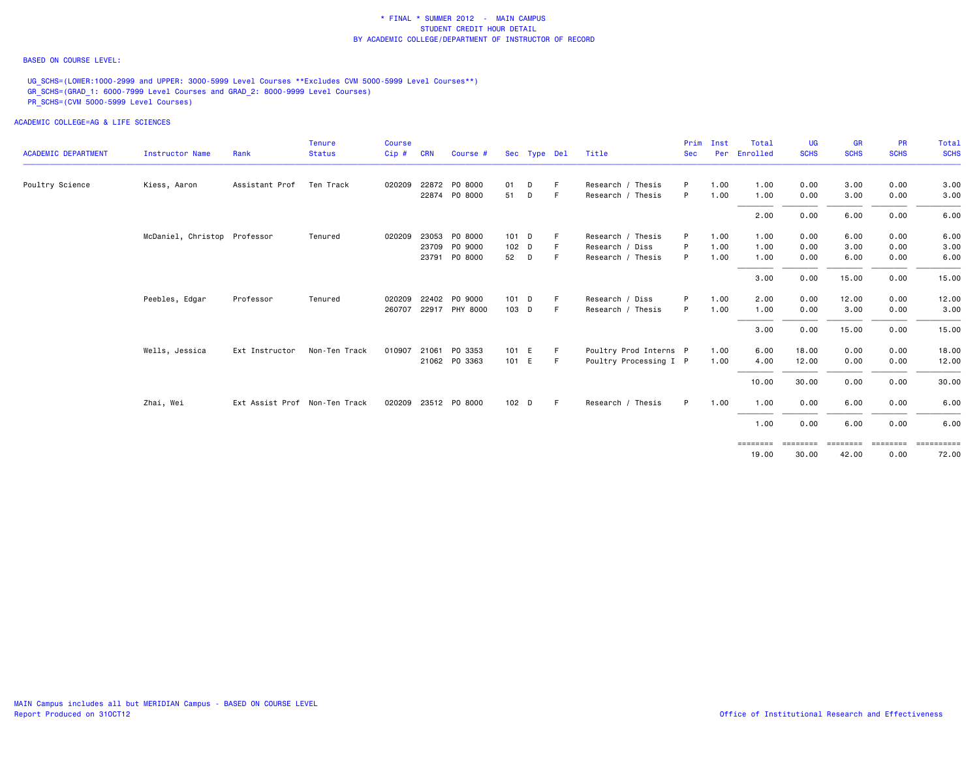#### BASED ON COURSE LEVEL:

UG\_SCHS=(LOWER:1000-2999 and UPPER: 3000-5999 Level Courses \*\*Excludes CVM 5000-5999 Level Courses\*\*) GR\_SCHS=(GRAD\_1: 6000-7999 Level Courses and GRAD\_2: 8000-9999 Level Courses) PR\_SCHS=(CVM 5000-5999 Level Courses)

|                            |                              |                               | <b>Tenure</b> | Course |            |                      |                  |              |    |                        | Prim       | Inst | Total                      | UG                | <b>GR</b>   | <b>PR</b>        | Total                          |
|----------------------------|------------------------------|-------------------------------|---------------|--------|------------|----------------------|------------------|--------------|----|------------------------|------------|------|----------------------------|-------------------|-------------|------------------|--------------------------------|
| <b>ACADEMIC DEPARTMENT</b> | Instructor Name              | Rank                          | <b>Status</b> | Cip#   | <b>CRN</b> | Course #             |                  | Sec Type Del |    | Title                  | <b>Sec</b> | Per  | Enrolled                   | <b>SCHS</b>       | <b>SCHS</b> | <b>SCHS</b>      | <b>SCHS</b>                    |
| Poultry Science            | Kiess, Aaron                 | Assistant Prof                | Ten Track     | 020209 |            | 22872 PO 8000        | 01               | D            | F. | Research / Thesis      | P          | 1.00 | 1.00                       | 0.00              | 3.00        | 0.00             | 3.00                           |
|                            |                              |                               |               |        |            | 22874 P0 8000        | 51               | D            | F. | Research / Thesis      | P          | 1.00 | 1.00                       | 0.00              | 3.00        | 0.00             | 3.00                           |
|                            |                              |                               |               |        |            |                      |                  |              |    |                        |            |      | 2.00                       | 0.00              | 6.00        | 0.00             | 6.00                           |
|                            | McDaniel, Christop Professor |                               | Tenured       | 020209 |            | 23053 PO 8000        | 101 D            |              |    | Research / Thesis      | P          | 1.00 | 1.00                       | 0.00              | 6.00        | 0.00             | 6.00                           |
|                            |                              |                               |               |        |            | 23709 PO 9000        | 102 <sub>D</sub> |              | F  | Research / Diss        | P          | 1.00 | 1.00                       | 0.00              | 3.00        | 0.00             | 3.00                           |
|                            |                              |                               |               |        |            | 23791 P0 8000        | 52               | D            | F  | Research / Thesis      | P          | 1.00 | 1.00                       | 0.00              | 6.00        | 0.00             | 6.00                           |
|                            |                              |                               |               |        |            |                      |                  |              |    |                        |            |      | 3.00                       | 0.00              | 15.00       | 0.00             | 15.00                          |
|                            | Peebles, Edgar               | Professor                     | Tenured       |        |            | 020209 22402 PO 9000 | 101 D            |              | F. | Research / Diss        | P          | 1.00 | 2.00                       | 0.00              | 12.00       | 0.00             | 12.00                          |
|                            |                              |                               |               | 260707 |            | 22917 PHY 8000       | 103 D            |              |    | Research / Thesis      | P          | 1.00 | 1.00                       | 0.00              | 3.00        | 0.00             | 3.00                           |
|                            |                              |                               |               |        |            |                      |                  |              |    |                        |            |      | 3.00                       | 0.00              | 15.00       | 0.00             | 15.00                          |
|                            | Wells, Jessica               | Ext Instructor                | Non-Ten Track | 010907 |            | 21061 PO 3353        | 101 E            |              | F. | Poultry Prod Interns P |            | 1.00 | 6.00                       | 18.00             | 0.00        | 0.00             | 18.00                          |
|                            |                              |                               |               |        |            | 21062 PO 3363        | 101 E            |              | E  | Poultry Processing I P |            | 1.00 | 4.00                       | 12.00             | 0.00        | 0.00             | 12.00                          |
|                            |                              |                               |               |        |            |                      |                  |              |    |                        |            |      | 10.00                      | 30.00             | 0.00        | 0.00             | 30.00                          |
|                            | Zhai, Wei                    | Ext Assist Prof Non-Ten Track |               |        |            | 020209 23512 PO 8000 | 102 <sub>D</sub> |              | E  | Research / Thesis      | P          | 1.00 | 1.00                       | 0.00              | 6.00        | 0.00             | 6.00                           |
|                            |                              |                               |               |        |            |                      |                  |              |    |                        |            |      | 1.00                       | 0.00              | 6.00        | 0.00             | 6.00                           |
|                            |                              |                               |               |        |            |                      |                  |              |    |                        |            |      | $=$ = = = = = = =<br>19.00 | :=======<br>30.00 | 42.00       | --------<br>0.00 | $=$ = = = = = = = = =<br>72.00 |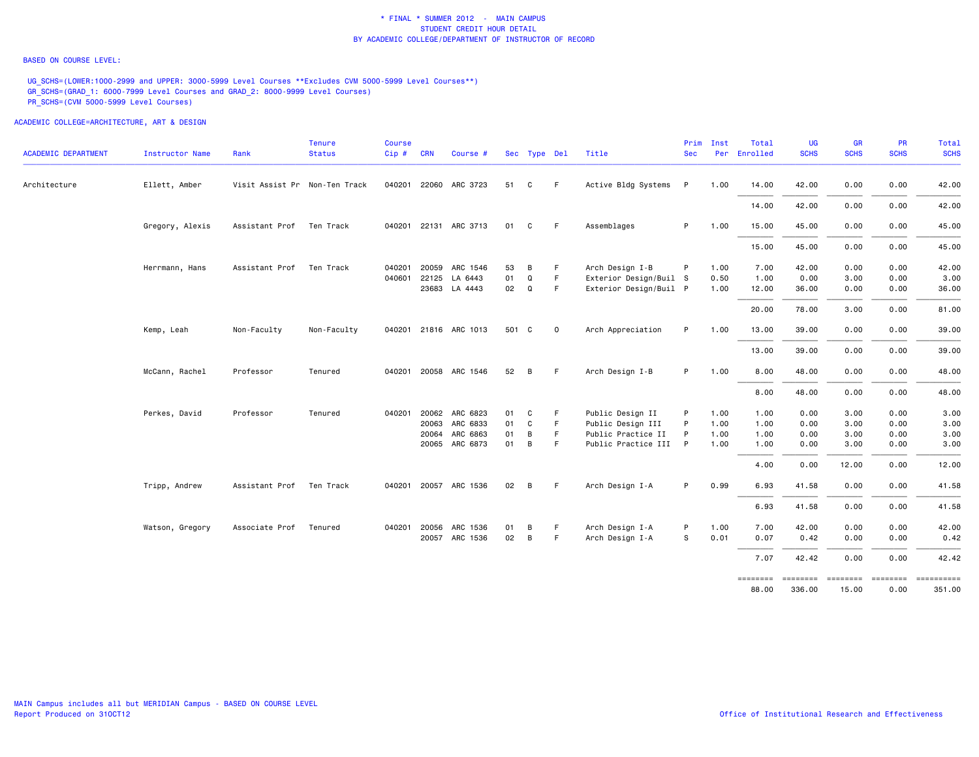#### BASED ON COURSE LEVEL:

UG\_SCHS=(LOWER:1000-2999 and UPPER: 3000-5999 Level Courses \*\*Excludes CVM 5000-5999 Level Courses\*\*) GR\_SCHS=(GRAD\_1: 6000-7999 Level Courses and GRAD\_2: 8000-9999 Level Courses) PR\_SCHS=(CVM 5000-5999 Level Courses)

| <b>ACADEMIC DEPARTMENT</b> | <b>Instructor Name</b> | Rank                          | <b>Tenure</b><br><b>Status</b> | <b>Course</b><br>Cip # CRN |              | Course #              |       | Sec Type Del   |             | Title                  | Prim<br><b>Sec</b> | Inst | Total<br>Per Enrolled  | <b>UG</b><br><b>SCHS</b> | <b>GR</b><br><b>SCHS</b> | PR<br><b>SCHS</b> | Total<br><b>SCHS</b> |
|----------------------------|------------------------|-------------------------------|--------------------------------|----------------------------|--------------|-----------------------|-------|----------------|-------------|------------------------|--------------------|------|------------------------|--------------------------|--------------------------|-------------------|----------------------|
|                            |                        |                               |                                |                            |              |                       |       |                |             |                        |                    |      |                        |                          |                          |                   |                      |
| Architecture               | Ellett, Amber          | Visit Assist Pr Non-Ten Track |                                |                            |              | 040201 22060 ARC 3723 | 51    | C              | F           | Active Bldg Systems P  |                    | 1.00 | 14.00                  | 42.00                    | 0.00                     | 0.00              | 42.00                |
|                            |                        |                               |                                |                            |              |                       |       |                |             |                        |                    |      | 14.00                  | 42.00                    | 0.00                     | 0.00              | 42.00                |
|                            | Gregory, Alexis        | Assistant Prof                | Ten Track                      |                            |              | 040201 22131 ARC 3713 | 01    | C              | -F          | Assemblages            | P                  | 1.00 | 15.00                  | 45.00                    | 0.00                     | 0.00              | 45.00                |
|                            |                        |                               |                                |                            |              |                       |       |                |             |                        |                    |      | 15.00                  | 45.00                    | 0.00                     | 0.00              | 45.00                |
|                            | Herrmann, Hans         | Assistant Prof                | Ten Track                      | 040201                     | 20059        | ARC 1546              | 53    | B              | F           | Arch Design I-B        | P                  | 1.00 | 7.00                   | 42.00                    | 0.00                     | 0.00              | 42.00                |
|                            |                        |                               |                                | 040601                     | 22125        | LA 6443               | 01    | Q              | $\mathsf F$ | Exterior Design/Buil S |                    | 0.50 | 1.00                   | 0.00                     | 3.00                     | 0.00              | 3.00                 |
|                            |                        |                               |                                |                            |              | 23683 LA 4443         | 02    | Q              | F.          | Exterior Design/Buil P |                    | 1.00 | 12.00                  | 36.00                    | 0.00                     | 0.00              | 36.00                |
|                            |                        |                               |                                |                            |              |                       |       |                |             |                        |                    |      | 20.00                  | 78.00                    | 3.00                     | 0.00              | 81.00                |
|                            | Kemp, Leah             | Non-Faculty                   | Non-Faculty                    |                            |              | 040201 21816 ARC 1013 | 501 C |                | $\mathbf 0$ | Arch Appreciation      | P                  | 1.00 | 13.00                  | 39.00                    | 0.00                     | 0.00              | 39.00                |
|                            |                        |                               |                                |                            |              |                       |       |                |             |                        |                    |      | 13.00                  | 39.00                    | 0.00                     | 0.00              | 39.00                |
|                            | McCann, Rachel         | Professor                     | Tenured                        |                            |              | 040201 20058 ARC 1546 | 52    | B              | -F          | Arch Design I-B        | P                  | 1.00 | 8.00                   | 48.00                    | 0.00                     | 0.00              | 48.00                |
|                            |                        |                               |                                |                            |              |                       |       |                |             |                        |                    |      | 8.00                   | 48.00                    | 0.00                     | 0.00              | 48.00                |
|                            | Perkes, David          | Professor                     | Tenured                        | 040201                     | 20062        | ARC 6823              | 01    | C              | F           | Public Design II       | P                  | 1.00 | 1.00                   | 0.00                     | 3.00                     | 0.00              | 3.00                 |
|                            |                        |                               |                                |                            |              | 20063 ARC 6833        | 01    | C              | F.          | Public Design III      | P                  | 1.00 | 1.00                   | 0.00                     | 3.00                     | 0.00              | 3.00                 |
|                            |                        |                               |                                |                            | 20064        | ARC 6863              | 01    | В              | F           | Public Practice II     | P                  | 1.00 | 1.00                   | 0.00                     | 3.00                     | 0.00              | 3.00                 |
|                            |                        |                               |                                |                            |              | 20065 ARC 6873        | 01    | B              | F           | Public Practice III P  |                    | 1.00 | 1.00                   | 0.00                     | 3.00                     | 0.00              | 3.00                 |
|                            |                        |                               |                                |                            |              |                       |       |                |             |                        |                    |      | 4.00                   | 0.00                     | 12.00                    | 0.00              | 12.00                |
|                            | Tripp, Andrew          | Assistant Prof                | Ten Track                      |                            |              | 040201 20057 ARC 1536 | 02    | B              | F           | Arch Design I-A        | P                  | 0.99 | 6.93                   | 41.58                    | 0.00                     | 0.00              | 41.58                |
|                            |                        |                               |                                |                            |              |                       |       |                |             |                        |                    |      | 6.93                   | 41.58                    | 0.00                     | 0.00              | 41.58                |
|                            | Watson, Gregory        | Associate Prof                | Tenured                        |                            | 040201 20056 | ARC 1536              | 01    | B              | F           | Arch Design I-A        | P                  | 1.00 | 7.00                   | 42.00                    | 0.00                     | 0.00              | 42.00                |
|                            |                        |                               |                                |                            |              | 20057 ARC 1536        | 02    | $\overline{B}$ | F           | Arch Design I-A        | S                  | 0.01 | 0.07                   | 0.42                     | 0.00                     | 0.00              | 0.42                 |
|                            |                        |                               |                                |                            |              |                       |       |                |             |                        |                    |      | 7.07                   | 42.42                    | 0.00                     | 0.00              | 42.42                |
|                            |                        |                               |                                |                            |              |                       |       |                |             |                        |                    |      | $= 222222222$<br>88.00 | ========<br>336.00       | ========<br>15.00        | ========<br>0.00  | 351.00               |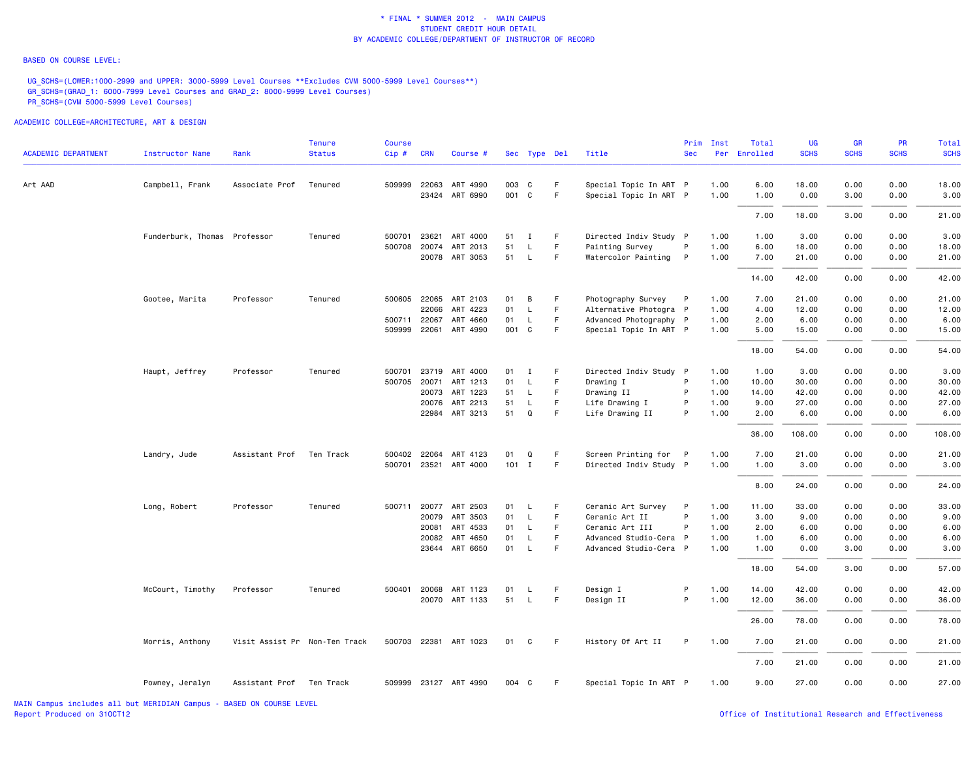#### BASED ON COURSE LEVEL:

UG\_SCHS=(LOWER:1000-2999 and UPPER: 3000-5999 Level Courses \*\*Excludes CVM 5000-5999 Level Courses\*\*) GR\_SCHS=(GRAD\_1: 6000-7999 Level Courses and GRAD\_2: 8000-9999 Level Courses) PR\_SCHS=(CVM 5000-5999 Level Courses)

|                            |                              |                               | Tenure        | <b>Course</b> |              |                       |       |              |             |                        | Prim         | Inst | Total    | UG          | GR          | <b>PR</b>   | Total       |
|----------------------------|------------------------------|-------------------------------|---------------|---------------|--------------|-----------------------|-------|--------------|-------------|------------------------|--------------|------|----------|-------------|-------------|-------------|-------------|
| <b>ACADEMIC DEPARTMENT</b> | <b>Instructor Name</b>       | Rank                          | <b>Status</b> | Cip#          | <b>CRN</b>   | Course #              |       | Sec Type Del |             | Title                  | <b>Sec</b>   | Per  | Enrolled | <b>SCHS</b> | <b>SCHS</b> | <b>SCHS</b> | <b>SCHS</b> |
| Art AAD                    | Campbell, Frank              | Associate Prof                | Tenured       |               | 509999 22063 | ART 4990              |       | 003 C        | F           | Special Topic In ART P |              | 1.00 | 6.00     | 18.00       | 0.00        | 0.00        | 18.00       |
|                            |                              |                               |               |               |              | 23424 ART 6990        |       | 001 C        | F           | Special Topic In ART P |              | 1.00 | 1.00     | 0.00        | 3.00        | 0.00        | 3.00        |
|                            |                              |                               |               |               |              |                       |       |              |             |                        |              |      | 7.00     | 18.00       | 3.00        | 0.00        | 21.00       |
|                            | Funderburk, Thomas Professor |                               | Tenured       | 500701        | 23621        | ART 4000              | 51    | Ι.           | F           | Directed Indiv Study P |              | 1.00 | 1.00     | 3.00        | 0.00        | 0.00        | 3.00        |
|                            |                              |                               |               | 500708        | 20074        | ART 2013              | 51    | L            | F           | Painting Survey        | P            | 1.00 | 6.00     | 18.00       | 0.00        | 0.00        | 18.00       |
|                            |                              |                               |               |               | 20078        | ART 3053              | 51    | $\mathsf{L}$ | F           | Watercolor Painting    | P            | 1.00 | 7.00     | 21.00       | 0.00        | 0.00        | 21.00       |
|                            |                              |                               |               |               |              |                       |       |              |             |                        |              |      | 14.00    | 42.00       | 0.00        | 0.00        | 42.00       |
|                            | Gootee, Marita               | Professor                     | Tenured       |               |              | 500605 22065 ART 2103 | 01    | В            | F           | Photography Survey     | P            | 1.00 | 7.00     | 21.00       | 0.00        | 0.00        | 21.00       |
|                            |                              |                               |               |               | 22066        | ART 4223              | 01    | L.           | $\mathsf F$ | Alternative Photogra P |              | 1.00 | 4.00     | 12.00       | 0.00        | 0.00        | 12.00       |
|                            |                              |                               |               | 500711        | 22067        | ART 4660              | 01    | $\mathsf{L}$ | E           | Advanced Photography P |              | 1.00 | 2.00     | 6.00        | 0.00        | 0.00        | 6.00        |
|                            |                              |                               |               |               |              | 509999 22061 ART 4990 | 001 C |              | F           | Special Topic In ART P |              | 1.00 | 5.00     | 15.00       | 0.00        | 0.00        | 15.00       |
|                            |                              |                               |               |               |              |                       |       |              |             |                        |              |      | 18.00    | 54.00       | 0.00        | 0.00        | 54.00       |
|                            | Haupt, Jeffrey               | Professor                     | Tenured       | 500701        | 23719        | ART 4000              | 01    | Ι.           | F           | Directed Indiv Study P |              | 1.00 | 1.00     | 3.00        | 0.00        | 0.00        | 3.00        |
|                            |                              |                               |               | 500705        |              | 20071 ART 1213        | 01    | L.           | F           | Drawing I              | P            | 1.00 | 10.00    | 30.00       | 0.00        | 0.00        | 30.00       |
|                            |                              |                               |               |               | 20073        | ART 1223              | 51    | L.           | F           | Drawing II             | P            | 1.00 | 14.00    | 42.00       | 0.00        | 0.00        | 42.00       |
|                            |                              |                               |               |               |              | 20076 ART 2213        | 51    | L.           | F           | Life Drawing I         | P            | 1.00 | 9.00     | 27.00       | 0.00        | 0.00        | 27.00       |
|                            |                              |                               |               |               |              | 22984 ART 3213        | 51    | Q            | E           | Life Drawing II        | P            | 1.00 | 2.00     | 6.00        | 0.00        | 0.00        | 6.00        |
|                            |                              |                               |               |               |              |                       |       |              |             |                        |              |      | 36.00    | 108.00      | 0.00        | 0.00        | 108.00      |
|                            | Landry, Jude                 | Assistant Prof                | Ten Track     |               | 500402 22064 | ART 4123              | 01    | Q            | F           | Screen Printing for    | $\mathsf{P}$ | 1.00 | 7.00     | 21.00       | 0.00        | 0.00        | 21.00       |
|                            |                              |                               |               |               |              | 500701 23521 ART 4000 |       | $101$ I      | F           | Directed Indiv Study P |              | 1.00 | 1.00     | 3.00        | 0.00        | 0.00        | 3.00        |
|                            |                              |                               |               |               |              |                       |       |              |             |                        |              |      |          |             |             |             |             |
|                            |                              |                               |               |               |              |                       |       |              |             |                        |              |      | 8,00     | 24.00       | 0.00        | 0.00        | 24.00       |
|                            | Long, Robert                 | Professor                     | Tenured       |               |              | 500711 20077 ART 2503 | 01    | $\mathsf{L}$ | F           | Ceramic Art Survey     | P            | 1.00 | 11.00    | 33.00       | 0.00        | 0.00        | 33.00       |
|                            |                              |                               |               |               | 20079        | ART 3503              | 01    | $\mathsf{L}$ | F           | Ceramic Art II         | P            | 1.00 | 3.00     | 9.00        | 0.00        | 0.00        | 9.00        |
|                            |                              |                               |               |               | 20081        | ART 4533              | 01    | <b>L</b>     | F           | Ceramic Art III        | P            | 1.00 | 2.00     | 6.00        | 0.00        | 0.00        | 6.00        |
|                            |                              |                               |               |               |              | 20082 ART 4650        | 01    | L.           | F           | Advanced Studio-Cera P |              | 1.00 | 1.00     | 6.00        | 0.00        | 0.00        | 6.00        |
|                            |                              |                               |               |               |              | 23644 ART 6650        | 01    | <b>L</b>     | F           | Advanced Studio-Cera P |              | 1.00 | 1.00     | 0.00        | 3.00        | 0.00        | 3.00        |
|                            |                              |                               |               |               |              |                       |       |              |             |                        |              |      | 18.00    | 54.00       | 3.00        | 0.00        | 57.00       |
|                            | McCourt, Timothy             | Professor                     | Tenured       | 500401        | 20068        | ART 1123              | 01    | L.           | F           | Design I               | P            | 1.00 | 14.00    | 42.00       | 0.00        | 0.00        | 42.00       |
|                            |                              |                               |               |               |              | 20070 ART 1133        | 51    | $\mathsf{L}$ | $\mathsf F$ | Design II              | P            | 1.00 | 12.00    | 36.00       | 0.00        | 0.00        | 36.00       |
|                            |                              |                               |               |               |              |                       |       |              |             |                        |              |      | 26.00    | 78.00       | 0.00        | 0.00        | 78.00       |
|                            | Morris, Anthony              | Visit Assist Pr Non-Ten Track |               |               |              | 500703 22381 ART 1023 | 01    | C            | F           | History Of Art II      | P            | 1.00 | 7.00     | 21.00       | 0.00        | 0.00        | 21.00       |
|                            |                              |                               |               |               |              |                       |       |              |             |                        |              |      | 7.00     | 21.00       | 0.00        | 0.00        | 21.00       |
|                            | Powney, Jeralyn              | Assistant Prof Ten Track      |               |               |              | 509999 23127 ART 4990 | 004 C |              | E           | Special Topic In ART P |              | 1.00 | 9.00     | 27.00       | 0.00        | 0.00        | 27.00       |
|                            |                              |                               |               |               |              |                       |       |              |             |                        |              |      |          |             |             |             |             |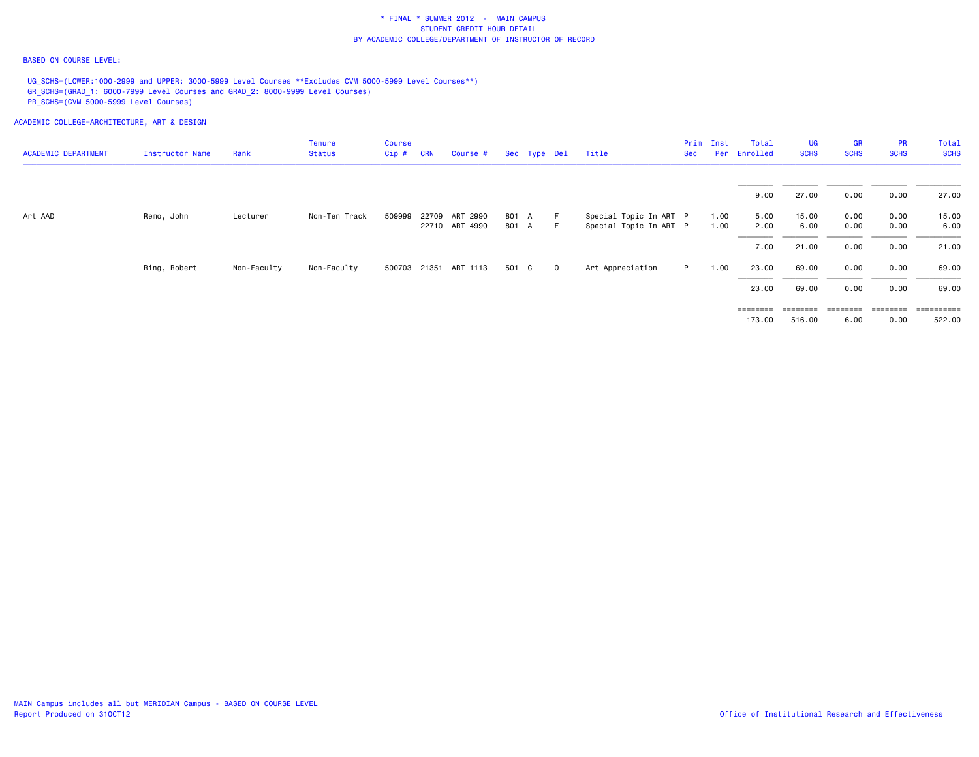#### BASED ON COURSE LEVEL:

UG\_SCHS=(LOWER:1000-2999 and UPPER: 3000-5999 Level Courses \*\*Excludes CVM 5000-5999 Level Courses\*\*) GR\_SCHS=(GRAD\_1: 6000-7999 Level Courses and GRAD\_2: 8000-9999 Level Courses) PR\_SCHS=(CVM 5000-5999 Level Courses)

| <b>ACADEMIC DEPARTMENT</b> | Instructor Name | Rank        | Tenure<br><b>Status</b> | Course<br>$Cip$ # | <b>CRN</b> | Course #              |       | Sec Type Del |                | Title                  | Prim<br>Sec | Inst | Total<br>Per Enrolled | <b>UG</b><br><b>SCHS</b> | <b>GR</b><br><b>SCHS</b> | <b>PR</b><br><b>SCHS</b> | Total<br><b>SCHS</b> |
|----------------------------|-----------------|-------------|-------------------------|-------------------|------------|-----------------------|-------|--------------|----------------|------------------------|-------------|------|-----------------------|--------------------------|--------------------------|--------------------------|----------------------|
|                            |                 |             |                         |                   |            |                       |       |              |                |                        |             |      |                       |                          |                          |                          |                      |
|                            |                 |             |                         |                   |            |                       |       |              |                |                        |             |      | 9.00                  | 27.00                    | 0.00                     | 0.00                     | 27.00                |
| Art AAD                    | Remo, John      | Lecturer    | Non-Ten Track           | 509999            |            | 22709 ART 2990        | 801 A |              | E              | Special Topic In ART P |             | 1.00 | 5.00                  | 15.00                    | 0.00                     | 0.00                     | 15.00                |
|                            |                 |             |                         |                   |            | 22710 ART 4990        | 801 A |              | F.             | Special Topic In ART P |             | 1.00 | 2.00                  | 6.00                     | 0.00                     | 0.00                     | 6.00                 |
|                            |                 |             |                         |                   |            |                       |       |              |                |                        |             |      | 7.00                  | 21.00                    | 0.00                     | 0.00                     | 21.00                |
|                            | Ring, Robert    | Non-Faculty | Non-Faculty             |                   |            | 500703 21351 ART 1113 | 501 C |              | $\overline{0}$ | Art Appreciation       | P.          | 1.00 | 23.00                 | 69.00                    | 0.00                     | 0.00                     | 69.00                |
|                            |                 |             |                         |                   |            |                       |       |              |                |                        |             |      | 23.00                 | 69.00                    | 0.00                     | 0.00                     | 69.00                |
|                            |                 |             |                         |                   |            |                       |       |              |                |                        |             |      | ========              | $=$ = = = = = = =        | $=$ = = = = = = =        | ========                 | -----------          |
|                            |                 |             |                         |                   |            |                       |       |              |                |                        |             |      | 173.00                | 516.00                   | 6.00                     | 0.00                     | 522.00               |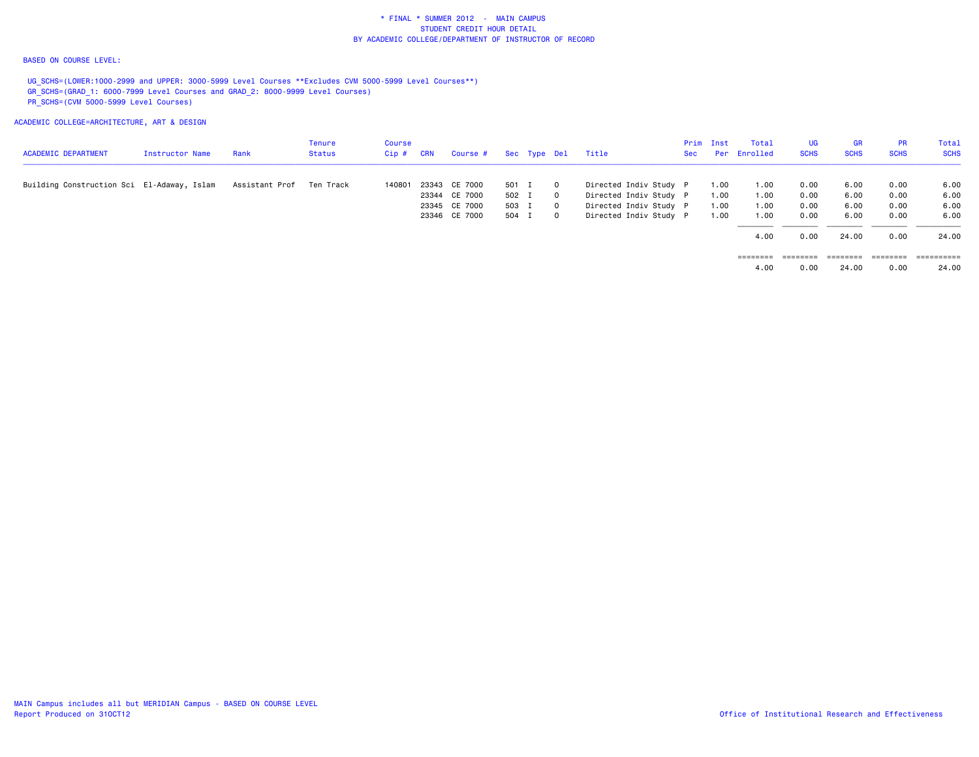#### BASED ON COURSE LEVEL:

UG SCHS=(LOWER:1000-2999 and UPPER: 3000-5999 Level Courses \*\*Excludes CVM 5000-5999 Level Courses\*\*) GR\_SCHS=(GRAD\_1: 6000-7999 Level Courses and GRAD\_2: 8000-9999 Level Courses) PR\_SCHS=(CVM 5000-5999 Level Courses)

ACADEMIC COLLEGE=ARCHITECTURE, ART & DESIGN

| <b>ACADEMIC DEPARTMENT</b>                 | Instructor Name | Rank           | Tenure<br>Status | Course<br>$Cip$ # | <b>CRN</b> | Course #      |       | Sec Type Del |                | Title                  | Sec | Prim Inst | Total<br>Per Enrolled | UG<br><b>SCHS</b> | <b>GR</b><br><b>SCHS</b> | <b>PR</b><br><b>SCHS</b> | Total<br><b>SCHS</b> |
|--------------------------------------------|-----------------|----------------|------------------|-------------------|------------|---------------|-------|--------------|----------------|------------------------|-----|-----------|-----------------------|-------------------|--------------------------|--------------------------|----------------------|
| Building Construction Sci El-Adaway, Islam |                 | Assistant Prof | Ten Track        | 140801            | 23343      | CE 7000       | 501 I |              | $\Omega$       | Directed Indiv Study P |     | 1.00      | 1.00                  | 0.00              | 6.00                     | 0.00                     | 6.00                 |
|                                            |                 |                |                  |                   |            | 23344 CE 7000 | 502 I |              | $\circ$        | Directed Indiv Study P |     | 1.00      | 1.00                  | 0.00              | 6.00                     | 0.00                     | 6.00                 |
|                                            |                 |                |                  |                   |            | 23345 CE 7000 | 503 I |              | $\mathbf{0}$   | Directed Indiv Study P |     | 1.00      | 1.00                  | 0.00              | 6.00                     | 0.00                     | 6.00                 |
|                                            |                 |                |                  |                   |            | 23346 CE 7000 | 504 I |              | $\overline{0}$ | Directed Indiv Study P |     | 1.00      | 1.00                  | 0.00              | 6.00                     | 0.00                     | 6.00                 |
|                                            |                 |                |                  |                   |            |               |       |              |                |                        |     |           | 4.00                  | 0.00              | 24.00                    | 0.00                     | 24.00                |
|                                            |                 |                |                  |                   |            |               |       |              |                |                        |     |           | ========              | ========          | ========                 | ========                 | ==========           |

4.00 0.00 24.00 0.00 24.00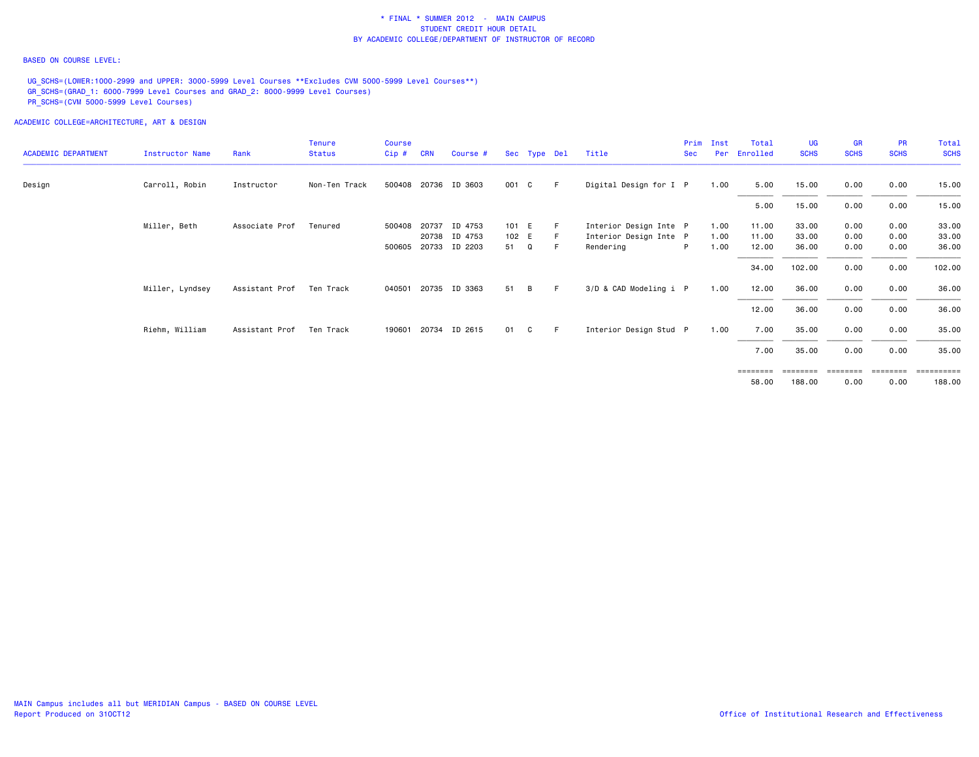#### BASED ON COURSE LEVEL:

UG\_SCHS=(LOWER:1000-2999 and UPPER: 3000-5999 Level Courses \*\*Excludes CVM 5000-5999 Level Courses\*\*) GR\_SCHS=(GRAD\_1: 6000-7999 Level Courses and GRAD\_2: 8000-9999 Level Courses) PR\_SCHS=(CVM 5000-5999 Level Courses)

ACADEMIC COLLEGE=ARCHITECTURE, ART & DESIGN

| <b>ACADEMIC DEPARTMENT</b> | Instructor Name | Rank           | <b>Tenure</b><br><b>Status</b> | <b>Course</b><br>Cip# | <b>CRN</b> | Course #             |       |   | Sec Type Del | Title                  | Prim<br><b>Sec</b> | Inst<br>Per | Total<br>Enrolled | <b>UG</b><br><b>SCHS</b> | <b>GR</b><br><b>SCHS</b> | <b>PR</b><br><b>SCHS</b> | Total<br><b>SCHS</b>                |
|----------------------------|-----------------|----------------|--------------------------------|-----------------------|------------|----------------------|-------|---|--------------|------------------------|--------------------|-------------|-------------------|--------------------------|--------------------------|--------------------------|-------------------------------------|
| Design                     | Carroll, Robin  | Instructor     | Non-Ten Track                  |                       |            | 500408 20736 ID 3603 | 001 C |   | - F          | Digital Design for I P |                    | 1.00        | 5.00              | 15.00                    | 0.00                     | 0.00                     | 15.00                               |
|                            |                 |                |                                |                       |            |                      |       |   |              |                        |                    |             | 5.00              | 15.00                    | 0.00                     | 0.00                     | 15.00                               |
|                            | Miller, Beth    | Associate Prof | Tenured                        | 500408                | 20737      | ID 4753              | 101 E |   |              | Interior Design Inte P |                    | 1.00        | 11.00             | 33.00                    | 0.00                     | 0.00                     | 33.00                               |
|                            |                 |                |                                |                       |            | 20738 ID 4753        | 102 E |   | - F          | Interior Design Inte P |                    | 1.00        | 11.00             | 33.00                    | 0.00                     | 0.00                     | 33.00                               |
|                            |                 |                |                                | 500605                |            | 20733 ID 2203        | 51    | Q |              | Rendering              | P                  | 1.00        | 12.00             | 36.00                    | 0.00                     | 0.00                     | 36.00                               |
|                            |                 |                |                                |                       |            |                      |       |   |              |                        |                    |             | 34.00             | 102.00                   | 0.00                     | 0.00                     | 102.00                              |
|                            | Miller, Lyndsey | Assistant Prof | Ten Track                      | 040501                |            | 20735 ID 3363        | 51    | B | -F.          | 3/D & CAD Modeling i P |                    | 1.00        | 12.00             | 36.00                    | 0.00                     | 0.00                     | 36.00                               |
|                            |                 |                |                                |                       |            |                      |       |   |              |                        |                    |             | 12.00             | 36.00                    | 0.00                     | 0.00                     | 36.00                               |
|                            | Riehm, William  | Assistant Prof | Ten Track                      | 190601                | 20734      | ID 2615              | 01    | C | -F.          | Interior Design Stud P |                    | 1.00        | 7.00              | 35.00                    | 0.00                     | 0.00                     | 35.00                               |
|                            |                 |                |                                |                       |            |                      |       |   |              |                        |                    |             | 7.00              | 35.00                    | 0.00                     | 0.00                     | 35.00                               |
|                            |                 |                |                                |                       |            |                      |       |   |              |                        |                    |             |                   | ==================       |                          |                          | ___________________________________ |

188,00 58.00 188.00 0.00 0.00 188.00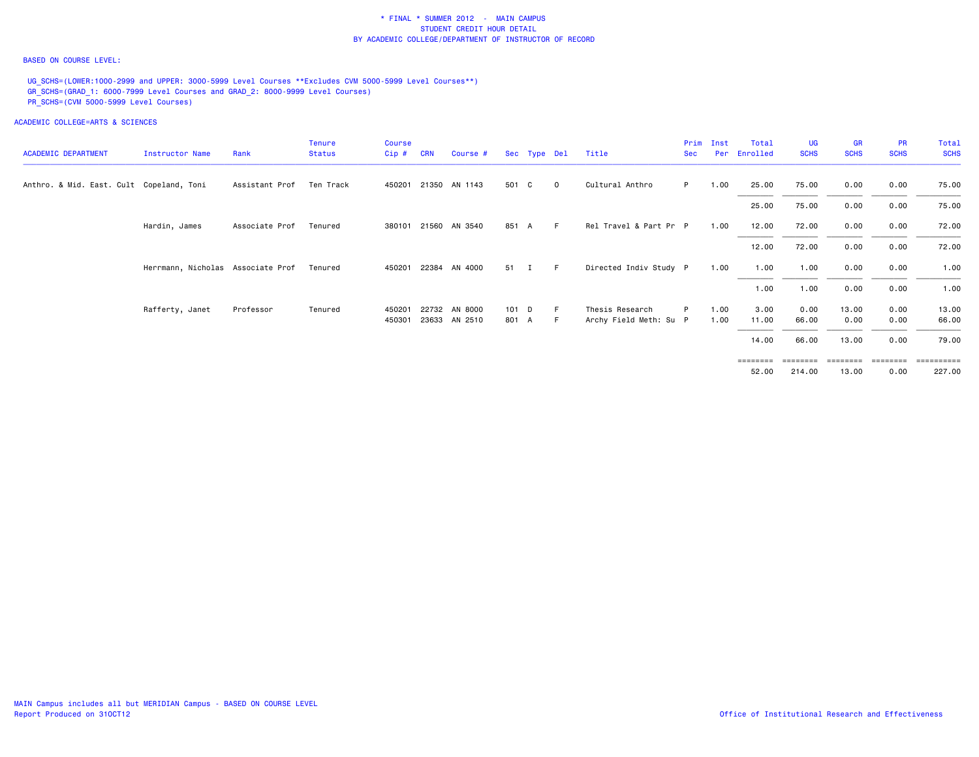#### BASED ON COURSE LEVEL:

UG\_SCHS=(LOWER:1000-2999 and UPPER: 3000-5999 Level Courses \*\*Excludes CVM 5000-5999 Level Courses\*\*) GR\_SCHS=(GRAD\_1: 6000-7999 Level Courses and GRAD\_2: 8000-9999 Level Courses) PR\_SCHS=(CVM 5000-5999 Level Courses)

| <b>ACADEMIC DEPARTMENT</b>               | Instructor Name                   | Rank           | Tenure<br><b>Status</b> | Course<br>Cip# | <b>CRN</b> | Course #             |       | Sec Type Del |             | Title                  | Prim<br><b>Sec</b> | Inst | Total<br>Per Enrolled | <b>UG</b><br><b>SCHS</b> | <b>GR</b><br><b>SCHS</b> | <b>PR</b><br><b>SCHS</b> | Total<br><b>SCHS</b> |
|------------------------------------------|-----------------------------------|----------------|-------------------------|----------------|------------|----------------------|-------|--------------|-------------|------------------------|--------------------|------|-----------------------|--------------------------|--------------------------|--------------------------|----------------------|
| Anthro. & Mid. East. Cult Copeland, Toni |                                   | Assistant Prof | Ten Track               |                |            | 450201 21350 AN 1143 | 501 C |              | $\mathbf 0$ | Cultural Anthro        | P.                 | 1.00 | 25.00                 | 75.00                    | 0.00                     | 0.00                     | 75.00                |
|                                          |                                   |                |                         |                |            |                      |       |              |             |                        |                    |      | 25.00                 | 75.00                    | 0.00                     | 0.00                     | 75.00                |
|                                          | Hardin, James                     | Associate Prof | Tenured                 |                |            | 380101 21560 AN 3540 | 851 A |              | F.          | Rel Travel & Part Pr P |                    | 1.00 | 12.00                 | 72.00                    | 0.00                     | 0.00                     | 72.00                |
|                                          |                                   |                |                         |                |            |                      |       |              |             |                        |                    |      | 12.00                 | 72.00                    | 0.00                     | 0.00                     | 72.00                |
|                                          | Herrmann, Nicholas Associate Prof |                | Tenured                 | 450201         |            | 22384 AN 4000        | 51 I  |              | -F.         | Directed Indiv Study P |                    | 1.00 | 1.00                  | 1.00                     | 0.00                     | 0.00                     | 1.00                 |
|                                          |                                   |                |                         |                |            |                      |       |              |             |                        |                    |      | 1.00                  | 1.00                     | 0.00                     | 0.00                     | 1.00                 |
|                                          | Rafferty, Janet                   | Professor      | Tenured                 | 450201         |            | 22732 AN 8000        | 101 D |              | E           | Thesis Research        | P                  | 1.00 | 3.00                  | 0.00                     | 13.00                    | 0.00                     | 13.00                |
|                                          |                                   |                |                         | 450301         |            | 23633 AN 2510        | 801 A |              | -F          | Archy Field Meth: Su P |                    | 1.00 | 11.00                 | 66.00                    | 0.00                     | 0.00                     | 66.00                |
|                                          |                                   |                |                         |                |            |                      |       |              |             |                        |                    |      | 14.00                 | 66.00                    | 13.00                    | 0.00                     | 79.00                |
|                                          |                                   |                |                         |                |            |                      |       |              |             |                        |                    |      | ========              | ========                 | ========                 | ========                 | ==========           |
|                                          |                                   |                |                         |                |            |                      |       |              |             |                        |                    |      | 52.00                 | 214.00                   | 13.00                    | 0.00                     | 227.00               |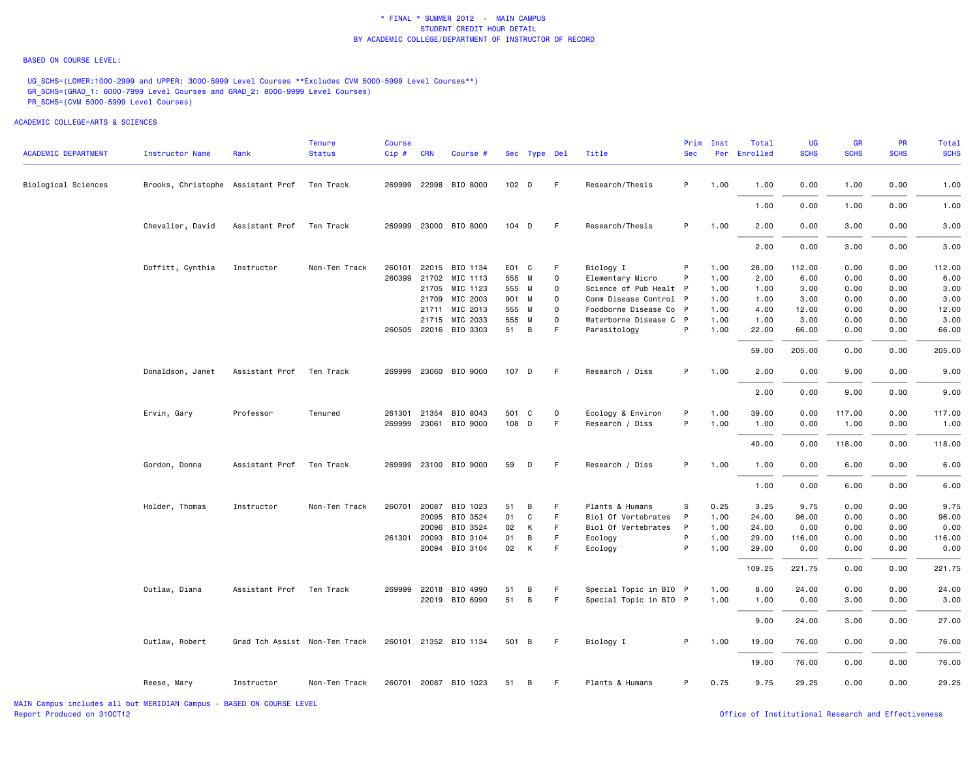#### BASED ON COURSE LEVEL:

UG\_SCHS=(LOWER:1000-2999 and UPPER: 3000-5999 Level Courses \*\*Excludes CVM 5000-5999 Level Courses\*\*) GR\_SCHS=(GRAD\_1: 6000-7999 Level Courses and GRAD\_2: 8000-9999 Level Courses) PR\_SCHS=(CVM 5000-5999 Level Courses)

| <b>ACADEMIC DEPARTMENT</b> | <b>Instructor Name</b>            | Rank                          | <b>Tenure</b><br><b>Status</b> | <b>Course</b><br>Cip# | <b>CRN</b>   | Course #              |       | Sec Type Del     |          | Title                  | Prim<br><b>Sec</b> | Inst | Total<br>Per Enrolled | UG<br><b>SCHS</b> | GR<br><b>SCHS</b> | <b>PR</b><br><b>SCHS</b> | Total<br><b>SCHS</b> |
|----------------------------|-----------------------------------|-------------------------------|--------------------------------|-----------------------|--------------|-----------------------|-------|------------------|----------|------------------------|--------------------|------|-----------------------|-------------------|-------------------|--------------------------|----------------------|
|                            |                                   |                               |                                |                       |              |                       |       |                  |          |                        |                    |      |                       |                   |                   |                          |                      |
| Biological Sciences        | Brooks, Christophe Assistant Prof |                               | Ten Track                      |                       |              | 269999 22998 BIO 8000 |       | 102 <sub>D</sub> | F.       | Research/Thesis        | P                  | 1.00 | 1.00                  | 0.00              | 1.00              | 0.00                     | 1.00                 |
|                            |                                   |                               |                                |                       |              |                       |       |                  |          |                        |                    |      | 1.00                  | 0.00              | 1.00              | 0.00                     | 1.00                 |
|                            | Chevalier, David                  | Assistant Prof                | Ten Track                      |                       |              | 269999 23000 BIO 8000 |       | $104$ D          | F.       | Research/Thesis        | P                  | 1.00 | 2.00                  | 0.00              | 3.00              | 0.00                     | 3.00                 |
|                            |                                   |                               |                                |                       |              |                       |       |                  |          |                        |                    |      | 2.00                  | 0.00              | 3.00              | 0.00                     | 3.00                 |
|                            | Doffitt, Cynthia                  | Instructor                    | Non-Ten Track                  | 260101                |              | 22015 BIO 1134        |       | E01 C            | F        | Biology I              | P                  | 1.00 | 28.00                 | 112.00            | 0.00              | 0.00                     | 112.00               |
|                            |                                   |                               |                                |                       |              | 260399 21702 MIC 1113 |       | 555 M            | 0        | Elementary Micro       | P                  | 1.00 | 2.00                  | 6.00              | 0.00              | 0.00                     | 6.00                 |
|                            |                                   |                               |                                |                       | 21705        | MIC 1123              | 555 M |                  | 0        | Science of Pub Healt P |                    | 1.00 | 1.00                  | 3.00              | 0.00              | 0.00                     | 3.00                 |
|                            |                                   |                               |                                |                       | 21709        | MIC 2003              |       | 901 M            | 0        | Comm Disease Control P |                    | 1.00 | 1.00                  | 3.00              | 0.00              | 0.00                     | 3.00                 |
|                            |                                   |                               |                                |                       |              | 21711 MIC 2013        |       | 555 M            | 0        | Foodborne Disease Co P |                    | 1.00 | 4.00                  | 12.00             | 0.00              | 0.00                     | 12.00                |
|                            |                                   |                               |                                |                       | 21715        | MIC 2033              | 555 M |                  | $\Omega$ | Waterborne Disease C P |                    | 1.00 | 1.00                  | 3.00              | 0.00              | 0.00                     | 3.00                 |
|                            |                                   |                               |                                |                       |              | 260505 22016 BIO 3303 | 51    | B                | F        | Parasitology           | P                  | 1.00 | 22.00                 | 66.00             | 0.00              | 0.00                     | 66.00                |
|                            |                                   |                               |                                |                       |              |                       |       |                  |          |                        |                    |      | 59.00                 | 205.00            | 0.00              | 0.00                     | 205.00               |
|                            | Donaldson, Janet                  | Assistant Prof                | Ten Track                      |                       |              | 269999 23060 BIO 9000 | 107 D |                  | F        | Research / Diss        | P                  | 1.00 | 2.00                  | 0.00              | 9.00              | 0.00                     | 9.00                 |
|                            |                                   |                               |                                |                       |              |                       |       |                  |          |                        |                    |      | 2.00                  | 0.00              | 9.00              | 0.00                     | 9.00                 |
|                            | Ervin, Gary                       | Professor                     | Tenured                        | 261301                | 21354        | BIO 8043              |       | 501 C            | 0        | Ecology & Environ      | P                  | 1.00 | 39.00                 | 0.00              | 117.00            | 0.00                     | 117.00               |
|                            |                                   |                               |                                |                       |              | 269999 23061 BIO 9000 |       | 108 D            | F.       | Research / Diss        | P                  | 1.00 | 1.00                  | 0.00              | 1.00              | 0.00                     | 1.00                 |
|                            |                                   |                               |                                |                       |              |                       |       |                  |          |                        |                    |      | 40.00                 | 0.00              | 118.00            | 0.00                     | 118.00               |
|                            | Gordon, Donna                     | Assistant Prof                | Ten Track                      |                       |              | 269999 23100 BIO 9000 | 59    | D                | F.       | Research / Diss        | P                  | 1.00 | 1.00                  | 0.00              | 6.00              | 0.00                     | 6.00                 |
|                            |                                   |                               |                                |                       |              |                       |       |                  |          |                        |                    |      | 1.00                  | 0.00              | 6.00              | 0.00                     | 6.00                 |
|                            | Holder, Thomas                    | Instructor                    | Non-Ten Track                  |                       | 260701 20087 | BIO 1023              | 51    | B                | F.       | Plants & Humans        | s                  | 0.25 | 3.25                  | 9.75              | 0.00              | 0.00                     | 9.75                 |
|                            |                                   |                               |                                |                       | 20095        | BIO 3524              | 01    | C                | F        | Biol Of Vertebrates    | P                  | 1.00 | 24.00                 | 96.00             | 0.00              | 0.00                     | 96.00                |
|                            |                                   |                               |                                |                       | 20096        | BIO 3524              | 02    | К                | F.       | Biol Of Vertebrates    | P                  | 1.00 | 24.00                 | 0.00              | 0.00              | 0.00                     | 0.00                 |
|                            |                                   |                               |                                |                       | 261301 20093 | BIO 3104              | 01    | В                | F        | Ecology                | P                  | 1.00 | 29.00                 | 116.00            | 0.00              | 0.00                     | 116.00               |
|                            |                                   |                               |                                |                       | 20094        | BIO 3104              | 02    | К                | F        | Ecology                | P                  | 1.00 | 29,00                 | 0.00              | 0.00              | 0.00                     | 0.00                 |
|                            |                                   |                               |                                |                       |              |                       |       |                  |          |                        |                    |      | 109.25                | 221.75            | 0.00              | 0.00                     | 221.75               |
|                            | Outlaw, Diana                     | Assistant Prof                | Ten Track                      |                       | 269999 22018 | BIO 4990              | 51    | В                | F.       | Special Topic in BIO P |                    | 1.00 | 8.00                  | 24.00             | 0.00              | 0.00                     | 24.00                |
|                            |                                   |                               |                                |                       |              | 22019 BIO 6990        | 51    | B                | F.       | Special Topic in BIO P |                    | 1.00 | 1.00                  | 0.00              | 3.00              | 0.00                     | 3.00                 |
|                            |                                   |                               |                                |                       |              |                       |       |                  |          |                        |                    |      | 9.00                  | 24.00             | 3.00              | 0.00                     | 27.00                |
|                            | Outlaw, Robert                    | Grad Tch Assist Non-Ten Track |                                |                       |              | 260101 21352 BIO 1134 |       | 501 B            | F.       | Biology I              | P                  | 1.00 | 19.00                 | 76.00             | 0.00              | 0.00                     | 76.00                |
|                            |                                   |                               |                                |                       |              |                       |       |                  |          |                        |                    |      | 19.00                 | 76.00             | 0.00              | 0.00                     | 76.00                |
|                            | Reese, Mary                       | Instructor                    | Non-Ten Track                  |                       |              | 260701 20087 BIO 1023 | 51    | B                | F.       | Plants & Humans        | P                  | 0.75 | 9.75                  | 29.25             | 0.00              | 0.00                     | 29.25                |
|                            |                                   |                               |                                |                       |              |                       |       |                  |          |                        |                    |      |                       |                   |                   |                          |                      |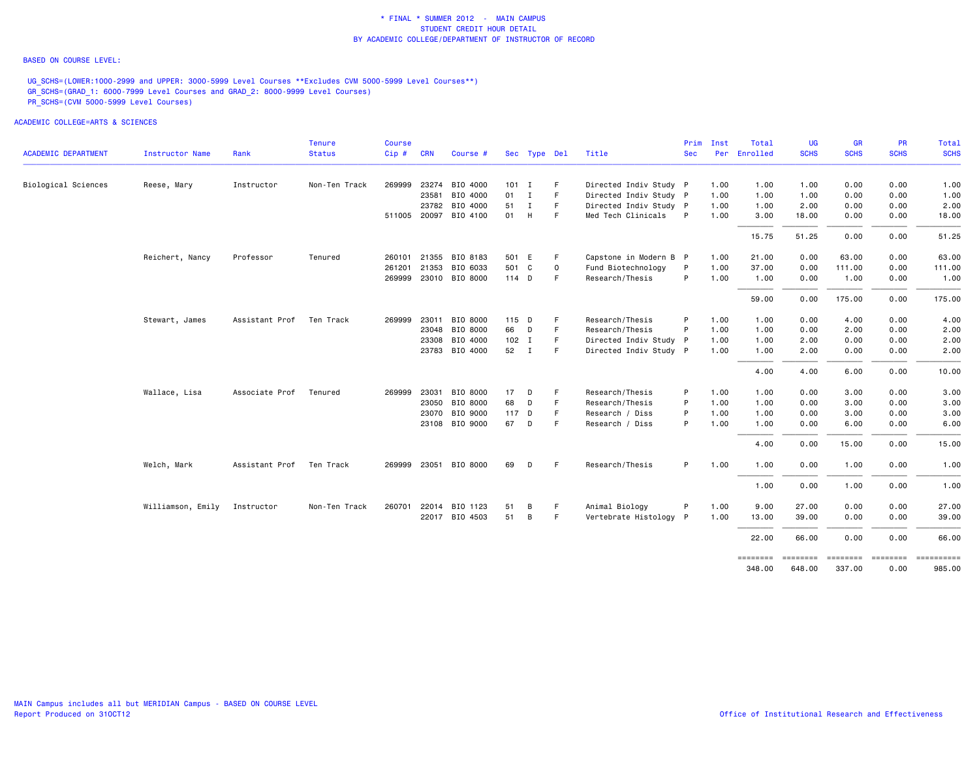#### BASED ON COURSE LEVEL:

UG\_SCHS=(LOWER:1000-2999 and UPPER: 3000-5999 Level Courses \*\*Excludes CVM 5000-5999 Level Courses\*\*) GR\_SCHS=(GRAD\_1: 6000-7999 Level Courses and GRAD\_2: 8000-9999 Level Courses) PR\_SCHS=(CVM 5000-5999 Level Courses)

|                            |                   |                | Tenure        | Course |            |                       |               |              |             |                        | Prim       | Inst | Total              | <b>UG</b>          | <b>GR</b>          | <b>PR</b>                    | <b>Total</b> |
|----------------------------|-------------------|----------------|---------------|--------|------------|-----------------------|---------------|--------------|-------------|------------------------|------------|------|--------------------|--------------------|--------------------|------------------------------|--------------|
| <b>ACADEMIC DEPARTMENT</b> | Instructor Name   | Rank           | <b>Status</b> | Cip#   | <b>CRN</b> | Course #              |               | Sec Type Del |             | Title                  | <b>Sec</b> |      | Per Enrolled       | <b>SCHS</b>        | <b>SCHS</b>        | <b>SCHS</b>                  | <b>SCHS</b>  |
| Biological Sciences        | Reese, Mary       | Instructor     | Non-Ten Track | 269999 |            | 23274 BIO 4000        | 101 I         |              | F.          | Directed Indiv Study P |            | 1.00 | 1.00               | 1.00               | 0.00               | 0.00                         | 1.00         |
|                            |                   |                |               |        | 23581      | BIO 4000              | $01 \qquad I$ |              | F           | Directed Indiv Study P |            | 1.00 | 1.00               | 1.00               | 0.00               | 0.00                         | 1.00         |
|                            |                   |                |               |        |            | 23782 BIO 4000        | 51 I          |              | F.          | Directed Indiv Study P |            | 1.00 | 1.00               | 2.00               | 0.00               | 0.00                         | 2.00         |
|                            |                   |                |               |        |            | 511005 20097 BIO 4100 | 01 H          |              | F.          | Med Tech Clinicals     | - P        | 1.00 | 3.00               | 18.00              | 0.00               | 0.00                         | 18.00        |
|                            |                   |                |               |        |            |                       |               |              |             |                        |            |      | 15.75              | 51.25              | 0.00               | 0.00                         | 51.25        |
|                            | Reichert, Nancy   | Professor      | Tenured       |        |            | 260101 21355 BIO 8183 | 501 E         |              | F.          | Capstone in Modern B P |            | 1.00 | 21.00              | 0.00               | 63.00              | 0.00                         | 63.00        |
|                            |                   |                |               | 261201 |            | 21353 BIO 6033        | 501 C         |              | $\mathbf 0$ | Fund Biotechnology     | P          | 1.00 | 37.00              | 0.00               | 111.00             | 0.00                         | 111.00       |
|                            |                   |                |               |        |            | 269999 23010 BIO 8000 | 114 D         |              | F           | Research/Thesis        | P          | 1.00 | 1.00               | 0.00               | 1.00               | 0.00                         | 1.00         |
|                            |                   |                |               |        |            |                       |               |              |             |                        |            |      | 59.00              | 0.00               | 175.00             | 0.00                         | 175.00       |
|                            | Stewart, James    | Assistant Prof | Ten Track     |        |            | 269999 23011 BIO 8000 | 115 D         |              |             | Research/Thesis        | P          | 1.00 | 1.00               | 0.00               | 4.00               | 0.00                         | 4.00         |
|                            |                   |                |               |        |            | 23048 BIO 8000        | 66            | D            | F.          | Research/Thesis        | P          | 1.00 | 1.00               | 0.00               | 2.00               | 0.00                         | 2.00         |
|                            |                   |                |               |        |            | 23308 BIO 4000        | $102$ I       |              | F.          | Directed Indiv Study P |            | 1.00 | 1.00               | 2.00               | 0.00               | 0.00                         | 2.00         |
|                            |                   |                |               |        |            | 23783 BIO 4000        | 52 I          |              | F           | Directed Indiv Study P |            | 1.00 | 1.00               | 2.00               | 0.00               | 0.00                         | 2.00         |
|                            |                   |                |               |        |            |                       |               |              |             |                        |            |      | 4.00               | 4.00               | 6.00               | 0.00                         | 10.00        |
|                            | Wallace, Lisa     | Associate Prof | Tenured       | 269999 | 23031      | BIO 8000              | 17            | D            |             | Research/Thesis        | P          | 1.00 | 1.00               | 0.00               | 3.00               | 0.00                         | 3.00         |
|                            |                   |                |               |        |            | 23050 BIO 8000        | 68            | D            | F           | Research/Thesis        | P          | 1.00 | 1.00               | 0.00               | 3.00               | 0.00                         | 3.00         |
|                            |                   |                |               |        |            | 23070 BIO 9000        | 117 D         |              | F           | Research / Diss        | P          | 1.00 | 1.00               | 0.00               | 3.00               | 0.00                         | 3.00         |
|                            |                   |                |               |        |            | 23108 BIO 9000        | 67            | D            | E           | Research / Diss        | P          | 1.00 | 1.00               | 0.00               | 6.00               | 0.00                         | 6.00         |
|                            |                   |                |               |        |            |                       |               |              |             |                        |            |      | 4.00               | 0.00               | 15.00              | 0.00                         | 15.00        |
|                            | Welch, Mark       | Assistant Prof | Ten Track     |        |            | 269999 23051 BIO 8000 | 69            | D            | F.          | Research/Thesis        | P          | 1.00 | 1.00               | 0.00               | 1.00               | 0.00                         | 1.00         |
|                            |                   |                |               |        |            |                       |               |              |             |                        |            |      | 1.00               | 0.00               | 1.00               | 0.00                         | 1.00         |
|                            | Williamson, Emily | Instructor     | Non-Ten Track | 260701 |            | 22014 BIO 1123        | 51            | В            | F           | Animal Biology         | P          | 1.00 | 9.00               | 27.00              | 0.00               | 0.00                         | 27.00        |
|                            |                   |                |               |        |            | 22017 BIO 4503        | 51            | B            | F.          | Vertebrate Histology P |            | 1.00 | 13.00              | 39.00              | 0.00               | 0.00                         | 39.00        |
|                            |                   |                |               |        |            |                       |               |              |             |                        |            |      | 22.00              | 66.00              | 0.00               | 0.00                         | 66.00        |
|                            |                   |                |               |        |            |                       |               |              |             |                        |            |      | ========<br>348.00 | ========<br>648.00 | ========<br>337.00 | ========= ==========<br>0.00 | 985.00       |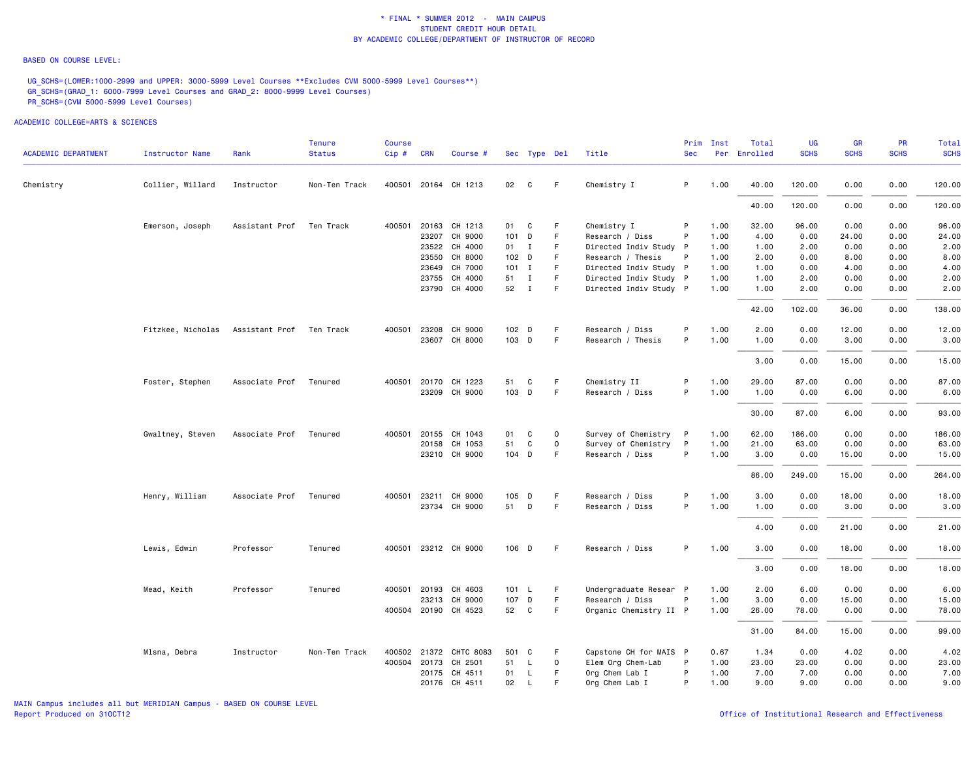#### BASED ON COURSE LEVEL:

UG\_SCHS=(LOWER:1000-2999 and UPPER: 3000-5999 Level Courses \*\*Excludes CVM 5000-5999 Level Courses\*\*) GR\_SCHS=(GRAD\_1: 6000-7999 Level Courses and GRAD\_2: 8000-9999 Level Courses) PR\_SCHS=(CVM 5000-5999 Level Courses)

| <b>ACADEMIC DEPARTMENT</b> | <b>Instructor Name</b>                     | Rank           | <b>Tenure</b><br><b>Status</b> | <b>Course</b><br>Cip# | <b>CRN</b>   | Course #               |         | Sec Type Del |             | Title                  | Prim<br><b>Sec</b> | Inst | Total<br>Per Enrolled | <b>UG</b><br><b>SCHS</b> | <b>GR</b><br><b>SCHS</b> | <b>PR</b><br><b>SCHS</b> | Total<br><b>SCHS</b> |
|----------------------------|--------------------------------------------|----------------|--------------------------------|-----------------------|--------------|------------------------|---------|--------------|-------------|------------------------|--------------------|------|-----------------------|--------------------------|--------------------------|--------------------------|----------------------|
|                            |                                            |                |                                |                       |              |                        |         |              |             |                        |                    |      |                       |                          |                          |                          |                      |
| Chemistry                  | Collier, Willard                           | Instructor     | Non-Ten Track                  |                       |              | 400501 20164 CH 1213   | 02      | C            | F.          | Chemistry I            | P                  | 1.00 | 40.00                 | 120.00                   | 0.00                     | 0.00                     | 120.00               |
|                            |                                            |                |                                |                       |              |                        |         |              |             |                        |                    |      | 40.00                 | 120.00                   | 0.00                     | 0.00                     | 120.00               |
|                            | Emerson, Joseph                            | Assistant Prof | Ten Track                      | 400501                |              | 20163 CH 1213          | 01      | $\mathbf{C}$ | F           | Chemistry I            | P                  | 1.00 | 32.00                 | 96.00                    | 0.00                     | 0.00                     | 96.00                |
|                            |                                            |                |                                |                       |              | 23207 CH 9000          | 101 D   |              | F           | Research / Diss        | P                  | 1.00 | 4.00                  | 0.00                     | 24.00                    | 0.00                     | 24.00                |
|                            |                                            |                |                                |                       |              | 23522 CH 4000          | 01 I    |              | F.          | Directed Indiv Study P |                    | 1.00 | 1.00                  | 2.00                     | 0.00                     | 0.00                     | 2.00                 |
|                            |                                            |                |                                |                       |              | 23550 CH 8000          | 102 D   |              | F.          | Research / Thesis      | P                  | 1.00 | 2.00                  | 0.00                     | 8.00                     | 0.00                     | 8.00                 |
|                            |                                            |                |                                |                       |              | 23649 CH 7000          | $101$ I |              | F           | Directed Indiv Study P |                    | 1.00 | 1.00                  | 0.00                     | 4.00                     | 0.00                     | 4.00                 |
|                            |                                            |                |                                |                       |              | 23755 CH 4000          | 51      | $\mathbf{I}$ | $\mathsf F$ | Directed Indiv Study P |                    | 1.00 | 1.00                  | 2.00                     | 0.00                     | 0.00                     | 2.00                 |
|                            |                                            |                |                                |                       |              | 23790 CH 4000          | 52 I    |              | F           | Directed Indiv Study P |                    | 1.00 | 1.00                  | 2.00                     | 0.00                     | 0.00                     | 2.00                 |
|                            |                                            |                |                                |                       |              |                        |         |              |             |                        |                    |      | 42.00                 | 102.00                   | 36.00                    | 0.00                     | 138.00               |
|                            | Fitzkee, Nicholas Assistant Prof Ten Track |                |                                | 400501                |              | 23208 CH 9000          | 102 D   |              | F.          | Research / Diss        | P                  | 1.00 | 2.00                  | 0.00                     | 12.00                    | 0.00                     | 12.00                |
|                            |                                            |                |                                |                       |              | 23607 CH 8000          | 103 D   |              | F           | Research / Thesis      | P                  | 1.00 | 1.00                  | 0.00                     | 3.00                     | 0.00                     | 3.00                 |
|                            |                                            |                |                                |                       |              |                        |         |              |             |                        |                    |      | 3.00                  | 0.00                     | 15.00                    | 0.00                     | 15.00                |
|                            |                                            |                |                                |                       |              |                        |         |              |             |                        |                    |      |                       |                          |                          |                          |                      |
|                            | Foster, Stephen                            | Associate Prof | Tenured                        | 400501                | 20170        | CH 1223                | 51      | C            | F           | Chemistry II           | P                  | 1.00 | 29.00                 | 87.00                    | 0.00                     | 0.00                     | 87.00                |
|                            |                                            |                |                                |                       |              | 23209 CH 9000          | 103 D   |              | F           | Research / Diss        | P                  | 1.00 | 1.00                  | 0.00                     | 6.00                     | 0.00                     | 6.00                 |
|                            |                                            |                |                                |                       |              |                        |         |              |             |                        |                    |      | 30.00                 | 87.00                    | 6.00                     | 0.00                     | 93.00                |
|                            | Gwaltney, Steven                           | Associate Prof | Tenured                        | 400501                |              | 20155 CH 1043          | 01      | C            | $\mathbf 0$ | Survey of Chemistry    | $\mathsf{P}$       | 1.00 | 62.00                 | 186.00                   | 0.00                     | 0.00                     | 186.00               |
|                            |                                            |                |                                |                       |              | 20158 CH 1053          | 51      | C            | $\mathsf 0$ | Survey of Chemistry    | P                  | 1.00 | 21.00                 | 63.00                    | 0.00                     | 0.00                     | 63.00                |
|                            |                                            |                |                                |                       |              | 23210 CH 9000          | 104 D   |              | F           | Research / Diss        | P                  | 1.00 | 3,00                  | 0.00                     | 15.00                    | 0.00                     | 15.00                |
|                            |                                            |                |                                |                       |              |                        |         |              |             |                        |                    |      | 86.00                 | 249.00                   | 15.00                    | 0.00                     | 264.00               |
|                            | Henry, William                             | Associate Prof | Tenured                        |                       | 400501 23211 | CH 9000                | 105 D   |              | F.          | Research / Diss        | P                  | 1.00 | 3.00                  | 0.00                     | 18.00                    | 0.00                     | 18.00                |
|                            |                                            |                |                                |                       |              | 23734 CH 9000          | 51 D    |              | F           | Research / Diss        | P                  | 1.00 | 1.00                  | 0.00                     | 3.00                     | 0.00                     | 3.00                 |
|                            |                                            |                |                                |                       |              |                        |         |              |             |                        |                    |      |                       |                          |                          |                          |                      |
|                            |                                            |                |                                |                       |              |                        |         |              |             |                        |                    |      | 4.00                  | 0.00                     | 21.00                    | 0.00                     | 21.00                |
|                            | Lewis, Edwin                               | Professor      | Tenured                        |                       |              | 400501 23212 CH 9000   | 106 D   |              | F           | Research / Diss        | P                  | 1.00 | 3.00                  | 0.00                     | 18.00                    | 0.00                     | 18.00                |
|                            |                                            |                |                                |                       |              |                        |         |              |             |                        |                    |      | 3.00                  | 0.00                     | 18.00                    | 0.00                     | 18.00                |
|                            | Mead, Keith                                | Professor      | Tenured                        | 400501                | 20193        | CH 4603                | 101 L   |              | F.          | Undergraduate Resear P |                    | 1.00 | 2.00                  | 6.00                     | 0.00                     | 0.00                     | 6.00                 |
|                            |                                            |                |                                |                       |              | 23213 CH 9000          | 107 D   |              | F.          | Research / Diss        | P                  | 1.00 | 3.00                  | 0.00                     | 15.00                    | 0.00                     | 15.00                |
|                            |                                            |                |                                |                       |              | 400504 20190 CH 4523   | 52 C    |              | F           | Organic Chemistry II P |                    | 1.00 | 26.00                 | 78.00                    | 0.00                     | 0.00                     | 78.00                |
|                            |                                            |                |                                |                       |              |                        |         |              |             |                        |                    |      | 31.00                 | 84.00                    | 15.00                    | 0.00                     | 99.00                |
|                            |                                            |                |                                |                       |              |                        |         |              |             |                        |                    |      |                       |                          |                          |                          |                      |
|                            | Mlsna, Debra                               | Instructor     | Non-Ten Track                  |                       |              | 400502 21372 CHTC 8083 | 501 C   |              | F           | Capstone CH for MAIS P |                    | 0.67 | 1.34                  | 0.00                     | 4.02                     | 0.00                     | 4.02                 |
|                            |                                            |                |                                | 400504                | 20173        | CH 2501                | 51      | L.           | $\mathbf 0$ | Elem Org Chem-Lab      | P                  | 1.00 | 23.00                 | 23.00                    | 0.00                     | 0.00                     | 23.00                |
|                            |                                            |                |                                |                       |              | 20175 CH 4511          | 01      | L.           | F           | Org Chem Lab I         | P                  | 1.00 | 7.00                  | 7.00                     | 0.00                     | 0.00                     | 7.00                 |
|                            |                                            |                |                                |                       |              | 20176 CH 4511          | 02      | $\mathsf{L}$ | F           | Org Chem Lab I         | P                  | 1.00 | 9.00                  | 9.00                     | 0.00                     | 0.00                     | 9.00                 |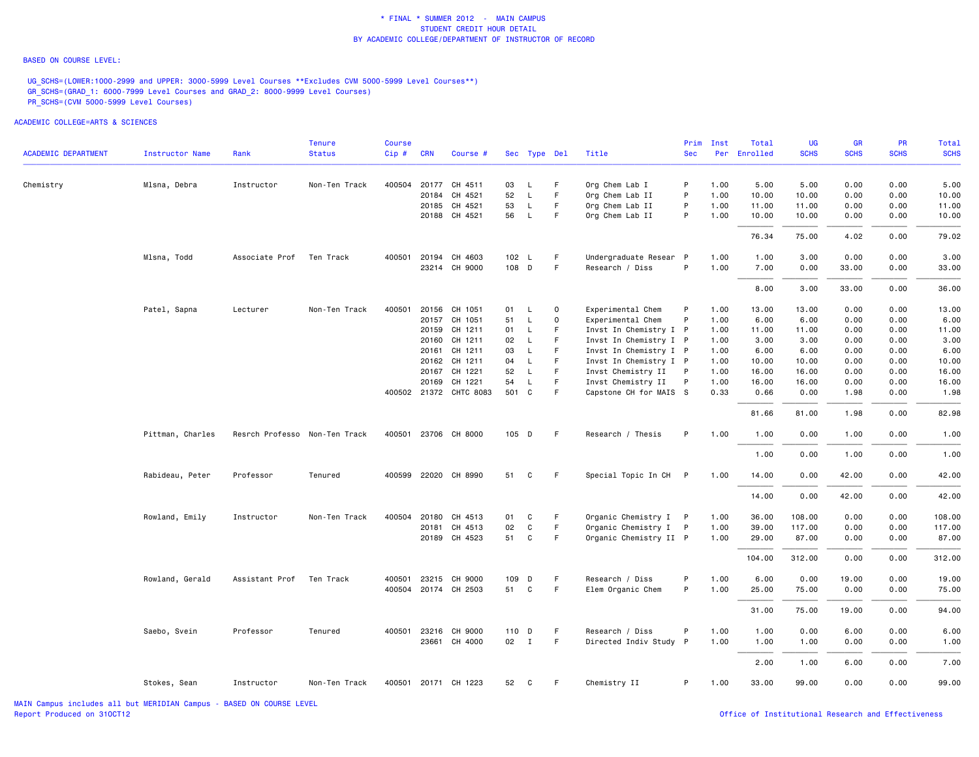#### BASED ON COURSE LEVEL:

UG\_SCHS=(LOWER:1000-2999 and UPPER: 3000-5999 Level Courses \*\*Excludes CVM 5000-5999 Level Courses\*\*) GR\_SCHS=(GRAD\_1: 6000-7999 Level Courses and GRAD\_2: 8000-9999 Level Courses) PR\_SCHS=(CVM 5000-5999 Level Courses)

| ACADEMIC DEPARTMENT | <b>Instructor Name</b> | Rank                          | Tenure<br><b>Status</b> | <b>Course</b><br>Cip# | <b>CRN</b>   | Course #               |       |    | Sec Type Del | Title                  | <b>Sec</b> | Prim Inst<br>Per | Total<br>Enrolled | UG<br><b>SCHS</b> | GR<br><b>SCHS</b> | PR<br><b>SCHS</b> | Total<br><b>SCHS</b> |
|---------------------|------------------------|-------------------------------|-------------------------|-----------------------|--------------|------------------------|-------|----|--------------|------------------------|------------|------------------|-------------------|-------------------|-------------------|-------------------|----------------------|
| Chemistry           | Mlsna, Debra           | Instructor                    | Non-Ten Track           | 400504                |              | 20177 CH 4511          | 03    | L. | F.           | Org Chem Lab I         | P          | 1.00             | 5.00              | 5.00              | 0.00              | 0.00              | 5.00                 |
|                     |                        |                               |                         |                       | 20184        | CH 4521                | 52    | L  | F            | Org Chem Lab II        | P          | 1.00             | 10.00             | 10.00             | 0.00              | 0.00              | 10.00                |
|                     |                        |                               |                         |                       |              | 20185 CH 4521          | 53    | L  | F.           | Org Chem Lab II        | P          | 1.00             | 11.00             | 11.00             | 0.00              | 0.00              | 11.00                |
|                     |                        |                               |                         |                       |              | 20188 CH 4521          | 56    | L  | F            | Org Chem Lab II        | P          | 1.00             | 10.00             | 10.00             | 0.00              | 0.00              | 10.00                |
|                     |                        |                               |                         |                       |              |                        |       |    |              |                        |            |                  | 76.34             | 75.00             | 4.02              | 0.00              | 79.02                |
|                     | Mlsna, Todd            | Associate Prof                | Ten Track               | 400501                |              | 20194 CH 4603          | 102 L |    | F            | Undergraduate Resear P |            | 1.00             | 1.00              | 3.00              | 0.00              | 0.00              | 3.00                 |
|                     |                        |                               |                         |                       |              | 23214 CH 9000          | 108 D |    | F            | Research / Diss        | P          | 1.00             | 7.00              | 0.00              | 33.00             | 0.00              | 33.00                |
|                     |                        |                               |                         |                       |              |                        |       |    |              |                        |            |                  | 8.00              | 3.00              | 33.00             | 0.00              | 36.00                |
|                     | Patel, Sapna           | Lecturer                      | Non-Ten Track           | 400501                | 20156        | CH 1051                | 01    | L  | $\mathbf 0$  | Experimental Chem      | P          | 1.00             | 13.00             | 13.00             | 0.00              | 0.00              | 13.00                |
|                     |                        |                               |                         |                       |              | 20157 CH 1051          | 51    | L  | $\Omega$     | Experimental Chem      | P          | 1.00             | 6.00              | 6.00              | 0.00              | 0.00              | 6.00                 |
|                     |                        |                               |                         |                       |              | 20159 CH 1211          | 01    | L  | F.           | Invst In Chemistry I P |            | 1.00             | 11.00             | 11.00             | 0.00              | 0.00              | 11.00                |
|                     |                        |                               |                         |                       |              | 20160 CH 1211          | 02    | L  | F            | Invst In Chemistry I P |            | 1.00             | 3.00              | 3.00              | 0.00              | 0.00              | 3.00                 |
|                     |                        |                               |                         |                       | 20161        | CH 1211                | 03    | L  | F            | Invst In Chemistry I P |            | 1.00             | 6.00              | 6.00              | 0.00              | 0.00              | 6.00                 |
|                     |                        |                               |                         |                       |              | 20162 CH 1211          | 04    | L  | F.           | Invst In Chemistry I P |            | 1.00             | 10.00             | 10.00             | 0.00              | 0.00              | 10.00                |
|                     |                        |                               |                         |                       |              | 20167 CH 1221          | 52    | L  | F            | Invst Chemistry II     | P          | 1.00             | 16.00             | 16.00             | 0.00              | 0.00              | 16.00                |
|                     |                        |                               |                         |                       |              | 20169 CH 1221          | 54    | L  | F            | Invst Chemistry II     | P          | 1.00             | 16.00             | 16.00             | 0.00              | 0.00              | 16.00                |
|                     |                        |                               |                         |                       |              | 400502 21372 CHTC 8083 | 501 C |    | F            | Capstone CH for MAIS S |            | 0.33             | 0.66              | 0.00              | 1.98              | 0.00              | 1.98                 |
|                     |                        |                               |                         |                       |              |                        |       |    |              |                        |            |                  | 81.66             | 81.00             | 1.98              | 0.00              | 82.98                |
|                     | Pittman, Charles       | Resrch Professo Non-Ten Track |                         |                       |              | 400501 23706 CH 8000   | 105 D |    | F            | Research / Thesis      | P          | 1.00             | 1.00              | 0.00              | 1.00              | 0.00              | 1.00                 |
|                     |                        |                               |                         |                       |              |                        |       |    |              |                        |            |                  | 1.00              | 0.00              | 1.00              | 0.00              | 1.00                 |
|                     | Rabideau, Peter        | Professor                     | Tenured                 |                       |              | 400599 22020 CH 8990   | 51    | C  | F.           | Special Topic In CH    | P          | 1.00             | 14.00             | 0.00              | 42.00             | 0.00              | 42.00                |
|                     |                        |                               |                         |                       |              |                        |       |    |              |                        |            |                  | 14.00             | 0.00              | 42.00             | 0.00              | 42.00                |
|                     | Rowland, Emily         | Instructor                    | Non-Ten Track           | 400504                | 20180        | CH 4513                | 01    | C  | F            | Organic Chemistry I P  |            | 1.00             | 36.00             | 108.00            | 0.00              | 0.00              | 108.00               |
|                     |                        |                               |                         |                       |              | 20181 CH 4513          | 02    | C  | F            | Organic Chemistry I P  |            | 1.00             | 39.00             | 117.00            | 0.00              | 0.00              | 117.00               |
|                     |                        |                               |                         |                       |              | 20189 CH 4523          | 51    | C  | F.           | Organic Chemistry II P |            | 1.00             | 29.00             | 87.00             | 0.00              | 0.00              | 87.00                |
|                     |                        |                               |                         |                       |              |                        |       |    |              |                        |            |                  | 104.00            | 312.00            | 0.00              | 0.00              | 312.00               |
|                     | Rowland, Gerald        | Assistant Prof                | Ten Track               | 400501                |              | 23215 CH 9000          | 109 D |    | F            | Research / Diss        | P          | 1.00             | 6.00              | 0.00              | 19.00             | 0.00              | 19.00                |
|                     |                        |                               |                         |                       |              | 400504 20174 CH 2503   | 51 C  |    | F.           | Elem Organic Chem      | P          | 1.00             | 25.00             | 75.00             | 0.00              | 0.00              | 75.00                |
|                     |                        |                               |                         |                       |              |                        |       |    |              |                        |            |                  | 31.00             | 75.00             | 19.00             | 0.00              | 94.00                |
|                     | Saebo, Svein           | Professor                     | Tenured                 |                       | 400501 23216 | CH 9000                | 110 D |    | F            | Research / Diss        | P          | 1.00             | 1.00              | 0.00              | 6.00              | 0.00              | 6.00                 |
|                     |                        |                               |                         |                       |              | 23661 CH 4000          | 02 I  |    | F.           | Directed Indiv Study P |            | 1.00             | 1.00              | 1.00              | 0.00              | 0.00              | 1.00                 |
|                     |                        |                               |                         |                       |              |                        |       |    |              |                        |            |                  | 2.00              | 1.00              | 6.00              | 0.00              | 7.00                 |
|                     | Stokes, Sean           | Instructor                    | Non-Ten Track           |                       |              | 400501 20171 CH 1223   | 52    | C  | F.           | Chemistry II           | P          | 1.00             | 33.00             | 99.00             | 0.00              | 0.00              | 99.00                |
|                     |                        |                               |                         |                       |              |                        |       |    |              |                        |            |                  |                   |                   |                   |                   |                      |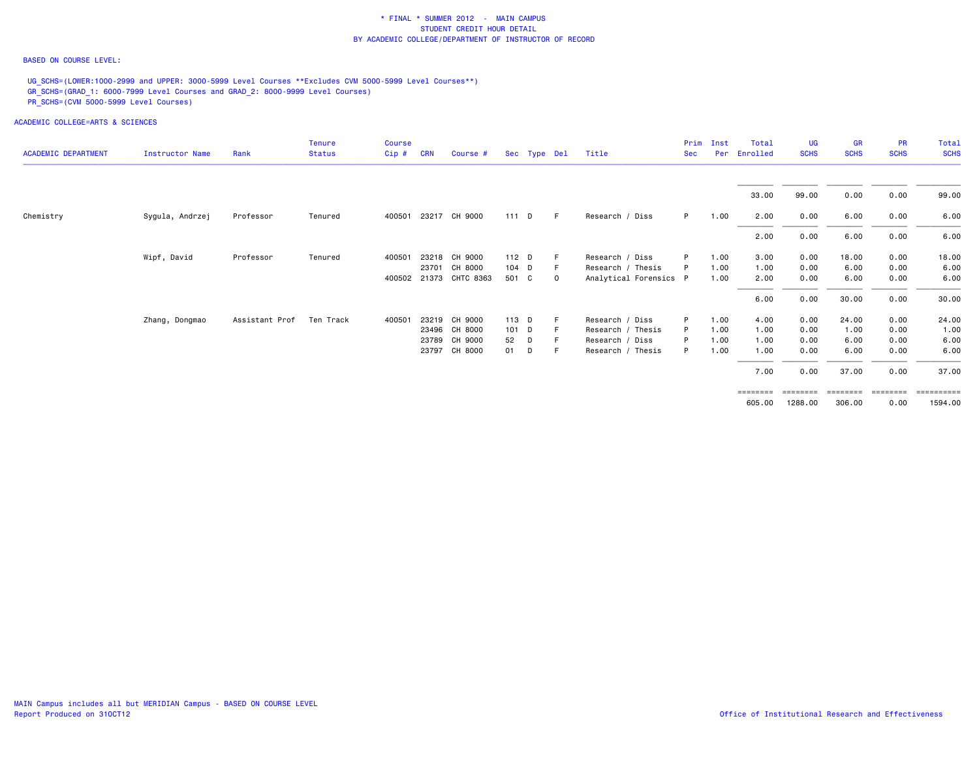### BASED ON COURSE LEVEL:

UG\_SCHS=(LOWER:1000-2999 and UPPER: 3000-5999 Level Courses \*\*Excludes CVM 5000-5999 Level Courses\*\*) GR\_SCHS=(GRAD\_1: 6000-7999 Level Courses and GRAD\_2: 8000-9999 Level Courses) PR\_SCHS=(CVM 5000-5999 Level Courses)

| <b>ACADEMIC DEPARTMENT</b> | <b>Instructor Name</b> | Rank           | <b>Tenure</b><br><b>Status</b> | <b>Course</b><br>Cip# | <b>CRN</b> | Course #               |         | Sec Type Del |             | Title                  | Prim<br><b>Sec</b> | Inst<br>Per | Total<br>Enrolled | UG<br><b>SCHS</b> | <b>GR</b><br><b>SCHS</b> | <b>PR</b><br><b>SCHS</b> | Total<br><b>SCHS</b>    |
|----------------------------|------------------------|----------------|--------------------------------|-----------------------|------------|------------------------|---------|--------------|-------------|------------------------|--------------------|-------------|-------------------|-------------------|--------------------------|--------------------------|-------------------------|
|                            |                        |                |                                |                       |            |                        |         |              |             |                        |                    |             | 33.00             | 99.00             | 0.00                     | 0.00                     | 99.00                   |
| Chemistry                  | Sygula, Andrzej        | Professor      | Tenured                        | 400501                |            | 23217 CH 9000          |         | 111 D        | - F         | Research / Diss        | P.                 | 1.00        | 2.00              | 0.00              | 6.00                     | 0.00                     | 6.00                    |
|                            |                        |                |                                |                       |            |                        |         |              |             |                        |                    |             | 2.00              | 0.00              | 6.00                     | 0.00                     | 6.00                    |
|                            | Wipf, David            | Professor      | Tenured                        | 400501                |            | 23218 CH 9000          | 112 D   |              |             | Research / Diss        | P                  | 1.00        | 3.00              | 0.00              | 18.00                    | 0.00                     | 18.00                   |
|                            |                        |                |                                |                       | 23701      | CH 8000                | $104$ D |              |             | Research / Thesis      |                    | 1.00        | 1.00              | 0.00              | 6.00                     | 0.00                     | 6.00                    |
|                            |                        |                |                                |                       |            | 400502 21373 CHTC 8363 | 501 C   |              | $\mathbf 0$ | Analytical Forensics P |                    | 1.00        | 2.00              | 0.00              | 6.00                     | 0.00                     | 6.00                    |
|                            |                        |                |                                |                       |            |                        |         |              |             |                        |                    |             | 6.00              | 0.00              | 30.00                    | 0.00                     | 30.00                   |
|                            | Zhang, Dongmao         | Assistant Prof | Ten Track                      | 400501                |            | 23219 CH 9000          | 113 D   |              |             | Research / Diss        | P                  | 1.00        | 4.00              | 0.00              | 24.00                    | 0.00                     | 24.00                   |
|                            |                        |                |                                |                       |            | 23496 CH 8000          | 101 D   |              |             | Research / Thesis      | P                  | 1.00        | 1.00              | 0.00              | 1.00                     | 0.00                     | 1.00                    |
|                            |                        |                |                                |                       |            | 23789 CH 9000          | 52      | D            |             | Research / Diss        |                    | 1.00        | 1.00              | 0.00              | 6.00                     | 0.00                     | 6.00                    |
|                            |                        |                |                                |                       |            | 23797 CH 8000          | 01      | D            | -F          | Research / Thesis      | P                  | 1.00        | 1.00              | 0.00              | 6.00                     | 0.00                     | 6.00                    |
|                            |                        |                |                                |                       |            |                        |         |              |             |                        |                    |             | 7.00              | 0.00              | 37.00                    | 0.00                     | 37.00                   |
|                            |                        |                |                                |                       |            |                        |         |              |             |                        |                    |             | $=$ = = = = = = = |                   | ========                 | ========                 | $=$ = = = = = = = = = = |
|                            |                        |                |                                |                       |            |                        |         |              |             |                        |                    |             | 605.00            | 1288.00           | 306.00                   | 0.00                     | 1594.00                 |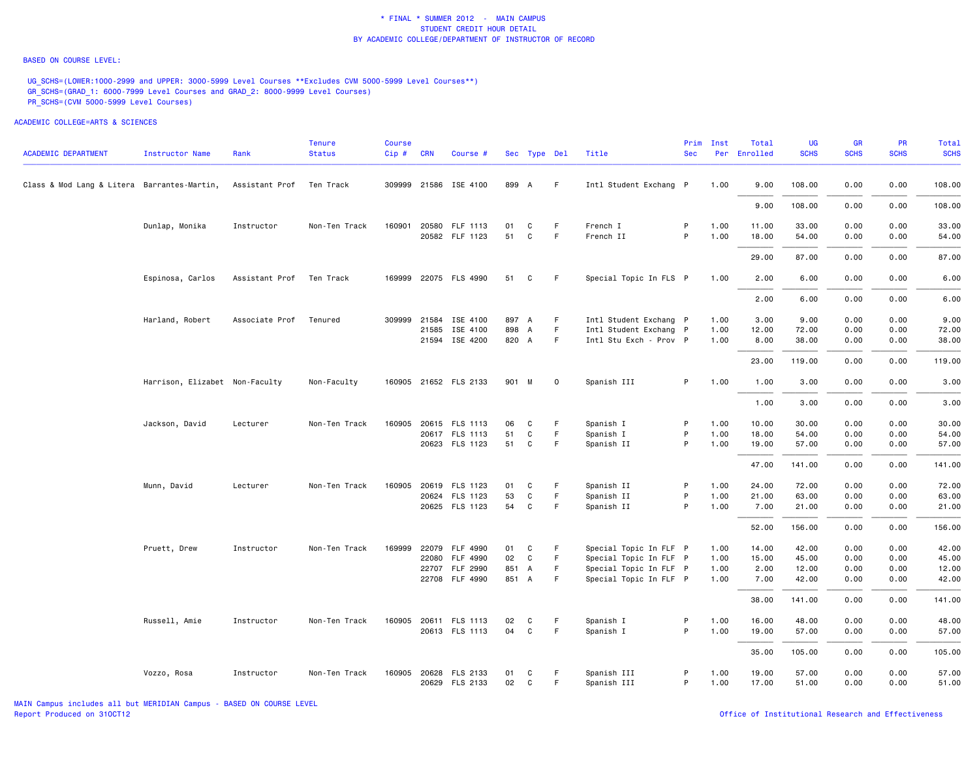#### BASED ON COURSE LEVEL:

UG\_SCHS=(LOWER:1000-2999 and UPPER: 3000-5999 Level Courses \*\*Excludes CVM 5000-5999 Level Courses\*\*) GR\_SCHS=(GRAD\_1: 6000-7999 Level Courses and GRAD\_2: 8000-9999 Level Courses) PR\_SCHS=(CVM 5000-5999 Level Courses)

| <b>ACADEMIC DEPARTMENT</b>                  | <b>Instructor Name</b>         | Rank           | Tenure<br><b>Status</b> | Course<br>Cip# | <b>CRN</b>   | Course #                                |          | Sec Type Del |             | Title                  | Prim<br><b>Sec</b> | Inst         | Total<br>Per Enrolled | UG<br><b>SCHS</b> | GR<br><b>SCHS</b> | <b>PR</b><br><b>SCHS</b> | Total<br><b>SCHS</b> |
|---------------------------------------------|--------------------------------|----------------|-------------------------|----------------|--------------|-----------------------------------------|----------|--------------|-------------|------------------------|--------------------|--------------|-----------------------|-------------------|-------------------|--------------------------|----------------------|
|                                             |                                |                |                         |                |              |                                         |          |              |             |                        |                    |              |                       |                   |                   |                          |                      |
| Class & Mod Lang & Litera Barrantes-Martin, |                                | Assistant Prof | Ten Track               |                |              | 309999 21586 ISE 4100                   | 899 A    |              | F.          | Intl Student Exchang P |                    | 1.00         | 9.00                  | 108.00            | 0.00              | 0.00                     | 108.00               |
|                                             |                                |                |                         |                |              |                                         |          |              |             |                        |                    |              | 9.00                  | 108.00            | 0.00              | 0.00                     | 108.00               |
|                                             | Dunlap, Monika                 | Instructor     | Non-Ten Track           |                |              | 160901 20580 FLF 1113<br>20582 FLF 1123 | 01<br>51 | C<br>C       | F.<br>F.    | French I<br>French II  | P<br>P             | 1.00<br>1.00 | 11.00<br>18.00        | 33.00<br>54.00    | 0.00<br>0.00      | 0.00<br>0.00             | 33.00<br>54.00       |
|                                             |                                |                |                         |                |              |                                         |          |              |             |                        |                    |              |                       |                   |                   |                          |                      |
|                                             |                                |                |                         |                |              |                                         |          |              |             |                        |                    |              | 29.00                 | 87.00             | 0.00              | 0.00                     | 87.00                |
|                                             | Espinosa, Carlos               | Assistant Prof | Ten Track               |                |              | 169999 22075 FLS 4990                   | 51       | C            | F.          | Special Topic In FLS P |                    | 1.00         | 2.00                  | 6.00              | 0.00              | 0.00                     | 6.00                 |
|                                             |                                |                |                         |                |              |                                         |          |              |             |                        |                    |              | 2.00                  | 6.00              | 0.00              | 0.00                     | 6.00                 |
|                                             | Harland, Robert                | Associate Prof | Tenured                 |                | 309999 21584 | ISE 4100                                | 897 A    |              | F           | Intl Student Exchang P |                    | 1.00         | 3.00                  | 9.00              | 0.00              | 0.00                     | 9.00                 |
|                                             |                                |                |                         |                | 21585        | ISE 4100                                | 898 A    |              | F           | Intl Student Exchang P |                    | 1.00         | 12.00                 | 72.00             | 0.00              | 0.00                     | 72.00                |
|                                             |                                |                |                         |                |              | 21594 ISE 4200                          | 820 A    |              | F.          | Intl Stu Exch - Prov P |                    | 1.00         | 8.00                  | 38.00             | 0.00              | 0.00                     | 38.00                |
|                                             |                                |                |                         |                |              |                                         |          |              |             |                        |                    |              | 23.00                 | 119.00            | 0.00              | 0.00                     | 119.00               |
|                                             | Harrison, Elizabet Non-Faculty |                | Non-Faculty             |                |              | 160905 21652 FLS 2133                   | 901 M    |              | $\mathbf 0$ | Spanish III            | P                  | 1.00         | 1.00                  | 3.00              | 0.00              | 0.00                     | 3.00                 |
|                                             |                                |                |                         |                |              |                                         |          |              |             |                        |                    |              | 1.00                  | 3.00              | 0.00              | 0.00                     | 3.00                 |
|                                             | Jackson, David                 | Lecturer       | Non-Ten Track           | 160905         |              | 20615 FLS 1113                          | 06       | C            | F           | Spanish I              | P                  | 1.00         | 10.00                 | 30.00             | 0.00              | 0.00                     | 30.00                |
|                                             |                                |                |                         |                |              | 20617 FLS 1113                          | 51       | C            | F           | Spanish I              | P                  | 1.00         | 18.00                 | 54.00             | 0.00              | 0.00                     | 54.00                |
|                                             |                                |                |                         |                |              | 20623 FLS 1123                          | 51       | C            | F.          | Spanish II             | P                  | 1.00         | 19.00                 | 57.00             | 0.00              | 0.00                     | 57.00                |
|                                             |                                |                |                         |                |              |                                         |          |              |             |                        |                    |              | 47.00                 | 141.00            | 0.00              | 0.00                     | 141.00               |
|                                             | Munn, David                    | Lecturer       | Non-Ten Track           | 160905         |              | 20619 FLS 1123                          | 01       | C            | F           | Spanish II             | P                  | 1.00         | 24.00                 | 72.00             | 0.00              | 0.00                     | 72.00                |
|                                             |                                |                |                         |                |              | 20624 FLS 1123                          | 53       | C            | F.          | Spanish II             | P                  | 1.00         | 21.00                 | 63.00             | 0.00              | 0.00                     | 63.00                |
|                                             |                                |                |                         |                |              | 20625 FLS 1123                          | 54       | C            | F.          | Spanish II             | P                  | 1.00         | 7.00                  | 21.00             | 0.00              | 0.00                     | 21.00                |
|                                             |                                |                |                         |                |              |                                         |          |              |             |                        |                    |              | 52.00                 | 156.00            | 0.00              | 0.00                     | 156.00               |
|                                             | Pruett, Drew                   | Instructor     | Non-Ten Track           |                |              | 169999 22079 FLF 4990                   | 01       | C            | F           | Special Topic In FLF P |                    | 1.00         | 14.00                 | 42.00             | 0.00              | 0.00                     | 42.00                |
|                                             |                                |                |                         |                |              | 22080 FLF 4990                          | 02       | C            | F           | Special Topic In FLF P |                    | 1.00         | 15.00                 | 45.00             | 0.00              | 0.00                     | 45.00                |
|                                             |                                |                |                         |                |              | 22707 FLF 2990                          | 851 A    |              | F.          | Special Topic In FLF P |                    | 1.00         | 2.00                  | 12.00             | 0.00              | 0.00                     | 12.00                |
|                                             |                                |                |                         |                |              | 22708 FLF 4990                          | 851 A    |              | F.          | Special Topic In FLF P |                    | 1.00         | 7.00                  | 42.00             | 0.00              | 0.00                     | 42.00                |
|                                             |                                |                |                         |                |              |                                         |          |              |             |                        |                    |              | 38.00                 | 141.00            | 0.00              | 0.00                     | 141.00               |
|                                             | Russell, Amie                  | Instructor     | Non-Ten Track           |                |              | 160905 20611 FLS 1113                   | 02       | C            | F           | Spanish I              | P                  | 1.00         | 16.00                 | 48.00             | 0.00              | 0.00                     | 48.00                |
|                                             |                                |                |                         |                |              | 20613 FLS 1113                          | 04       | C            | F.          | Spanish I              | P                  | 1.00         | 19.00                 | 57.00             | 0.00              | 0.00                     | 57.00                |
|                                             |                                |                |                         |                |              |                                         |          |              |             |                        |                    |              | 35.00                 | 105.00            | 0.00              | 0.00                     | 105.00               |
|                                             | Vozzo, Rosa                    | Instructor     | Non-Ten Track           |                |              | 160905 20628 FLS 2133                   | 01       | C            | F           | Spanish III            | P                  | 1.00         | 19.00                 | 57.00             | 0.00              | 0.00                     | 57.00                |
|                                             |                                |                |                         |                |              | 20629 FLS 2133                          | 02       | C            | F           | Spanish III            | P                  | 1.00         | 17.00                 | 51.00             | 0.00              | 0.00                     | 51.00                |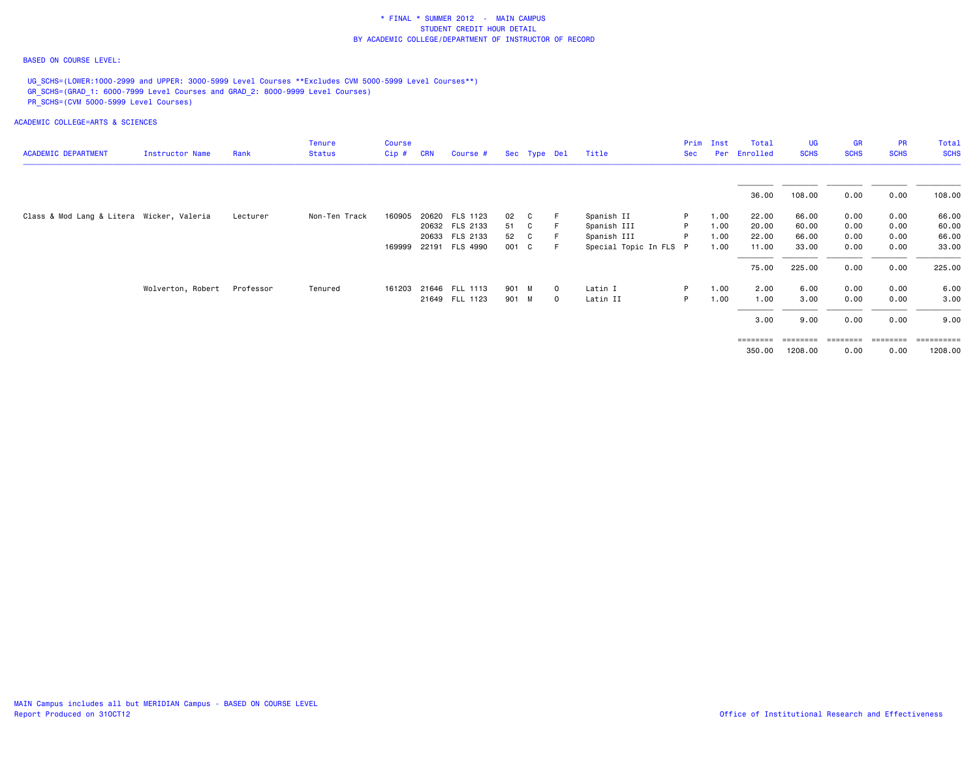### BASED ON COURSE LEVEL:

UG\_SCHS=(LOWER:1000-2999 and UPPER: 3000-5999 Level Courses \*\*Excludes CVM 5000-5999 Level Courses\*\*) GR\_SCHS=(GRAD\_1: 6000-7999 Level Courses and GRAD\_2: 8000-9999 Level Courses) PR\_SCHS=(CVM 5000-5999 Level Courses)

| <b>ACADEMIC DEPARTMENT</b>                | Instructor Name   | Rank      | <b>Tenure</b><br><b>Status</b> | <b>Course</b><br>$Cip$ # | <b>CRN</b> | Course #       |       | Sec Type Del |              | Title                  | Prim<br><b>Sec</b> | Inst<br>Per | Total<br>Enrolled | UG<br><b>SCHS</b> | <b>GR</b><br><b>SCHS</b> | <b>PR</b><br><b>SCHS</b> | Total<br><b>SCHS</b> |
|-------------------------------------------|-------------------|-----------|--------------------------------|--------------------------|------------|----------------|-------|--------------|--------------|------------------------|--------------------|-------------|-------------------|-------------------|--------------------------|--------------------------|----------------------|
|                                           |                   |           |                                |                          |            |                |       |              |              |                        |                    |             | 36.00             | 108.00            | 0.00                     | 0.00                     | 108.00               |
| Class & Mod Lang & Litera Wicker, Valeria |                   | Lecturer  | Non-Ten Track                  | 160905                   |            | 20620 FLS 1123 | 02    | C.           |              | Spanish II             | P.                 | 1.00        | 22.00             | 66.00             | 0.00                     | 0.00                     | 66.00                |
|                                           |                   |           |                                |                          |            | 20632 FLS 2133 | 51 C  |              |              | Spanish III            | P                  | 1.00        | 20.00             | 60.00             | 0.00                     | 0.00                     | 60.00                |
|                                           |                   |           |                                |                          |            | 20633 FLS 2133 | 52    | $\mathbf{C}$ |              | Spanish III            | P                  | 1.00        | 22.00             | 66.00             | 0.00                     | 0.00                     | 66.00                |
|                                           |                   |           |                                | 169999                   |            | 22191 FLS 4990 | 001 C |              | - F -        | Special Topic In FLS P |                    | 1.00        | 11.00             | 33.00             | 0.00                     | 0.00                     | 33.00                |
|                                           |                   |           |                                |                          |            |                |       |              |              |                        |                    |             | 75.00             | 225.00            | 0.00                     | 0.00                     | 225.00               |
|                                           | Wolverton, Robert | Professor | Tenured                        | 161203                   |            | 21646 FLL 1113 | 901 M |              | $\mathbf{0}$ | Latin I                | P.                 | 1.00        | 2.00              | 6.00              | 0.00                     | 0.00                     | 6.00                 |
|                                           |                   |           |                                |                          |            | 21649 FLL 1123 | 901 M |              | $\mathbf{O}$ | Latin II               | P                  | 1.00        | 1.00              | 3.00              | 0.00                     | 0.00                     | 3.00                 |
|                                           |                   |           |                                |                          |            |                |       |              |              |                        |                    |             | 3.00              | 9.00              | 0.00                     | 0.00                     | 9.00                 |
|                                           |                   |           |                                |                          |            |                |       |              |              |                        |                    |             | ========          |                   | ========                 | ========                 | ==========           |
|                                           |                   |           |                                |                          |            |                |       |              |              |                        |                    |             | 350.00            | 1208.00           | 0.00                     | 0.00                     | 1208.00              |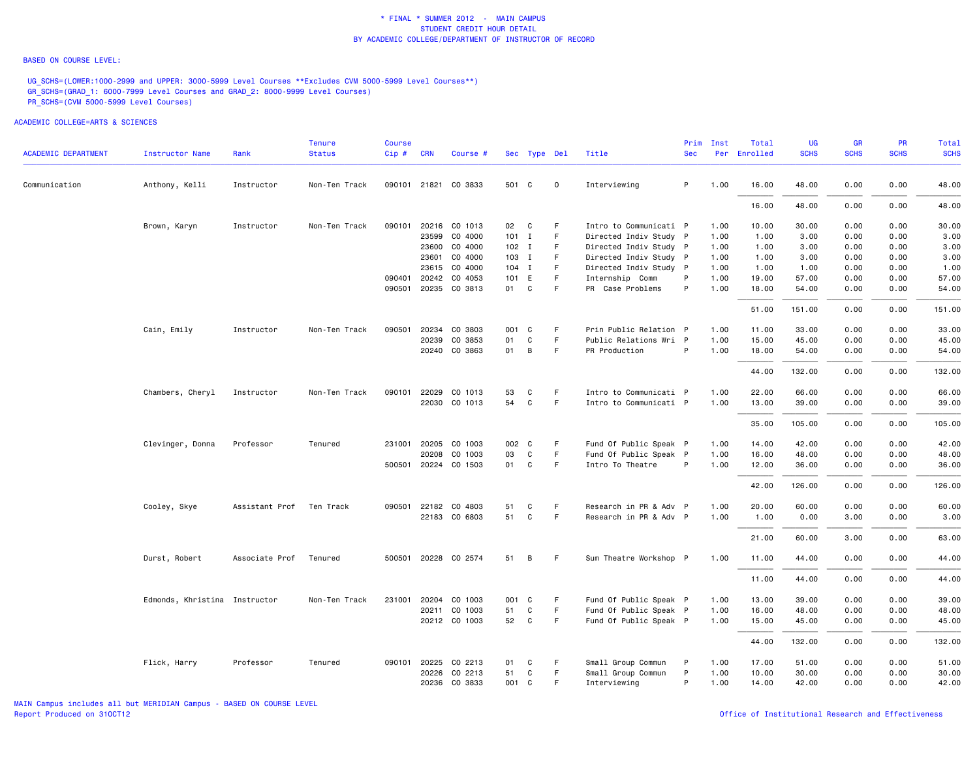#### BASED ON COURSE LEVEL:

UG\_SCHS=(LOWER:1000-2999 and UPPER: 3000-5999 Level Courses \*\*Excludes CVM 5000-5999 Level Courses\*\*) GR\_SCHS=(GRAD\_1: 6000-7999 Level Courses and GRAD\_2: 8000-9999 Level Courses) PR\_SCHS=(CVM 5000-5999 Level Courses)

| <b>ACADEMIC DEPARTMENT</b> | Instructor Name               | Rank           | <b>Tenure</b><br><b>Status</b> | <b>Course</b><br>Cip # CRN |              | Course #             |    | Sec Type Del |             | Title                  | <b>Sec</b> | Prim Inst | Total<br>Per Enrolled | <b>UG</b><br><b>SCHS</b> | <b>GR</b><br><b>SCHS</b> | <b>PR</b><br><b>SCHS</b> | Total<br><b>SCHS</b> |
|----------------------------|-------------------------------|----------------|--------------------------------|----------------------------|--------------|----------------------|----|--------------|-------------|------------------------|------------|-----------|-----------------------|--------------------------|--------------------------|--------------------------|----------------------|
| Communication              | Anthony, Kelli                | Instructor     | Non-Ten Track                  |                            |              | 090101 21821 CO 3833 |    | 501 C        | $\mathbf 0$ | Interviewing           | P          | 1.00      | 16.00                 | 48.00                    | 0.00                     | 0.00                     | 48.00                |
|                            |                               |                |                                |                            |              |                      |    |              |             |                        |            |           | 16.00                 | 48.00                    | 0.00                     | 0.00                     | 48.00                |
|                            | Brown, Karyn                  | Instructor     | Non-Ten Track                  | 090101                     |              | 20216 CO 1013        |    | 02 C         | F           | Intro to Communicati P |            | 1.00      | 10.00                 | 30.00                    | 0.00                     | 0.00                     | 30.00                |
|                            |                               |                |                                |                            | 23599        | CO 4000              |    | $101$ I      | F           | Directed Indiv Study P |            | 1.00      | 1.00                  | 3.00                     | 0.00                     | 0.00                     | 3.00                 |
|                            |                               |                |                                |                            |              | 23600 CO 4000        |    | $102$ I      | F.          | Directed Indiv Study P |            | 1.00      | 1.00                  | 3.00                     | 0.00                     | 0.00                     | 3.00                 |
|                            |                               |                |                                |                            |              | 23601 CO 4000        |    | 103 I        | F.          | Directed Indiv Study P |            | 1.00      | 1.00                  | 3.00                     | 0.00                     | 0.00                     | 3.00                 |
|                            |                               |                |                                |                            |              | 23615 CO 4000        |    | $104$ I      | -F          | Directed Indiv Study P |            | 1.00      | 1.00                  | 1.00                     | 0.00                     | 0.00                     | 1.00                 |
|                            |                               |                |                                | 090401                     | 20242        | CO 4053              |    | 101 E        | F.          | Internship Comm        | P          | 1.00      | 19.00                 | 57.00                    | 0.00                     | 0.00                     | 57.00                |
|                            |                               |                |                                | 090501                     |              | 20235 CO 3813        | 01 | C            | F           | PR Case Problems       | P          | 1.00      | 18.00                 | 54.00                    | 0.00                     | 0.00                     | 54.00                |
|                            |                               |                |                                |                            |              |                      |    |              |             |                        |            |           | 51.00                 | 151.00                   | 0.00                     | 0.00                     | 151.00               |
|                            | Cain, Emily                   | Instructor     | Non-Ten Track                  | 090501                     | 20234        | CO 3803              |    | 001 C        | F.          | Prin Public Relation P |            | 1.00      | 11.00                 | 33.00                    | 0.00                     | 0.00                     | 33.00                |
|                            |                               |                |                                |                            | 20239        | CO 3853              | 01 | C            | F           | Public Relations Wri P |            | 1.00      | 15.00                 | 45.00                    | 0.00                     | 0.00                     | 45.00                |
|                            |                               |                |                                |                            |              | 20240 CO 3863        | 01 | B            | F           | PR Production          | P          | 1.00      | 18.00                 | 54.00                    | 0.00                     | 0.00                     | 54.00                |
|                            |                               |                |                                |                            |              |                      |    |              |             |                        |            |           | 44.00                 | 132.00                   | 0.00                     | 0.00                     | 132.00               |
|                            | Chambers, Cheryl              | Instructor     | Non-Ten Track                  | 090101                     | 22029        | CO 1013              | 53 | C            | F.          | Intro to Communicati P |            | 1.00      | 22.00                 | 66.00                    | 0.00                     | 0.00                     | 66.00                |
|                            |                               |                |                                |                            |              | 22030 CO 1013        | 54 | C            | F.          | Intro to Communicati P |            | 1.00      | 13.00                 | 39.00                    | 0.00                     | 0.00                     | 39.00                |
|                            |                               |                |                                |                            |              |                      |    |              |             |                        |            |           | 35.00                 | 105.00                   | 0.00                     | 0.00                     | 105.00               |
|                            | Clevinger, Donna              | Professor      | Tenured                        |                            | 231001 20205 | CO 1003              |    | 002 C        | F           | Fund Of Public Speak P |            | 1.00      | 14.00                 | 42.00                    | 0.00                     | 0.00                     | 42.00                |
|                            |                               |                |                                |                            | 20208        | CO 1003              | 03 | C            | F.          | Fund Of Public Speak P |            | 1.00      | 16.00                 | 48.00                    | 0.00                     | 0.00                     | 48.00                |
|                            |                               |                |                                |                            |              | 500501 20224 CO 1503 | 01 | C            | F           | Intro To Theatre       | P          | 1.00      | 12.00                 | 36.00                    | 0.00                     | 0.00                     | 36.00                |
|                            |                               |                |                                |                            |              |                      |    |              |             |                        |            |           | 42.00                 | 126.00                   | 0.00                     | 0.00                     | 126.00               |
|                            | Cooley, Skye                  | Assistant Prof | Ten Track                      |                            |              | 090501 22182 CO 4803 | 51 | C            | F           | Research in PR & Adv P |            | 1.00      | 20.00                 | 60.00                    | 0.00                     | 0.00                     | 60.00                |
|                            |                               |                |                                |                            |              | 22183 CO 6803        | 51 | C            | F           | Research in PR & Adv P |            | 1.00      | 1.00                  | 0.00                     | 3.00                     | 0.00                     | 3.00                 |
|                            |                               |                |                                |                            |              |                      |    |              |             |                        |            |           | 21.00                 | 60.00                    | 3.00                     | 0.00                     | 63.00                |
|                            | Durst, Robert                 | Associate Prof | Tenured                        | 500501                     |              | 20228 CO 2574        | 51 | B            | - F         | Sum Theatre Workshop P |            | 1.00      | 11.00                 | 44.00                    | 0.00                     | 0.00                     | 44.00                |
|                            |                               |                |                                |                            |              |                      |    |              |             |                        |            |           | 11.00                 | 44.00                    | 0.00                     | 0.00                     | 44.00                |
|                            | Edmonds, Khristina Instructor |                | Non-Ten Track                  | 231001                     |              | 20204 CO 1003        |    | 001 C        | F.          | Fund Of Public Speak P |            | 1.00      | 13.00                 | 39.00                    | 0.00                     | 0.00                     | 39.00                |
|                            |                               |                |                                |                            | 20211        | CO 1003              | 51 | C            | F.          | Fund Of Public Speak P |            | 1.00      | 16.00                 | 48.00                    | 0.00                     | 0.00                     | 48.00                |
|                            |                               |                |                                |                            |              | 20212 CO 1003        | 52 | C            | F           | Fund Of Public Speak P |            | 1.00      | 15.00                 | 45.00                    | 0.00                     | 0.00                     | 45.00                |
|                            |                               |                |                                |                            |              |                      |    |              |             |                        |            |           | 44.00                 | 132.00                   | 0.00                     | 0.00                     | 132.00               |
|                            | Flick, Harry                  | Professor      | Tenured                        |                            | 090101 20225 | CO 2213              | 01 | C            | -F          | Small Group Commun     | P          | 1.00      | 17.00                 | 51.00                    | 0.00                     | 0.00                     | 51.00                |
|                            |                               |                |                                |                            | 20226        | CO 2213              | 51 | C            | F.          | Small Group Commun     | P          | 1.00      | 10.00                 | 30.00                    | 0.00                     | 0.00                     | 30.00                |
|                            |                               |                |                                |                            |              | 20236 CO 3833        |    | 001 C        | F.          | Interviewing           | P          | 1.00      | 14.00                 | 42.00                    | 0.00                     | 0.00                     | 42.00                |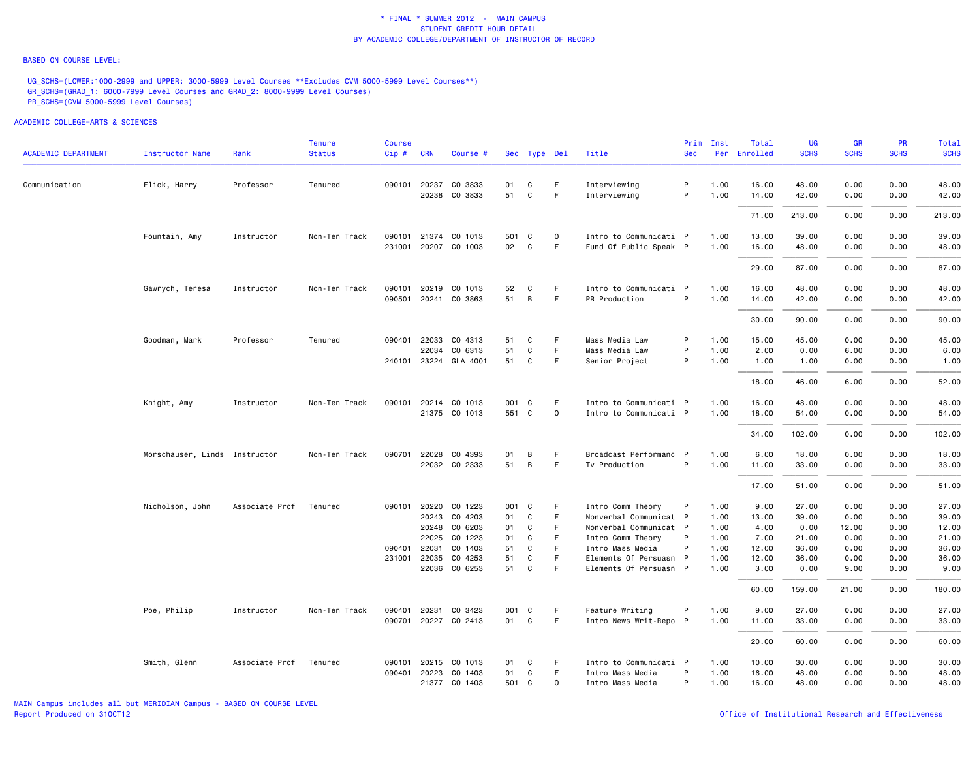#### BASED ON COURSE LEVEL:

UG\_SCHS=(LOWER:1000-2999 and UPPER: 3000-5999 Level Courses \*\*Excludes CVM 5000-5999 Level Courses\*\*) GR\_SCHS=(GRAD\_1: 6000-7999 Level Courses and GRAD\_2: 8000-9999 Level Courses) PR\_SCHS=(CVM 5000-5999 Level Courses)

| <b>ACADEMIC DEPARTMENT</b> | <b>Instructor Name</b>        | Rank           | Tenure<br><b>Status</b> | <b>Course</b><br>Cip# | <b>CRN</b>     | Course #                 |          | Sec Type Del     |              | Title                                       | Prim<br><b>Sec</b> | Inst         | Total<br>Per Enrolled | UG<br><b>SCHS</b> | <b>GR</b><br><b>SCHS</b> | <b>PR</b><br><b>SCHS</b> | Total<br><b>SCHS</b> |
|----------------------------|-------------------------------|----------------|-------------------------|-----------------------|----------------|--------------------------|----------|------------------|--------------|---------------------------------------------|--------------------|--------------|-----------------------|-------------------|--------------------------|--------------------------|----------------------|
|                            |                               |                |                         |                       |                |                          |          |                  |              |                                             |                    |              |                       |                   |                          |                          |                      |
| Communication              | Flick, Harry                  | Professor      | Tenured                 |                       | 090101 20237   | CO 3833<br>20238 CO 3833 | 01<br>51 | C<br>$\mathbf C$ | F.<br>F      | Interviewing                                | P<br>P             | 1.00         | 16.00                 | 48.00             | 0.00                     | 0.00                     | 48.00                |
|                            |                               |                |                         |                       |                |                          |          |                  |              | Interviewing                                |                    | 1.00         | 14.00                 | 42.00             | 0.00                     | 0.00                     | 42.00                |
|                            |                               |                |                         |                       |                |                          |          |                  |              |                                             |                    |              | 71.00                 | 213.00            | 0.00                     | 0.00                     | 213.00               |
|                            | Fountain, Amy                 | Instructor     | Non-Ten Track           |                       | 090101 21374   | CO 1013                  | 501 C    |                  | $\mathbf 0$  | Intro to Communicati P                      |                    | 1.00         | 13.00                 | 39.00             | 0.00                     | 0.00                     | 39.00                |
|                            |                               |                |                         |                       |                | 231001 20207 CO 1003     | 02       | C                | F            | Fund Of Public Speak P                      |                    | 1.00         | 16.00                 | 48.00             | 0.00                     | 0.00                     | 48.00                |
|                            |                               |                |                         |                       |                |                          |          |                  |              |                                             |                    |              | 29.00                 | 87.00             | 0.00                     | 0.00                     | 87.00                |
|                            | Gawrych, Teresa               | Instructor     | Non-Ten Track           |                       | 090101 20219   | CO 1013                  | 52       | C                | F.           | Intro to Communicati P                      |                    | 1.00         | 16.00                 | 48.00             | 0.00                     | 0.00                     | 48.00                |
|                            |                               |                |                         |                       |                | 090501 20241 CO 3863     | 51       | B                | $\mathsf F$  | PR Production                               | P                  | 1.00         | 14.00                 | 42.00             | 0.00                     | 0.00                     | 42.00                |
|                            |                               |                |                         |                       |                |                          |          |                  |              |                                             |                    |              | 30.00                 | 90.00             | 0.00                     | 0.00                     | 90.00                |
|                            | Goodman, Mark                 | Professor      | Tenured                 | 090401                | 22033          | CO 4313                  | 51       | C                | F.           | Mass Media Law                              | P                  | 1.00         | 15.00                 | 45.00             | 0.00                     | 0.00                     | 45.00                |
|                            |                               |                |                         |                       | 22034          | CO 6313                  | 51       | C                | F.           | Mass Media Law                              | P                  | 1.00         | 2.00                  | 0.00              | 6.00                     | 0.00                     | 6.00                 |
|                            |                               |                |                         |                       | 240101 23224   | GLA 4001                 | 51       | C                | F.           | Senior Project                              | P                  | 1.00         | 1.00                  | 1.00              | 0.00                     | 0.00                     | 1.00                 |
|                            |                               |                |                         |                       |                |                          |          |                  |              |                                             |                    |              | 18.00                 | 46.00             | 6.00                     | 0.00                     | 52.00                |
|                            | Knight, Amy                   | Instructor     | Non-Ten Track           |                       |                | 090101 20214 CO 1013     | 001 C    |                  | F            | Intro to Communicati P                      |                    | 1.00         | 16.00                 | 48.00             | 0.00                     | 0.00                     | 48.00                |
|                            |                               |                |                         |                       |                | 21375 CO 1013            | 551 C    |                  | $\mathsf{o}$ | Intro to Communicati P                      |                    | 1.00         | 18.00                 | 54.00             | 0.00                     | 0.00                     | 54.00                |
|                            |                               |                |                         |                       |                |                          |          |                  |              |                                             |                    |              | 34.00                 | 102.00            | 0.00                     | 0.00                     | 102.00               |
|                            | Morschauser, Linds Instructor |                | Non-Ten Track           | 090701                | 22028          | CO 4393                  | 01       | В                | F.           | Broadcast Performanc P                      |                    | 1.00         | 6.00                  | 18.00             | 0.00                     | 0.00                     | 18.00                |
|                            |                               |                |                         |                       |                | 22032 CO 2333            | 51       | B                | F.           | Tv Production                               | P                  | 1.00         | 11.00                 | 33.00             | 0.00                     | 0.00                     | 33.00                |
|                            |                               |                |                         |                       |                |                          |          |                  |              |                                             |                    |              | 17.00                 | 51.00             | 0.00                     | 0.00                     | 51.00                |
|                            | Nicholson, John               | Associate Prof | Tenured                 |                       |                | 090101 20220 CO 1223     | 001 C    |                  | F.           | Intro Comm Theory                           | P                  | 1.00         | 9.00                  | 27.00             | 0.00                     | 0.00                     | 27.00                |
|                            |                               |                |                         |                       | 20243          | CO 4203                  | 01       | C                | F            | Nonverbal Communicat P                      |                    | 1.00         | 13.00                 | 39.00             | 0.00                     | 0.00                     | 39.00                |
|                            |                               |                |                         |                       | 20248<br>22025 | CO 6203<br>CO 1223       | 01<br>01 | C<br>C           | F<br>F       | Nonverbal Communicat P<br>Intro Comm Theory | P                  | 1.00<br>1.00 | 4.00<br>7.00          | 0.00<br>21.00     | 12.00<br>0.00            | 0.00<br>0.00             | 12.00<br>21.00       |
|                            |                               |                |                         | 090401                | 22031          | CO 1403                  | 51       | C                | F            | Intro Mass Media                            | P                  | 1.00         | 12.00                 | 36.00             | 0.00                     | 0.00                     | 36.00                |
|                            |                               |                |                         |                       | 231001 22035   | CO 4253                  | 51       | C                | F.           | Elements Of Persuasn P                      |                    | 1.00         | 12.00                 | 36.00             | 0.00                     | 0.00                     | 36.00                |
|                            |                               |                |                         |                       |                | 22036 CO 6253            | 51       | C                | F            | Elements Of Persuasn P                      |                    | 1.00         | 3.00                  | 0.00              | 9.00                     | 0.00                     | 9.00                 |
|                            |                               |                |                         |                       |                |                          |          |                  |              |                                             |                    |              | 60.00                 | 159.00            | 21.00                    | 0.00                     | 180.00               |
|                            | Poe, Philip                   | Instructor     | Non-Ten Track           | 090401                | 20231          | CO 3423                  | 001      | C                | F            | Feature Writing                             | P                  | 1.00         | 9.00                  | 27.00             | 0.00                     | 0.00                     | 27.00                |
|                            |                               |                |                         |                       |                | 090701 20227 CO 2413     | 01       | C                | F.           | Intro News Writ-Repo P                      |                    | 1.00         | 11.00                 | 33.00             | 0.00                     | 0.00                     | 33.00                |
|                            |                               |                |                         |                       |                |                          |          |                  |              |                                             |                    |              | 20.00                 | 60.00             | 0.00                     | 0.00                     | 60.00                |
|                            | Smith, Glenn                  | Associate Prof | Tenured                 | 090101                | 20215          | CO 1013                  | 01       | C                | F.           | Intro to Communicati P                      |                    | 1.00         | 10.00                 | 30.00             | 0.00                     | 0.00                     | 30.00                |
|                            |                               |                |                         |                       | 090401 20223   | CO 1403                  | 01       | C                | F            | Intro Mass Media                            | P                  | 1.00         | 16.00                 | 48.00             | 0.00                     | 0.00                     | 48.00                |
|                            |                               |                |                         |                       |                | 21377 CO 1403            | 501 C    |                  | $\mathbf 0$  | Intro Mass Media                            | P                  | 1.00         | 16.00                 | 48.00             | 0.00                     | 0.00                     | 48.00                |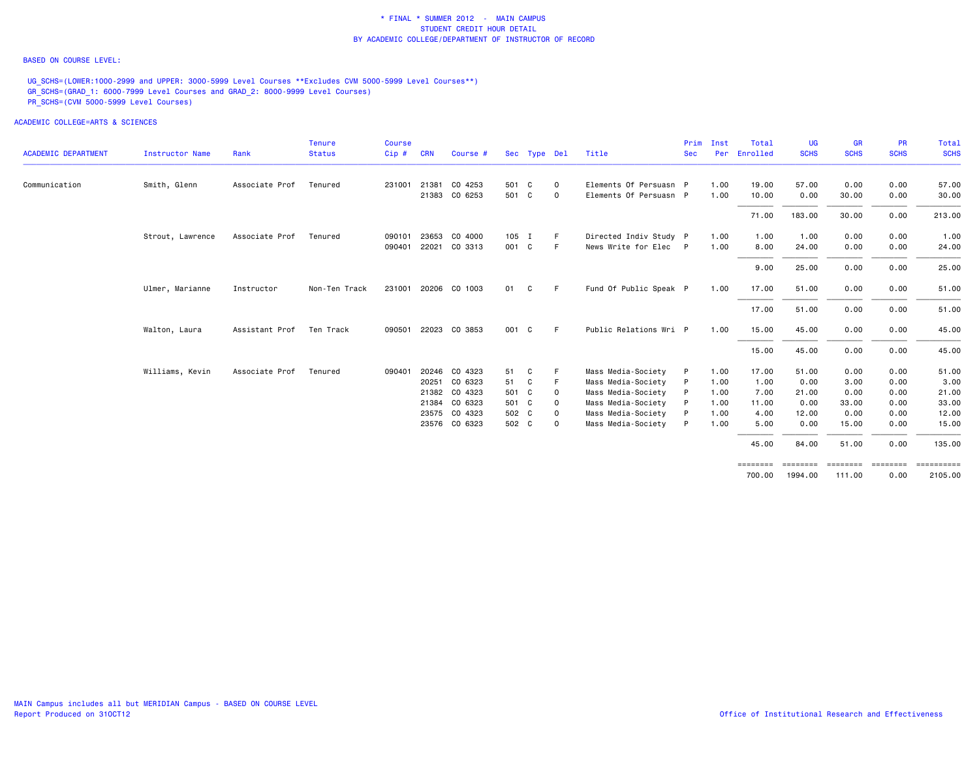### BASED ON COURSE LEVEL:

UG\_SCHS=(LOWER:1000-2999 and UPPER: 3000-5999 Level Courses \*\*Excludes CVM 5000-5999 Level Courses\*\*) GR\_SCHS=(GRAD\_1: 6000-7999 Level Courses and GRAD\_2: 8000-9999 Level Courses) PR\_SCHS=(CVM 5000-5999 Level Courses)

|                            |                        |                | <b>Tenure</b> | <b>Course</b> |            |                      |       |              |             |                        | Prim       | Inst | Total              | UG          | GR          | <b>PR</b>        | Total                 |
|----------------------------|------------------------|----------------|---------------|---------------|------------|----------------------|-------|--------------|-------------|------------------------|------------|------|--------------------|-------------|-------------|------------------|-----------------------|
| <b>ACADEMIC DEPARTMENT</b> | <b>Instructor Name</b> | Rank           | <b>Status</b> | Cip#          | <b>CRN</b> | Course #             |       | Sec Type Del |             | Title                  | <b>Sec</b> | Per  | Enrolled           | <b>SCHS</b> | <b>SCHS</b> | <b>SCHS</b>      | <b>SCHS</b>           |
| Communication              | Smith, Glenn           | Associate Prof | Tenured       | 231001        |            | 21381 CO 4253        | 501 C |              | 0           | Elements Of Persuasn P |            | 1.00 | 19.00              | 57.00       | 0.00        | 0.00             | 57.00                 |
|                            |                        |                |               |               | 21383      | CO 6253              | 501 C |              | $\mathbf 0$ | Elements Of Persuasn P |            | 1.00 | 10.00              | 0.00        | 30.00       | 0.00             | 30.00                 |
|                            |                        |                |               |               |            |                      |       |              |             |                        |            |      | 71.00              | 183.00      | 30.00       | 0.00             | 213.00                |
|                            | Strout, Lawrence       | Associate Prof | Tenured       | 090101        | 23653      | CO 4000              | 105 I |              | F           | Directed Indiv Study P |            | 1.00 | 1.00               | 1.00        | 0.00        | 0.00             | 1.00                  |
|                            |                        |                |               |               |            | 090401 22021 CO 3313 | 001 C |              | F.          | News Write for Elec P  |            | 1.00 | 8.00               | 24.00       | 0.00        | 0.00             | 24.00                 |
|                            |                        |                |               |               |            |                      |       |              |             |                        |            |      | 9.00               | 25.00       | 0.00        | 0.00             | 25.00                 |
|                            | Ulmer, Marianne        | Instructor     | Non-Ten Track |               |            | 231001 20206 CO 1003 | 01    | C            | F.          | Fund Of Public Speak P |            | 1.00 | 17.00              | 51.00       | 0.00        | 0.00             | 51.00                 |
|                            |                        |                |               |               |            |                      |       |              |             |                        |            |      | 17.00              | 51.00       | 0.00        | 0.00             | 51.00                 |
|                            | Walton, Laura          | Assistant Prof | Ten Track     |               |            | 090501 22023 CO 3853 | 001 C |              | E           | Public Relations Wri P |            | 1.00 | 15.00              | 45.00       | 0.00        | 0.00             | 45.00                 |
|                            |                        |                |               |               |            |                      |       |              |             |                        |            |      | 15.00              | 45.00       | 0.00        | 0.00             | 45.00                 |
|                            | Williams, Kevin        | Associate Prof | Tenured       | 090401        |            | 20246 CO 4323        | 51    | C            |             | Mass Media-Society     | P          | 1.00 | 17.00              | 51.00       | 0.00        | 0.00             | 51.00                 |
|                            |                        |                |               |               |            | 20251 CO 6323        | 51    | C            | F           | Mass Media-Society     | P          | 1.00 | 1.00               | 0.00        | 3.00        | 0.00             | 3.00                  |
|                            |                        |                |               |               |            | 21382 CO 4323        | 501 C |              | 0           | Mass Media-Society     | P          | 1.00 | 7.00               | 21.00       | 0.00        | 0.00             | 21.00                 |
|                            |                        |                |               |               |            | 21384 CO 6323        | 501 C |              | 0           | Mass Media-Society     | P          | 1.00 | 11.00              | 0.00        | 33.00       | 0.00             | 33.00                 |
|                            |                        |                |               |               |            | 23575 CO 4323        | 502 C |              | $\mathbf 0$ | Mass Media-Society     |            | 1.00 | 4.00               | 12.00       | 0.00        | 0.00             | 12.00                 |
|                            |                        |                |               |               |            | 23576 CO 6323        | 502 C |              | $\mathbf 0$ | Mass Media-Society     | P          | 1.00 | 5.00               | 0.00        | 15.00       | 0.00             | 15.00                 |
|                            |                        |                |               |               |            |                      |       |              |             |                        |            |      | 45.00              | 84.00       | 51.00       | 0.00             | 135.00                |
|                            |                        |                |               |               |            |                      |       |              |             |                        |            |      | ========<br>700.00 | 1994.00     | 111.00      | ========<br>0.00 | ==========<br>2105.00 |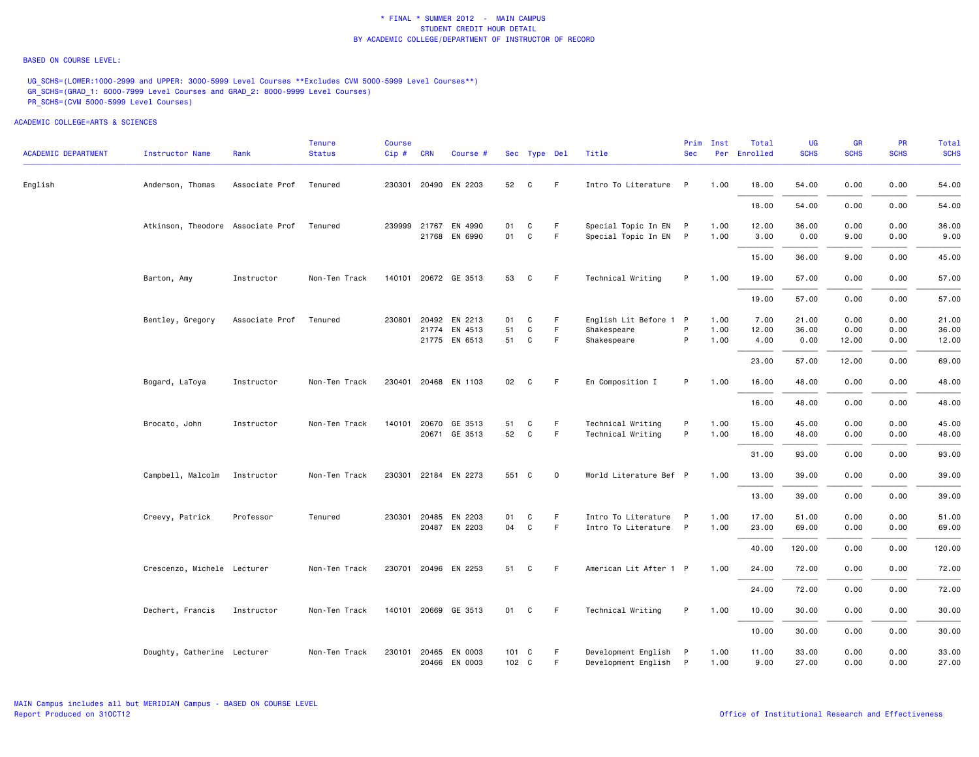#### BASED ON COURSE LEVEL:

UG\_SCHS=(LOWER:1000-2999 and UPPER: 3000-5999 Level Courses \*\*Excludes CVM 5000-5999 Level Courses\*\*) GR\_SCHS=(GRAD\_1: 6000-7999 Level Courses and GRAD\_2: 8000-9999 Level Courses) PR\_SCHS=(CVM 5000-5999 Level Courses)

| <b>ACADEMIC DEPARTMENT</b> | Instructor Name                   | Rank           | <b>Tenure</b><br><b>Status</b> | <b>Course</b><br>Cip# | <b>CRN</b> | Course #             |               | Sec Type Del |             | Title                  | Prim<br><b>Sec</b> | Inst | Total<br>Per Enrolled | UG<br><b>SCHS</b> | <b>GR</b><br><b>SCHS</b> | <b>PR</b><br><b>SCHS</b> | Total<br><b>SCHS</b> |
|----------------------------|-----------------------------------|----------------|--------------------------------|-----------------------|------------|----------------------|---------------|--------------|-------------|------------------------|--------------------|------|-----------------------|-------------------|--------------------------|--------------------------|----------------------|
| English                    | Anderson, Thomas                  | Associate Prof | Tenured                        |                       |            | 230301 20490 EN 2203 | 52            | C            | -F          | Intro To Literature P  |                    | 1.00 | 18.00                 | 54.00             | 0.00                     | 0.00                     | 54.00                |
|                            |                                   |                |                                |                       |            |                      |               |              |             |                        |                    |      | 18.00                 | 54.00             | 0.00                     | 0.00                     | 54.00                |
|                            | Atkinson, Theodore Associate Prof |                | Tenured                        |                       |            | 239999 21767 EN 4990 | 01            | C            | F.          | Special Topic In EN P  |                    | 1.00 | 12.00                 | 36.00             | 0.00                     | 0.00                     | 36.00                |
|                            |                                   |                |                                |                       |            | 21768 EN 6990        | 01            | $\mathtt{C}$ | F           | Special Topic In EN P  |                    | 1.00 | 3.00                  | 0.00              | 9.00                     | 0.00                     | 9.00                 |
|                            |                                   |                |                                |                       |            |                      |               |              |             |                        |                    |      | 15.00                 | 36.00             | 9.00                     | 0.00                     | 45.00                |
|                            | Barton, Amy                       | Instructor     | Non-Ten Track                  |                       |            | 140101 20672 GE 3513 | 53            | C            | - F         | Technical Writing      | P                  | 1.00 | 19.00                 | 57.00             | 0.00                     | 0.00                     | 57.00                |
|                            |                                   |                |                                |                       |            |                      |               |              |             |                        |                    |      | 19.00                 | 57.00             | 0.00                     | 0.00                     | 57.00                |
|                            | Bentley, Gregory                  | Associate Prof | Tenured                        |                       |            | 230801 20492 EN 2213 | 01            | C            | F.          | English Lit Before 1 P |                    | 1.00 | 7.00                  | 21.00             | 0.00                     | 0.00                     | 21.00                |
|                            |                                   |                |                                |                       |            | 21774 EN 4513        | 51            | $\mathtt{C}$ | F           | Shakespeare            | P                  | 1.00 | 12.00                 | 36.00             | 0.00                     | 0.00                     | 36.00                |
|                            |                                   |                |                                |                       |            | 21775 EN 6513        | 51            | C            | F.          | Shakespeare            | P                  | 1.00 | 4.00                  | 0.00              | 12.00                    | 0.00                     | 12.00                |
|                            |                                   |                |                                |                       |            |                      |               |              |             |                        |                    |      | 23.00                 | 57.00             | 12.00                    | 0.00                     | 69.00                |
|                            | Bogard, LaToya                    | Instructor     | Non-Ten Track                  |                       |            | 230401 20468 EN 1103 | 02            | C            | -F          | En Composition I       | P                  | 1.00 | 16.00                 | 48.00             | 0.00                     | 0.00                     | 48.00                |
|                            |                                   |                |                                |                       |            |                      |               |              |             |                        |                    |      | 16.00                 | 48.00             | 0.00                     | 0.00                     | 48.00                |
|                            | Brocato, John                     | Instructor     | Non-Ten Track                  | 140101                | 20670      | GE 3513              | 51            | C            | F           | Technical Writing      | P                  | 1.00 | 15.00                 | 45.00             | 0.00                     | 0.00                     | 45.00                |
|                            |                                   |                |                                |                       |            | 20671 GE 3513        | 52            | $\mathtt{C}$ | F           | Technical Writing      | P                  | 1.00 | 16.00                 | 48.00             | 0.00                     | 0.00                     | 48.00                |
|                            |                                   |                |                                |                       |            |                      |               |              |             |                        |                    |      | 31.00                 | 93.00             | 0.00                     | 0.00                     | 93.00                |
|                            | Campbell, Malcolm                 | Instructor     | Non-Ten Track                  |                       |            | 230301 22184 EN 2273 | 551 C         |              | $\mathbf 0$ | World Literature Bef P |                    | 1.00 | 13.00                 | 39.00             | 0.00                     | 0.00                     | 39.00                |
|                            |                                   |                |                                |                       |            |                      |               |              |             |                        |                    |      | 13.00                 | 39,00             | 0.00                     | 0.00                     | 39.00                |
|                            | Creevy, Patrick                   | Professor      | Tenured                        |                       |            | 230301 20485 EN 2203 | 01            | C            | F           | Intro To Literature P  |                    | 1.00 | 17.00                 | 51.00             | 0.00                     | 0.00                     | 51.00                |
|                            |                                   |                |                                |                       |            | 20487 EN 2203        | 04            | $\mathtt{C}$ | F           | Intro To Literature P  |                    | 1.00 | 23.00                 | 69.00             | 0.00                     | 0.00                     | 69.00                |
|                            |                                   |                |                                |                       |            |                      |               |              |             |                        |                    |      | 40.00                 | 120.00            | 0.00                     | 0.00                     | 120.00               |
|                            | Crescenzo, Michele Lecturer       |                | Non-Ten Track                  |                       |            | 230701 20496 EN 2253 | 51            | C            | - F         | American Lit After 1 P |                    | 1.00 | 24.00                 | 72.00             | 0.00                     | 0.00                     | 72.00                |
|                            |                                   |                |                                |                       |            |                      |               |              |             |                        |                    |      | 24.00                 | 72.00             | 0.00                     | 0.00                     | 72.00                |
|                            | Dechert, Francis                  | Instructor     | Non-Ten Track                  |                       |            | 140101 20669 GE 3513 | 01 C          |              | F.          | Technical Writing      | P                  | 1.00 | 10.00                 | 30.00             | 0.00                     | 0.00                     | 30.00                |
|                            |                                   |                |                                |                       |            |                      |               |              |             |                        |                    |      | 10.00                 | 30.00             | 0.00                     | 0.00                     | 30.00                |
|                            | Doughty, Catherine Lecturer       |                | Non-Ten Track                  |                       |            | 230101 20465 EN 0003 | $101 \quad C$ |              | F.          | Development English P  |                    | 1.00 | 11.00                 | 33.00             | 0.00                     | 0.00                     | 33.00                |
|                            |                                   |                |                                |                       |            | 20466 EN 0003        | 102 C         |              | F           | Development English P  |                    | 1.00 | 9.00                  | 27.00             | 0.00                     | 0.00                     | 27.00                |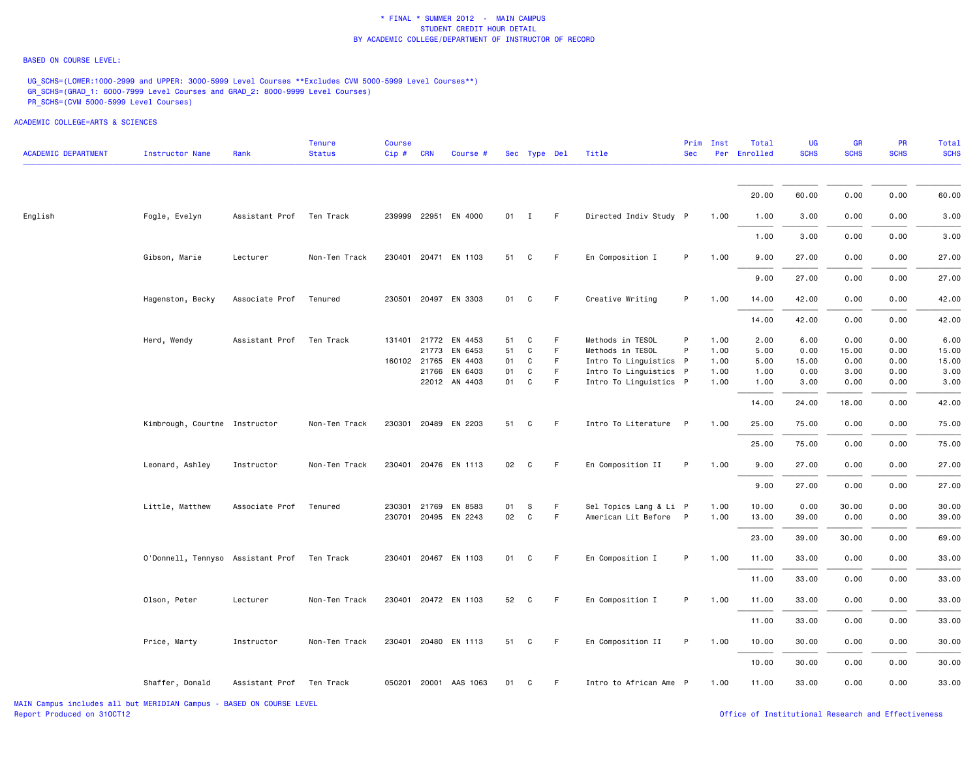#### BASED ON COURSE LEVEL:

UG\_SCHS=(LOWER:1000-2999 and UPPER: 3000-5999 Level Courses \*\*Excludes CVM 5000-5999 Level Courses\*\*) GR\_SCHS=(GRAD\_1: 6000-7999 Level Courses and GRAD\_2: 8000-9999 Level Courses) PR\_SCHS=(CVM 5000-5999 Level Courses)

| <b>ACADEMIC DEPARTMENT</b> | <b>Instructor Name</b>                      | Rank                     | <b>Tenure</b><br><b>Status</b> | <b>Course</b><br>Cip# | <b>CRN</b>                     | Course #                                 |                      | Sec Type Del                           |                    | Title                                                                                    | <b>Sec</b> | Prim Inst                    | Total<br>Per Enrolled        | <b>UG</b><br><b>SCHS</b>      | <b>GR</b><br><b>SCHS</b>      | <b>PR</b><br><b>SCHS</b>     | Total<br><b>SCHS</b>           |
|----------------------------|---------------------------------------------|--------------------------|--------------------------------|-----------------------|--------------------------------|------------------------------------------|----------------------|----------------------------------------|--------------------|------------------------------------------------------------------------------------------|------------|------------------------------|------------------------------|-------------------------------|-------------------------------|------------------------------|--------------------------------|
|                            |                                             |                          |                                |                       |                                |                                          |                      |                                        |                    |                                                                                          |            |                              | 20.00                        | 60.00                         | 0.00                          | 0.00                         | 60.00                          |
| English                    | Fogle, Evelyn                               | Assistant Prof Ten Track |                                |                       |                                | 239999 22951 EN 4000                     |                      | 01 I                                   | F                  | Directed Indiv Study P                                                                   |            | 1.00                         | 1.00                         | 3.00                          | 0.00                          | 0.00                         | 3.00                           |
|                            |                                             |                          |                                |                       |                                |                                          |                      |                                        |                    |                                                                                          |            |                              | 1.00                         | 3.00                          | 0.00                          | 0.00                         | 3.00                           |
|                            | Gibson, Marie                               | Lecturer                 | Non-Ten Track                  |                       |                                | 230401 20471 EN 1103                     | 51                   | C                                      | F                  | En Composition I                                                                         | P          | 1.00                         | 9.00                         | 27.00                         | 0.00                          | 0.00                         | 27.00                          |
|                            |                                             |                          |                                |                       |                                |                                          |                      |                                        |                    |                                                                                          |            |                              | 9.00                         | 27.00                         | 0.00                          | 0.00                         | 27.00                          |
|                            | Hagenston, Becky                            | Associate Prof           | Tenured                        |                       |                                | 230501 20497 EN 3303                     | 01                   | C                                      | F                  | Creative Writing                                                                         | P          | 1.00                         | 14.00                        | 42.00                         | 0.00                          | 0.00                         | 42.00                          |
|                            |                                             |                          |                                |                       |                                |                                          |                      |                                        |                    |                                                                                          |            |                              | 14.00                        | 42.00                         | 0.00                          | 0.00                         | 42.00                          |
|                            | Herd, Wendy                                 | Assistant Prof           | Ten Track                      | 160102 21765          | 131401 21772<br>21773<br>21766 | EN 4453<br>EN 6453<br>EN 4403<br>EN 6403 | 51<br>51<br>01<br>01 | C<br>$\mathtt{C}$<br>C<br>$\mathtt{C}$ | F<br>F<br>F.<br>F. | Methods in TESOL<br>Methods in TESOL<br>Intro To Linguistics P<br>Intro To Linguistics P | P<br>P     | 1.00<br>1.00<br>1.00<br>1.00 | 2.00<br>5.00<br>5.00<br>1.00 | 6.00<br>0.00<br>15.00<br>0.00 | 0.00<br>15.00<br>0.00<br>3.00 | 0.00<br>0.00<br>0.00<br>0.00 | 6.00<br>15.00<br>15.00<br>3.00 |
|                            |                                             |                          |                                |                       |                                | 22012 AN 4403                            | 01                   | C                                      | F.                 | Intro To Linguistics P                                                                   |            | 1.00                         | 1.00                         | 3.00                          | 0.00                          | 0.00                         | 3.00                           |
|                            |                                             |                          |                                |                       |                                |                                          |                      |                                        |                    |                                                                                          |            |                              | 14.00                        | 24.00                         | 18.00                         | 0.00                         | 42.00                          |
|                            | Kimbrough, Courtne Instructor               |                          | Non-Ten Track                  |                       |                                | 230301 20489 EN 2203                     | 51                   | C                                      | F.                 | Intro To Literature P                                                                    |            | 1.00                         | 25.00                        | 75.00                         | 0.00                          | 0.00                         | 75.00                          |
|                            |                                             |                          |                                |                       |                                |                                          |                      |                                        |                    |                                                                                          |            |                              | 25.00                        | 75.00                         | 0.00                          | 0.00                         | 75.00                          |
|                            | Leonard, Ashley                             | Instructor               | Non-Ten Track                  |                       |                                | 230401 20476 EN 1113                     |                      | 02 C                                   | F.                 | En Composition II                                                                        | P          | 1.00                         | 9.00<br>9.00                 | 27.00<br>27.00                | 0.00<br>0.00                  | 0.00<br>0.00                 | 27.00<br>27.00                 |
|                            | Little, Matthew                             | Associate Prof           | Tenured                        |                       |                                | 230301 21769 EN 8583                     | 01                   | s                                      | F.                 | Sel Topics Lang & Li P                                                                   |            | 1.00                         | 10.00                        | 0.00                          | 30.00                         | 0.00                         | 30.00                          |
|                            |                                             |                          |                                |                       |                                | 230701 20495 EN 2243                     | 02                   | $\mathtt{C}$                           | F.                 | American Lit Before P                                                                    |            | 1.00                         | 13.00                        | 39.00                         | 0.00                          | 0.00                         | 39.00                          |
|                            |                                             |                          |                                |                       |                                |                                          |                      |                                        |                    |                                                                                          |            |                              | 23.00                        | 39.00                         | 30.00                         | 0.00                         | 69.00                          |
|                            | O'Donnell, Tennyso Assistant Prof Ten Track |                          |                                |                       |                                | 230401 20467 EN 1103                     | 01                   | C                                      | F.                 | En Composition I                                                                         | P          | 1.00                         | 11.00                        | 33.00                         | 0.00                          | 0.00                         | 33.00                          |
|                            |                                             |                          |                                |                       |                                |                                          |                      |                                        |                    |                                                                                          |            |                              | 11.00                        | 33.00                         | 0.00                          | 0.00                         | 33.00                          |
|                            | Olson, Peter                                | Lecturer                 | Non-Ten Track                  |                       |                                | 230401 20472 EN 1103                     | 52                   | C                                      | F                  | En Composition I                                                                         | P          | 1.00                         | 11.00                        | 33.00                         | 0.00                          | 0.00                         | 33.00                          |
|                            |                                             |                          |                                |                       |                                |                                          |                      |                                        |                    |                                                                                          |            |                              | 11.00                        | 33.00                         | 0.00                          | 0.00                         | 33.00                          |
|                            | Price, Marty                                | Instructor               | Non-Ten Track                  |                       |                                | 230401 20480 EN 1113                     | 51                   | C                                      | F.                 | En Composition II                                                                        | P          | 1.00                         | 10.00                        | 30.00                         | 0.00                          | 0.00                         | 30.00                          |
|                            |                                             |                          |                                |                       |                                |                                          |                      |                                        |                    |                                                                                          |            |                              | 10.00                        | 30.00                         | 0.00                          | 0.00                         | 30.00                          |
|                            | Shaffer, Donald                             | Assistant Prof           | Ten Track                      |                       |                                | 050201 20001 AAS 1063                    | 01                   | C                                      | F.                 | Intro to African Ame P                                                                   |            | 1.00                         | 11.00                        | 33.00                         | 0.00                          | 0.00                         | 33.00                          |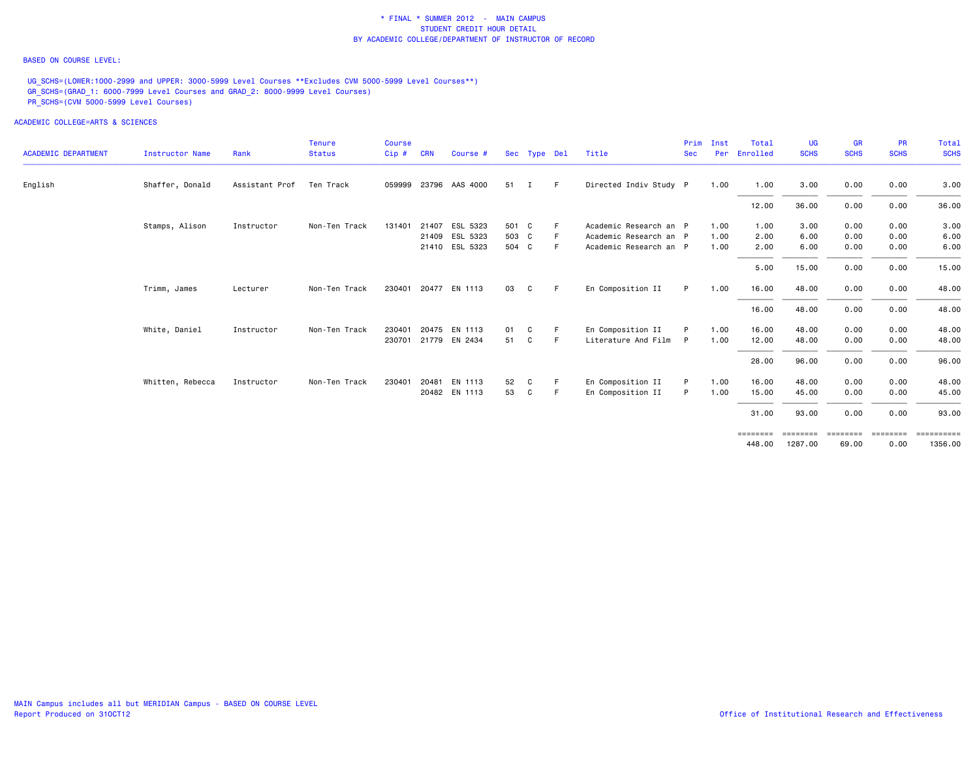### BASED ON COURSE LEVEL:

UG\_SCHS=(LOWER:1000-2999 and UPPER: 3000-5999 Level Courses \*\*Excludes CVM 5000-5999 Level Courses\*\*) GR\_SCHS=(GRAD\_1: 6000-7999 Level Courses and GRAD\_2: 8000-9999 Level Courses) PR\_SCHS=(CVM 5000-5999 Level Courses)

|                            |                        |                | Tenure        | <b>Course</b> |            |                      |       |              |    |                        | Prim       | Inst | Total    | <b>UG</b>   | <b>GR</b>   | PR          | <b>Total</b>            |
|----------------------------|------------------------|----------------|---------------|---------------|------------|----------------------|-------|--------------|----|------------------------|------------|------|----------|-------------|-------------|-------------|-------------------------|
| <b>ACADEMIC DEPARTMENT</b> | <b>Instructor Name</b> | Rank           | <b>Status</b> | Cip#          | <b>CRN</b> | Course #             |       | Sec Type Del |    | Title                  | <b>Sec</b> | Per  | Enrolled | <b>SCHS</b> | <b>SCHS</b> | <b>SCHS</b> | <b>SCHS</b>             |
| English                    | Shaffer, Donald        | Assistant Prof | Ten Track     | 059999        |            | 23796 AAS 4000       | 51    | Т.           | -F | Directed Indiv Study P |            | 1.00 | 1.00     | 3.00        | 0.00        | 0.00        | 3.00                    |
|                            |                        |                |               |               |            |                      |       |              |    |                        |            |      | 12.00    | 36.00       | 0.00        | 0.00        | 36.00                   |
|                            | Stamps, Alison         | Instructor     | Non-Ten Track | 131401        | 21407      | ESL 5323             | 501 C |              | -F | Academic Research an P |            | 1.00 | 1.00     | 3.00        | 0.00        | 0.00        | 3.00                    |
|                            |                        |                |               |               |            | 21409 ESL 5323       | 503 C |              |    | Academic Research an P |            | 1.00 | 2.00     | 6.00        | 0.00        | 0.00        | 6.00                    |
|                            |                        |                |               |               |            | 21410 ESL 5323       | 504 C |              | -F | Academic Research an P |            | 1.00 | 2.00     | 6.00        | 0.00        | 0.00        | 6.00                    |
|                            |                        |                |               |               |            |                      |       |              |    |                        |            |      | 5.00     | 15.00       | 0.00        | 0.00        | 15.00                   |
|                            | Trimm, James           | Lecturer       | Non-Ten Track |               |            | 230401 20477 EN 1113 | 03    | C            | -F | En Composition II      | P          | 1.00 | 16.00    | 48.00       | 0.00        | 0.00        | 48.00                   |
|                            |                        |                |               |               |            |                      |       |              |    |                        |            |      | 16.00    | 48.00       | 0.00        | 0.00        | 48.00                   |
|                            | White, Daniel          | Instructor     | Non-Ten Track | 230401        |            | 20475 EN 1113        | 01    | C            | F. | En Composition II      | P          | 1.00 | 16.00    | 48.00       | 0.00        | 0.00        | 48.00                   |
|                            |                        |                |               |               |            | 230701 21779 EN 2434 | 51    | C            | -F | Literature And Film    | P          | 1.00 | 12.00    | 48.00       | 0.00        | 0.00        | 48.00                   |
|                            |                        |                |               |               |            |                      |       |              |    |                        |            |      | 28.00    | 96.00       | 0.00        | 0.00        | 96.00                   |
|                            | Whitten, Rebecca       | Instructor     | Non-Ten Track | 230401        | 20481      | EN 1113              | 52    | C            | -F | En Composition II      | P          | 1.00 | 16.00    | 48.00       | 0.00        | 0.00        | 48.00                   |
|                            |                        |                |               |               |            | 20482 EN 1113        | 53    | C            | F. | En Composition II      | P          | 1.00 | 15.00    | 45.00       | 0.00        | 0.00        | 45.00                   |
|                            |                        |                |               |               |            |                      |       |              |    |                        |            |      | 31.00    | 93.00       | 0.00        | 0.00        | 93.00                   |
|                            |                        |                |               |               |            |                      |       |              |    |                        |            |      | ======== | ========    | ========    | ========    | $=$ = = = = = = = = = = |
|                            |                        |                |               |               |            |                      |       |              |    |                        |            |      | 448,00   | 1287.00     | 69.00       | 0.00        | 1356.00                 |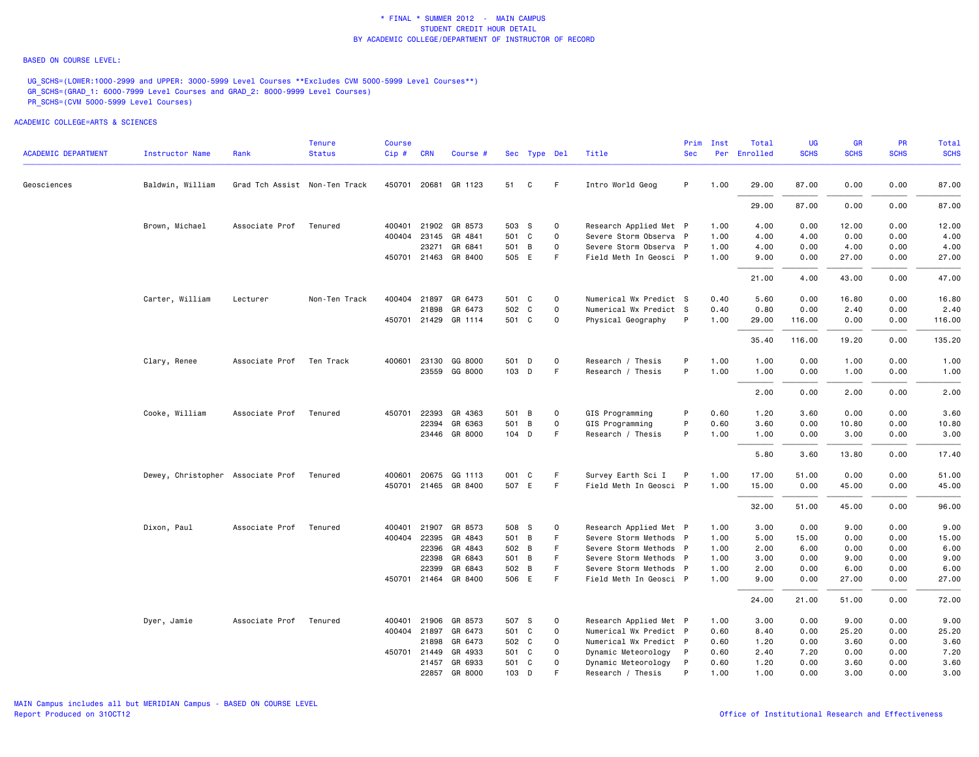#### BASED ON COURSE LEVEL:

UG\_SCHS=(LOWER:1000-2999 and UPPER: 3000-5999 Level Courses \*\*Excludes CVM 5000-5999 Level Courses\*\*) GR\_SCHS=(GRAD\_1: 6000-7999 Level Courses and GRAD\_2: 8000-9999 Level Courses) PR\_SCHS=(CVM 5000-5999 Level Courses)

| <b>ACADEMIC DEPARTMENT</b> | Instructor Name                   | Rank                          | <b>Tenure</b><br><b>Status</b> | <b>Course</b><br>Cip# | <b>CRN</b>   | Course #             |       | Sec Type Del |             | Title                  | Prim<br><b>Sec</b> | Inst | Total<br>Per Enrolled | UG<br><b>SCHS</b> | <b>GR</b><br><b>SCHS</b> | <b>PR</b><br><b>SCHS</b> | Total<br><b>SCHS</b> |
|----------------------------|-----------------------------------|-------------------------------|--------------------------------|-----------------------|--------------|----------------------|-------|--------------|-------------|------------------------|--------------------|------|-----------------------|-------------------|--------------------------|--------------------------|----------------------|
|                            |                                   |                               |                                |                       |              |                      |       |              |             |                        |                    |      |                       |                   |                          |                          |                      |
| Geosciences                | Baldwin, William                  | Grad Tch Assist Non-Ten Track |                                |                       |              | 450701 20681 GR 1123 | 51    | C            | F.          | Intro World Geog       | P                  | 1.00 | 29.00                 | 87.00             | 0.00                     | 0.00                     | 87.00                |
|                            |                                   |                               |                                |                       |              |                      |       |              |             |                        |                    |      | 29.00                 | 87.00             | 0.00                     | 0.00                     | 87.00                |
|                            | Brown, Michael                    | Associate Prof                | Tenured                        |                       |              | 400401 21902 GR 8573 | 503 S |              | 0           | Research Applied Met P |                    | 1.00 | 4.00                  | 0.00              | 12.00                    | 0.00                     | 12.00                |
|                            |                                   |                               |                                |                       |              | 400404 23145 GR 4841 | 501 C |              | $\mathbf 0$ | Severe Storm Observa P |                    | 1.00 | 4.00                  | 4.00              | 0.00                     | 0.00                     | 4.00                 |
|                            |                                   |                               |                                |                       | 23271        | GR 6841              | 501 B |              | $\mathbf 0$ | Severe Storm Observa P |                    | 1.00 | 4.00                  | 0.00              | 4.00                     | 0.00                     | 4.00                 |
|                            |                                   |                               |                                |                       |              | 450701 21463 GR 8400 | 505 E |              | F           | Field Meth In Geosci P |                    | 1.00 | 9.00                  | 0.00              | 27.00                    | 0.00                     | 27.00                |
|                            |                                   |                               |                                |                       |              |                      |       |              |             |                        |                    |      | 21.00                 | 4.00              | 43.00                    | 0.00                     | 47.00                |
|                            | Carter, William                   | Lecturer                      | Non-Ten Track                  |                       |              | 400404 21897 GR 6473 | 501 C |              | 0           | Numerical Wx Predict S |                    | 0.40 | 5.60                  | 0.00              | 16.80                    | 0.00                     | 16.80                |
|                            |                                   |                               |                                |                       |              | 21898 GR 6473        | 502 C |              | $\mathbf 0$ | Numerical Wx Predict S |                    | 0.40 | 0.80                  | 0.00              | 2.40                     | 0.00                     | 2.40                 |
|                            |                                   |                               |                                |                       |              | 450701 21429 GR 1114 | 501 C |              | 0           | Physical Geography     | P                  | 1.00 | 29.00                 | 116.00            | 0.00                     | 0.00                     | 116.00               |
|                            |                                   |                               |                                |                       |              |                      |       |              |             |                        |                    |      | 35.40                 | 116.00            | 19.20                    | 0.00                     | 135.20               |
|                            | Clary, Renee                      | Associate Prof                | Ten Track                      | 400601                | 23130        | GG 8000              | 501   | D            | $\mathbf 0$ | Research / Thesis      | P                  | 1.00 | 1.00                  | 0.00              | 1.00                     | 0.00                     | 1.00                 |
|                            |                                   |                               |                                |                       |              | 23559 GG 8000        | 103 D |              | F           | Research / Thesis      | P                  | 1.00 | 1.00                  | 0.00              | 1.00                     | 0.00                     | 1.00                 |
|                            |                                   |                               |                                |                       |              |                      |       |              |             |                        |                    |      | 2.00                  | 0.00              | 2.00                     | 0.00                     | 2.00                 |
|                            | Cooke, William                    | Associate Prof                | Tenured                        | 450701                | 22393        | GR 4363              | 501 B |              | 0           | GIS Programming        | P                  | 0.60 | 1.20                  | 3.60              | 0.00                     | 0.00                     | 3.60                 |
|                            |                                   |                               |                                |                       | 22394        | GR 6363              | 501   | B            | $\mathbf 0$ | GIS Programming        | P                  | 0.60 | 3.60                  | 0.00              | 10.80                    | 0.00                     | 10.80                |
|                            |                                   |                               |                                |                       |              | 23446 GR 8000        | 104 D |              | F           | Research / Thesis      | P                  | 1.00 | 1.00                  | 0.00              | 3.00                     | 0.00                     | 3.00                 |
|                            |                                   |                               |                                |                       |              |                      |       |              |             |                        |                    |      | 5.80                  | 3.60              | 13.80                    | 0.00                     | 17.40                |
|                            | Dewey, Christopher Associate Prof |                               | Tenured                        |                       |              | 400601 20675 GG 1113 | 001   | C            | F           | Survey Earth Sci I     | P                  | 1.00 | 17.00                 | 51.00             | 0.00                     | 0.00                     | 51.00                |
|                            |                                   |                               |                                |                       |              | 450701 21465 GR 8400 | 507 E |              | F.          | Field Meth In Geosci P |                    | 1.00 | 15.00                 | 0.00              | 45.00                    | 0.00                     | 45.00                |
|                            |                                   |                               |                                |                       |              |                      |       |              |             |                        |                    |      | 32.00                 | 51.00             | 45.00                    | 0.00                     | 96.00                |
|                            | Dixon, Paul                       | Associate Prof                | Tenured                        | 400401                | 21907        | GR 8573              | 508 S |              | 0           | Research Applied Met P |                    | 1.00 | 3.00                  | 0.00              | 9.00                     | 0.00                     | 9.00                 |
|                            |                                   |                               |                                |                       | 400404 22395 | GR 4843              | 501 B |              | F           | Severe Storm Methods P |                    | 1.00 | 5.00                  | 15.00             | 0.00                     | 0.00                     | 15.00                |
|                            |                                   |                               |                                |                       | 22396        | GR 4843              | 502 B |              | F.          | Severe Storm Methods P |                    | 1.00 | 2.00                  | 6.00              | 0.00                     | 0.00                     | 6.00                 |
|                            |                                   |                               |                                |                       | 22398        | GR 6843              | 501 B |              | F           | Severe Storm Methods P |                    | 1.00 | 3.00                  | 0.00              | 9.00                     | 0.00                     | 9.00                 |
|                            |                                   |                               |                                |                       | 22399        | GR 6843              | 502 B |              | F.          | Severe Storm Methods P |                    | 1.00 | 2.00                  | 0.00              | 6.00                     | 0.00                     | 6.00                 |
|                            |                                   |                               |                                |                       |              | 450701 21464 GR 8400 | 506 E |              | F.          | Field Meth In Geosci P |                    | 1.00 | 9.00                  | 0.00              | 27.00                    | 0.00                     | 27.00                |
|                            |                                   |                               |                                |                       |              |                      |       |              |             |                        |                    |      | 24.00                 | 21.00             | 51.00                    | 0.00                     | 72.00                |
|                            | Dyer, Jamie                       | Associate Prof                | Tenured                        |                       | 400401 21906 | GR 8573              | 507 S |              | 0           | Research Applied Met P |                    | 1.00 | 3.00                  | 0.00              | 9.00                     | 0.00                     | 9.00                 |
|                            |                                   |                               |                                |                       | 400404 21897 | GR 6473              | 501 C |              | $\Omega$    | Numerical Wx Predict P |                    | 0.60 | 8.40                  | 0.00              | 25.20                    | 0.00                     | 25.20                |
|                            |                                   |                               |                                |                       | 21898        | GR 6473              | 502 C |              | $\mathbf 0$ | Numerical Wx Predict P |                    | 0.60 | 1.20                  | 0.00              | 3.60                     | 0.00                     | 3.60                 |
|                            |                                   |                               |                                |                       | 450701 21449 | GR 4933              | 501 C |              | $\mathbf 0$ | Dynamic Meteorology    | $\mathsf{P}$       | 0.60 | 2.40                  | 7.20              | 0.00                     | 0.00                     | 7.20                 |
|                            |                                   |                               |                                |                       | 21457        | GR 6933              | 501 C |              | $\mathbf 0$ | Dynamic Meteorology    | P                  | 0.60 | 1.20                  | 0.00              | 3.60                     | 0.00                     | 3.60                 |
|                            |                                   |                               |                                |                       | 22857        | GR 8000              | 103 D |              | F           | Research / Thesis      | P                  | 1.00 | 1.00                  | 0.00              | 3.00                     | 0.00                     | 3.00                 |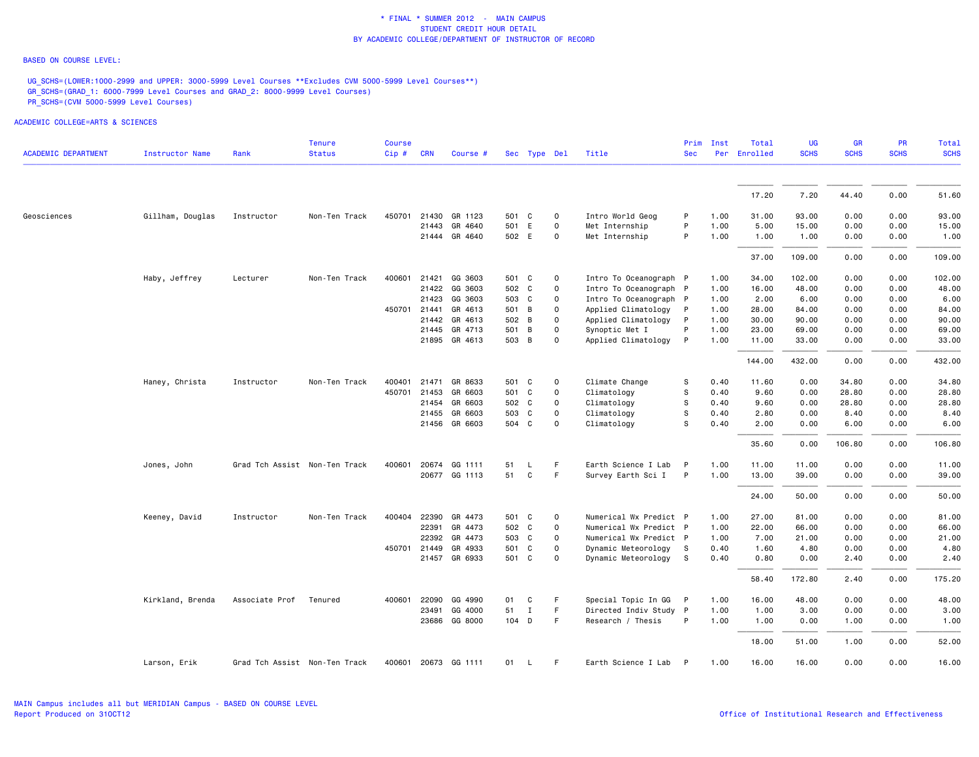### BASED ON COURSE LEVEL:

UG\_SCHS=(LOWER:1000-2999 and UPPER: 3000-5999 Level Courses \*\*Excludes CVM 5000-5999 Level Courses\*\*) GR\_SCHS=(GRAD\_1: 6000-7999 Level Courses and GRAD\_2: 8000-9999 Level Courses) PR\_SCHS=(CVM 5000-5999 Level Courses)

| <b>ACADEMIC DEPARTMENT</b><br><b>Status</b><br><b>Instructor Name</b><br>Rank<br>Cip#<br><b>CRN</b><br>Title<br>Course #<br>Sec Type Del<br>21430 GR 1123<br>Intro World Geog<br>Gillham, Douglas<br>Non-Ten Track<br>450701<br>501 C<br>$\mathbf 0$<br>Geosciences<br>Instructor<br>GR 4640<br>501 E<br>Met Internship<br>21443<br>$\mathbf 0$ | <b>Sec</b><br>P<br>P<br>P | Per<br>1.00<br>1.00 | Enrolled<br>17.20 | <b>SCHS</b><br>7.20 | <b>SCHS</b><br>44.40 | <b>SCHS</b> | <b>SCHS</b> |
|-------------------------------------------------------------------------------------------------------------------------------------------------------------------------------------------------------------------------------------------------------------------------------------------------------------------------------------------------|---------------------------|---------------------|-------------------|---------------------|----------------------|-------------|-------------|
|                                                                                                                                                                                                                                                                                                                                                 |                           |                     |                   |                     |                      |             |             |
|                                                                                                                                                                                                                                                                                                                                                 |                           |                     |                   |                     |                      |             | 51.60       |
|                                                                                                                                                                                                                                                                                                                                                 |                           |                     |                   |                     |                      | 0.00        |             |
|                                                                                                                                                                                                                                                                                                                                                 |                           |                     | 31.00             | 93.00               | 0.00                 | 0.00        | 93.00       |
|                                                                                                                                                                                                                                                                                                                                                 |                           |                     | 5.00              | 15.00               | 0.00                 | 0.00        | 15.00       |
| 502 E<br>21444 GR 4640<br>$\mathbf 0$<br>Met Internship                                                                                                                                                                                                                                                                                         |                           | 1.00                | 1.00              | 1.00                | 0.00                 | 0.00        | 1.00        |
|                                                                                                                                                                                                                                                                                                                                                 |                           |                     | 37.00             | 109.00              | 0.00                 | 0.00        | 109.00      |
| 400601<br>21421<br>Haby, Jeffrey<br>Lecturer<br>Non-Ten Track<br>GG 3603<br>501 C<br>$\mathbf 0$<br>Intro To Oceanograph P                                                                                                                                                                                                                      |                           | 1.00                | 34.00             | 102.00              | 0.00                 | 0.00        | 102.00      |
| 21422 GG 3603<br>502 C<br>$\mathbf 0$<br>Intro To Oceanograph P                                                                                                                                                                                                                                                                                 |                           | 1.00                | 16.00             | 48.00               | 0.00                 | 0.00        | 48.00       |
| 21423<br>Intro To Oceanograph P<br>GG 3603<br>503 C<br>$\mathbf 0$                                                                                                                                                                                                                                                                              |                           | 1.00                | 2.00              | 6.00                | 0.00                 | 0.00        | 6.00        |
| $\mathbf 0$<br>450701 21441<br>GR 4613<br>501 B<br>Applied Climatology<br>P                                                                                                                                                                                                                                                                     |                           | 1.00                | 28.00             | 84.00               | 0.00                 | 0.00        | 84.00       |
| 21442 GR 4613<br>502 B<br>$\mathbf 0$<br>Applied Climatology<br>$\mathsf{P}$                                                                                                                                                                                                                                                                    |                           | 1.00                | 30.00             | 90.00               | 0.00                 | 0.00        | 90.00       |
| $\mathbf 0$<br>21445 GR 4713<br>501 B<br>Synoptic Met I                                                                                                                                                                                                                                                                                         | P                         | 1.00                | 23.00             | 69.00               | 0.00                 | 0.00        | 69.00       |
| 503 B<br>21895 GR 4613<br>$\mathbf 0$<br>Applied Climatology                                                                                                                                                                                                                                                                                    | P                         | 1.00                | 11.00             | 33.00               | 0.00                 | 0.00        | 33.00       |
|                                                                                                                                                                                                                                                                                                                                                 |                           |                     | 144.00            | 432.00              | 0.00                 | 0.00        | 432.00      |
| Climate Change<br>Haney, Christa<br>Instructor<br>Non-Ten Track<br>400401<br>21471<br>GR 8633<br>501 C<br>0                                                                                                                                                                                                                                     | S                         | 0.40                | 11.60             | 0.00                | 34.80                | 0.00        | 34.80       |
| 450701<br>21453<br>GR 6603<br>501 C<br>$\mathbf 0$<br>Climatology                                                                                                                                                                                                                                                                               | s                         | 0.40                | 9.60              | 0.00                | 28.80                | 0.00        | 28.80       |
| Climatology<br>21454<br>GR 6603<br>502 C<br>$\mathbf 0$                                                                                                                                                                                                                                                                                         | s                         | 0.40                | 9.60              | 0.00                | 28.80                | 0.00        | 28.80       |
| GR 6603<br>Climatology<br>21455<br>503 C<br>$\mathbf 0$                                                                                                                                                                                                                                                                                         | s                         | 0.40                | 2.80              | 0.00                | 8.40                 | 0.00        | 8.40        |
| GR 6603<br>504 C<br>21456<br>$\Omega$<br>Climatology                                                                                                                                                                                                                                                                                            | S                         | 0.40                | 2.00              | 0.00                | 6.00                 | 0.00        | 6.00        |
|                                                                                                                                                                                                                                                                                                                                                 |                           |                     | 35.60             | 0.00                | 106.80               | 0.00        | 106.80      |
| 20674 GG 1111<br>F<br>Earth Science I Lab<br>Jones, John<br>Grad Tch Assist Non-Ten Track<br>400601<br>51<br>P<br>L.                                                                                                                                                                                                                            |                           | 1.00                | 11.00             | 11.00               | 0.00                 | 0.00        | 11.00       |
| 51<br>C<br>F<br>20677 GG 1113<br>Survey Earth Sci I<br>$\mathsf{P}$                                                                                                                                                                                                                                                                             |                           | 1.00                | 13.00             | 39.00               | 0.00                 | 0.00        | 39.00       |
|                                                                                                                                                                                                                                                                                                                                                 |                           |                     | 24.00             | 50.00               | 0.00                 | 0.00        | 50.00       |
| 22390 GR 4473<br>Numerical Wx Predict P<br>Keeney, David<br>Instructor<br>Non-Ten Track<br>400404<br>501 C<br>$\mathbf 0$                                                                                                                                                                                                                       |                           | 1.00                | 27.00             | 81.00               | 0.00                 | 0.00        | 81.00       |
| Numerical Wx Predict P<br>22391<br>GR 4473<br>502 C<br>$\Omega$                                                                                                                                                                                                                                                                                 |                           | 1.00                | 22.00             | 66.00               | 0.00                 | 0.00        | 66.00       |
| 22392<br>GR 4473<br>503 C<br>0<br>Numerical Wx Predict P                                                                                                                                                                                                                                                                                        |                           | 1.00                | 7.00              | 21.00               | 0.00                 | 0.00        | 21.00       |
| 450701 21449<br>GR 4933<br>$\mathbf 0$<br>Dynamic Meteorology<br>501 C<br>-S                                                                                                                                                                                                                                                                    |                           | 0.40                | 1.60              | 4.80                | 0.00                 | 0.00        | 4.80        |
| 21457 GR 6933<br>Dynamic Meteorology<br>501 C<br>$\Omega$<br>s s                                                                                                                                                                                                                                                                                |                           | 0.40                | 0.80              | 0.00                | 2.40                 | 0.00        | 2.40        |
|                                                                                                                                                                                                                                                                                                                                                 |                           |                     | 58.40             | 172.80              | 2.40                 | 0.00        | 175.20      |
| 22090<br>GG 4990<br>F<br>Kirkland, Brenda<br>Associate Prof<br>Tenured<br>400601<br>01<br>C<br>Special Topic In GG<br>– P                                                                                                                                                                                                                       |                           | 1.00                | 16.00             | 48.00               | 0.00                 | 0.00        | 48.00       |
| 51<br>F<br>Directed Indiv Study P<br>23491<br>GG 4000<br>Ι.                                                                                                                                                                                                                                                                                     |                           | 1.00                | 1.00              | 3.00                | 0.00                 | 0.00        | 3.00        |
| 23686 GG 8000<br>104 D<br>F<br>Research / Thesis                                                                                                                                                                                                                                                                                                | P                         | 1.00                | 1.00              | 0.00                | 1.00                 | 0.00        | 1.00        |
|                                                                                                                                                                                                                                                                                                                                                 |                           |                     | 18.00             | 51.00               | 1.00                 | 0.00        | 52.00       |
| 400601 20673 GG 1111<br>Earth Science I Lab P<br>Larson, Erik<br>Grad Tch Assist Non-Ten Track<br>01<br>$\mathsf{L}$<br>-F                                                                                                                                                                                                                      |                           | 1.00                | 16.00             | 16.00               | 0.00                 | 0.00        | 16.00       |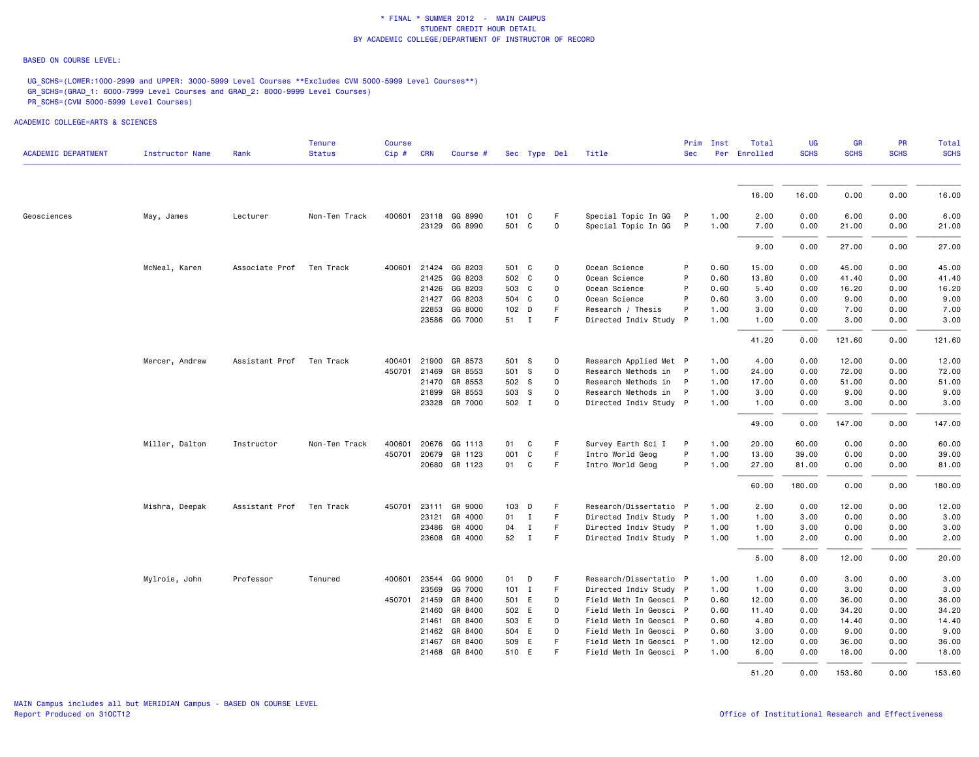### BASED ON COURSE LEVEL:

UG\_SCHS=(LOWER:1000-2999 and UPPER: 3000-5999 Level Courses \*\*Excludes CVM 5000-5999 Level Courses\*\*) GR\_SCHS=(GRAD\_1: 6000-7999 Level Courses and GRAD\_2: 8000-9999 Level Courses) PR\_SCHS=(CVM 5000-5999 Level Courses)

| <b>ACADEMIC DEPARTMENT</b> | Instructor Name | Rank           | <b>Tenure</b><br><b>Status</b> | Course<br>Cip# | <b>CRN</b>   | Course #             |         | Sec Type Del |             | Title                  | Prim<br><b>Sec</b> | Inst | Total<br>Per Enrolled | UG<br><b>SCHS</b> | <b>GR</b><br><b>SCHS</b> | <b>PR</b><br><b>SCHS</b> | <b>Total</b><br><b>SCHS</b> |
|----------------------------|-----------------|----------------|--------------------------------|----------------|--------------|----------------------|---------|--------------|-------------|------------------------|--------------------|------|-----------------------|-------------------|--------------------------|--------------------------|-----------------------------|
|                            |                 |                |                                |                |              |                      |         |              |             |                        |                    |      |                       |                   |                          |                          |                             |
|                            |                 |                |                                |                |              |                      |         |              |             |                        |                    |      | 16.00                 | 16.00             | 0.00                     | 0.00                     | 16.00                       |
| Geosciences                | May, James      | Lecturer       | Non-Ten Track                  | 400601         | 23118        | GG 8990              | 101     | C            | F           | Special Topic In GG    | $\mathsf{P}$       | 1.00 | 2.00                  | 0.00              | 6.00                     | 0.00                     | 6.00                        |
|                            |                 |                |                                |                |              | 23129 GG 8990        | 501     | C            | $\mathbf 0$ | Special Topic In GG    | $\mathsf{P}$       | 1.00 | 7.00                  | 0.00              | 21.00                    | 0.00                     | 21.00                       |
|                            |                 |                |                                |                |              |                      |         |              |             |                        |                    |      | 9.00                  | 0.00              | 27.00                    | 0.00                     | 27.00                       |
|                            | McNeal, Karen   | Associate Prof | Ten Track                      | 400601         |              | 21424 GG 8203        | 501 C   |              | $\mathbf 0$ | Ocean Science          | P                  | 0.60 | 15.00                 | 0.00              | 45.00                    | 0.00                     | 45.00                       |
|                            |                 |                |                                |                | 21425        | GG 8203              | 502 C   |              | $\mathsf 0$ | Ocean Science          | P                  | 0.60 | 13.80                 | 0.00              | 41.40                    | 0.00                     | 41.40                       |
|                            |                 |                |                                |                | 21426        | GG 8203              | 503 C   |              | $\mathsf 0$ | Ocean Science          | P                  | 0.60 | 5.40                  | 0.00              | 16.20                    | 0.00                     | 16.20                       |
|                            |                 |                |                                |                |              | 21427 GG 8203        | 504 C   |              | $\mathbf 0$ | Ocean Science          | P                  | 0.60 | 3.00                  | 0.00              | 9.00                     | 0.00                     | 9.00                        |
|                            |                 |                |                                |                | 22853        | GG 8000              | 102 D   |              | F           | Research / Thesis      | P                  | 1.00 | 3.00                  | 0.00              | 7.00                     | 0.00                     | 7.00                        |
|                            |                 |                |                                |                |              | 23586 GG 7000        | 51 I    |              | F           | Directed Indiv Study P |                    | 1.00 | 1.00                  | 0.00              | 3.00                     | 0.00                     | 3.00                        |
|                            |                 |                |                                |                |              |                      |         |              |             |                        |                    |      | 41.20                 | 0.00              | 121.60                   | 0.00                     | 121.60                      |
|                            | Mercer, Andrew  | Assistant Prof | Ten Track                      | 400401         | 21900        | GR 8573              | 501 S   |              | $\mathsf 0$ | Research Applied Met P |                    | 1.00 | 4.00                  | 0.00              | 12.00                    | 0.00                     | 12.00                       |
|                            |                 |                |                                | 450701         | 21469        | GR 8553              | 501 S   |              | $\mathbf 0$ | Research Methods in    | - P                | 1.00 | 24.00                 | 0.00              | 72.00                    | 0.00                     | 72.00                       |
|                            |                 |                |                                |                | 21470        | GR 8553              | 502 S   |              | 0           | Research Methods in    | - P                | 1.00 | 17.00                 | 0.00              | 51.00                    | 0.00                     | 51.00                       |
|                            |                 |                |                                |                | 21899        | GR 8553              | 503 S   |              | $\mathsf 0$ | Research Methods in P  |                    | 1.00 | 3.00                  | 0.00              | 9.00                     | 0.00                     | 9.00                        |
|                            |                 |                |                                |                |              | 23328 GR 7000        | 502 I   |              | $\mathbf 0$ | Directed Indiv Study P |                    | 1.00 | 1.00                  | 0.00              | 3.00                     | 0.00                     | 3.00                        |
|                            |                 |                |                                |                |              |                      |         |              |             |                        |                    |      | 49.00                 | 0.00              | 147.00                   | 0.00                     | 147.00                      |
|                            | Miller, Dalton  | Instructor     | Non-Ten Track                  | 400601         |              | 20676 GG 1113        | 01      | C            | F           | Survey Earth Sci I     | P                  | 1.00 | 20.00                 | 60.00             | 0.00                     | 0.00                     | 60.00                       |
|                            |                 |                |                                |                | 450701 20679 | GR 1123              | 001     | C            | F.          | Intro World Geog       | P                  | 1.00 | 13.00                 | 39.00             | 0.00                     | 0.00                     | 39.00                       |
|                            |                 |                |                                |                |              | 20680 GR 1123        | 01      | C            | F.          | Intro World Geog       | P                  | 1.00 | 27.00                 | 81.00             | 0.00                     | 0.00                     | 81.00                       |
|                            |                 |                |                                |                |              |                      |         |              |             |                        |                    |      | 60.00                 | 180.00            | 0.00                     | 0.00                     | 180.00                      |
|                            | Mishra, Deepak  | Assistant Prof | Ten Track                      | 450701         | 23111        | GR 9000              | 103 D   |              | F           | Research/Dissertatio P |                    | 1.00 | 2.00                  | 0.00              | 12.00                    | 0.00                     | 12.00                       |
|                            |                 |                |                                |                |              | 23121 GR 4000        | 01      | $\mathbf{I}$ | F.          | Directed Indiv Study P |                    | 1.00 | 1.00                  | 3.00              | 0.00                     | 0.00                     | 3.00                        |
|                            |                 |                |                                |                | 23486        | GR 4000              | 04      | $\mathbf{I}$ | F.          | Directed Indiv Study P |                    | 1.00 | 1.00                  | 3.00              | 0.00                     | 0.00                     | 3.00                        |
|                            |                 |                |                                |                |              | 23608 GR 4000        | 52      | $\mathbf{I}$ | F           | Directed Indiv Study P |                    | 1.00 | 1.00                  | 2.00              | 0.00                     | 0.00                     | 2.00                        |
|                            |                 |                |                                |                |              |                      |         |              |             |                        |                    |      | 5.00                  | 8,00              | 12.00                    | 0.00                     | 20.00                       |
|                            | Mylroie, John   | Professor      | Tenured                        |                |              | 400601 23544 GG 9000 | 01      | D            | F           | Research/Dissertatio P |                    | 1.00 | 1.00                  | 0.00              | 3.00                     | 0.00                     | 3.00                        |
|                            |                 |                |                                |                | 23569        | GG 7000              | $101$ I |              | F           | Directed Indiv Study P |                    | 1.00 | 1.00                  | 0.00              | 3.00                     | 0.00                     | 3.00                        |
|                            |                 |                |                                |                | 450701 21459 | GR 8400              | 501 E   |              | $\mathbf 0$ | Field Meth In Geosci P |                    | 0.60 | 12.00                 | 0.00              | 36.00                    | 0.00                     | 36.00                       |
|                            |                 |                |                                |                | 21460        | GR 8400              | 502 E   |              | $\mathbf 0$ | Field Meth In Geosci P |                    | 0.60 | 11.40                 | 0.00              | 34.20                    | 0.00                     | 34.20                       |
|                            |                 |                |                                |                | 21461        | GR 8400              | 503 E   |              | 0           | Field Meth In Geosci P |                    | 0.60 | 4.80                  | 0.00              | 14.40                    | 0.00                     | 14.40                       |
|                            |                 |                |                                |                |              | 21462 GR 8400        | 504 E   |              | $\mathbf 0$ | Field Meth In Geosci P |                    | 0.60 | 3.00                  | 0.00              | 9.00                     | 0.00                     | 9.00                        |
|                            |                 |                |                                |                | 21467        | GR 8400              | 509 E   |              | F           | Field Meth In Geosci P |                    | 1.00 | 12.00                 | 0.00              | 36.00                    | 0.00                     | 36.00                       |
|                            |                 |                |                                |                |              | 21468 GR 8400        | 510 E   |              | F           | Field Meth In Geosci P |                    | 1.00 | 6.00                  | 0.00              | 18.00                    | 0.00                     | 18.00                       |
|                            |                 |                |                                |                |              |                      |         |              |             |                        |                    |      | 51.20                 | 0.00              | 153.60                   | 0.00                     | 153.60                      |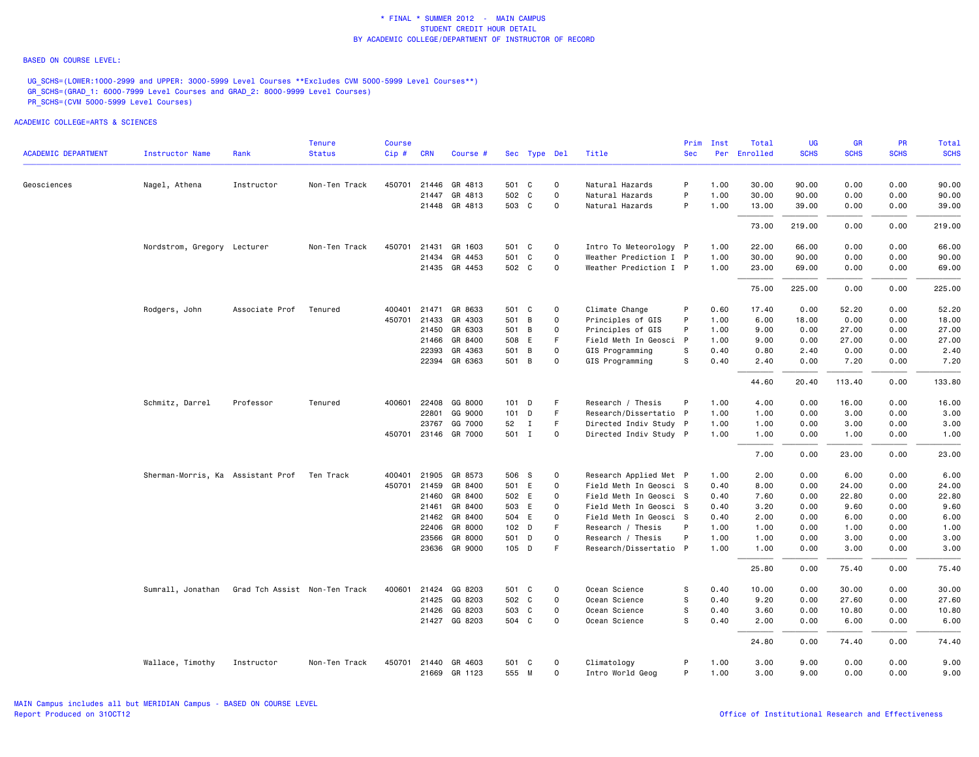#### BASED ON COURSE LEVEL:

UG\_SCHS=(LOWER:1000-2999 and UPPER: 3000-5999 Level Courses \*\*Excludes CVM 5000-5999 Level Courses\*\*) GR\_SCHS=(GRAD\_1: 6000-7999 Level Courses and GRAD\_2: 8000-9999 Level Courses) PR\_SCHS=(CVM 5000-5999 Level Courses)

|                            |                                   |                               | Tenure        | Course |              |                          |                |              |             |                                             | Prim       | Inst         | Total        | UG           | GR           | <b>PR</b>    | Total        |
|----------------------------|-----------------------------------|-------------------------------|---------------|--------|--------------|--------------------------|----------------|--------------|-------------|---------------------------------------------|------------|--------------|--------------|--------------|--------------|--------------|--------------|
| <b>ACADEMIC DEPARTMENT</b> | <b>Instructor Name</b>            | Rank                          | <b>Status</b> | Cip#   | <b>CRN</b>   | Course #                 |                | Sec Type Del |             | Title                                       | <b>Sec</b> | Per          | Enrolled     | <b>SCHS</b>  | <b>SCHS</b>  | <b>SCHS</b>  | <b>SCHS</b>  |
| Geosciences                | Nagel, Athena                     | Instructor                    | Non-Ten Track |        |              | 450701 21446 GR 4813     | 501 C          |              | 0           | Natural Hazards                             | P          | 1.00         | 30.00        | 90.00        | 0.00         | 0.00         | 90.00        |
|                            |                                   |                               |               |        |              | 21447 GR 4813            | 502 C          |              | $\mathbf 0$ | Natural Hazards                             | P          | 1.00         | 30.00        | 90.00        | 0.00         | 0.00         | 90.00        |
|                            |                                   |                               |               |        |              | 21448 GR 4813            | 503 C          |              | 0           | Natural Hazards                             | P          | 1.00         | 13.00        | 39.00        | 0.00         | 0.00         | 39.00        |
|                            |                                   |                               |               |        |              |                          |                |              |             |                                             |            |              | 73.00        | 219.00       | 0.00         | 0.00         | 219.00       |
|                            | Nordstrom, Gregory Lecturer       |                               | Non-Ten Track | 450701 | 21431        | GR 1603                  | 501 C          |              | $\mathbf 0$ | Intro To Meteorology P                      |            | 1.00         | 22.00        | 66.00        | 0.00         | 0.00         | 66.00        |
|                            |                                   |                               |               |        | 21434        | GR 4453                  | 501 C          |              | $\mathbf 0$ | Weather Prediction I P                      |            | 1.00         | 30.00        | 90.00        | 0.00         | 0.00         | 90.00        |
|                            |                                   |                               |               |        |              | 21435 GR 4453            | 502 C          |              | $\mathbf 0$ | Weather Prediction I P                      |            | 1.00         | 23.00        | 69.00        | 0.00         | 0.00         | 69.00        |
|                            |                                   |                               |               |        |              |                          |                |              |             |                                             |            |              | 75.00        | 225.00       | 0.00         | 0.00         | 225.00       |
|                            | Rodgers, John                     | Associate Prof                | Tenured       |        |              | 400401 21471 GR 8633     | 501 C          |              | $\mathsf 0$ | Climate Change                              | P          | 0.60         | 17.40        | 0.00         | 52.20        | 0.00         | 52.20        |
|                            |                                   |                               |               | 450701 | 21433        | GR 4303                  | 501            | B            | $\mathbf 0$ | Principles of GIS                           | P          | 1.00         | 6.00         | 18.00        | 0.00         | 0.00         | 18.00        |
|                            |                                   |                               |               |        | 21450        | GR 6303                  | 501 B          |              | $\mathbf 0$ | Principles of GIS                           | P          | 1.00         | 9.00         | 0.00         | 27.00        | 0.00         | 27.00        |
|                            |                                   |                               |               |        |              | 21466 GR 8400            | 508 E          |              | F           | Field Meth In Geosci P                      |            | 1.00         | 9.00         | 0.00         | 27.00        | 0.00         | 27.00        |
|                            |                                   |                               |               |        | 22393        | GR 4363                  | 501 B          |              | $\mathbf 0$ | GIS Programming                             | S          | 0.40         | 0.80         | 2.40         | 0.00         | 0.00         | 2.40         |
|                            |                                   |                               |               |        |              | 22394 GR 6363            | 501 B          |              | $\mathbf 0$ | GIS Programming                             | s          | 0.40         | 2.40         | 0.00         | 7.20         | 0.00         | 7.20         |
|                            |                                   |                               |               |        |              |                          |                |              |             |                                             |            |              | 44.60        | 20.40        | 113.40       | 0.00         | 133.80       |
|                            | Schmitz, Darrel                   | Professor                     | Tenured       |        |              | 400601 22408 GG 8000     | $101$ D        |              | F           | Research / Thesis                           | P          | 1.00         | 4.00         | 0.00         | 16.00        | 0.00         | 16.00        |
|                            |                                   |                               |               |        | 22801        | GG 9000                  | $101$ D        |              | F           | Research/Dissertatio P                      |            | 1.00         | 1.00         | 0.00         | 3.00         | 0.00         | 3.00         |
|                            |                                   |                               |               |        |              | 23767 GG 7000            | 52             | $\mathbf{I}$ | F.          | Directed Indiv Study P                      |            | 1.00         | 1.00         | 0.00         | 3.00         | 0.00         | 3.00         |
|                            |                                   |                               |               |        |              | 450701 23146 GR 7000     | 501 I          |              | $\mathbf 0$ | Directed Indiv Study P                      |            | 1.00         | 1.00         | 0.00         | 1.00         | 0.00         | 1.00         |
|                            |                                   |                               |               |        |              |                          |                |              |             |                                             |            |              | 7.00         | 0.00         | 23.00        | 0.00         | 23.00        |
|                            | Sherman-Morris, Ka Assistant Prof |                               | Ten Track     | 400401 | 21905        | GR 8573                  | 506 S          |              | 0           | Research Applied Met P                      |            | 1.00         | 2.00         | 0.00         | 6.00         | 0.00         | 6.00         |
|                            |                                   |                               |               | 450701 | 21459        | GR 8400                  | 501 E          |              | $\mathbf 0$ | Field Meth In Geosci S                      |            | 0.40         | 8.00         | 0.00         | 24.00        | 0.00         | 24.00        |
|                            |                                   |                               |               |        |              | 21460 GR 8400            | 502 E          |              | 0           | Field Meth In Geosci S                      |            | 0.40         | 7.60         | 0.00         | 22.80        | 0.00         | 22.80        |
|                            |                                   |                               |               |        | 21461        | GR 8400<br>21462 GR 8400 | 503 E          |              | $\mathbf 0$ | Field Meth In Geosci S                      |            | 0.40         | 3.20         | 0.00         | 9.60         | 0.00         | 9.60         |
|                            |                                   |                               |               |        | 22406        | GR 8000                  | 504 E<br>102 D |              | 0<br>F      | Field Meth In Geosci S<br>Research / Thesis | P          | 0.40<br>1.00 | 2.00<br>1.00 | 0.00<br>0.00 | 6.00<br>1.00 | 0.00<br>0.00 | 6.00<br>1.00 |
|                            |                                   |                               |               |        | 23566        | GR 8000                  | 501 D          |              | $\mathbf 0$ | Research / Thesis                           | P          | 1.00         | 1.00         | 0.00         | 3.00         | 0.00         | 3.00         |
|                            |                                   |                               |               |        |              | 23636 GR 9000            | 105 D          |              | F           | Research/Dissertatio P                      |            | 1.00         | 1.00         | 0.00         | 3.00         | 0.00         | 3.00         |
|                            |                                   |                               |               |        |              |                          |                |              |             |                                             |            |              | 25.80        | 0.00         | 75.40        | 0.00         | 75.40        |
|                            | Sumrall, Jonathan                 | Grad Tch Assist Non-Ten Track |               |        |              | 400601 21424 GG 8203     | 501 C          |              | $\mathbf 0$ | Ocean Science                               | S          | 0.40         | 10.00        | 0.00         | 30.00        | 0.00         | 30.00        |
|                            |                                   |                               |               |        |              | 21425 GG 8203            | 502 C          |              | $\mathbf 0$ | Ocean Science                               | s          | 0.40         | 9.20         | 0.00         | 27.60        | 0.00         | 27.60        |
|                            |                                   |                               |               |        | 21426        | GG 8203                  | 503 C          |              | $\mathbf 0$ | Ocean Science                               | s          | 0.40         | 3.60         | 0.00         | 10.80        | 0.00         | 10.80        |
|                            |                                   |                               |               |        |              | 21427 GG 8203            | 504 C          |              | $\Omega$    | Ocean Science                               | s          | 0.40         | 2.00         | 0.00         | 6.00         | 0.00         | 6.00         |
|                            |                                   |                               |               |        |              |                          |                |              |             |                                             |            |              | 24.80        | 0.00         | 74.40        | 0.00         | 74.40        |
|                            | Wallace, Timothy                  | Instructor                    | Non-Ten Track |        | 450701 21440 | GR 4603                  | 501 C          |              | $\mathbf 0$ | Climatology                                 | P          | 1.00         | 3,00         | 9.00         | 0.00         | 0.00         | 9.00         |
|                            |                                   |                               |               |        |              | 21669 GR 1123            | 555 M          |              | $\mathbf 0$ | Intro World Geog                            | P          | 1.00         | 3.00         | 9.00         | 0.00         | 0.00         | 9.00         |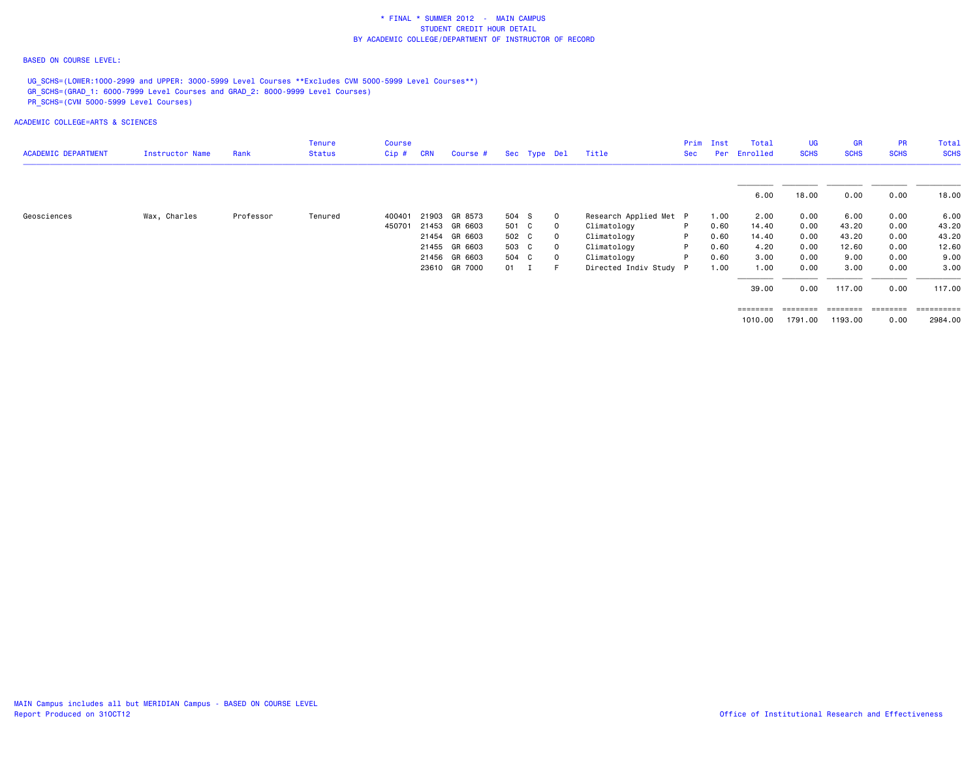### BASED ON COURSE LEVEL:

UG\_SCHS=(LOWER:1000-2999 and UPPER: 3000-5999 Level Courses \*\*Excludes CVM 5000-5999 Level Courses\*\*) GR\_SCHS=(GRAD\_1: 6000-7999 Level Courses and GRAD\_2: 8000-9999 Level Courses) PR\_SCHS=(CVM 5000-5999 Level Courses)

| <b>ACADEMIC DEPARTMENT</b> | Instructor Name | Rank      | <b>Tenure</b><br><b>Status</b> | Course<br>$Cip$ # | <b>CRN</b> | Course #      |              | Sec Type Del |             | Title                  | Prim<br>Sec | Inst<br>Per | Total<br>Enrolled | <b>UG</b><br><b>SCHS</b> | <b>GR</b><br><b>SCHS</b> | <b>PR</b><br><b>SCHS</b> | Total<br><b>SCHS</b> |
|----------------------------|-----------------|-----------|--------------------------------|-------------------|------------|---------------|--------------|--------------|-------------|------------------------|-------------|-------------|-------------------|--------------------------|--------------------------|--------------------------|----------------------|
|                            |                 |           |                                |                   |            |               |              |              |             |                        |             |             | 6.00              | 18.00                    | 0.00                     | 0.00                     | 18.00                |
| Geosciences                | Wax, Charles    | Professor | Tenured                        | 400401            |            | 21903 GR 8573 | 504 S        |              | $\circ$     | Research Applied Met P |             | 1.00        | 2.00              | 0.00                     | 6.00                     | 0.00                     | 6.00                 |
|                            |                 |           |                                | 450701            |            | 21453 GR 6603 | 501 C        |              | $\mathbf 0$ | Climatology            | P.          | 0.60        | 14.40             | 0.00                     | 43.20                    | 0.00                     | 43.20                |
|                            |                 |           |                                |                   |            | 21454 GR 6603 | 502 C        |              | $\mathbf 0$ | Climatology            | P.          | 0.60        | 14.40             | 0.00                     | 43.20                    | 0.00                     | 43.20                |
|                            |                 |           |                                |                   |            | 21455 GR 6603 | 503 C        |              | $\circ$     | Climatology            | P           | 0.60        | 4.20              | 0.00                     | 12.60                    | 0.00                     | 12.60                |
|                            |                 |           |                                |                   |            | 21456 GR 6603 | 504 C        |              | $\circ$     | Climatology            | P.          | 0.60        | 3.00              | 0.00                     | 9.00                     | 0.00                     | 9.00                 |
|                            |                 |           |                                |                   |            | 23610 GR 7000 | $01 \quad I$ |              | $-$ F $-$   | Directed Indiv Study P |             | 1.00        | 1.00              | 0.00                     | 3.00                     | 0.00                     | 3.00                 |
|                            |                 |           |                                |                   |            |               |              |              |             |                        |             |             | 39.00             | 0.00                     | 117.00                   | 0.00                     | 117.00               |
|                            |                 |           |                                |                   |            |               |              |              |             |                        |             |             | ========          | ========                 | ---------                | ========                 | ==========           |
|                            |                 |           |                                |                   |            |               |              |              |             |                        |             |             | 1010.00           | 1791.00                  | 1193.00                  | 0.00                     | 2984.00              |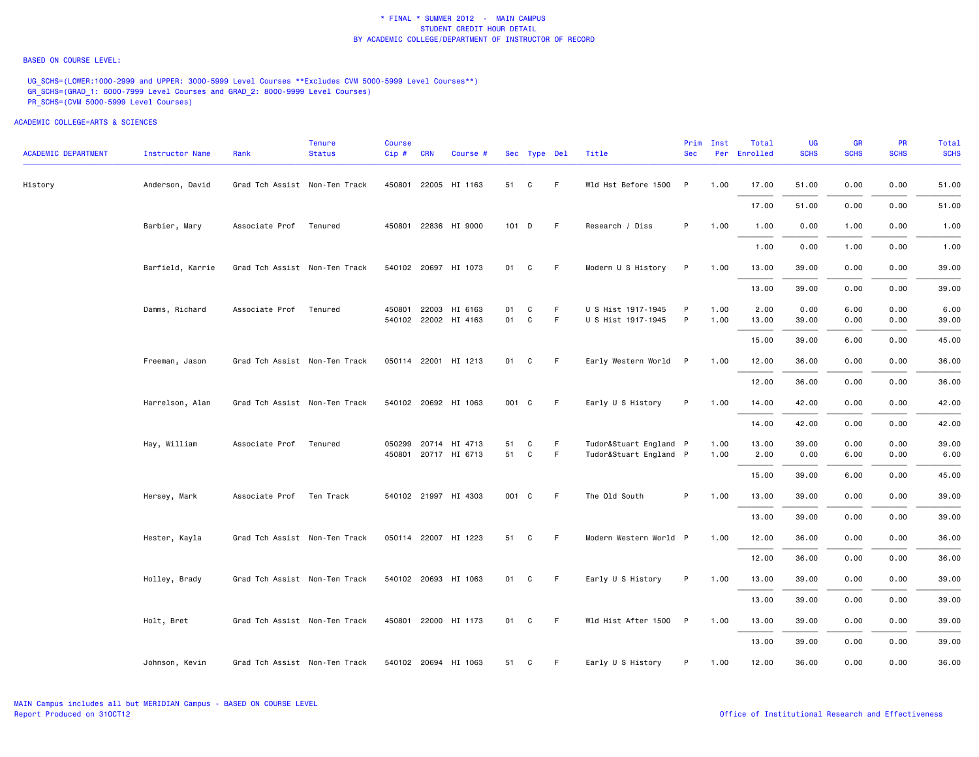#### BASED ON COURSE LEVEL:

UG\_SCHS=(LOWER:1000-2999 and UPPER: 3000-5999 Level Courses \*\*Excludes CVM 5000-5999 Level Courses\*\*) GR\_SCHS=(GRAD\_1: 6000-7999 Level Courses and GRAD\_2: 8000-9999 Level Courses) PR\_SCHS=(CVM 5000-5999 Level Courses)

| <b>ACADEMIC DEPARTMENT</b> | Instructor Name  | Rank                          | <b>Tenure</b><br><b>Status</b> | <b>Course</b><br>$Cip \#$ | <b>CRN</b> | Course #                                     |          | Sec Type Del     |         | Title                                            | Prim<br><b>Sec</b> | Inst         | Total<br>Per Enrolled | UG<br><b>SCHS</b> | <b>GR</b><br><b>SCHS</b> | <b>PR</b><br><b>SCHS</b> | Total<br><b>SCHS</b> |
|----------------------------|------------------|-------------------------------|--------------------------------|---------------------------|------------|----------------------------------------------|----------|------------------|---------|--------------------------------------------------|--------------------|--------------|-----------------------|-------------------|--------------------------|--------------------------|----------------------|
| History                    | Anderson, David  | Grad Tch Assist Non-Ten Track |                                |                           |            | 450801 22005 HI 1163                         | 51       | C                | F.      | Wld Hst Before 1500 P                            |                    | 1.00         | 17.00                 | 51.00             | 0.00                     | 0.00                     | 51.00                |
|                            |                  |                               |                                |                           |            |                                              |          |                  |         |                                                  |                    |              | 17.00                 | 51.00             | 0.00                     | 0.00                     | 51.00                |
|                            | Barbier, Mary    | Associate Prof                | Tenured                        |                           |            | 450801 22836 HI 9000                         |          | 101 D            | - F     | Research / Diss                                  | P.                 | 1.00         | 1.00                  | 0.00              | 1.00                     | 0.00                     | 1.00                 |
|                            |                  |                               |                                |                           |            |                                              |          |                  |         |                                                  |                    |              | 1.00                  | 0.00              | 1.00                     | 0.00                     | 1.00                 |
|                            | Barfield, Karrie | Grad Tch Assist Non-Ten Track |                                |                           |            | 540102 20697 HI 1073                         |          | 01 C             | - F     | Modern U S History                               | P                  | 1.00         | 13.00                 | 39.00             | 0.00                     | 0.00                     | 39.00                |
|                            |                  |                               |                                |                           |            |                                              |          |                  |         |                                                  |                    |              | 13.00                 | 39.00             | 0.00                     | 0.00                     | 39.00                |
|                            | Damms, Richard   | Associate Prof                | Tenured                        | 450801                    |            | 22003 HI 6163<br>540102 22002 HI 4163        | 01<br>01 | C<br>$\mathbf C$ | F.<br>F | U S Hist 1917-1945<br>U S Hist 1917-1945         | P<br>P             | 1.00<br>1.00 | 2.00<br>13.00         | 0.00<br>39.00     | 6.00<br>0.00             | 0.00<br>0.00             | 6.00<br>39.00        |
|                            |                  |                               |                                |                           |            |                                              |          |                  |         |                                                  |                    |              | 15.00                 | 39.00             | 6.00                     | 0.00                     | 45.00                |
|                            | Freeman, Jason   | Grad Tch Assist Non-Ten Track |                                |                           |            | 050114 22001 HI 1213                         | 01       | C                | -F      | Early Western World P                            |                    | 1.00         | 12.00                 | 36.00             | 0.00                     | 0.00                     | 36.00                |
|                            |                  |                               |                                |                           |            |                                              |          |                  |         |                                                  |                    |              | 12.00                 | 36.00             | 0.00                     | 0.00                     | 36.00                |
|                            | Harrelson, Alan  | Grad Tch Assist Non-Ten Track |                                |                           |            | 540102 20692 HI 1063                         |          | 001 C            | -F      | Early U S History                                | P                  | 1.00         | 14.00                 | 42.00             | 0.00                     | 0.00                     | 42.00                |
|                            |                  |                               |                                |                           |            |                                              |          |                  |         |                                                  |                    |              | 14.00                 | 42.00             | 0.00                     | 0.00                     | 42.00                |
|                            | Hay, William     | Associate Prof                | Tenured                        |                           |            | 050299 20714 HI 4713<br>450801 20717 HI 6713 | 51<br>51 | C<br>C           | F.<br>F | Tudor&Stuart England P<br>Tudor&Stuart England P |                    | 1.00<br>1.00 | 13.00                 | 39.00             | 0.00<br>6.00             | 0.00<br>0.00             | 39.00<br>6.00        |
|                            |                  |                               |                                |                           |            |                                              |          |                  |         |                                                  |                    |              | 2.00<br>15.00         | 0.00<br>39.00     | 6.00                     | 0.00                     | 45.00                |
|                            | Hersey, Mark     | Associate Prof Ten Track      |                                |                           |            | 540102 21997 HI 4303                         |          | 001 C            | F       | The Old South                                    | P                  | 1.00         | 13.00                 | 39.00             | 0.00                     | 0.00                     | 39.00                |
|                            |                  |                               |                                |                           |            |                                              |          |                  |         |                                                  |                    |              | 13.00                 | 39.00             | 0.00                     | 0.00                     | 39.00                |
|                            | Hester, Kayla    | Grad Tch Assist Non-Ten Track |                                |                           |            | 050114 22007 HI 1223                         | 51       | C                | - F     | Modern Western World P                           |                    | 1.00         | 12.00                 | 36.00             | 0.00                     | 0.00                     | 36.00                |
|                            |                  |                               |                                |                           |            |                                              |          |                  |         |                                                  |                    |              |                       | 36.00             | 0.00                     | 0.00                     | 36.00                |
|                            |                  |                               |                                |                           |            | 540102 20693 HI 1063                         |          |                  | - F     |                                                  |                    |              | 12.00                 |                   |                          |                          |                      |
|                            | Holley, Brady    | Grad Tch Assist Non-Ten Track |                                |                           |            |                                              |          | 01 C             |         | Early U S History                                | P                  | 1.00         | 13.00                 | 39.00             | 0.00                     | 0.00                     | 39.00                |
|                            |                  |                               |                                |                           |            |                                              |          |                  |         |                                                  |                    |              | 13.00                 | 39.00             | 0.00                     | 0.00                     | 39.00                |
|                            | Holt, Bret       | Grad Tch Assist Non-Ten Track |                                |                           |            | 450801 22000 HI 1173                         |          | 01 C             | - F     | Wld Hist After 1500 P                            |                    | 1.00         | 13,00                 | 39.00             | 0.00                     | 0.00                     | 39.00                |
|                            |                  |                               |                                |                           |            |                                              |          |                  |         |                                                  |                    |              | 13.00                 | 39.00             | 0.00                     | 0.00                     | 39.00                |
|                            | Johnson, Kevin   | Grad Tch Assist Non-Ten Track |                                |                           |            | 540102 20694 HI 1063                         | 51       | C                | - F     | Early U S History                                | P                  | 1.00         | 12.00                 | 36.00             | 0.00                     | 0.00                     | 36.00                |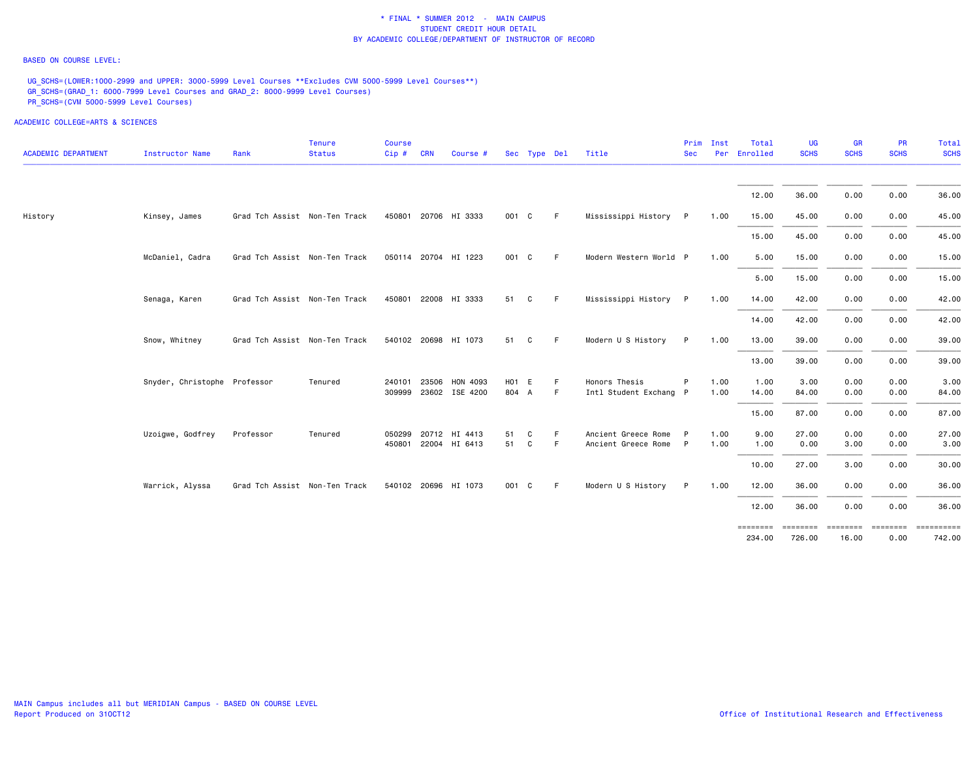### BASED ON COURSE LEVEL:

UG\_SCHS=(LOWER:1000-2999 and UPPER: 3000-5999 Level Courses \*\*Excludes CVM 5000-5999 Level Courses\*\*) GR\_SCHS=(GRAD\_1: 6000-7999 Level Courses and GRAD\_2: 8000-9999 Level Courses) PR\_SCHS=(CVM 5000-5999 Level Courses)

| <b>ACADEMIC DEPARTMENT</b> | <b>Instructor Name</b>       | Rank                          | Tenure<br><b>Status</b> | <b>Course</b><br>Cip # CRN | Course #              |       | Sec Type Del |    | Title                  | Prim<br><b>Sec</b> | Inst | Total<br>Per Enrolled | <b>UG</b><br><b>SCHS</b> | <b>GR</b><br><b>SCHS</b> | PR<br><b>SCHS</b> | Total<br><b>SCHS</b> |
|----------------------------|------------------------------|-------------------------------|-------------------------|----------------------------|-----------------------|-------|--------------|----|------------------------|--------------------|------|-----------------------|--------------------------|--------------------------|-------------------|----------------------|
|                            |                              |                               |                         |                            |                       |       |              |    |                        |                    |      | 12.00                 | 36.00                    | 0.00                     | 0.00              | 36.00                |
| History                    | Kinsey, James                | Grad Tch Assist Non-Ten Track |                         |                            | 450801 20706 HI 3333  | 001 C |              | E  | Mississippi History    | P                  | 1.00 | 15.00                 | 45.00                    | 0.00                     | 0.00              | 45.00                |
|                            |                              |                               |                         |                            |                       |       |              |    |                        |                    |      | 15.00                 | 45.00                    | 0.00                     | 0.00              | 45.00                |
|                            | McDaniel, Cadra              | Grad Tch Assist Non-Ten Track |                         |                            | 050114 20704 HI 1223  | 001 C |              | F. | Modern Western World P |                    | 1.00 | 5.00                  | 15.00                    | 0.00                     | 0.00              | 15.00                |
|                            |                              |                               |                         |                            |                       |       |              |    |                        |                    |      | 5.00                  | 15.00                    | 0.00                     | 0.00              | 15.00                |
|                            | Senaga, Karen                | Grad Tch Assist Non-Ten Track |                         |                            | 450801 22008 HI 3333  | 51    | C            | F. | Mississippi History P  |                    | 1.00 | 14.00                 | 42.00                    | 0.00                     | 0.00              | 42.00                |
|                            |                              |                               |                         |                            |                       |       |              |    |                        |                    |      | 14.00                 | 42.00                    | 0.00                     | 0.00              | 42.00                |
|                            | Snow, Whitney                | Grad Tch Assist Non-Ten Track |                         |                            | 540102 20698 HI 1073  | 51    | C            | F. | Modern U S History     | P                  | 1.00 | 13.00                 | 39.00                    | 0.00                     | 0.00              | 39.00                |
|                            |                              |                               |                         |                            |                       |       |              |    |                        |                    |      | 13.00                 | 39.00                    | 0.00                     | 0.00              | 39.00                |
|                            | Snyder, Christophe Professor |                               | Tenured                 | 240101                     | 23506 HON 4093        | H01 E |              | F  | Honors Thesis          |                    | 1.00 | 1.00                  | 3.00                     | 0.00                     | 0.00              | 3.00                 |
|                            |                              |                               |                         |                            | 309999 23602 ISE 4200 | 804 A |              | F  | Intl Student Exchang P |                    | 1.00 | 14.00                 | 84.00                    | 0.00                     | 0.00              | 84.00                |
|                            |                              |                               |                         |                            |                       |       |              |    |                        |                    |      | 15.00                 | 87.00                    | 0.00                     | 0.00              | 87.00                |
|                            | Uzoigwe, Godfrey             | Professor                     | Tenured                 |                            | 050299 20712 HI 4413  | 51    | C            | F  | Ancient Greece Rome    |                    | 1.00 | 9.00                  | 27.00                    | 0.00                     | 0.00              | 27.00                |
|                            |                              |                               |                         |                            | 450801 22004 HI 6413  | 51    | C            | F  | Ancient Greece Rome P  |                    | 1.00 | 1.00                  | 0.00                     | 3.00                     | 0.00              | 3.00                 |
|                            |                              |                               |                         |                            |                       |       |              |    |                        |                    |      | 10.00                 | 27.00                    | 3.00                     | 0.00              | 30.00                |
|                            | Warrick, Alyssa              | Grad Tch Assist Non-Ten Track |                         |                            | 540102 20696 HI 1073  | 001 C |              | F  | Modern U S History     | P                  | 1.00 | 12.00                 | 36.00                    | 0.00                     | 0.00              | 36.00                |
|                            |                              |                               |                         |                            |                       |       |              |    |                        |                    |      | 12.00                 | 36.00                    | 0.00                     | 0.00              | 36.00                |
|                            |                              |                               |                         |                            |                       |       |              |    |                        |                    |      | ========<br>234.00    | ========<br>726.00       | <b>ESSESSES</b><br>16.00 | ========<br>0.00  | ==========<br>742.00 |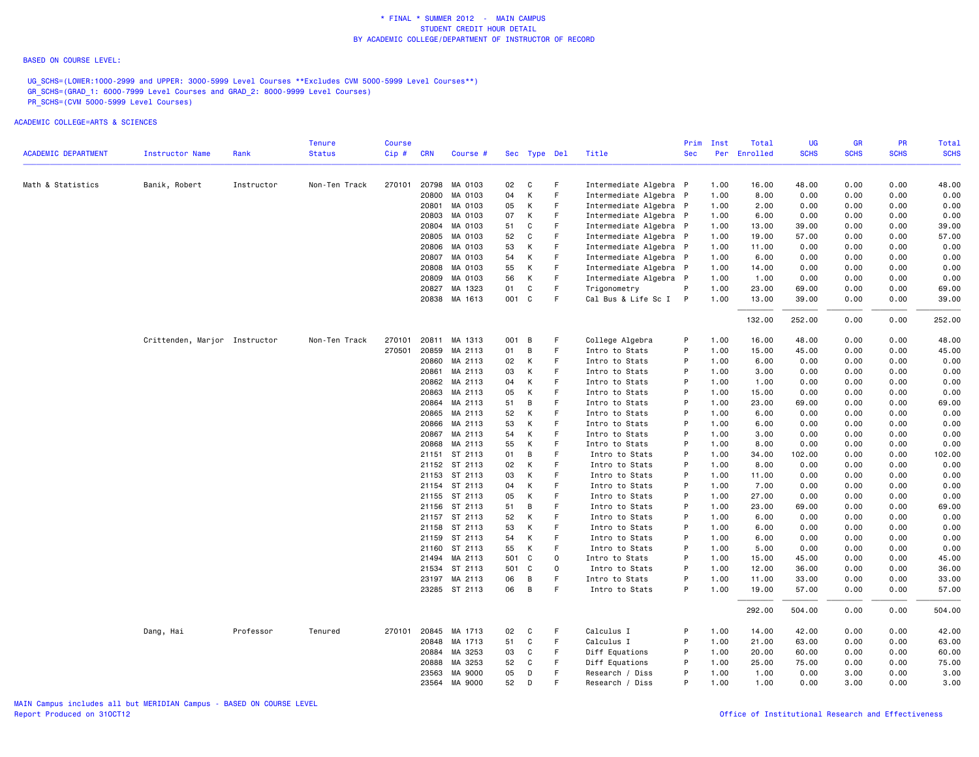#### BASED ON COURSE LEVEL:

UG\_SCHS=(LOWER:1000-2999 and UPPER: 3000-5999 Level Courses \*\*Excludes CVM 5000-5999 Level Courses\*\*) GR\_SCHS=(GRAD\_1: 6000-7999 Level Courses and GRAD\_2: 8000-9999 Level Courses) PR\_SCHS=(CVM 5000-5999 Level Courses)

|                            |                               |            | <b>Tenure</b> | <b>Course</b> |            |                      |       |              |             |                        | Prim       | Inst | Total        | UG          | <b>GR</b>   | PR          | Total       |
|----------------------------|-------------------------------|------------|---------------|---------------|------------|----------------------|-------|--------------|-------------|------------------------|------------|------|--------------|-------------|-------------|-------------|-------------|
| <b>ACADEMIC DEPARTMENT</b> | Instructor Name               | Rank       | <b>Status</b> | Cip#          | <b>CRN</b> | Course #             |       | Sec Type Del |             | Title                  | <b>Sec</b> |      | Per Enrolled | <b>SCHS</b> | <b>SCHS</b> | <b>SCHS</b> | <b>SCHS</b> |
| Math & Statistics          | Banik, Robert                 | Instructor | Non-Ten Track |               |            | 270101 20798 MA 0103 | 02    | C            | F.          | Intermediate Algebra P |            | 1.00 | 16.00        | 48.00       | 0.00        | 0.00        | 48.00       |
|                            |                               |            |               |               | 20800      | MA 0103              | 04    | К            | F           | Intermediate Algebra P |            | 1.00 | 8.00         | 0.00        | 0.00        | 0.00        | 0.00        |
|                            |                               |            |               |               | 20801      | MA 0103              | 05    | K            | F           | Intermediate Algebra P |            | 1.00 | 2.00         | 0.00        | 0.00        | 0.00        | 0.00        |
|                            |                               |            |               |               | 20803      | MA 0103              | 07    | К            | F           | Intermediate Algebra P |            | 1.00 | 6.00         | 0.00        | 0.00        | 0.00        | 0.00        |
|                            |                               |            |               |               | 20804      | MA 0103              | 51    | C            | F           | Intermediate Algebra P |            | 1.00 | 13.00        | 39.00       | 0.00        | 0.00        | 39.00       |
|                            |                               |            |               |               |            | 20805 MA 0103        | 52    | C            | F           | Intermediate Algebra P |            | 1.00 | 19.00        | 57.00       | 0.00        | 0.00        | 57.00       |
|                            |                               |            |               |               |            | 20806 MA 0103        | 53    | Κ            | F.          | Intermediate Algebra P |            | 1.00 | 11.00        | 0.00        | 0.00        | 0.00        | 0.00        |
|                            |                               |            |               |               | 20807      | MA 0103              | 54    | К            | F           | Intermediate Algebra P |            | 1.00 | 6.00         | 0.00        | 0.00        | 0.00        | 0.00        |
|                            |                               |            |               |               | 20808      | MA 0103              | 55    | K            | F           | Intermediate Algebra P |            | 1.00 | 14.00        | 0.00        | 0.00        | 0.00        | 0.00        |
|                            |                               |            |               |               | 20809      | MA 0103              | 56    | Κ            | F.          | Intermediate Algebra P |            | 1.00 | 1.00         | 0.00        | 0.00        | 0.00        | 0.00        |
|                            |                               |            |               |               | 20827      | MA 1323              | 01    | C            | F           | Trigonometry           | P          | 1.00 | 23.00        | 69.00       | 0.00        | 0.00        | 69.00       |
|                            |                               |            |               |               |            | 20838 MA 1613        | 001 C |              | E           | Cal Bus & Life Sc I P  |            | 1.00 | 13.00        | 39.00       | 0.00        | 0.00        | 39.00       |
|                            |                               |            |               |               |            |                      |       |              |             |                        |            |      | 132.00       | 252.00      | 0.00        | 0.00        | 252.00      |
|                            | Crittenden, Marjor Instructor |            | Non-Ten Track | 270101        | 20811      | MA 1313              | 001   | В            | F           | College Algebra        | P          | 1.00 | 16.00        | 48.00       | 0.00        | 0.00        | 48.00       |
|                            |                               |            |               | 270501        |            | 20859 MA 2113        | 01    | B            | F.          | Intro to Stats         | P          | 1.00 | 15.00        | 45.00       | 0.00        | 0.00        | 45.00       |
|                            |                               |            |               |               | 20860      | MA 2113              | 02    | К            | F           | Intro to Stats         | P          | 1.00 | 6.00         | 0.00        | 0.00        | 0.00        | 0.00        |
|                            |                               |            |               |               | 20861      | MA 2113              | 03    | К            | F           | Intro to Stats         | P          | 1.00 | 3.00         | 0.00        | 0.00        | 0.00        | 0.00        |
|                            |                               |            |               |               |            | 20862 MA 2113        | 04    | Κ            | F           | Intro to Stats         | P          | 1.00 | 1.00         | 0.00        | 0.00        | 0.00        | 0.00        |
|                            |                               |            |               |               |            | 20863 MA 2113        | 05    | К            | F           | Intro to Stats         | P          | 1.00 | 15.00        | 0.00        | 0.00        | 0.00        | 0.00        |
|                            |                               |            |               |               |            | 20864 MA 2113        | 51    | в            | F           | Intro to Stats         | P          | 1.00 | 23.00        | 69.00       | 0.00        | 0.00        | 69.00       |
|                            |                               |            |               |               |            | 20865 MA 2113        | 52    | К            | F           | Intro to Stats         | P          | 1.00 | 6.00         | 0.00        | 0.00        | 0.00        | 0.00        |
|                            |                               |            |               |               | 20866      | MA 2113              | 53    | К            | E           | Intro to Stats         | P          | 1.00 | 6.00         | 0.00        | 0.00        | 0.00        | 0.00        |
|                            |                               |            |               |               | 20867      | MA 2113              | 54    | К            | F           | Intro to Stats         | P          | 1.00 | 3.00         | 0.00        | 0.00        | 0.00        | 0.00        |
|                            |                               |            |               |               |            | 20868 MA 2113        | 55    | К            | F           | Intro to Stats         | P          | 1.00 | 8.00         | 0.00        | 0.00        | 0.00        | 0.00        |
|                            |                               |            |               |               |            | 21151 ST 2113        | 01    | B            | F.          | Intro to Stats         | P          | 1.00 | 34.00        | 102.00      | 0.00        | 0.00        | 102.00      |
|                            |                               |            |               |               |            | 21152 ST 2113        | 02    | К            | F           | Intro to Stats         | P          | 1.00 | 8.00         | 0.00        | 0.00        | 0.00        | 0.00        |
|                            |                               |            |               |               |            | 21153 ST 2113        | 03    | К            | F           | Intro to Stats         | P          | 1.00 | 11.00        | 0.00        | 0.00        | 0.00        | 0.00        |
|                            |                               |            |               |               |            | 21154 ST 2113        | 04    | К            | F           | Intro to Stats         | P          | 1.00 | 7.00         | 0.00        | 0.00        | 0.00        | 0.00        |
|                            |                               |            |               |               |            | 21155 ST 2113        | 05    | К            | F           | Intro to Stats         | P          | 1.00 | 27.00        | 0.00        | 0.00        | 0.00        | 0.00        |
|                            |                               |            |               |               |            | 21156 ST 2113        | 51    | B            | F.          | Intro to Stats         | P          | 1.00 | 23.00        | 69.00       | 0.00        | 0.00        | 69.00       |
|                            |                               |            |               |               |            | 21157 ST 2113        | 52    | Κ            | F           | Intro to Stats         | P          | 1.00 | 6.00         | 0.00        | 0.00        | 0.00        | 0.00        |
|                            |                               |            |               |               |            | 21158 ST 2113        | 53    | Κ            | F           | Intro to Stats         | P          | 1.00 | 6.00         | 0.00        | 0.00        | 0.00        | 0.00        |
|                            |                               |            |               |               |            | 21159 ST 2113        | 54    | К            | F           | Intro to Stats         | P          | 1.00 | 6.00         | 0.00        | 0.00        | 0.00        | 0.00        |
|                            |                               |            |               |               |            | 21160 ST 2113        | 55    | К            | F           | Intro to Stats         | P          | 1.00 | 5.00         | 0.00        | 0.00        | 0.00        | 0.00        |
|                            |                               |            |               |               | 21494      | MA 2113              | 501   | C            | $\mathbf 0$ | Intro to Stats         | P          | 1.00 | 15.00        | 45.00       | 0.00        | 0.00        | 45.00       |
|                            |                               |            |               |               |            | 21534 ST 2113        | 501 C |              | $\mathbf 0$ | Intro to Stats         | P          | 1.00 | 12.00        | 36.00       | 0.00        | 0.00        | 36.00       |
|                            |                               |            |               |               |            | 23197 MA 2113        | 06    | B            | F           | Intro to Stats         | P          | 1.00 | 11.00        | 33.00       | 0.00        | 0.00        | 33.00       |
|                            |                               |            |               |               |            | 23285 ST 2113        | 06    | B            | F           | Intro to Stats         | P          | 1.00 | 19.00        | 57.00       | 0.00        | 0.00        | 57.00       |
|                            |                               |            |               |               |            |                      |       |              |             |                        |            |      | 292.00       | 504.00      | 0.00        | 0.00        | 504.00      |
|                            | Dang, Hai                     | Professor  | Tenured       |               |            | 270101 20845 MA 1713 | 02    | C            | F           | Calculus I             | P          | 1.00 | 14.00        | 42.00       | 0.00        | 0.00        | 42.00       |
|                            |                               |            |               |               | 20848      | MA 1713              | 51    | C            | F           | Calculus I             | P          | 1.00 | 21.00        | 63.00       | 0.00        | 0.00        | 63.00       |
|                            |                               |            |               |               |            | 20884 MA 3253        | 03    | C            | F           | Diff Equations         | P          | 1.00 | 20.00        | 60.00       | 0.00        | 0.00        | 60.00       |
|                            |                               |            |               |               | 20888      | MA 3253              | 52    | C            | F           | Diff Equations         | P          | 1.00 | 25.00        | 75.00       | 0.00        | 0.00        | 75.00       |
|                            |                               |            |               |               | 23563      | MA 9000              | 05    | D            | F           | Research / Diss        | P          | 1.00 | 1.00         | 0.00        | 3.00        | 0.00        | 3.00        |
|                            |                               |            |               |               |            | 23564 MA 9000        | 52    | D            | F           | Research / Diss        | P          | 1.00 | 1.00         | 0.00        | 3.00        | 0.00        | 3.00        |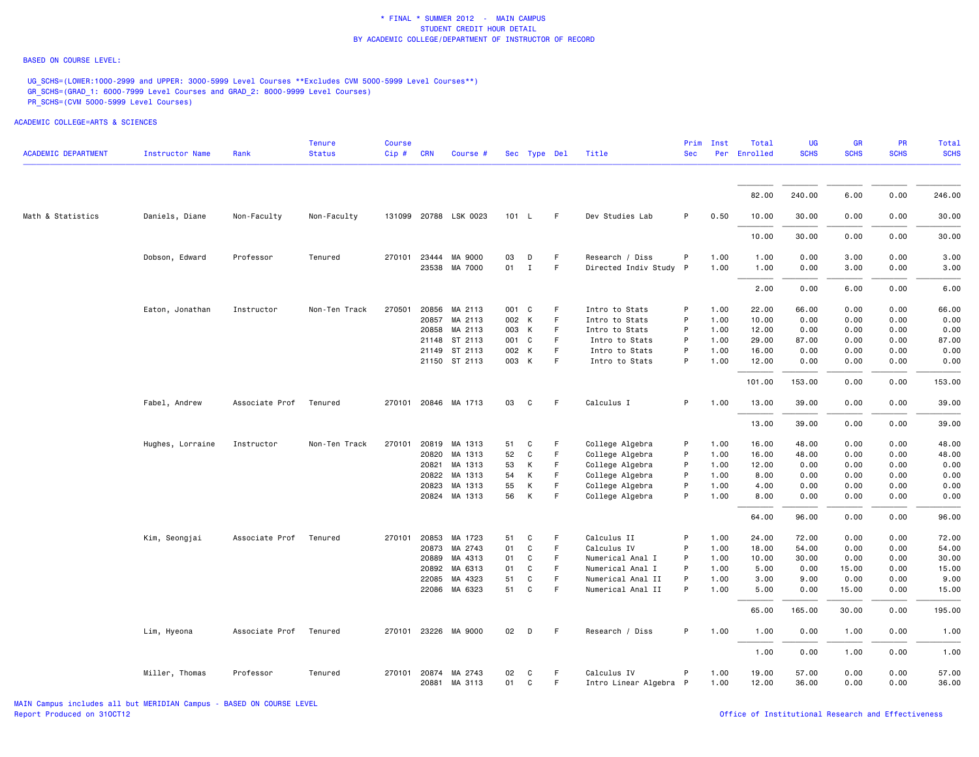#### BASED ON COURSE LEVEL:

UG\_SCHS=(LOWER:1000-2999 and UPPER: 3000-5999 Level Courses \*\*Excludes CVM 5000-5999 Level Courses\*\*) GR\_SCHS=(GRAD\_1: 6000-7999 Level Courses and GRAD\_2: 8000-9999 Level Courses) PR\_SCHS=(CVM 5000-5999 Level Courses)

| <b>ACADEMIC DEPARTMENT</b> | <b>Instructor Name</b> | Rank           | <b>Tenure</b><br><b>Status</b> | <b>Course</b><br>Cip# | <b>CRN</b> | Course #              |       | Sec Type Del |             | Title                  | Prim<br><b>Sec</b> | Inst | Total<br>Per Enrolled | <b>UG</b><br><b>SCHS</b> | <b>GR</b><br><b>SCHS</b> | <b>PR</b><br><b>SCHS</b> | Total<br><b>SCHS</b> |
|----------------------------|------------------------|----------------|--------------------------------|-----------------------|------------|-----------------------|-------|--------------|-------------|------------------------|--------------------|------|-----------------------|--------------------------|--------------------------|--------------------------|----------------------|
|                            |                        |                |                                |                       |            |                       |       |              |             |                        |                    |      |                       |                          |                          |                          |                      |
|                            |                        |                |                                |                       |            |                       |       |              |             |                        |                    |      | 82.00                 | 240.00                   | 6.00                     | 0.00                     | 246.00               |
| Math & Statistics          | Daniels, Diane         | Non-Faculty    | Non-Faculty                    |                       |            | 131099 20788 LSK 0023 | 101 L |              | F.          | Dev Studies Lab        | P                  | 0.50 | 10.00                 | 30.00                    | 0.00                     | 0.00                     | 30.00                |
|                            |                        |                |                                |                       |            |                       |       |              |             |                        |                    |      | 10.00                 | 30.00                    | 0.00                     | 0.00                     | 30.00                |
|                            | Dobson, Edward         | Professor      | Tenured                        | 270101 23444          |            | MA 9000               | 03    | D            | -F          | Research / Diss        | P                  | 1.00 | 1.00                  | 0.00                     | 3.00                     | 0.00                     | 3.00                 |
|                            |                        |                |                                |                       | 23538      | MA 7000               | 01    | $\mathbf I$  | $\mathsf F$ | Directed Indiv Study P |                    | 1.00 | 1.00                  | 0.00                     | 3.00                     | 0.00                     | 3.00                 |
|                            |                        |                |                                |                       |            |                       |       |              |             |                        |                    |      | 2.00                  | 0.00                     | 6.00                     | 0.00                     | 6.00                 |
|                            | Eaton, Jonathan        | Instructor     | Non-Ten Track                  | 270501                | 20856      | MA 2113               | 001 C |              | F.          | Intro to Stats         | P                  | 1.00 | 22.00                 | 66.00                    | 0.00                     | 0.00                     | 66.00                |
|                            |                        |                |                                |                       | 20857      | MA 2113               | 002 K |              | F           | Intro to Stats         | P                  | 1.00 | 10.00                 | 0.00                     | 0.00                     | 0.00                     | 0.00                 |
|                            |                        |                |                                |                       | 20858      | MA 2113               | 003 K |              | F           | Intro to Stats         | P                  | 1.00 | 12.00                 | 0.00                     | 0.00                     | 0.00                     | 0.00                 |
|                            |                        |                |                                |                       |            | 21148 ST 2113         | 001 C |              | F           | Intro to Stats         | P                  | 1.00 | 29.00                 | 87.00                    | 0.00                     | 0.00                     | 87.00                |
|                            |                        |                |                                |                       | 21149      | ST 2113               | 002 K |              | F.          | Intro to Stats         | P                  | 1.00 | 16.00                 | 0.00                     | 0.00                     | 0.00                     | 0.00                 |
|                            |                        |                |                                |                       |            | 21150 ST 2113         | 003 K |              | $\mathsf F$ | Intro to Stats         | P                  | 1.00 | 12.00                 | 0.00                     | 0.00                     | 0.00                     | 0.00                 |
|                            |                        |                |                                |                       |            |                       |       |              |             |                        |                    |      | 101.00                | 153.00                   | 0.00                     | 0.00                     | 153.00               |
|                            | Fabel, Andrew          | Associate Prof | Tenured                        |                       |            | 270101 20846 MA 1713  | 03    | C            | F           | Calculus I             | P                  | 1.00 | 13.00                 | 39.00                    | 0.00                     | 0.00                     | 39.00                |
|                            |                        |                |                                |                       |            |                       |       |              |             |                        |                    |      | 13.00                 | 39.00                    | 0.00                     | 0.00                     | 39.00                |
|                            | Hughes, Lorraine       | Instructor     | Non-Ten Track                  | 270101                | 20819      | MA 1313               | 51    | C            | F           | College Algebra        | P                  | 1.00 | 16.00                 | 48.00                    | 0.00                     | 0.00                     | 48.00                |
|                            |                        |                |                                |                       | 20820      | MA 1313               | 52    | C            | F           | College Algebra        | P                  | 1.00 | 16.00                 | 48.00                    | 0.00                     | 0.00                     | 48.00                |
|                            |                        |                |                                |                       | 20821      | MA 1313               | 53    | К            | F           | College Algebra        | P                  | 1.00 | 12.00                 | 0.00                     | 0.00                     | 0.00                     | 0.00                 |
|                            |                        |                |                                |                       | 20822      | MA 1313               | 54    | К            | F           | College Algebra        | P                  | 1.00 | 8.00                  | 0.00                     | 0.00                     | 0.00                     | 0.00                 |
|                            |                        |                |                                |                       | 20823      | MA 1313               | 55    | К            | F           | College Algebra        | P                  | 1.00 | 4.00                  | 0.00                     | 0.00                     | 0.00                     | 0.00                 |
|                            |                        |                |                                |                       |            | 20824 MA 1313         | 56    | К            | F           | College Algebra        | P                  | 1.00 | 8.00                  | 0.00                     | 0.00                     | 0.00                     | 0.00                 |
|                            |                        |                |                                |                       |            |                       |       |              |             |                        |                    |      | 64.00                 | 96.00                    | 0.00                     | 0.00                     | 96.00                |
|                            | Kim, Seongjai          | Associate Prof | Tenured                        | 270101                | 20853      | MA 1723               | 51    | C            | F           | Calculus II            | P                  | 1.00 | 24.00                 | 72.00                    | 0.00                     | 0.00                     | 72.00                |
|                            |                        |                |                                |                       | 20873      | MA 2743               | 01    | C            | F           | Calculus IV            | P                  | 1.00 | 18.00                 | 54.00                    | 0.00                     | 0.00                     | 54.00                |
|                            |                        |                |                                |                       | 20889      | MA 4313               | 01    | C            | F           | Numerical Anal I       | P                  | 1.00 | 10.00                 | 30.00                    | 0.00                     | 0.00                     | 30.00                |
|                            |                        |                |                                |                       | 20892      | MA 6313               | 01    | C            | F           | Numerical Anal I       | P                  | 1.00 | 5.00                  | 0.00                     | 15.00                    | 0.00                     | 15.00                |
|                            |                        |                |                                |                       | 22085      | MA 4323               | 51    | $\mathbf C$  | F           | Numerical Anal II      | P                  | 1.00 | 3.00                  | 9.00                     | 0.00                     | 0.00                     | 9.00                 |
|                            |                        |                |                                |                       |            | 22086 MA 6323         | 51    | $\mathbf C$  | F           | Numerical Anal II      | P                  | 1.00 | 5.00                  | 0.00                     | 15.00                    | 0.00                     | 15.00                |
|                            |                        |                |                                |                       |            |                       |       |              |             |                        |                    |      | 65.00                 | 165.00                   | 30.00                    | 0.00                     | 195.00               |
|                            | Lim, Hyeona            | Associate Prof | Tenured                        |                       |            | 270101 23226 MA 9000  | 02    | D            | F           | Research / Diss        | P                  | 1.00 | 1.00                  | 0.00                     | 1.00                     | 0.00                     | 1.00                 |
|                            |                        |                |                                |                       |            |                       |       |              |             |                        |                    |      | 1.00                  | 0.00                     | 1.00                     | 0.00                     | 1.00                 |
|                            | Miller, Thomas         | Professor      | Tenured                        | 270101 20874          |            | MA 2743               | 02    | C            | F.          | Calculus IV            | P                  | 1.00 | 19.00                 | 57.00                    | 0.00                     | 0.00                     | 57.00                |
|                            |                        |                |                                |                       |            | 20881 MA 3113         | 01    | C            | F           | Intro Linear Algebra P |                    | 1.00 | 12.00                 | 36.00                    | 0.00                     | 0.00                     | 36.00                |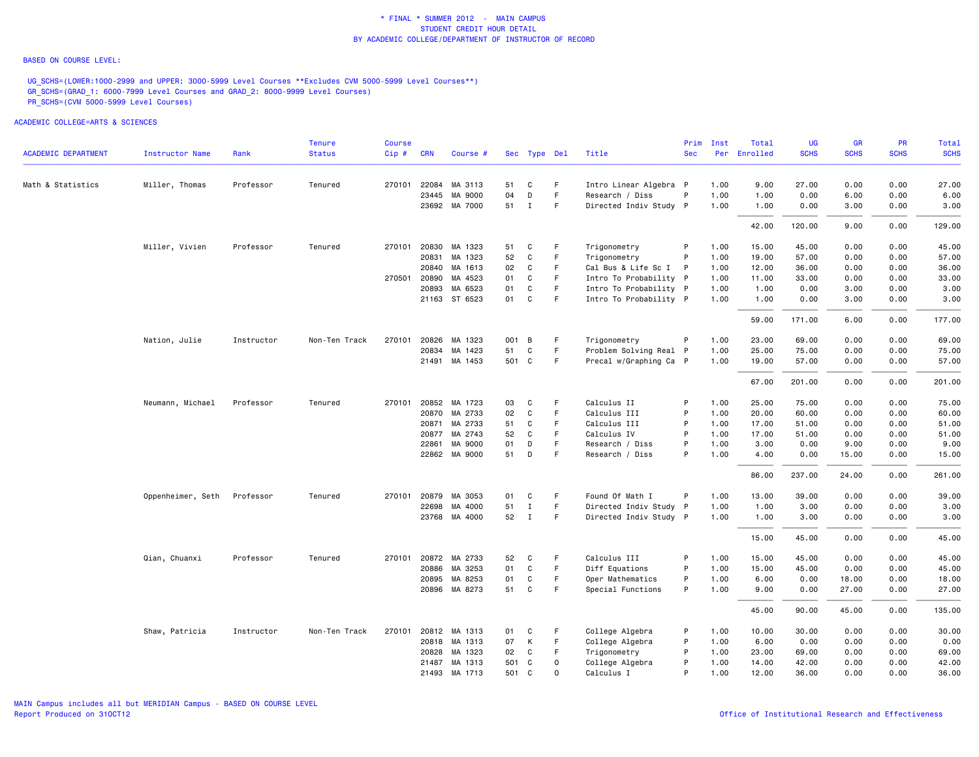#### BASED ON COURSE LEVEL:

UG\_SCHS=(LOWER:1000-2999 and UPPER: 3000-5999 Level Courses \*\*Excludes CVM 5000-5999 Level Courses\*\*) GR\_SCHS=(GRAD\_1: 6000-7999 Level Courses and GRAD\_2: 8000-9999 Level Courses) PR\_SCHS=(CVM 5000-5999 Level Courses)

|                            |                   |            | <b>Tenure</b> | <b>Course</b> |              |                      |       |              |             |                        | Prim       | Inst | Total        | UG          | <b>GR</b>   | <b>PR</b>   | Total       |
|----------------------------|-------------------|------------|---------------|---------------|--------------|----------------------|-------|--------------|-------------|------------------------|------------|------|--------------|-------------|-------------|-------------|-------------|
| <b>ACADEMIC DEPARTMENT</b> | Instructor Name   | Rank       | <b>Status</b> | Cip#          | <b>CRN</b>   | Course #             |       | Sec Type Del |             | Title                  | <b>Sec</b> |      | Per Enrolled | <b>SCHS</b> | <b>SCHS</b> | <b>SCHS</b> | <b>SCHS</b> |
| Math & Statistics          | Miller, Thomas    | Professor  | Tenured       |               | 270101 22084 | MA 3113              | 51    | C            | F.          | Intro Linear Algebra P |            | 1.00 | 9.00         | 27.00       | 0.00        | 0.00        | 27.00       |
|                            |                   |            |               |               | 23445        | MA 9000              | 04    | D            | F           | Research / Diss        | P          | 1.00 | 1.00         | 0.00        | 6.00        | 0.00        | 6.00        |
|                            |                   |            |               |               |              | 23692 MA 7000        | 51 I  |              | F           | Directed Indiv Study P |            | 1.00 | 1.00         | 0.00        | 3.00        | 0.00        | 3.00        |
|                            |                   |            |               |               |              |                      |       |              |             |                        |            |      | 42.00        | 120.00      | 9.00        | 0.00        | 129.00      |
|                            | Miller, Vivien    | Professor  | Tenured       | 270101        | 20830        | MA 1323              | 51    | C            | F           | Trigonometry           | P          | 1.00 | 15.00        | 45.00       | 0.00        | 0.00        | 45.00       |
|                            |                   |            |               |               | 20831        | MA 1323              | 52    | C            | F.          | Trigonometry           | P          | 1.00 | 19.00        | 57.00       | 0.00        | 0.00        | 57.00       |
|                            |                   |            |               |               | 20840        | MA 1613              | 02    | C            | F           | Cal Bus & Life Sc I    | - P        | 1.00 | 12.00        | 36.00       | 0.00        | 0.00        | 36.00       |
|                            |                   |            |               |               | 270501 20890 | MA 4523              | 01    | C            | F.          | Intro To Probability P |            | 1.00 | 11.00        | 33.00       | 0.00        | 0.00        | 33.00       |
|                            |                   |            |               |               | 20893        | MA 6523              | 01    | C            | F           | Intro To Probability P |            | 1.00 | 1.00         | 0.00        | 3.00        | 0.00        | 3.00        |
|                            |                   |            |               |               |              | 21163 ST 6523        | 01    | C            | F.          | Intro To Probability P |            | 1.00 | 1.00         | 0.00        | 3.00        | 0.00        | 3.00        |
|                            |                   |            |               |               |              |                      |       |              |             |                        |            |      | 59.00        | 171.00      | 6.00        | 0.00        | 177.00      |
|                            | Nation, Julie     | Instructor | Non-Ten Track | 270101        |              | 20826 MA 1323        | 001   | B            | F           | Trigonometry           | P          | 1.00 | 23.00        | 69.00       | 0.00        | 0.00        | 69.00       |
|                            |                   |            |               |               | 20834        | MA 1423              | 51    | C            | F.          | Problem Solving Real P |            | 1.00 | 25.00        | 75.00       | 0.00        | 0.00        | 75.00       |
|                            |                   |            |               |               |              | 21491 MA 1453        | 501 C |              | F.          | Precal w/Graphing Ca P |            | 1.00 | 19.00        | 57.00       | 0.00        | 0.00        | 57.00       |
|                            |                   |            |               |               |              |                      |       |              |             |                        |            |      | 67.00        | 201.00      | 0.00        | 0.00        | 201.00      |
|                            | Neumann, Michael  | Professor  | Tenured       |               |              | 270101 20852 MA 1723 | 03    | C            | F           | Calculus II            | P          | 1.00 | 25.00        | 75.00       | 0.00        | 0.00        | 75.00       |
|                            |                   |            |               |               | 20870        | MA 2733              | 02    | C            | F           | Calculus III           | P          | 1.00 | 20.00        | 60.00       | 0.00        | 0.00        | 60.00       |
|                            |                   |            |               |               | 20871        | MA 2733              | 51    | C            | F.          | Calculus III           | P          | 1.00 | 17.00        | 51.00       | 0.00        | 0.00        | 51.00       |
|                            |                   |            |               |               |              | 20877 MA 2743        | 52    | C            | F.          | Calculus IV            | P          | 1.00 | 17.00        | 51.00       | 0.00        | 0.00        | 51.00       |
|                            |                   |            |               |               | 22861        | MA 9000              | 01    | D            | F           | Research / Diss        | P          | 1.00 | 3.00         | 0.00        | 9.00        | 0.00        | 9.00        |
|                            |                   |            |               |               |              | 22862 MA 9000        | 51    | D            | F           | Research / Diss        | P          | 1.00 | 4.00         | 0.00        | 15.00       | 0.00        | 15.00       |
|                            |                   |            |               |               |              |                      |       |              |             |                        |            |      | 86.00        | 237.00      | 24.00       | 0.00        | 261.00      |
|                            | Oppenheimer, Seth | Professor  | Tenured       |               | 270101 20879 | MA 3053              | 01    | C            | F           | Found Of Math I        | P          | 1.00 | 13.00        | 39.00       | 0.00        | 0.00        | 39.00       |
|                            |                   |            |               |               | 22698        | MA 4000              | 51    | Ι.           | F           | Directed Indiv Study P |            | 1.00 | 1.00         | 3.00        | 0.00        | 0.00        | 3.00        |
|                            |                   |            |               |               |              | 23768 MA 4000        | 52    | $\mathbf{I}$ | F.          | Directed Indiv Study P |            | 1.00 | 1.00         | 3.00        | 0.00        | 0.00        | 3.00        |
|                            |                   |            |               |               |              |                      |       |              |             |                        |            |      | 15.00        | 45.00       | 0.00        | 0.00        | 45.00       |
|                            | Qian, Chuanxi     | Professor  | Tenured       |               |              | 270101 20872 MA 2733 | 52    | C            | F.          | Calculus III           | P          | 1.00 | 15.00        | 45.00       | 0.00        | 0.00        | 45.00       |
|                            |                   |            |               |               |              | 20886 MA 3253        | 01    | C            | F           | Diff Equations         | P          | 1.00 | 15.00        | 45.00       | 0.00        | 0.00        | 45.00       |
|                            |                   |            |               |               | 20895        | MA 8253              | 01    | C            | F           | Oper Mathematics       | P          | 1.00 | 6.00         | 0.00        | 18.00       | 0.00        | 18.00       |
|                            |                   |            |               |               |              | 20896 MA 8273        | 51    | C            | F           | Special Functions      | P          | 1.00 | 9.00         | 0.00        | 27.00       | 0.00        | 27.00       |
|                            |                   |            |               |               |              |                      |       |              |             |                        |            |      | 45.00        | 90.00       | 45.00       | 0.00        | 135.00      |
|                            | Shaw, Patricia    | Instructor | Non-Ten Track |               |              | 270101 20812 MA 1313 | 01    | C            | F.          | College Algebra        | P          | 1.00 | 10.00        | 30.00       | 0.00        | 0.00        | 30.00       |
|                            |                   |            |               |               |              | 20818 MA 1313        | 07    | К            | F.          | College Algebra        | P          | 1.00 | 6.00         | 0.00        | 0.00        | 0.00        | 0.00        |
|                            |                   |            |               |               | 20828        | MA 1323              | 02    | C            | F.          | Trigonometry           | P          | 1.00 | 23.00        | 69.00       | 0.00        | 0.00        | 69.00       |
|                            |                   |            |               |               | 21487        | MA 1313              | 501   | C            | $\mathbf 0$ | College Algebra        | P          | 1.00 | 14.00        | 42.00       | 0.00        | 0.00        | 42.00       |
|                            |                   |            |               |               |              | 21493 MA 1713        | 501   | C            | $\circ$     | Calculus I             | P          | 1.00 | 12.00        | 36.00       | 0.00        | 0.00        | 36.00       |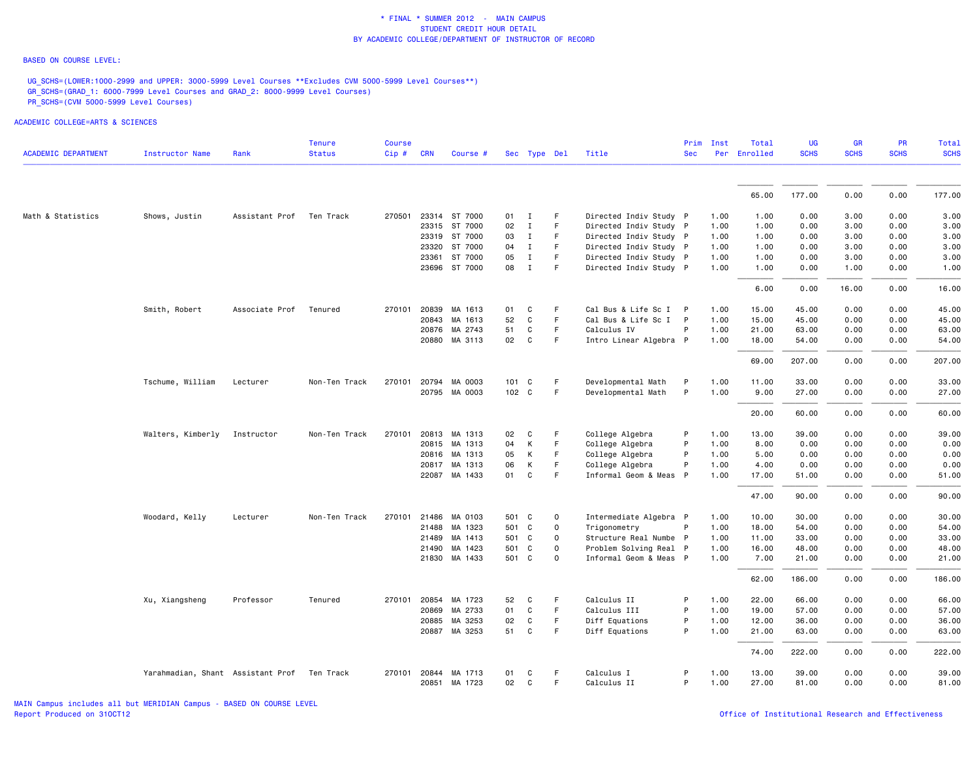#### BASED ON COURSE LEVEL:

UG\_SCHS=(LOWER:1000-2999 and UPPER: 3000-5999 Level Courses \*\*Excludes CVM 5000-5999 Level Courses\*\*) GR\_SCHS=(GRAD\_1: 6000-7999 Level Courses and GRAD\_2: 8000-9999 Level Courses) PR\_SCHS=(CVM 5000-5999 Level Courses)

| <b>ACADEMIC DEPARTMENT</b> | Instructor Name                   | Rank                     | <b>Tenure</b><br><b>Status</b> | <b>Course</b><br>Cip# | <b>CRN</b>   | Course #      |       |              | Sec Type Del | Title                  | <b>Sec</b>   | Prim Inst | Total<br>Per Enrolled | <b>UG</b><br><b>SCHS</b> | <b>GR</b><br><b>SCHS</b> | <b>PR</b><br><b>SCHS</b> | Total<br><b>SCHS</b> |
|----------------------------|-----------------------------------|--------------------------|--------------------------------|-----------------------|--------------|---------------|-------|--------------|--------------|------------------------|--------------|-----------|-----------------------|--------------------------|--------------------------|--------------------------|----------------------|
|                            |                                   |                          |                                |                       |              |               |       |              |              |                        |              |           |                       |                          |                          |                          |                      |
|                            |                                   |                          |                                |                       |              |               |       |              |              |                        |              |           | 65.00                 | 177.00                   | 0.00                     | 0.00                     | 177.00               |
| Math & Statistics          | Shows, Justin                     | Assistant Prof Ten Track |                                | 270501                |              | 23314 ST 7000 | 01    | $\mathbf{I}$ | F            | Directed Indiv Study P |              | 1.00      | 1.00                  | 0.00                     | 3.00                     | 0.00                     | 3.00                 |
|                            |                                   |                          |                                |                       |              | 23315 ST 7000 | 02    | $\mathbf{I}$ | $\mathsf F$  | Directed Indiv Study P |              | 1.00      | 1.00                  | 0.00                     | 3.00                     | 0.00                     | 3.00                 |
|                            |                                   |                          |                                |                       |              | 23319 ST 7000 | 03    | $\mathbf{I}$ | F            | Directed Indiv Study P |              | 1.00      | 1.00                  | 0.00                     | 3.00                     | 0.00                     | 3.00                 |
|                            |                                   |                          |                                |                       |              | 23320 ST 7000 | 04    | $\mathbf{I}$ | F            | Directed Indiv Study P |              | 1.00      | 1.00                  | 0.00                     | 3.00                     | 0.00                     | 3.00                 |
|                            |                                   |                          |                                |                       | 23361        | ST 7000       | 05    | $\mathbf{I}$ | F            | Directed Indiv Study P |              | 1.00      | 1.00                  | 0.00                     | 3.00                     | 0.00                     | 3.00                 |
|                            |                                   |                          |                                |                       |              | 23696 ST 7000 | 08    | $\mathbf{I}$ | F            | Directed Indiv Study P |              | 1.00      | 1.00                  | 0.00                     | 1.00                     | 0.00                     | 1.00                 |
|                            |                                   |                          |                                |                       |              |               |       |              |              |                        |              |           | 6.00                  | 0.00                     | 16.00                    | 0.00                     | 16.00                |
|                            | Smith, Robert                     | Associate Prof           | Tenured                        | 270101                | 20839        | MA 1613       | 01    | C            | F            | Cal Bus & Life Sc I P  |              | 1.00      | 15.00                 | 45.00                    | 0.00                     | 0.00                     | 45.00                |
|                            |                                   |                          |                                |                       | 20843        | MA 1613       | 52    | C            | F            | Cal Bus & Life Sc I P  |              | 1.00      | 15.00                 | 45.00                    | 0.00                     | 0.00                     | 45.00                |
|                            |                                   |                          |                                |                       | 20876        | MA 2743       | 51    | C            | $\mathsf F$  | Calculus IV            | P            | 1.00      | 21.00                 | 63.00                    | 0.00                     | 0.00                     | 63.00                |
|                            |                                   |                          |                                |                       |              | 20880 MA 3113 | 02    | $\mathbf{C}$ | F            | Intro Linear Algebra P |              | 1.00      | 18.00                 | 54.00                    | 0.00                     | 0.00                     | 54.00                |
|                            |                                   |                          |                                |                       |              |               |       |              |              |                        |              |           | 69.00                 | 207.00                   | 0.00                     | 0.00                     | 207.00               |
|                            | Tschume, William                  | Lecturer                 | Non-Ten Track                  | 270101                |              | 20794 MA 0003 | 101 C |              | F            | Developmental Math     | $\mathsf{P}$ | 1.00      | 11.00                 | 33.00                    | 0.00                     | 0.00                     | 33.00                |
|                            |                                   |                          |                                |                       |              | 20795 MA 0003 | 102 C |              | F            | Developmental Math     | P            | 1.00      | 9.00                  | 27.00                    | 0.00                     | 0.00                     | 27.00                |
|                            |                                   |                          |                                |                       |              |               |       |              |              |                        |              |           | 20.00                 | 60.00                    | 0.00                     | 0.00                     | 60.00                |
|                            | Walters, Kimberly                 | Instructor               | Non-Ten Track                  | 270101                |              | 20813 MA 1313 | 02    | C            | F.           | College Algebra        | P            | 1.00      | 13.00                 | 39.00                    | 0.00                     | 0.00                     | 39.00                |
|                            |                                   |                          |                                |                       |              | 20815 MA 1313 | 04    | К            | F            | College Algebra        | P            | 1.00      | 8.00                  | 0.00                     | 0.00                     | 0.00                     | 0.00                 |
|                            |                                   |                          |                                |                       |              | 20816 MA 1313 | 05    | К            | $\mathsf F$  | College Algebra        | P            | 1.00      | 5.00                  | 0.00                     | 0.00                     | 0.00                     | 0.00                 |
|                            |                                   |                          |                                |                       | 20817        | MA 1313       | 06    | K            | F            | College Algebra        | P            | 1.00      | 4.00                  | 0.00                     | 0.00                     | 0.00                     | 0.00                 |
|                            |                                   |                          |                                |                       |              | 22087 MA 1433 | 01    | C            | F            | Informal Geom & Meas P |              | 1.00      | 17.00                 | 51.00                    | 0.00                     | 0.00                     | 51.00                |
|                            |                                   |                          |                                |                       |              |               |       |              |              |                        |              |           | 47.00                 | 90.00                    | 0.00                     | 0.00                     | 90.00                |
|                            | Woodard, Kelly                    | Lecturer                 | Non-Ten Track                  | 270101                | 21486        | MA 0103       | 501 C |              | $\mathbf 0$  | Intermediate Algebra P |              | 1.00      | 10.00                 | 30.00                    | 0.00                     | 0.00                     | 30.00                |
|                            |                                   |                          |                                |                       | 21488        | MA 1323       | 501 C |              | $\mathbf 0$  | Trigonometry           | P            | 1.00      | 18.00                 | 54.00                    | 0.00                     | 0.00                     | 54.00                |
|                            |                                   |                          |                                |                       | 21489        | MA 1413       | 501 C |              | $\mathbf 0$  | Structure Real Numbe P |              | 1.00      | 11.00                 | 33.00                    | 0.00                     | 0.00                     | 33.00                |
|                            |                                   |                          |                                |                       |              | 21490 MA 1423 | 501 C |              | $\mathbf 0$  | Problem Solving Real P |              | 1.00      | 16.00                 | 48.00                    | 0.00                     | 0.00                     | 48.00                |
|                            |                                   |                          |                                |                       |              | 21830 MA 1433 | 501 C |              | $\mathbf 0$  | Informal Geom & Meas P |              | 1.00      | 7.00                  | 21.00                    | 0.00                     | 0.00                     | 21.00                |
|                            |                                   |                          |                                |                       |              |               |       |              |              |                        |              |           | 62.00                 | 186.00                   | 0.00                     | 0.00                     | 186.00               |
|                            | Xu, Xiangsheng                    | Professor                | Tenured                        | 270101                | 20854        | MA 1723       | 52    | C            | F            | Calculus II            | P            | 1.00      | 22.00                 | 66.00                    | 0.00                     | 0.00                     | 66.00                |
|                            |                                   |                          |                                |                       | 20869        | MA 2733       | 01    | C            | F            | Calculus III           | P            | 1.00      | 19.00                 | 57.00                    | 0.00                     | 0.00                     | 57.00                |
|                            |                                   |                          |                                |                       | 20885        | MA 3253       | 02    | C            | F            | Diff Equations         | P            | 1.00      | 12.00                 | 36.00                    | 0.00                     | 0.00                     | 36.00                |
|                            |                                   |                          |                                |                       |              | 20887 MA 3253 | 51    | C            | F            | Diff Equations         | P            | 1.00      | 21.00                 | 63.00                    | 0.00                     | 0.00                     | 63.00                |
|                            |                                   |                          |                                |                       |              |               |       |              |              |                        |              |           | 74.00                 | 222.00                   | 0.00                     | 0.00                     | 222.00               |
|                            | Yarahmadian, Shant Assistant Prof |                          | Ten Track                      |                       | 270101 20844 | MA 1713       | 01    | C            | F            | Calculus I             | P            | 1.00      | 13.00                 | 39.00                    | 0.00                     | 0.00                     | 39.00                |
|                            |                                   |                          |                                |                       |              | 20851 MA 1723 | 02    | C            | F            | Calculus II            | P            | 1.00      | 27.00                 | 81.00                    | 0.00                     | 0.00                     | 81.00                |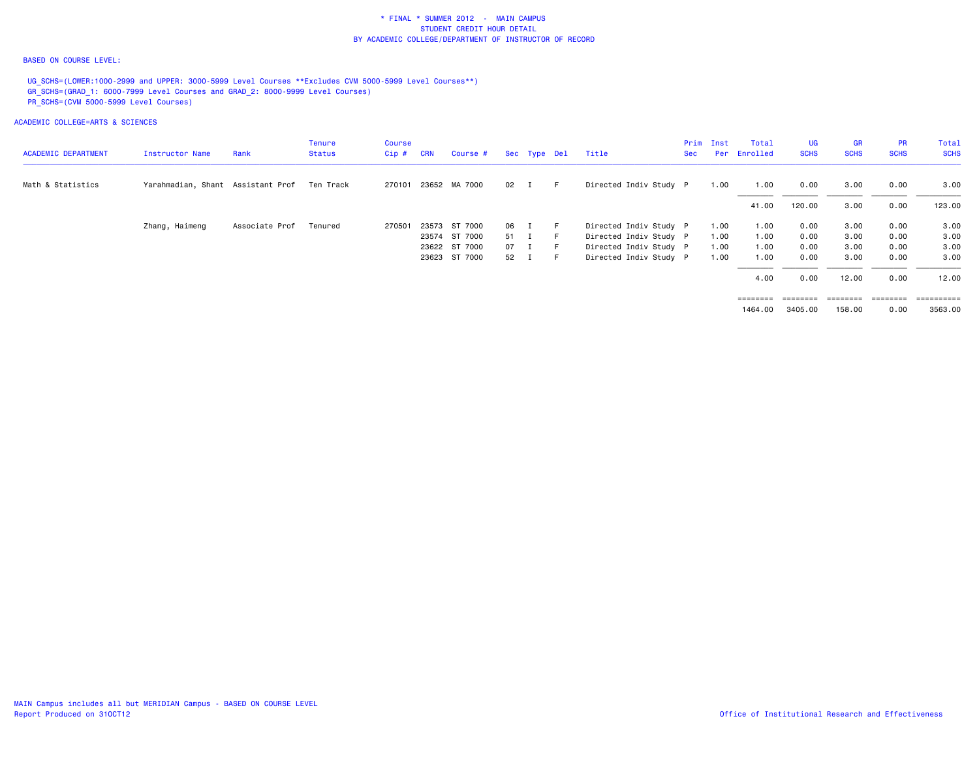### BASED ON COURSE LEVEL:

UG\_SCHS=(LOWER:1000-2999 and UPPER: 3000-5999 Level Courses \*\*Excludes CVM 5000-5999 Level Courses\*\*) GR\_SCHS=(GRAD\_1: 6000-7999 Level Courses and GRAD\_2: 8000-9999 Level Courses) PR\_SCHS=(CVM 5000-5999 Level Courses)

|                            |                                   |                | <b>Tenure</b> | Course  |            |                      |      |        |              |                        | Prim | Inst | Total        | <b>UG</b>         | <b>GR</b>   | <b>PR</b>         | Total       |
|----------------------------|-----------------------------------|----------------|---------------|---------|------------|----------------------|------|--------|--------------|------------------------|------|------|--------------|-------------------|-------------|-------------------|-------------|
| <b>ACADEMIC DEPARTMENT</b> | Instructor Name                   | Rank           | Status        | $Cip$ # | <b>CRN</b> | Course #             |      |        | Sec Type Del | Title                  | Sec  |      | Per Enrolled | <b>SCHS</b>       | <b>SCHS</b> | <b>SCHS</b>       | <b>SCHS</b> |
| Math & Statistics          | Yarahmadian, Shant Assistant Prof |                | Ten Track     |         |            | 270101 23652 MA 7000 | 02 I |        | -F           | Directed Indiv Study P |      | 1.00 | 1.00         | 0.00              | 3.00        | 0.00              | 3.00        |
|                            |                                   |                |               |         |            |                      |      |        |              |                        |      |      | 41.00        | 120.00            | 3.00        | 0.00              | 123.00      |
|                            | Zhang, Haimeng                    | Associate Prof | Tenured       | 270501  |            | 23573 ST 7000        | 06   |        |              | Directed Indiv Study P |      | 1.00 | 1.00         | 0.00              | 3.00        | 0.00              | 3.00        |
|                            |                                   |                |               |         |            | 23574 ST 7000        | 51 I |        | - F          | Directed Indiv Study P |      | 1.00 | 1.00         | 0.00              | 3.00        | 0.00              | 3.00        |
|                            |                                   |                |               |         |            | 23622 ST 7000        | 07 I |        | - F          | Directed Indiv Study P |      | 1.00 | 1.00         | 0.00              | 3.00        | 0.00              | 3.00        |
|                            |                                   |                |               |         |            | 23623 ST 7000        |      | 52 I F |              | Directed Indiv Study P |      | 1.00 | 1.00         | 0.00              | 3.00        | 0.00              | 3.00        |
|                            |                                   |                |               |         |            |                      |      |        |              |                        |      |      | 4.00         | 0.00              | 12.00       | 0.00              | 12.00       |
|                            |                                   |                |               |         |            |                      |      |        |              |                        |      |      | $=$ =======  | $=$ = = = = = = = | ========    | $=$ = = = = = = = |             |
|                            |                                   |                |               |         |            |                      |      |        |              |                        |      |      | 1464.00      | 3405.00           | 158.00      | 0.00              | 3563.00     |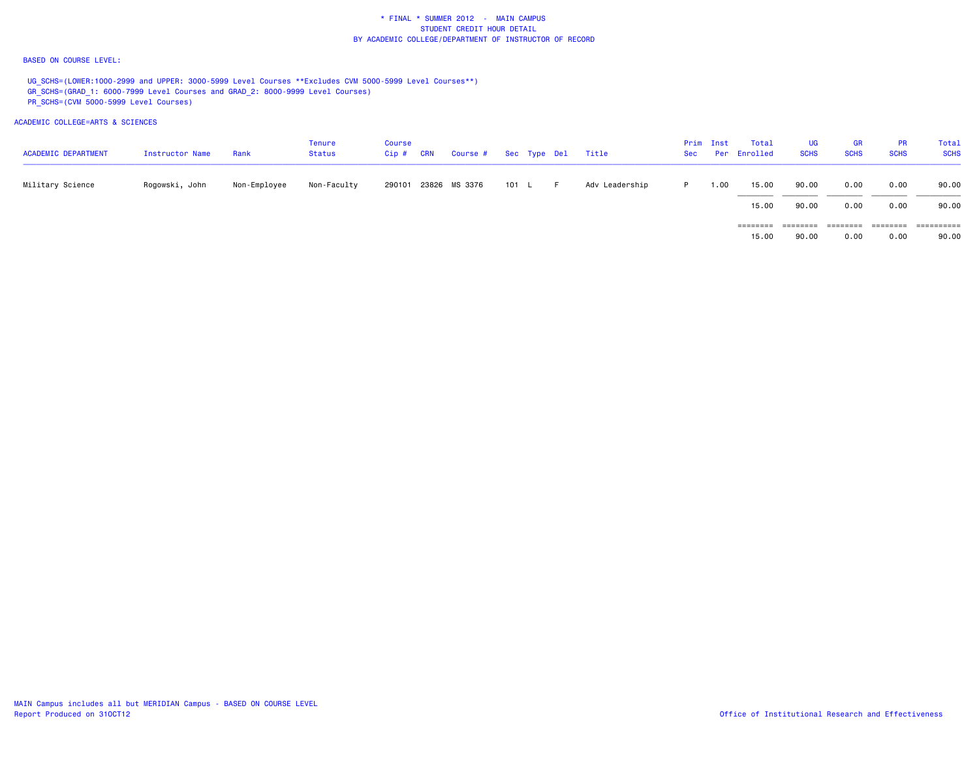### BASED ON COURSE LEVEL:

UG\_SCHS=(LOWER:1000-2999 and UPPER: 3000-5999 Level Courses \*\*Excludes CVM 5000-5999 Level Courses\*\*) GR\_SCHS=(GRAD\_1: 6000-7999 Level Courses and GRAD\_2: 8000-9999 Level Courses) PR\_SCHS=(CVM 5000-5999 Level Courses)

ACADEMIC COLLEGE=ARTS & SCIENCES

| <b>ACADEMIC DEPARTMENT</b> | Instructor Name | Rank         | Tenure<br>Status | Course<br>Cip# | <b>CRN</b> | Course # Sec Type Del |       |  | Title          |    | Prim Inst | Total<br>Sec Per Enrolled | <b>UG</b><br><b>SCHS</b> | <b>GR</b><br><b>SCHS</b> | <b>PR</b><br><b>SCHS</b> | Total<br><b>SCHS</b> |
|----------------------------|-----------------|--------------|------------------|----------------|------------|-----------------------|-------|--|----------------|----|-----------|---------------------------|--------------------------|--------------------------|--------------------------|----------------------|
| Military Science           | Rogowski, John  | Non-Employee | Non-Faculty      |                |            | 290101 23826 MS 3376  | 101 L |  | Adv Leadership | P. | 1.00      | 15.00                     | 90.00                    | 0.00                     | 0.00                     | 90.00                |
|                            |                 |              |                  |                |            |                       |       |  |                |    |           | 15.00                     | 90.00                    | 0.00                     | 0.00                     | 90.00                |
|                            |                 |              |                  |                |            |                       |       |  |                |    |           | $=$ = = = = = = =         | ========                 |                          | ========                 | ==========           |
|                            |                 |              |                  |                |            |                       |       |  |                |    |           | 15.00                     | 90.00                    | 0.00                     | 0.00                     | 90.00                |

MAIN Campus includes all but MERIDIAN Campus - BASED ON COURSE LEVEL<br>Report Produced on 310CT12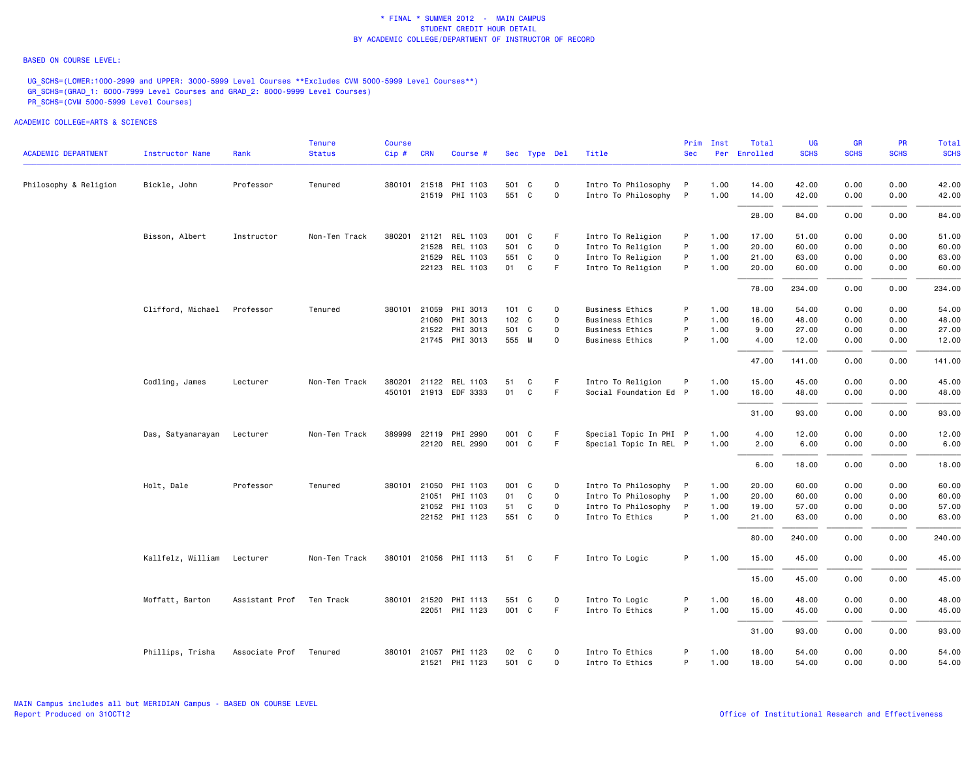#### BASED ON COURSE LEVEL:

UG\_SCHS=(LOWER:1000-2999 and UPPER: 3000-5999 Level Courses \*\*Excludes CVM 5000-5999 Level Courses\*\*) GR\_SCHS=(GRAD\_1: 6000-7999 Level Courses and GRAD\_2: 8000-9999 Level Courses) PR\_SCHS=(CVM 5000-5999 Level Courses)

| <b>ACADEMIC DEPARTMENT</b> | Instructor Name            | Rank           | <b>Tenure</b><br><b>Status</b> | <b>Course</b><br>$Cip \#$ | <b>CRN</b> | Course #              |       | Sec Type Del |              | Title                  | Prim<br><b>Sec</b> | Inst | Total<br>Per Enrolled | UG<br><b>SCHS</b> | <b>GR</b><br><b>SCHS</b> | <b>PR</b><br><b>SCHS</b> | Total<br><b>SCHS</b> |
|----------------------------|----------------------------|----------------|--------------------------------|---------------------------|------------|-----------------------|-------|--------------|--------------|------------------------|--------------------|------|-----------------------|-------------------|--------------------------|--------------------------|----------------------|
|                            |                            |                |                                |                           |            |                       |       |              |              |                        |                    |      |                       |                   |                          |                          |                      |
| Philosophy & Religion      | Bickle, John               | Professor      | Tenured                        |                           |            | 380101 21518 PHI 1103 | 501 C |              | $\mathsf{o}$ | Intro To Philosophy    | P                  | 1.00 | 14.00                 | 42.00             | 0.00                     | 0.00                     | 42.00                |
|                            |                            |                |                                |                           |            | 21519 PHI 1103        | 551 C |              | $\mathbf 0$  | Intro To Philosophy    | $\mathsf{P}$       | 1.00 | 14.00                 | 42.00             | 0.00                     | 0.00                     | 42.00                |
|                            |                            |                |                                |                           |            |                       |       |              |              |                        |                    |      | 28.00                 | 84.00             | 0.00                     | 0.00                     | 84.00                |
|                            | Bisson, Albert             | Instructor     | Non-Ten Track                  | 380201                    |            | 21121 REL 1103        | 001 C |              | F.           | Intro To Religion      | P                  | 1.00 | 17.00                 | 51.00             | 0.00                     | 0.00                     | 51.00                |
|                            |                            |                |                                |                           | 21528      | REL 1103              | 501 C |              | $\mathbf 0$  | Intro To Religion      | P                  | 1.00 | 20.00                 | 60.00             | 0.00                     | 0.00                     | 60.00                |
|                            |                            |                |                                |                           | 21529      | REL 1103              | 551 C |              | $\mathbf 0$  | Intro To Religion      | P                  | 1.00 | 21.00                 | 63.00             | 0.00                     | 0.00                     | 63.00                |
|                            |                            |                |                                |                           |            | 22123 REL 1103        | 01 C  |              | F.           | Intro To Religion      | P                  | 1.00 | 20.00                 | 60.00             | 0.00                     | 0.00                     | 60.00                |
|                            |                            |                |                                |                           |            |                       |       |              |              |                        |                    |      | 78.00                 | 234.00            | 0.00                     | 0.00                     | 234.00               |
|                            | Clifford, Michael          | Professor      | Tenured                        |                           |            | 380101 21059 PHI 3013 |       | 101 C        | 0            | <b>Business Ethics</b> | P                  | 1.00 | 18.00                 | 54.00             | 0.00                     | 0.00                     | 54.00                |
|                            |                            |                |                                |                           | 21060      | PHI 3013              |       | 102 C        | $\mathsf{o}$ | <b>Business Ethics</b> | P                  | 1.00 | 16.00                 | 48.00             | 0.00                     | 0.00                     | 48.00                |
|                            |                            |                |                                |                           | 21522      | PHI 3013              | 501 C |              | $\mathbf 0$  | <b>Business Ethics</b> | P                  | 1.00 | 9.00                  | 27.00             | 0.00                     | 0.00                     | 27.00                |
|                            |                            |                |                                |                           |            | 21745 PHI 3013        | 555 M |              | $\Omega$     | Business Ethics        | P                  | 1.00 | 4.00                  | 12.00             | 0.00                     | 0.00                     | 12.00                |
|                            |                            |                |                                |                           |            |                       |       |              |              |                        |                    |      | 47.00                 | 141.00            | 0.00                     | 0.00                     | 141.00               |
|                            | Codling, James             | Lecturer       | Non-Ten Track                  | 380201                    |            | 21122 REL 1103        | 51    | C            | -F.          | Intro To Religion      | P                  | 1.00 | 15.00                 | 45.00             | 0.00                     | 0.00                     | 45.00                |
|                            |                            |                |                                |                           |            | 450101 21913 EDF 3333 | 01    | C            | F.           | Social Foundation Ed P |                    | 1.00 | 16.00                 | 48.00             | 0.00                     | 0.00                     | 48.00                |
|                            |                            |                |                                |                           |            |                       |       |              |              |                        |                    |      | 31.00                 | 93.00             | 0.00                     | 0.00                     | 93.00                |
|                            | Das, Satyanarayan Lecturer |                | Non-Ten Track                  |                           |            | 389999 22119 PHI 2990 | 001 C |              | F            | Special Topic In PHI P |                    | 1.00 | 4.00                  | 12.00             | 0.00                     | 0.00                     | 12.00                |
|                            |                            |                |                                |                           |            | 22120 REL 2990        | 001 C |              | F            | Special Topic In REL P |                    | 1.00 | 2.00                  | 6.00              | 0.00                     | 0.00                     | 6.00                 |
|                            |                            |                |                                |                           |            |                       |       |              |              |                        |                    |      | 6.00                  | 18.00             | 0.00                     | 0.00                     | 18.00                |
|                            | Holt, Dale                 | Professor      | Tenured                        | 380101                    | 21050      | PHI 1103              | 001 C |              | 0            | Intro To Philosophy    | P                  | 1.00 | 20.00                 | 60.00             | 0.00                     | 0.00                     | 60.00                |
|                            |                            |                |                                |                           | 21051      | PHI 1103              | 01    | C            | $\mathbf 0$  | Intro To Philosophy    | P                  | 1.00 | 20.00                 | 60.00             | 0.00                     | 0.00                     | 60.00                |
|                            |                            |                |                                |                           | 21052      | PHI 1103              | 51    | C            | $\mathbf 0$  | Intro To Philosophy    | P                  | 1.00 | 19.00                 | 57.00             | 0.00                     | 0.00                     | 57.00                |
|                            |                            |                |                                |                           |            | 22152 PHI 1123        | 551 C |              | $\Omega$     | Intro To Ethics        | P                  | 1.00 | 21.00                 | 63.00             | 0.00                     | 0.00                     | 63.00                |
|                            |                            |                |                                |                           |            |                       |       |              |              |                        |                    |      | 80.00                 | 240.00            | 0.00                     | 0.00                     | 240.00               |
|                            | Kallfelz, William          | Lecturer       | Non-Ten Track                  |                           |            | 380101 21056 PHI 1113 | 51    | C            | F            | Intro To Logic         | P                  | 1.00 | 15.00                 | 45.00             | 0.00                     | 0.00                     | 45.00                |
|                            |                            |                |                                |                           |            |                       |       |              |              |                        |                    |      | 15.00                 | 45.00             | 0.00                     | 0.00                     | 45.00                |
|                            | Moffatt, Barton            | Assistant Prof | Ten Track                      |                           |            | 380101 21520 PHI 1113 | 551 C |              | $\mathbf 0$  | Intro To Logic         | P                  | 1.00 | 16.00                 | 48.00             | 0.00                     | 0.00                     | 48.00                |
|                            |                            |                |                                |                           |            | 22051 PHI 1123        | 001 C |              | -F           | Intro To Ethics        | P                  | 1.00 | 15.00                 | 45.00             | 0.00                     | 0.00                     | 45.00                |
|                            |                            |                |                                |                           |            |                       |       |              |              |                        |                    |      | 31.00                 | 93.00             | 0.00                     | 0.00                     | 93.00                |
|                            | Phillips, Trisha           | Associate Prof | Tenured                        |                           |            | 380101 21057 PHI 1123 | 02    | C            | $\mathbf 0$  | Intro To Ethics        | P                  | 1.00 | 18.00                 | 54.00             | 0.00                     | 0.00                     | 54.00                |
|                            |                            |                |                                |                           |            | 21521 PHI 1123        | 501 C |              | 0            | Intro To Ethics        | P                  | 1.00 | 18.00                 | 54.00             | 0.00                     | 0.00                     | 54.00                |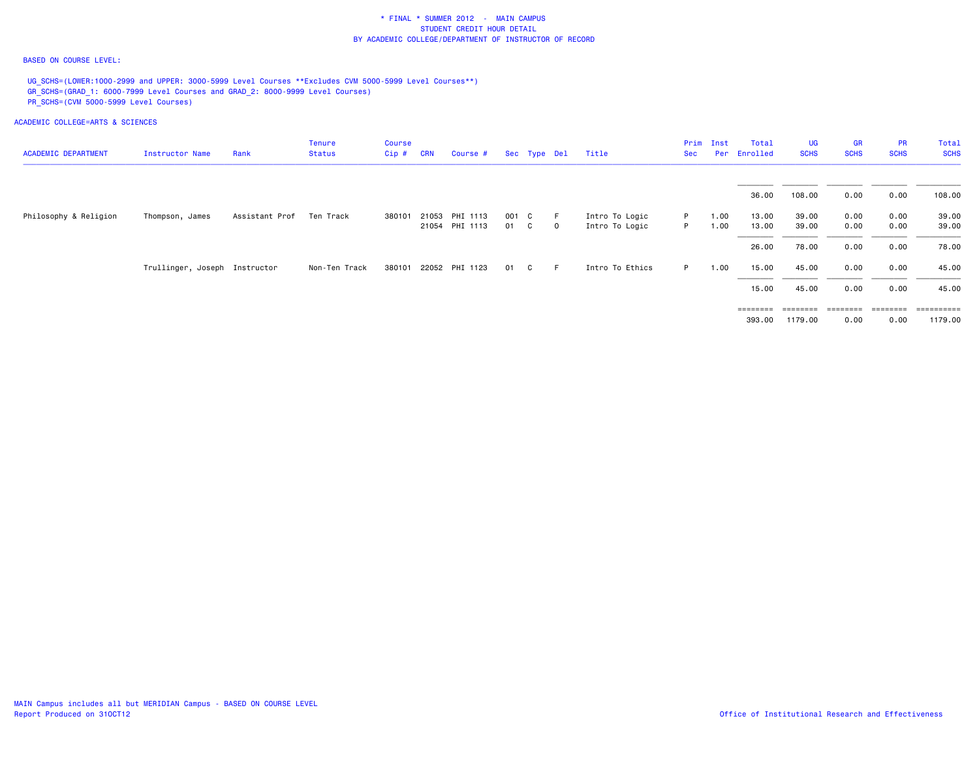### BASED ON COURSE LEVEL:

UG\_SCHS=(LOWER:1000-2999 and UPPER: 3000-5999 Level Courses \*\*Excludes CVM 5000-5999 Level Courses\*\*) GR\_SCHS=(GRAD\_1: 6000-7999 Level Courses and GRAD\_2: 8000-9999 Level Courses) PR\_SCHS=(CVM 5000-5999 Level Courses)

|                            |                               |                | <b>Tenure</b> | Course  |            |                |       |              |             |                 |     | Prim Inst | Total                                                                   | <b>UG</b>         | <b>GR</b>         | <b>PR</b>   | Total       |
|----------------------------|-------------------------------|----------------|---------------|---------|------------|----------------|-------|--------------|-------------|-----------------|-----|-----------|-------------------------------------------------------------------------|-------------------|-------------------|-------------|-------------|
| <b>ACADEMIC DEPARTMENT</b> | Instructor Name               | Rank           | <b>Status</b> | $Cip$ # | <b>CRN</b> | Course #       |       | Sec Type Del |             | Title           | Sec |           | Per Enrolled                                                            | <b>SCHS</b>       | <b>SCHS</b>       | <b>SCHS</b> | <b>SCHS</b> |
|                            |                               |                |               |         |            |                |       |              |             |                 |     |           | 36.00                                                                   | 108.00            | 0.00              | 0.00        | 108.00      |
| Philosophy & Religion      | Thompson, James               | Assistant Prof | Ten Track     | 380101  |            | 21053 PHI 1113 | 001 C |              | -F.         | Intro To Logic  | P.  | 1.00      | 13.00                                                                   | 39.00             | 0.00              | 0.00        | 39.00       |
|                            |                               |                |               |         |            | 21054 PHI 1113 | 01 C  |              | $\mathbf 0$ | Intro To Logic  | P.  | 1.00      | 13.00                                                                   | 39.00             | 0.00              | 0.00        | 39.00       |
|                            |                               |                |               |         |            |                |       |              |             |                 |     |           | 26.00                                                                   | 78.00             | 0.00              | 0.00        | 78.00       |
|                            | Trullinger, Joseph Instructor |                | Non-Ten Track | 380101  |            | 22052 PHI 1123 | 01    | C.           | F.          | Intro To Ethics | P.  | 1.00      | 15.00                                                                   | 45.00             | 0.00              | 0.00        | 45.00       |
|                            |                               |                |               |         |            |                |       |              |             |                 |     |           | 15.00                                                                   | 45.00             | 0.00              | 0.00        | 45.00       |
|                            |                               |                |               |         |            |                |       |              |             |                 |     |           | $\qquad \qquad \equiv \equiv \equiv \equiv \equiv \equiv \equiv \equiv$ | $=$ = = = = = = = | $=$ = = = = = = = | ========    | ----------- |
|                            |                               |                |               |         |            |                |       |              |             |                 |     |           | 393.00                                                                  | 1179.00           | 0.00              | 0.00        | 1179.00     |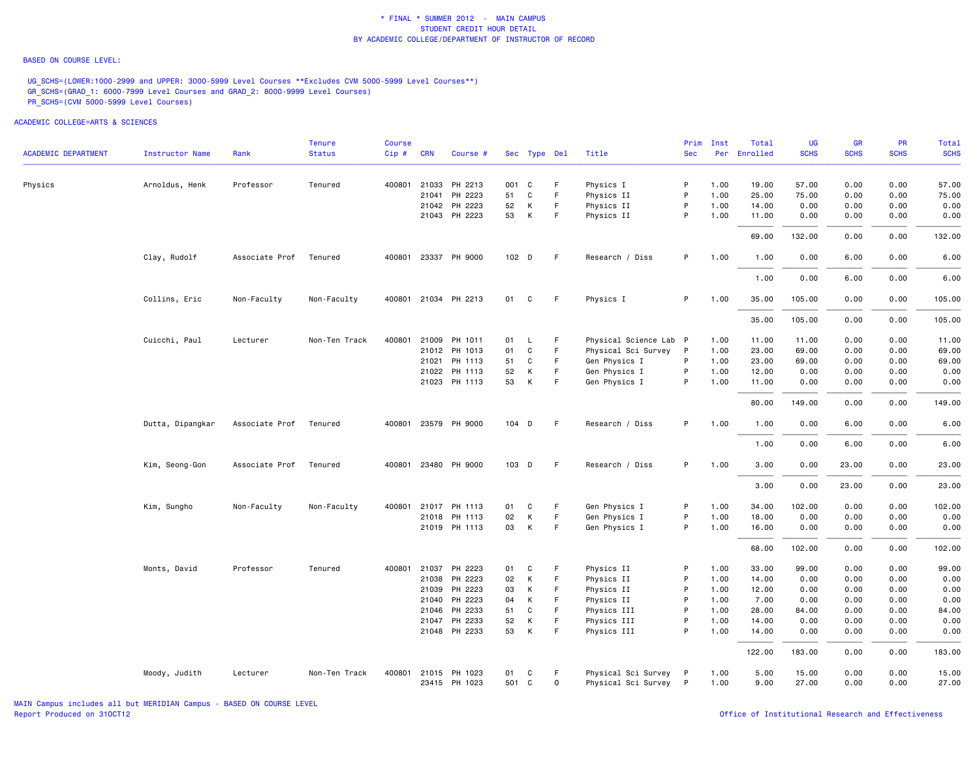#### BASED ON COURSE LEVEL:

UG\_SCHS=(LOWER:1000-2999 and UPPER: 3000-5999 Level Courses \*\*Excludes CVM 5000-5999 Level Courses\*\*) GR\_SCHS=(GRAD\_1: 6000-7999 Level Courses and GRAD\_2: 8000-9999 Level Courses) PR\_SCHS=(CVM 5000-5999 Level Courses)

| <b>ACADEMIC DEPARTMENT</b> | <b>Instructor Name</b> | Rank           | <b>Tenure</b><br><b>Status</b> | <b>Course</b><br>Cip# | <b>CRN</b>   | Course #             |       | Sec Type Del |             | Title                  | Prim<br><b>Sec</b> | Inst<br>Per | Total<br>Enrolled | UG<br><b>SCHS</b> | <b>GR</b><br><b>SCHS</b> | <b>PR</b><br><b>SCHS</b> | Total<br><b>SCHS</b> |
|----------------------------|------------------------|----------------|--------------------------------|-----------------------|--------------|----------------------|-------|--------------|-------------|------------------------|--------------------|-------------|-------------------|-------------------|--------------------------|--------------------------|----------------------|
|                            |                        |                |                                |                       |              |                      |       |              |             |                        |                    |             |                   |                   |                          |                          |                      |
| Physics                    | Arnoldus, Henk         | Professor      | Tenured                        |                       | 400801 21033 | PH 2213              | 001 C |              | F           | Physics I              | P                  | 1.00        | 19.00             | 57.00             | 0.00                     | 0.00                     | 57.00                |
|                            |                        |                |                                |                       | 21041        | PH 2223              | 51    | $\mathbf C$  | F.          | Physics II             | P                  | 1.00        | 25.00             | 75.00             | 0.00                     | 0.00                     | 75.00                |
|                            |                        |                |                                |                       | 21042        | PH 2223              | 52    | К            | F.          | Physics II             | P                  | 1.00        | 14.00             | 0.00              | 0.00                     | 0.00                     | 0.00                 |
|                            |                        |                |                                |                       |              | 21043 PH 2223        | 53    | К            | F           | Physics II             | P                  | 1.00        | 11.00             | 0.00              | 0.00                     | 0.00                     | 0.00                 |
|                            |                        |                |                                |                       |              |                      |       |              |             |                        |                    |             | 69.00             | 132.00            | 0.00                     | 0.00                     | 132.00               |
|                            | Clay, Rudolf           | Associate Prof | Tenured                        |                       |              | 400801 23337 PH 9000 | 102 D |              | F.          | Research / Diss        | P                  | 1.00        | 1.00              | 0.00              | 6.00                     | 0.00                     | 6.00                 |
|                            |                        |                |                                |                       |              |                      |       |              |             |                        |                    |             | 1.00              | 0.00              | 6.00                     | 0.00                     | 6.00                 |
|                            | Collins, Eric          | Non-Faculty    | Non-Faculty                    |                       |              | 400801 21034 PH 2213 | 01    | C            | F           | Physics I              | P                  | 1.00        | 35.00             | 105.00            | 0.00                     | 0.00                     | 105.00               |
|                            |                        |                |                                |                       |              |                      |       |              |             |                        |                    |             | 35.00             | 105.00            | 0.00                     | 0.00                     | 105.00               |
|                            | Cuicchi, Paul          | Lecturer       | Non-Ten Track                  |                       |              | 400801 21009 PH 1011 | 01    | L            | F           | Physical Science Lab P |                    | 1.00        | 11.00             | 11.00             | 0.00                     | 0.00                     | 11.00                |
|                            |                        |                |                                |                       |              | 21012 PH 1013        | 01    | C            | F.          | Physical Sci Survey    | $\mathsf{P}$       | 1.00        | 23.00             | 69.00             | 0.00                     | 0.00                     | 69.00                |
|                            |                        |                |                                |                       | 21021        | PH 1113              | 51    | C            | F           | Gen Physics I          | P                  | 1.00        | 23.00             | 69.00             | 0.00                     | 0.00                     | 69.00                |
|                            |                        |                |                                |                       | 21022        | PH 1113              | 52    | K            | F.          | Gen Physics I          | P                  | 1.00        | 12.00             | 0.00              | 0.00                     | 0.00                     | 0.00                 |
|                            |                        |                |                                |                       |              | 21023 PH 1113        | 53    | К            | F.          | Gen Physics I          | P                  | 1.00        | 11.00             | 0.00              | 0.00                     | 0.00                     | 0.00                 |
|                            |                        |                |                                |                       |              |                      |       |              |             |                        |                    |             | 80.00             | 149.00            | 0.00                     | 0.00                     | 149.00               |
|                            | Dutta, Dipangkar       | Associate Prof | Tenured                        |                       |              | 400801 23579 PH 9000 |       | 104 D        | F           | Research / Diss        | P                  | 1.00        | 1.00              | 0.00              | 6.00                     | 0.00                     | 6.00                 |
|                            |                        |                |                                |                       |              |                      |       |              |             |                        |                    |             | 1.00              | 0.00              | 6.00                     | 0.00                     | 6.00                 |
|                            | Kim, Seong-Gon         | Associate Prof | Tenured                        |                       |              | 400801 23480 PH 9000 |       | 103 D        | F.          | Research / Diss        | P                  | 1.00        | 3.00              | 0.00              | 23.00                    | 0.00                     | 23.00                |
|                            |                        |                |                                |                       |              |                      |       |              |             |                        |                    |             | 3.00              | 0.00              | 23.00                    | 0.00                     | 23.00                |
|                            | Kim, Sungho            | Non-Faculty    | Non-Faculty                    |                       |              | 400801 21017 PH 1113 | 01    | C            | F           | Gen Physics I          | P                  | 1.00        | 34.00             | 102.00            | 0.00                     | 0.00                     | 102.00               |
|                            |                        |                |                                |                       |              | 21018 PH 1113        | 02    | К            | F.          | Gen Physics I          | P                  | 1.00        | 18.00             | 0.00              | 0.00                     | 0.00                     | 0.00                 |
|                            |                        |                |                                |                       |              | 21019 PH 1113        | 03    | К            | F.          | Gen Physics I          | P                  | 1.00        | 16.00             | 0.00              | 0.00                     | 0.00                     | 0.00                 |
|                            |                        |                |                                |                       |              |                      |       |              |             |                        |                    |             | 68.00             | 102.00            | 0.00                     | 0.00                     | 102.00               |
|                            | Monts, David           | Professor      | Tenured                        |                       | 400801 21037 | PH 2223              | 01    | C            | F           | Physics II             | P                  | 1.00        | 33.00             | 99.00             | 0.00                     | 0.00                     | 99.00                |
|                            |                        |                |                                |                       |              | 21038 PH 2223        | 02    | Κ            | F           | Physics II             | P                  | 1.00        | 14.00             | 0.00              | 0.00                     | 0.00                     | 0.00                 |
|                            |                        |                |                                |                       | 21039        | PH 2223              | 03    | К            | F           | Physics II             | P                  | 1.00        | 12.00             | 0.00              | 0.00                     | 0.00                     | 0.00                 |
|                            |                        |                |                                |                       | 21040        | PH 2223              | 04    | К            | F.          | Physics II             | P                  | 1.00        | 7.00              | 0.00              | 0.00                     | 0.00                     | 0.00                 |
|                            |                        |                |                                |                       | 21046        | PH 2233              | 51    | $\mathbf C$  | E           | Physics III            | P                  | 1.00        | 28,00             | 84.00             | 0.00                     | 0.00                     | 84.00                |
|                            |                        |                |                                |                       | 21047        | PH 2233              | 52    | К            | F           | Physics III            | P                  | 1.00        | 14.00             | 0.00              | 0.00                     | 0.00                     | 0.00                 |
|                            |                        |                |                                |                       |              | 21048 PH 2233        | 53    | К            | F           | Physics III            | P                  | 1.00        | 14.00             | 0.00              | 0.00                     | 0.00                     | 0.00                 |
|                            |                        |                |                                |                       |              |                      |       |              |             |                        |                    |             | 122.00            | 183.00            | 0.00                     | 0.00                     | 183.00               |
|                            | Moody, Judith          | Lecturer       | Non-Ten Track                  |                       |              | 400801 21015 PH 1023 | 01    | C            | F           | Physical Sci Survey    | $\mathsf{P}$       | 1.00        | 5.00              | 15.00             | 0.00                     | 0.00                     | 15.00                |
|                            |                        |                |                                |                       |              | 23415 PH 1023        | 501 C |              | $\mathbf 0$ | Physical Sci Survey P  |                    | 1.00        | 9.00              | 27.00             | 0.00                     | 0.00                     | 27.00                |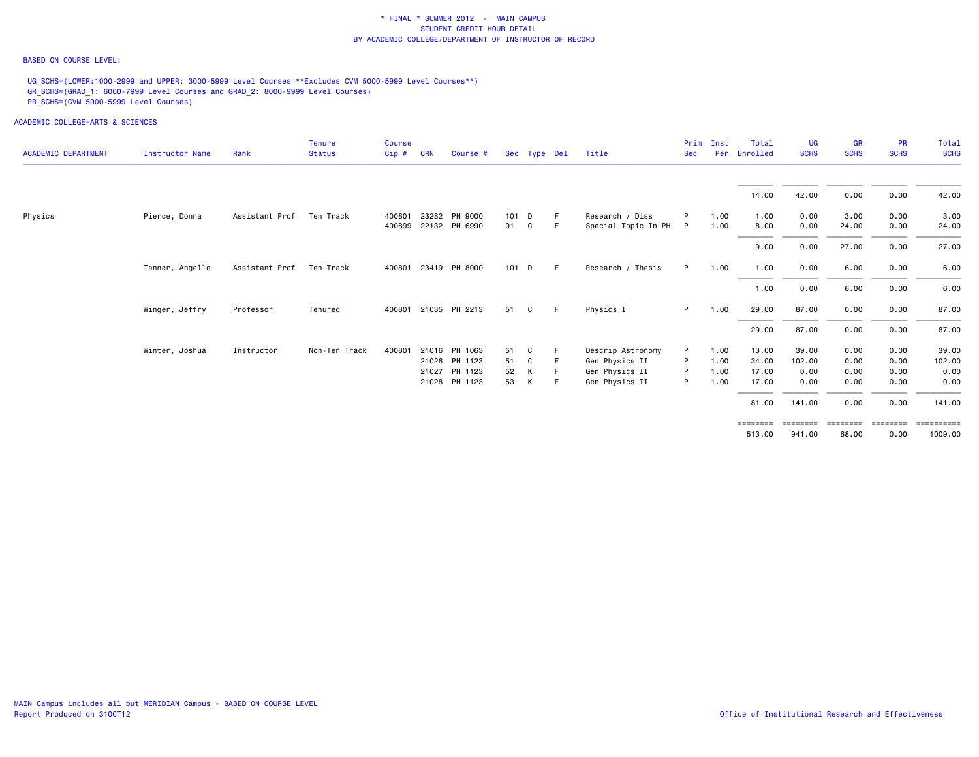### BASED ON COURSE LEVEL:

UG\_SCHS=(LOWER:1000-2999 and UPPER: 3000-5999 Level Courses \*\*Excludes CVM 5000-5999 Level Courses\*\*) GR\_SCHS=(GRAD\_1: 6000-7999 Level Courses and GRAD\_2: 8000-9999 Level Courses) PR\_SCHS=(CVM 5000-5999 Level Courses)

| <b>ACADEMIC DEPARTMENT</b> | Instructor Name | Rank           | <b>Tenure</b><br><b>Status</b> | Course<br>Cip# | <b>CRN</b> | Course #             |       | Sec Type Del |    | Title               | Prim<br><b>Sec</b> | Inst<br>Per | Total<br>Enrolled | <b>UG</b><br><b>SCHS</b> | <b>GR</b><br><b>SCHS</b> | <b>PR</b><br><b>SCHS</b> | <b>Total</b><br><b>SCHS</b> |
|----------------------------|-----------------|----------------|--------------------------------|----------------|------------|----------------------|-------|--------------|----|---------------------|--------------------|-------------|-------------------|--------------------------|--------------------------|--------------------------|-----------------------------|
|                            |                 |                |                                |                |            |                      |       |              |    |                     |                    |             | 14.00             | 42.00                    | 0.00                     | 0.00                     | 42.00                       |
| Physics                    | Pierce, Donna   | Assistant Prof | Ten Track                      | 400801         |            | 23282 PH 9000        | 101 D |              | -F | Research / Diss     | P                  | 1.00        | 1.00              | 0.00                     | 3.00                     | 0.00                     | 3.00                        |
|                            |                 |                |                                |                |            | 400899 22132 PH 6990 | 01 C  |              | -F | Special Topic In PH | P                  | 1.00        | 8.00              | 0.00                     | 24.00                    | 0.00                     | 24.00                       |
|                            |                 |                |                                |                |            |                      |       |              |    |                     |                    |             | 9.00              | 0.00                     | 27.00                    | 0.00                     | 27.00                       |
|                            | Tanner, Angelle | Assistant Prof | Ten Track                      |                |            | 400801 23419 PH 8000 | 101 D |              | -F | Research / Thesis   | P.                 | 1.00        | 1.00              | 0.00                     | 6.00                     | 0.00                     | 6.00                        |
|                            |                 |                |                                |                |            |                      |       |              |    |                     |                    |             | 1.00              | 0.00                     | 6.00                     | 0.00                     | 6.00                        |
|                            | Winger, Jeffry  | Professor      | Tenured                        |                |            | 400801 21035 PH 2213 | 51    | C            | -F | Physics I           | P.                 | 1.00        | 29.00             | 87.00                    | 0.00                     | 0.00                     | 87.00                       |
|                            |                 |                |                                |                |            |                      |       |              |    |                     |                    |             | 29.00             | 87.00                    | 0.00                     | 0.00                     | 87.00                       |
|                            | Winter, Joshua  | Instructor     | Non-Ten Track                  | 400801         |            | 21016 PH 1063        | 51    | C            |    | Descrip Astronomy   | P                  | 1.00        | 13.00             | 39.00                    | 0.00                     | 0.00                     | 39.00                       |
|                            |                 |                |                                |                |            | 21026 PH 1123        | 51    | C            |    | Gen Physics II      | P                  | 1.00        | 34.00             | 102.00                   | 0.00                     | 0.00                     | 102.00                      |
|                            |                 |                |                                |                |            | 21027 PH 1123        | 52    | K            |    | Gen Physics II      | P                  | 1.00        | 17.00             | 0.00                     | 0.00                     | 0.00                     | 0.00                        |
|                            |                 |                |                                |                |            | 21028 PH 1123        | 53    | K            |    | Gen Physics II      | P                  | 1.00        | 17.00             | 0.00                     | 0.00                     | 0.00                     | 0.00                        |
|                            |                 |                |                                |                |            |                      |       |              |    |                     |                    |             | 81.00             | 141.00                   | 0.00                     | 0.00                     | 141.00                      |
|                            |                 |                |                                |                |            |                      |       |              |    |                     |                    |             | ========          | ========                 | ========                 | ========                 | ==========                  |
|                            |                 |                |                                |                |            |                      |       |              |    |                     |                    |             | 513.00            | 941.00                   | 68.00                    | 0.00                     | 1009.00                     |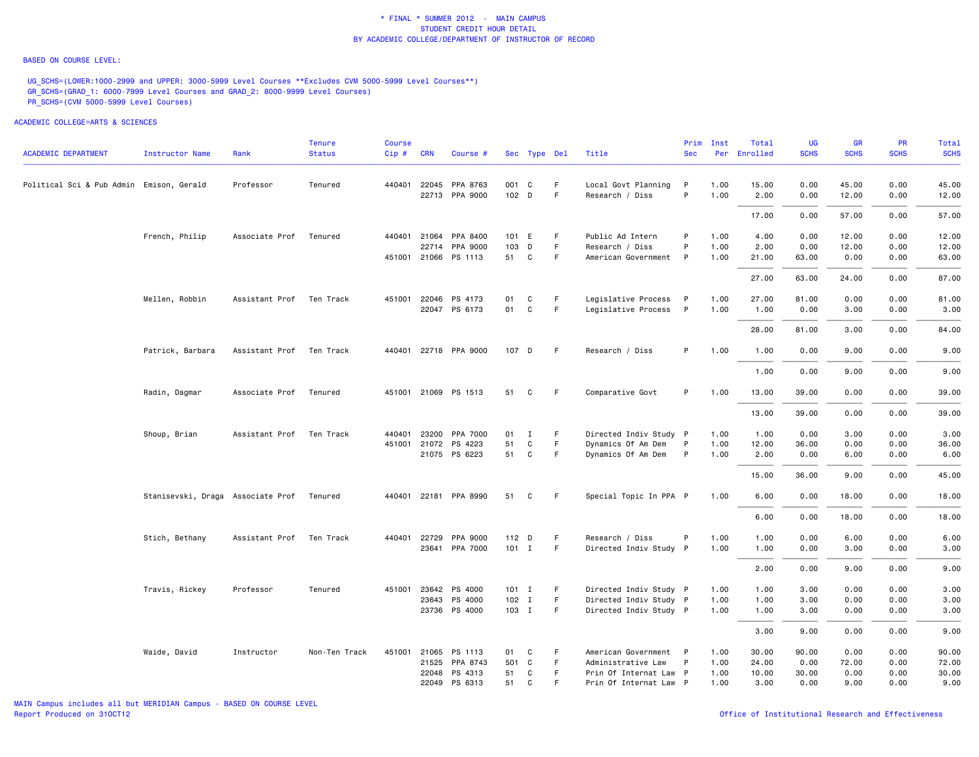#### BASED ON COURSE LEVEL:

UG\_SCHS=(LOWER:1000-2999 and UPPER: 3000-5999 Level Courses \*\*Excludes CVM 5000-5999 Level Courses\*\*) GR\_SCHS=(GRAD\_1: 6000-7999 Level Courses and GRAD\_2: 8000-9999 Level Courses) PR\_SCHS=(CVM 5000-5999 Level Courses)

|                                          |                                   |                          | Tenure        | Course |              |                       |         |              |    |                        | Prim         | Inst | Total        | UG          | GR          | <b>PR</b>   | Total       |
|------------------------------------------|-----------------------------------|--------------------------|---------------|--------|--------------|-----------------------|---------|--------------|----|------------------------|--------------|------|--------------|-------------|-------------|-------------|-------------|
| <b>ACADEMIC DEPARTMENT</b>               | <b>Instructor Name</b>            | Rank                     | <b>Status</b> | Cip#   | <b>CRN</b>   | Course #              |         | Sec Type Del |    | Title                  | <b>Sec</b>   |      | Per Enrolled | <b>SCHS</b> | <b>SCHS</b> | <b>SCHS</b> | <b>SCHS</b> |
| Political Sci & Pub Admin Emison, Gerald |                                   | Professor                | Tenured       |        |              | 440401 22045 PPA 8763 | 001 C   |              | F  | Local Govt Planning    | P            | 1.00 | 15.00        | 0.00        | 45.00       | 0.00        | 45.00       |
|                                          |                                   |                          |               |        |              | 22713 PPA 9000        | 102 D   |              | F  | Research / Diss        | P            | 1.00 | 2.00         | 0.00        | 12.00       | 0.00        | 12.00       |
|                                          |                                   |                          |               |        |              |                       |         |              |    |                        |              |      | 17.00        | 0.00        | 57.00       | 0.00        | 57.00       |
|                                          | French, Philip                    | Associate Prof           | Tenured       |        | 440401 21064 | PPA 8400              | 101 E   |              | F  | Public Ad Intern       | P            | 1.00 | 4.00         | 0.00        | 12.00       | 0.00        | 12.00       |
|                                          |                                   |                          |               |        | 22714        | PPA 9000              | 103     | D            | F. | Research / Diss        | P            | 1.00 | 2.00         | 0.00        | 12.00       | 0.00        | 12.00       |
|                                          |                                   |                          |               |        |              | 451001 21066 PS 1113  | 51      | C            | F. | American Government    | $\mathsf{P}$ | 1.00 | 21.00        | 63.00       | 0.00        | 0.00        | 63.00       |
|                                          |                                   |                          |               |        |              |                       |         |              |    |                        |              |      | 27.00        | 63.00       | 24.00       | 0.00        | 87.00       |
|                                          | Mellen, Robbin                    | Assistant Prof Ten Track |               |        |              | 451001 22046 PS 4173  | 01      | C            | F  | Legislative Process    | $\mathsf{P}$ | 1.00 | 27.00        | 81.00       | 0.00        | 0.00        | 81.00       |
|                                          |                                   |                          |               |        |              | 22047 PS 6173         | 01      | C            | F  | Legislative Process    | $\mathsf{P}$ | 1.00 | 1.00         | 0.00        | 3.00        | 0.00        | 3.00        |
|                                          |                                   |                          |               |        |              |                       |         |              |    |                        |              |      | 28.00        | 81.00       | 3.00        | 0.00        | 84.00       |
|                                          | Patrick, Barbara                  | Assistant Prof Ten Track |               |        |              | 440401 22718 PPA 9000 | 107 D   |              | -F | Research / Diss        | P            | 1.00 | 1.00         | 0.00        | 9.00        | 0.00        | 9.00        |
|                                          |                                   |                          |               |        |              |                       |         |              |    |                        |              |      | 1.00         | 0.00        | 9.00        | 0.00        | 9.00        |
|                                          | Radin, Dagmar                     | Associate Prof           | Tenured       |        |              | 451001 21069 PS 1513  | 51      | C            | F  | Comparative Govt       | P            | 1.00 | 13.00        | 39.00       | 0.00        | 0.00        | 39.00       |
|                                          |                                   |                          |               |        |              |                       |         |              |    |                        |              |      | 13.00        | 39.00       | 0.00        | 0.00        | 39.00       |
|                                          | Shoup, Brian                      | Assistant Prof           | Ten Track     | 440401 | 23200        | PPA 7000              | 01      | $\mathbf{I}$ | F  | Directed Indiv Study P |              | 1.00 | 1.00         | 0.00        | 3.00        | 0.00        | 3.00        |
|                                          |                                   |                          |               |        |              | 451001 21072 PS 4223  | 51      | C            | F. | Dynamics Of Am Dem     | $\mathsf{P}$ | 1.00 | 12.00        | 36.00       | 0.00        | 0.00        | 36.00       |
|                                          |                                   |                          |               |        |              | 21075 PS 6223         | 51      | C            | F. | Dynamics Of Am Dem     | P            | 1.00 | 2.00         | 0.00        | 6.00        | 0.00        | 6.00        |
|                                          |                                   |                          |               |        |              |                       |         |              |    |                        |              |      | 15.00        | 36.00       | 9.00        | 0.00        | 45.00       |
|                                          | Stanisevski, Draga Associate Prof |                          | Tenured       |        |              | 440401 22181 PPA 8990 | 51      | C            | F. | Special Topic In PPA P |              | 1.00 | 6.00         | 0.00        | 18.00       | 0.00        | 18.00       |
|                                          |                                   |                          |               |        |              |                       |         |              |    |                        |              |      | 6.00         | 0.00        | 18.00       | 0.00        | 18.00       |
|                                          | Stich, Bethany                    | Assistant Prof           | Ten Track     |        | 440401 22729 | PPA 9000              | 112 D   |              | F  | Research / Diss        | P            | 1.00 | 1.00         | 0.00        | 6.00        | 0.00        | 6.00        |
|                                          |                                   |                          |               |        |              | 23641 PPA 7000        | $101$ I |              | F. | Directed Indiv Study P |              | 1.00 | 1.00         | 0.00        | 3.00        | 0.00        | 3.00        |
|                                          |                                   |                          |               |        |              |                       |         |              |    |                        |              |      | 2.00         | 0.00        | 9.00        | 0.00        | 9.00        |
|                                          | Travis, Rickey                    | Professor                | Tenured       |        |              | 451001 23642 PS 4000  | $101$ I |              | F. | Directed Indiv Study P |              | 1.00 | 1.00         | 3.00        | 0.00        | 0.00        | 3.00        |
|                                          |                                   |                          |               |        |              | 23643 PS 4000         | $102$ I |              | F. | Directed Indiv Study P |              | 1.00 | 1.00         | 3.00        | 0.00        | 0.00        | 3.00        |
|                                          |                                   |                          |               |        |              | 23736 PS 4000         | 103 I   |              | F  | Directed Indiv Study P |              | 1.00 | 1.00         | 3.00        | 0.00        | 0.00        | 3.00        |
|                                          |                                   |                          |               |        |              |                       |         |              |    |                        |              |      | 3.00         | 9.00        | 0.00        | 0.00        | 9.00        |
|                                          | Waide, David                      | Instructor               | Non-Ten Track |        |              | 451001 21065 PS 1113  | 01      | C            | F  | American Government P  |              | 1.00 | 30.00        | 90.00       | 0.00        | 0.00        | 90.00       |
|                                          |                                   |                          |               |        |              | 21525 PPA 8743        | 501 C   |              | F  | Administrative Law     | $\mathsf{P}$ | 1.00 | 24.00        | 0.00        | 72.00       | 0.00        | 72.00       |
|                                          |                                   |                          |               |        | 22048        | PS 4313               | 51      | C            | F. | Prin Of Internat Law P |              | 1.00 | 10.00        | 30.00       | 0.00        | 0.00        | 30.00       |
|                                          |                                   |                          |               |        |              | 22049 PS 6313         | 51      | C            | F. | Prin Of Internat Law P |              | 1.00 | 3.00         | 0.00        | 9.00        | 0.00        | 9.00        |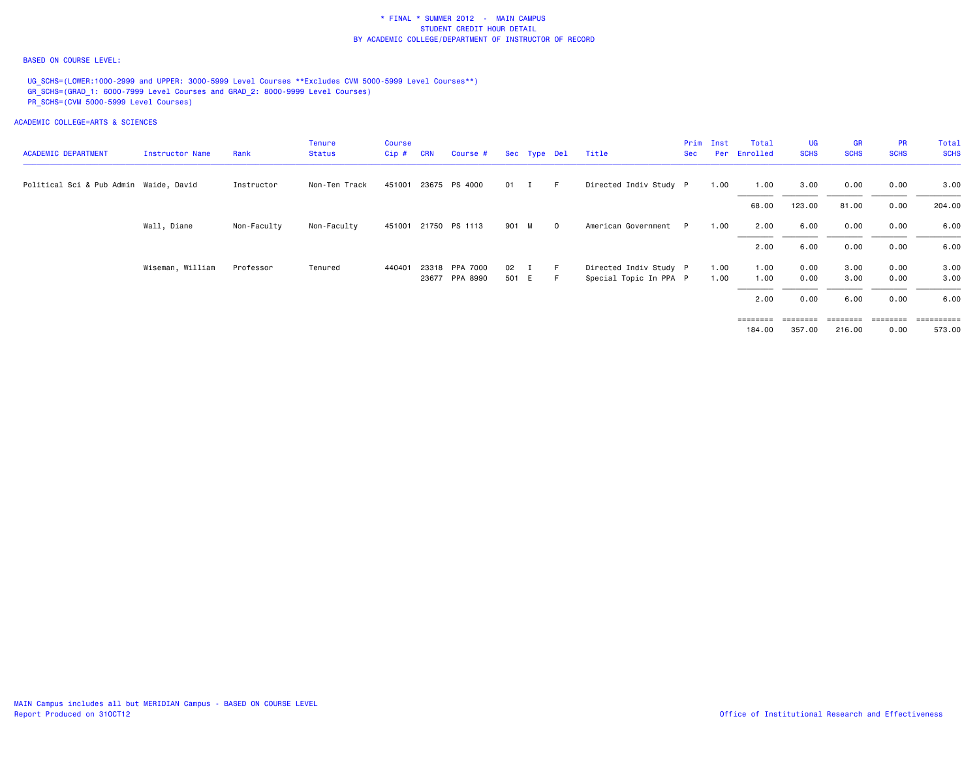### BASED ON COURSE LEVEL:

UG\_SCHS=(LOWER:1000-2999 and UPPER: 3000-5999 Level Courses \*\*Excludes CVM 5000-5999 Level Courses\*\*) GR\_SCHS=(GRAD\_1: 6000-7999 Level Courses and GRAD\_2: 8000-9999 Level Courses) PR\_SCHS=(CVM 5000-5999 Level Courses)

ACADEMIC COLLEGE=ARTS & SCIENCES

| <b>ACADEMIC DEPARTMENT</b>             | Instructor Name  | Rank        | <b>Tenure</b><br>Status | <b>Course</b><br>$Cip$ # | <b>CRN</b> | Course #       |              | Sec Type Del |          | Title                  | <b>Sec</b> | Prim Inst | Total<br>Per Enrolled | <b>UG</b><br><b>SCHS</b> | GR<br><b>SCHS</b> | <b>PR</b><br><b>SCHS</b> | Total<br><b>SCHS</b> |
|----------------------------------------|------------------|-------------|-------------------------|--------------------------|------------|----------------|--------------|--------------|----------|------------------------|------------|-----------|-----------------------|--------------------------|-------------------|--------------------------|----------------------|
|                                        |                  |             |                         |                          |            |                |              |              |          |                        |            |           |                       |                          |                   |                          |                      |
| Political Sci & Pub Admin Waide, David |                  | Instructor  | Non-Ten Track           | 451001                   |            | 23675 PS 4000  | 01 I         |              | $F = 1$  | Directed Indiv Study P |            | 1.00      | 1.00                  | 3.00                     | 0.00              | 0.00                     | 3.00                 |
|                                        |                  |             |                         |                          |            |                |              |              |          |                        |            |           | 68.00                 | 123.00                   | 81.00             | 0.00                     | 204,00               |
|                                        | Wall, Diane      | Non-Faculty | Non-Faculty             | 451001                   |            | 21750 PS 1113  | 901 M        |              | $\Omega$ | American Government    |            | 1.00      | 2.00                  | 6.00                     | 0.00              | 0.00                     | 6.00                 |
|                                        |                  |             |                         |                          |            |                |              |              |          |                        |            |           | 2.00                  | 6.00                     | 0.00              | 0.00                     | 6.00                 |
|                                        | Wiseman, William | Professor   | Tenured                 | 440401                   |            | 23318 PPA 7000 | $02 \quad I$ |              | F        | Directed Indiv Study P |            | 1.00      | 1.00                  | 0.00                     | 3.00              | 0.00                     | 3.00                 |
|                                        |                  |             |                         |                          |            | 23677 PPA 8990 | 501 E        |              | – F      | Special Topic In PPA P |            | 1.00      | 1.00                  | 0.00                     | 3.00              | 0.00                     | 3.00                 |
|                                        |                  |             |                         |                          |            |                |              |              |          |                        |            |           | 2.00                  | 0.00                     | 6.00              | 0.00                     | 6.00                 |

 ======== ======== ======== ======== ==========184.00 357.00 216.00 0.00 573.00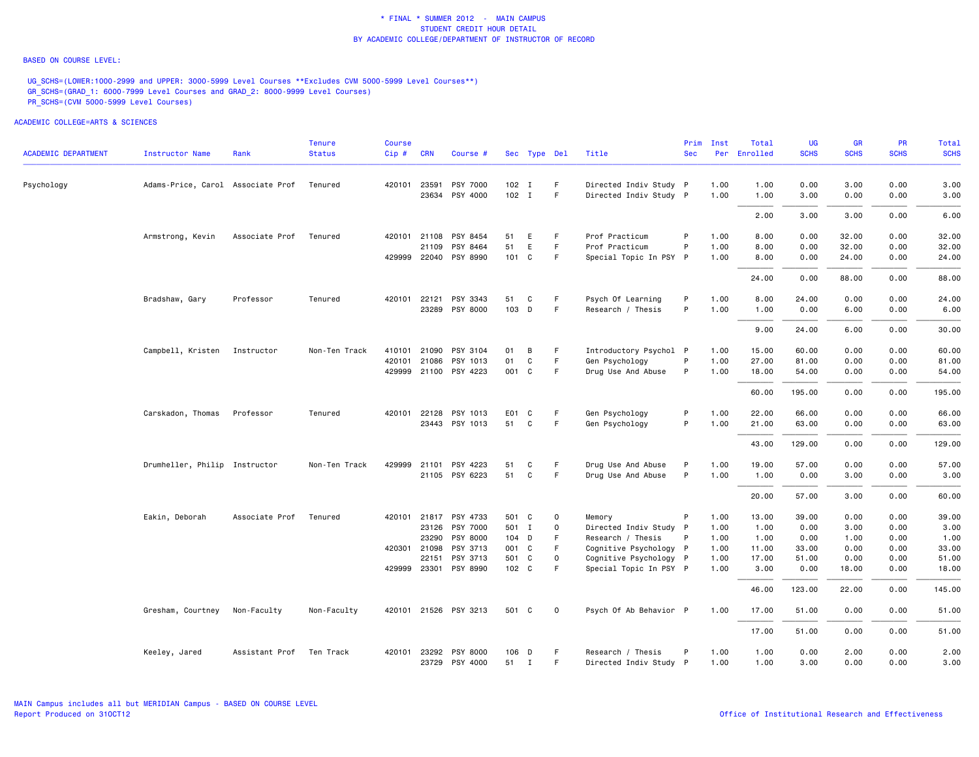#### BASED ON COURSE LEVEL:

UG\_SCHS=(LOWER:1000-2999 and UPPER: 3000-5999 Level Courses \*\*Excludes CVM 5000-5999 Level Courses\*\*) GR\_SCHS=(GRAD\_1: 6000-7999 Level Courses and GRAD\_2: 8000-9999 Level Courses) PR\_SCHS=(CVM 5000-5999 Level Courses)

|                            |                                   |                | Tenure        | Course |              |                       |         |              |              |                        | Prim       | Inst | Total        | UG          | GR          | <b>PR</b>   | Total       |
|----------------------------|-----------------------------------|----------------|---------------|--------|--------------|-----------------------|---------|--------------|--------------|------------------------|------------|------|--------------|-------------|-------------|-------------|-------------|
| <b>ACADEMIC DEPARTMENT</b> | <b>Instructor Name</b>            | Rank           | <b>Status</b> | Cip#   | <b>CRN</b>   | Course #              |         | Sec Type Del |              | Title                  | <b>Sec</b> |      | Per Enrolled | <b>SCHS</b> | <b>SCHS</b> | <b>SCHS</b> | <b>SCHS</b> |
| Psychology                 | Adams-Price, Carol Associate Prof |                | Tenured       |        | 420101 23591 | PSY 7000              | 102 I   |              | F.           | Directed Indiv Study P |            | 1.00 | 1.00         | 0.00        | 3.00        | 0.00        | 3.00        |
|                            |                                   |                |               |        | 23634        | PSY 4000              | $102$ I |              | F.           | Directed Indiv Study P |            | 1.00 | 1.00         | 3.00        | 0.00        | 0.00        | 3.00        |
|                            |                                   |                |               |        |              |                       |         |              |              |                        |            |      | 2.00         | 3.00        | 3.00        | 0.00        | 6.00        |
|                            | Armstrong, Kevin                  | Associate Prof | Tenured       |        |              | 420101 21108 PSY 8454 | 51      | E            | F            | Prof Practicum         | P          | 1.00 | 8.00         | 0.00        | 32.00       | 0.00        | 32.00       |
|                            |                                   |                |               |        | 21109        | PSY 8464              | 51      | E            | F.           | Prof Practicum         | P          | 1.00 | 8.00         | 0.00        | 32.00       | 0.00        | 32.00       |
|                            |                                   |                |               |        |              | 429999 22040 PSY 8990 | 101 C   |              | F.           | Special Topic In PSY P |            | 1.00 | 8.00         | 0.00        | 24.00       | 0.00        | 24.00       |
|                            |                                   |                |               |        |              |                       |         |              |              |                        |            |      | 24.00        | 0.00        | 88.00       | 0.00        | 88.00       |
|                            | Bradshaw, Gary                    | Professor      | Tenured       |        | 420101 22121 | PSY 3343              | 51      | C            | F            | Psych Of Learning      | P          | 1.00 | 8.00         | 24.00       | 0.00        | 0.00        | 24.00       |
|                            |                                   |                |               |        |              | 23289 PSY 8000        | 103 D   |              | F.           | Research / Thesis      | P          | 1.00 | 1.00         | 0.00        | 6.00        | 0.00        | 6.00        |
|                            |                                   |                |               |        |              |                       |         |              |              |                        |            |      | 9.00         | 24.00       | 6.00        | 0.00        | 30.00       |
|                            | Campbell, Kristen                 | Instructor     | Non-Ten Track | 410101 | 21090        | PSY 3104              | 01      | B            | F.           | Introductory Psychol P |            | 1.00 | 15.00        | 60.00       | 0.00        | 0.00        | 60.00       |
|                            |                                   |                |               |        | 420101 21086 | PSY 1013              | 01      | C            | F.           | Gen Psychology         | P          | 1.00 | 27.00        | 81.00       | 0.00        | 0.00        | 81.00       |
|                            |                                   |                |               |        |              | 429999 21100 PSY 4223 | 001 C   |              | F.           | Drug Use And Abuse     | P          | 1.00 | 18.00        | 54.00       | 0.00        | 0.00        | 54.00       |
|                            |                                   |                |               |        |              |                       |         |              |              |                        |            |      | 60.00        | 195.00      | 0.00        | 0.00        | 195.00      |
|                            | Carskadon, Thomas                 | Professor      | Tenured       |        | 420101 22128 | PSY 1013              | E01 C   |              | F            | Gen Psychology         | P          | 1.00 | 22.00        | 66.00       | 0.00        | 0.00        | 66.00       |
|                            |                                   |                |               |        |              | 23443 PSY 1013        | 51      | C            | F            | Gen Psychology         | P          | 1.00 | 21.00        | 63.00       | 0.00        | 0.00        | 63.00       |
|                            |                                   |                |               |        |              |                       |         |              |              |                        |            |      | 43.00        | 129.00      | 0.00        | 0.00        | 129.00      |
|                            | Drumheller, Philip Instructor     |                | Non-Ten Track |        | 429999 21101 | PSY 4223              | 51      | C            | F.           | Drug Use And Abuse     | P          | 1.00 | 19.00        | 57.00       | 0.00        | 0.00        | 57.00       |
|                            |                                   |                |               |        |              | 21105 PSY 6223        | 51      | $\mathsf{C}$ | F.           | Drug Use And Abuse     | P          | 1.00 | 1.00         | 0.00        | 3.00        | 0.00        | 3.00        |
|                            |                                   |                |               |        |              |                       |         |              |              |                        |            |      | 20.00        | 57.00       | 3.00        | 0.00        | 60.00       |
|                            | Eakin, Deborah                    | Associate Prof | Tenured       |        |              | 420101 21817 PSY 4733 | 501 C   |              | $\mathbf{o}$ | Memory                 | P          | 1.00 | 13.00        | 39.00       | 0.00        | 0.00        | 39.00       |
|                            |                                   |                |               |        | 23126        | PSY 7000              | 501 I   |              | 0            | Directed Indiv Study P |            | 1.00 | 1.00         | 0.00        | 3.00        | 0.00        | 3.00        |
|                            |                                   |                |               |        | 23290        | PSY 8000              | 104 D   |              | F            | Research / Thesis      | P          | 1.00 | 1.00         | 0.00        | 1.00        | 0.00        | 1.00        |
|                            |                                   |                |               |        | 420301 21098 | PSY 3713              | 001 C   |              | F            | Cognitive Psychology P |            | 1.00 | 11.00        | 33.00       | 0.00        | 0.00        | 33.00       |
|                            |                                   |                |               |        | 22151        | PSY 3713              | 501 C   |              | $\mathsf 0$  | Cognitive Psychology P |            | 1.00 | 17.00        | 51.00       | 0.00        | 0.00        | 51.00       |
|                            |                                   |                |               |        |              | 429999 23301 PSY 8990 | 102 C   |              | F            | Special Topic In PSY P |            | 1.00 | 3,00         | 0.00        | 18.00       | 0.00        | 18.00       |
|                            |                                   |                |               |        |              |                       |         |              |              |                        |            |      | 46.00        | 123.00      | 22.00       | 0.00        | 145.00      |
|                            | Gresham, Courtney                 | Non-Faculty    | Non-Faculty   |        |              | 420101 21526 PSY 3213 | 501 C   |              | $\mathbf 0$  | Psych Of Ab Behavior P |            | 1.00 | 17.00        | 51.00       | 0.00        | 0.00        | 51.00       |
|                            |                                   |                |               |        |              |                       |         |              |              |                        |            |      | 17.00        | 51.00       | 0.00        | 0.00        | 51.00       |
|                            | Keeley, Jared                     | Assistant Prof | Ten Track     |        |              | 420101 23292 PSY 8000 | 106 D   |              | F            | Research / Thesis      | P          | 1.00 | 1.00         | 0.00        | 2.00        | 0.00        | 2.00        |
|                            |                                   |                |               |        |              | 23729 PSY 4000        | 51 I    |              | F.           | Directed Indiv Study P |            | 1.00 | 1.00         | 3.00        | 0.00        | 0.00        | 3.00        |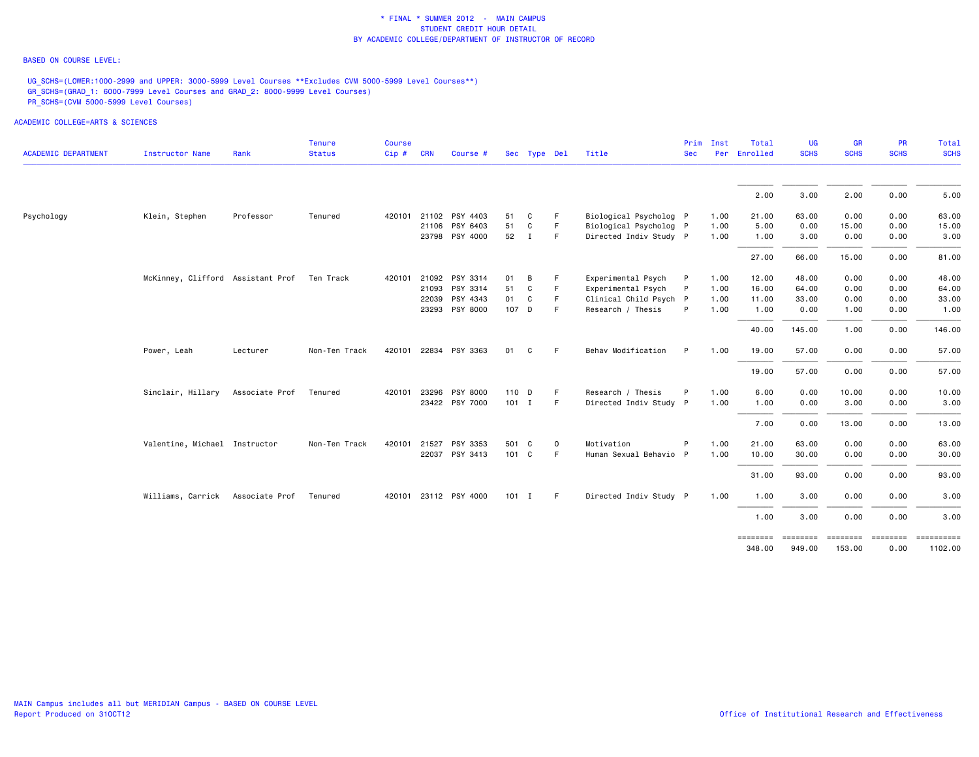### BASED ON COURSE LEVEL:

UG\_SCHS=(LOWER:1000-2999 and UPPER: 3000-5999 Level Courses \*\*Excludes CVM 5000-5999 Level Courses\*\*) GR\_SCHS=(GRAD\_1: 6000-7999 Level Courses and GRAD\_2: 8000-9999 Level Courses) PR\_SCHS=(CVM 5000-5999 Level Courses)

| <b>ACADEMIC DEPARTMENT</b> | <b>Instructor Name</b>            | Rank           | <b>Tenure</b><br><b>Status</b> | <b>Course</b><br>Cip # CRN |       | Course #              |         | Sec Type Del |             | Title                  | Prim<br><b>Sec</b> | Inst<br>Per | Total<br>Enrolled  | <b>UG</b><br><b>SCHS</b> | <b>GR</b><br><b>SCHS</b> | PR<br><b>SCHS</b> | Total<br><b>SCHS</b> |
|----------------------------|-----------------------------------|----------------|--------------------------------|----------------------------|-------|-----------------------|---------|--------------|-------------|------------------------|--------------------|-------------|--------------------|--------------------------|--------------------------|-------------------|----------------------|
|                            |                                   |                |                                |                            |       |                       |         |              |             |                        |                    |             | 2.00               | 3.00                     | 2.00                     | 0.00              | 5.00                 |
| Psychology                 | Klein, Stephen                    | Professor      | Tenured                        | 420101                     |       | 21102 PSY 4403        | 51      | C            | F           | Biological Psycholog P |                    | 1.00        | 21.00              | 63.00                    | 0.00                     | 0.00              | 63.00                |
|                            |                                   |                |                                |                            |       | 21106 PSY 6403        | 51      | C            | E           | Biological Psycholog P |                    | 1.00        | 5.00               | 0.00                     | 15.00                    | 0.00              | 15.00                |
|                            |                                   |                |                                |                            |       | 23798 PSY 4000        | 52 I    |              | F           | Directed Indiv Study P |                    | 1.00        | 1.00               | 3.00                     | 0.00                     | 0.00              | 3.00                 |
|                            |                                   |                |                                |                            |       |                       |         |              |             |                        |                    |             | 27.00              | 66.00                    | 15.00                    | 0.00              | 81.00                |
|                            | McKinney, Clifford Assistant Prof |                | Ten Track                      | 420101                     |       | 21092 PSY 3314        | 01      | В            | F           | Experimental Psych     |                    | 1.00        | 12.00              | 48.00                    | 0.00                     | 0.00              | 48.00                |
|                            |                                   |                |                                |                            |       | 21093 PSY 3314        | 51      | C            | E           | Experimental Psych     | P                  | 1.00        | 16.00              | 64.00                    | 0.00                     | 0.00              | 64.00                |
|                            |                                   |                |                                |                            | 22039 | PSY 4343              | 01      | C            | F           | Clinical Child Psych P |                    | 1.00        | 11.00              | 33.00                    | 0.00                     | 0.00              | 33.00                |
|                            |                                   |                |                                |                            |       | 23293 PSY 8000        | 107 D   |              | F           | Research / Thesis      | P                  | 1.00        | 1.00               | 0.00                     | 1.00                     | 0.00              | 1.00                 |
|                            |                                   |                |                                |                            |       |                       |         |              |             |                        |                    |             | 40.00              | 145.00                   | 1.00                     | 0.00              | 146.00               |
|                            | Power, Leah                       | Lecturer       | Non-Ten Track                  | 420101                     |       | 22834 PSY 3363        | 01      | C            | F.          | Behav Modification     | P                  | 1.00        | 19.00              | 57.00                    | 0.00                     | 0.00              | 57.00                |
|                            |                                   |                |                                |                            |       |                       |         |              |             |                        |                    |             | 19.00              | 57.00                    | 0.00                     | 0.00              | 57.00                |
|                            | Sinclair, Hillary                 | Associate Prof | Tenured                        | 420101                     | 23296 | PSY 8000              | 110 D   |              | F           | Research / Thesis      |                    | 1.00        | 6.00               | 0.00                     | 10.00                    | 0.00              | 10.00                |
|                            |                                   |                |                                |                            |       | 23422 PSY 7000        | $101$ I |              | F           | Directed Indiv Study P |                    | 1.00        | 1.00               | 0.00                     | 3.00                     | 0.00              | 3.00                 |
|                            |                                   |                |                                |                            |       |                       |         |              |             |                        |                    |             | 7.00               | 0.00                     | 13.00                    | 0.00              | 13.00                |
|                            | Valentine, Michael Instructor     |                | Non-Ten Track                  | 420101                     | 21527 | PSY 3353              |         | 501 C        | $\mathsf 0$ | Motivation             |                    | 1.00        | 21.00              | 63.00                    | 0.00                     | 0.00              | 63.00                |
|                            |                                   |                |                                |                            |       | 22037 PSY 3413        | 101 C   |              | E           | Human Sexual Behavio P |                    | 1.00        | 10.00              | 30.00                    | 0.00                     | 0.00              | 30.00                |
|                            |                                   |                |                                |                            |       |                       |         |              |             |                        |                    |             | 31.00              | 93.00                    | 0.00                     | 0.00              | 93.00                |
|                            | Williams, Carrick Associate Prof  |                | Tenured                        |                            |       | 420101 23112 PSY 4000 | $101$ I |              | E           | Directed Indiv Study P |                    | 1.00        | 1.00               | 3.00                     | 0.00                     | 0.00              | 3.00                 |
|                            |                                   |                |                                |                            |       |                       |         |              |             |                        |                    |             | 1.00               | 3.00                     | 0.00                     | 0.00              | 3.00                 |
|                            |                                   |                |                                |                            |       |                       |         |              |             |                        |                    |             | ========<br>348.00 | ========<br>949.00       | ========<br>153.00       | ========<br>0.00  | 1102.00              |
|                            |                                   |                |                                |                            |       |                       |         |              |             |                        |                    |             |                    |                          |                          |                   |                      |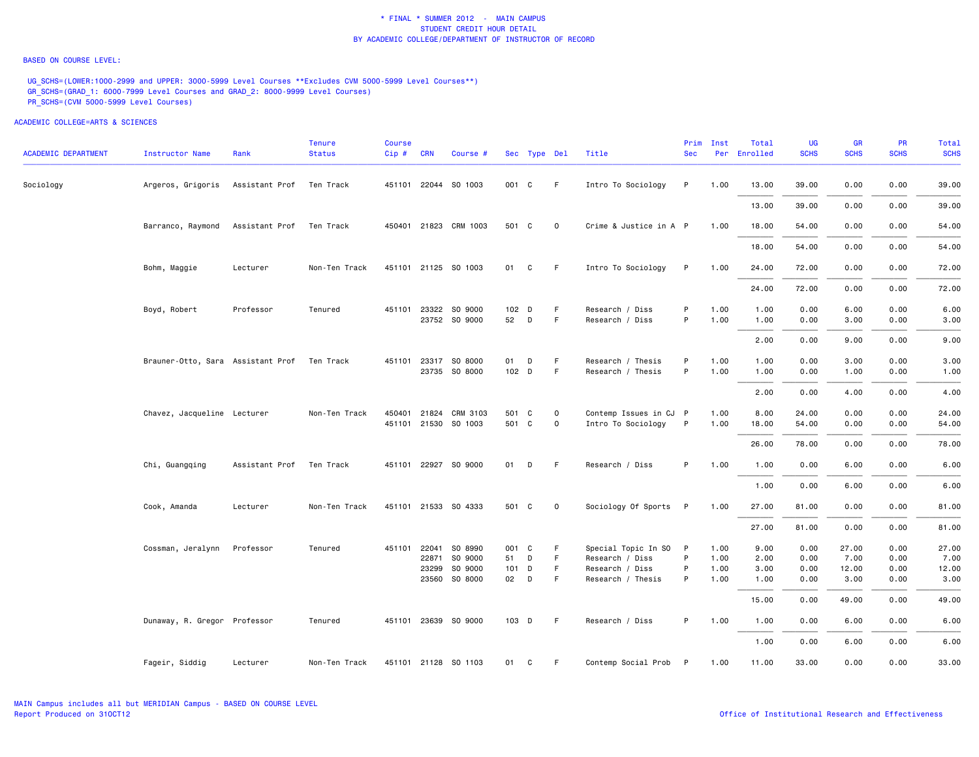#### BASED ON COURSE LEVEL:

UG\_SCHS=(LOWER:1000-2999 and UPPER: 3000-5999 Level Courses \*\*Excludes CVM 5000-5999 Level Courses\*\*) GR\_SCHS=(GRAD\_1: 6000-7999 Level Courses and GRAD\_2: 8000-9999 Level Courses) PR\_SCHS=(CVM 5000-5999 Level Courses)

| <b>ACADEMIC DEPARTMENT</b> | <b>Instructor Name</b>                      | Rank                     | <b>Tenure</b><br><b>Status</b> | <b>Course</b><br>Cip # CRN |       | Course #                              |                 | Sec Type Del |             | Title                              | Prim<br><b>Sec</b> | Inst         | Total<br>Per Enrolled | UG<br><b>SCHS</b> | <b>GR</b><br><b>SCHS</b> | <b>PR</b><br><b>SCHS</b> | Total<br><b>SCHS</b> |
|----------------------------|---------------------------------------------|--------------------------|--------------------------------|----------------------------|-------|---------------------------------------|-----------------|--------------|-------------|------------------------------------|--------------------|--------------|-----------------------|-------------------|--------------------------|--------------------------|----------------------|
| Sociology                  | Argeros, Grigoris Assistant Prof Ten Track  |                          |                                |                            |       | 451101 22044 SO 1003                  |                 | 001 C        | F.          | Intro To Sociology                 | P                  | 1.00         | 13.00                 | 39.00             | 0.00                     | 0.00                     | 39.00                |
|                            |                                             |                          |                                |                            |       |                                       |                 |              |             |                                    |                    |              | 13.00                 | 39.00             | 0.00                     | 0.00                     | 39.00                |
|                            | Barranco, Raymond                           | Assistant Prof Ten Track |                                |                            |       | 450401 21823 CRM 1003                 | 501 C           |              | $\mathbf 0$ | Crime & Justice in A P             |                    | 1.00         | 18.00                 | 54.00             | 0.00                     | 0.00                     | 54.00                |
|                            |                                             |                          |                                |                            |       |                                       |                 |              |             |                                    |                    |              | 18.00                 | 54.00             | 0.00                     | 0.00                     | 54.00                |
|                            | Bohm, Maggie                                | Lecturer                 | Non-Ten Track                  |                            |       | 451101 21125 SO 1003                  |                 | 01 C         | - F         | Intro To Sociology                 | P                  | 1.00         | 24.00                 | 72.00             | 0.00                     | 0.00                     | 72.00                |
|                            |                                             |                          |                                |                            |       |                                       |                 |              |             |                                    |                    |              | 24.00                 | 72.00             | 0.00                     | 0.00                     | 72.00                |
|                            | Boyd, Robert                                | Professor                | Tenured                        |                            |       | 451101 23322 SO 9000<br>23752 SO 9000 | $102$ D<br>52 D |              | F.<br>F     | Research / Diss<br>Research / Diss | P<br>P             | 1.00<br>1.00 | 1.00<br>1.00          | 0.00<br>0.00      | 6.00<br>3.00             | 0.00<br>0.00             | 6.00<br>3.00         |
|                            |                                             |                          |                                |                            |       |                                       |                 |              |             |                                    |                    |              | 2.00                  | 0.00              | 9.00                     | 0.00                     | 9.00                 |
|                            | Brauner-Otto, Sara Assistant Prof Ten Track |                          |                                |                            |       | 451101 23317 SO 8000                  | 01              | D            | F.          | Research / Thesis                  | P                  | 1.00         | 1.00                  | 0.00              | 3.00                     | 0.00                     | 3.00                 |
|                            |                                             |                          |                                |                            |       | 23735 SO 8000                         | $102$ D         |              | F.          | Research / Thesis                  | P                  | 1.00         | 1.00                  | 0.00              | 1.00                     | 0.00                     | 1.00                 |
|                            |                                             |                          |                                |                            |       |                                       |                 |              |             |                                    |                    |              | 2.00                  | 0.00              | 4.00                     | 0.00                     | 4.00                 |
|                            | Chavez, Jacqueline Lecturer                 |                          | Non-Ten Track                  |                            |       | 450401 21824 CRM 3103                 | 501 C           |              | $\mathbf 0$ | Contemp Issues in CJ P             |                    | 1.00         | 8.00                  | 24.00             | 0.00                     | 0.00                     | 24.00                |
|                            |                                             |                          |                                |                            |       | 451101 21530 SO 1003                  |                 | 501 C        | $\mathbf 0$ | Intro To Sociology                 | P                  | 1.00         | 18.00                 | 54.00             | 0.00                     | 0.00                     | 54.00                |
|                            |                                             |                          |                                |                            |       |                                       |                 |              |             |                                    |                    |              | 26.00                 | 78.00             | 0.00                     | 0.00                     | 78.00                |
|                            | Chi, Guangqing                              | Assistant Prof           | Ten Track                      |                            |       | 451101 22927 SO 9000                  | 01              | D            | - F         | Research / Diss                    | P                  | 1.00         | 1.00                  | 0.00              | 6.00                     | 0.00                     | 6.00                 |
|                            |                                             |                          |                                |                            |       |                                       |                 |              |             |                                    |                    |              | 1.00                  | 0.00              | 6.00                     | 0.00                     | 6.00                 |
|                            | Cook, Amanda                                | Lecturer                 | Non-Ten Track                  |                            |       | 451101 21533 SO 4333                  | 501 C           |              | $\mathbf 0$ | Sociology Of Sports P              |                    | 1.00         | 27.00                 | 81.00             | 0.00                     | 0.00                     | 81.00                |
|                            |                                             |                          |                                |                            |       |                                       |                 |              |             |                                    |                    |              | 27.00                 | 81.00             | 0.00                     | 0.00                     | 81.00                |
|                            | Cossman, Jeralynn                           | Professor                | Tenured                        | 451101                     | 22041 | SO 8990                               | 001 C           |              | F.          | Special Topic In SO                | $\mathsf{P}$       | 1.00         | 9.00                  | 0.00              | 27.00                    | 0.00                     | 27.00                |
|                            |                                             |                          |                                |                            | 22871 | SO 9000                               | 51              | D            | F           | Research / Diss                    | P                  | 1.00         | 2.00                  | 0.00              | 7.00                     | 0.00                     | 7.00                 |
|                            |                                             |                          |                                |                            | 23299 | SO 9000                               | 101 D           |              | F.          | Research / Diss                    | P                  | 1.00         | 3.00                  | 0.00              | 12.00                    | 0.00                     | 12.00                |
|                            |                                             |                          |                                |                            |       | 23560 SO 8000                         | 02 D            |              | F           | Research / Thesis                  | P                  | 1.00         | 1.00                  | 0.00              | 3.00                     | 0.00                     | 3.00                 |
|                            |                                             |                          |                                |                            |       |                                       |                 |              |             |                                    |                    |              | 15.00                 | 0.00              | 49.00                    | 0.00                     | 49.00                |
|                            | Dunaway, R. Gregor Professor                |                          | Tenured                        |                            |       | 451101 23639 SO 9000                  | 103 D           |              | F           | Research / Diss                    | P                  | 1.00         | 1.00                  | 0.00              | 6.00                     | 0.00                     | 6.00                 |
|                            |                                             |                          |                                |                            |       |                                       |                 |              |             |                                    |                    |              | 1.00                  | 0.00              | 6.00                     | 0.00                     | 6.00                 |
|                            | Fageir, Siddig                              | Lecturer                 | Non-Ten Track                  |                            |       | 451101 21128 SO 1103                  | 01              | C            | F.          | Contemp Social Prob P              |                    | 1.00         | 11.00                 | 33.00             | 0.00                     | 0.00                     | 33.00                |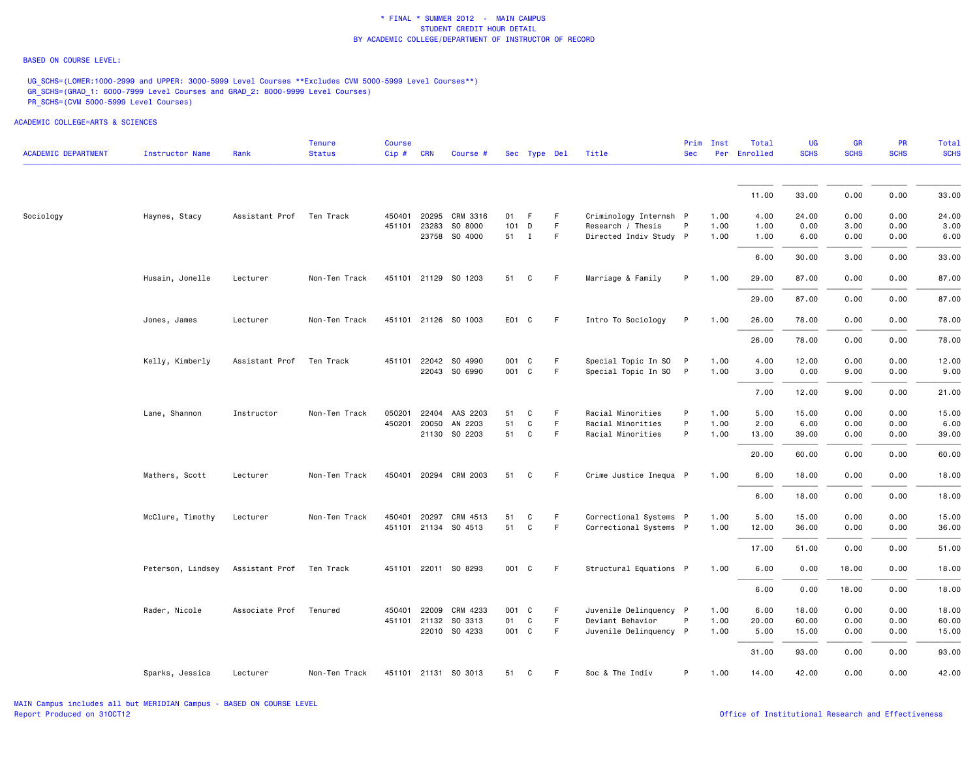#### BASED ON COURSE LEVEL:

UG\_SCHS=(LOWER:1000-2999 and UPPER: 3000-5999 Level Courses \*\*Excludes CVM 5000-5999 Level Courses\*\*) GR\_SCHS=(GRAD\_1: 6000-7999 Level Courses and GRAD\_2: 8000-9999 Level Courses) PR\_SCHS=(CVM 5000-5999 Level Courses)

| <b>ACADEMIC DEPARTMENT</b> | Instructor Name   | Rank           | <b>Tenure</b><br><b>Status</b> | Course<br>$Cip$ # | <b>CRN</b>   | Course #                 |             | Sec Type Del |         | Title                                      | Prim<br><b>Sec</b> | Inst         | Total<br>Per Enrolled | UG<br><b>SCHS</b> | <b>GR</b><br><b>SCHS</b> | <b>PR</b><br><b>SCHS</b> | Total<br><b>SCHS</b> |
|----------------------------|-------------------|----------------|--------------------------------|-------------------|--------------|--------------------------|-------------|--------------|---------|--------------------------------------------|--------------------|--------------|-----------------------|-------------------|--------------------------|--------------------------|----------------------|
|                            |                   |                |                                |                   |              |                          |             |              |         |                                            |                    |              | 11.00                 | 33.00             | 0.00                     | 0.00                     | 33.00                |
|                            |                   |                |                                |                   |              |                          |             |              |         |                                            |                    |              |                       |                   |                          |                          |                      |
| Sociology                  | Haynes, Stacy     | Assistant Prof | Ten Track                      |                   | 450401 20295 | CRM 3316                 | 01          | F.           | F       | Criminology Internsh P                     |                    | 1.00         | 4.00                  | 24.00             | 0.00                     | 0.00                     | 24.00                |
|                            |                   |                |                                | 451101            | 23283        | SO 8000                  | 101         | D            | F       | Research / Thesis                          | P                  | 1.00         | 1.00                  | 0.00              | 3.00                     | 0.00                     | 3.00                 |
|                            |                   |                |                                |                   |              | 23758 SO 4000            | 51 I        |              | F       | Directed Indiv Study P                     |                    | 1.00         | 1.00                  | 6.00              | 0.00                     | 0.00                     | 6.00                 |
|                            |                   |                |                                |                   |              |                          |             |              |         |                                            |                    |              | 6.00                  | 30.00             | 3.00                     | 0.00                     | 33.00                |
|                            | Husain, Jonelle   | Lecturer       | Non-Ten Track                  |                   |              | 451101 21129 SO 1203     | 51          | C            | F       | Marriage & Family                          | P                  | 1.00         | 29.00                 | 87.00             | 0.00                     | 0.00                     | 87.00                |
|                            |                   |                |                                |                   |              |                          |             |              |         |                                            |                    |              | 29.00                 | 87.00             | 0.00                     | 0.00                     | 87.00                |
|                            | Jones, James      | Lecturer       | Non-Ten Track                  |                   |              | 451101 21126 SO 1003     | E01 C       |              | F.      | Intro To Sociology                         | P                  | 1.00         | 26.00                 | 78.00             | 0.00                     | 0.00                     | 78.00                |
|                            |                   |                |                                |                   |              |                          |             |              |         |                                            |                    |              | 26.00                 | 78.00             | 0.00                     | 0.00                     | 78.00                |
|                            | Kelly, Kimberly   | Assistant Prof | Ten Track                      |                   | 451101 22042 | SO 4990                  | 001 C       |              | F.      | Special Topic In SO                        | P                  | 1.00         | 4.00                  | 12.00             | 0.00                     | 0.00                     | 12.00                |
|                            |                   |                |                                |                   |              | 22043 SO 6990            | 001 C       |              | F.      | Special Topic In SO P                      |                    | 1.00         | 3.00                  | 0.00              | 9.00                     | 0.00                     | 9.00                 |
|                            |                   |                |                                |                   |              |                          |             |              |         |                                            |                    |              | 7.00                  | 12.00             | 9.00                     | 0.00                     | 21.00                |
|                            | Lane, Shannon     | Instructor     | Non-Ten Track                  | 050201            |              | 22404 AAS 2203           | 51          | C            | F.      | Racial Minorities                          | P                  | 1.00         | 5.00                  | 15.00             | 0.00                     | 0.00                     | 15.00                |
|                            |                   |                |                                |                   | 450201 20050 | AN 2203                  | 51          | $\mathsf{C}$ | F       | Racial Minorities                          | P                  | 1.00         | 2.00                  | 6.00              | 0.00                     | 0.00                     | 6.00                 |
|                            |                   |                |                                |                   |              | 21130 SO 2203            | 51          | C            | F.      | Racial Minorities                          | P                  | 1.00         | 13.00                 | 39.00             | 0.00                     | 0.00                     | 39.00                |
|                            |                   |                |                                |                   |              |                          |             |              |         |                                            |                    |              | 20.00                 | 60.00             | 0.00                     | 0.00                     | 60.00                |
|                            | Mathers, Scott    | Lecturer       | Non-Ten Track                  |                   |              | 450401 20294 CRM 2003    | 51          | C            | F.      | Crime Justice Inequa P                     |                    | 1.00         | 6.00                  | 18.00             | 0.00                     | 0.00                     | 18.00                |
|                            |                   |                |                                |                   |              |                          |             |              |         |                                            |                    |              | 6.00                  | 18.00             | 0.00                     | 0.00                     | 18.00                |
|                            | McClure, Timothy  | Lecturer       | Non-Ten Track                  | 450401            | 20297        | CRM 4513                 | 51          | C            | F.      | Correctional Systems P                     |                    | 1.00         | 5.00                  | 15.00             | 0.00                     | 0.00                     | 15.00                |
|                            |                   |                |                                |                   |              | 451101 21134 SO 4513     | 51          | C            | F.      | Correctional Systems P                     |                    | 1.00         | 12.00                 | 36.00             | 0.00                     | 0.00                     | 36.00                |
|                            |                   |                |                                |                   |              |                          |             |              |         |                                            |                    |              | 17.00                 | 51.00             | 0.00                     | 0.00                     | 51.00                |
|                            | Peterson, Lindsey | Assistant Prof | Ten Track                      |                   |              | 451101 22011 SO 8293     | 001 C       |              | F       | Structural Equations P                     |                    | 1.00         | 6.00                  | 0.00              | 18.00                    | 0.00                     | 18.00                |
|                            |                   |                |                                |                   |              |                          |             |              |         |                                            |                    |              | 6.00                  | 0.00              | 18.00                    | 0.00                     | 18.00                |
|                            |                   |                |                                |                   |              |                          |             |              |         |                                            |                    |              |                       |                   |                          |                          |                      |
|                            | Rader, Nicole     | Associate Prof | Tenured                        | 450401            | 22009        | CRM 4233                 | 001 C       |              | F       | Juvenile Delinquency P                     |                    | 1.00         | 6.00                  | 18.00             | 0.00                     | 0.00                     | 18.00                |
|                            |                   |                |                                |                   | 451101 21132 | SO 3313<br>22010 SO 4233 | 01<br>001 C | C            | F.<br>F | Deviant Behavior<br>Juvenile Delinquency P | P                  | 1.00<br>1.00 | 20.00<br>5.00         | 60.00<br>15.00    | 0.00<br>0.00             | 0.00<br>0.00             | 60.00<br>15.00       |
|                            |                   |                |                                |                   |              |                          |             |              |         |                                            |                    |              | 31.00                 | 93.00             | 0.00                     | 0.00                     | 93.00                |
|                            | Sparks, Jessica   | Lecturer       | Non-Ten Track                  |                   |              | 451101 21131 SO 3013     | 51          | C            | F       | Soc & The Indiv                            | P                  | 1.00         | 14.00                 | 42.00             | 0.00                     | 0.00                     | 42.00                |
|                            |                   |                |                                |                   |              |                          |             |              |         |                                            |                    |              |                       |                   |                          |                          |                      |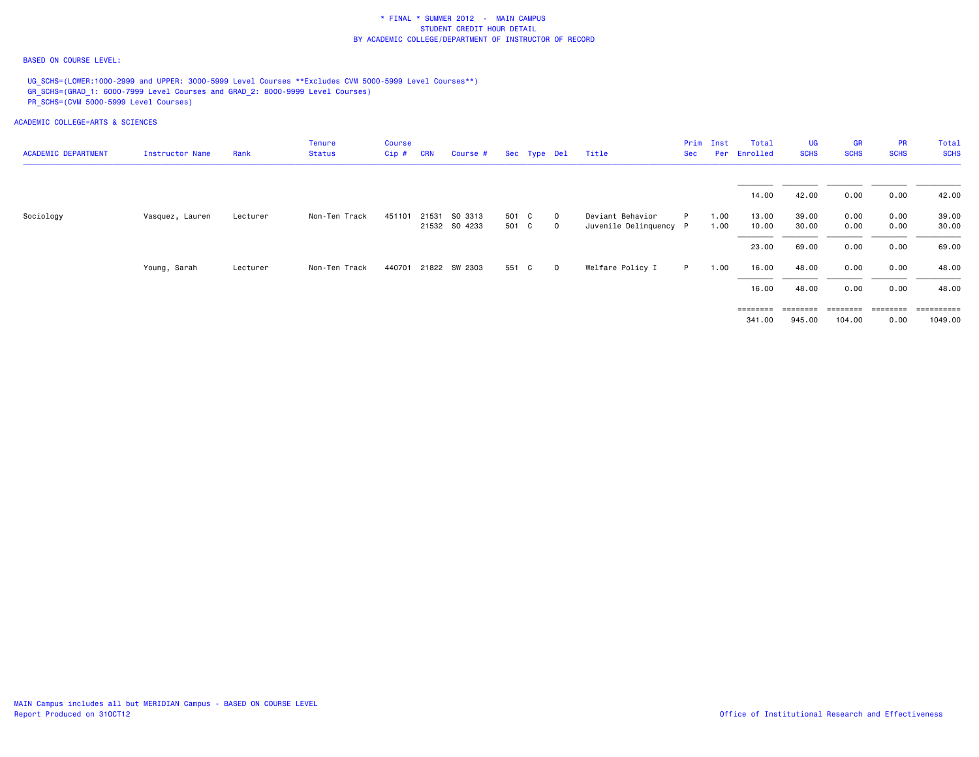### BASED ON COURSE LEVEL:

UG SCHS=(LOWER:1000-2999 and UPPER: 3000-5999 Level Courses \*\*Excludes CVM 5000-5999 Level Courses\*\*) GR\_SCHS=(GRAD\_1: 6000-7999 Level Courses and GRAD\_2: 8000-9999 Level Courses) PR\_SCHS=(CVM 5000-5999 Level Courses)

| <b>ACADEMIC DEPARTMENT</b> | Instructor Name | Rank     | Tenure<br><b>Status</b> | Course<br>Cip# | <b>CRN</b> | Course #      |       | Sec Type Del |              | Title                  | Prim<br>Sec | Inst<br>Per | Total<br>Enrolled | <b>UG</b><br><b>SCHS</b> | GR<br><b>SCHS</b> | <b>PR</b><br><b>SCHS</b> | Total<br><b>SCHS</b> |
|----------------------------|-----------------|----------|-------------------------|----------------|------------|---------------|-------|--------------|--------------|------------------------|-------------|-------------|-------------------|--------------------------|-------------------|--------------------------|----------------------|
|                            |                 |          |                         |                |            |               |       |              |              |                        |             |             |                   |                          |                   |                          |                      |
|                            |                 |          |                         |                |            |               |       |              |              |                        |             |             | 14.00             | 42.00                    | 0.00              | 0.00                     | 42.00                |
| Sociology                  | Vasquez, Lauren | Lecturer | Non-Ten Track           | 451101         | 21531      | SO 3313       | 501 C |              | $\mathbf{0}$ | Deviant Behavior       | P           | 1.00        | 13.00             | 39.00                    | 0.00              | 0.00                     | 39.00                |
|                            |                 |          |                         |                |            | 21532 SO 4233 | 501 C |              | $\circ$      | Juvenile Delinquency P |             | 1.00        | 10.00             | 30.00                    | 0.00              | 0.00                     | 30.00                |
|                            |                 |          |                         |                |            |               |       |              |              |                        |             |             | 23.00             | 69.00                    | 0.00              | 0.00                     | 69.00                |
|                            | Young, Sarah    | Lecturer | Non-Ten Track           | 440701         |            | 21822 SW 2303 | 551 C |              | $\circ$      | Welfare Policy I       | P.          | 1.00        | 16.00             | 48.00                    | 0.00              | 0.00                     | 48.00                |
|                            |                 |          |                         |                |            |               |       |              |              |                        |             |             | 16.00             | 48.00                    | 0.00              | 0.00                     | 48.00                |
|                            |                 |          |                         |                |            |               |       |              |              |                        |             |             | ========          | ========                 | $=$ = = = = = = = | ========                 | =========            |
|                            |                 |          |                         |                |            |               |       |              |              |                        |             |             | 341.00            | 945.00                   | 104.00            | 0.00                     | 1049.00              |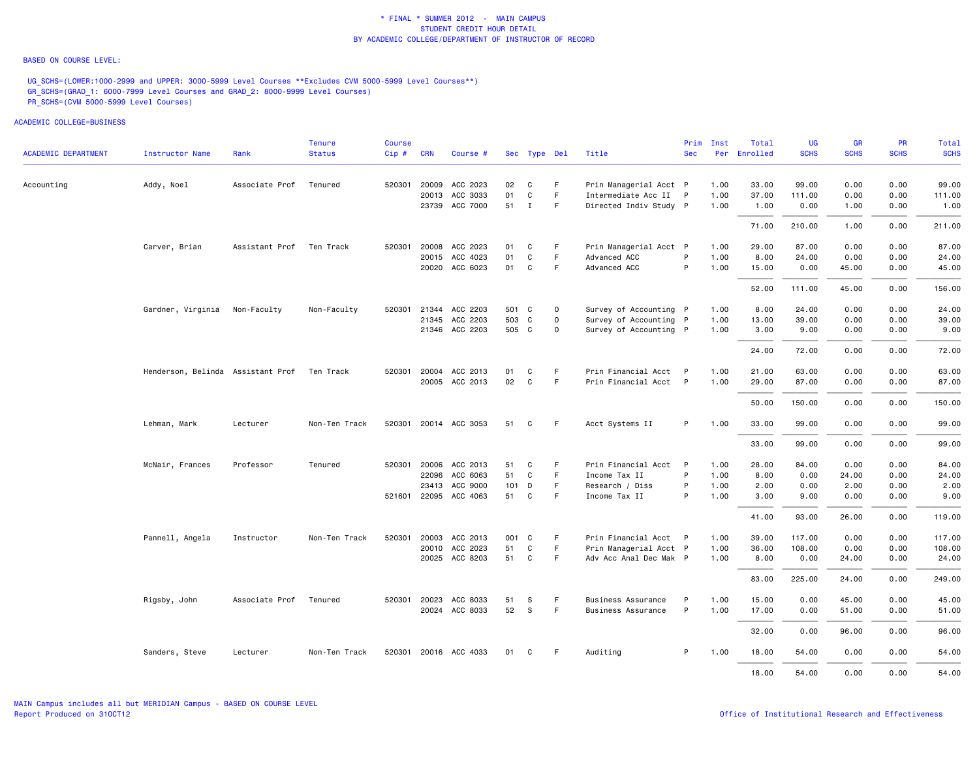#### BASED ON COURSE LEVEL:

UG\_SCHS=(LOWER:1000-2999 and UPPER: 3000-5999 Level Courses \*\*Excludes CVM 5000-5999 Level Courses\*\*) GR\_SCHS=(GRAD\_1: 6000-7999 Level Courses and GRAD\_2: 8000-9999 Level Courses) PR\_SCHS=(CVM 5000-5999 Level Courses)

ACADEMIC COLLEGE=BUSINESS

|                            |                                   |                | <b>Tenure</b> | Course |              |                       |       |              |             |                        | Prim         | Inst | Total        | UG          | <b>GR</b>   | <b>PR</b>   | Total       |
|----------------------------|-----------------------------------|----------------|---------------|--------|--------------|-----------------------|-------|--------------|-------------|------------------------|--------------|------|--------------|-------------|-------------|-------------|-------------|
| <b>ACADEMIC DEPARTMENT</b> | Instructor Name                   | Rank           | <b>Status</b> | Cip#   | <b>CRN</b>   | Course #              |       | Sec Type Del |             | Title                  | <b>Sec</b>   |      | Per Enrolled | <b>SCHS</b> | <b>SCHS</b> | <b>SCHS</b> | <b>SCHS</b> |
| Accounting                 | Addy, Noel                        | Associate Prof | Tenured       |        | 520301 20009 | ACC 2023              | 02    | C            | F.          | Prin Managerial Acct P |              | 1.00 | 33.00        | 99.00       | 0.00        | 0.00        | 99.00       |
|                            |                                   |                |               |        | 20013        | ACC 3033              | 01    | C            | F           | Intermediate Acc II P  |              | 1.00 | 37.00        | 111.00      | 0.00        | 0.00        | 111.00      |
|                            |                                   |                |               |        |              | 23739 ACC 7000        | 51    | $\mathbf{I}$ | F           | Directed Indiv Study P |              | 1.00 | 1.00         | 0.00        | 1.00        | 0.00        | 1.00        |
|                            |                                   |                |               |        |              |                       |       |              |             |                        |              |      | 71.00        | 210.00      | 1.00        | 0.00        | 211.00      |
|                            | Carver, Brian                     | Assistant Prof | Ten Track     | 520301 | 20008        | ACC 2023              | 01    | C            | F.          | Prin Managerial Acct P |              | 1.00 | 29.00        | 87.00       | 0.00        | 0.00        | 87.00       |
|                            |                                   |                |               |        |              | 20015 ACC 4023        | 01    | C            | F           | Advanced ACC           | P            | 1.00 | 8.00         | 24.00       | 0.00        | 0.00        | 24.00       |
|                            |                                   |                |               |        |              | 20020 ACC 6023        | 01    | C            | F.          | Advanced ACC           | P            | 1.00 | 15.00        | 0.00        | 45.00       | 0.00        | 45.00       |
|                            |                                   |                |               |        |              |                       |       |              |             |                        |              |      | 52.00        | 111.00      | 45.00       | 0.00        | 156.00      |
|                            | Gardner, Virginia                 | Non-Faculty    | Non-Faculty   | 520301 |              | 21344 ACC 2203        | 501 C |              | $\mathbf 0$ | Survey of Accounting P |              | 1.00 | 8.00         | 24.00       | 0.00        | 0.00        | 24.00       |
|                            |                                   |                |               |        |              | 21345 ACC 2203        | 503 C |              | $\mathbf 0$ | Survey of Accounting P |              | 1.00 | 13.00        | 39.00       | 0.00        | 0.00        | 39.00       |
|                            |                                   |                |               |        |              | 21346 ACC 2203        | 505 C |              | 0           | Survey of Accounting P |              | 1.00 | 3.00         | 9.00        | 0.00        | 0.00        | 9.00        |
|                            |                                   |                |               |        |              |                       |       |              |             |                        |              |      | 24.00        | 72.00       | 0.00        | 0.00        | 72.00       |
|                            | Henderson, Belinda Assistant Prof |                | Ten Track     | 520301 | 20004        | ACC 2013              | 01    | C            | F           | Prin Financial Acct    | - P          | 1.00 | 21.00        | 63.00       | 0.00        | 0.00        | 63.00       |
|                            |                                   |                |               |        |              | 20005 ACC 2013        | 02    | C            | F           | Prin Financial Acct P  |              | 1.00 | 29.00        | 87.00       | 0.00        | 0.00        | 87.00       |
|                            |                                   |                |               |        |              |                       |       |              |             |                        |              |      | 50.00        | 150.00      | 0.00        | 0.00        | 150.00      |
|                            | Lehman, Mark                      | Lecturer       | Non-Ten Track |        |              | 520301 20014 ACC 3053 | 51    | C            | F           | Acct Systems II        | P            | 1.00 | 33.00        | 99.00       | 0.00        | 0.00        | 99.00       |
|                            |                                   |                |               |        |              |                       |       |              |             |                        |              |      | 33.00        | 99.00       | 0.00        | 0.00        | 99.00       |
|                            | McNair, Frances                   | Professor      | Tenured       |        |              | 520301 20006 ACC 2013 | 51    | C            | F           | Prin Financial Acct    | $\mathsf{P}$ | 1.00 | 28.00        | 84.00       | 0.00        | 0.00        | 84.00       |
|                            |                                   |                |               |        | 22096        | ACC 6063              | 51    | C            | F.          | Income Tax II          | P            | 1.00 | 8.00         | 0.00        | 24.00       | 0.00        | 24.00       |
|                            |                                   |                |               |        | 23413        | ACC 9000              | 101   | D            | F.          | Research / Diss        | P            | 1.00 | 2.00         | 0.00        | 2.00        | 0.00        | 2.00        |
|                            |                                   |                |               |        |              | 521601 22095 ACC 4063 | 51    | C            | F           | Income Tax II          | P            | 1.00 | 3.00         | 9.00        | 0.00        | 0.00        | 9.00        |
|                            |                                   |                |               |        |              |                       |       |              |             |                        |              |      | 41.00        | 93.00       | 26.00       | 0.00        | 119.00      |
|                            | Pannell, Angela                   | Instructor     | Non-Ten Track |        |              | 520301 20003 ACC 2013 | 001 C |              | F.          | Prin Financial Acct P  |              | 1.00 | 39.00        | 117.00      | 0.00        | 0.00        | 117.00      |
|                            |                                   |                |               |        |              | 20010 ACC 2023        | 51    | C            | F.          | Prin Managerial Acct P |              | 1.00 | 36.00        | 108.00      | 0.00        | 0.00        | 108.00      |
|                            |                                   |                |               |        |              | 20025 ACC 8203        | 51    | C            | F.          | Adv Acc Anal Dec Mak P |              | 1.00 | 8.00         | 0.00        | 24.00       | 0.00        | 24.00       |
|                            |                                   |                |               |        |              |                       |       |              |             |                        |              |      | 83.00        | 225.00      | 24.00       | 0.00        | 249.00      |
|                            | Rigsby, John                      | Associate Prof | Tenured       |        | 520301 20023 | ACC 8033              | 51    | s            | F.          | Business Assurance     | P            | 1.00 | 15.00        | 0.00        | 45.00       | 0.00        | 45.00       |
|                            |                                   |                |               |        |              | 20024 ACC 8033        | 52    | S            | F.          | Business Assurance     | P            | 1.00 | 17.00        | 0.00        | 51.00       | 0.00        | 51.00       |
|                            |                                   |                |               |        |              |                       |       |              |             |                        |              |      | 32.00        | 0.00        | 96.00       | 0.00        | 96.00       |
|                            | Sanders, Steve                    | Lecturer       | Non-Ten Track |        |              | 520301 20016 ACC 4033 | 01    | C            | F.          | Auditing               | P.           | 1.00 | 18.00        | 54.00       | 0.00        | 0.00        | 54.00       |
|                            |                                   |                |               |        |              |                       |       |              |             |                        |              |      | 18.00        | 54.00       | 0.00        | 0.00        | 54.00       |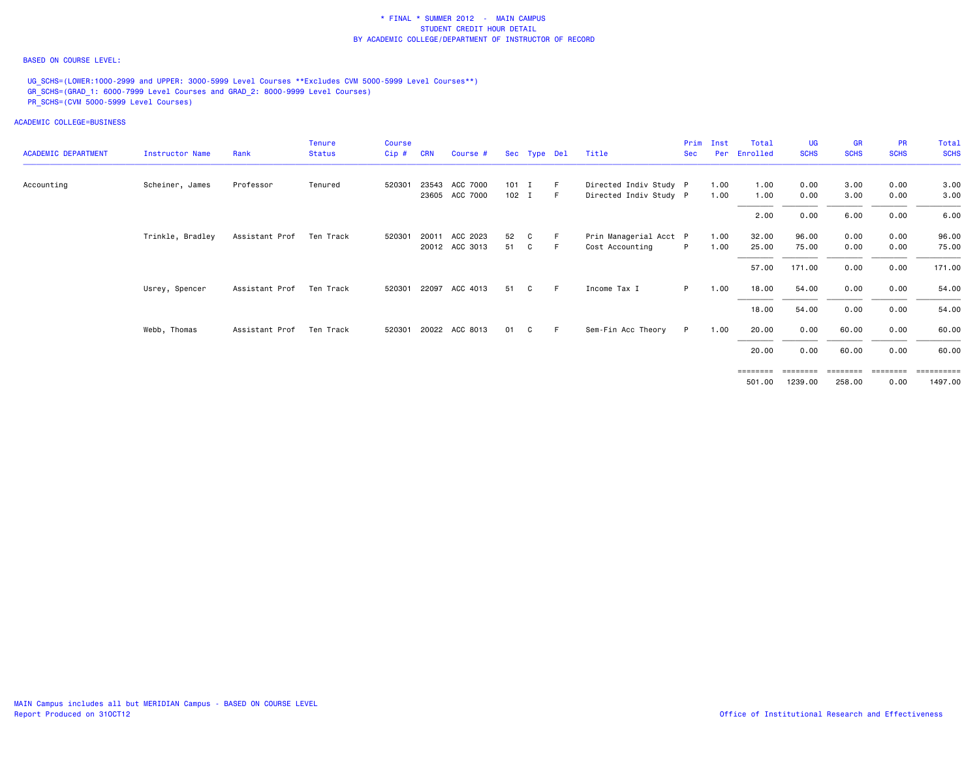### BASED ON COURSE LEVEL:

UG\_SCHS=(LOWER:1000-2999 and UPPER: 3000-5999 Level Courses \*\*Excludes CVM 5000-5999 Level Courses\*\*) GR\_SCHS=(GRAD\_1: 6000-7999 Level Courses and GRAD\_2: 8000-9999 Level Courses) PR\_SCHS=(CVM 5000-5999 Level Courses)

ACADEMIC COLLEGE=BUSINESS

| <b>ACADEMIC DEPARTMENT</b> | Instructor Name  | Rank           | <b>Tenure</b><br><b>Status</b> | <b>Course</b><br>Cip# | <b>CRN</b> | Course #              |         | Sec Type Del |     | Title                  | Prim<br><b>Sec</b> | Inst<br>Per | Total<br>Enrolled | UG<br><b>SCHS</b> | <b>GR</b><br><b>SCHS</b> | <b>PR</b><br><b>SCHS</b> | Total<br><b>SCHS</b> |
|----------------------------|------------------|----------------|--------------------------------|-----------------------|------------|-----------------------|---------|--------------|-----|------------------------|--------------------|-------------|-------------------|-------------------|--------------------------|--------------------------|----------------------|
| Accounting                 | Scheiner, James  | Professor      | Tenured                        | 520301                |            | 23543 ACC 7000        | $101$ I |              | -F  | Directed Indiv Study P |                    | 1.00        | 1.00              | 0.00              | 3.00                     | 0.00                     | 3.00                 |
|                            |                  |                |                                |                       |            | 23605 ACC 7000        | $102$ I |              | - F | Directed Indiv Study P |                    | 1.00        | 1.00              | 0.00              | 3.00                     | 0.00                     | 3.00                 |
|                            |                  |                |                                |                       |            |                       |         |              |     |                        |                    |             | 2.00              | 0.00              | 6.00                     | 0.00                     | 6.00                 |
|                            | Trinkle, Bradley | Assistant Prof | Ten Track                      | 520301                | 20011      | ACC 2023              | 52      | C            |     | Prin Managerial Acct P |                    | 1.00        | 32.00             | 96.00             | 0.00                     | 0.00                     | 96.00                |
|                            |                  |                |                                |                       |            | 20012 ACC 3013        | 51      | C.           | - F | Cost Accounting        | P.                 | 1.00        | 25.00             | 75.00             | 0.00                     | 0.00                     | 75.00                |
|                            |                  |                |                                |                       |            |                       |         |              |     |                        |                    |             | 57.00             | 171.00            | 0.00                     | 0.00                     | 171.00               |
|                            | Usrey, Spencer   | Assistant Prof | Ten Track                      | 520301 22097          |            | ACC 4013              | 51      | C            | F.  | Income Tax I           | P =                | 1.00        | 18.00             | 54.00             | 0.00                     | 0.00                     | 54.00                |
|                            |                  |                |                                |                       |            |                       |         |              |     |                        |                    |             | 18.00             | 54.00             | 0.00                     | 0.00                     | 54.00                |
|                            | Webb, Thomas     | Assistant Prof | Ten Track                      |                       |            | 520301 20022 ACC 8013 | 01      | C            | F   | Sem-Fin Acc Theory     | P.                 | 1.00        | 20.00             | 0.00              | 60.00                    | 0.00                     | 60.00                |
|                            |                  |                |                                |                       |            |                       |         |              |     |                        |                    |             | 20.00             | 0.00              | 60.00                    | 0.00                     | 60.00                |
|                            |                  |                |                                |                       |            |                       |         |              |     |                        |                    |             | $=$ = = = = = = = |                   | ========                 | ========                 | <b>Expressed</b>     |
|                            |                  |                |                                |                       |            |                       |         |              |     |                        |                    |             | 501.00            | 1239.00           | 258.00                   | 0.00                     | 1497.00              |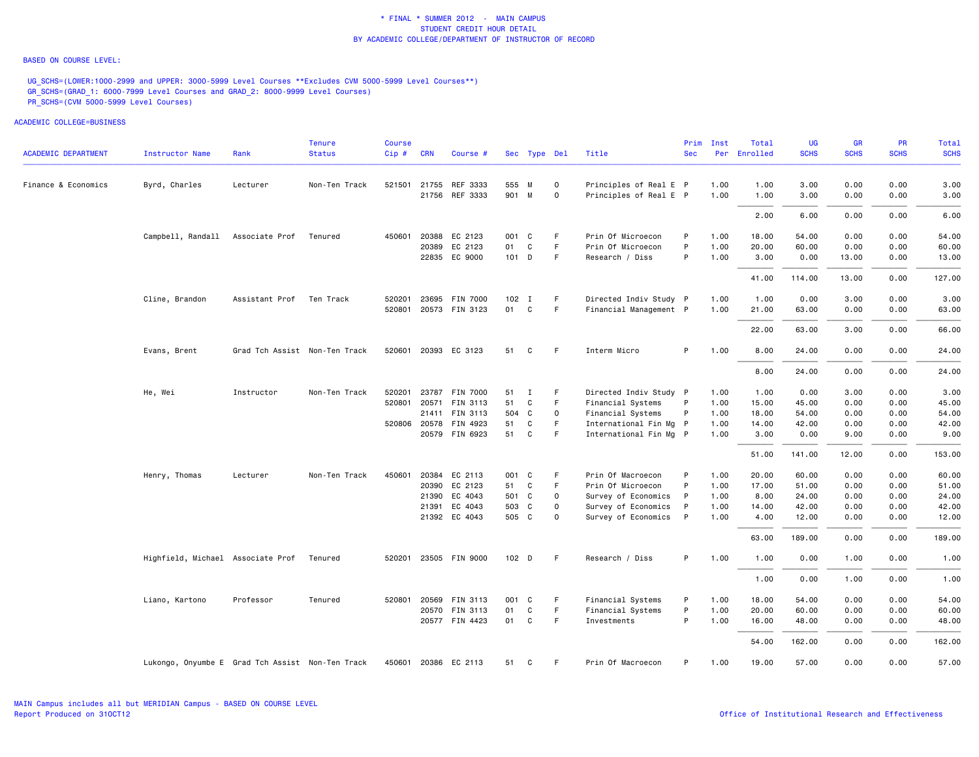### BASED ON COURSE LEVEL:

UG\_SCHS=(LOWER:1000-2999 and UPPER: 3000-5999 Level Courses \*\*Excludes CVM 5000-5999 Level Courses\*\*) GR\_SCHS=(GRAD\_1: 6000-7999 Level Courses and GRAD\_2: 8000-9999 Level Courses) PR\_SCHS=(CVM 5000-5999 Level Courses)

| <b>ACADEMIC DEPARTMENT</b> | Instructor Name                                  | Rank                          | Tenure<br><b>Status</b> | Course<br>$Cip$ # | <b>CRN</b> | Course #              |         | Sec Type Del |             | Title                  | Prim<br><b>Sec</b> | Inst | Total<br>Per Enrolled | UG<br><b>SCHS</b> | <b>GR</b><br><b>SCHS</b> | <b>PR</b><br><b>SCHS</b> | Total<br><b>SCHS</b> |
|----------------------------|--------------------------------------------------|-------------------------------|-------------------------|-------------------|------------|-----------------------|---------|--------------|-------------|------------------------|--------------------|------|-----------------------|-------------------|--------------------------|--------------------------|----------------------|
|                            |                                                  |                               |                         |                   |            |                       |         |              |             |                        |                    |      |                       |                   |                          |                          |                      |
| Finance & Economics        | Byrd, Charles                                    | Lecturer                      | Non-Ten Track           |                   |            | 521501 21755 REF 3333 | 555 M   |              | $\mathbf 0$ | Principles of Real E P |                    | 1.00 | 1.00                  | 3.00              | 0.00                     | 0.00                     | 3.00                 |
|                            |                                                  |                               |                         |                   |            | 21756 REF 3333        | 901 M   |              | $\mathbf 0$ | Principles of Real E P |                    | 1.00 | 1.00                  | 3.00              | 0.00                     | 0.00                     | 3.00                 |
|                            |                                                  |                               |                         |                   |            |                       |         |              |             |                        |                    |      | 2.00                  | 6.00              | 0.00                     | 0.00                     | 6.00                 |
|                            | Campbell, Randall                                | Associate Prof                | Tenured                 |                   |            | 450601 20388 EC 2123  | 001 C   |              | F           | Prin Of Microecon      | P                  | 1.00 | 18.00                 | 54.00             | 0.00                     | 0.00                     | 54.00                |
|                            |                                                  |                               |                         |                   |            | 20389 EC 2123         | 01      | C            | F.          | Prin Of Microecon      | P                  | 1.00 | 20.00                 | 60.00             | 0.00                     | 0.00                     | 60.00                |
|                            |                                                  |                               |                         |                   |            | 22835 EC 9000         | $101$ D |              | F.          | Research / Diss        | P                  | 1.00 | 3.00                  | 0.00              | 13.00                    | 0.00                     | 13.00                |
|                            |                                                  |                               |                         |                   |            |                       |         |              |             |                        |                    |      | 41.00                 | 114.00            | 13.00                    | 0.00                     | 127.00               |
|                            | Cline, Brandon                                   | Assistant Prof                | Ten Track               | 520201            |            | 23695 FIN 7000        | 102 I   |              | F.          | Directed Indiv Study P |                    | 1.00 | 1.00                  | 0.00              | 3.00                     | 0.00                     | 3.00                 |
|                            |                                                  |                               |                         |                   |            | 520801 20573 FIN 3123 | 01      | C            | F.          | Financial Management P |                    | 1.00 | 21.00                 | 63.00             | 0.00                     | 0.00                     | 63.00                |
|                            |                                                  |                               |                         |                   |            |                       |         |              |             |                        |                    |      | 22.00                 | 63.00             | 3.00                     | 0.00                     | 66.00                |
|                            | Evans, Brent                                     | Grad Tch Assist Non-Ten Track |                         |                   |            | 520601 20393 EC 3123  | 51      | C            | -F          | Interm Micro           | P                  | 1.00 | 8.00                  | 24.00             | 0.00                     | 0.00                     | 24.00                |
|                            |                                                  |                               |                         |                   |            |                       |         |              |             |                        |                    |      | 8.00                  | 24.00             | 0.00                     | 0.00                     | 24.00                |
|                            | He, Wei                                          | Instructor                    | Non-Ten Track           |                   |            | 520201 23787 FIN 7000 | 51 I    |              | F.          | Directed Indiv Study P |                    | 1.00 | 1.00                  | 0.00              | 3.00                     | 0.00                     | 3.00                 |
|                            |                                                  |                               |                         |                   |            | 520801 20571 FIN 3113 | 51      | C            | F           | Financial Systems      | P                  | 1.00 | 15.00                 | 45.00             | 0.00                     | 0.00                     | 45.00                |
|                            |                                                  |                               |                         |                   |            | 21411 FIN 3113        | 504 C   |              | $\mathbf 0$ | Financial Systems      | P                  | 1.00 | 18.00                 | 54.00             | 0.00                     | 0.00                     | 54.00                |
|                            |                                                  |                               |                         |                   |            | 520806 20578 FIN 4923 | 51      | C            | F.          | International Fin Mg P |                    | 1.00 | 14.00                 | 42.00             | 0.00                     | 0.00                     | 42.00                |
|                            |                                                  |                               |                         |                   |            | 20579 FIN 6923        | 51      | C            | F           | International Fin Mg P |                    | 1.00 | 3.00                  | 0.00              | 9.00                     | 0.00                     | 9.00                 |
|                            |                                                  |                               |                         |                   |            |                       |         |              |             |                        |                    |      | 51.00                 | 141.00            | 12.00                    | 0.00                     | 153.00               |
|                            | Henry, Thomas                                    | Lecturer                      | Non-Ten Track           | 450601            |            | 20384 EC 2113         | 001 C   |              | F           | Prin Of Macroecon      | P                  | 1.00 | 20.00                 | 60.00             | 0.00                     | 0.00                     | 60.00                |
|                            |                                                  |                               |                         |                   |            | 20390 EC 2123         | 51      | C            | $\mathsf F$ | Prin Of Microecon      | P                  | 1.00 | 17.00                 | 51.00             | 0.00                     | 0.00                     | 51.00                |
|                            |                                                  |                               |                         |                   |            | 21390 EC 4043         | 501 C   |              | 0           | Survey of Economics    | $\mathsf{P}$       | 1.00 | 8.00                  | 24.00             | 0.00                     | 0.00                     | 24.00                |
|                            |                                                  |                               |                         |                   | 21391      | EC 4043               | 503 C   |              | $\mathsf 0$ | Survey of Economics    | $\mathsf{P}$       | 1.00 | 14.00                 | 42.00             | 0.00                     | 0.00                     | 42.00                |
|                            |                                                  |                               |                         |                   |            | 21392 EC 4043         | 505 C   |              | $\mathbf 0$ | Survey of Economics P  |                    | 1.00 | 4.00                  | 12.00             | 0.00                     | 0.00                     | 12.00                |
|                            |                                                  |                               |                         |                   |            |                       |         |              |             |                        |                    |      | 63.00                 | 189.00            | 0.00                     | 0.00                     | 189.00               |
|                            | Highfield, Michael Associate Prof                |                               | Tenured                 |                   |            | 520201 23505 FIN 9000 | 102 D   |              | F.          | Research / Diss        | P                  | 1.00 | 1.00                  | 0.00              | 1.00                     | 0.00                     | 1.00                 |
|                            |                                                  |                               |                         |                   |            |                       |         |              |             |                        |                    |      | 1.00                  | 0.00              | 1.00                     | 0.00                     | 1.00                 |
|                            | Liano, Kartono                                   | Professor                     | Tenured                 | 520801            | 20569      | FIN 3113              | 001 C   |              | F           | Financial Systems      | P                  | 1.00 | 18.00                 | 54.00             | 0.00                     | 0.00                     | 54.00                |
|                            |                                                  |                               |                         |                   |            | 20570 FIN 3113        | 01      | C            | F.          | Financial Systems      | P                  | 1.00 | 20.00                 | 60.00             | 0.00                     | 0.00                     | 60.00                |
|                            |                                                  |                               |                         |                   |            | 20577 FIN 4423        | 01      | C            | F.          | Investments            | P                  | 1.00 | 16.00                 | 48.00             | 0.00                     | 0.00                     | 48.00                |
|                            |                                                  |                               |                         |                   |            |                       |         |              |             |                        |                    |      | 54.00                 | 162.00            | 0.00                     | 0.00                     | 162.00               |
|                            | Lukongo, Onyumbe E Grad Tch Assist Non-Ten Track |                               |                         |                   |            | 450601 20386 EC 2113  | 51      | C            | F.          | Prin Of Macroecon      | P                  | 1.00 | 19.00                 | 57.00             | 0.00                     | 0.00                     | 57.00                |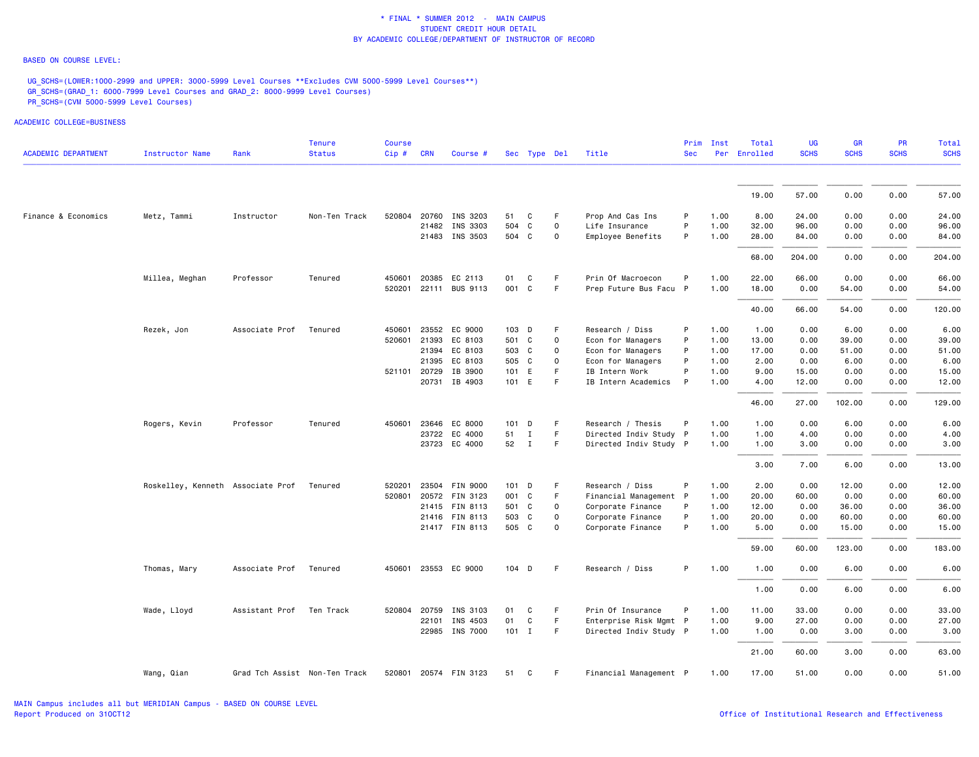### BASED ON COURSE LEVEL:

UG\_SCHS=(LOWER:1000-2999 and UPPER: 3000-5999 Level Courses \*\*Excludes CVM 5000-5999 Level Courses\*\*) GR\_SCHS=(GRAD\_1: 6000-7999 Level Courses and GRAD\_2: 8000-9999 Level Courses) PR\_SCHS=(CVM 5000-5999 Level Courses)

| <b>ACADEMIC DEPARTMENT</b> | <b>Instructor Name</b>            | Rank                          | <b>Tenure</b><br><b>Status</b> | <b>Course</b><br>Cip# | <b>CRN</b>   | Course #              |         | Sec Type Del |             | Title                  | Prim<br><b>Sec</b> | Inst | Total<br>Per Enrolled | UG<br><b>SCHS</b> | <b>GR</b><br><b>SCHS</b> | <b>PR</b><br><b>SCHS</b> | Total<br><b>SCHS</b> |
|----------------------------|-----------------------------------|-------------------------------|--------------------------------|-----------------------|--------------|-----------------------|---------|--------------|-------------|------------------------|--------------------|------|-----------------------|-------------------|--------------------------|--------------------------|----------------------|
|                            |                                   |                               |                                |                       |              |                       |         |              |             |                        |                    |      |                       |                   |                          |                          |                      |
|                            |                                   |                               |                                |                       |              |                       |         |              |             |                        |                    |      | 19.00                 | 57.00             | 0.00                     | 0.00                     | 57.00                |
| Finance & Economics        | Metz, Tammi                       | Instructor                    | Non-Ten Track                  |                       |              | 520804 20760 INS 3203 | 51      | C            | F.          | Prop And Cas Ins       | P                  | 1.00 | 8.00                  | 24.00             | 0.00                     | 0.00                     | 24.00                |
|                            |                                   |                               |                                |                       | 21482        | INS 3303              | 504     | C            | $\mathbf 0$ | Life Insurance         | P                  | 1.00 | 32.00                 | 96.00             | 0.00                     | 0.00                     | 96.00                |
|                            |                                   |                               |                                |                       |              | 21483 INS 3503        | 504 C   |              | 0           | Employee Benefits      | P                  | 1.00 | 28.00                 | 84.00             | 0.00                     | 0.00                     | 84.00                |
|                            |                                   |                               |                                |                       |              |                       |         |              |             |                        |                    |      | 68.00                 | 204.00            | 0.00                     | 0.00                     | 204.00               |
|                            | Millea, Meghan                    | Professor                     | Tenured                        |                       |              | 450601 20385 EC 2113  | 01      | C            | F.          | Prin Of Macroecon      | P                  | 1.00 | 22.00                 | 66.00             | 0.00                     | 0.00                     | 66.00                |
|                            |                                   |                               |                                |                       |              | 520201 22111 BUS 9113 | 001 C   |              | F.          | Prep Future Bus Facu P |                    | 1.00 | 18.00                 | 0.00              | 54.00                    | 0.00                     | 54.00                |
|                            |                                   |                               |                                |                       |              |                       |         |              |             |                        |                    |      | 40.00                 | 66.00             | 54.00                    | 0.00                     | 120.00               |
|                            | Rezek, Jon                        | Associate Prof                | Tenured                        | 450601                |              | 23552 EC 9000         | 103 D   |              | F           | Research / Diss        | P                  | 1.00 | 1.00                  | 0.00              | 6.00                     | 0.00                     | 6.00                 |
|                            |                                   |                               |                                |                       |              | 520601 21393 EC 8103  | 501 C   |              | $\mathbf 0$ | Econ for Managers      | P                  | 1.00 | 13.00                 | 0.00              | 39.00                    | 0.00                     | 39.00                |
|                            |                                   |                               |                                |                       |              | 21394 EC 8103         | 503 C   |              | $\mathbf 0$ | Econ for Managers      | P                  | 1.00 | 17.00                 | 0.00              | 51.00                    | 0.00                     | 51.00                |
|                            |                                   |                               |                                |                       |              | 21395 EC 8103         | 505 C   |              | 0           | Econ for Managers      | P                  | 1.00 | 2.00                  | 0.00              | 6.00                     | 0.00                     | 6.00                 |
|                            |                                   |                               |                                |                       | 521101 20729 | IB 3900               | 101 E   |              | F.          | IB Intern Work         | P                  | 1.00 | 9.00                  | 15.00             | 0.00                     | 0.00                     | 15.00                |
|                            |                                   |                               |                                |                       |              | 20731 IB 4903         | 101 E   |              | F.          | IB Intern Academics    | P                  | 1.00 | 4.00                  | 12.00             | 0.00                     | 0.00                     | 12.00                |
|                            |                                   |                               |                                |                       |              |                       |         |              |             |                        |                    |      | 46.00                 | 27.00             | 102.00                   | 0.00                     | 129.00               |
|                            | Rogers, Kevin                     | Professor                     | Tenured                        | 450601                | 23646        | EC 8000               | 101     | D            | F           | Research / Thesis      | P                  | 1.00 | 1.00                  | 0.00              | 6.00                     | 0.00                     | 6.00                 |
|                            |                                   |                               |                                |                       |              | 23722 EC 4000         | 51      | $\mathbf{I}$ | F.          | Directed Indiv Study P |                    | 1.00 | 1.00                  | 4.00              | 0.00                     | 0.00                     | 4.00                 |
|                            |                                   |                               |                                |                       |              | 23723 EC 4000         | 52 I    |              | F           | Directed Indiv Study P |                    | 1.00 | 1.00                  | 3.00              | 0.00                     | 0.00                     | 3.00                 |
|                            |                                   |                               |                                |                       |              |                       |         |              |             |                        |                    |      | 3.00                  | 7.00              | 6.00                     | 0.00                     | 13.00                |
|                            | Roskelley, Kenneth Associate Prof |                               | Tenured                        | 520201                |              | 23504 FIN 9000        | $101$ D |              | F           | Research / Diss        | P                  | 1.00 | 2.00                  | 0.00              | 12.00                    | 0.00                     | 12.00                |
|                            |                                   |                               |                                |                       |              | 520801 20572 FIN 3123 | 001 C   |              | F.          | Financial Management P |                    | 1.00 | 20.00                 | 60.00             | 0.00                     | 0.00                     | 60.00                |
|                            |                                   |                               |                                |                       |              | 21415 FIN 8113        | 501 C   |              | $\mathbf 0$ | Corporate Finance      | P                  | 1.00 | 12.00                 | 0.00              | 36.00                    | 0.00                     | 36.00                |
|                            |                                   |                               |                                |                       |              | 21416 FIN 8113        | 503 C   |              | 0           | Corporate Finance      | P                  | 1.00 | 20.00                 | 0.00              | 60.00                    | 0.00                     | 60.00                |
|                            |                                   |                               |                                |                       |              | 21417 FIN 8113        | 505 C   |              | $\mathbf 0$ | Corporate Finance      | P                  | 1.00 | 5.00                  | 0.00              | 15.00                    | 0.00                     | 15.00                |
|                            |                                   |                               |                                |                       |              |                       |         |              |             |                        |                    |      | 59.00                 | 60.00             | 123.00                   | 0.00                     | 183.00               |
|                            | Thomas, Mary                      | Associate Prof                | Tenured                        |                       |              | 450601 23553 EC 9000  | 104 D   |              | F.          | Research / Diss        | P.                 | 1.00 | 1.00                  | 0.00              | 6.00                     | 0.00                     | 6.00                 |
|                            |                                   |                               |                                |                       |              |                       |         |              |             |                        |                    |      | 1.00                  | 0.00              | 6.00                     | 0.00                     | 6.00                 |
|                            | Wade, Lloyd                       | Assistant Prof                | Ten Track                      | 520804                | 20759        | INS 3103              | 01      | C            | F.          | Prin Of Insurance      | P                  | 1.00 | 11.00                 | 33.00             | 0.00                     | 0.00                     | 33.00                |
|                            |                                   |                               |                                |                       | 22101        | INS 4503              | 01      | C            | F.          | Enterprise Risk Mgmt P |                    | 1.00 | 9.00                  | 27.00             | 0.00                     | 0.00                     | 27.00                |
|                            |                                   |                               |                                |                       |              | 22985 INS 7000        | $101$ I |              | F.          | Directed Indiv Study P |                    | 1.00 | 1.00                  | 0.00              | 3.00                     | 0.00                     | 3.00                 |
|                            |                                   |                               |                                |                       |              |                       |         |              |             |                        |                    |      | 21.00                 | 60.00             | 3.00                     | 0.00                     | 63.00                |
|                            | Wang, Qian                        | Grad Tch Assist Non-Ten Track |                                |                       |              | 520801 20574 FIN 3123 | 51 C    |              | F           | Financial Management P |                    | 1.00 | 17.00                 | 51.00             | 0.00                     | 0.00                     | 51.00                |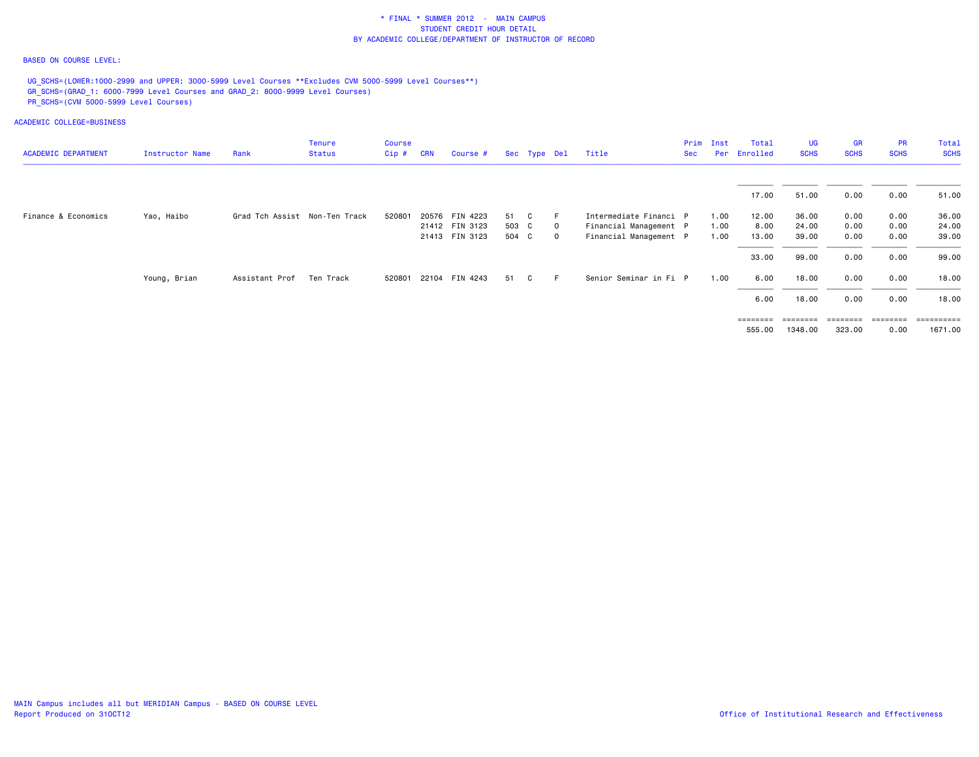### BASED ON COURSE LEVEL:

UG\_SCHS=(LOWER:1000-2999 and UPPER: 3000-5999 Level Courses \*\*Excludes CVM 5000-5999 Level Courses\*\*) GR\_SCHS=(GRAD\_1: 6000-7999 Level Courses and GRAD\_2: 8000-9999 Level Courses) PR\_SCHS=(CVM 5000-5999 Level Courses)

| <b>ACADEMIC DEPARTMENT</b> | Instructor Name | Rank                          | <b>Tenure</b><br><b>Status</b> | Course<br>$Cip$ # | <b>CRN</b> | Course #              |       | Sec Type Del |              | Title                  | Sec | Prim Inst | Total<br>Per Enrolled | UG.<br><b>SCHS</b> | <b>GR</b><br><b>SCHS</b> | <b>PR</b><br><b>SCHS</b> | Total<br><b>SCHS</b> |
|----------------------------|-----------------|-------------------------------|--------------------------------|-------------------|------------|-----------------------|-------|--------------|--------------|------------------------|-----|-----------|-----------------------|--------------------|--------------------------|--------------------------|----------------------|
|                            |                 |                               |                                |                   |            |                       |       |              |              |                        |     |           |                       |                    |                          |                          |                      |
|                            |                 |                               |                                |                   |            |                       |       |              |              |                        |     |           | 17.00                 | 51.00              | 0.00                     | 0.00                     | 51.00                |
| Finance & Economics        | Yao, Haibo      | Grad Tch Assist Non-Ten Track |                                | 520801            |            | 20576 FIN 4223        | 51    | - C          | E            | Intermediate Financi P |     | 1.00      | 12.00                 | 36.00              | 0.00                     | 0.00                     | 36.00                |
|                            |                 |                               |                                |                   |            | 21412 FIN 3123        | 503 C |              | - 0          | Financial Management P |     | 1.00      | 8.00                  | 24.00              | 0.00                     | 0.00                     | 24.00                |
|                            |                 |                               |                                |                   |            | 21413 FIN 3123        | 504 C |              | $\mathbf{0}$ | Financial Management P |     | 1.00      | 13.00                 | 39.00              | 0.00                     | 0.00                     | 39.00                |
|                            |                 |                               |                                |                   |            |                       |       |              |              |                        |     |           | 33.00                 | 99.00              | 0.00                     | 0.00                     | 99.00                |
|                            | Young, Brian    | Assistant Prof                | Ten Track                      |                   |            | 520801 22104 FIN 4243 | 51    | C            | F.           | Senior Seminar in Fi P |     | 1.00      | 6.00                  | 18.00              | 0.00                     | 0.00                     | 18.00                |
|                            |                 |                               |                                |                   |            |                       |       |              |              |                        |     |           | 6.00                  | 18.00              | 0.00                     | 0.00                     | 18.00                |
|                            |                 |                               |                                |                   |            |                       |       |              |              |                        |     |           | $=$ = = = = = = =     | $=$ = = = = = = =  | $=$ = = = = = = =        | ========                 | ==========           |
|                            |                 |                               |                                |                   |            |                       |       |              |              |                        |     |           | 555.00                | 1348.00            | 323.00                   | 0.00                     | 1671.00              |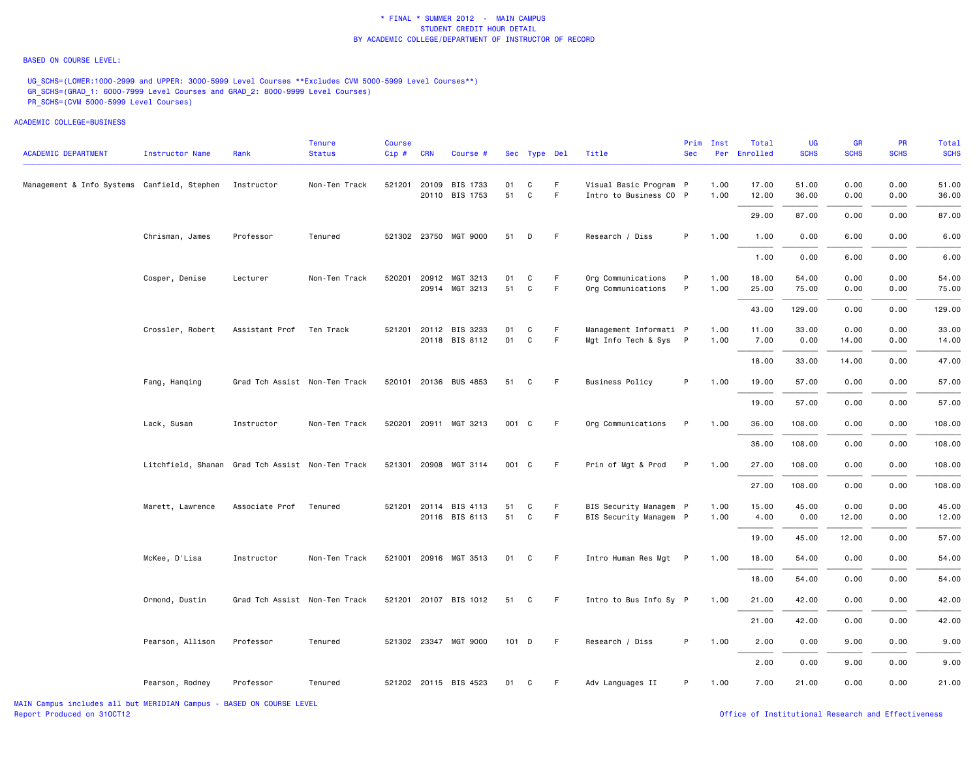#### BASED ON COURSE LEVEL:

UG\_SCHS=(LOWER:1000-2999 and UPPER: 3000-5999 Level Courses \*\*Excludes CVM 5000-5999 Level Courses\*\*) GR\_SCHS=(GRAD\_1: 6000-7999 Level Courses and GRAD\_2: 8000-9999 Level Courses) PR\_SCHS=(CVM 5000-5999 Level Courses)

|                                             |                                                  |                               | Tenure        | Course |            |                                         |          |                   |         |                                                  | Prim       | Inst         | Total          | UG             | GR            | <b>PR</b>    | Total          |
|---------------------------------------------|--------------------------------------------------|-------------------------------|---------------|--------|------------|-----------------------------------------|----------|-------------------|---------|--------------------------------------------------|------------|--------------|----------------|----------------|---------------|--------------|----------------|
| <b>ACADEMIC DEPARTMENT</b>                  | <b>Instructor Name</b>                           | Rank                          | <b>Status</b> | Cip#   | <b>CRN</b> | Course #                                |          | Sec Type Del      |         | Title                                            | <b>Sec</b> |              | Per Enrolled   | <b>SCHS</b>    | <b>SCHS</b>   | <b>SCHS</b>  | <b>SCHS</b>    |
| Management & Info Systems Canfield, Stephen |                                                  | Instructor                    | Non-Ten Track | 521201 |            | 20109 BIS 1733<br>20110 BIS 1753        | 01<br>51 | C<br>$\mathsf{C}$ | F.<br>F | Visual Basic Program P<br>Intro to Business CO P |            | 1.00<br>1.00 | 17.00<br>12.00 | 51.00<br>36.00 | 0.00<br>0.00  | 0.00<br>0.00 | 51.00<br>36.00 |
|                                             |                                                  |                               |               |        |            |                                         |          |                   |         |                                                  |            |              | 29.00          | 87.00          | 0.00          | 0.00         | 87.00          |
|                                             | Chrisman, James                                  | Professor                     | Tenured       |        |            | 521302 23750 MGT 9000                   | 51       | D                 | F.      | Research / Diss                                  | P          | 1.00         | 1.00           | 0.00           | 6.00          | 0.00         | 6.00           |
|                                             |                                                  |                               |               |        |            |                                         |          |                   |         |                                                  |            |              | 1.00           | 0.00           | 6.00          | 0.00         | 6.00           |
|                                             | Cosper, Denise                                   | Lecturer                      | Non-Ten Track |        |            | 520201 20912 MGT 3213<br>20914 MGT 3213 | 01<br>51 | C<br>C            | F<br>F. | Org Communications<br>Org Communications         | P<br>P     | 1.00<br>1.00 | 18.00<br>25.00 | 54.00<br>75.00 | 0.00<br>0.00  | 0.00<br>0.00 | 54.00<br>75.00 |
|                                             |                                                  |                               |               |        |            |                                         |          |                   |         |                                                  |            |              | 43.00          | 129.00         | 0.00          | 0.00         | 129.00         |
|                                             | Crossler, Robert                                 | Assistant Prof Ten Track      |               |        |            | 521201 20112 BIS 3233<br>20118 BIS 8112 | 01<br>01 | C<br>C            | F<br>F  | Management Informati P<br>Mgt Info Tech & Sys P  |            | 1.00<br>1.00 | 11.00<br>7.00  | 33.00<br>0.00  | 0.00<br>14.00 | 0.00<br>0.00 | 33.00<br>14.00 |
|                                             |                                                  |                               |               |        |            |                                         |          |                   |         |                                                  |            |              | 18.00          | 33.00          | 14.00         | 0.00         | 47.00          |
|                                             | Fang, Hanging                                    | Grad Tch Assist Non-Ten Track |               |        |            | 520101 20136 BUS 4853                   | 51       | C                 | F       | <b>Business Policy</b>                           | P          | 1.00         | 19.00          | 57.00          | 0.00          | 0.00         | 57.00          |
|                                             |                                                  |                               |               |        |            |                                         |          |                   |         |                                                  |            |              | 19.00          | 57.00          | 0.00          | 0.00         | 57.00          |
|                                             | Lack, Susan                                      | Instructor                    | Non-Ten Track |        |            | 520201 20911 MGT 3213                   | 001 C    |                   | -F      | Org Communications                               | P          | 1.00         | 36.00          | 108.00         | 0.00          | 0.00         | 108.00         |
|                                             |                                                  |                               |               |        |            |                                         |          |                   |         |                                                  |            |              | 36.00          | 108.00         | 0.00          | 0.00         | 108.00         |
|                                             | Litchfield, Shanan Grad Tch Assist Non-Ten Track |                               |               |        |            | 521301 20908 MGT 3114                   | 001 C    |                   | F       | Prin of Mgt & Prod                               | P          | 1.00         | 27.00          | 108.00         | 0.00          | 0.00         | 108.00         |
|                                             |                                                  |                               |               |        |            |                                         |          |                   |         |                                                  |            |              | 27.00          | 108.00         | 0.00          | 0.00         | 108.00         |
|                                             | Marett, Lawrence                                 | Associate Prof                | Tenured       |        |            | 521201 20114 BIS 4113<br>20116 BIS 6113 | 51<br>51 | C<br>C            | F<br>F. | BIS Security Managem P<br>BIS Security Managem P |            | 1.00<br>1.00 | 15.00<br>4.00  | 45.00<br>0.00  | 0.00<br>12.00 | 0.00<br>0.00 | 45.00<br>12.00 |
|                                             |                                                  |                               |               |        |            |                                         |          |                   |         |                                                  |            |              | 19.00          | 45.00          | 12.00         | 0.00         | 57.00          |
|                                             | McKee, D'Lisa                                    | Instructor                    | Non-Ten Track |        |            | 521001 20916 MGT 3513                   | 01       | C                 | F.      | Intro Human Res Mgt P                            |            | 1.00         | 18.00          | 54.00          | 0.00          | 0.00         | 54.00          |
|                                             |                                                  |                               |               |        |            |                                         |          |                   |         |                                                  |            |              | 18.00          | 54.00          | 0.00          | 0.00         | 54.00          |
|                                             | Ormond, Dustin                                   | Grad Tch Assist Non-Ten Track |               |        |            | 521201 20107 BIS 1012                   | 51       | C                 | F.      | Intro to Bus Info Sy P                           |            | 1.00         | 21.00          | 42.00          | 0.00          | 0.00         | 42.00          |
|                                             |                                                  |                               |               |        |            |                                         |          |                   |         |                                                  |            |              | 21.00          | 42.00          | 0.00          | 0.00         | 42.00          |
|                                             | Pearson, Allison                                 | Professor                     | Tenured       |        |            | 521302 23347 MGT 9000                   | $101$ D  |                   | F       | Research / Diss                                  | P          | 1.00         | 2.00           | 0.00           | 9.00          | 0.00         | 9.00           |
|                                             |                                                  |                               |               |        |            |                                         |          |                   |         |                                                  |            |              | 2.00           | 0.00           | 9.00          | 0.00         | 9.00           |
|                                             | Pearson, Rodney                                  | Professor                     | Tenured       |        |            | 521202 20115 BIS 4523                   | 01       | C                 | F.      | Adv Languages II                                 | P          | 1.00         | 7.00           | 21.00          | 0.00          | 0.00         | 21.00          |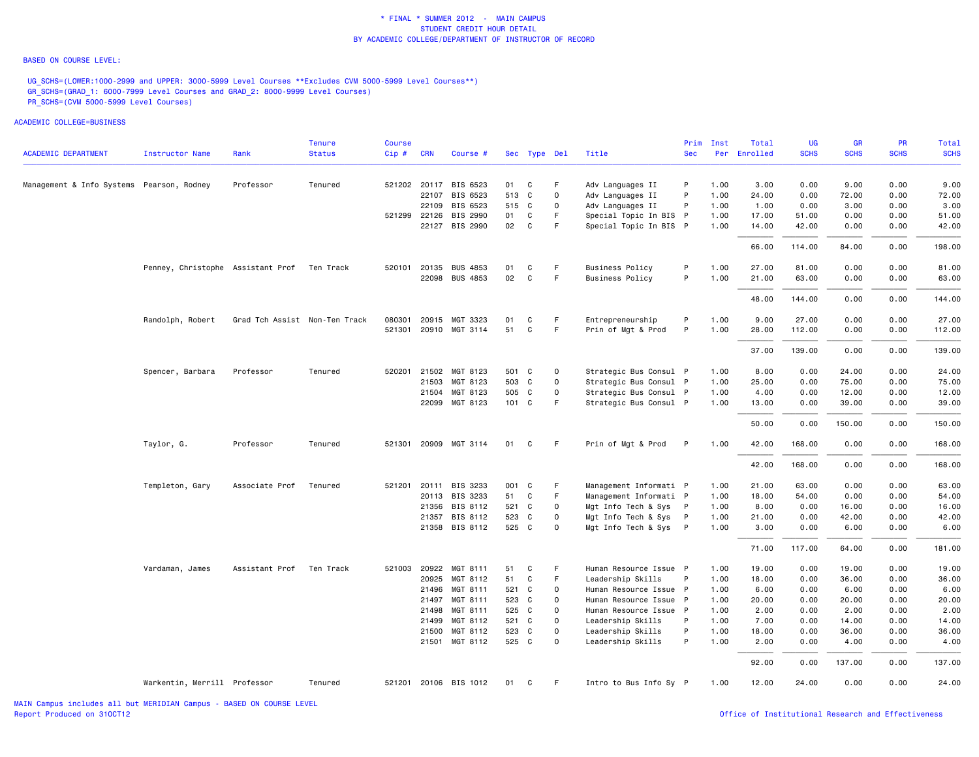#### BASED ON COURSE LEVEL:

UG\_SCHS=(LOWER:1000-2999 and UPPER: 3000-5999 Level Courses \*\*Excludes CVM 5000-5999 Level Courses\*\*) GR\_SCHS=(GRAD\_1: 6000-7999 Level Courses and GRAD\_2: 8000-9999 Level Courses) PR\_SCHS=(CVM 5000-5999 Level Courses)

|                                           |                                             |                               | <b>Tenure</b> | <b>Course</b> |              |                       |       |              |              |                        | Prim       | Inst | Total        | UG          | <b>GR</b>   | <b>PR</b>   | Total       |
|-------------------------------------------|---------------------------------------------|-------------------------------|---------------|---------------|--------------|-----------------------|-------|--------------|--------------|------------------------|------------|------|--------------|-------------|-------------|-------------|-------------|
| <b>ACADEMIC DEPARTMENT</b>                | <b>Instructor Name</b>                      | Rank                          | <b>Status</b> | $Cip \#$      | <b>CRN</b>   | Course #              |       | Sec Type Del |              | Title                  | <b>Sec</b> |      | Per Enrolled | <b>SCHS</b> | <b>SCHS</b> | <b>SCHS</b> | <b>SCHS</b> |
| Management & Info Systems Pearson, Rodney |                                             | Professor                     | Tenured       |               | 521202 20117 | BIS 6523              | 01    | C            | F.           | Adv Languages II       | P          | 1.00 | 3.00         | 0.00        | 9.00        | 0.00        | 9.00        |
|                                           |                                             |                               |               |               | 22107        | BIS 6523              | 513 C |              | $\mathbf{O}$ | Adv Languages II       | P          | 1.00 | 24.00        | 0.00        | 72.00       | 0.00        | 72.00       |
|                                           |                                             |                               |               |               |              | 22109 BIS 6523        | 515 C |              | $\mathbf 0$  | Adv Languages II       | P          | 1.00 | 1.00         | 0.00        | 3.00        | 0.00        | 3.00        |
|                                           |                                             |                               |               |               | 521299 22126 | BIS 2990              | 01    | C            | F            | Special Topic In BIS P |            | 1.00 | 17.00        | 51.00       | 0.00        | 0.00        | 51.00       |
|                                           |                                             |                               |               |               | 22127        | BIS 2990              | 02    | $\mathbf{C}$ | F            | Special Topic In BIS P |            | 1.00 | 14.00        | 42.00       | 0.00        | 0.00        | 42.00       |
|                                           |                                             |                               |               |               |              |                       |       |              |              |                        |            |      | 66.00        | 114.00      | 84.00       | 0.00        | 198.00      |
|                                           | Penney, Christophe Assistant Prof Ten Track |                               |               |               | 520101 20135 | <b>BUS 4853</b>       | 01    | C            | F            | <b>Business Policy</b> | P          | 1.00 | 27.00        | 81.00       | 0.00        | 0.00        | 81.00       |
|                                           |                                             |                               |               |               |              | 22098 BUS 4853        | 02    | C            | F            | <b>Business Policy</b> | P          | 1.00 | 21.00        | 63.00       | 0.00        | 0.00        | 63.00       |
|                                           |                                             |                               |               |               |              |                       |       |              |              |                        |            |      | 48.00        | 144.00      | 0.00        | 0.00        | 144.00      |
|                                           | Randolph, Robert                            | Grad Tch Assist Non-Ten Track |               | 080301        | 20915        | MGT 3323              | 01    | C            | F            | Entrepreneurship       | P          | 1.00 | 9.00         | 27.00       | 0.00        | 0.00        | 27.00       |
|                                           |                                             |                               |               | 521301        | 20910        | MGT 3114              | 51    | C            | F.           | Prin of Mgt & Prod     | P          | 1.00 | 28.00        | 112.00      | 0.00        | 0.00        | 112.00      |
|                                           |                                             |                               |               |               |              |                       |       |              |              |                        |            |      | 37.00        | 139.00      | 0.00        | 0.00        | 139.00      |
|                                           | Spencer, Barbara                            | Professor                     | Tenured       | 520201        | 21502        | MGT 8123              |       | 501 C        | $\mathbf 0$  | Strategic Bus Consul P |            | 1.00 | 8.00         | 0.00        | 24.00       | 0.00        | 24.00       |
|                                           |                                             |                               |               |               | 21503        | MGT 8123              |       | 503 C        | $\Omega$     | Strategic Bus Consul P |            | 1.00 | 25.00        | 0.00        | 75.00       | 0.00        | 75.00       |
|                                           |                                             |                               |               |               | 21504        | MGT 8123              | 505 C |              | $\mathsf{o}$ | Strategic Bus Consul P |            | 1.00 | 4.00         | 0.00        | 12.00       | 0.00        | 12.00       |
|                                           |                                             |                               |               |               |              | 22099 MGT 8123        |       | 101 C        | E            | Strategic Bus Consul P |            | 1.00 | 13.00        | 0.00        | 39.00       | 0.00        | 39.00       |
|                                           |                                             |                               |               |               |              |                       |       |              |              |                        |            |      | 50.00        | 0.00        | 150.00      | 0.00        | 150.00      |
|                                           | Taylor, G.                                  | Professor                     | Tenured       |               |              | 521301 20909 MGT 3114 | 01    | C.           | - F          | Prin of Mgt & Prod     | P          | 1.00 | 42.00        | 168.00      | 0.00        | 0.00        | 168.00      |
|                                           |                                             |                               |               |               |              |                       |       |              |              |                        |            |      | 42.00        | 168.00      | 0.00        | 0.00        | 168.00      |
|                                           | Templeton, Gary                             | Associate Prof                | Tenured       |               |              | 521201 20111 BIS 3233 |       | 001 C        | F            | Management Informati P |            | 1.00 | 21.00        | 63.00       | 0.00        | 0.00        | 63.00       |
|                                           |                                             |                               |               |               |              | 20113 BIS 3233        | 51 C  |              | F            | Management Informati P |            | 1.00 | 18.00        | 54.00       | 0.00        | 0.00        | 54.00       |
|                                           |                                             |                               |               |               | 21356        | BIS 8112              |       | 521 C        | $\Omega$     | Mgt Info Tech & Sys P  |            | 1.00 | 8,00         | 0.00        | 16.00       | 0.00        | 16.00       |
|                                           |                                             |                               |               |               | 21357        | BIS 8112              | 523 C |              | $\mathbf 0$  | Mgt Info Tech & Sys P  |            | 1.00 | 21.00        | 0.00        | 42.00       | 0.00        | 42.00       |
|                                           |                                             |                               |               |               |              | 21358 BIS 8112        |       | 525 C        | $\Omega$     | Mgt Info Tech & Sys P  |            | 1.00 | 3.00         | 0.00        | 6.00        | 0.00        | 6.00        |
|                                           |                                             |                               |               |               |              |                       |       |              |              |                        |            |      | 71.00        | 117.00      | 64.00       | 0.00        | 181.00      |
|                                           | Vardaman, James                             | Assistant Prof                | Ten Track     |               |              | 521003 20922 MGT 8111 | 51    | C            | F            | Human Resource Issue P |            | 1.00 | 19.00        | 0.00        | 19.00       | 0.00        | 19.00       |
|                                           |                                             |                               |               |               | 20925        | MGT 8112              | 51    | C            | F            | Leadership Skills      | P          | 1.00 | 18.00        | 0.00        | 36.00       | 0.00        | 36.00       |
|                                           |                                             |                               |               |               | 21496        | MGT 8111              | 521 C |              | $\mathsf{o}$ | Human Resource Issue P |            | 1.00 | 6.00         | 0.00        | 6.00        | 0.00        | 6.00        |
|                                           |                                             |                               |               |               | 21497        | MGT 8111              | 523 C |              | $\Omega$     | Human Resource Issue P |            | 1.00 | 20.00        | 0.00        | 20.00       | 0.00        | 20.00       |
|                                           |                                             |                               |               |               | 21498        | MGT 8111              | 525 C |              | 0            | Human Resource Issue P |            | 1.00 | 2.00         | 0.00        | 2.00        | 0.00        | 2.00        |
|                                           |                                             |                               |               |               | 21499        | MGT 8112              |       | 521 C        | $\Omega$     | Leadership Skills      | P          | 1.00 | 7.00         | 0.00        | 14.00       | 0.00        | 14.00       |
|                                           |                                             |                               |               |               | 21500        | MGT 8112              | 523 C |              | $\mathbf 0$  | Leadership Skills      | P          | 1.00 | 18.00        | 0.00        | 36.00       | 0.00        | 36.00       |
|                                           |                                             |                               |               |               |              | 21501 MGT 8112        | 525 C |              | $\mathbf 0$  | Leadership Skills      | P          | 1.00 | 2.00         | 0.00        | 4.00        | 0.00        | 4.00        |
|                                           |                                             |                               |               |               |              |                       |       |              |              |                        |            |      | 92.00        | 0.00        | 137.00      | 0.00        | 137.00      |
|                                           | Warkentin, Merrill Professor                |                               | Tenured       |               |              | 521201 20106 BIS 1012 | 01    | C            | F            | Intro to Bus Info Sy P |            | 1.00 | 12.00        | 24.00       | 0.00        | 0.00        | 24.00       |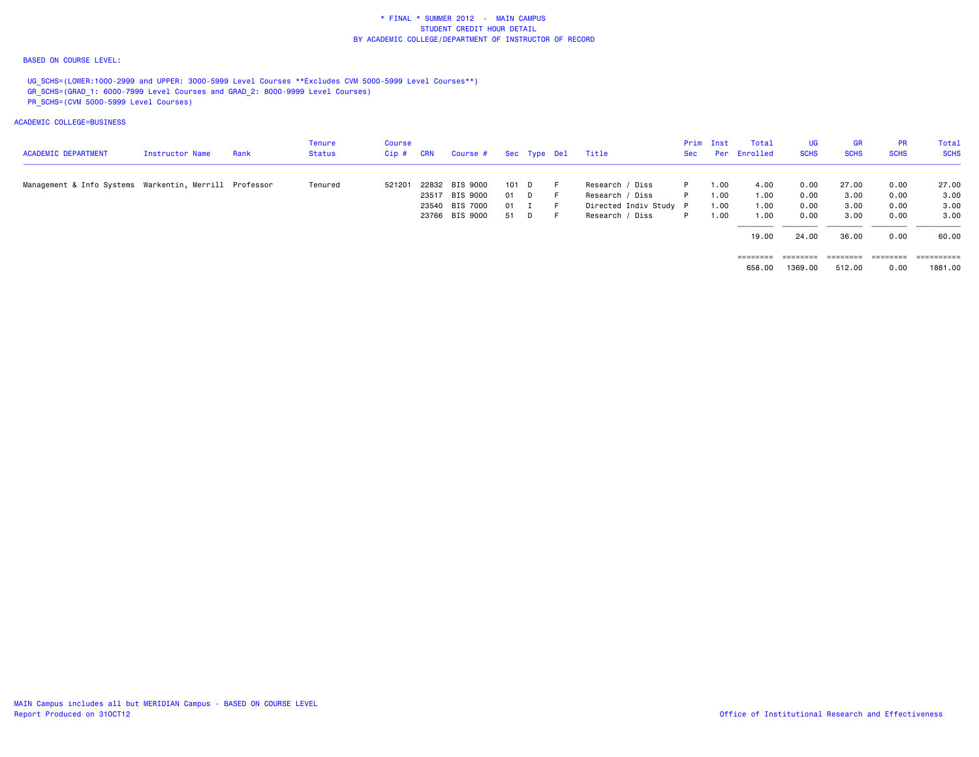### BASED ON COURSE LEVEL:

UG\_SCHS=(LOWER:1000-2999 and UPPER: 3000-5999 Level Courses \*\*Excludes CVM 5000-5999 Level Courses\*\*) GR\_SCHS=(GRAD\_1: 6000-7999 Level Courses and GRAD\_2: 8000-9999 Level Courses) PR\_SCHS=(CVM 5000-5999 Level Courses)

### ACADEMIC COLLEGE=BUSINESS

| <b>ACADEMIC DEPARTMENT</b>                             | Instructor Name | Rank | Tenure<br><b>Status</b> | Course<br>Cip # | CRN | Course #       |        | Sec Type Del | Title                  | <b>Sec</b> | Prim Inst | Total<br>Per Enrolled | UG.<br><b>SCHS</b> | <b>GR</b><br><b>SCHS</b> | <b>PR</b><br><b>SCHS</b> | Total<br><b>SCHS</b> |
|--------------------------------------------------------|-----------------|------|-------------------------|-----------------|-----|----------------|--------|--------------|------------------------|------------|-----------|-----------------------|--------------------|--------------------------|--------------------------|----------------------|
| Management & Info Systems Warkentin, Merrill Professor |                 |      | Tenured                 | 521201          |     | 22832 BIS 9000 | 101 D  |              | Research / Diss        | P.         | 1.00      | 4.00                  | 0.00               | 27.00                    | 0.00                     | 27.00                |
|                                                        |                 |      |                         |                 |     | 23517 BIS 9000 | 01 D   |              | Research / Diss        | P.         | 1.00      | 1.00                  | 0.00               | 3.00                     | 0.00                     | 3.00                 |
|                                                        |                 |      |                         |                 |     | 23540 BIS 7000 | $01$ I |              | Directed Indiv Study P |            | 1.00      | 1.00                  | 0.00               | 3.00                     | 0.00                     | 3.00                 |
|                                                        |                 |      |                         |                 |     | 23766 BIS 9000 | 51 D   |              | Research / Diss        | P          | 00.1      | 1.00                  | 0.00               | 3.00                     | 0.00                     | 3.00                 |
|                                                        |                 |      |                         |                 |     |                |        |              |                        |            |           | 19,00                 | 24.00              | 36.00                    | 0.00                     | 60.00                |
|                                                        |                 |      |                         |                 |     |                |        |              |                        |            |           | ========              | ========           | ========                 | ========                 | ==========           |

 $658.00$   $1369.00$   $512.00$   $0.00$   $1881.00$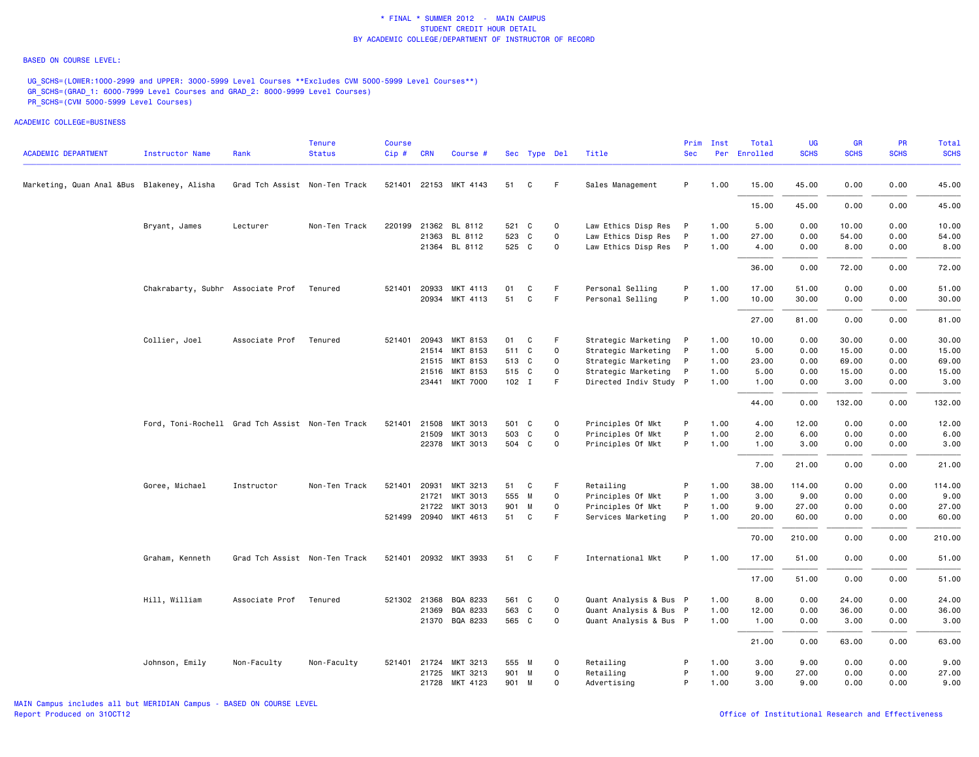#### BASED ON COURSE LEVEL:

UG\_SCHS=(LOWER:1000-2999 and UPPER: 3000-5999 Level Courses \*\*Excludes CVM 5000-5999 Level Courses\*\*) GR\_SCHS=(GRAD\_1: 6000-7999 Level Courses and GRAD\_2: 8000-9999 Level Courses) PR\_SCHS=(CVM 5000-5999 Level Courses)

| <b>ACADEMIC DEPARTMENT</b>                 | Instructor Name                                  | Rank                          | <b>Tenure</b><br><b>Status</b> | <b>Course</b><br>Cip# | <b>CRN</b>   | Course #              |         | Sec Type Del |             | Title                  | Prim<br><b>Sec</b> | Inst | Total<br>Per Enrolled | <b>UG</b><br><b>SCHS</b> | <b>GR</b><br><b>SCHS</b> | <b>PR</b><br><b>SCHS</b> | Total<br><b>SCHS</b> |
|--------------------------------------------|--------------------------------------------------|-------------------------------|--------------------------------|-----------------------|--------------|-----------------------|---------|--------------|-------------|------------------------|--------------------|------|-----------------------|--------------------------|--------------------------|--------------------------|----------------------|
|                                            |                                                  |                               |                                |                       |              |                       |         |              | F           |                        | P                  |      |                       |                          |                          |                          |                      |
| Marketing, Quan Anal &Bus Blakeney, Alisha |                                                  | Grad Tch Assist Non-Ten Track |                                |                       |              | 521401 22153 MKT 4143 | 51      | C            |             | Sales Management       |                    | 1.00 | 15.00                 | 45.00                    | 0.00                     | 0.00                     | 45.00                |
|                                            |                                                  |                               |                                |                       |              |                       |         |              |             |                        |                    |      | 15.00                 | 45.00                    | 0.00                     | 0.00                     | 45.00                |
|                                            | Bryant, James                                    | Lecturer                      | Non-Ten Track                  | 220199                |              | 21362 BL 8112         | 521 C   |              | $\mathbf 0$ | Law Ethics Disp Res    | $\mathsf{P}$       | 1.00 | 5.00                  | 0.00                     | 10.00                    | 0.00                     | 10.00                |
|                                            |                                                  |                               |                                |                       |              | 21363 BL 8112         | 523     | C            | $\mathbf 0$ | Law Ethics Disp Res    | P                  | 1.00 | 27.00                 | 0.00                     | 54.00                    | 0.00                     | 54.00                |
|                                            |                                                  |                               |                                |                       |              | 21364 BL 8112         | 525 C   |              | $\mathbf 0$ | Law Ethics Disp Res    | $\mathsf{P}$       | 1.00 | 4.00                  | 0.00                     | 8.00                     | 0.00                     | 8.00                 |
|                                            |                                                  |                               |                                |                       |              |                       |         |              |             |                        |                    |      | 36.00                 | 0.00                     | 72.00                    | 0.00                     | 72.00                |
|                                            | Chakrabarty, Subhr Associate Prof                |                               | Tenured                        |                       | 521401 20933 | MKT 4113              | 01      | C            | F.          | Personal Selling       | P                  | 1.00 | 17.00                 | 51.00                    | 0.00                     | 0.00                     | 51.00                |
|                                            |                                                  |                               |                                |                       |              | 20934 MKT 4113        | 51      | C            | F           | Personal Selling       | P                  | 1.00 | 10.00                 | 30.00                    | 0.00                     | 0.00                     | 30.00                |
|                                            |                                                  |                               |                                |                       |              |                       |         |              |             |                        |                    |      | 27.00                 | 81.00                    | 0.00                     | 0.00                     | 81.00                |
|                                            | Collier, Joel                                    | Associate Prof                | Tenured                        |                       |              | 521401 20943 MKT 8153 | 01      | C            | F           | Strategic Marketing P  |                    | 1.00 | 10.00                 | 0.00                     | 30.00                    | 0.00                     | 30.00                |
|                                            |                                                  |                               |                                |                       |              | 21514 MKT 8153        | 511 C   |              | 0           | Strategic Marketing    | $\mathsf{P}$       | 1.00 | 5.00                  | 0.00                     | 15.00                    | 0.00                     | 15.00                |
|                                            |                                                  |                               |                                |                       |              | 21515 MKT 8153        | 513 C   |              | 0           | Strategic Marketing    | $\mathsf{P}$       | 1.00 | 23.00                 | 0.00                     | 69.00                    | 0.00                     | 69.00                |
|                                            |                                                  |                               |                                |                       |              | 21516 MKT 8153        | 515 C   |              | 0           | Strategic Marketing    | P                  | 1.00 | 5.00                  | 0.00                     | 15.00                    | 0.00                     | 15.00                |
|                                            |                                                  |                               |                                |                       |              | 23441 MKT 7000        | $102$ I |              | F           | Directed Indiv Study P |                    | 1.00 | 1.00                  | 0.00                     | 3.00                     | 0.00                     | 3.00                 |
|                                            |                                                  |                               |                                |                       |              |                       |         |              |             |                        |                    |      | 44.00                 | 0.00                     | 132.00                   | 0.00                     | 132.00               |
|                                            | Ford, Toni-Rochell Grad Tch Assist Non-Ten Track |                               |                                |                       | 521401 21508 | MKT 3013              | 501 C   |              | 0           | Principles Of Mkt      | P                  | 1.00 | 4.00                  | 12.00                    | 0.00                     | 0.00                     | 12.00                |
|                                            |                                                  |                               |                                |                       | 21509        | MKT 3013              | 503 C   |              | 0           | Principles Of Mkt      | P                  | 1.00 | 2.00                  | 6.00                     | 0.00                     | 0.00                     | 6.00                 |
|                                            |                                                  |                               |                                |                       |              | 22378 MKT 3013        | 504 C   |              | 0           | Principles Of Mkt      | P                  | 1.00 | 1.00                  | 3.00                     | 0.00                     | 0.00                     | 3.00                 |
|                                            |                                                  |                               |                                |                       |              |                       |         |              |             |                        |                    |      | 7.00                  | 21.00                    | 0.00                     | 0.00                     | 21.00                |
|                                            | Goree, Michael                                   | Instructor                    | Non-Ten Track                  |                       | 521401 20931 | MKT 3213              | 51      | C            | F.          | Retailing              | P                  | 1.00 | 38.00                 | 114.00                   | 0.00                     | 0.00                     | 114.00               |
|                                            |                                                  |                               |                                |                       | 21721        | MKT 3013              | 555 M   |              | 0           | Principles Of Mkt      | P                  | 1.00 | 3.00                  | 9.00                     | 0.00                     | 0.00                     | 9.00                 |
|                                            |                                                  |                               |                                |                       | 21722        | MKT 3013              | 901     | M            | $\mathbf 0$ | Principles Of Mkt      | P                  | 1.00 | 9.00                  | 27.00                    | 0.00                     | 0.00                     | 27.00                |
|                                            |                                                  |                               |                                |                       |              | 521499 20940 MKT 4613 | 51 C    |              | F           | Services Marketing     | P                  | 1.00 | 20.00                 | 60.00                    | 0.00                     | 0.00                     | 60.00                |
|                                            |                                                  |                               |                                |                       |              |                       |         |              |             |                        |                    |      | 70.00                 | 210.00                   | 0.00                     | 0.00                     | 210.00               |
|                                            | Graham, Kenneth                                  | Grad Tch Assist Non-Ten Track |                                |                       |              | 521401 20932 MKT 3933 | 51      | C            | F.          | International Mkt      | P                  | 1.00 | 17.00                 | 51.00                    | 0.00                     | 0.00                     | 51.00                |
|                                            |                                                  |                               |                                |                       |              |                       |         |              |             |                        |                    |      | 17.00                 | 51.00                    | 0.00                     | 0.00                     | 51.00                |
|                                            | Hill, William                                    | Associate Prof                | Tenured                        |                       | 521302 21368 | BQA 8233              | 561 C   |              | 0           | Quant Analysis & Bus P |                    | 1.00 | 8.00                  | 0.00                     | 24.00                    | 0.00                     | 24.00                |
|                                            |                                                  |                               |                                |                       | 21369        | BQA 8233              | 563 C   |              | $\mathbf 0$ | Quant Analysis & Bus P |                    | 1.00 | 12.00                 | 0.00                     | 36.00                    | 0.00                     | 36.00                |
|                                            |                                                  |                               |                                |                       |              | 21370 BQA 8233        | 565 C   |              | $\mathbf 0$ | Quant Analysis & Bus P |                    | 1.00 | 1.00                  | 0.00                     | 3.00                     | 0.00                     | 3.00                 |
|                                            |                                                  |                               |                                |                       |              |                       |         |              |             |                        |                    |      | 21.00                 | 0.00                     | 63.00                    | 0.00                     | 63.00                |
|                                            | Johnson, Emily                                   | Non-Faculty                   | Non-Faculty                    |                       |              | 521401 21724 MKT 3213 | 555 M   |              | 0           | Retailing              | P                  | 1.00 | 3.00                  | 9.00                     | 0.00                     | 0.00                     | 9.00                 |
|                                            |                                                  |                               |                                |                       | 21725        | MKT 3213              | 901 M   |              | 0           | Retailing              | P                  | 1.00 | 9.00                  | 27.00                    | 0.00                     | 0.00                     | 27.00                |
|                                            |                                                  |                               |                                |                       |              | 21728 MKT 4123        | 901 M   |              | 0           | Advertising            | P                  | 1.00 | 3.00                  | 9.00                     | 0.00                     | 0.00                     | 9.00                 |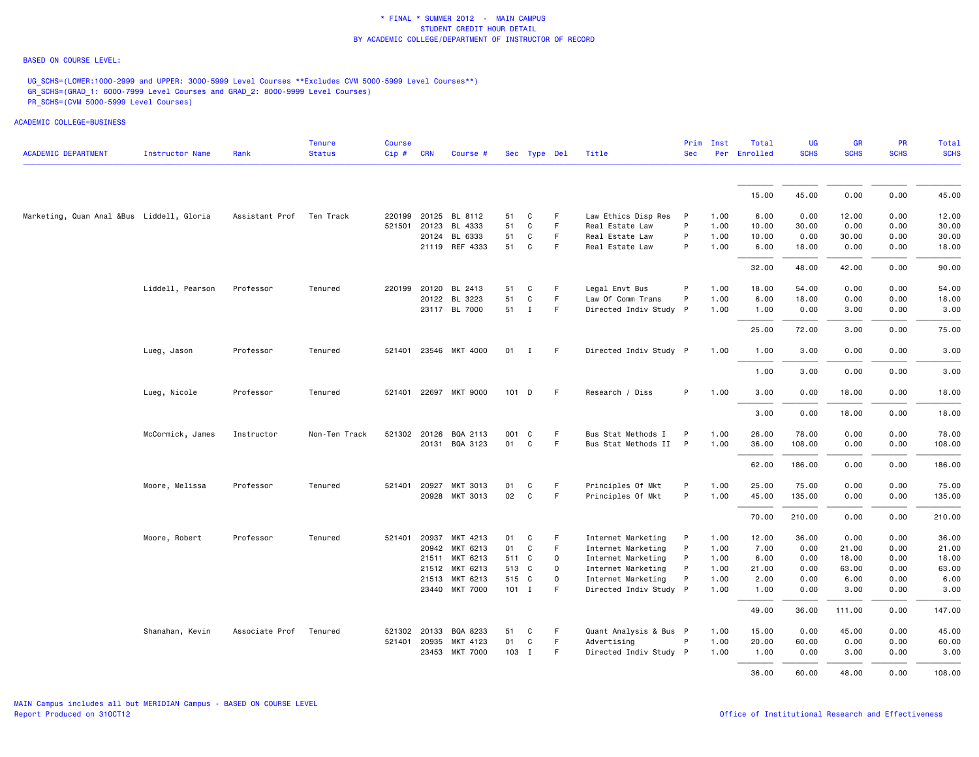### BASED ON COURSE LEVEL:

UG\_SCHS=(LOWER:1000-2999 and UPPER: 3000-5999 Level Courses \*\*Excludes CVM 5000-5999 Level Courses\*\*) GR\_SCHS=(GRAD\_1: 6000-7999 Level Courses and GRAD\_2: 8000-9999 Level Courses) PR\_SCHS=(CVM 5000-5999 Level Courses)

| <b>ACADEMIC DEPARTMENT</b>                | <b>Instructor Name</b> | Rank           | <b>Tenure</b><br><b>Status</b> | Course<br>Cip# | <b>CRN</b>   | Course #              |         | Sec Type Del |             | Title                  | Prim<br><b>Sec</b> | Inst | Total<br>Per Enrolled | <b>UG</b><br><b>SCHS</b> | <b>GR</b><br><b>SCHS</b> | PR<br><b>SCHS</b> | Total<br><b>SCHS</b> |
|-------------------------------------------|------------------------|----------------|--------------------------------|----------------|--------------|-----------------------|---------|--------------|-------------|------------------------|--------------------|------|-----------------------|--------------------------|--------------------------|-------------------|----------------------|
|                                           |                        |                |                                |                |              |                       |         |              |             |                        |                    |      |                       |                          |                          |                   |                      |
|                                           |                        |                |                                |                |              |                       |         |              |             |                        |                    |      | 15.00                 | 45.00                    | 0.00                     | 0.00              | 45.00                |
| Marketing, Quan Anal &Bus Liddell, Gloria |                        | Assistant Prof | Ten Track                      | 220199         |              | 20125 BL 8112         | 51      | C            | F.          | Law Ethics Disp Res    | $\mathsf{P}$       | 1.00 | 6.00                  | 0.00                     | 12.00                    | 0.00              | 12.00                |
|                                           |                        |                |                                |                | 521501 20123 | BL 4333               | 51      | C            | $\mathsf F$ | Real Estate Law        | P                  | 1.00 | 10.00                 | 30.00                    | 0.00                     | 0.00              | 30.00                |
|                                           |                        |                |                                |                |              | 20124 BL 6333         | 51      | C            | $\mathsf F$ | Real Estate Law        | P                  | 1.00 | 10.00                 | 0.00                     | 30.00                    | 0.00              | 30.00                |
|                                           |                        |                |                                |                |              | 21119 REF 4333        | 51      | C            | F           | Real Estate Law        | P                  | 1.00 | 6.00                  | 18.00                    | 0.00                     | 0.00              | 18.00                |
|                                           |                        |                |                                |                |              |                       |         |              |             |                        |                    |      | 32.00                 | 48.00                    | 42.00                    | 0.00              | 90.00                |
|                                           | Liddell, Pearson       | Professor      | Tenured                        | 220199         | 20120        | BL 2413               | 51      | C            | F           | Legal Envt Bus         | P                  | 1.00 | 18.00                 | 54.00                    | 0.00                     | 0.00              | 54.00                |
|                                           |                        |                |                                |                |              | 20122 BL 3223         | 51      | C            | F.          | Law Of Comm Trans      | P                  | 1.00 | 6.00                  | 18.00                    | 0.00                     | 0.00              | 18.00                |
|                                           |                        |                |                                |                |              | 23117 BL 7000         | 51 I    |              | F           | Directed Indiv Study P |                    | 1.00 | 1.00                  | 0.00                     | 3.00                     | 0.00              | 3.00                 |
|                                           |                        |                |                                |                |              |                       |         |              |             |                        |                    |      | 25.00                 | 72.00                    | 3.00                     | 0.00              | 75.00                |
|                                           | Lueg, Jason            | Professor      | Tenured                        |                |              | 521401 23546 MKT 4000 |         | $01$ I       | -F          | Directed Indiv Study P |                    | 1.00 | 1.00                  | 3.00                     | 0.00                     | 0.00              | 3.00                 |
|                                           |                        |                |                                |                |              |                       |         |              |             |                        |                    |      | 1.00                  | 3.00                     | 0.00                     | 0.00              | 3.00                 |
|                                           | Lueg, Nicole           | Professor      | Tenured                        |                |              | 521401 22697 MKT 9000 | 101 D   |              | F           | Research / Diss        | P                  | 1.00 | 3.00                  | 0.00                     | 18.00                    | 0.00              | 18.00                |
|                                           |                        |                |                                |                |              |                       |         |              |             |                        |                    |      | 3.00                  | 0.00                     | 18.00                    | 0.00              | 18.00                |
|                                           | McCormick, James       | Instructor     | Non-Ten Track                  |                |              | 521302 20126 BQA 2113 | 001     | C            | F           | Bus Stat Methods I     | P                  | 1.00 | 26.00                 | 78.00                    | 0.00                     | 0.00              | 78.00                |
|                                           |                        |                |                                |                |              | 20131 BQA 3123        | 01      | C            | F           | Bus Stat Methods II    | $\mathsf{P}$       | 1.00 | 36.00                 | 108.00                   | 0.00                     | 0.00              | 108.00               |
|                                           |                        |                |                                |                |              |                       |         |              |             |                        |                    |      | 62.00                 | 186.00                   | 0.00                     | 0.00              | 186.00               |
|                                           | Moore, Melissa         | Professor      | Tenured                        | 521401         | 20927        | MKT 3013              | 01      | C            | F           | Principles Of Mkt      | P                  | 1.00 | 25.00                 | 75.00                    | 0.00                     | 0.00              | 75.00                |
|                                           |                        |                |                                |                | 20928        | MKT 3013              | 02      | C            | $\mathsf F$ | Principles Of Mkt      | P                  | 1.00 | 45.00                 | 135.00                   | 0.00                     | 0.00              | 135.00               |
|                                           |                        |                |                                |                |              |                       |         |              |             |                        |                    |      |                       |                          |                          |                   |                      |
|                                           |                        |                |                                |                |              |                       |         |              |             |                        |                    |      | 70.00                 | 210.00                   | 0.00                     | 0.00              | 210.00               |
|                                           | Moore, Robert          | Professor      | Tenured                        | 521401         | 20937        | MKT 4213              | 01      | C            | F           | Internet Marketing     | P                  | 1.00 | 12.00                 | 36.00                    | 0.00                     | 0.00              | 36.00                |
|                                           |                        |                |                                |                |              | 20942 MKT 6213        | 01      | C            | F           | Internet Marketing     | P                  | 1.00 | 7.00                  | 0.00                     | 21.00                    | 0.00              | 21.00                |
|                                           |                        |                |                                |                | 21511        | MKT 6213              | 511 C   |              | $\mathbf 0$ | Internet Marketing     | P                  | 1.00 | 6.00                  | 0.00                     | 18.00                    | 0.00              | 18.00                |
|                                           |                        |                |                                |                |              | 21512 MKT 6213        | 513 C   |              | $\mathbf 0$ | Internet Marketing     | P                  | 1.00 | 21.00                 | 0.00                     | 63.00                    | 0.00              | 63.00                |
|                                           |                        |                |                                |                |              | 21513 MKT 6213        | 515 C   |              | $\mathbf 0$ | Internet Marketing     | P                  | 1.00 | 2.00                  | 0.00                     | 6.00                     | 0.00              | 6.00                 |
|                                           |                        |                |                                |                |              | 23440 MKT 7000        | $101$ I |              | F           | Directed Indiv Study P |                    | 1.00 | 1.00                  | 0.00                     | 3.00                     | 0.00              | 3.00                 |
|                                           |                        |                |                                |                |              |                       |         |              |             |                        |                    |      | 49.00                 | 36.00                    | 111.00                   | 0.00              | 147.00               |
|                                           | Shanahan, Kevin        | Associate Prof | Tenured                        |                | 521302 20133 | BQA 8233              | 51      | C            | F           | Quant Analysis & Bus P |                    | 1.00 | 15.00                 | 0.00                     | 45.00                    | 0.00              | 45.00                |
|                                           |                        |                |                                |                | 521401 20935 | MKT 4123              | 01      | C            | F           | Advertising            | P                  | 1.00 | 20.00                 | 60.00                    | 0.00                     | 0.00              | 60.00                |
|                                           |                        |                |                                |                |              | 23453 MKT 7000        | 103 I   |              | F           | Directed Indiv Study P |                    | 1.00 | 1.00                  | 0.00                     | 3.00                     | 0.00              | 3.00                 |
|                                           |                        |                |                                |                |              |                       |         |              |             |                        |                    |      | 36.00                 | 60.00                    | 48.00                    | 0.00              | 108,00               |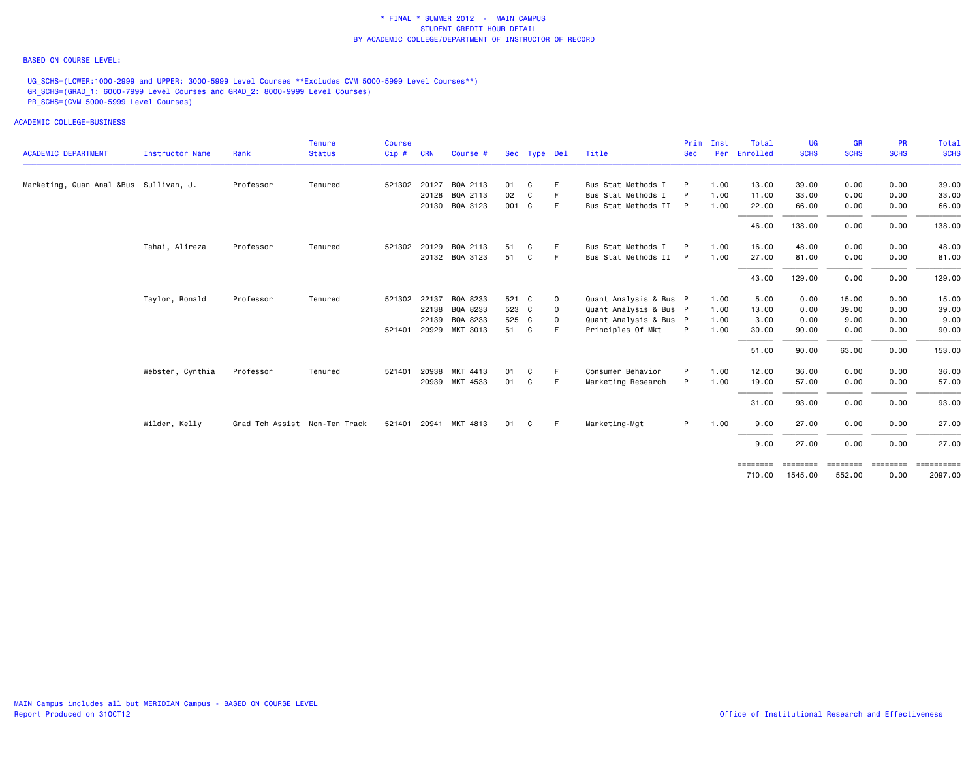### BASED ON COURSE LEVEL:

UG\_SCHS=(LOWER:1000-2999 and UPPER: 3000-5999 Level Courses \*\*Excludes CVM 5000-5999 Level Courses\*\*) GR\_SCHS=(GRAD\_1: 6000-7999 Level Courses and GRAD\_2: 8000-9999 Level Courses) PR\_SCHS=(CVM 5000-5999 Level Courses)

ACADEMIC COLLEGE=BUSINESS

|                                        |                  |                               | <b>Tenure</b> | Course       |            |                       |       |              |              |                        | Prim       | Inst | Total    | <b>UG</b>   | <b>GR</b>   | PR          | <b>Total</b> |
|----------------------------------------|------------------|-------------------------------|---------------|--------------|------------|-----------------------|-------|--------------|--------------|------------------------|------------|------|----------|-------------|-------------|-------------|--------------|
| <b>ACADEMIC DEPARTMENT</b>             | Instructor Name  | Rank                          | <b>Status</b> | Cip#         | <b>CRN</b> | Course #              |       | Sec Type Del |              | Title                  | <b>Sec</b> | Per  | Enrolled | <b>SCHS</b> | <b>SCHS</b> | <b>SCHS</b> | <b>SCHS</b>  |
| Marketing, Quan Anal &Bus Sullivan, J. |                  | Professor                     | Tenured       | 521302 20127 |            | BQA 2113              | 01    | C            |              | Bus Stat Methods I     | P          | 1.00 | 13.00    | 39.00       | 0.00        | 0.00        | 39.00        |
|                                        |                  |                               |               |              |            | 20128 BQA 2113        | 02    | C            |              | Bus Stat Methods I     |            | 1.00 | 11.00    | 33.00       | 0.00        | 0.00        | 33.00        |
|                                        |                  |                               |               |              |            | 20130 BQA 3123        | 001 C |              | F.           | Bus Stat Methods II P  |            | 1.00 | 22.00    | 66.00       | 0.00        | 0.00        | 66.00        |
|                                        |                  |                               |               |              |            |                       |       |              |              |                        |            |      | 46.00    | 138.00      | 0.00        | 0.00        | 138.00       |
|                                        | Tahai, Alireza   | Professor                     | Tenured       |              |            | 521302 20129 BQA 2113 | 51    | C            |              | Bus Stat Methods I     |            | 1.00 | 16.00    | 48.00       | 0.00        | 0.00        | 48.00        |
|                                        |                  |                               |               |              |            | 20132 BQA 3123        | 51    | C            | F.           | Bus Stat Methods II P  |            | 1.00 | 27.00    | 81.00       | 0.00        | 0.00        | 81.00        |
|                                        |                  |                               |               |              |            |                       |       |              |              |                        |            |      | 43.00    | 129.00      | 0.00        | 0.00        | 129.00       |
|                                        | Taylor, Ronald   | Professor                     | Tenured       | 521302 22137 |            | BQA 8233              | 521 C |              | $\mathbf{o}$ | Quant Analysis & Bus P |            | 1.00 | 5.00     | 0.00        | 15.00       | 0.00        | 15.00        |
|                                        |                  |                               |               |              |            | 22138 BQA 8233        | 523 C |              | $\mathbf 0$  | Quant Analysis & Bus P |            | 1.00 | 13.00    | 0.00        | 39.00       | 0.00        | 39.00        |
|                                        |                  |                               |               |              | 22139      | BQA 8233              | 525 C |              | $\mathbf 0$  | Quant Analysis & Bus P |            | 1.00 | 3.00     | 0.00        | 9.00        | 0.00        | 9.00         |
|                                        |                  |                               |               | 521401       |            | 20929 MKT 3013        | 51    | C.           |              | Principles Of Mkt      | P          | 1.00 | 30.00    | 90.00       | 0.00        | 0.00        | 90.00        |
|                                        |                  |                               |               |              |            |                       |       |              |              |                        |            |      | 51.00    | 90.00       | 63.00       | 0.00        | 153.00       |
|                                        | Webster, Cynthia | Professor                     | Tenured       | 521401       | 20938      | MKT 4413              | 01    | C            | F            | Consumer Behavior      | P          | 1.00 | 12.00    | 36.00       | 0.00        | 0.00        | 36.00        |
|                                        |                  |                               |               |              |            | 20939 MKT 4533        | 01    | C            | F.           | Marketing Research     | P          | 1.00 | 19.00    | 57.00       | 0.00        | 0.00        | 57.00        |
|                                        |                  |                               |               |              |            |                       |       |              |              |                        |            |      | 31.00    | 93.00       | 0.00        | 0.00        | 93.00        |
|                                        | Wilder, Kelly    | Grad Tch Assist Non-Ten Track |               | 521401       |            | 20941 MKT 4813        | 01    | C            | -F           | Marketing-Mgt          | P.         | 1.00 | 9.00     | 27.00       | 0.00        | 0.00        | 27.00        |
|                                        |                  |                               |               |              |            |                       |       |              |              |                        |            |      | 9.00     | 27.00       | 0.00        | 0.00        | 27.00        |

 ======== ======== ======== ======== ==========710.00 1545.00 552.00 0.00 2097.00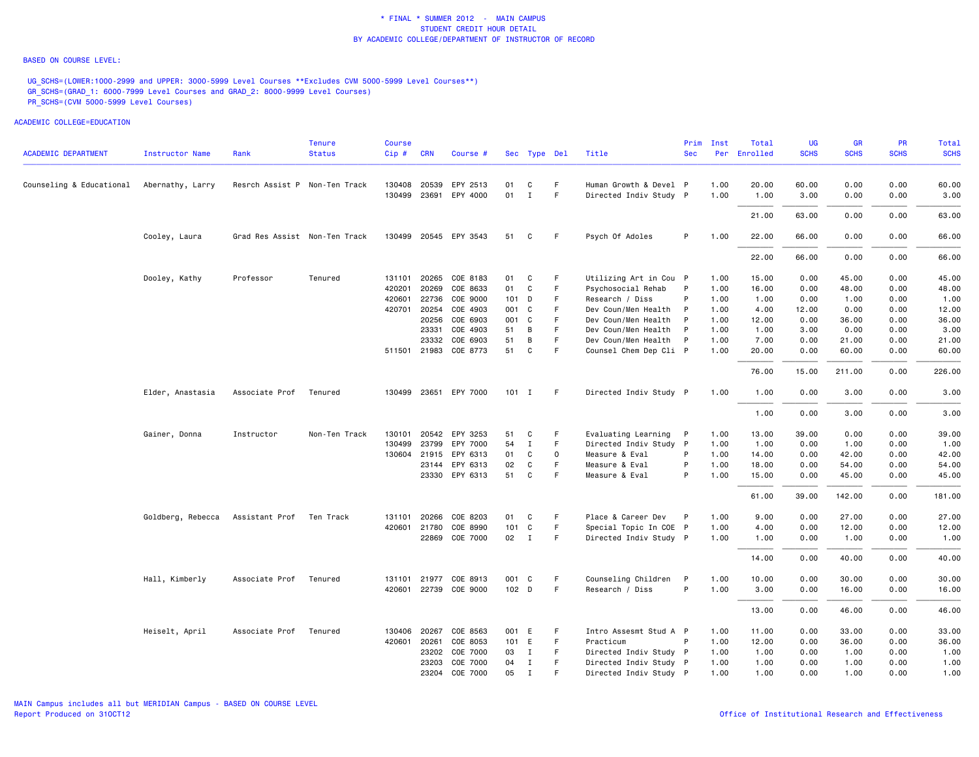#### BASED ON COURSE LEVEL:

UG\_SCHS=(LOWER:1000-2999 and UPPER: 3000-5999 Level Courses \*\*Excludes CVM 5000-5999 Level Courses\*\*) GR\_SCHS=(GRAD\_1: 6000-7999 Level Courses and GRAD\_2: 8000-9999 Level Courses) PR\_SCHS=(CVM 5000-5999 Level Courses)

| <b>ACADEMIC DEPARTMENT</b> | <b>Instructor Name</b> | Rank                          | <b>Tenure</b><br><b>Status</b> | <b>Course</b><br>Cip# | <b>CRN</b> | Course #              |         | Sec Type Del |             | Title                  | Prim<br><b>Sec</b> | Inst | Total<br>Per Enrolled | <b>UG</b><br><b>SCHS</b> | <b>GR</b><br><b>SCHS</b> | <b>PR</b><br><b>SCHS</b> | Total<br><b>SCHS</b> |
|----------------------------|------------------------|-------------------------------|--------------------------------|-----------------------|------------|-----------------------|---------|--------------|-------------|------------------------|--------------------|------|-----------------------|--------------------------|--------------------------|--------------------------|----------------------|
|                            |                        |                               |                                |                       |            |                       |         |              |             |                        |                    |      |                       |                          |                          |                          |                      |
| Counseling & Educational   | Abernathy, Larry       | Resrch Assist P Non-Ten Track |                                | 130408                | 20539      | EPY 2513              | 01      | C            | F           | Human Growth & Devel P |                    | 1.00 | 20.00                 | 60.00                    | 0.00                     | 0.00                     | 60.00                |
|                            |                        |                               |                                |                       |            | 130499 23691 EPY 4000 | 01      | $\mathbf{I}$ | F           | Directed Indiv Study P |                    | 1.00 | 1.00                  | 3.00                     | 0.00                     | 0.00                     | 3.00                 |
|                            |                        |                               |                                |                       |            |                       |         |              |             |                        |                    |      | 21.00                 | 63.00                    | 0.00                     | 0.00                     | 63.00                |
|                            | Cooley, Laura          | Grad Res Assist Non-Ten Track |                                |                       |            | 130499 20545 EPY 3543 | 51      | C            | F           | Psych Of Adoles        | P                  | 1.00 | 22.00                 | 66.00                    | 0.00                     | 0.00                     | 66.00                |
|                            |                        |                               |                                |                       |            |                       |         |              |             |                        |                    |      | 22.00                 | 66.00                    | 0.00                     | 0.00                     | 66.00                |
|                            | Dooley, Kathy          | Professor                     | Tenured                        | 131101                | 20265      | COE 8183              | 01      | C            | F           | Utilizing Art in Cou P |                    | 1.00 | 15.00                 | 0.00                     | 45.00                    | 0.00                     | 45.00                |
|                            |                        |                               |                                | 420201                | 20269      | COE 8633              | 01      | C            | F           | Psychosocial Rehab     | P                  | 1.00 | 16.00                 | 0.00                     | 48.00                    | 0.00                     | 48.00                |
|                            |                        |                               |                                | 420601                |            | 22736 COE 9000        | $101$ D |              | F           | Research / Diss        | P                  | 1.00 | 1.00                  | 0.00                     | 1.00                     | 0.00                     | 1.00                 |
|                            |                        |                               |                                | 420701                |            | 20254 COE 4903        | 001 C   |              | -F          | Dev Coun/Men Health    | P                  | 1.00 | 4.00                  | 12.00                    | 0.00                     | 0.00                     | 12.00                |
|                            |                        |                               |                                |                       | 20256      | COE 6903              | 001 C   |              | F           | Dev Coun/Men Health    | P                  | 1.00 | 12.00                 | 0.00                     | 36.00                    | 0.00                     | 36.00                |
|                            |                        |                               |                                |                       | 23331      | COE 4903              | 51      | В            | F           | Dev Coun/Men Health    |                    | 1.00 | 1.00                  | 3.00                     | 0.00                     | 0.00                     | 3.00                 |
|                            |                        |                               |                                |                       | 23332      | COE 6903              | 51      | В            | F           | Dev Coun/Men Health    | P                  | 1.00 | 7.00                  | 0.00                     | 21.00                    | 0.00                     | 21.00                |
|                            |                        |                               |                                |                       |            | 511501 21983 COE 8773 | 51      | C            | F           | Counsel Chem Dep Cli P |                    | 1.00 | 20.00                 | 0.00                     | 60.00                    | 0.00                     | 60.00                |
|                            |                        |                               |                                |                       |            |                       |         |              |             |                        |                    |      | 76.00                 | 15.00                    | 211.00                   | 0.00                     | 226.00               |
|                            | Elder, Anastasia       | Associate Prof                | Tenured                        |                       |            | 130499 23651 EPY 7000 | $101$ I |              | -F          | Directed Indiv Study P |                    | 1.00 | 1.00                  | 0.00                     | 3.00                     | 0.00                     | 3.00                 |
|                            |                        |                               |                                |                       |            |                       |         |              |             |                        |                    |      | 1.00                  | 0.00                     | 3.00                     | 0.00                     | 3.00                 |
|                            | Gainer, Donna          | Instructor                    | Non-Ten Track                  | 130101                |            | 20542 EPY 3253        | 51      | C            | F           | Evaluating Learning    | P                  | 1.00 | 13.00                 | 39.00                    | 0.00                     | 0.00                     | 39.00                |
|                            |                        |                               |                                | 130499                | 23799      | EPY 7000              | 54      | Ι.           | F           | Directed Indiv Study P |                    | 1.00 | 1.00                  | 0.00                     | 1.00                     | 0.00                     | 1.00                 |
|                            |                        |                               |                                | 130604                |            | 21915 EPY 6313        | 01      | C            | $\mathbf 0$ | Measure & Eval         | P                  | 1.00 | 14.00                 | 0.00                     | 42.00                    | 0.00                     | 42.00                |
|                            |                        |                               |                                |                       |            | 23144 EPY 6313        | 02      | C            | F           | Measure & Eval         | P                  | 1.00 | 18.00                 | 0.00                     | 54.00                    | 0.00                     | 54.00                |
|                            |                        |                               |                                |                       |            | 23330 EPY 6313        | 51      | C            | F           | Measure & Eval         | P                  | 1.00 | 15.00                 | 0.00                     | 45.00                    | 0.00                     | 45.00                |
|                            |                        |                               |                                |                       |            |                       |         |              |             |                        |                    |      | 61.00                 | 39.00                    | 142.00                   | 0.00                     | 181.00               |
|                            | Goldberg, Rebecca      | Assistant Prof                | Ten Track                      | 131101                | 20266      | COE 8203              | 01      | C            | F           | Place & Career Dev     | P                  | 1.00 | 9.00                  | 0.00                     | 27.00                    | 0.00                     | 27.00                |
|                            |                        |                               |                                | 420601                | 21780      | COE 8990              | 101 C   |              | $\mathsf F$ | Special Topic In COE P |                    | 1.00 | 4.00                  | 0.00                     | 12.00                    | 0.00                     | 12.00                |
|                            |                        |                               |                                |                       |            | 22869 COE 7000        | 02 I    |              | F           | Directed Indiv Study P |                    | 1.00 | 1.00                  | 0.00                     | 1.00                     | 0.00                     | 1.00                 |
|                            |                        |                               |                                |                       |            |                       |         |              |             |                        |                    |      | 14.00                 | 0.00                     | 40.00                    | 0.00                     | 40.00                |
|                            | Hall, Kimberly         | Associate Prof                | Tenured                        | 131101                | 21977      | COE 8913              | 001 C   |              | -F          | Counseling Children    | P                  | 1.00 | 10.00                 | 0.00                     | 30.00                    | 0.00                     | 30.00                |
|                            |                        |                               |                                | 420601                |            | 22739 COE 9000        | $102$ D |              | F           | Research / Diss        | P                  | 1.00 | 3.00                  | 0.00                     | 16.00                    | 0.00                     | 16.00                |
|                            |                        |                               |                                |                       |            |                       |         |              |             |                        |                    |      | 13.00                 | 0.00                     | 46.00                    | 0.00                     | 46.00                |
|                            | Heiselt, April         | Associate Prof                | Tenured                        | 130406                | 20267      | COE 8563              | 001 E   |              | F           | Intro Assesmt Stud A P |                    | 1.00 | 11.00                 | 0.00                     | 33.00                    | 0.00                     | 33.00                |
|                            |                        |                               |                                | 420601                |            | 20261 COE 8053        | 101 E   |              | F           | Practicum              | P                  | 1.00 | 12.00                 | 0.00                     | 36.00                    | 0.00                     | 36.00                |
|                            |                        |                               |                                |                       | 23202      | COE 7000              | 03      | $\mathbf{I}$ | F           | Directed Indiv Study P |                    | 1.00 | 1.00                  | 0.00                     | 1.00                     | 0.00                     | 1.00                 |
|                            |                        |                               |                                |                       | 23203      | COE 7000              | 04      | Ι.           | F           | Directed Indiv Study P |                    | 1.00 | 1.00                  | 0.00                     | 1.00                     | 0.00                     | 1.00                 |
|                            |                        |                               |                                |                       |            | 23204 COE 7000        | 05      | $\mathbf{I}$ | F           | Directed Indiv Study P |                    | 1.00 | 1.00                  | 0.00                     | 1.00                     | 0.00                     | 1.00                 |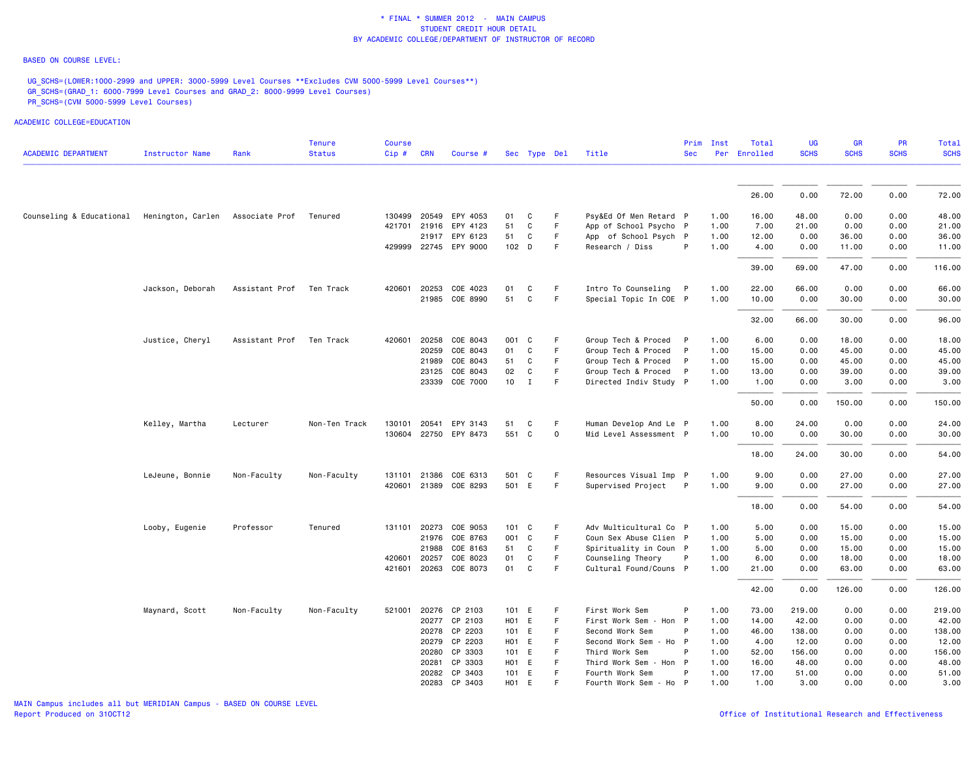#### BASED ON COURSE LEVEL:

UG\_SCHS=(LOWER:1000-2999 and UPPER: 3000-5999 Level Courses \*\*Excludes CVM 5000-5999 Level Courses\*\*) GR\_SCHS=(GRAD\_1: 6000-7999 Level Courses and GRAD\_2: 8000-9999 Level Courses) PR\_SCHS=(CVM 5000-5999 Level Courses)

|                            |                        |                | <b>Tenure</b> | <b>Course</b> |                              |                          |                 |              |             |                                              | Prim         | Inst         | Total         | UG              | <b>GR</b>      | <b>PR</b>    | Total           |
|----------------------------|------------------------|----------------|---------------|---------------|------------------------------|--------------------------|-----------------|--------------|-------------|----------------------------------------------|--------------|--------------|---------------|-----------------|----------------|--------------|-----------------|
| <b>ACADEMIC DEPARTMENT</b> | <b>Instructor Name</b> | Rank           | <b>Status</b> | Cip#          | <b>CRN</b>                   | Course #                 |                 | Sec Type Del |             | Title                                        | <b>Sec</b>   |              | Per Enrolled  | <b>SCHS</b>     | <b>SCHS</b>    | <b>SCHS</b>  | <b>SCHS</b>     |
|                            |                        |                |               |               |                              |                          |                 |              |             |                                              |              |              |               |                 |                |              |                 |
|                            |                        |                |               |               |                              |                          |                 |              |             |                                              |              |              | 26.00         | 0.00            | 72.00          | 0.00         | 72.00           |
| Counseling & Educational   | Henington, Carlen      | Associate Prof | Tenured       | 130499        | 20549                        | EPY 4053                 | 01              | C            | F           | Psy&Ed Of Men Retard P                       |              | 1.00         | 16.00         | 48.00           | 0.00           | 0.00         | 48.00           |
|                            |                        |                |               | 421701        | 21916                        | EPY 4123                 | 51              | C            | F.          | App of School Psycho P                       |              | 1.00         | 7.00          | 21.00           | 0.00           | 0.00         | 21.00           |
|                            |                        |                |               |               |                              | 21917 EPY 6123           | 51              | C            | F           | App of School Psych P                        |              | 1.00         | 12.00         | 0.00            | 36.00          | 0.00         | 36.00           |
|                            |                        |                |               |               |                              | 429999 22745 EPY 9000    | 102 D           |              | F.          | Research / Diss                              | P            | 1.00         | 4.00          | 0.00            | 11.00          | 0.00         | 11.00           |
|                            |                        |                |               |               |                              |                          |                 |              |             |                                              |              |              | 39.00         | 69.00           | 47.00          | 0.00         | 116.00          |
|                            | Jackson, Deborah       | Assistant Prof | Ten Track     |               | 420601 20253                 | COE 4023                 | 01              | C            | F           | Intro To Counseling P                        |              | 1.00         | 22.00         | 66.00           | 0.00           | 0.00         | 66.00           |
|                            |                        |                |               |               |                              | 21985 COE 8990           | 51              | $\mathsf{C}$ | F           | Special Topic In COE P                       |              | 1.00         | 10.00         | 0.00            | 30.00          | 0.00         | 30.00           |
|                            |                        |                |               |               |                              |                          |                 |              |             |                                              |              |              | 32.00         | 66.00           | 30.00          | 0.00         | 96.00           |
|                            | Justice, Cheryl        | Assistant Prof | Ten Track     | 420601        | 20258                        | COE 8043                 | 001             | C            | F           | Group Tech & Proced                          | - P          | 1.00         | 6.00          | 0.00            | 18.00          | 0.00         | 18.00           |
|                            |                        |                |               |               | 20259                        | COE 8043                 | 01              | C            | F.          | Group Tech & Proced                          | $\mathsf{P}$ | 1.00         | 15.00         | 0.00            | 45.00          | 0.00         | 45.00           |
|                            |                        |                |               |               | 21989                        | COE 8043                 | 51              | C            | F.          | Group Tech & Proced                          | $\mathsf{P}$ | 1.00         | 15.00         | 0.00            | 45.00          | 0.00         | 45.00           |
|                            |                        |                |               |               | 23125                        | COE 8043                 | 02              | C            | F           | Group Tech & Proced                          | $\mathsf{P}$ | 1.00         | 13.00         | 0.00            | 39.00          | 0.00         | 39.00           |
|                            |                        |                |               |               | 23339                        | COE 7000                 | 10 <sub>1</sub> | $\mathbf{I}$ | F           | Directed Indiv Study P                       |              | 1.00         | 1.00          | 0.00            | 3.00           | 0.00         | 3.00            |
|                            |                        |                |               |               |                              |                          |                 |              |             |                                              |              |              | 50.00         | 0.00            | 150.00         | 0.00         | 150.00          |
|                            | Kelley, Martha         | Lecturer       | Non-Ten Track | 130101 20541  |                              | EPY 3143                 | 51              | C            | F           | Human Develop And Le P                       |              | 1.00         | 8.00          | 24.00           | 0.00           | 0.00         | 24.00           |
|                            |                        |                |               |               |                              | 130604 22750 EPY 8473    | 551 C           |              | $\mathbf 0$ | Mid Level Assessment P                       |              | 1.00         | 10.00         | 0.00            | 30.00          | 0.00         | 30.00           |
|                            |                        |                |               |               |                              |                          |                 |              |             |                                              |              |              | 18.00         | 24.00           | 30.00          | 0.00         | 54.00           |
|                            | LeJeune, Bonnie        | Non-Faculty    | Non-Faculty   |               | 131101 21386                 | COE 6313                 | 501 C           |              | F           | Resources Visual Imp P                       |              | 1.00         | 9.00          | 0.00            | 27.00          | 0.00         | 27.00           |
|                            |                        |                |               |               | 420601 21389                 | COE 8293                 | 501             | E            | F           | Supervised Project                           | $\mathsf{P}$ | 1.00         | 9.00          | 0.00            | 27.00          | 0.00         | 27.00           |
|                            |                        |                |               |               |                              |                          |                 |              |             |                                              |              |              | 18.00         | 0.00            | 54.00          | 0.00         | 54.00           |
|                            | Looby, Eugenie         | Professor      | Tenured       |               | 131101 20273                 | COE 9053                 | $101 \quad C$   |              | F           | Adv Multicultural Co P                       |              | 1.00         | 5.00          | 0.00            | 15.00          | 0.00         | 15.00           |
|                            |                        |                |               |               | 21976                        | COE 8763                 | 001             | C            | F           | Coun Sex Abuse Clien P                       |              | 1.00         | 5.00          | 0.00            | 15.00          | 0.00         | 15.00           |
|                            |                        |                |               |               | 21988                        | COE 8163                 | 51              | C            | F.          | Spirituality in Coun P                       |              | 1.00         | 5.00          | 0.00            | 15.00          | 0.00         | 15.00           |
|                            |                        |                |               |               | 420601 20257<br>421601 20263 | COE 8023<br>COE 8073     | 01<br>01        | C<br>C       | F<br>F.     | Counseling Theory<br>Cultural Found/Couns P  | P            | 1.00<br>1.00 | 6.00<br>21.00 | 0.00<br>0.00    | 18.00<br>63.00 | 0.00<br>0.00 | 18.00<br>63.00  |
|                            |                        |                |               |               |                              |                          |                 |              |             |                                              |              |              |               |                 |                |              |                 |
|                            |                        |                |               |               |                              |                          |                 |              |             |                                              |              |              | 42.00         | 0.00            | 126.00         | 0.00         | 126.00          |
|                            | Maynard, Scott         | Non-Faculty    | Non-Faculty   | 521001        |                              | 20276 CP 2103            | 101             | E            | F           | First Work Sem                               | P            | 1.00         | 73.00         | 219.00          | 0.00           | 0.00         | 219.00          |
|                            |                        |                |               |               |                              | 20277 CP 2103            | H01 E           |              | F.<br>F.    | First Work Sem - Hon P                       | P            | 1.00         | 14.00         | 42.00           | 0.00           | 0.00         | 42.00           |
|                            |                        |                |               |               | 20279                        | 20278 CP 2203<br>CP 2203 | 101 E<br>H01    | E            | F           | Second Work Sem<br>- Ho P<br>Second Work Sem |              | 1.00<br>1.00 | 46.00<br>4.00 | 138.00<br>12.00 | 0.00<br>0.00   | 0.00<br>0.00 | 138.00<br>12.00 |
|                            |                        |                |               |               |                              | 20280 CP 3303            | 101 E           |              | F           | Third Work Sem                               | P            | 1.00         | 52.00         | 156.00          | 0.00           | 0.00         | 156.00          |
|                            |                        |                |               |               | 20281                        | CP 3303                  | H01             | E            | F           | Third Work Sem<br>- Hon P                    |              | 1.00         | 16.00         | 48.00           | 0.00           | 0.00         | 48.00           |
|                            |                        |                |               |               |                              | 20282 CP 3403            | 101 E           |              | F           | Fourth Work Sem                              | P            | 1.00         | 17.00         | 51.00           | 0.00           | 0.00         | 51.00           |
|                            |                        |                |               |               |                              | 20283 CP 3403            | H01 E           |              | F.          | Fourth Work Sem - Ho P                       |              | 1.00         | 1.00          | 3.00            | 0.00           | 0.00         | 3.00            |
|                            |                        |                |               |               |                              |                          |                 |              |             |                                              |              |              |               |                 |                |              |                 |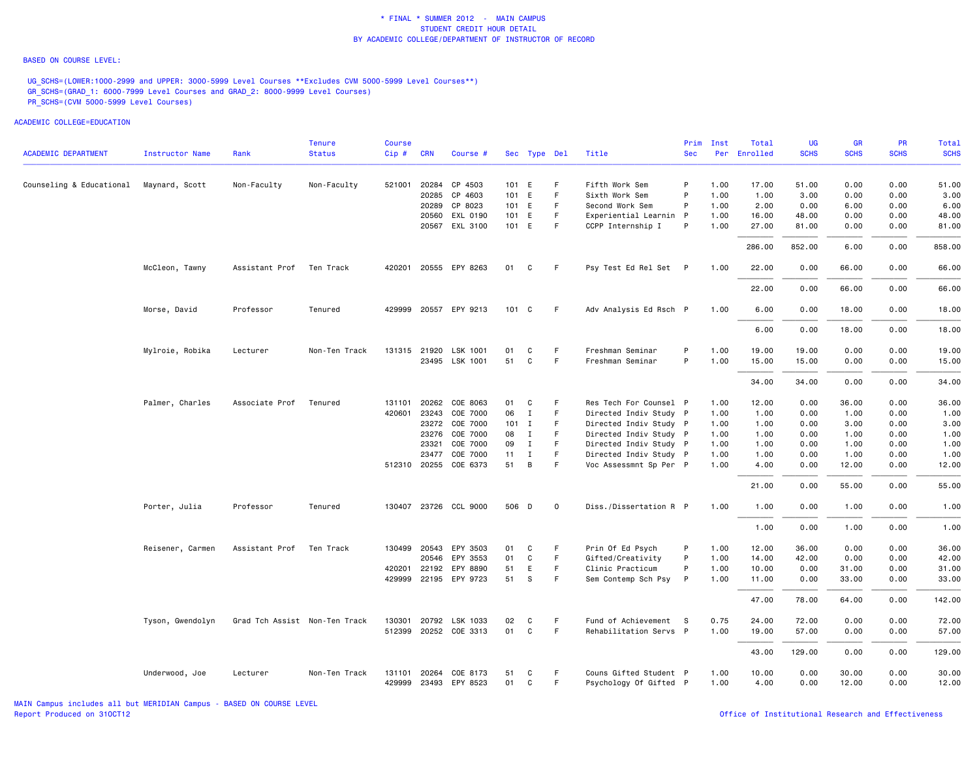#### BASED ON COURSE LEVEL:

UG\_SCHS=(LOWER:1000-2999 and UPPER: 3000-5999 Level Courses \*\*Excludes CVM 5000-5999 Level Courses\*\*) GR\_SCHS=(GRAD\_1: 6000-7999 Level Courses and GRAD\_2: 8000-9999 Level Courses) PR\_SCHS=(CVM 5000-5999 Level Courses)

|                            |                  |                               | <b>Tenure</b> | <b>Course</b> |              |                       |         |              |             |                        | Prim         | Inst | Total        | <b>UG</b>   | <b>GR</b>   | <b>PR</b>   | Total       |
|----------------------------|------------------|-------------------------------|---------------|---------------|--------------|-----------------------|---------|--------------|-------------|------------------------|--------------|------|--------------|-------------|-------------|-------------|-------------|
| <b>ACADEMIC DEPARTMENT</b> | Instructor Name  | Rank                          | <b>Status</b> | Cip#          | <b>CRN</b>   | Course #              |         | Sec Type Del |             | Title                  | <b>Sec</b>   |      | Per Enrolled | <b>SCHS</b> | <b>SCHS</b> | <b>SCHS</b> | <b>SCHS</b> |
| Counseling & Educational   | Maynard, Scott   | Non-Faculty                   | Non-Faculty   |               |              | 521001 20284 CP 4503  | 101 E   |              | F.          | Fifth Work Sem         | P            | 1.00 | 17.00        | 51.00       | 0.00        | 0.00        | 51.00       |
|                            |                  |                               |               |               | 20285        | CP 4603               | 101 E   |              | F           | Sixth Work Sem         | P            | 1.00 | 1.00         | 3.00        | 0.00        | 0.00        | 3.00        |
|                            |                  |                               |               |               |              | 20289 CP 8023         | 101 E   |              | F.          | Second Work Sem        | P            | 1.00 | 2.00         | 0.00        | 6.00        | 0.00        | 6.00        |
|                            |                  |                               |               |               | 20560        | EXL 0190              | 101     | E            | F.          | Experiential Learnin P |              | 1.00 | 16.00        | 48.00       | 0.00        | 0.00        | 48.00       |
|                            |                  |                               |               |               |              | 20567 EXL 3100        | 101 E   |              | F.          | CCPP Internship I      | P            | 1.00 | 27.00        | 81.00       | 0.00        | 0.00        | 81.00       |
|                            |                  |                               |               |               |              |                       |         |              |             |                        |              |      | 286.00       | 852.00      | 6.00        | 0.00        | 858.00      |
|                            | McCleon, Tawny   | Assistant Prof                | Ten Track     |               |              | 420201 20555 EPY 8263 | 01      | C            | F           | Psy Test Ed Rel Set P  |              | 1.00 | 22.00        | 0.00        | 66.00       | 0.00        | 66.00       |
|                            |                  |                               |               |               |              |                       |         |              |             |                        |              |      | 22.00        | 0.00        | 66.00       | 0.00        | 66.00       |
|                            | Morse, David     | Professor                     | Tenured       |               |              | 429999 20557 EPY 9213 | 101 C   |              | -F          | Adv Analysis Ed Rsch P |              | 1.00 | 6.00         | 0.00        | 18.00       | 0.00        | 18.00       |
|                            |                  |                               |               |               |              |                       |         |              |             |                        |              |      | 6.00         | 0.00        | 18.00       | 0.00        | 18.00       |
|                            | Mylroie, Robika  | Lecturer                      | Non-Ten Track |               | 131315 21920 | LSK 1001              | 01      | C            | F           | Freshman Seminar       | P            | 1.00 | 19.00        | 19.00       | 0.00        | 0.00        | 19.00       |
|                            |                  |                               |               |               |              | 23495 LSK 1001        | 51      | C            | F           | Freshman Seminar       | P            | 1.00 | 15.00        | 15.00       | 0.00        | 0.00        | 15.00       |
|                            |                  |                               |               |               |              |                       |         |              |             |                        |              |      | 34.00        | 34.00       | 0.00        | 0.00        | 34.00       |
|                            | Palmer, Charles  | Associate Prof                | Tenured       | 131101        | 20262        | COE 8063              | 01      | C            | F           | Res Tech For Counsel P |              | 1.00 | 12.00        | 0.00        | 36.00       | 0.00        | 36.00       |
|                            |                  |                               |               |               | 420601 23243 | COE 7000              | 06      | $\mathbf I$  | F           | Directed Indiv Study P |              | 1.00 | 1.00         | 0.00        | 1.00        | 0.00        | 1.00        |
|                            |                  |                               |               |               | 23272        | COE 7000              | $101$ I |              | F.          | Directed Indiv Study P |              | 1.00 | 1.00         | 0.00        | 3.00        | 0.00        | 3.00        |
|                            |                  |                               |               |               | 23276        | COE 7000              | 08      | $\mathbf{I}$ | F.          | Directed Indiv Study P |              | 1.00 | 1.00         | 0.00        | 1.00        | 0.00        | 1.00        |
|                            |                  |                               |               |               | 23321        | COE 7000              | 09      | $\mathbf{I}$ | F.          | Directed Indiv Study P |              | 1.00 | 1.00         | 0.00        | 1.00        | 0.00        | 1.00        |
|                            |                  |                               |               |               |              | 23477 COE 7000        | 11      | $\mathbf{I}$ | F           | Directed Indiv Study P |              | 1.00 | 1.00         | 0.00        | 1.00        | 0.00        | 1.00        |
|                            |                  |                               |               |               |              | 512310 20255 COE 6373 | 51      | B            | F.          | Voc Assessmnt Sp Per P |              | 1.00 | 4.00         | 0.00        | 12.00       | 0.00        | 12.00       |
|                            |                  |                               |               |               |              |                       |         |              |             |                        |              |      | 21.00        | 0.00        | 55.00       | 0.00        | 55.00       |
|                            | Porter, Julia    | Professor                     | Tenured       |               |              | 130407 23726 CCL 9000 | 506 D   |              | $\mathbf 0$ | Diss./Dissertation R P |              | 1.00 | 1.00         | 0.00        | 1.00        | 0.00        | 1.00        |
|                            |                  |                               |               |               |              |                       |         |              |             |                        |              |      | 1.00         | 0.00        | 1.00        | 0.00        | 1.00        |
|                            | Reisener, Carmen | Assistant Prof                | Ten Track     |               |              | 130499 20543 EPY 3503 | 01      | C            | F           | Prin Of Ed Psych       | P            | 1.00 | 12.00        | 36.00       | 0.00        | 0.00        | 36.00       |
|                            |                  |                               |               |               | 20546        | EPY 3553              | 01      | C            | F           | Gifted/Creativity      | P            | 1.00 | 14.00        | 42.00       | 0.00        | 0.00        | 42.00       |
|                            |                  |                               |               |               | 420201 22192 | EPY 8890              | 51      | E            | F.          | Clinic Practicum       | P            | 1.00 | 10.00        | 0.00        | 31.00       | 0.00        | 31.00       |
|                            |                  |                               |               |               |              | 429999 22195 EPY 9723 | 51      | s            | F.          | Sem Contemp Sch Psy    | $\mathsf{P}$ | 1.00 | 11.00        | 0.00        | 33.00       | 0.00        | 33.00       |
|                            |                  |                               |               |               |              |                       |         |              |             |                        |              |      | 47.00        | 78.00       | 64.00       | 0.00        | 142.00      |
|                            | Tyson, Gwendolyn | Grad Tch Assist Non-Ten Track |               |               | 130301 20792 | LSK 1033              | 02      | C            | F           | Fund of Achievement S  |              | 0.75 | 24.00        | 72.00       | 0.00        | 0.00        | 72.00       |
|                            |                  |                               |               |               |              | 512399 20252 COE 3313 | 01      | C            | F           | Rehabilitation Servs P |              | 1.00 | 19.00        | 57.00       | 0.00        | 0.00        | 57.00       |
|                            |                  |                               |               |               |              |                       |         |              |             |                        |              |      | 43.00        | 129.00      | 0.00        | 0.00        | 129.00      |
|                            | Underwood, Joe   | Lecturer                      | Non-Ten Track | 131101        | 20264        | COE 8173              | 51      | C            | F.          | Couns Gifted Student P |              | 1.00 | 10.00        | 0.00        | 30.00       | 0.00        | 30.00       |
|                            |                  |                               |               |               |              | 429999 23493 EPY 8523 | 01      | C            | F           | Psychology Of Gifted P |              | 1.00 | 4.00         | 0.00        | 12.00       | 0.00        | 12.00       |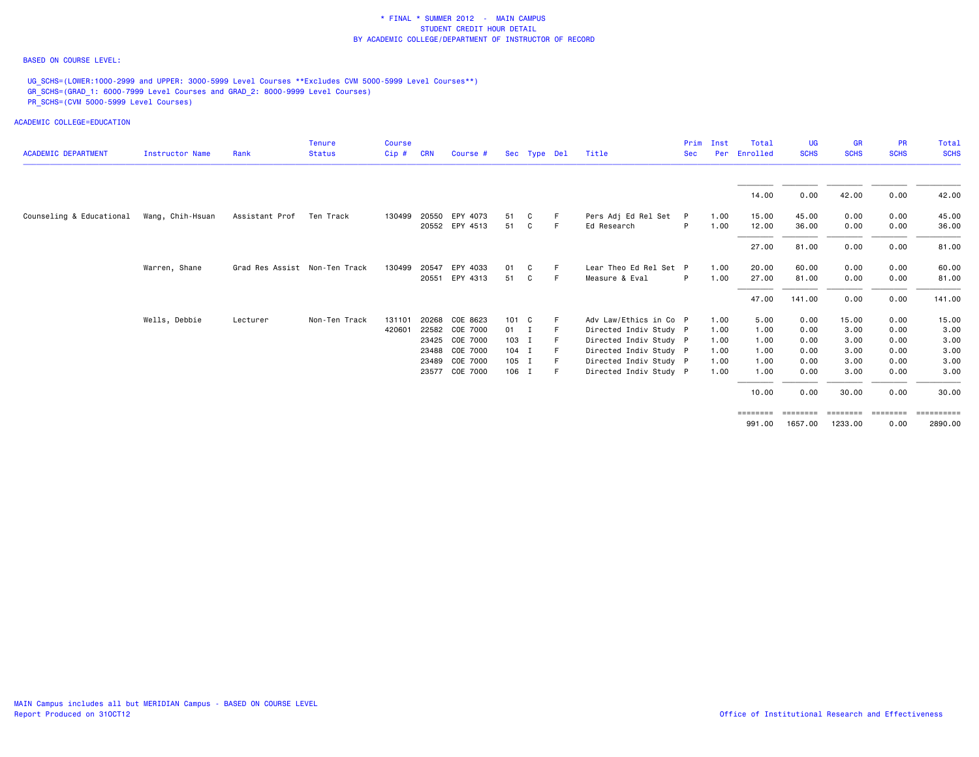### BASED ON COURSE LEVEL:

UG\_SCHS=(LOWER:1000-2999 and UPPER: 3000-5999 Level Courses \*\*Excludes CVM 5000-5999 Level Courses\*\*) GR\_SCHS=(GRAD\_1: 6000-7999 Level Courses and GRAD\_2: 8000-9999 Level Courses) PR\_SCHS=(CVM 5000-5999 Level Courses)

ACADEMIC COLLEGE=EDUCATION

| <b>ACADEMIC DEPARTMENT</b> | Instructor Name  | Rank                          | <b>Tenure</b><br><b>Status</b> | <b>Course</b><br>Cip# | <b>CRN</b> | Course #       |              | Sec Type Del |     | Title                  | Prim<br><b>Sec</b> | Inst<br>Per | Total<br>Enrolled | UG<br><b>SCHS</b> | <b>GR</b><br><b>SCHS</b> | <b>PR</b><br><b>SCHS</b> | Total<br><b>SCHS</b> |
|----------------------------|------------------|-------------------------------|--------------------------------|-----------------------|------------|----------------|--------------|--------------|-----|------------------------|--------------------|-------------|-------------------|-------------------|--------------------------|--------------------------|----------------------|
|                            |                  |                               |                                |                       |            |                |              |              |     |                        |                    |             | 14.00             | 0.00              | 42.00                    | 0.00                     | 42.00                |
| Counseling & Educational   | Wang, Chih-Hsuan | Assistant Prof                | Ten Track                      | 130499                |            | 20550 EPY 4073 | 51           | C            |     | Pers Adj Ed Rel Set    | - P                | 1.00        | 15.00             | 45.00             | 0.00                     | 0.00                     | 45.00                |
|                            |                  |                               |                                |                       |            | 20552 EPY 4513 | 51           | C            |     | Ed Research            | P                  | 1.00        | 12.00             | 36.00             | 0.00                     | 0.00                     | 36.00                |
|                            |                  |                               |                                |                       |            |                |              |              |     |                        |                    |             | 27.00             | 81.00             | 0.00                     | 0.00                     | 81.00                |
|                            | Warren, Shane    | Grad Res Assist Non-Ten Track |                                | 130499                | 20547      | EPY 4033       | 01           | C            |     | Lear Theo Ed Rel Set P |                    | 1.00        | 20.00             | 60.00             | 0.00                     | 0.00                     | 60.00                |
|                            |                  |                               |                                |                       | 20551      | EPY 4313       | 51           | C            | -F. | Measure & Eval         | P                  | 1.00        | 27.00             | 81.00             | 0.00                     | 0.00                     | 81.00                |
|                            |                  |                               |                                |                       |            |                |              |              |     |                        |                    |             | 47.00             | 141.00            | 0.00                     | 0.00                     | 141.00               |
|                            | Wells, Debbie    | Lecturer                      | Non-Ten Track                  | 131101                | 20268      | COE 8623       | 101 C        |              |     | Adv Law/Ethics in Co P |                    | 1.00        | 5.00              | 0.00              | 15.00                    | 0.00                     | 15.00                |
|                            |                  |                               |                                | 420601                |            | 22582 COE 7000 | $01 \quad I$ |              |     | Directed Indiv Study P |                    | 1.00        | 1.00              | 0.00              | 3.00                     | 0.00                     | 3.00                 |
|                            |                  |                               |                                |                       |            | 23425 COE 7000 | $103$ I      |              |     | Directed Indiv Study P |                    | 1.00        | 1.00              | 0.00              | 3.00                     | 0.00                     | 3.00                 |
|                            |                  |                               |                                |                       |            | 23488 COE 7000 | $104$ I      |              |     | Directed Indiv Study P |                    | 1.00        | 1.00              | 0.00              | 3.00                     | 0.00                     | 3.00                 |
|                            |                  |                               |                                |                       |            | 23489 COE 7000 | $105$ I      |              |     | Directed Indiv Study P |                    | 1.00        | 1.00              | 0.00              | 3.00                     | 0.00                     | 3.00                 |
|                            |                  |                               |                                |                       |            | 23577 COE 7000 | 106 I        |              |     | Directed Indiv Study P |                    | 1.00        | 1.00              | 0.00              | 3.00                     | 0.00                     | 3.00                 |
|                            |                  |                               |                                |                       |            |                |              |              |     |                        |                    |             | 10.00             | 0.00              | 30.00                    | 0.00                     | 30.00                |

991.00 1657.00 1233.00 0.00 2890.00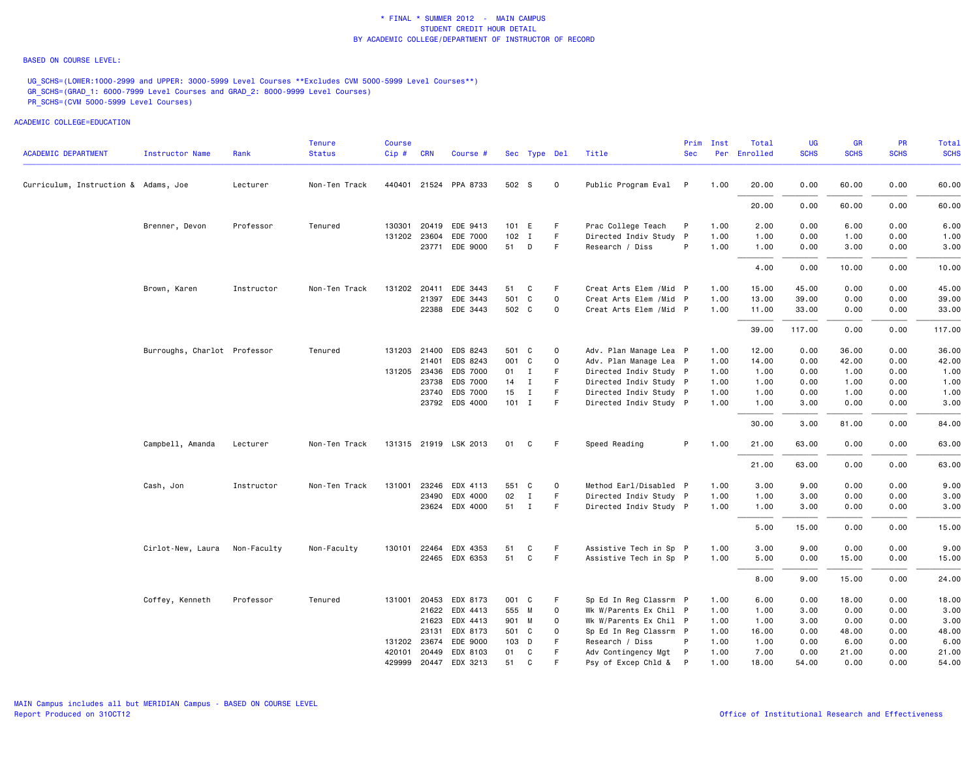### BASED ON COURSE LEVEL:

UG\_SCHS=(LOWER:1000-2999 and UPPER: 3000-5999 Level Courses \*\*Excludes CVM 5000-5999 Level Courses\*\*) GR\_SCHS=(GRAD\_1: 6000-7999 Level Courses and GRAD\_2: 8000-9999 Level Courses) PR\_SCHS=(CVM 5000-5999 Level Courses)

| <b>ACADEMIC DEPARTMENT</b>           | Instructor Name              | Rank        | <b>Tenure</b><br><b>Status</b> | Course<br>Cip# | <b>CRN</b>   | Course #              |         | Sec Type Del |             | Title                   | Prim<br><b>Sec</b> | Inst | Total<br>Per Enrolled | UG<br><b>SCHS</b> | <b>GR</b><br><b>SCHS</b> | <b>PR</b><br><b>SCHS</b> | Total<br><b>SCHS</b> |
|--------------------------------------|------------------------------|-------------|--------------------------------|----------------|--------------|-----------------------|---------|--------------|-------------|-------------------------|--------------------|------|-----------------------|-------------------|--------------------------|--------------------------|----------------------|
|                                      |                              |             |                                |                |              |                       |         |              |             |                         |                    |      |                       |                   |                          |                          |                      |
| Curriculum, Instruction & Adams, Joe |                              | Lecturer    | Non-Ten Track                  |                |              | 440401 21524 PPA 8733 | 502 S   |              | $\mathbf 0$ | Public Program Eval P   |                    | 1.00 | 20.00                 | 0.00              | 60.00                    | 0.00                     | 60.00                |
|                                      |                              |             |                                |                |              |                       |         |              |             |                         |                    |      | 20.00                 | 0.00              | 60.00                    | 0.00                     | 60.00                |
|                                      | Brenner, Devon               | Professor   | Tenured                        |                |              | 130301 20419 EDE 9413 | 101 E   |              | F           | Prac College Teach      | P                  | 1.00 | 2.00                  | 0.00              | 6.00                     | 0.00                     | 6.00                 |
|                                      |                              |             |                                |                | 131202 23604 | EDE 7000              | $102$ I |              | F.          | Directed Indiv Study P  |                    | 1.00 | 1.00                  | 0.00              | 1.00                     | 0.00                     | 1.00                 |
|                                      |                              |             |                                |                |              | 23771 EDE 9000        | 51 D    |              | F           | Research / Diss         | P                  | 1.00 | 1.00                  | 0.00              | 3.00                     | 0.00                     | 3.00                 |
|                                      |                              |             |                                |                |              |                       |         |              |             |                         |                    |      | 4.00                  | 0.00              | 10.00                    | 0.00                     | 10.00                |
|                                      | Brown, Karen                 | Instructor  | Non-Ten Track                  |                | 131202 20411 | EDE 3443              | 51      | C            | F           | Creat Arts Elem / Mid P |                    | 1.00 | 15.00                 | 45.00             | 0.00                     | 0.00                     | 45.00                |
|                                      |                              |             |                                |                | 21397        | EDE 3443              | 501     | C            | $\mathbf 0$ | Creat Arts Elem / Mid P |                    | 1.00 | 13.00                 | 39.00             | 0.00                     | 0.00                     | 39.00                |
|                                      |                              |             |                                |                |              | 22388 EDE 3443        | 502 C   |              | 0           | Creat Arts Elem /Mid P  |                    | 1.00 | 11.00                 | 33.00             | 0.00                     | 0.00                     | 33.00                |
|                                      |                              |             |                                |                |              |                       |         |              |             |                         |                    |      | 39.00                 | 117.00            | 0.00                     | 0.00                     | 117.00               |
|                                      | Burroughs, Charlot Professor |             | Tenured                        |                |              | 131203 21400 EDS 8243 | 501 C   |              | $\mathbf 0$ | Adv. Plan Manage Lea P  |                    | 1.00 | 12.00                 | 0.00              | 36.00                    | 0.00                     | 36.00                |
|                                      |                              |             |                                |                | 21401        | EDS 8243              | 001 C   |              | $\mathbf 0$ | Adv. Plan Manage Lea P  |                    | 1.00 | 14.00                 | 0.00              | 42.00                    | 0.00                     | 42.00                |
|                                      |                              |             |                                |                | 131205 23436 | <b>EDS 7000</b>       | 01 I    |              | F.          | Directed Indiv Study P  |                    | 1.00 | 1.00                  | 0.00              | 1.00                     | 0.00                     | 1.00                 |
|                                      |                              |             |                                |                | 23738        | EDS 7000              | 14 I    |              | F.          | Directed Indiv Study P  |                    | 1.00 | 1.00                  | 0.00              | 1.00                     | 0.00                     | 1.00                 |
|                                      |                              |             |                                |                | 23740        | EDS 7000              | 15      | $\mathbf{I}$ | F.          | Directed Indiv Study P  |                    | 1.00 | 1.00                  | 0.00              | 1.00                     | 0.00                     | 1.00                 |
|                                      |                              |             |                                |                |              | 23792 EDS 4000        | $101$ I |              | F           | Directed Indiv Study P  |                    | 1.00 | 1.00                  | 3.00              | 0.00                     | 0.00                     | 3.00                 |
|                                      |                              |             |                                |                |              |                       |         |              |             |                         |                    |      | 30.00                 | 3.00              | 81.00                    | 0.00                     | 84.00                |
|                                      | Campbell, Amanda             | Lecturer    | Non-Ten Track                  |                |              | 131315 21919 LSK 2013 | 01      | C            | F.          | Speed Reading           | P                  | 1.00 | 21.00                 | 63.00             | 0.00                     | 0.00                     | 63.00                |
|                                      |                              |             |                                |                |              |                       |         |              |             |                         |                    |      | 21.00                 | 63.00             | 0.00                     | 0.00                     | 63.00                |
|                                      | Cash, Jon                    | Instructor  | Non-Ten Track                  |                | 131001 23246 | EDX 4113              | 551     | C            | $\mathbf 0$ | Method Earl/Disabled P  |                    | 1.00 | 3.00                  | 9.00              | 0.00                     | 0.00                     | 9.00                 |
|                                      |                              |             |                                |                |              | 23490 EDX 4000        | 02      | $\mathbf{I}$ | F.          | Directed Indiv Study P  |                    | 1.00 | 1.00                  | 3.00              | 0.00                     | 0.00                     | 3.00                 |
|                                      |                              |             |                                |                |              | 23624 EDX 4000        | 51 I    |              | F.          | Directed Indiv Study P  |                    | 1.00 | 1.00                  | 3.00              | 0.00                     | 0.00                     | 3.00                 |
|                                      |                              |             |                                |                |              |                       |         |              |             |                         |                    |      | 5.00                  | 15.00             | 0.00                     | 0.00                     | 15.00                |
|                                      | Cirlot-New, Laura            | Non-Faculty | Non-Faculty                    |                | 130101 22464 | EDX 4353              | 51      | C            | F           | Assistive Tech in Sp P  |                    | 1.00 | 3.00                  | 9.00              | 0.00                     | 0.00                     | 9.00                 |
|                                      |                              |             |                                |                |              | 22465 EDX 6353        | 51      | C            | F.          | Assistive Tech in Sp P  |                    | 1.00 | 5.00                  | 0.00              | 15.00                    | 0.00                     | 15.00                |
|                                      |                              |             |                                |                |              |                       |         |              |             |                         |                    |      |                       |                   |                          |                          |                      |
|                                      |                              |             |                                |                |              |                       |         |              |             |                         |                    |      | 8.00                  | 9.00              | 15.00                    | 0.00                     | 24.00                |
|                                      | Coffey, Kenneth              | Professor   | Tenured                        |                |              | 131001 20453 EDX 8173 | 001 C   |              | F           | Sp Ed In Reg Classrm P  |                    | 1.00 | 6.00                  | 0.00              | 18.00                    | 0.00                     | 18.00                |
|                                      |                              |             |                                |                |              | 21622 EDX 4413        | 555 M   |              | 0           | Wk W/Parents Ex Chil P  |                    | 1.00 | 1.00                  | 3.00              | 0.00                     | 0.00                     | 3.00                 |
|                                      |                              |             |                                |                |              | 21623 EDX 4413        | 901 M   |              | $\mathbf 0$ | Wk W/Parents Ex Chil P  |                    | 1.00 | 1.00                  | 3.00              | 0.00                     | 0.00                     | 3.00                 |
|                                      |                              |             |                                |                | 23131        | EDX 8173              | 501 C   |              | 0           | Sp Ed In Reg Classrm P  |                    | 1.00 | 16.00                 | 0.00              | 48.00                    | 0.00                     | 48.00                |
|                                      |                              |             |                                |                | 131202 23674 | EDE 9000              | 103 D   |              | F           | Research / Diss         | P                  | 1.00 | 1.00                  | 0.00              | 6.00                     | 0.00                     | 6.00                 |
|                                      |                              |             |                                |                | 420101 20449 | EDX 8103              | 01      | C            | F           | Adv Contingency Mgt P   |                    | 1.00 | 7.00                  | 0.00              | 21.00                    | 0.00                     | 21.00                |
|                                      |                              |             |                                |                |              | 429999 20447 EDX 3213 | 51      | C            | F           | Psy of Excep Chld & P   |                    | 1.00 | 18,00                 | 54.00             | 0.00                     | 0.00                     | 54.00                |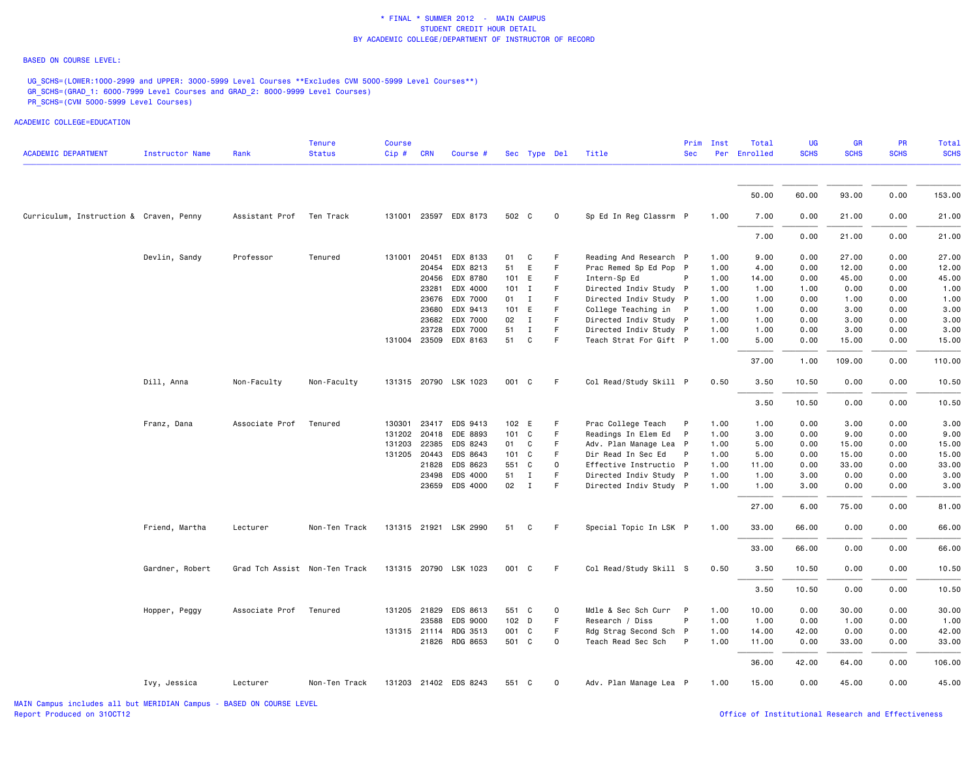### BASED ON COURSE LEVEL:

UG\_SCHS=(LOWER:1000-2999 and UPPER: 3000-5999 Level Courses \*\*Excludes CVM 5000-5999 Level Courses\*\*) GR\_SCHS=(GRAD\_1: 6000-7999 Level Courses and GRAD\_2: 8000-9999 Level Courses) PR\_SCHS=(CVM 5000-5999 Level Courses)

| <b>ACADEMIC DEPARTMENT</b>              | <b>Instructor Name</b> | Rank                          | <b>Tenure</b><br><b>Status</b> | <b>Course</b><br>Cip # CRN |       | Course #                          |                | Sec Type Del |              | Title                                        | <b>Sec</b>   | Prim Inst    | Total<br>Per Enrolled | UG<br><b>SCHS</b> | <b>GR</b><br><b>SCHS</b> | <b>PR</b><br><b>SCHS</b> | Total<br><b>SCHS</b> |
|-----------------------------------------|------------------------|-------------------------------|--------------------------------|----------------------------|-------|-----------------------------------|----------------|--------------|--------------|----------------------------------------------|--------------|--------------|-----------------------|-------------------|--------------------------|--------------------------|----------------------|
|                                         |                        |                               |                                |                            |       |                                   |                |              |              |                                              |              |              |                       |                   |                          |                          |                      |
|                                         |                        |                               |                                |                            |       |                                   |                |              |              |                                              |              |              | 50.00                 | 60.00             | 93.00                    | 0.00                     | 153.00               |
| Curriculum, Instruction & Craven, Penny |                        | Assistant Prof                | Ten Track                      |                            |       | 131001 23597 EDX 8173             | 502 C          |              | $\mathbf{O}$ | Sp Ed In Reg Classrm P                       |              | 1.00         | 7.00                  | 0.00              | 21.00                    | 0.00                     | 21.00                |
|                                         |                        |                               |                                |                            |       |                                   |                |              |              |                                              |              |              | 7.00                  | 0.00              | 21.00                    | 0.00                     | 21.00                |
|                                         | Devlin, Sandy          | Professor                     | Tenured                        | 131001                     | 20451 | EDX 8133                          | 01             | C            | F            | Reading And Research P                       |              | 1.00         | 9.00                  | 0.00              | 27.00                    | 0.00                     | 27.00                |
|                                         |                        |                               |                                |                            | 20454 | EDX 8213                          | 51             | E            | F            | Prac Remed Sp Ed Pop P                       |              | 1.00         | 4.00                  | 0.00              | 12.00                    | 0.00                     | 12.00                |
|                                         |                        |                               |                                |                            | 20456 | EDX 8780                          | 101 E          |              | $\mathsf F$  | Intern-Sp Ed                                 | P            | 1.00         | 14.00                 | 0.00              | 45.00                    | 0.00                     | 45.00                |
|                                         |                        |                               |                                |                            |       | 23281 EDX 4000                    | $101$ I        |              | F.           | Directed Indiv Study P                       |              | 1.00         | 1.00                  | 1.00              | 0.00                     | 0.00                     | 1.00                 |
|                                         |                        |                               |                                |                            | 23676 | EDX 7000                          | $01$ I         |              | F            | Directed Indiv Study P                       |              | 1.00         | 1.00                  | 0.00              | 1.00                     | 0.00                     | 1.00                 |
|                                         |                        |                               |                                |                            | 23680 | EDX 9413                          | 101 E          |              | F.           | College Teaching in P                        |              | 1.00         | 1.00                  | 0.00              | 3.00                     | 0.00                     | 3.00                 |
|                                         |                        |                               |                                |                            | 23682 | EDX 7000                          | 02             | $\mathbf{I}$ | F            | Directed Indiv Study P                       |              | 1.00         | 1.00                  | 0.00              | 3.00                     | 0.00                     | 3.00                 |
|                                         |                        |                               |                                |                            | 23728 | EDX 7000                          | 51             | $\mathbf I$  | F.           | Directed Indiv Study P                       |              | 1.00         | 1.00                  | 0.00              | 3.00                     | 0.00                     | 3.00                 |
|                                         |                        |                               |                                |                            |       | 131004 23509 EDX 8163             | 51             | C            | F            | Teach Strat For Gift P                       |              | 1.00         | 5.00                  | 0.00              | 15.00                    | 0.00                     | 15.00                |
|                                         |                        |                               |                                |                            |       |                                   |                |              |              |                                              |              |              | 37.00                 | 1.00              | 109.00                   | 0.00                     | 110.00               |
|                                         | Dill, Anna             | Non-Faculty                   | Non-Faculty                    |                            |       | 131315 20790 LSK 1023             | 001 C          |              | F.           | Col Read/Study Skill P                       |              | 0.50         | 3.50                  | 10.50             | 0.00                     | 0.00                     | 10.50                |
|                                         |                        |                               |                                |                            |       |                                   |                |              |              |                                              |              |              | 3.50                  | 10.50             | 0.00                     | 0.00                     | 10.50                |
|                                         | Franz, Dana            | Associate Prof                | Tenured                        | 130301                     | 23417 | EDS 9413                          | 102 E          |              | F            | Prac College Teach                           | P            | 1.00         | 1.00                  | 0.00              | 3.00                     | 0.00                     | 3.00                 |
|                                         |                        |                               |                                |                            |       | 131202 20418 EDE 8893             | 101 C          |              | F.           | Readings In Elem Ed                          | P            | 1.00         | 3.00                  | 0.00              | 9.00                     | 0.00                     | 9.00                 |
|                                         |                        |                               |                                | 131203 22385               |       | EDS 8243                          | 01 C           |              | F            | Adv. Plan Manage Lea P                       |              | 1.00         | 5.00                  | 0.00              | 15.00                    | 0.00                     | 15.00                |
|                                         |                        |                               |                                | 131205 20443               |       | EDS 8643                          | 101 C          |              | F.           | Dir Read In Sec Ed                           | P            | 1.00         | 5.00                  | 0.00              | 15.00                    | 0.00                     | 15.00                |
|                                         |                        |                               |                                |                            | 21828 | EDS 8623                          | 551 C          |              | $\Omega$     | Effective Instructio P                       |              | 1.00         | 11.00                 | 0.00              | 33.00                    | 0.00                     | 33.00                |
|                                         |                        |                               |                                |                            | 23498 | EDS 4000                          | 51             | $\mathbf{I}$ | F            | Directed Indiv Study P                       |              | 1.00         | 1.00                  | 3.00              | 0.00                     | 0.00                     | 3.00                 |
|                                         |                        |                               |                                |                            |       | 23659 EDS 4000                    | 02             | $\mathbf{I}$ | F.           | Directed Indiv Study P                       |              | 1.00         | 1.00                  | 3.00              | 0.00                     | 0.00                     | 3.00                 |
|                                         |                        |                               |                                |                            |       |                                   |                |              |              |                                              |              |              | 27.00                 | 6.00              | 75.00                    | 0.00                     | 81.00                |
|                                         | Friend, Martha         | Lecturer                      | Non-Ten Track                  |                            |       | 131315 21921 LSK 2990             | 51             | C            | -F           | Special Topic In LSK P                       |              | 1.00         | 33.00                 | 66.00             | 0.00                     | 0.00                     | 66.00                |
|                                         |                        |                               |                                |                            |       |                                   |                |              |              |                                              |              |              | 33.00                 | 66.00             | 0.00                     | 0.00                     | 66.00                |
|                                         | Gardner, Robert        | Grad Tch Assist Non-Ten Track |                                |                            |       | 131315 20790 LSK 1023             | 001 C          |              | -F           | Col Read/Study Skill S                       |              | 0.50         | 3.50                  | 10.50             | 0.00                     | 0.00                     | 10.50                |
|                                         |                        |                               |                                |                            |       |                                   |                |              |              |                                              |              |              | 3.50                  | 10.50             | 0.00                     | 0.00                     | 10.50                |
|                                         |                        |                               |                                |                            |       |                                   |                |              |              |                                              |              |              |                       |                   |                          |                          |                      |
|                                         | Hopper, Peggy          | Associate Prof                | Tenured                        |                            | 23588 | 131205 21829 EDS 8613<br>EDS 9000 | 551 C<br>102 D |              | 0<br>F       | Mdle & Sec Sch Curr P<br>Research / Diss     | P            | 1.00<br>1.00 | 10.00                 | 0.00<br>0.00      | 30.00                    | 0.00                     | 30.00                |
|                                         |                        |                               |                                |                            |       | RDG 3513                          | 001 C          |              | F.           |                                              |              |              | 1.00                  |                   | 1.00                     | 0.00                     | 1.00                 |
|                                         |                        |                               |                                | 131315 21114               |       | 21826 RDG 8653                    | 501 C          |              | $\mathbf{O}$ | Rdg Strag Second Sch P<br>Teach Read Sec Sch | $\mathsf{P}$ | 1.00<br>1.00 | 14.00<br>11.00        | 42.00<br>0.00     | 0.00<br>33.00            | 0.00<br>0.00             | 42.00<br>33.00       |
|                                         |                        |                               |                                |                            |       |                                   |                |              |              |                                              |              |              | 36.00                 | 42.00             | 64.00                    | 0.00                     | 106.00               |
|                                         | Ivy, Jessica           | Lecturer                      | Non-Ten Track                  |                            |       | 131203 21402 EDS 8243             | 551 C          |              | $\Omega$     | Adv. Plan Manage Lea P                       |              | 1.00         | 15.00                 | 0.00              | 45.00                    | 0.00                     | 45.00                |
|                                         |                        |                               |                                |                            |       |                                   |                |              |              |                                              |              |              |                       |                   |                          |                          |                      |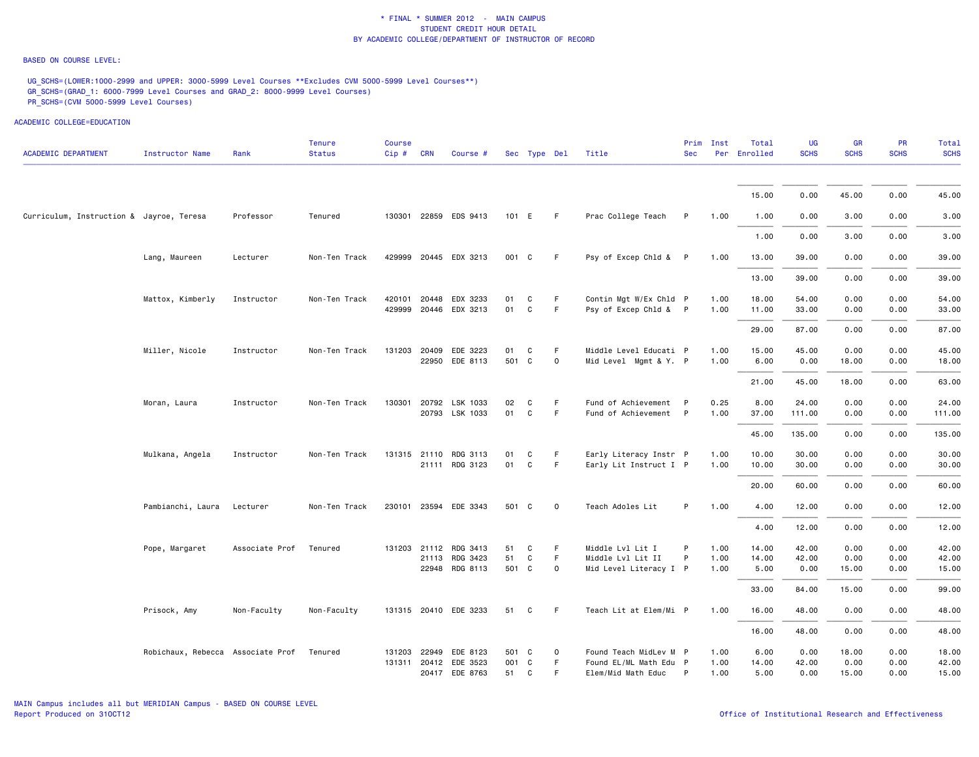### BASED ON COURSE LEVEL:

UG\_SCHS=(LOWER:1000-2999 and UPPER: 3000-5999 Level Courses \*\*Excludes CVM 5000-5999 Level Courses\*\*) GR\_SCHS=(GRAD\_1: 6000-7999 Level Courses and GRAD\_2: 8000-9999 Level Courses) PR\_SCHS=(CVM 5000-5999 Level Courses)

| <b>ACADEMIC DEPARTMENT</b>               | <b>Instructor Name</b>                    | Rank           | <b>Tenure</b><br><b>Status</b> | <b>Course</b><br>Cip# | <b>CRN</b> | Course #                                |             | Sec Type Del      |             | Title                                            | <b>Sec</b> | Prim Inst    | Total<br>Per Enrolled | <b>UG</b><br><b>SCHS</b> | GR<br><b>SCHS</b> | PR<br><b>SCHS</b> | <b>Total</b><br><b>SCHS</b> |
|------------------------------------------|-------------------------------------------|----------------|--------------------------------|-----------------------|------------|-----------------------------------------|-------------|-------------------|-------------|--------------------------------------------------|------------|--------------|-----------------------|--------------------------|-------------------|-------------------|-----------------------------|
|                                          |                                           |                |                                |                       |            |                                         |             |                   |             |                                                  |            |              |                       |                          |                   |                   |                             |
|                                          |                                           |                |                                |                       |            |                                         |             |                   |             |                                                  |            |              | 15.00                 | 0.00                     | 45.00             | 0.00              | 45.00                       |
| Curriculum, Instruction & Jayroe, Teresa |                                           | Professor      | Tenured                        |                       |            | 130301 22859 EDS 9413                   | 101 E       |                   | F.          | Prac College Teach                               | P          | 1.00         | 1.00                  | 0.00                     | 3.00              | 0.00              | 3.00                        |
|                                          |                                           |                |                                |                       |            |                                         |             |                   |             |                                                  |            |              | 1.00                  | 0.00                     | 3.00              | 0.00              | 3.00                        |
|                                          | Lang, Maureen                             | Lecturer       | Non-Ten Track                  |                       |            | 429999 20445 EDX 3213                   | 001 C       |                   | F.          | Psy of Excep Chld & P                            |            | 1.00         | 13.00                 | 39.00                    | 0.00              | 0.00              | 39.00                       |
|                                          |                                           |                |                                |                       |            |                                         |             |                   |             |                                                  |            |              | 13.00                 | 39.00                    | 0.00              | 0.00              | 39.00                       |
|                                          | Mattox, Kimberly                          | Instructor     | Non-Ten Track                  | 420101                | 20448      | EDX 3233<br>429999 20446 EDX 3213       | 01<br>01    | C<br>$\mathtt{C}$ | F.<br>F.    | Contin Mgt W/Ex Chld P<br>Psy of Excep Chld & P  |            | 1.00<br>1.00 | 18.00<br>11.00        | 54.00<br>33.00           | 0.00<br>0.00      | 0.00<br>0.00      | 54.00<br>33.00              |
|                                          |                                           |                |                                |                       |            |                                         |             |                   |             |                                                  |            |              |                       |                          |                   |                   |                             |
|                                          |                                           |                |                                |                       |            |                                         |             |                   |             |                                                  |            |              | 29.00                 | 87.00                    | 0.00              | 0.00              | 87.00                       |
|                                          | Miller, Nicole                            | Instructor     | Non-Ten Track                  | 131203 20409          |            | EDE 3223<br>22950 EDE 8113              | 01<br>501 C | C                 | F<br>0      | Middle Level Educati P<br>Mid Level Mgmt & Y. P  |            | 1.00<br>1.00 | 15.00<br>6.00         | 45.00<br>0.00            | 0.00<br>18.00     | 0.00<br>0.00      | 45.00<br>18.00              |
|                                          |                                           |                |                                |                       |            |                                         |             |                   |             |                                                  |            |              | 21.00                 | 45.00                    | 18.00             | 0.00              | 63.00                       |
|                                          | Moran, Laura                              | Instructor     | Non-Ten Track                  |                       |            | 130301 20792 LSK 1033                   | 02          | C                 | F           | Fund of Achievement P                            |            | 0.25         | 8.00                  | 24.00                    | 0.00              | 0.00              | 24.00                       |
|                                          |                                           |                |                                |                       |            | 20793 LSK 1033                          | 01          | C                 | F.          | Fund of Achievement P                            |            | 1.00         | 37.00                 | 111.00                   | 0.00              | 0.00              | 111.00                      |
|                                          |                                           |                |                                |                       |            |                                         |             |                   |             |                                                  |            |              | 45.00                 | 135.00                   | 0.00              | 0.00              | 135.00                      |
|                                          | Mulkana, Angela                           | Instructor     | Non-Ten Track                  |                       |            | 131315 21110 RDG 3113<br>21111 RDG 3123 | 01<br>01    | C<br>$\mathtt{C}$ | F<br>F.     | Early Literacy Instr P<br>Early Lit Instruct I P |            | 1.00<br>1.00 | 10.00<br>10.00        | 30.00<br>30.00           | 0.00<br>0.00      | 0.00<br>0.00      | 30.00<br>30.00              |
|                                          |                                           |                |                                |                       |            |                                         |             |                   |             |                                                  |            |              | 20.00                 | 60.00                    | 0.00              | 0.00              | 60.00                       |
|                                          | Pambianchi, Laura                         | Lecturer       | Non-Ten Track                  |                       |            | 230101 23594 EDE 3343                   | 501 C       |                   | $\mathbf 0$ | Teach Adoles Lit                                 | P          | 1.00         | 4.00                  | 12.00                    | 0.00              | 0.00              | 12.00                       |
|                                          |                                           |                |                                |                       |            |                                         |             |                   |             |                                                  |            |              | 4.00                  | 12.00                    | 0.00              | 0.00              | 12.00                       |
|                                          | Pope, Margaret                            | Associate Prof | Tenured                        | 131203 21112          |            | RDG 3413                                | 51          | C                 | F.          | Middle Lvl Lit I                                 | P          | 1.00         | 14.00                 | 42.00                    | 0.00              | 0.00              | 42.00                       |
|                                          |                                           |                |                                |                       |            | 21113 RDG 3423                          | 51          | $\mathtt{C}$      | F.          | Middle Lvl Lit II                                | P          | 1.00         | 14.00                 | 42.00                    | 0.00              | 0.00              | 42.00                       |
|                                          |                                           |                |                                |                       |            | 22948 RDG 8113                          | 501 C       |                   | 0           | Mid Level Literacy I P                           |            | 1.00         | 5.00                  | 0.00                     | 15.00             | 0.00              | 15.00                       |
|                                          |                                           |                |                                |                       |            |                                         |             |                   |             |                                                  |            |              | 33.00                 | 84.00                    | 15.00             | 0.00              | 99.00                       |
|                                          | Prisock, Amy                              | Non-Faculty    | Non-Faculty                    |                       |            | 131315 20410 EDE 3233                   | 51          | C                 | F.          | Teach Lit at Elem/Mi P                           |            | 1.00         | 16.00                 | 48.00                    | 0.00              | 0.00              | 48.00                       |
|                                          |                                           |                |                                |                       |            |                                         |             |                   |             |                                                  |            |              | 16.00                 | 48.00                    | 0.00              | 0.00              | 48.00                       |
|                                          | Robichaux, Rebecca Associate Prof Tenured |                |                                | 131203 22949          |            | EDE 8123                                | 501 C       |                   | 0           | Found Teach MidLev M P                           |            | 1.00         | 6.00                  | 0.00                     | 18.00             | 0.00              | 18.00                       |
|                                          |                                           |                |                                |                       |            | 131311 20412 EDE 3523                   | 001 C       |                   | F.          | Found EL/ML Math Edu P                           |            | 1.00         | 14.00                 | 42.00                    | 0.00              | 0.00              | 42.00                       |
|                                          |                                           |                |                                |                       |            | 20417 EDE 8763                          | 51          | C                 | F           | Elem/Mid Math Educ                               | P          | 1.00         | 5.00                  | 0.00                     | 15.00             | 0.00              | 15.00                       |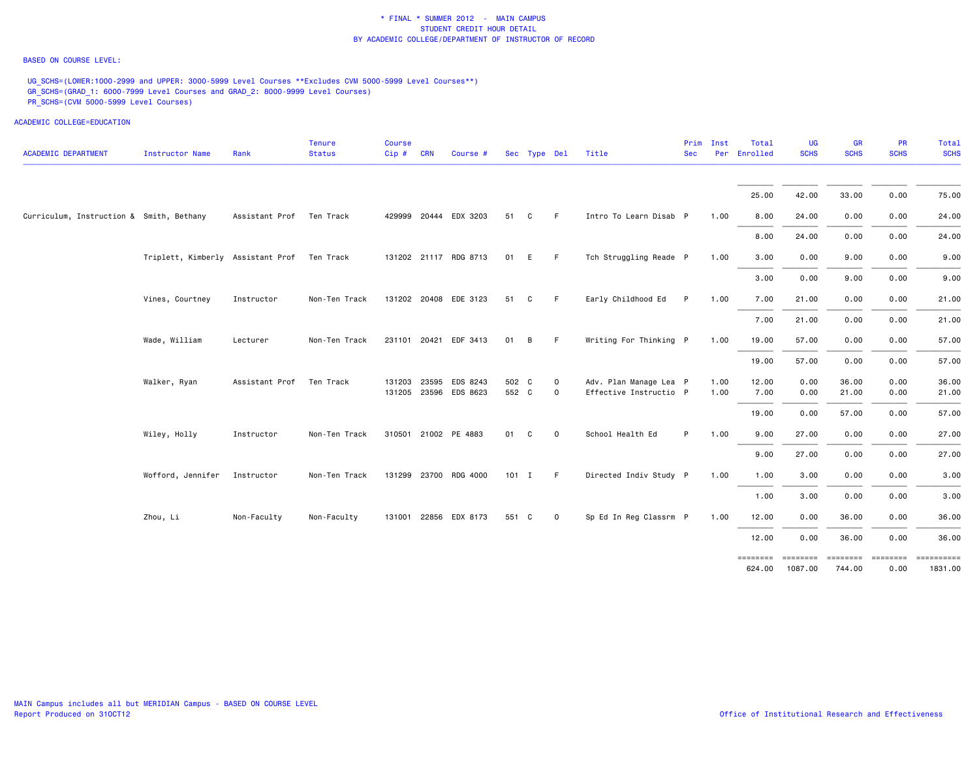### BASED ON COURSE LEVEL:

UG\_SCHS=(LOWER:1000-2999 and UPPER: 3000-5999 Level Courses \*\*Excludes CVM 5000-5999 Level Courses\*\*) GR\_SCHS=(GRAD\_1: 6000-7999 Level Courses and GRAD\_2: 8000-9999 Level Courses) PR\_SCHS=(CVM 5000-5999 Level Courses)

| <b>ACADEMIC DEPARTMENT</b>               | <b>Instructor Name</b>            | Rank                     | <b>Tenure</b><br><b>Status</b> | <b>Course</b><br>Cip# | <b>CRN</b>   | Course #                          |                | Sec Type Del |                  | Title                                            | Prim<br><b>Sec</b> | Inst<br>Per  | Total<br>Enrolled | <b>UG</b><br><b>SCHS</b> | <b>GR</b><br><b>SCHS</b> | PR<br><b>SCHS</b> | Total<br><b>SCHS</b> |
|------------------------------------------|-----------------------------------|--------------------------|--------------------------------|-----------------------|--------------|-----------------------------------|----------------|--------------|------------------|--------------------------------------------------|--------------------|--------------|-------------------|--------------------------|--------------------------|-------------------|----------------------|
|                                          |                                   |                          |                                |                       |              |                                   |                |              |                  |                                                  |                    |              | 25.00             | 42.00                    | 33.00                    | 0.00              | 75.00                |
| Curriculum, Instruction & Smith, Bethany |                                   | Assistant Prof Ten Track |                                |                       |              | 429999 20444 EDX 3203             | 51             | C            | F.               | Intro To Learn Disab P                           |                    | 1.00         | 8.00              | 24.00                    | 0.00                     | 0.00              | 24.00                |
|                                          |                                   |                          |                                |                       |              |                                   |                |              |                  |                                                  |                    |              | 8.00              | 24.00                    | 0.00                     | 0.00              | 24.00                |
|                                          | Triplett, Kimberly Assistant Prof |                          | Ten Track                      |                       |              | 131202 21117 RDG 8713             | 01             | E            | F.               | Tch Struggling Reade P                           |                    | 1.00         | 3.00              | 0.00                     | 9.00                     | 0.00              | 9.00                 |
|                                          |                                   |                          |                                |                       |              |                                   |                |              |                  |                                                  |                    |              | 3.00              | 0.00                     | 9.00                     | 0.00              | 9.00                 |
|                                          | Vines, Courtney                   | Instructor               | Non-Ten Track                  |                       |              | 131202 20408 EDE 3123             | 51             | C            | F.               | Early Childhood Ed                               | P.                 | 1.00         | 7.00              | 21.00                    | 0.00                     | 0.00              | 21.00                |
|                                          |                                   |                          |                                |                       |              |                                   |                |              |                  |                                                  |                    |              | 7.00              | 21.00                    | 0.00                     | 0.00              | 21.00                |
|                                          | Wade, William                     | Lecturer                 | Non-Ten Track                  |                       |              | 231101 20421 EDF 3413             | 01             | B            | F.               | Writing For Thinking P                           |                    | 1.00         | 19.00             | 57.00                    | 0.00                     | 0.00              | 57.00                |
|                                          |                                   |                          |                                |                       |              |                                   |                |              |                  |                                                  |                    |              | 19.00             | 57.00                    | 0.00                     | 0.00              | 57.00                |
|                                          | Walker, Ryan                      | Assistant Prof           | Ten Track                      |                       | 131203 23595 | EDS 8243<br>131205 23596 EDS 8623 | 502 C<br>552 C |              | 0<br>$\mathbf 0$ | Adv. Plan Manage Lea P<br>Effective Instructio P |                    | 1.00<br>1.00 | 12.00<br>7.00     | 0.00<br>0.00             | 36.00<br>21.00           | 0.00<br>0.00      | 36.00<br>21.00       |
|                                          |                                   |                          |                                |                       |              |                                   |                |              |                  |                                                  |                    |              | 19.00             | 0.00                     | 57.00                    | 0.00              | 57.00                |
|                                          | Wiley, Holly                      | Instructor               | Non-Ten Track                  |                       |              | 310501 21002 PE 4883              | 01             | C            | $\mathbf 0$      | School Health Ed                                 | P                  | 1.00         | 9.00              | 27.00                    | 0.00                     | 0.00              | 27.00                |
|                                          |                                   |                          |                                |                       |              |                                   |                |              |                  |                                                  |                    |              | 9.00              | 27.00                    | 0.00                     | 0.00              | 27.00                |
|                                          | Wofford, Jennifer                 | Instructor               | Non-Ten Track                  |                       |              | 131299 23700 RDG 4000             | $101$ I        |              | -F               | Directed Indiv Study P                           |                    | 1.00         | 1.00              | 3.00                     | 0.00                     | 0.00              | 3.00                 |
|                                          |                                   |                          |                                |                       |              |                                   |                |              |                  |                                                  |                    |              | 1.00              | 3.00                     | 0.00                     | 0.00              | 3.00                 |
|                                          | Zhou, Li                          | Non-Faculty              | Non-Faculty                    |                       |              | 131001 22856 EDX 8173             | 551 C          |              | $\mathbf 0$      | Sp Ed In Reg Classrm P                           |                    | 1.00         | 12.00             | 0.00                     | 36.00                    | 0.00              | 36.00                |
|                                          |                                   |                          |                                |                       |              |                                   |                |              |                  |                                                  |                    |              | 12.00             | 0.00                     | 36.00                    | 0.00              | 36.00                |
|                                          |                                   |                          |                                |                       |              |                                   |                |              |                  |                                                  |                    |              | 624.00            | 1087.00                  | 744.00                   | 0.00              | 1831.00              |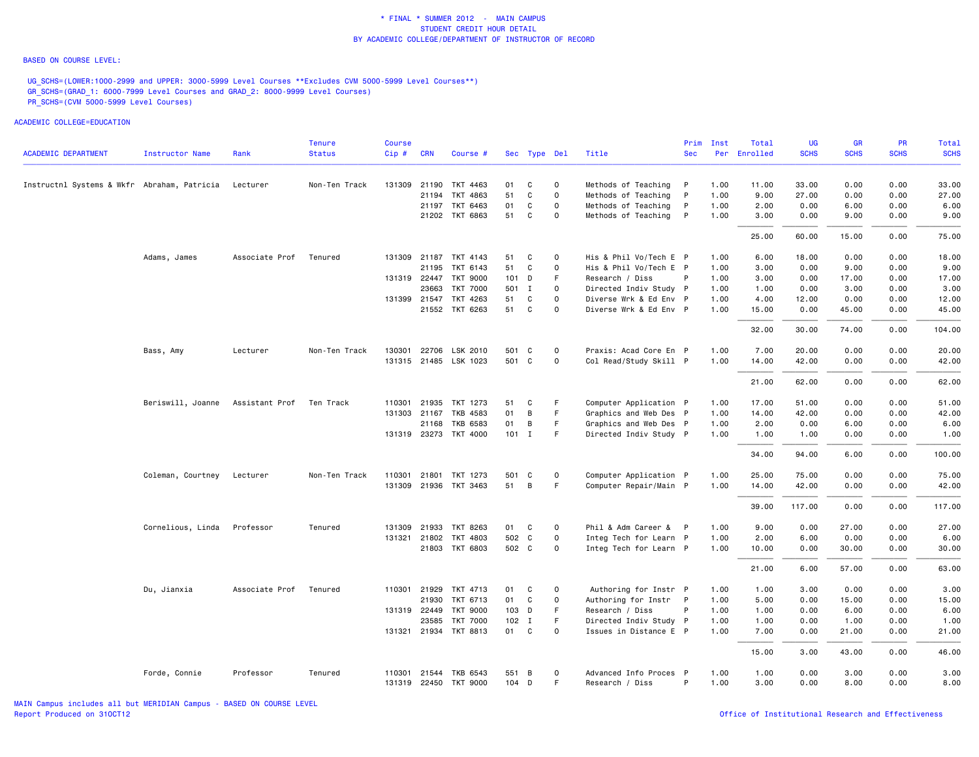### BASED ON COURSE LEVEL:

UG\_SCHS=(LOWER:1000-2999 and UPPER: 3000-5999 Level Courses \*\*Excludes CVM 5000-5999 Level Courses\*\*) GR\_SCHS=(GRAD\_1: 6000-7999 Level Courses and GRAD\_2: 8000-9999 Level Courses) PR\_SCHS=(CVM 5000-5999 Level Courses)

| <b>ACADEMIC DEPARTMENT</b>                  | <b>Instructor Name</b> | Rank                       | <b>Tenure</b><br><b>Status</b> | <b>Course</b><br>Cip# | <b>CRN</b>   | Course #              |         | Sec Type Del |             | Title                  | Prim<br><b>Sec</b> | Inst<br>Per | Total<br>Enrolled | UG<br><b>SCHS</b> | <b>GR</b><br><b>SCHS</b> | <b>PR</b><br><b>SCHS</b> | Total<br><b>SCHS</b> |
|---------------------------------------------|------------------------|----------------------------|--------------------------------|-----------------------|--------------|-----------------------|---------|--------------|-------------|------------------------|--------------------|-------------|-------------------|-------------------|--------------------------|--------------------------|----------------------|
|                                             |                        |                            |                                |                       |              |                       |         |              |             |                        |                    |             |                   |                   |                          |                          |                      |
| Instructnl Systems & Wkfr Abraham, Patricia |                        | Lecturer                   | Non-Ten Track                  |                       |              | 131309 21190 TKT 4463 | 01      | C            | $\mathbf 0$ | Methods of Teaching    | $\mathsf{P}$       | 1.00        | 11.00             | 33.00             | 0.00                     | 0.00                     | 33.00                |
|                                             |                        |                            |                                |                       | 21194        | TKT 4863              | 51      | $\mathsf{C}$ | $\mathbf 0$ | Methods of Teaching    | P                  | 1.00        | 9.00              | 27.00             | 0.00                     | 0.00                     | 27.00                |
|                                             |                        |                            |                                |                       |              | 21197 TKT 6463        | 01      | C            | $\mathbf 0$ | Methods of Teaching    | $\mathsf{P}$       | 1.00        | 2.00              | 0.00              | 6.00                     | 0.00                     | 6.00                 |
|                                             |                        |                            |                                |                       |              | 21202 TKT 6863        | 51      | C            | 0           | Methods of Teaching P  |                    | 1.00        | 3.00              | 0.00              | 9.00                     | 0.00                     | 9.00                 |
|                                             |                        |                            |                                |                       |              |                       |         |              |             |                        |                    |             | 25.00             | 60.00             | 15.00                    | 0.00                     | 75.00                |
|                                             | Adams, James           | Associate Prof             | Tenured                        |                       |              | 131309 21187 TKT 4143 | 51      | C            | $\mathbf 0$ | His & Phil Vo/Tech E P |                    | 1.00        | 6.00              | 18.00             | 0.00                     | 0.00                     | 18.00                |
|                                             |                        |                            |                                |                       | 21195        | TKT 6143              | 51      | C            | $\mathbf 0$ | His & Phil Vo/Tech E P |                    | 1.00        | 3.00              | 0.00              | 9.00                     | 0.00                     | 9.00                 |
|                                             |                        |                            |                                |                       |              | 131319 22447 TKT 9000 | 101 D   |              | F           | Research / Diss        | P                  | 1.00        | 3.00              | 0.00              | 17.00                    | 0.00                     | 17.00                |
|                                             |                        |                            |                                |                       | 23663        | <b>TKT 7000</b>       | 501 I   |              | $\mathbf 0$ | Directed Indiv Study P |                    | 1.00        | 1.00              | 0.00              | 3.00                     | 0.00                     | 3.00                 |
|                                             |                        |                            |                                |                       | 131399 21547 | TKT 4263              | 51      | C            | $\mathbf 0$ | Diverse Wrk & Ed Env P |                    | 1.00        | 4.00              | 12.00             | 0.00                     | 0.00                     | 12.00                |
|                                             |                        |                            |                                |                       |              | 21552 TKT 6263        | 51      | C            | 0           | Diverse Wrk & Ed Env P |                    | 1.00        | 15.00             | 0.00              | 45.00                    | 0.00                     | 45.00                |
|                                             |                        |                            |                                |                       |              |                       |         |              |             |                        |                    |             | 32.00             | 30.00             | 74.00                    | 0.00                     | 104.00               |
|                                             | Bass, Amy              | Lecturer                   | Non-Ten Track                  |                       | 130301 22706 | LSK 2010              | 501 C   |              | 0           | Praxis: Acad Core En P |                    | 1.00        | 7.00              | 20.00             | 0.00                     | 0.00                     | 20.00                |
|                                             |                        |                            |                                |                       |              | 131315 21485 LSK 1023 | 501 C   |              | 0           | Col Read/Study Skill P |                    | 1.00        | 14.00             | 42.00             | 0.00                     | 0.00                     | 42.00                |
|                                             |                        |                            |                                |                       |              |                       |         |              |             |                        |                    |             | 21.00             | 62.00             | 0.00                     | 0.00                     | 62.00                |
|                                             | Beriswill, Joanne      | Assistant Prof – Ten Track |                                |                       |              | 110301 21935 TKT 1273 | 51      | C            | F           | Computer Application P |                    | 1.00        | 17.00             | 51.00             | 0.00                     | 0.00                     | 51.00                |
|                                             |                        |                            |                                | 131303                | 21167        | TKB 4583              | 01      | В            | F.          | Graphics and Web Des P |                    | 1.00        | 14.00             | 42.00             | 0.00                     | 0.00                     | 42.00                |
|                                             |                        |                            |                                |                       | 21168        | <b>TKB 6583</b>       | 01      | В            | F           | Graphics and Web Des P |                    | 1.00        | 2.00              | 0.00              | 6.00                     | 0.00                     | 6.00                 |
|                                             |                        |                            |                                |                       |              | 131319 23273 TKT 4000 | $101$ I |              | F.          | Directed Indiv Study P |                    | 1.00        | 1.00              | 1.00              | 0.00                     | 0.00                     | 1.00                 |
|                                             |                        |                            |                                |                       |              |                       |         |              |             |                        |                    |             | 34.00             | 94.00             | 6.00                     | 0.00                     | 100.00               |
|                                             | Coleman, Courtney      | Lecturer                   | Non-Ten Track                  | 110301 21801          |              | TKT 1273              | 501     | C            | $\Omega$    | Computer Application P |                    | 1.00        | 25.00             | 75.00             | 0.00                     | 0.00                     | 75.00                |
|                                             |                        |                            |                                |                       |              | 131309 21936 TKT 3463 | 51      | B            | F.          | Computer Repair/Main P |                    | 1.00        | 14.00             | 42.00             | 0.00                     | 0.00                     | 42.00                |
|                                             |                        |                            |                                |                       |              |                       |         |              |             |                        |                    |             | 39.00             | 117.00            | 0.00                     | 0.00                     | 117.00               |
|                                             | Cornelious, Linda      | Professor                  | Tenured                        | 131309                | 21933        | TKT 8263              | 01      | C            | $\mathbf 0$ | Phil & Adm Career &    | $\mathsf{P}$       | 1.00        | 9.00              | 0.00              | 27.00                    | 0.00                     | 27.00                |
|                                             |                        |                            |                                |                       |              | 131321 21802 TKT 4803 | 502 C   |              | $\mathbf 0$ | Integ Tech for Learn P |                    | 1.00        | 2.00              | 6.00              | 0.00                     | 0.00                     | 6.00                 |
|                                             |                        |                            |                                |                       |              | 21803 TKT 6803        | 502 C   |              | $\mathbf 0$ | Integ Tech for Learn P |                    | 1.00        | 10.00             | 0.00              | 30.00                    | 0.00                     | 30.00                |
|                                             |                        |                            |                                |                       |              |                       |         |              |             |                        |                    |             | 21.00             | 6.00              | 57.00                    | 0.00                     | 63.00                |
|                                             | Du, Jianxia            | Associate Prof             | Tenured                        |                       | 110301 21929 | TKT 4713              | 01      | C            | $\mathbf 0$ | Authoring for Instr P  |                    | 1.00        | 1.00              | 3.00              | 0.00                     | 0.00                     | 3.00                 |
|                                             |                        |                            |                                |                       | 21930        | TKT 6713              | 01      | C            | $\mathbf 0$ | Authoring for Instr P  |                    | 1.00        | 5.00              | 0.00              | 15.00                    | 0.00                     | 15.00                |
|                                             |                        |                            |                                |                       | 131319 22449 | <b>TKT 9000</b>       | 103 D   |              | F.          | Research / Diss        | P                  | 1.00        | 1.00              | 0.00              | 6.00                     | 0.00                     | 6.00                 |
|                                             |                        |                            |                                |                       | 23585        | <b>TKT 7000</b>       | $102$ I |              | F           | Directed Indiv Study P |                    | 1.00        | 1.00              | 0.00              | 1.00                     | 0.00                     | 1.00                 |
|                                             |                        |                            |                                |                       |              | 131321 21934 TKT 8813 | 01 C    |              | $\mathbf 0$ | Issues in Distance E P |                    | 1.00        | 7.00              | 0.00              | 21.00                    | 0.00                     | 21.00                |
|                                             |                        |                            |                                |                       |              |                       |         |              |             |                        |                    |             | 15.00             | 3.00              | 43.00                    | 0.00                     | 46.00                |
|                                             | Forde, Connie          | Professor                  | Tenured                        |                       | 110301 21544 | TKB 6543              | 551 B   |              | 0           | Advanced Info Proces P |                    | 1.00        | 1.00              | 0.00              | 3.00                     | 0.00                     | 3.00                 |
|                                             |                        |                            |                                |                       |              | 131319 22450 TKT 9000 | 104 D   |              | F.          | Research / Diss        | P                  | 1.00        | 3.00              | 0.00              | 8.00                     | 0.00                     | 8.00                 |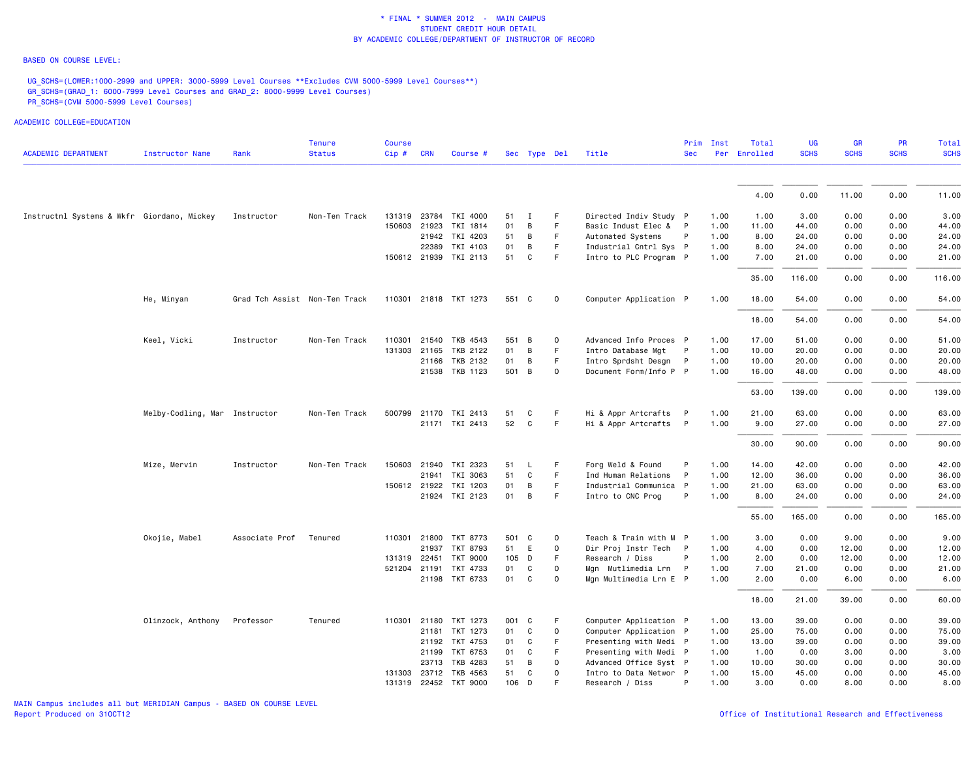#### BASED ON COURSE LEVEL:

UG\_SCHS=(LOWER:1000-2999 and UPPER: 3000-5999 Level Courses \*\*Excludes CVM 5000-5999 Level Courses\*\*) GR\_SCHS=(GRAD\_1: 6000-7999 Level Courses and GRAD\_2: 8000-9999 Level Courses) PR\_SCHS=(CVM 5000-5999 Level Courses)

| <b>ACADEMIC DEPARTMENT</b>                 | Instructor Name               | Rank                          | <b>Tenure</b><br><b>Status</b> | Course<br>Cip# | <b>CRN</b> | Course #                         |          | Sec Type Del |         | Title                                            | Prim<br>Sec  | Inst         | Total<br>Per Enrolled | UG<br><b>SCHS</b> | <b>GR</b><br><b>SCHS</b> | <b>PR</b><br><b>SCHS</b> | Total<br><b>SCHS</b> |
|--------------------------------------------|-------------------------------|-------------------------------|--------------------------------|----------------|------------|----------------------------------|----------|--------------|---------|--------------------------------------------------|--------------|--------------|-----------------------|-------------------|--------------------------|--------------------------|----------------------|
|                                            |                               |                               |                                |                |            |                                  |          |              |         |                                                  |              |              |                       |                   |                          |                          |                      |
|                                            |                               |                               |                                |                |            |                                  |          |              |         |                                                  |              |              | 4.00                  | 0.00              | 11.00                    | 0.00                     | 11.00                |
| Instructnl Systems & Wkfr Giordano, Mickey |                               | Instructor                    | Non-Ten Track                  |                |            | 131319 23784 TKI 4000            | 51       | $\mathbf{I}$ | F       | Directed Indiv Study P                           |              | 1.00         | 1.00                  | 3.00              | 0.00                     | 0.00                     | 3.00                 |
|                                            |                               |                               |                                | 150603         | 21923      | TKI 1814                         | 01       | В            | F       | Basic Indust Elec & P                            |              | 1.00         | 11.00                 | 44.00             | 0.00                     | 0.00                     | 44.00                |
|                                            |                               |                               |                                |                |            | 21942 TKI 4203                   | 51       | В            | F.      | Automated Systems                                | P            | 1.00         | 8.00                  | 24.00             | 0.00                     | 0.00                     | 24.00                |
|                                            |                               |                               |                                |                | 22389      | TKI 4103                         | 01       | В            | F.      | Industrial Cntrl Sys P                           |              | 1.00         | 8.00                  | 24.00             | 0.00                     | 0.00                     | 24.00                |
|                                            |                               |                               |                                |                |            | 150612 21939 TKI 2113            | 51       | C            | F       | Intro to PLC Program P                           |              | 1.00         | 7.00                  | 21.00             | 0.00                     | 0.00                     | 21.00                |
|                                            |                               |                               |                                |                |            |                                  |          |              |         |                                                  |              |              | 35.00                 | 116.00            | 0.00                     | 0.00                     | 116.00               |
|                                            | He, Minyan                    | Grad Tch Assist Non-Ten Track |                                |                |            | 110301 21818 TKT 1273            | 551 C    |              | 0       | Computer Application P                           |              | 1.00         | 18.00                 | 54.00             | 0.00                     | 0.00                     | 54.00                |
|                                            |                               |                               |                                |                |            |                                  |          |              |         |                                                  |              |              | 18.00                 | 54.00             | 0.00                     | 0.00                     | 54.00                |
|                                            | Keel, Vicki                   | Instructor                    | Non-Ten Track                  |                |            | 110301 21540 TKB 4543            | 551 B    |              | 0       | Advanced Info Proces P                           |              | 1.00         | 17.00                 | 51.00             | 0.00                     | 0.00                     | 51.00                |
|                                            |                               |                               |                                |                |            | 131303 21165 TKB 2122            | 01       | В            | F.      | Intro Database Mgt                               | $\mathsf{P}$ | 1.00         | 10.00                 | 20.00             | 0.00                     | 0.00                     | 20.00                |
|                                            |                               |                               |                                |                | 21166      | TKB 2132                         | 01       | В            | F.      | Intro Sprdsht Desgn                              | $\mathsf{P}$ | 1.00         | 10.00                 | 20.00             | 0.00                     | 0.00                     | 20.00                |
|                                            |                               |                               |                                |                |            | 21538 TKB 1123                   | 501      | B            | 0       | Document Form/Info P P                           |              | 1.00         | 16.00                 | 48.00             | 0.00                     | 0.00                     | 48.00                |
|                                            |                               |                               |                                |                |            |                                  |          |              |         |                                                  |              |              | 53.00                 | 139.00            | 0.00                     | 0.00                     | 139.00               |
|                                            | Melby-Codling, Mar Instructor |                               | Non-Ten Track                  | 500799         |            | 21170 TKI 2413                   | 51       | C            | F.      | Hi & Appr Artcrafts                              | - P          | 1.00         | 21.00                 | 63.00             | 0.00                     | 0.00                     | 63.00                |
|                                            |                               |                               |                                |                |            | 21171 TKI 2413                   | 52       | C            | F.      | Hi & Appr Artcrafts P                            |              | 1.00         | 9.00                  | 27.00             | 0.00                     | 0.00                     | 27.00                |
|                                            |                               |                               |                                |                |            |                                  |          |              |         |                                                  |              |              | 30.00                 | 90.00             | 0.00                     | 0.00                     | 90.00                |
|                                            | Mize, Mervin                  | Instructor                    | Non-Ten Track                  | 150603         | 21940      | TKI 2323                         | 51       | L.           | F       | Forg Weld & Found                                | P            | 1.00         | 14.00                 | 42.00             | 0.00                     | 0.00                     | 42.00                |
|                                            |                               |                               |                                |                | 21941      | TKI 3063                         | 51       | C            | F.      | Ind Human Relations                              | $\mathsf{P}$ | 1.00         | 12.00                 | 36.00             | 0.00                     | 0.00                     | 36.00                |
|                                            |                               |                               |                                | 150612 21922   |            | TKI 1203                         | 01       | В            | F       | Industrial Communica P                           |              | 1.00         | 21.00                 | 63.00             | 0.00                     | 0.00                     | 63.00                |
|                                            |                               |                               |                                |                |            | 21924 TKI 2123                   | 01       | В            | F.      | Intro to CNC Prog                                | P            | 1.00         | 8.00                  | 24.00             | 0.00                     | 0.00                     | 24.00                |
|                                            |                               |                               |                                |                |            |                                  |          |              |         |                                                  |              |              | 55.00                 | 165.00            | 0.00                     | 0.00                     | 165.00               |
|                                            | Okojie, Mabel                 | Associate Prof                | Tenured                        |                |            | 110301 21800 TKT 8773            | 501 C    |              | 0       | Teach & Train with M P                           |              | 1.00         | 3.00                  | 0.00              | 9.00                     | 0.00                     | 9.00                 |
|                                            |                               |                               |                                |                | 21937      | TKT 8793                         | 51       | E            | 0       | Dir Proj Instr Tech P                            |              | 1.00         | 4.00                  | 0.00              | 12.00                    | 0.00                     | 12.00                |
|                                            |                               |                               |                                | 131319 22451   |            | <b>TKT 9000</b>                  | 105 D    |              | F       | Research / Diss                                  | P            | 1.00         | 2.00                  | 0.00              | 12.00                    | 0.00                     | 12.00                |
|                                            |                               |                               |                                | 521204 21191   |            | TKT 4733                         | 01       | C            | 0       | Mgn Mutlimedia Lrn                               | $\mathsf{P}$ | 1.00         | 7.00                  | 21.00             | 0.00                     | 0.00                     | 21.00                |
|                                            |                               |                               |                                |                |            | 21198 TKT 6733                   | 01       | C            | 0       | Mgn Multimedia Lrn E P                           |              | 1.00         | 2.00                  | 0.00              | 6.00                     | 0.00                     | 6.00                 |
|                                            |                               |                               |                                |                |            |                                  |          |              |         |                                                  |              |              | 18.00                 | 21.00             | 39.00                    | 0.00                     | 60.00                |
|                                            | Olinzock, Anthony             | Professor                     | Tenured                        | 110301         | 21180      | TKT 1273                         | 001 C    |              | F       | Computer Application P                           |              | 1.00         | 13.00                 | 39.00             | 0.00                     | 0.00                     | 39.00                |
|                                            |                               |                               |                                |                | 21181      | TKT 1273                         | 01       | C            | 0       | Computer Application P                           |              | 1.00         | 25.00                 | 75.00             | 0.00                     | 0.00                     | 75.00                |
|                                            |                               |                               |                                |                |            | 21192 TKT 4753                   | 01       | C            | F       | Presenting with Medi P                           |              | 1.00         | 13.00                 | 39.00             | 0.00                     | 0.00                     | 39.00                |
|                                            |                               |                               |                                |                |            | 21199 TKT 6753<br>23713 TKB 4283 | 01<br>51 | C<br>В       | F.<br>0 | Presenting with Medi P<br>Advanced Office Syst P |              | 1.00<br>1.00 | 1.00<br>10.00         | 0.00<br>30.00     | 3.00<br>0.00             | 0.00<br>0.00             | 3.00<br>30.00        |
|                                            |                               |                               |                                | 131303         | 23712      | TKB 4563                         | 51       | C            | 0       | Intro to Data Networ P                           |              | 1.00         | 15.00                 | 45.00             | 0.00                     | 0.00                     | 45.00                |
|                                            |                               |                               |                                |                |            | 131319 22452 TKT 9000            | 106 D    |              | F       | Research / Diss                                  | P            | 1.00         | 3.00                  | 0.00              | 8.00                     | 0.00                     | 8.00                 |
|                                            |                               |                               |                                |                |            |                                  |          |              |         |                                                  |              |              |                       |                   |                          |                          |                      |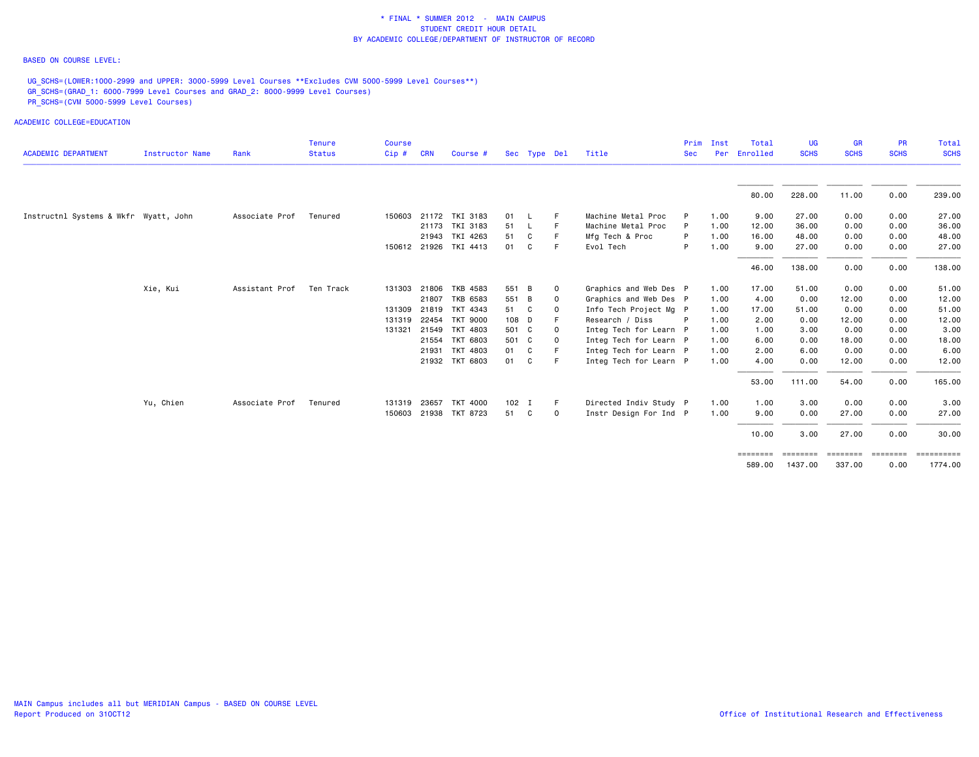### BASED ON COURSE LEVEL:

UG\_SCHS=(LOWER:1000-2999 and UPPER: 3000-5999 Level Courses \*\*Excludes CVM 5000-5999 Level Courses\*\*) GR\_SCHS=(GRAD\_1: 6000-7999 Level Courses and GRAD\_2: 8000-9999 Level Courses) PR\_SCHS=(CVM 5000-5999 Level Courses)

| <b>ACADEMIC DEPARTMENT</b>            | Instructor Name | Rank           | <b>Tenure</b><br><b>Status</b> | <b>Course</b><br>Cip# | <b>CRN</b> | Course #              |         | Sec Type Del |             | Title                  | <b>Sec</b> | Prim Inst | Total<br>Per Enrolled | <b>UG</b><br><b>SCHS</b> | <b>GR</b><br><b>SCHS</b> | <b>PR</b><br><b>SCHS</b> | Total<br><b>SCHS</b> |
|---------------------------------------|-----------------|----------------|--------------------------------|-----------------------|------------|-----------------------|---------|--------------|-------------|------------------------|------------|-----------|-----------------------|--------------------------|--------------------------|--------------------------|----------------------|
|                                       |                 |                |                                |                       |            |                       |         |              |             |                        |            |           |                       |                          |                          |                          |                      |
|                                       |                 |                |                                |                       |            |                       |         |              |             |                        |            |           | 80.00                 | 228.00                   | 11.00                    | 0.00                     | 239.00               |
| Instructnl Systems & Wkfr Wyatt, John |                 | Associate Prof | Tenured                        | 150603                |            | 21172 TKI 3183        | 01      | - L          | F           | Machine Metal Proc     |            | 1.00      | 9.00                  | 27.00                    | 0.00                     | 0.00                     | 27.00                |
|                                       |                 |                |                                |                       |            | 21173 TKI 3183        | 51      | - L          | F           | Machine Metal Proc     | P          | 1.00      | 12.00                 | 36.00                    | 0.00                     | 0.00                     | 36.00                |
|                                       |                 |                |                                |                       |            | 21943 TKI 4263        | 51      | C            | F           | Mfg Tech & Proc        | P          | 1.00      | 16.00                 | 48.00                    | 0.00                     | 0.00                     | 48.00                |
|                                       |                 |                |                                |                       |            | 150612 21926 TKI 4413 | 01      | C            | F           | Evol Tech              | P          | 1.00      | 9.00                  | 27.00                    | 0.00                     | 0.00                     | 27.00                |
|                                       |                 |                |                                |                       |            |                       |         |              |             |                        |            |           | 46.00                 | 138.00                   | 0.00                     | 0.00                     | 138.00               |
|                                       | Xie, Kui        | Assistant Prof | Ten Track                      | 131303 21806          |            | TKB 4583              | 551 B   |              | $\mathbf 0$ | Graphics and Web Des P |            | 1.00      | 17.00                 | 51.00                    | 0.00                     | 0.00                     | 51.00                |
|                                       |                 |                |                                |                       | 21807      | TKB 6583              | 551 B   |              | $\mathbf 0$ | Graphics and Web Des P |            | 1.00      | 4.00                  | 0.00                     | 12.00                    | 0.00                     | 12.00                |
|                                       |                 |                |                                | 131309 21819          |            | TKT 4343              | 51      | C            | $\circ$     | Info Tech Project Mg P |            | 1.00      | 17.00                 | 51.00                    | 0.00                     | 0.00                     | 51.00                |
|                                       |                 |                |                                | 131319 22454          |            | TKT 9000              | 108 D   |              |             | Research / Diss        |            | 1.00      | 2.00                  | 0.00                     | 12.00                    | 0.00                     | 12.00                |
|                                       |                 |                |                                | 131321                | 21549      | TKT 4803              | 501 C   |              | - 0         | Integ Tech for Learn P |            | 1.00      | 1.00                  | 3.00                     | 0.00                     | 0.00                     | 3.00                 |
|                                       |                 |                |                                |                       |            | 21554 TKT 6803        | 501 C   |              | $\Omega$    | Integ Tech for Learn P |            | 1.00      | 6.00                  | 0.00                     | 18.00                    | 0.00                     | 18.00                |
|                                       |                 |                |                                |                       | 21931      | TKT 4803              | 01      | C            |             | Integ Tech for Learn P |            | 1.00      | 2.00                  | 6.00                     | 0.00                     | 0.00                     | 6.00                 |
|                                       |                 |                |                                |                       |            | 21932 TKT 6803        | 01      | C            | E           | Integ Tech for Learn P |            | 1.00      | 4.00                  | 0.00                     | 12.00                    | 0.00                     | 12.00                |
|                                       |                 |                |                                |                       |            |                       |         |              |             |                        |            |           | 53.00                 | 111.00                   | 54.00                    | 0.00                     | 165.00               |
|                                       | Yu, Chien       | Associate Prof | Tenured                        | 131319 23657          |            | TKT 4000              | $102$ I |              | -F          | Directed Indiv Study P |            | 1.00      | 1.00                  | 3.00                     | 0.00                     | 0.00                     | 3.00                 |
|                                       |                 |                |                                |                       |            | 150603 21938 TKT 8723 | 51      | C            | $\mathbf 0$ | Instr Design For Ind P |            | 1.00      | 9.00                  | 0.00                     | 27.00                    | 0.00                     | 27.00                |
|                                       |                 |                |                                |                       |            |                       |         |              |             |                        |            |           | 10.00                 | 3.00                     | 27.00                    | 0.00                     | 30.00                |
|                                       |                 |                |                                |                       |            |                       |         |              |             |                        |            |           | ========              | ========                 | =================        |                          | ==========           |
|                                       |                 |                |                                |                       |            |                       |         |              |             |                        |            |           | 589.00                | 1437.00                  | 337.00                   | 0.00                     | 1774.00              |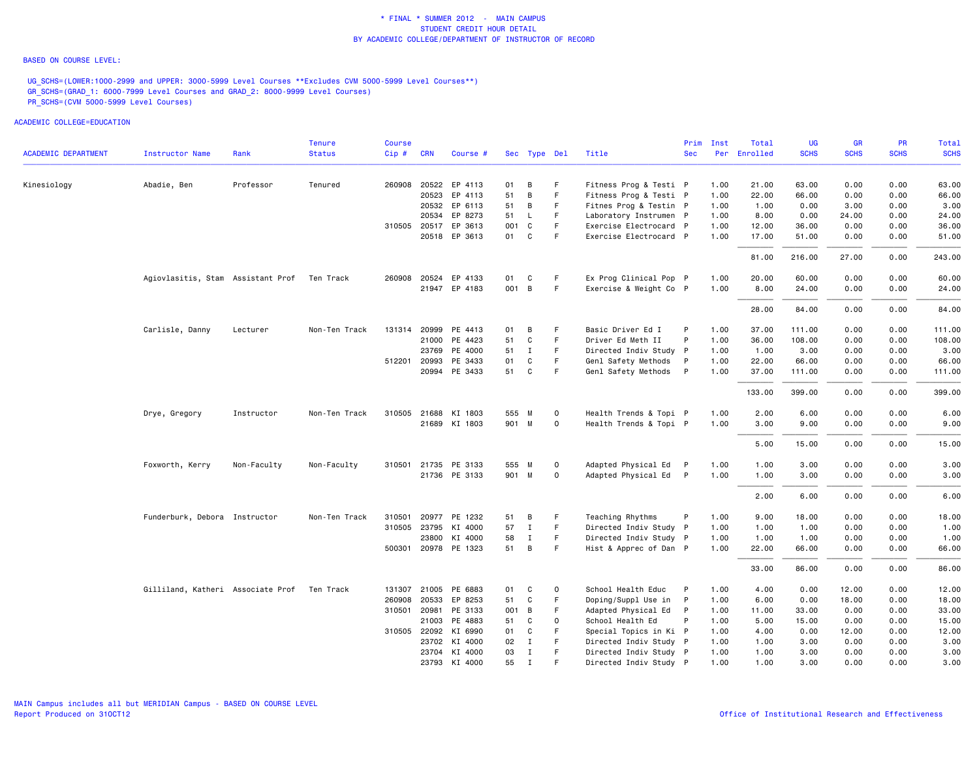### BASED ON COURSE LEVEL:

UG\_SCHS=(LOWER:1000-2999 and UPPER: 3000-5999 Level Courses \*\*Excludes CVM 5000-5999 Level Courses\*\*) GR\_SCHS=(GRAD\_1: 6000-7999 Level Courses and GRAD\_2: 8000-9999 Level Courses) PR\_SCHS=(CVM 5000-5999 Level Courses)

|                            |                                             |             | Tenure        | Course |              |                      |     |              |             |                        | Prim         | Inst | Total        | UG          | <b>GR</b>   | <b>PR</b>   | Total       |
|----------------------------|---------------------------------------------|-------------|---------------|--------|--------------|----------------------|-----|--------------|-------------|------------------------|--------------|------|--------------|-------------|-------------|-------------|-------------|
| <b>ACADEMIC DEPARTMENT</b> | <b>Instructor Name</b>                      | Rank        | <b>Status</b> | Cip#   | <b>CRN</b>   | Course #             |     | Sec Type Del |             | Title                  | <b>Sec</b>   |      | Per Enrolled | <b>SCHS</b> | <b>SCHS</b> | <b>SCHS</b> | <b>SCHS</b> |
| Kinesiology                | Abadie, Ben                                 | Professor   | Tenured       |        |              | 260908 20522 EP 4113 | 01  | В            | F           | Fitness Prog & Testi P |              | 1.00 | 21.00        | 63.00       | 0.00        | 0.00        | 63.00       |
|                            |                                             |             |               |        | 20523        | EP 4113              | 51  | B            | F.          | Fitness Prog & Testi P |              | 1.00 | 22.00        | 66.00       | 0.00        | 0.00        | 66.00       |
|                            |                                             |             |               |        |              | 20532 EP 6113        | 51  | В            | F           | Fitnes Prog & Testin P |              | 1.00 | 1.00         | 0.00        | 3.00        | 0.00        | 3.00        |
|                            |                                             |             |               |        |              | 20534 EP 8273        | 51  | L            | F           | Laboratory Instrumen P |              | 1.00 | 8.00         | 0.00        | 24.00       | 0.00        | 24.00       |
|                            |                                             |             |               |        |              | 310505 20517 EP 3613 | 001 | C            | F           | Exercise Electrocard P |              | 1.00 | 12.00        | 36.00       | 0.00        | 0.00        | 36.00       |
|                            |                                             |             |               |        |              | 20518 EP 3613        | 01  | C            | F.          | Exercise Electrocard P |              | 1.00 | 17.00        | 51.00       | 0.00        | 0.00        | 51.00       |
|                            |                                             |             |               |        |              |                      |     |              |             |                        |              |      | 81.00        | 216.00      | 27.00       | 0.00        | 243.00      |
|                            | Agiovlasitis, Stam Assistant Prof Ten Track |             |               |        |              | 260908 20524 EP 4133 | 01  | C            | F           | Ex Prog Clinical Pop P |              | 1.00 | 20.00        | 60.00       | 0.00        | 0.00        | 60.00       |
|                            |                                             |             |               |        |              | 21947 EP 4183        |     | 001 B        | F           | Exercise & Weight Co P |              | 1.00 | 8.00         | 24.00       | 0.00        | 0.00        | 24.00       |
|                            |                                             |             |               |        |              |                      |     |              |             |                        |              |      | 28.00        | 84.00       | 0.00        | 0.00        | 84.00       |
|                            | Carlisle, Danny                             | Lecturer    | Non-Ten Track |        |              | 131314 20999 PE 4413 | 01  | В            | F           | Basic Driver Ed I      | P            | 1.00 | 37.00        | 111.00      | 0.00        | 0.00        | 111.00      |
|                            |                                             |             |               |        |              | 21000 PE 4423        | 51  | C            | F           | Driver Ed Meth II      | P            | 1.00 | 36.00        | 108.00      | 0.00        | 0.00        | 108.00      |
|                            |                                             |             |               |        | 23769        | PE 4000              | 51  | $\mathbf{I}$ | F.          | Directed Indiv Study P |              | 1.00 | 1.00         | 3.00        | 0.00        | 0.00        | 3.00        |
|                            |                                             |             |               |        | 512201 20993 | PE 3433              | 01  | C            | F.          | Genl Safety Methods    | P            | 1.00 | 22.00        | 66.00       | 0.00        | 0.00        | 66.00       |
|                            |                                             |             |               |        |              | 20994 PE 3433        | 51  | C            | F.          | Genl Safety Methods P  |              | 1.00 | 37.00        | 111.00      | 0.00        | 0.00        | 111.00      |
|                            |                                             |             |               |        |              |                      |     |              |             |                        |              |      | 133.00       | 399.00      | 0.00        | 0.00        | 399.00      |
|                            | Drye, Gregory                               | Instructor  | Non-Ten Track | 310505 |              | 21688 KI 1803        |     | 555 M        | $\mathbf 0$ | Health Trends & Topi P |              | 1.00 | 2.00         | 6.00        | 0.00        | 0.00        | 6.00        |
|                            |                                             |             |               |        |              | 21689 KI 1803        |     | 901 M        | 0           | Health Trends & Topi P |              | 1.00 | 3.00         | 9.00        | 0.00        | 0.00        | 9.00        |
|                            |                                             |             |               |        |              |                      |     |              |             |                        |              |      | 5.00         | 15.00       | 0.00        | 0.00        | 15.00       |
|                            | Foxworth, Kerry                             | Non-Faculty | Non-Faculty   |        |              | 310501 21735 PE 3133 |     | 555 M        | $\mathbf 0$ | Adapted Physical Ed P  |              | 1.00 | 1.00         | 3.00        | 0.00        | 0.00        | 3.00        |
|                            |                                             |             |               |        |              | 21736 PE 3133        |     | 901 M        | $\mathbf 0$ | Adapted Physical Ed P  |              | 1.00 | 1.00         | 3.00        | 0.00        | 0.00        | 3.00        |
|                            |                                             |             |               |        |              |                      |     |              |             |                        |              |      | 2.00         | 6.00        | 0.00        | 0.00        | 6.00        |
|                            | Funderburk, Debora Instructor               |             | Non-Ten Track |        |              | 310501 20977 PE 1232 | 51  | В            | F.          | Teaching Rhythms       |              | 1.00 | 9.00         | 18.00       | 0.00        | 0.00        | 18.00       |
|                            |                                             |             |               |        |              | 310505 23795 KI 4000 | 57  | $\mathbf{I}$ | F.          | Directed Indiv Study P |              | 1.00 | 1.00         | 1.00        | 0.00        | 0.00        | 1.00        |
|                            |                                             |             |               |        |              | 23800 KI 4000        | 58  | $\mathbf I$  | F.          | Directed Indiv Study P |              | 1.00 | 1.00         | 1.00        | 0.00        | 0.00        | 1.00        |
|                            |                                             |             |               |        |              | 500301 20978 PE 1323 | 51  | B            | F.          | Hist & Apprec of Dan P |              | 1.00 | 22.00        | 66.00       | 0.00        | 0.00        | 66.00       |
|                            |                                             |             |               |        |              |                      |     |              |             |                        |              |      | 33.00        | 86.00       | 0.00        | 0.00        | 86.00       |
|                            | Gilliland, Katheri Associate Prof           |             | Ten Track     |        |              | 131307 21005 PE 6883 | 01  | C            | 0           | School Health Educ     | P            | 1.00 | 4.00         | 0.00        | 12.00       | 0.00        | 12.00       |
|                            |                                             |             |               | 260908 |              | 20533 EP 8253        | 51  | C            | F           | Doping/Suppl Use in    | $\mathsf{P}$ | 1.00 | 6.00         | 0.00        | 18.00       | 0.00        | 18.00       |
|                            |                                             |             |               |        | 310501 20981 | PE 3133              |     | 001 B        | F           | Adapted Physical Ed    | $\mathsf{P}$ | 1.00 | 11.00        | 33.00       | 0.00        | 0.00        | 33.00       |
|                            |                                             |             |               |        |              | 21003 PE 4883        | 51  | C            | $\mathsf 0$ | School Health Ed       | P            | 1.00 | 5.00         | 15.00       | 0.00        | 0.00        | 15.00       |
|                            |                                             |             |               |        |              | 310505 22092 KI 6990 | 01  | C            | F           | Special Topics in Ki P |              | 1.00 | 4.00         | 0.00        | 12.00       | 0.00        | 12.00       |
|                            |                                             |             |               |        |              | 23702 KI 4000        | 02  | $\mathbf{I}$ | F.<br>F     | Directed Indiv Study P |              | 1.00 | 1.00         | 3.00        | 0.00        | 0.00        | 3.00        |
|                            |                                             |             |               |        |              | 23704 KI 4000        | 03  | Ι.           |             | Directed Indiv Study P |              | 1.00 | 1.00         | 3.00        | 0.00        | 0.00        | 3.00        |
|                            |                                             |             |               |        |              | 23793 KI 4000        | 55  | $\mathbf{I}$ | F           | Directed Indiv Study P |              | 1.00 | 1.00         | 3.00        | 0.00        | 0.00        | 3.00        |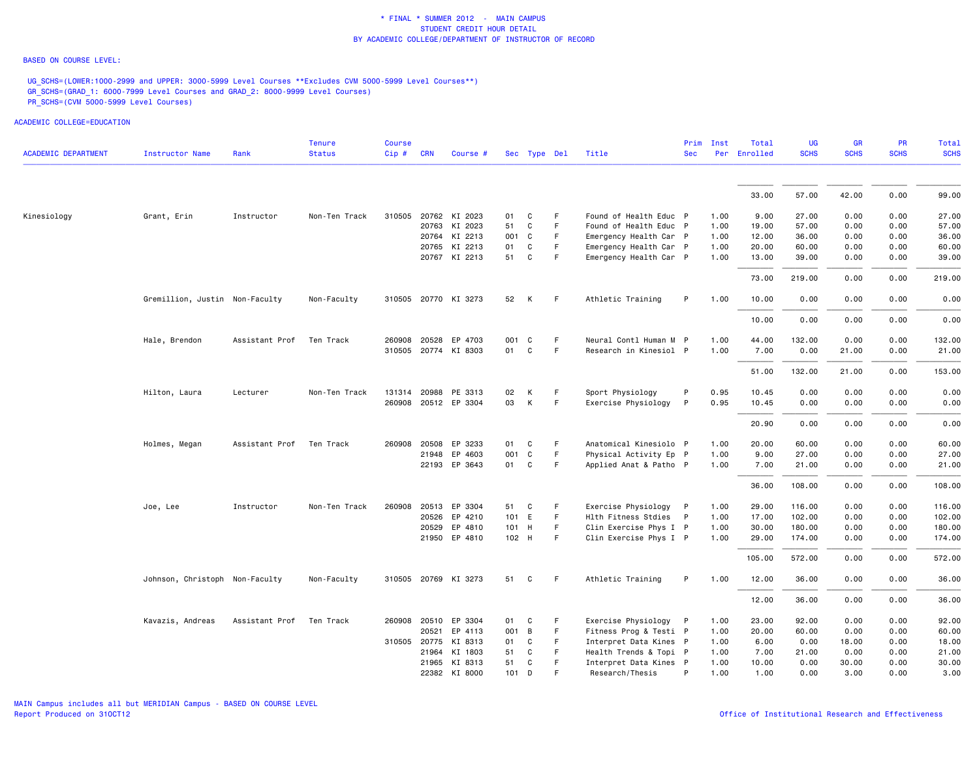### BASED ON COURSE LEVEL:

UG\_SCHS=(LOWER:1000-2999 and UPPER: 3000-5999 Level Courses \*\*Excludes CVM 5000-5999 Level Courses\*\*) GR\_SCHS=(GRAD\_1: 6000-7999 Level Courses and GRAD\_2: 8000-9999 Level Courses) PR\_SCHS=(CVM 5000-5999 Level Courses)

| <b>ACADEMIC DEPARTMENT</b> | Instructor Name                | Rank           | <b>Tenure</b><br><b>Status</b> | <b>Course</b><br>Cip# | <b>CRN</b> | Course #             |    | Sec Type Del |             | Title                  | <b>Sec</b>   | Prim Inst | Total<br>Per Enrolled | <b>UG</b><br><b>SCHS</b> | <b>GR</b><br><b>SCHS</b> | <b>PR</b><br><b>SCHS</b> | Total<br><b>SCHS</b> |
|----------------------------|--------------------------------|----------------|--------------------------------|-----------------------|------------|----------------------|----|--------------|-------------|------------------------|--------------|-----------|-----------------------|--------------------------|--------------------------|--------------------------|----------------------|
|                            |                                |                |                                |                       |            |                      |    |              |             |                        |              |           |                       |                          |                          |                          |                      |
|                            |                                |                |                                |                       |            |                      |    |              |             |                        |              |           | 33.00                 | 57.00                    | 42.00                    | 0.00                     | 99.00                |
| Kinesiology                | Grant, Erin                    | Instructor     | Non-Ten Track                  | 310505                |            | 20762 KI 2023        | 01 | C            | F           | Found of Health Educ P |              | 1.00      | 9.00                  | 27.00                    | 0.00                     | 0.00                     | 27.00                |
|                            |                                |                |                                |                       |            | 20763 KI 2023        | 51 | C            | E           | Found of Health Educ P |              | 1.00      | 19.00                 | 57.00                    | 0.00                     | 0.00                     | 57.00                |
|                            |                                |                |                                |                       |            | 20764 KI 2213        |    | 001 C        | F           | Emergency Health Car P |              | 1.00      | 12.00                 | 36.00                    | 0.00                     | 0.00                     | 36.00                |
|                            |                                |                |                                |                       |            | 20765 KI 2213        | 01 | C            | F           | Emergency Health Car P |              | 1.00      | 20.00                 | 60.00                    | 0.00                     | 0.00                     | 60.00                |
|                            |                                |                |                                |                       |            | 20767 KI 2213        | 51 | C            | E           | Emergency Health Car P |              | 1.00      | 13.00                 | 39.00                    | 0.00                     | 0.00                     | 39.00                |
|                            |                                |                |                                |                       |            |                      |    |              |             |                        |              |           | 73.00                 | 219.00                   | 0.00                     | 0.00                     | 219.00               |
|                            | Gremillion, Justin Non-Faculty |                | Non-Faculty                    |                       |            | 310505 20770 KI 3273 |    | 52 K         | -F          | Athletic Training      | P            | 1.00      | 10.00                 | 0.00                     | 0.00                     | 0.00                     | 0.00                 |
|                            |                                |                |                                |                       |            |                      |    |              |             |                        |              |           | 10.00                 | 0.00                     | 0.00                     | 0.00                     | 0.00                 |
|                            | Hale, Brendon                  | Assistant Prof | Ten Track                      | 260908                |            | 20528 EP 4703        |    | 001 C        | -F          | Neural Contl Human M P |              | 1.00      | 44.00                 | 132.00                   | 0.00                     | 0.00                     | 132.00               |
|                            |                                |                |                                |                       |            | 310505 20774 KI 8303 | 01 | $\mathtt{C}$ | F           | Research in Kinesiol P |              | 1.00      | 7.00                  | 0.00                     | 21.00                    | 0.00                     | 21.00                |
|                            |                                |                |                                |                       |            |                      |    |              |             |                        |              |           | 51.00                 | 132.00                   | 21.00                    | 0.00                     | 153.00               |
|                            | Hilton, Laura                  | Lecturer       | Non-Ten Track                  |                       |            | 131314 20988 PE 3313 | 02 | К            | F           | Sport Physiology       | P            | 0.95      | 10.45                 | 0.00                     | 0.00                     | 0.00                     | 0.00                 |
|                            |                                |                |                                |                       |            | 260908 20512 EP 3304 | 03 | К            | F           | Exercise Physiology    | P            | 0.95      | 10.45                 | 0.00                     | 0.00                     | 0.00                     | 0.00                 |
|                            |                                |                |                                |                       |            |                      |    |              |             |                        |              |           | 20.90                 | 0.00                     | 0.00                     | 0.00                     | 0.00                 |
|                            | Holmes, Megan                  | Assistant Prof | Ten Track                      | 260908                | 20508      | EP 3233              | 01 | C            | F           | Anatomical Kinesiolo P |              | 1.00      | 20.00                 | 60.00                    | 0.00                     | 0.00                     | 60.00                |
|                            |                                |                |                                |                       |            | 21948 EP 4603        |    | 001 C        | $\mathsf F$ | Physical Activity Ep P |              | 1.00      | 9.00                  | 27.00                    | 0.00                     | 0.00                     | 27.00                |
|                            |                                |                |                                |                       |            | 22193 EP 3643        |    | 01 C         | F           | Applied Anat & Patho P |              | 1.00      | 7.00                  | 21.00                    | 0.00                     | 0.00                     | 21.00                |
|                            |                                |                |                                |                       |            |                      |    |              |             |                        |              |           | 36.00                 | 108.00                   | 0.00                     | 0.00                     | 108.00               |
|                            | Joe, Lee                       | Instructor     | Non-Ten Track                  | 260908                |            | 20513 EP 3304        | 51 | C            | F           | Exercise Physiology    | P            | 1.00      | 29.00                 | 116.00                   | 0.00                     | 0.00                     | 116.00               |
|                            |                                |                |                                |                       |            | 20526 EP 4210        |    | 101 E        | F           | Hlth Fitness Stdies    | $\mathsf{P}$ | 1.00      | 17.00                 | 102.00                   | 0.00                     | 0.00                     | 102.00               |
|                            |                                |                |                                |                       | 20529      | EP 4810              |    | 101 H        | F           | Clin Exercise Phys I P |              | 1.00      | 30.00                 | 180.00                   | 0.00                     | 0.00                     | 180.00               |
|                            |                                |                |                                |                       |            | 21950 EP 4810        |    | 102 H        | F           | Clin Exercise Phys I P |              | 1.00      | 29.00                 | 174.00                   | 0.00                     | 0.00                     | 174.00               |
|                            |                                |                |                                |                       |            |                      |    |              |             |                        |              |           | 105.00                | 572.00                   | 0.00                     | 0.00                     | 572.00               |
|                            | Johnson, Christoph Non-Faculty |                | Non-Faculty                    |                       |            | 310505 20769 KI 3273 |    | 51 C         | F           | Athletic Training      | P            | 1.00      | 12.00                 | 36.00                    | 0.00                     | 0.00                     | 36.00                |
|                            |                                |                |                                |                       |            |                      |    |              |             |                        |              |           | 12.00                 | 36.00                    | 0.00                     | 0.00                     | 36.00                |
|                            | Kavazis, Andreas               | Assistant Prof | Ten Track                      |                       |            | 260908 20510 EP 3304 |    | 01 C         | F           | Exercise Physiology    |              | 1.00      | 23.00                 | 92.00                    | 0.00                     | 0.00                     | 92.00                |
|                            |                                |                |                                |                       |            | 20521 EP 4113        |    | 001 B        | F           | Fitness Prog & Testi P |              | 1.00      | 20.00                 | 60.00                    | 0.00                     | 0.00                     | 60.00                |
|                            |                                |                |                                |                       |            | 310505 20775 KI 8313 | 01 | C            | F           | Interpret Data Kines P |              | 1.00      | 6.00                  | 0.00                     | 18.00                    | 0.00                     | 18.00                |
|                            |                                |                |                                |                       | 21964      | KI 1803              | 51 | C            | $\mathsf F$ | Health Trends & Topi P |              | 1.00      | 7.00                  | 21.00                    | 0.00                     | 0.00                     | 21.00                |
|                            |                                |                |                                |                       |            | 21965 KI 8313        | 51 | C            | F           | Interpret Data Kines P |              | 1.00      | 10.00                 | 0.00                     | 30.00                    | 0.00                     | 30.00                |
|                            |                                |                |                                |                       |            | 22382 KI 8000        |    | 101 D        | F           | Research/Thesis        | P            | 1.00      | 1.00                  | 0.00                     | 3.00                     | 0.00                     | 3.00                 |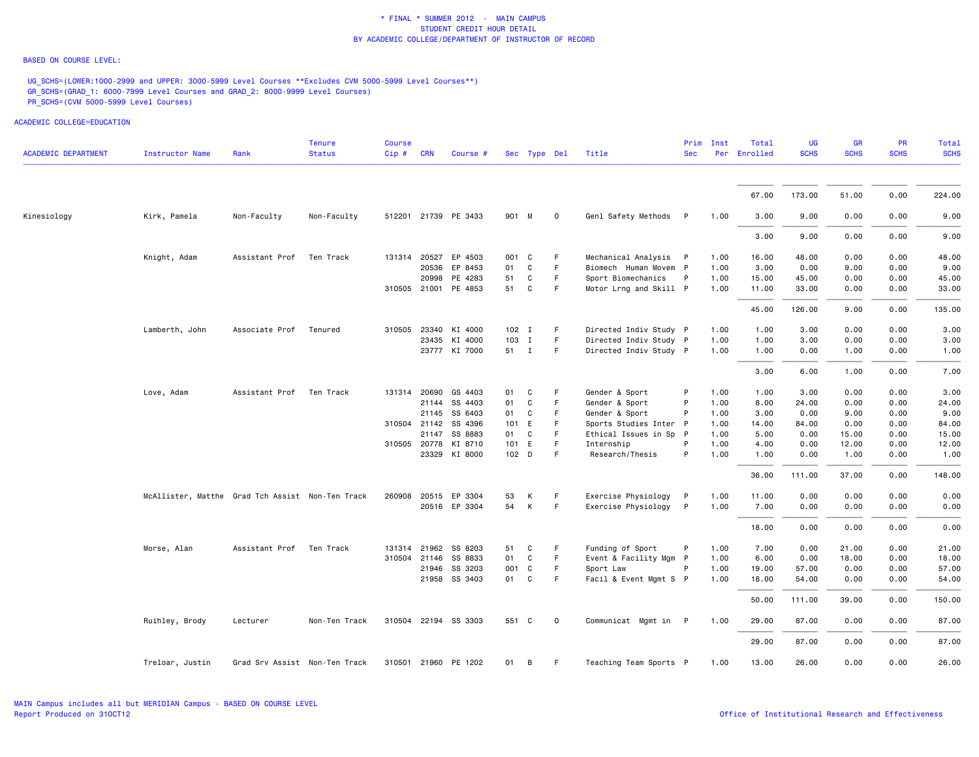### BASED ON COURSE LEVEL:

UG\_SCHS=(LOWER:1000-2999 and UPPER: 3000-5999 Level Courses \*\*Excludes CVM 5000-5999 Level Courses\*\*) GR\_SCHS=(GRAD\_1: 6000-7999 Level Courses and GRAD\_2: 8000-9999 Level Courses) PR\_SCHS=(CVM 5000-5999 Level Courses)

| <b>ACADEMIC DEPARTMENT</b> | <b>Instructor Name</b>                           | Rank                          | <b>Tenure</b><br><b>Status</b> | <b>Course</b><br>Cip# | <b>CRN</b> | Course #             |         | Sec Type Del |         | Title                  | <b>Sec</b>   | Prim Inst | Total<br>Per Enrolled | <b>UG</b><br><b>SCHS</b> | <b>GR</b><br><b>SCHS</b> | PR<br><b>SCHS</b> | <b>Total</b><br><b>SCHS</b> |
|----------------------------|--------------------------------------------------|-------------------------------|--------------------------------|-----------------------|------------|----------------------|---------|--------------|---------|------------------------|--------------|-----------|-----------------------|--------------------------|--------------------------|-------------------|-----------------------------|
|                            |                                                  |                               |                                |                       |            |                      |         |              |         |                        |              |           |                       |                          |                          |                   |                             |
|                            |                                                  |                               |                                |                       |            |                      |         |              |         |                        |              |           | 67.00                 | 173.00                   | 51.00                    | 0.00              | 224.00                      |
| Kinesiology                | Kirk, Pamela                                     | Non-Faculty                   | Non-Faculty                    |                       |            | 512201 21739 PE 3433 | 901 M   |              | $\circ$ | Genl Safety Methods P  |              | 1.00      | 3.00                  | 9.00                     | 0.00                     | 0.00              | 9.00                        |
|                            |                                                  |                               |                                |                       |            |                      |         |              |         |                        |              |           | 3.00                  | 9.00                     | 0.00                     | 0.00              | 9.00                        |
|                            | Knight, Adam                                     | Assistant Prof                | Ten Track                      | 131314 20527          |            | EP 4503              | 001 C   |              | F       | Mechanical Analysis    | $\mathsf{P}$ | 1.00      | 16.00                 | 48.00                    | 0.00                     | 0.00              | 48.00                       |
|                            |                                                  |                               |                                |                       | 20536      | EP 8453              | 01      | C            | F       | Biomech Human Movem P  |              | 1.00      | 3.00                  | 0.00                     | 9.00                     | 0.00              | 9.00                        |
|                            |                                                  |                               |                                |                       | 20998      | PE 4283              | 51      | C            | F       | Sport Biomechanics     | P            | 1.00      | 15.00                 | 45.00                    | 0.00                     | 0.00              | 45.00                       |
|                            |                                                  |                               |                                |                       |            | 310505 21001 PE 4853 | 51      | C            | F       | Motor Lrng and Skill P |              | 1.00      | 11.00                 | 33.00                    | 0.00                     | 0.00              | 33.00                       |
|                            |                                                  |                               |                                |                       |            |                      |         |              |         |                        |              |           | 45.00                 | 126.00                   | 9.00                     | 0.00              | 135.00                      |
|                            | Lamberth, John                                   | Associate Prof                | Tenured                        |                       |            | 310505 23340 KI 4000 | $102$ I |              | F       | Directed Indiv Study P |              | 1.00      | 1.00                  | 3.00                     | 0.00                     | 0.00              | 3.00                        |
|                            |                                                  |                               |                                |                       |            | 23435 KI 4000        | 103 I   |              | F       | Directed Indiv Study P |              | 1.00      | 1.00                  | 3.00                     | 0.00                     | 0.00              | 3.00                        |
|                            |                                                  |                               |                                |                       |            | 23777 KI 7000        | 51 I    |              | F       | Directed Indiv Study P |              | 1.00      | 1.00                  | 0.00                     | 1.00                     | 0.00              | 1.00                        |
|                            |                                                  |                               |                                |                       |            |                      |         |              |         |                        |              |           | 3.00                  | 6.00                     | 1.00                     | 0.00              | 7.00                        |
|                            | Love, Adam                                       | Assistant Prof                | Ten Track                      | 131314 20690          |            | GS 4403              | 01      | C            | F.      | Gender & Sport         | P            | 1.00      | 1.00                  | 3.00                     | 0.00                     | 0.00              | 3.00                        |
|                            |                                                  |                               |                                |                       | 21144      | SS 4403              | 01      | C            | F       | Gender & Sport         | P            | 1.00      | 8.00                  | 24.00                    | 0.00                     | 0.00              | 24.00                       |
|                            |                                                  |                               |                                |                       | 21145      | SS 6403              | 01      | C            | F       | Gender & Sport         | P            | 1.00      | 3.00                  | 0.00                     | 9.00                     | 0.00              | 9.00                        |
|                            |                                                  |                               |                                | 310504 21142          |            | SS 4396              | 101 E   |              | F       | Sports Studies Inter P |              | 1.00      | 14.00                 | 84.00                    | 0.00                     | 0.00              | 84.00                       |
|                            |                                                  |                               |                                |                       | 21147      | SS 8883              | 01      | C            | F       | Ethical Issues in Sp P |              | 1.00      | 5.00                  | 0.00                     | 15.00                    | 0.00              | 15.00                       |
|                            |                                                  |                               |                                |                       |            | 310505 20778 KI 8710 | 101 E   |              | F       | Internship             | P            | 1.00      | 4.00                  | 0.00                     | 12.00                    | 0.00              | 12.00                       |
|                            |                                                  |                               |                                |                       |            | 23329 KI 8000        | 102 D   |              | F       | Research/Thesis        | P            | 1.00      | 1.00                  | 0.00                     | 1.00                     | 0.00              | 1.00                        |
|                            |                                                  |                               |                                |                       |            |                      |         |              |         |                        |              |           | 36.00                 | 111.00                   | 37.00                    | 0.00              | 148.00                      |
|                            | McAllister, Matthe Grad Tch Assist Non-Ten Track |                               |                                |                       |            | 260908 20515 EP 3304 | 53      | K            | F.      | Exercise Physiology    | P            | 1.00      | 11.00                 | 0.00                     | 0.00                     | 0.00              | 0.00                        |
|                            |                                                  |                               |                                |                       |            | 20516 EP 3304        | 54      | K            | F.      | Exercise Physiology    | P            | 1.00      | 7.00                  | 0.00                     | 0.00                     | 0.00              | 0.00                        |
|                            |                                                  |                               |                                |                       |            |                      |         |              |         |                        |              |           | 18.00                 | 0.00                     | 0.00                     | 0.00              | 0.00                        |
|                            | Morse, Alan                                      | Assistant Prof                | Ten Track                      | 131314 21962          |            | SS 8203              | 51      | C            | F       | Funding of Sport       | P            | 1.00      | 7.00                  | 0.00                     | 21.00                    | 0.00              | 21.00                       |
|                            |                                                  |                               |                                | 310504 21146          |            | SS 8833              | 01      | C            | F       | Event & Facility Mgm P |              | 1.00      | 6.00                  | 0.00                     | 18.00                    | 0.00              | 18.00                       |
|                            |                                                  |                               |                                |                       |            | 21946 SS 3203        | 001 C   |              | F       | Sport Law              | P            | 1.00      | 19.00                 | 57.00                    | 0.00                     | 0.00              | 57.00                       |
|                            |                                                  |                               |                                |                       |            | 21958 SS 3403        | 01 C    |              | F       | Facil & Event Mgmt S P |              | 1.00      | 18.00                 | 54.00                    | 0.00                     | 0.00              | 54.00                       |
|                            |                                                  |                               |                                |                       |            |                      |         |              |         |                        |              |           | 50.00                 | 111.00                   | 39.00                    | 0.00              | 150.00                      |
|                            | Ruihley, Brody                                   | Lecturer                      | Non-Ten Track                  |                       |            | 310504 22194 SS 3303 | 551 C   |              | $\circ$ | Communicat Mgmt in P   |              | 1.00      | 29.00                 | 87.00                    | 0.00                     | 0.00              | 87.00                       |
|                            |                                                  |                               |                                |                       |            |                      |         |              |         |                        |              |           | 29.00                 | 87.00                    | 0.00                     | 0.00              | 87.00                       |
|                            | Treloar, Justin                                  | Grad Srv Assist Non-Ten Track |                                |                       |            | 310501 21960 PE 1202 | 01      | B            | F.      | Teaching Team Sports P |              | 1.00      | 13.00                 | 26.00                    | 0.00                     | 0.00              | 26.00                       |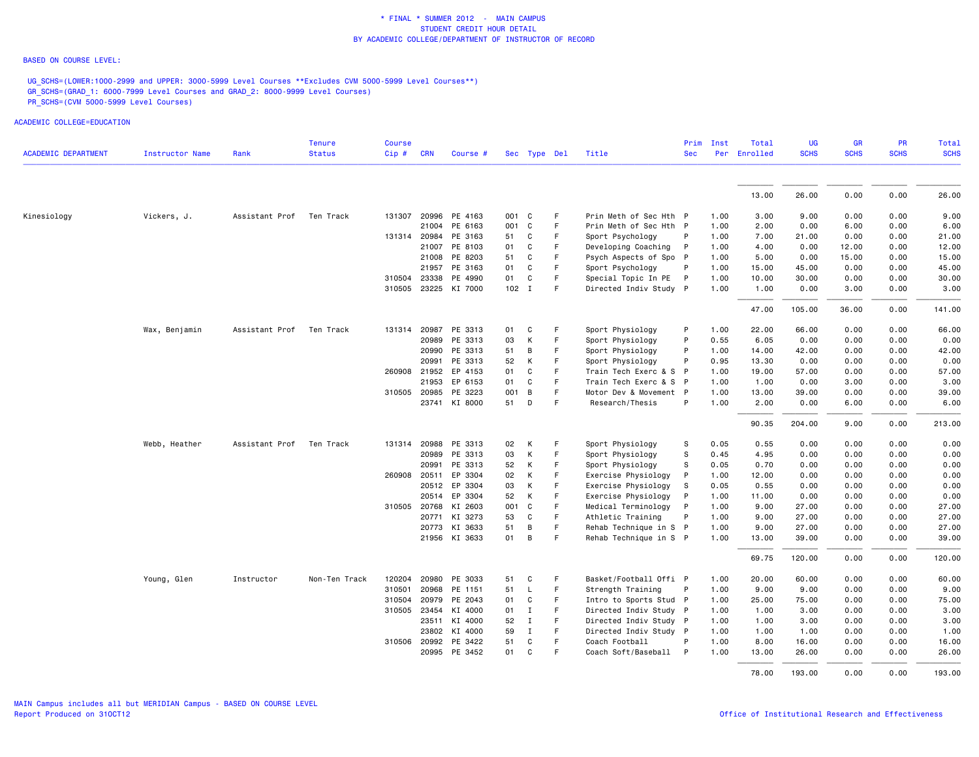### BASED ON COURSE LEVEL:

ACADEMIC COLLEGE=EDUCATION

UG\_SCHS=(LOWER:1000-2999 and UPPER: 3000-5999 Level Courses \*\*Excludes CVM 5000-5999 Level Courses\*\*) GR\_SCHS=(GRAD\_1: 6000-7999 Level Courses and GRAD\_2: 8000-9999 Level Courses) PR\_SCHS=(CVM 5000-5999 Level Courses)

|                            |                 |                | <b>Tenure</b> | <b>Course</b> |              |                      |     |              |             |                        | Prim         | Inst | Total        | <b>UG</b>   | <b>GR</b>   | PR          | Total       |
|----------------------------|-----------------|----------------|---------------|---------------|--------------|----------------------|-----|--------------|-------------|------------------------|--------------|------|--------------|-------------|-------------|-------------|-------------|
| <b>ACADEMIC DEPARTMENT</b> | Instructor Name | Rank           | <b>Status</b> | Cip#          | <b>CRN</b>   | Course #             |     | Sec Type Del |             | Title                  | <b>Sec</b>   |      | Per Enrolled | <b>SCHS</b> | <b>SCHS</b> | <b>SCHS</b> | <b>SCHS</b> |
|                            |                 |                |               |               |              |                      |     |              |             |                        |              |      |              |             |             |             |             |
|                            |                 |                |               |               |              |                      |     |              |             |                        |              |      | 13.00        | 26.00       | 0.00        | 0.00        | 26.00       |
| Kinesiology                | Vickers, J.     | Assistant Prof | Ten Track     | 131307        |              | 20996 PE 4163        | 001 | C            | F           | Prin Meth of Sec Hth P |              | 1.00 | 3.00         | 9.00        | 0.00        | 0.00        | 9.00        |
|                            |                 |                |               |               |              | 21004 PE 6163        | 001 | C            | E           | Prin Meth of Sec Hth P |              | 1.00 | 2.00         | 0.00        | 6.00        | 0.00        | 6.00        |
|                            |                 |                |               |               | 131314 20984 | PE 3163              | 51  | C            | F.          | Sport Psychology       | P            | 1.00 | 7.00         | 21.00       | 0.00        | 0.00        | 21.00       |
|                            |                 |                |               |               |              | 21007 PE 8103        | 01  | C            | F           | Developing Coaching    | $\mathsf{P}$ | 1.00 | 4.00         | 0.00        | 12.00       | 0.00        | 12.00       |
|                            |                 |                |               |               |              | 21008 PE 8203        | 51  | C            | F           | Psych Aspects of Spo P |              | 1.00 | 5.00         | 0.00        | 15.00       | 0.00        | 15.00       |
|                            |                 |                |               |               |              | 21957 PE 3163        | 01  | C            | F           | Sport Psychology       | P            | 1.00 | 15.00        | 45.00       | 0.00        | 0.00        | 45.00       |
|                            |                 |                |               |               | 310504 23338 | PE 4990              | 01  | C            | F.          | Special Topic In PE P  |              | 1.00 | 10.00        | 30.00       | 0.00        | 0.00        | 30.00       |
|                            |                 |                |               |               |              | 310505 23225 KI 7000 |     | 102 I        | F           | Directed Indiv Study P |              | 1.00 | 1.00         | 0.00        | 3.00        | 0.00        | 3.00        |
|                            |                 |                |               |               |              |                      |     |              |             |                        |              |      | 47.00        | 105.00      | 36.00       | 0.00        | 141.00      |
|                            | Wax, Benjamin   | Assistant Prof | Ten Track     | 131314        | 20987        | PE 3313              | 01  | C            | F           | Sport Physiology       | P            | 1.00 | 22.00        | 66.00       | 0.00        | 0.00        | 66.00       |
|                            |                 |                |               |               | 20989        | PE 3313              | 03  | К            | F           | Sport Physiology       | P            | 0.55 | 6.05         | 0.00        | 0.00        | 0.00        | 0.00        |
|                            |                 |                |               |               |              | 20990 PE 3313        | 51  | B            | F           | Sport Physiology       | P            | 1.00 | 14.00        | 42.00       | 0.00        | 0.00        | 42.00       |
|                            |                 |                |               |               |              | 20991 PE 3313        | 52  | К            | F           | Sport Physiology       | P            | 0.95 | 13.30        | 0.00        | 0.00        | 0.00        | 0.00        |
|                            |                 |                |               |               | 260908 21952 | EP 4153              | 01  | $\mathtt{C}$ | F.          | Train Tech Exerc & S P |              | 1.00 | 19.00        | 57.00       | 0.00        | 0.00        | 57.00       |
|                            |                 |                |               |               | 21953        | EP 6153              | 01  | C            | F           | Train Tech Exerc & S P |              | 1.00 | 1.00         | 0.00        | 3.00        | 0.00        | 3.00        |
|                            |                 |                |               |               |              | 310505 20985 PE 3223 | 001 | B            | F           | Motor Dev & Movement P |              | 1.00 | 13.00        | 39.00       | 0.00        | 0.00        | 39.00       |
|                            |                 |                |               |               |              | 23741 KI 8000        | 51  | D            | F           | Research/Thesis        | P            | 1.00 | 2.00         | 0.00        | 6.00        | 0.00        | 6.00        |
|                            |                 |                |               |               |              |                      |     |              |             |                        |              |      | 90.35        | 204.00      | 9.00        | 0.00        | 213.00      |
|                            | Webb, Heather   | Assistant Prof | Ten Track     |               |              | 131314 20988 PE 3313 | 02  | К            | F           | Sport Physiology       | s            | 0.05 | 0.55         | 0.00        | 0.00        | 0.00        | 0.00        |
|                            |                 |                |               |               |              | 20989 PE 3313        | 03  | К            | F           | Sport Physiology       | s            | 0.45 | 4.95         | 0.00        | 0.00        | 0.00        | 0.00        |
|                            |                 |                |               |               |              | 20991 PE 3313        | 52  | К            | -F          | Sport Physiology       | S            | 0.05 | 0.70         | 0.00        | 0.00        | 0.00        | 0.00        |
|                            |                 |                |               |               | 260908 20511 | EP 3304              | 02  | К            | F           | Exercise Physiology    | P            | 1.00 | 12.00        | 0.00        | 0.00        | 0.00        | 0.00        |
|                            |                 |                |               |               |              | 20512 EP 3304        | 03  | К            | F           | Exercise Physiology    | S            | 0.05 | 0.55         | 0.00        | 0.00        | 0.00        | 0.00        |
|                            |                 |                |               |               |              | 20514 EP 3304        | 52  | К            | F           | Exercise Physiology    | P            | 1.00 | 11.00        | 0.00        | 0.00        | 0.00        | 0.00        |
|                            |                 |                |               |               |              | 310505 20768 KI 2603 |     | 001 C        | E           | Medical Terminology    | <b>P</b>     | 1.00 | 9.00         | 27.00       | 0.00        | 0.00        | 27.00       |
|                            |                 |                |               |               | 20771        | KI 3273              | 53  | C            | F           | Athletic Training      | P            | 1.00 | 9.00         | 27.00       | 0.00        | 0.00        | 27.00       |
|                            |                 |                |               |               |              | 20773 KI 3633        | 51  | В            | F           | Rehab Technique in S P |              | 1.00 | 9.00         | 27.00       | 0.00        | 0.00        | 27.00       |
|                            |                 |                |               |               |              | 21956 KI 3633        | 01  | B            | F           | Rehab Technique in S P |              | 1.00 | 13.00        | 39.00       | 0.00        | 0.00        | 39.00       |
|                            |                 |                |               |               |              |                      |     |              |             |                        |              |      | 69.75        | 120.00      | 0.00        | 0.00        | 120.00      |
|                            | Young, Glen     | Instructor     | Non-Ten Track | 120204        | 20980        | PE 3033              | 51  | C            | F           | Basket/Football Offi P |              | 1.00 | 20.00        | 60.00       | 0.00        | 0.00        | 60.00       |
|                            |                 |                |               | 310501        | 20968        | PE 1151              | 51  | L            | F           | Strength Training      | P            | 1.00 | 9.00         | 9.00        | 0.00        | 0.00        | 9.00        |
|                            |                 |                |               | 310504        | 20979        | PE 2043              | 01  | C            | F           | Intro to Sports Stud P |              | 1.00 | 25.00        | 75.00       | 0.00        | 0.00        | 75.00       |
|                            |                 |                |               | 310505        | 23454        | KI 4000              | 01  | $\mathbf{I}$ | $\mathsf F$ | Directed Indiv Study P |              | 1.00 | 1.00         | 3.00        | 0.00        | 0.00        | 3.00        |
|                            |                 |                |               |               |              | 23511 KI 4000        | 52  | Ι.           | F           | Directed Indiv Study P |              | 1.00 | 1.00         | 3.00        | 0.00        | 0.00        | 3.00        |
|                            |                 |                |               |               |              | 23802 KI 4000        | 59  | $\mathbf I$  | F           | Directed Indiv Study P |              | 1.00 | 1.00         | 1.00        | 0.00        | 0.00        | 1.00        |
|                            |                 |                |               |               |              | 310506 20992 PE 3422 | 51  | C            | F           | Coach Football         | P            | 1.00 | 8.00         | 16.00       | 0.00        | 0.00        | 16.00       |
|                            |                 |                |               |               |              | 20995 PE 3452        | 01  | C            | F           | Coach Soft/Baseball P  |              | 1.00 | 13.00        | 26.00       | 0.00        | 0.00        | 26.00       |
|                            |                 |                |               |               |              |                      |     |              |             |                        |              |      | 78.00        | 193.00      | 0.00        | 0.00        | 193.00      |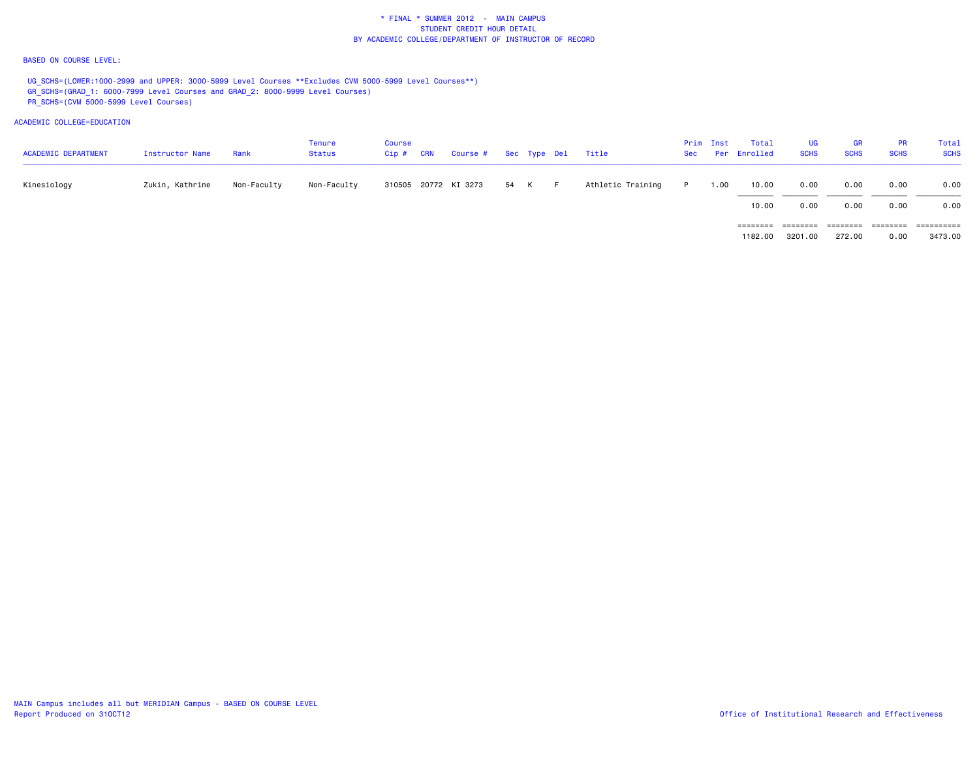### BASED ON COURSE LEVEL:

UG SCHS=(LOWER:1000-2999 and UPPER: 3000-5999 Level Courses \*\*Excludes CVM 5000-5999 Level Courses\*\*) GR\_SCHS=(GRAD\_1: 6000-7999 Level Courses and GRAD\_2: 8000-9999 Level Courses) PR\_SCHS=(CVM 5000-5999 Level Courses)

ACADEMIC COLLEGE=EDUCATION

| <b>ACADEMIC DEPARTMENT</b> | Instructor Name | Rank        | Tenure<br><b>Status</b> | <b>Course</b><br>$Cip$ # | <b>CRN</b> | Course # Sec Type Del |      |     | Title             |          | Prim Inst | Total<br>Sec Per Enrolled | UG<br><b>SCHS</b> | <b>GR</b><br><b>SCHS</b> | <b>PR</b><br><b>SCHS</b> | Total<br><b>SCHS</b> |
|----------------------------|-----------------|-------------|-------------------------|--------------------------|------------|-----------------------|------|-----|-------------------|----------|-----------|---------------------------|-------------------|--------------------------|--------------------------|----------------------|
| Kinesiology                | Zukin, Kathrine | Non-Faculty | Non-Faculty             |                          |            | 310505 20772 KI 3273  | 54 K | - F | Athletic Training | <b>D</b> | 1.00      | 10.00                     | 0.00              | 0.00                     | 0.00                     | 0.00                 |
|                            |                 |             |                         |                          |            |                       |      |     |                   |          |           | 10.00                     | 0.00              | 0.00                     | 0.00                     | 0.00                 |
|                            |                 |             |                         |                          |            |                       |      |     |                   |          |           | ========                  | ========          | ========                 | ========                 | ==========           |

3473.00 1182.00 3201.00 272.00 0.00 3473.00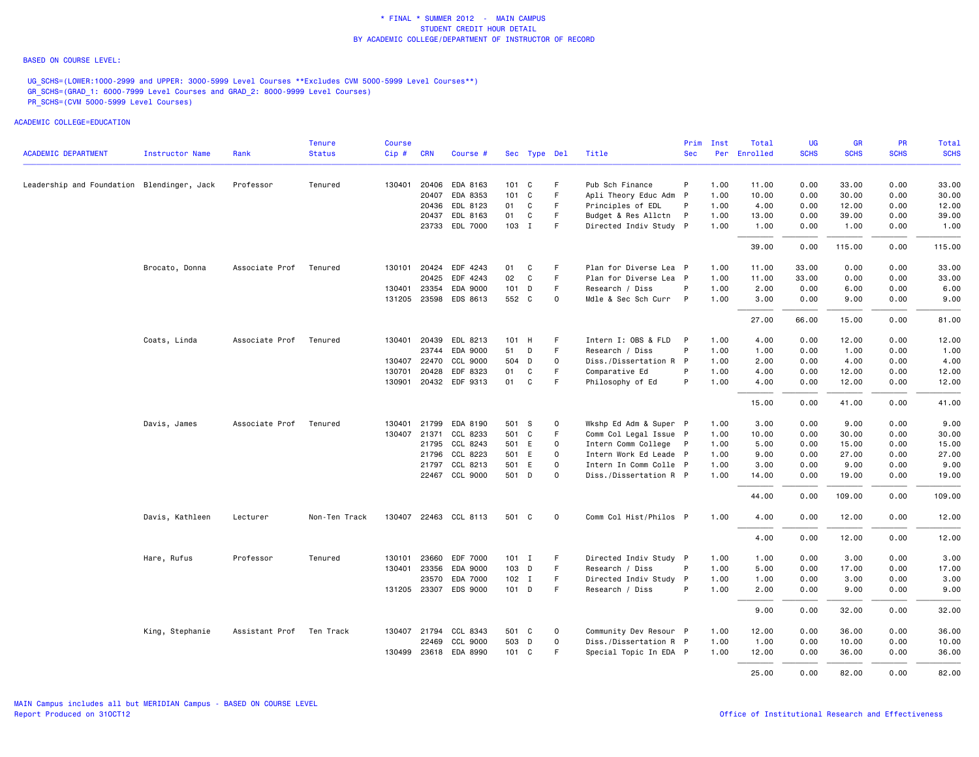### BASED ON COURSE LEVEL:

UG\_SCHS=(LOWER:1000-2999 and UPPER: 3000-5999 Level Courses \*\*Excludes CVM 5000-5999 Level Courses\*\*) GR\_SCHS=(GRAD\_1: 6000-7999 Level Courses and GRAD\_2: 8000-9999 Level Courses) PR\_SCHS=(CVM 5000-5999 Level Courses)

|                                            |                 |                          | <b>Tenure</b> | Course |            |                       |    |               |             |                        | Prim       | Inst | Total        | <b>UG</b>   | <b>GR</b>   | <b>PR</b>   | Total       |
|--------------------------------------------|-----------------|--------------------------|---------------|--------|------------|-----------------------|----|---------------|-------------|------------------------|------------|------|--------------|-------------|-------------|-------------|-------------|
| <b>ACADEMIC DEPARTMENT</b>                 | Instructor Name | Rank                     | <b>Status</b> | Cip#   | <b>CRN</b> | Course #              |    | Sec Type Del  |             | Title                  | <b>Sec</b> |      | Per Enrolled | <b>SCHS</b> | <b>SCHS</b> | <b>SCHS</b> | <b>SCHS</b> |
| Leadership and Foundation Blendinger, Jack |                 | Professor                | Tenured       | 130401 |            | 20406 EDA 8163        |    | 101 C         | F           | Pub Sch Finance        | P          | 1.00 | 11.00        | 0.00        | 33.00       | 0.00        | 33.00       |
|                                            |                 |                          |               |        | 20407      | EDA 8353              |    | $101 \quad C$ | F           | Apli Theory Educ Adm P |            | 1.00 | 10.00        | 0.00        | 30.00       | 0.00        | 30.00       |
|                                            |                 |                          |               |        |            | 20436 EDL 8123        | 01 | C             | F           | Principles of EDL      |            | 1.00 | 4.00         | 0.00        | 12.00       | 0.00        | 12.00       |
|                                            |                 |                          |               |        | 20437      | EDL 8163              | 01 | $\mathtt{C}$  | $\mathsf F$ | Budget & Res Allctn    | P          | 1.00 | 13.00        | 0.00        | 39.00       | 0.00        | 39.00       |
|                                            |                 |                          |               |        |            | 23733 EDL 7000        |    | 103 I         | F           | Directed Indiv Study P |            | 1.00 | 1.00         | 0.00        | 1.00        | 0.00        | 1.00        |
|                                            |                 |                          |               |        |            |                       |    |               |             |                        |            |      | 39.00        | 0.00        | 115.00      | 0.00        | 115.00      |
|                                            | Brocato, Donna  | Associate Prof           | Tenured       |        |            | 130101 20424 EDF 4243 | 01 | C             | F           | Plan for Diverse Lea P |            | 1.00 | 11.00        | 33.00       | 0.00        | 0.00        | 33.00       |
|                                            |                 |                          |               |        | 20425      | EDF 4243              | 02 | C             | $\mathsf F$ | Plan for Diverse Lea P |            | 1.00 | 11.00        | 33.00       | 0.00        | 0.00        | 33.00       |
|                                            |                 |                          |               | 130401 | 23354      | EDA 9000              |    | $101$ D       | $\mathsf F$ | Research / Diss        | P          | 1.00 | 2.00         | 0.00        | 6.00        | 0.00        | 6.00        |
|                                            |                 |                          |               |        |            | 131205 23598 EDS 8613 |    | 552 C         | $\circ$     | Mdle & Sec Sch Curr    | P          | 1.00 | 3.00         | 0.00        | 9.00        | 0.00        | 9.00        |
|                                            |                 |                          |               |        |            |                       |    |               |             |                        |            |      | 27.00        | 66.00       | 15.00       | 0.00        | 81.00       |
|                                            | Coats, Linda    | Associate Prof           | Tenured       |        |            | 130401 20439 EDL 8213 |    | 101 H         | F           | Intern I: OBS & FLD P  |            | 1.00 | 4.00         | 0.00        | 12.00       | 0.00        | 12.00       |
|                                            |                 |                          |               |        |            | 23744 EDA 9000        | 51 | D             | $\mathsf F$ | Research / Diss        | P          | 1.00 | 1.00         | 0.00        | 1.00        | 0.00        | 1.00        |
|                                            |                 |                          |               | 130407 | 22470      | CCL 9000              |    | 504 D         | $\mathbf 0$ | Diss./Dissertation R P |            | 1.00 | 2.00         | 0.00        | 4.00        | 0.00        | 4.00        |
|                                            |                 |                          |               | 130701 | 20428      | EDF 8323              | 01 | C             | F           | Comparative Ed         | P          | 1.00 | 4.00         | 0.00        | 12.00       | 0.00        | 12.00       |
|                                            |                 |                          |               | 130901 |            | 20432 EDF 9313        | 01 | C             | F           | Philosophy of Ed       | P          | 1.00 | 4.00         | 0.00        | 12.00       | 0.00        | 12.00       |
|                                            |                 |                          |               |        |            |                       |    |               |             |                        |            |      | 15.00        | 0.00        | 41.00       | 0.00        | 41.00       |
|                                            | Davis, James    | Associate Prof           | Tenured       | 130401 | 21799      | EDA 8190              |    | 501 S         | $\mathbf 0$ | Wkshp Ed Adm & Super P |            | 1.00 | 3.00         | 0.00        | 9.00        | 0.00        | 9.00        |
|                                            |                 |                          |               | 130407 |            | 21371 CCL 8233        |    | 501 C         | E           | Comm Col Legal Issue P |            | 1.00 | 10.00        | 0.00        | 30.00       | 0.00        | 30.00       |
|                                            |                 |                          |               |        |            | 21795 CCL 8243        |    | 501 E         | $\circ$     | Intern Comm College P  |            | 1.00 | 5.00         | 0.00        | 15.00       | 0.00        | 15.00       |
|                                            |                 |                          |               |        | 21796      | CCL 8223              |    | 501 E         | $\circ$     | Intern Work Ed Leade P |            | 1.00 | 9.00         | 0.00        | 27.00       | 0.00        | 27.00       |
|                                            |                 |                          |               |        |            | 21797 CCL 8213        |    | 501 E         | $\mathbf 0$ | Intern In Comm Colle P |            | 1.00 | 3.00         | 0.00        | 9.00        | 0.00        | 9.00        |
|                                            |                 |                          |               |        |            | 22467 CCL 9000        |    | 501 D         | $\mathbf 0$ | Diss./Dissertation R P |            | 1.00 | 14.00        | 0.00        | 19.00       | 0.00        | 19.00       |
|                                            |                 |                          |               |        |            |                       |    |               |             |                        |            |      | 44.00        | 0.00        | 109.00      | 0.00        | 109.00      |
|                                            | Davis, Kathleen | Lecturer                 | Non-Ten Track |        |            | 130407 22463 CCL 8113 |    | 501 C         | $\mathbf 0$ | Comm Col Hist/Philos P |            | 1.00 | 4.00         | 0.00        | 12.00       | 0.00        | 12.00       |
|                                            |                 |                          |               |        |            |                       |    |               |             |                        |            |      | 4.00         | 0.00        | 12.00       | 0.00        | 12.00       |
|                                            | Hare, Rufus     | Professor                | Tenured       | 130101 | 23660      | EDF 7000              |    | $101$ I       | F           | Directed Indiv Study P |            | 1.00 | 1.00         | 0.00        | 3.00        | 0.00        | 3.00        |
|                                            |                 |                          |               | 130401 | 23356      | EDA 9000              |    | 103 D         | F           | Research / Diss        | P          | 1.00 | 5.00         | 0.00        | 17.00       | 0.00        | 17.00       |
|                                            |                 |                          |               |        | 23570      | EDA 7000              |    | $102$ I       | E           | Directed Indiv Study P |            | 1.00 | 1.00         | 0.00        | 3.00        | 0.00        | 3.00        |
|                                            |                 |                          |               |        |            | 131205 23307 EDS 9000 |    | $101$ D       | F           | Research / Diss        | P          | 1.00 | 2.00         | 0.00        | 9.00        | 0.00        | 9.00        |
|                                            |                 |                          |               |        |            |                       |    |               |             |                        |            |      | 9.00         | 0.00        | 32.00       | 0.00        | 32.00       |
|                                            | King, Stephanie | Assistant Prof Ten Track |               |        |            | 130407 21794 CCL 8343 |    | 501 C         | $\circ$     | Community Dev Resour P |            | 1.00 | 12.00        | 0.00        | 36.00       | 0.00        | 36.00       |
|                                            |                 |                          |               |        | 22469      | CCL 9000              |    | 503 D         | $\mathbf 0$ | Diss./Dissertation R P |            | 1.00 | 1.00         | 0.00        | 10.00       | 0.00        | 10.00       |
|                                            |                 |                          |               |        |            | 130499 23618 EDA 8990 |    | 101 C         | E           | Special Topic In EDA P |            | 1.00 | 12.00        | 0.00        | 36.00       | 0.00        | 36.00       |
|                                            |                 |                          |               |        |            |                       |    |               |             |                        |            |      | 25.00        | 0.00        | 82.00       | 0.00        | 82.00       |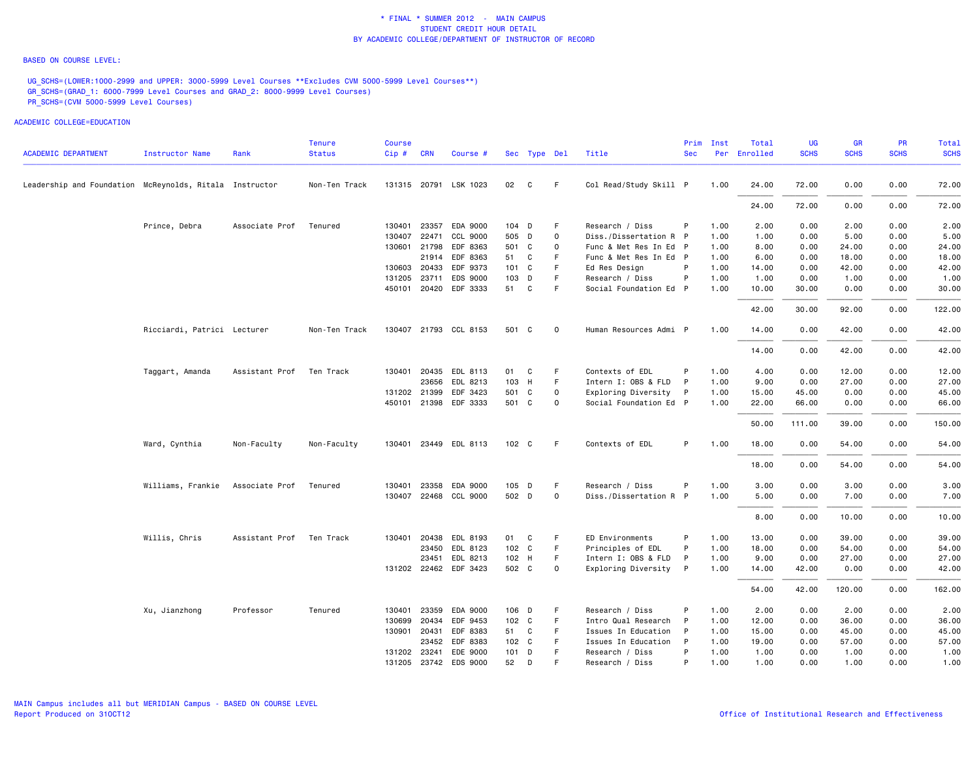#### BASED ON COURSE LEVEL:

UG\_SCHS=(LOWER:1000-2999 and UPPER: 3000-5999 Level Courses \*\*Excludes CVM 5000-5999 Level Courses\*\*) GR\_SCHS=(GRAD\_1: 6000-7999 Level Courses and GRAD\_2: 8000-9999 Level Courses) PR\_SCHS=(CVM 5000-5999 Level Courses)

| <b>ACADEMIC DEPARTMENT</b>                              | <b>Instructor Name</b>      | Rank           | <b>Tenure</b><br><b>Status</b> | <b>Course</b><br>Cip# | <b>CRN</b>     | Course #              |                  | Sec Type Del |             | Title                                  | <b>Sec</b> | Prim Inst    | Total<br>Per Enrolled | <b>UG</b><br><b>SCHS</b> | <b>GR</b><br><b>SCHS</b> | <b>PR</b><br><b>SCHS</b> | Total<br><b>SCHS</b> |
|---------------------------------------------------------|-----------------------------|----------------|--------------------------------|-----------------------|----------------|-----------------------|------------------|--------------|-------------|----------------------------------------|------------|--------------|-----------------------|--------------------------|--------------------------|--------------------------|----------------------|
|                                                         |                             |                |                                |                       |                |                       |                  |              |             |                                        |            |              |                       |                          |                          |                          |                      |
| Leadership and Foundation McReynolds, Ritala Instructor |                             |                | Non-Ten Track                  |                       |                | 131315 20791 LSK 1023 | 02               | C            | F           | Col Read/Study Skill P                 |            | 1.00         | 24.00                 | 72.00                    | 0.00                     | 0.00                     | 72.00                |
|                                                         |                             |                |                                |                       |                |                       |                  |              |             |                                        |            |              | 24.00                 | 72.00                    | 0.00                     | 0.00                     | 72.00                |
|                                                         | Prince, Debra               | Associate Prof | Tenured                        | 130401                |                | 23357 EDA 9000        | 104 D            |              | F           | Research / Diss                        | P          | 1.00         | 2.00                  | 0.00                     | 2.00                     | 0.00                     | 2.00                 |
|                                                         |                             |                |                                | 130407                | 22471          | CCL 9000              | 505 D            |              | $\mathbf 0$ | Diss./Dissertation R P                 |            | 1.00         | 1.00                  | 0.00                     | 5.00                     | 0.00                     | 5.00                 |
|                                                         |                             |                |                                | 130601 21798          |                | EDF 8363              | 501 C            |              | $\Omega$    | Func & Met Res In Ed P                 |            | 1.00         | 8.00                  | 0.00                     | 24.00                    | 0.00                     | 24.00                |
|                                                         |                             |                |                                |                       |                | 21914 EDF 8363        | 51 C             |              | F           | Func & Met Res In Ed P                 |            | 1.00         | 6.00                  | 0.00                     | 18.00                    | 0.00                     | 18.00                |
|                                                         |                             |                |                                | 130603                | 20433          | EDF 9373              | $101 \quad C$    |              | F           | Ed Res Design                          |            | 1.00         | 14.00                 | 0.00                     | 42.00                    | 0.00                     | 42.00                |
|                                                         |                             |                |                                | 131205                | 23711          | EDS 9000              | 103 D            |              | F           | Research / Diss                        | P          | 1.00         | 1.00                  | 0.00                     | 1.00                     | 0.00                     | 1.00                 |
|                                                         |                             |                |                                |                       |                | 450101 20420 EDF 3333 | 51               | $\mathbf{C}$ | F           | Social Foundation Ed P                 |            | 1.00         | 10.00                 | 30.00                    | 0.00                     | 0.00                     | 30.00                |
|                                                         |                             |                |                                |                       |                |                       |                  |              |             |                                        |            |              | 42.00                 | 30.00                    | 92.00                    | 0.00                     | 122.00               |
|                                                         | Ricciardi, Patrici Lecturer |                | Non-Ten Track                  |                       |                | 130407 21793 CCL 8153 | 501 C            |              | $\circ$     | Human Resources Admi P                 |            | 1.00         | 14.00                 | 0.00                     | 42.00                    | 0.00                     | 42.00                |
|                                                         |                             |                |                                |                       |                |                       |                  |              |             |                                        |            |              | 14.00                 | 0.00                     | 42.00                    | 0.00                     | 42.00                |
|                                                         |                             |                |                                |                       |                |                       |                  |              |             |                                        |            |              |                       |                          |                          |                          |                      |
|                                                         | Taggart, Amanda             | Assistant Prof | Ten Track                      | 130401                | 20435<br>23656 | EDL 8113<br>EDL 8213  | 01<br>103 H      | C            | F<br>F      | Contexts of EDL<br>Intern I: OBS & FLD | P<br>P     | 1.00<br>1.00 | 4.00<br>9.00          | 0.00<br>0.00             | 12.00<br>27.00           | 0.00<br>0.00             | 12.00<br>27.00       |
|                                                         |                             |                |                                | 131202 21399          |                | EDF 3423              | 501 C            |              | $\mathbf 0$ | Exploring Diversity                    | P          | 1.00         | 15.00                 | 45.00                    | 0.00                     | 0.00                     | 45.00                |
|                                                         |                             |                |                                |                       |                | 450101 21398 EDF 3333 | 501 C            |              | $\mathbf 0$ | Social Foundation Ed P                 |            | 1.00         | 22.00                 | 66.00                    | 0.00                     | 0.00                     | 66.00                |
|                                                         |                             |                |                                |                       |                |                       |                  |              |             |                                        |            |              |                       |                          |                          |                          |                      |
|                                                         |                             |                |                                |                       |                |                       |                  |              |             |                                        |            |              | 50.00                 | 111.00                   | 39.00                    | 0.00                     | 150.00               |
|                                                         | Ward, Cynthia               | Non-Faculty    | Non-Faculty                    |                       |                | 130401 23449 EDL 8113 | 102 C            |              | F           | Contexts of EDL                        | P.         | 1.00         | 18.00                 | 0.00                     | 54.00                    | 0.00                     | 54.00                |
|                                                         |                             |                |                                |                       |                |                       |                  |              |             |                                        |            |              | 18.00                 | 0.00                     | 54.00                    | 0.00                     | 54.00                |
|                                                         | Williams, Frankie           | Associate Prof | Tenured                        | 130401                |                | 23358 EDA 9000        | 105 D            |              | F           | Research / Diss                        | P          | 1.00         | 3.00                  | 0.00                     | 3.00                     | 0.00                     | 3.00                 |
|                                                         |                             |                |                                |                       |                | 130407 22468 CCL 9000 | 502 D            |              | $\mathbf 0$ | Diss./Dissertation R P                 |            | 1.00         | 5.00                  | 0.00                     | 7.00                     | 0.00                     | 7.00                 |
|                                                         |                             |                |                                |                       |                |                       |                  |              |             |                                        |            |              | 8.00                  | 0.00                     | 10.00                    | 0.00                     | 10.00                |
|                                                         | Willis, Chris               | Assistant Prof | Ten Track                      | 130401                | 20438          | EDL 8193              | 01 C             |              | F           | ED Environments                        | P          | 1.00         | 13.00                 | 0.00                     | 39.00                    | 0.00                     | 39.00                |
|                                                         |                             |                |                                |                       | 23450          | EDL 8123              | 102 C            |              | F           | Principles of EDL                      | P          | 1.00         | 18.00                 | 0.00                     | 54.00                    | 0.00                     | 54.00                |
|                                                         |                             |                |                                |                       | 23451          | EDL 8213              | 102 H            |              | F           | Intern I: OBS & FLD                    | P          | 1.00         | 9.00                  | 0.00                     | 27.00                    | 0.00                     | 27.00                |
|                                                         |                             |                |                                |                       |                | 131202 22462 EDF 3423 | 502 C            |              | $\circ$     | Exploring Diversity                    | P          | 1.00         | 14.00                 | 42.00                    | 0.00                     | 0.00                     | 42.00                |
|                                                         |                             |                |                                |                       |                |                       |                  |              |             |                                        |            |              | 54.00                 | 42.00                    | 120.00                   | 0.00                     | 162.00               |
|                                                         | Xu, Jianzhong               | Professor      | Tenured                        | 130401                | 23359          | EDA 9000              | 106 D            |              | F           | Research / Diss                        | P          | 1.00         | 2.00                  | 0.00                     | 2.00                     | 0.00                     | 2.00                 |
|                                                         |                             |                |                                | 130699                |                | 20434 EDF 9453        | 102 C            |              | F           | Intro Qual Research                    | P          | 1.00         | 12.00                 | 0.00                     | 36.00                    | 0.00                     | 36.00                |
|                                                         |                             |                |                                | 130901                |                | 20431 EDF 8383        | 51 C             |              | F           | Issues In Education                    | P          | 1.00         | 15.00                 | 0.00                     | 45.00                    | 0.00                     | 45.00                |
|                                                         |                             |                |                                |                       |                | 23452 EDF 8383        | 102 <sub>c</sub> |              | F           | Issues In Education                    | P          | 1.00         | 19.00                 | 0.00                     | 57.00                    | 0.00                     | 57.00                |
|                                                         |                             |                |                                | 131202 23241          |                | EDE 9000              | 101 D            |              | F           | Research / Diss                        | P          | 1.00         | 1.00                  | 0.00                     | 1.00                     | 0.00                     | 1.00                 |
|                                                         |                             |                |                                |                       |                | 131205 23742 EDS 9000 | 52               | D            | E           | Research / Diss                        | P          | 1.00         | 1.00                  | 0.00                     | 1.00                     | 0.00                     | 1.00                 |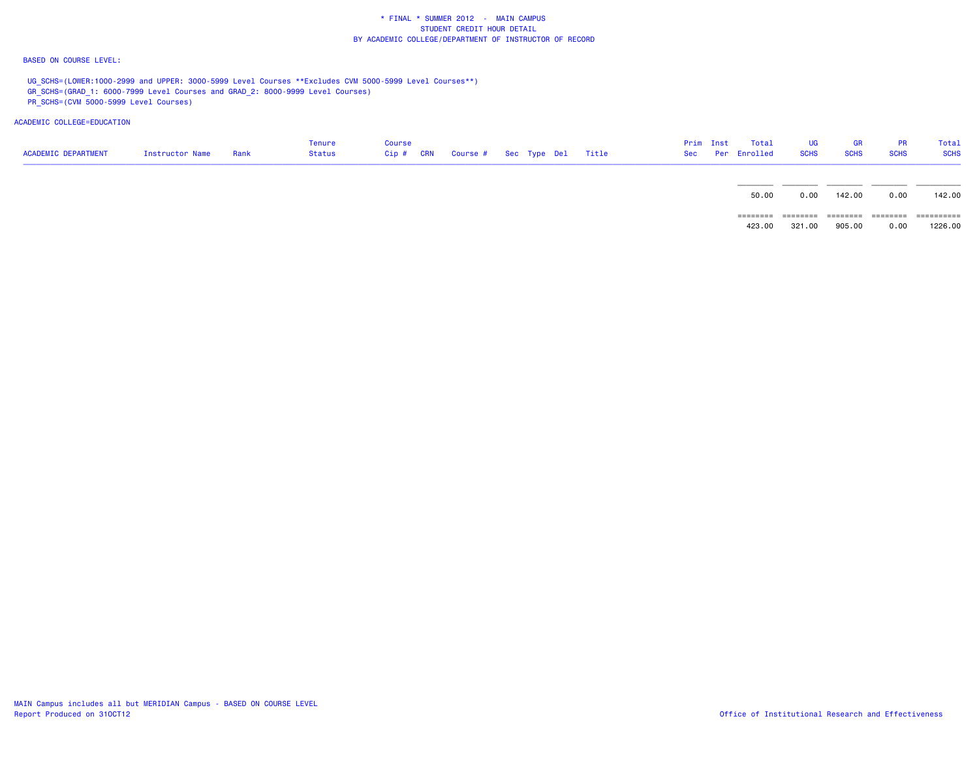### BASED ON COURSE LEVEL:

UG\_SCHS=(LOWER:1000-2999 and UPPER: 3000-5999 Level Courses \*\*Excludes CVM 5000-5999 Level Courses\*\*) GR\_SCHS=(GRAD\_1: 6000-7999 Level Courses and GRAD\_2: 8000-9999 Level Courses)

PR\_SCHS=(CVM 5000-5999 Level Courses)

| <b>ACADEMIC DEPARTMENT</b> | Instructor Name | Rank | Tenure<br>Status | Course<br>Cip # CRN | Course # Sec Type Del Title |  |  | Prim Inst | Total<br>Sec Per Enrolled | UG<br><b>SCHS</b>  | GR<br><b>SCHS</b>  | <b>PR</b><br><b>SCHS</b> | Total<br><b>SCHS</b>  |
|----------------------------|-----------------|------|------------------|---------------------|-----------------------------|--|--|-----------|---------------------------|--------------------|--------------------|--------------------------|-----------------------|
|                            |                 |      |                  |                     |                             |  |  |           | 50.00                     | 0.00               | 142.00             | 0.00                     | 142.00                |
|                            |                 |      |                  |                     |                             |  |  |           | ========<br>423.00        | ========<br>321.00 | ========<br>905.00 | ========<br>0.00         | ==========<br>1226,00 |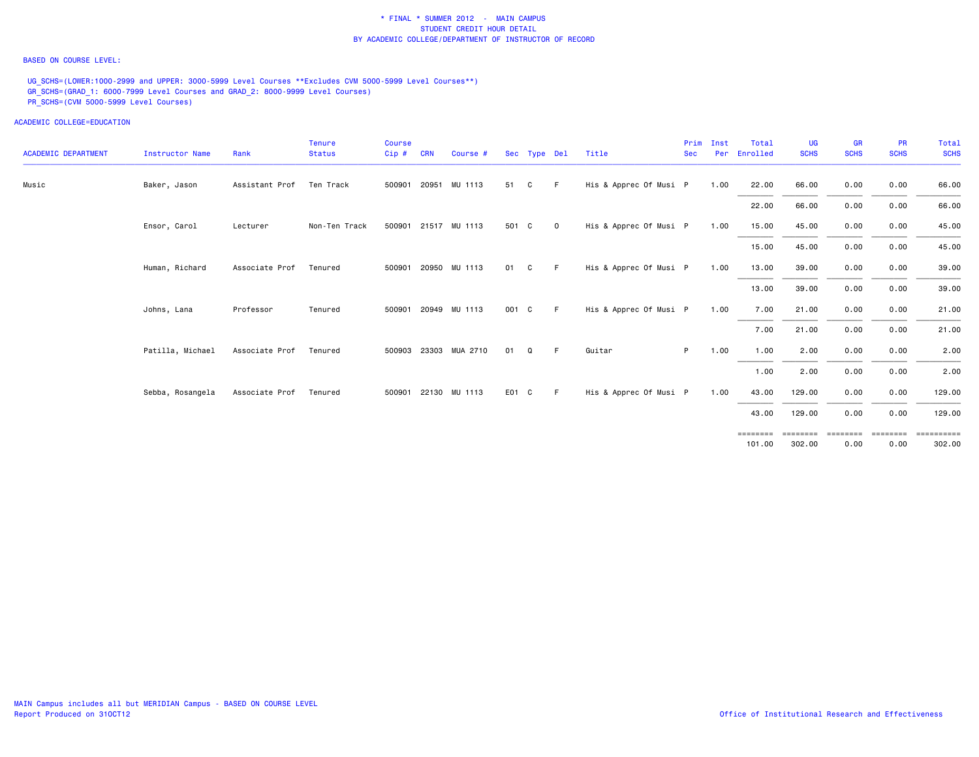### BASED ON COURSE LEVEL:

UG\_SCHS=(LOWER:1000-2999 and UPPER: 3000-5999 Level Courses \*\*Excludes CVM 5000-5999 Level Courses\*\*) GR\_SCHS=(GRAD\_1: 6000-7999 Level Courses and GRAD\_2: 8000-9999 Level Courses) PR\_SCHS=(CVM 5000-5999 Level Courses)

| <b>ACADEMIC DEPARTMENT</b> | <b>Instructor Name</b> | Rank           | Tenure<br><b>Status</b> | <b>Course</b><br>Cip# | <b>CRN</b>   | Course #              |       | Sec Type Del |              | Title                  | Prim<br><b>Sec</b> | Inst<br>Per | Total<br>Enrolled  | <b>UG</b><br><b>SCHS</b> | <b>GR</b><br><b>SCHS</b> | <b>PR</b><br><b>SCHS</b> | <b>Total</b><br><b>SCHS</b> |
|----------------------------|------------------------|----------------|-------------------------|-----------------------|--------------|-----------------------|-------|--------------|--------------|------------------------|--------------------|-------------|--------------------|--------------------------|--------------------------|--------------------------|-----------------------------|
| Music                      | Baker, Jason           | Assistant Prof | Ten Track               |                       | 500901 20951 | MU 1113               | 51    | C            | -F.          | His & Apprec Of Musi P |                    | 1.00        | 22.00              | 66.00                    | 0.00                     | 0.00                     | 66.00                       |
|                            |                        |                |                         |                       |              |                       |       |              |              |                        |                    |             | 22.00              | 66.00                    | 0.00                     | 0.00                     | 66.00                       |
|                            | Ensor, Carol           | Lecturer       | Non-Ten Track           |                       |              | 500901 21517 MU 1113  | 501 C |              | $\mathbf{O}$ | His & Apprec Of Musi P |                    | 1.00        | 15.00              | 45.00                    | 0.00                     | 0.00                     | 45.00                       |
|                            |                        |                |                         |                       |              |                       |       |              |              |                        |                    |             | 15.00              | 45.00                    | 0.00                     | 0.00                     | 45.00                       |
|                            | Human, Richard         | Associate Prof | Tenured                 |                       |              | 500901 20950 MU 1113  | 01    | C            | F.           | His & Apprec Of Musi P |                    | 1.00        | 13.00              | 39.00                    | 0.00                     | 0.00                     | 39.00                       |
|                            |                        |                |                         |                       |              |                       |       |              |              |                        |                    |             | 13.00              | 39.00                    | 0.00                     | 0.00                     | 39.00                       |
|                            | Johns, Lana            | Professor      | Tenured                 |                       |              | 500901 20949 MU 1113  | 001 C |              | F.           | His & Apprec Of Musi P |                    | 1.00        | 7.00               | 21.00                    | 0.00                     | 0.00                     | 21.00                       |
|                            |                        |                |                         |                       |              |                       |       |              |              |                        |                    |             | 7.00               | 21.00                    | 0.00                     | 0.00                     | 21.00                       |
|                            | Patilla, Michael       | Associate Prof | Tenured                 |                       |              | 500903 23303 MUA 2710 | 01    | Q            | F.           | Guitar                 | P.                 | 1.00        | 1.00               | 2.00                     | 0.00                     | 0.00                     | 2.00                        |
|                            |                        |                |                         |                       |              |                       |       |              |              |                        |                    |             | 1.00               | 2.00                     | 0.00                     | 0.00                     | 2.00                        |
|                            | Sebba, Rosangela       | Associate Prof | Tenured                 |                       |              | 500901 22130 MU 1113  | E01 C |              | F.           | His & Apprec Of Musi P |                    | 1.00        | 43.00              | 129.00                   | 0.00                     | 0.00                     | 129.00                      |
|                            |                        |                |                         |                       |              |                       |       |              |              |                        |                    |             | 43.00              | 129.00                   | 0.00                     | 0.00                     | 129.00                      |
|                            |                        |                |                         |                       |              |                       |       |              |              |                        |                    |             | ========<br>101.00 | ========<br>302.00       | eeeeeee<br>0.00          | ========<br>0.00         | ==========<br>302.00        |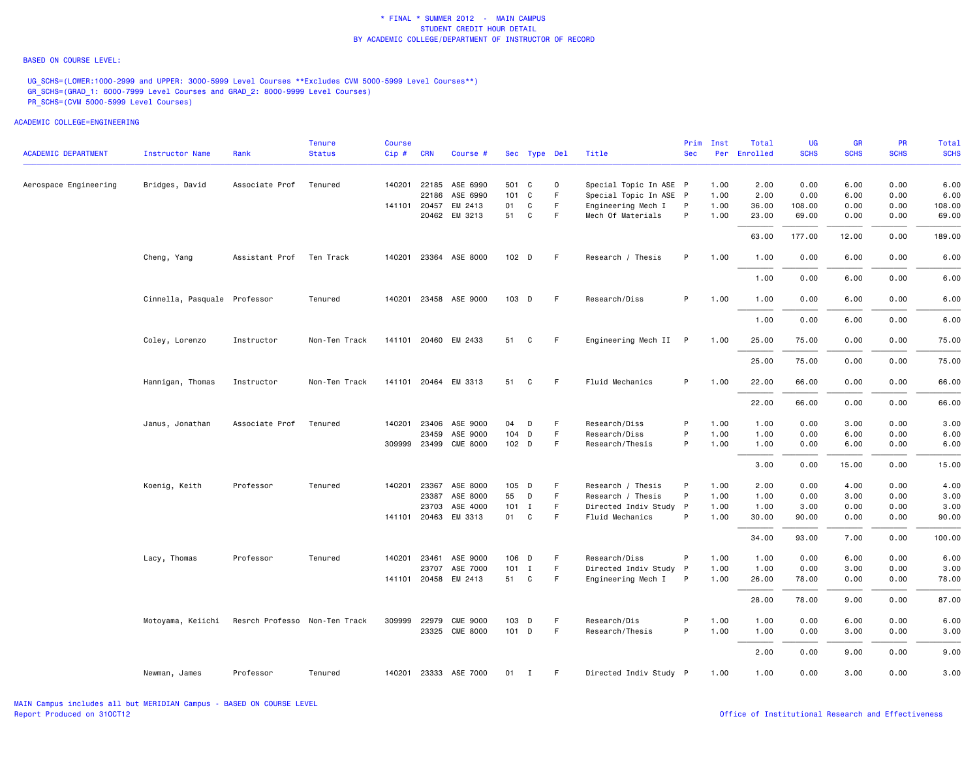### BASED ON COURSE LEVEL:

UG\_SCHS=(LOWER:1000-2999 and UPPER: 3000-5999 Level Courses \*\*Excludes CVM 5000-5999 Level Courses\*\*) GR\_SCHS=(GRAD\_1: 6000-7999 Level Courses and GRAD\_2: 8000-9999 Level Courses) PR\_SCHS=(CVM 5000-5999 Level Courses)

|                            |                              |                               | Tenure        | <b>Course</b> |              |                       |                  |         |              |                        | Prim       | Inst | Total    | UG          | <b>GR</b>   | <b>PR</b>   | Tota]       |
|----------------------------|------------------------------|-------------------------------|---------------|---------------|--------------|-----------------------|------------------|---------|--------------|------------------------|------------|------|----------|-------------|-------------|-------------|-------------|
| <b>ACADEMIC DEPARTMENT</b> | <b>Instructor Name</b>       | Rank                          | <b>Status</b> | Cip#          | <b>CRN</b>   | Course #              |                  |         | Sec Type Del | Title                  | <b>Sec</b> | Per  | Enrolled | <b>SCHS</b> | <b>SCHS</b> | <b>SCHS</b> | <b>SCHS</b> |
| Aerospace Engineering      | Bridges, David               | Associate Prof                | Tenured       |               |              | 140201 22185 ASE 6990 |                  | 501 C   | $\mathbf 0$  | Special Topic In ASE P |            | 1.00 | 2.00     | 0.00        | 6.00        | 0.00        | 6.00        |
|                            |                              |                               |               |               | 22186        | ASE 6990              |                  | 101 C   | $\mathsf F$  | Special Topic In ASE P |            | 1.00 | 2.00     | 0.00        | 6.00        | 0.00        | 6.00        |
|                            |                              |                               |               |               | 141101 20457 | EM 2413               | 01               | C       | F            | Engineering Mech I     | P          | 1.00 | 36.00    | 108.00      | 0.00        | 0.00        | 108.00      |
|                            |                              |                               |               |               |              | 20462 EM 3213         | 51               | C       | F            | Mech Of Materials      | P          | 1.00 | 23.00    | 69.00       | 0.00        | 0.00        | 69.00       |
|                            |                              |                               |               |               |              |                       |                  |         |              |                        |            |      | 63.00    | 177.00      | 12.00       | 0.00        | 189.00      |
|                            | Cheng, Yang                  | Assistant Prof Ten Track      |               |               |              | 140201 23364 ASE 8000 | 102 <sub>D</sub> |         | F            | Research / Thesis      | P          | 1.00 | 1.00     | 0.00        | 6.00        | 0.00        | 6.00        |
|                            |                              |                               |               |               |              |                       |                  |         |              |                        |            |      | 1.00     | 0.00        | 6.00        | 0.00        | 6.00        |
|                            | Cinnella, Pasquale Professor |                               | Tenured       |               |              | 140201 23458 ASE 9000 |                  | 103 D   | F            | Research/Diss          | P          | 1.00 | 1.00     | 0.00        | 6.00        | 0.00        | 6.00        |
|                            |                              |                               |               |               |              |                       |                  |         |              |                        |            |      | 1.00     | 0.00        | 6.00        | 0.00        | 6.00        |
|                            | Coley, Lorenzo               | Instructor                    | Non-Ten Track |               |              | 141101 20460 EM 2433  | 51               | C       | F            | Engineering Mech II    | P          | 1.00 | 25.00    | 75.00       | 0.00        | 0.00        | 75.00       |
|                            |                              |                               |               |               |              |                       |                  |         |              |                        |            |      | 25.00    | 75.00       | 0.00        | 0.00        | 75.00       |
|                            | Hannigan, Thomas             | Instructor                    | Non-Ten Track |               |              | 141101 20464 EM 3313  | 51               | C       | F            | Fluid Mechanics        | P.         | 1.00 | 22.00    | 66.00       | 0.00        | 0.00        | 66.00       |
|                            |                              |                               |               |               |              |                       |                  |         |              |                        |            |      | 22.00    | 66.00       | 0.00        | 0.00        | 66.00       |
|                            | Janus, Jonathan              | Associate Prof                | Tenured       | 140201        |              | 23406 ASE 9000        | 04               | D       | F            | Research/Diss          | P          | 1.00 | 1.00     | 0.00        | 3.00        | 0.00        | 3.00        |
|                            |                              |                               |               |               | 23459        | ASE 9000              |                  | 104 D   | $\mathsf F$  | Research/Diss          | P          | 1.00 | 1.00     | 0.00        | 6.00        | 0.00        | 6.00        |
|                            |                              |                               |               |               |              | 309999 23499 CME 8000 |                  | 102 D   | F            | Research/Thesis        | P          | 1.00 | 1.00     | 0.00        | 6.00        | 0.00        | 6.00        |
|                            |                              |                               |               |               |              |                       |                  |         |              |                        |            |      | 3.00     | 0.00        | 15.00       | 0.00        | 15.00       |
|                            | Koenig, Keith                | Professor                     | Tenured       | 140201        | 23367        | ASE 8000              |                  | 105 D   | F            | Research / Thesis      | P          | 1.00 | 2.00     | 0.00        | 4.00        | 0.00        | 4.00        |
|                            |                              |                               |               |               |              | 23387 ASE 8000        | 55               | D       | F            | Research / Thesis      | P          | 1.00 | 1.00     | 0.00        | 3.00        | 0.00        | 3.00        |
|                            |                              |                               |               |               | 23703        | ASE 4000              |                  | $101$ I | $\mathsf F$  | Directed Indiv Study P |            | 1.00 | 1.00     | 3.00        | 0.00        | 0.00        | 3.00        |
|                            |                              |                               |               |               |              | 141101 20463 EM 3313  |                  | 01 C    | F            | Fluid Mechanics        | P          | 1.00 | 30.00    | 90.00       | 0.00        | 0.00        | 90.00       |
|                            |                              |                               |               |               |              |                       |                  |         |              |                        |            |      | 34.00    | 93.00       | 7.00        | 0.00        | 100.00      |
|                            | Lacy, Thomas                 | Professor                     | Tenured       | 140201        | 23461        | ASE 9000              |                  | 106 D   | F            | Research/Diss          | P          | 1.00 | 1.00     | 0.00        | 6.00        | 0.00        | 6.00        |
|                            |                              |                               |               |               |              | 23707 ASE 7000        |                  | $101$ I | $\mathsf F$  | Directed Indiv Study P |            | 1.00 | 1.00     | 0.00        | 3.00        | 0.00        | 3.00        |
|                            |                              |                               |               |               |              | 141101 20458 EM 2413  |                  | 51 C    | F.           | Engineering Mech I     | P          | 1.00 | 26.00    | 78.00       | 0.00        | 0.00        | 78.00       |
|                            |                              |                               |               |               |              |                       |                  |         |              |                        |            |      | 28.00    | 78.00       | 9.00        | 0.00        | 87.00       |
|                            | Motoyama, Keiichi            | Resrch Professo Non-Ten Track |               | 309999        | 22979        | <b>CME 9000</b>       |                  | 103 D   | $\mathsf F$  | Research/Dis           | P          | 1.00 | 1.00     | 0.00        | 6.00        | 0.00        | 6.00        |
|                            |                              |                               |               |               |              | 23325 CME 8000        |                  | $101$ D | F            | Research/Thesis        | P          | 1.00 | 1.00     | 0.00        | 3.00        | 0.00        | 3.00        |
|                            |                              |                               |               |               |              |                       |                  |         |              |                        |            |      | 2.00     | 0.00        | 9.00        | 0.00        | 9.00        |
|                            | Newman, James                | Professor                     | Tenured       |               |              | 140201 23333 ASE 7000 |                  | 01 I    | F            | Directed Indiv Study P |            | 1.00 | 1.00     | 0.00        | 3.00        | 0.00        | 3.00        |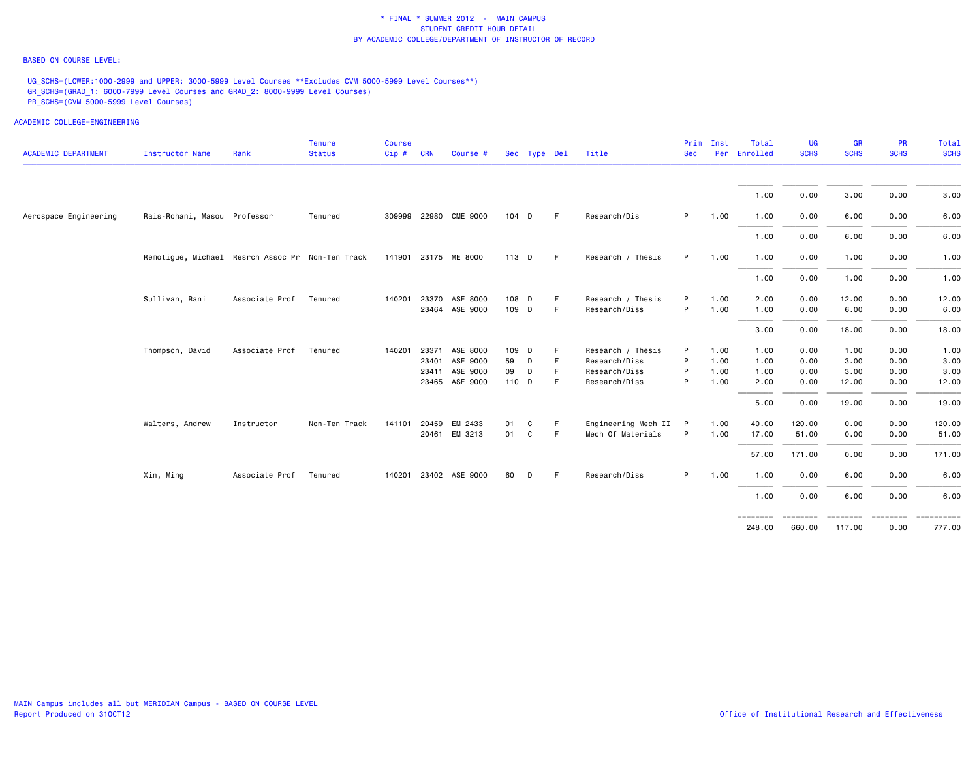### BASED ON COURSE LEVEL:

UG\_SCHS=(LOWER:1000-2999 and UPPER: 3000-5999 Level Courses \*\*Excludes CVM 5000-5999 Level Courses\*\*) GR\_SCHS=(GRAD\_1: 6000-7999 Level Courses and GRAD\_2: 8000-9999 Level Courses) PR\_SCHS=(CVM 5000-5999 Level Courses)

| <b>ACADEMIC DEPARTMENT</b> | <b>Instructor Name</b>                           | Rank           | Tenure<br><b>Status</b> | <b>Course</b><br>$Cip \# \quad CRN$ |       | Course #              |       | Sec Type Del |    | Title               | Prim<br><b>Sec</b> | Inst | Total<br>Per Enrolled | <b>UG</b><br><b>SCHS</b> | <b>GR</b><br><b>SCHS</b> | PR<br><b>SCHS</b> | Total<br><b>SCHS</b>        |
|----------------------------|--------------------------------------------------|----------------|-------------------------|-------------------------------------|-------|-----------------------|-------|--------------|----|---------------------|--------------------|------|-----------------------|--------------------------|--------------------------|-------------------|-----------------------------|
|                            |                                                  |                |                         |                                     |       |                       |       |              |    |                     |                    |      | 1.00                  | 0.00                     | 3.00                     | 0.00              | 3.00                        |
|                            |                                                  |                |                         |                                     |       |                       |       |              |    |                     |                    |      |                       |                          |                          |                   |                             |
| Aerospace Engineering      | Rais-Rohani, Masou Professor                     |                | Tenured                 |                                     |       | 309999 22980 CME 9000 | 104 D |              | F  | Research/Dis        | P.                 | 1.00 | 1.00                  | 0.00                     | 6.00                     | 0.00              | 6.00                        |
|                            |                                                  |                |                         |                                     |       |                       |       |              |    |                     |                    |      | 1.00                  | 0.00                     | 6.00                     | 0.00              | 6.00                        |
|                            | Remotigue, Michael Resrch Assoc Pr Non-Ten Track |                |                         |                                     |       | 141901 23175 ME 8000  | 113 D |              | F  | Research / Thesis   | P.                 | 1.00 | 1.00                  | 0.00                     | 1.00                     | 0.00              | 1.00                        |
|                            |                                                  |                |                         |                                     |       |                       |       |              |    |                     |                    |      | 1.00                  | 0.00                     | 1.00                     | 0.00              | 1.00                        |
|                            | Sullivan, Rani                                   | Associate Prof | Tenured                 | 140201                              |       | 23370 ASE 8000        | 108 D |              | F  | Research / Thesis   | P                  | 1.00 | 2.00                  | 0.00                     | 12.00                    | 0.00              | 12.00                       |
|                            |                                                  |                |                         |                                     |       | 23464 ASE 9000        | 109 D |              | F  | Research/Diss       | P                  | 1.00 | 1.00                  | 0.00                     | 6.00                     | 0.00              | 6.00                        |
|                            |                                                  |                |                         |                                     |       |                       |       |              |    |                     |                    |      | 3.00                  | 0.00                     | 18.00                    | 0.00              | 18.00                       |
|                            | Thompson, David                                  | Associate Prof | Tenured                 | 140201                              | 23371 | ASE 8000              | 109 D |              | F  | Research / Thesis   | P                  | 1.00 | 1.00                  | 0.00                     | 1.00                     | 0.00              | 1.00                        |
|                            |                                                  |                |                         |                                     |       | 23401 ASE 9000        | 59    | D            | F  | Research/Diss       | P                  | 1.00 | 1.00                  | 0.00                     | 3.00                     | 0.00              | 3.00                        |
|                            |                                                  |                |                         |                                     | 23411 | ASE 9000              | 09    | D            | F  | Research/Diss       | P                  | 1.00 | 1.00                  | 0.00                     | 3.00                     | 0.00              | 3.00                        |
|                            |                                                  |                |                         |                                     |       | 23465 ASE 9000        | 110 D |              | F  | Research/Diss       | P                  | 1.00 | 2.00                  | 0.00                     | 12.00                    | 0.00              | 12.00                       |
|                            |                                                  |                |                         |                                     |       |                       |       |              |    |                     |                    |      | 5.00                  | 0.00                     | 19.00                    | 0.00              | 19.00                       |
|                            | Walters, Andrew                                  | Instructor     | Non-Ten Track           | 141101                              | 20459 | EM 2433               | 01    | C            | -F | Engineering Mech II | P                  | 1.00 | 40.00                 | 120.00                   | 0.00                     | 0.00              | 120.00                      |
|                            |                                                  |                |                         |                                     |       | 20461 EM 3213         | 01    | $\mathtt{C}$ | F  | Mech Of Materials   | P                  | 1.00 | 17.00                 | 51.00                    | 0.00                     | 0.00              | 51.00                       |
|                            |                                                  |                |                         |                                     |       |                       |       |              |    |                     |                    |      | 57.00                 | 171.00                   | 0.00                     | 0.00              | 171.00                      |
|                            | Xin, Ming                                        | Associate Prof | Tenured                 |                                     |       | 140201 23402 ASE 9000 | 60    | D            | E  | Research/Diss       | P.                 | 1.00 | 1.00                  | 0.00                     | 6.00                     | 0.00              | 6.00                        |
|                            |                                                  |                |                         |                                     |       |                       |       |              |    |                     |                    |      | 1.00                  | 0.00                     | 6.00                     | 0.00              | 6.00                        |
|                            |                                                  |                |                         |                                     |       |                       |       |              |    |                     |                    |      | ========              | ========                 |                          |                   | ======== ======== ========= |
|                            |                                                  |                |                         |                                     |       |                       |       |              |    |                     |                    |      | 248.00                | 660.00                   | 117.00                   | 0.00              | 777.00                      |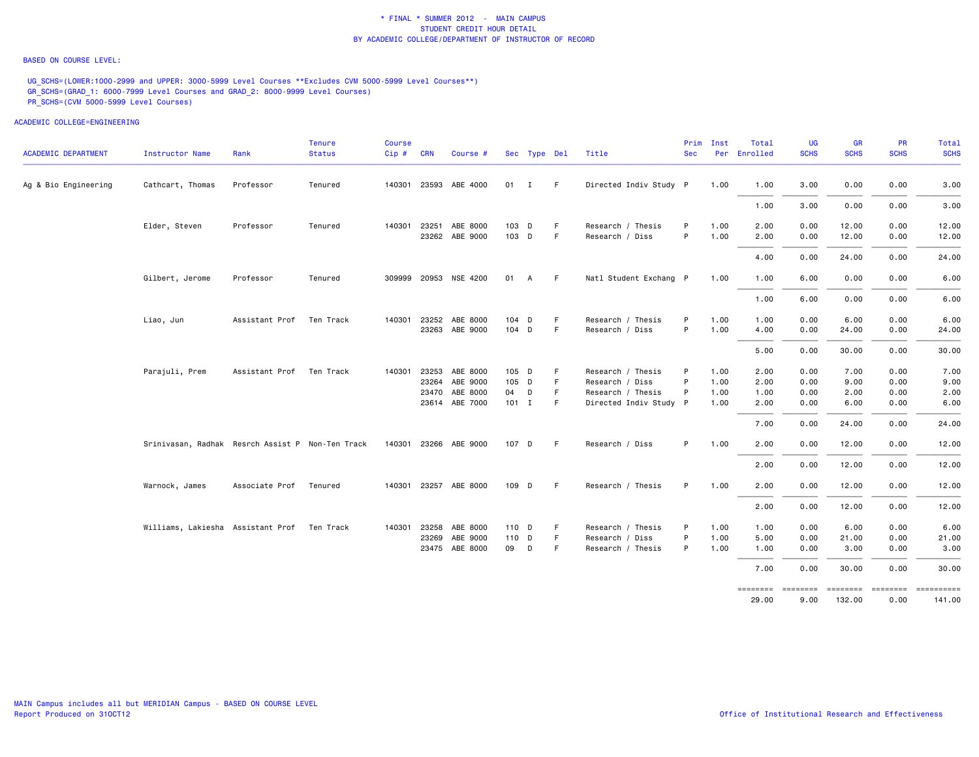### BASED ON COURSE LEVEL:

UG\_SCHS=(LOWER:1000-2999 and UPPER: 3000-5999 Level Courses \*\*Excludes CVM 5000-5999 Level Courses\*\*) GR\_SCHS=(GRAD\_1: 6000-7999 Level Courses and GRAD\_2: 8000-9999 Level Courses) PR\_SCHS=(CVM 5000-5999 Level Courses)

ACADEMIC COLLEGE=ENGINEERING

| <b>ACADEMIC DEPARTMENT</b> | Instructor Name                                  | Rank                     | <b>Tenure</b><br><b>Status</b> | Course<br>$Cip$ # | <b>CRN</b>   | Course #              |              | Sec Type Del |    | Title                  | Prim<br><b>Sec</b> | Inst | Total<br>Per Enrolled | UG<br><b>SCHS</b> | <b>GR</b><br><b>SCHS</b> | <b>PR</b><br><b>SCHS</b> | Total<br><b>SCHS</b> |
|----------------------------|--------------------------------------------------|--------------------------|--------------------------------|-------------------|--------------|-----------------------|--------------|--------------|----|------------------------|--------------------|------|-----------------------|-------------------|--------------------------|--------------------------|----------------------|
|                            |                                                  |                          |                                |                   |              |                       |              |              |    |                        |                    |      |                       |                   |                          |                          |                      |
| Ag & Bio Engineering       | Cathcart, Thomas                                 | Professor                | Tenured                        |                   |              | 140301 23593 ABE 4000 | $01 \quad I$ |              | F. | Directed Indiv Study P |                    | 1.00 | 1.00                  | 3.00              | 0.00                     | 0.00                     | 3.00                 |
|                            |                                                  |                          |                                |                   |              |                       |              |              |    |                        |                    |      | 1.00                  | 3.00              | 0.00                     | 0.00                     | 3.00                 |
|                            | Elder, Steven                                    | Professor                | Tenured                        |                   | 140301 23251 | ABE 8000              | 103 D        |              | F  | Research / Thesis      | P                  | 1.00 | 2.00                  | 0.00              | 12.00                    | 0.00                     | 12.00                |
|                            |                                                  |                          |                                |                   |              | 23262 ABE 9000        | 103 D        |              | F. | Research / Diss        | P                  | 1.00 | 2.00                  | 0.00              | 12.00                    | 0.00                     | 12.00                |
|                            |                                                  |                          |                                |                   |              |                       |              |              |    |                        |                    |      | 4.00                  | 0.00              | 24.00                    | 0.00                     | 24.00                |
|                            | Gilbert, Jerome                                  | Professor                | Tenured                        |                   |              | 309999 20953 NSE 4200 | 01           | A            | -F | Natl Student Exchang P |                    | 1.00 | 1.00                  | 6.00              | 0.00                     | 0.00                     | 6.00                 |
|                            |                                                  |                          |                                |                   |              |                       |              |              |    |                        |                    |      | 1.00                  | 6.00              | 0.00                     | 0.00                     | 6.00                 |
|                            | Liao, Jun                                        | Assistant Prof Ten Track |                                |                   |              | 140301 23252 ABE 8000 | 104 D        |              | F  | Research / Thesis      | P                  | 1.00 | 1.00                  | 0.00              | 6.00                     | 0.00                     | 6.00                 |
|                            |                                                  |                          |                                |                   |              | 23263 ABE 9000        | 104 D        |              | F. | Research / Diss        | P                  | 1.00 | 4.00                  | 0.00              | 24.00                    | 0.00                     | 24.00                |
|                            |                                                  |                          |                                |                   |              |                       |              |              |    |                        |                    |      | 5.00                  | 0.00              | 30.00                    | 0.00                     | 30.00                |
|                            | Parajuli, Prem                                   | Assistant Prof Ten Track |                                |                   |              | 140301 23253 ABE 8000 | 105 D        |              |    | Research / Thesis      | P                  | 1.00 | 2.00                  | 0.00              | 7.00                     | 0.00                     | 7.00                 |
|                            |                                                  |                          |                                |                   | 23264        | ABE 9000              | 105 D        |              | F. | Research / Diss        | P                  | 1.00 | 2.00                  | 0.00              | 9.00                     | 0.00                     | 9.00                 |
|                            |                                                  |                          |                                |                   |              | 23470 ABE 8000        | 04 D         |              | F  | Research / Thesis      | P                  | 1.00 | 1.00                  | 0.00              | 2.00                     | 0.00                     | 2.00                 |
|                            |                                                  |                          |                                |                   |              | 23614 ABE 7000        | $101$ I      |              | F  | Directed Indiv Study P |                    | 1.00 | 2.00                  | 0.00              | 6.00                     | 0.00                     | 6.00                 |
|                            |                                                  |                          |                                |                   |              |                       |              |              |    |                        |                    |      | 7.00                  | 0.00              | 24.00                    | 0.00                     | 24.00                |
|                            | Srinivasan, Radhak Resrch Assist P Non-Ten Track |                          |                                |                   |              | 140301 23266 ABE 9000 | 107 D        |              | -F | Research / Diss        | P                  | 1.00 | 2.00                  | 0.00              | 12.00                    | 0.00                     | 12.00                |
|                            |                                                  |                          |                                |                   |              |                       |              |              |    |                        |                    |      | 2.00                  | 0.00              | 12.00                    | 0.00                     | 12.00                |
|                            | Warnock, James                                   | Associate Prof           | Tenured                        |                   |              | 140301 23257 ABE 8000 | 109 D        |              | F. | Research / Thesis      | P                  | 1.00 | 2.00                  | 0.00              | 12.00                    | 0.00                     | 12.00                |
|                            |                                                  |                          |                                |                   |              |                       |              |              |    |                        |                    |      | 2.00                  | 0.00              | 12.00                    | 0.00                     | 12.00                |
|                            | Williams, Lakiesha Assistant Prof Ten Track      |                          |                                |                   |              | 140301 23258 ABE 8000 | 110 D        |              | F  | Research / Thesis      | P                  | 1.00 | 1.00                  | 0.00              | 6.00                     | 0.00                     | 6.00                 |
|                            |                                                  |                          |                                |                   |              | 23269 ABE 9000        | 110 D        |              | F  | Research / Diss        | P                  | 1.00 | 5.00                  | 0.00              | 21.00                    | 0.00                     | 21.00                |
|                            |                                                  |                          |                                |                   |              | 23475 ABE 8000        | 09           | D            | F. | Research / Thesis      | P                  | 1.00 | 1.00                  | 0.00              | 3.00                     | 0.00                     | 3.00                 |
|                            |                                                  |                          |                                |                   |              |                       |              |              |    |                        |                    |      | 7.00                  | 0.00              | 30.00                    | 0.00                     | 30.00                |
|                            |                                                  |                          |                                |                   |              |                       |              |              |    |                        |                    |      |                       |                   |                          |                          |                      |

141.00 29.00 9.00 132.00 0.00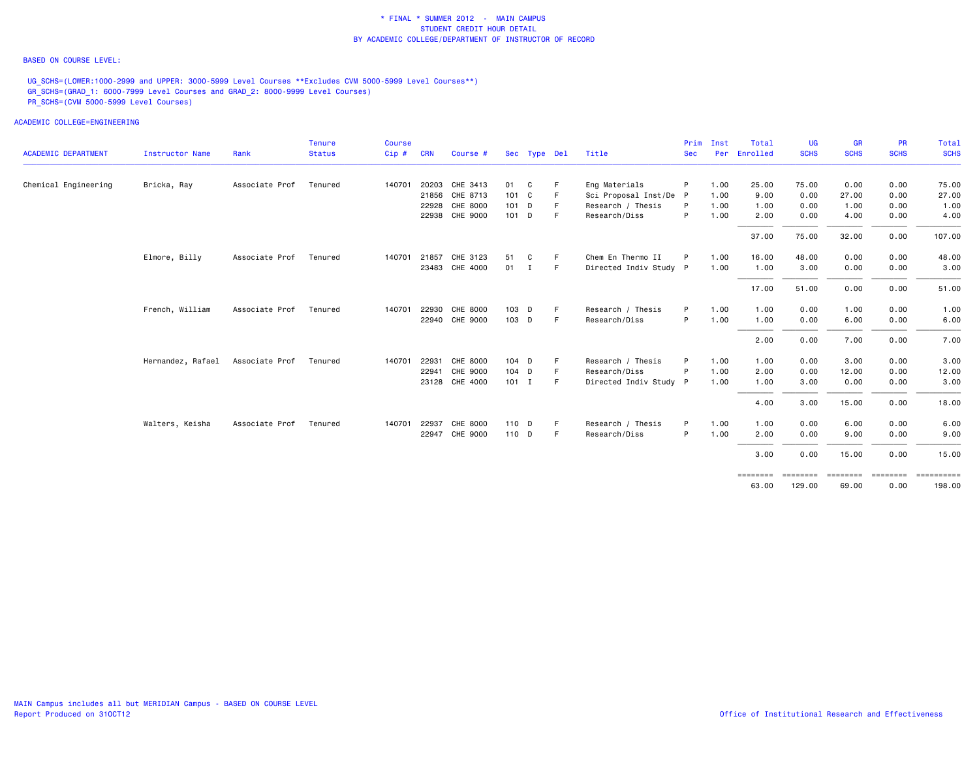### BASED ON COURSE LEVEL:

UG\_SCHS=(LOWER:1000-2999 and UPPER: 3000-5999 Level Courses \*\*Excludes CVM 5000-5999 Level Courses\*\*) GR\_SCHS=(GRAD\_1: 6000-7999 Level Courses and GRAD\_2: 8000-9999 Level Courses) PR\_SCHS=(CVM 5000-5999 Level Courses)

|                            |                   |                | <b>Tenure</b> | <b>Course</b> |            |                |              |              |    |                        | Prim       | Inst | Total             | <b>UG</b>   | <b>GR</b>   | <b>PR</b>   | <b>Total</b> |
|----------------------------|-------------------|----------------|---------------|---------------|------------|----------------|--------------|--------------|----|------------------------|------------|------|-------------------|-------------|-------------|-------------|--------------|
| <b>ACADEMIC DEPARTMENT</b> | Instructor Name   | Rank           | <b>Status</b> | Cip#          | <b>CRN</b> | Course #       |              | Sec Type Del |    | Title                  | <b>Sec</b> | Per  | Enrolled          | <b>SCHS</b> | <b>SCHS</b> | <b>SCHS</b> | <b>SCHS</b>  |
| Chemical Engineering       | Bricka, Ray       | Associate Prof | Tenured       | 140701        | 20203      | CHE 3413       | 01           | C.           |    | Eng Materials          | P          | 1.00 | 25.00             | 75.00       | 0.00        | 0.00        | 75.00        |
|                            |                   |                |               |               | 21856      | CHE 8713       | 101 C        |              |    | Sci Proposal Inst/De P |            | 1.00 | 9.00              | 0.00        | 27.00       | 0.00        | 27.00        |
|                            |                   |                |               |               | 22928      | CHE 8000       | $101$ D      |              |    | Research / Thesis      | P          | 1.00 | 1.00              | 0.00        | 1.00        | 0.00        | 1.00         |
|                            |                   |                |               |               | 22938      | CHE 9000       | $101$ D      |              | F  | Research/Diss          | P          | 1.00 | 2.00              | 0.00        | 4.00        | 0.00        | 4.00         |
|                            |                   |                |               |               |            |                |              |              |    |                        |            |      | 37.00             | 75.00       | 32.00       | 0.00        | 107.00       |
|                            | Elmore, Billy     | Associate Prof | Tenured       | 140701        | 21857      | CHE 3123       | 51           | C.           | -F | Chem En Thermo II      | P          | 1.00 | 16.00             | 48.00       | 0.00        | 0.00        | 48.00        |
|                            |                   |                |               |               |            | 23483 CHE 4000 | $01 \quad I$ |              | -F | Directed Indiv Study P |            | 1.00 | 1.00              | 3.00        | 0.00        | 0.00        | 3.00         |
|                            |                   |                |               |               |            |                |              |              |    |                        |            |      | 17.00             | 51.00       | 0.00        | 0.00        | 51.00        |
|                            | French, William   | Associate Prof | Tenured       | 140701        | 22930      | CHE 8000       | 103 D        |              | -F | Research / Thesis      | P          | 1.00 | 1.00              | 0.00        | 1.00        | 0.00        | 1.00         |
|                            |                   |                |               |               |            | 22940 CHE 9000 | 103 D        |              | -F | Research/Diss          | P          | 1.00 | 1.00              | 0.00        | 6.00        | 0.00        | 6.00         |
|                            |                   |                |               |               |            |                |              |              |    |                        |            |      | 2.00              | 0.00        | 7.00        | 0.00        | 7.00         |
|                            | Hernandez, Rafael | Associate Prof | Tenured       | 140701        | 22931      | CHE 8000       | $104$ D      |              | F  | Research / Thesis      | P          | 1.00 | 1.00              | 0.00        | 3.00        | 0.00        | 3.00         |
|                            |                   |                |               |               | 22941      | CHE 9000       | 104 D        |              | F  | Research/Diss          | P          | 1.00 | 2.00              | 0.00        | 12.00       | 0.00        | 12.00        |
|                            |                   |                |               |               | 23128      | CHE 4000       | $101$ I      |              | F  | Directed Indiv Study P |            | 1.00 | 1.00              | 3.00        | 0.00        | 0.00        | 3.00         |
|                            |                   |                |               |               |            |                |              |              |    |                        |            |      | 4.00              | 3.00        | 15.00       | 0.00        | 18.00        |
|                            | Walters, Keisha   | Associate Prof | Tenured       | 140701        | 22937      | CHE 8000       | 110 D        |              | F  | Research / Thesis      | P          | 1.00 | 1.00              | 0.00        | 6.00        | 0.00        | 6.00         |
|                            |                   |                |               |               | 22947      | CHE 9000       | 110 D        |              | -F | Research/Diss          | P          | 1.00 | 2.00              | 0.00        | 9.00        | 0.00        | 9.00         |
|                            |                   |                |               |               |            |                |              |              |    |                        |            |      | 3.00              | 0.00        | 15.00       | 0.00        | 15.00        |
|                            |                   |                |               |               |            |                |              |              |    |                        |            |      | $=$ = = = = = = = | ========    | ========    | ========    |              |
|                            |                   |                |               |               |            |                |              |              |    |                        |            |      | 63.00             | 129.00      | 69.00       | 0.00        | 198.00       |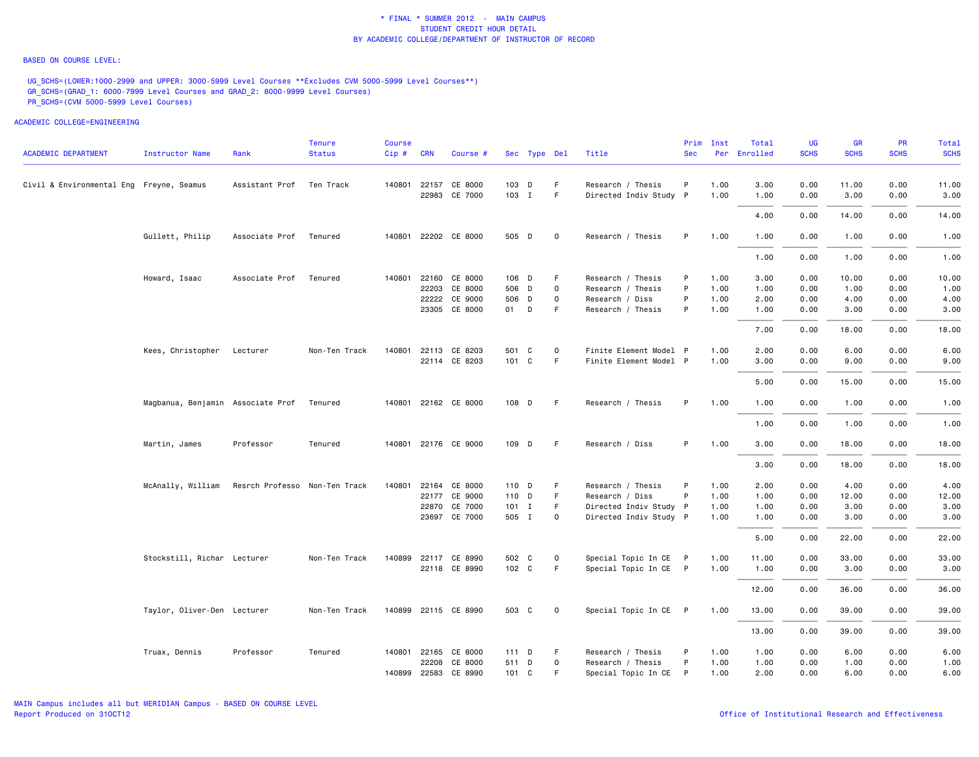#### BASED ON COURSE LEVEL:

UG\_SCHS=(LOWER:1000-2999 and UPPER: 3000-5999 Level Courses \*\*Excludes CVM 5000-5999 Level Courses\*\*) GR\_SCHS=(GRAD\_1: 6000-7999 Level Courses and GRAD\_2: 8000-9999 Level Courses) PR\_SCHS=(CVM 5000-5999 Level Courses)

| <b>ACADEMIC DEPARTMENT</b>               | Instructor Name                   | Rank                          | <b>Tenure</b><br><b>Status</b> | Course<br>Cip# | <b>CRN</b> | Course #             |               |              |             | Title                  | Prim<br><b>Sec</b> | Inst | Total<br>Per Enrolled | UG<br><b>SCHS</b> | <b>GR</b><br><b>SCHS</b> | <b>PR</b><br><b>SCHS</b> | Total<br><b>SCHS</b> |
|------------------------------------------|-----------------------------------|-------------------------------|--------------------------------|----------------|------------|----------------------|---------------|--------------|-------------|------------------------|--------------------|------|-----------------------|-------------------|--------------------------|--------------------------|----------------------|
|                                          |                                   |                               |                                |                |            |                      |               | Sec Type Del |             |                        |                    |      |                       |                   |                          |                          |                      |
| Civil & Environmental Eng Freyne, Seamus |                                   | Assistant Prof                | Ten Track                      |                |            | 140801 22157 CE 8000 | 103 D         |              | F.          | Research / Thesis      | P                  | 1.00 | 3.00                  | 0.00              | 11.00                    | 0.00                     | 11.00                |
|                                          |                                   |                               |                                |                | 22983      | CE 7000              | 103 I         |              | F           | Directed Indiv Study P |                    | 1.00 | 1.00                  | 0.00              | 3.00                     | 0.00                     | 3.00                 |
|                                          |                                   |                               |                                |                |            |                      |               |              |             |                        |                    |      | 4.00                  | 0.00              | 14.00                    | 0.00                     | 14.00                |
|                                          | Gullett, Philip                   | Associate Prof                | Tenured                        |                |            | 140801 22202 CE 8000 | 505 D         |              | 0           | Research / Thesis      | P                  | 1.00 | 1.00                  | 0.00              | 1.00                     | 0.00                     | 1.00                 |
|                                          |                                   |                               |                                |                |            |                      |               |              |             |                        |                    |      | 1.00                  | 0.00              | 1.00                     | 0.00                     | 1.00                 |
|                                          | Howard, Isaac                     | Associate Prof                | Tenured                        |                |            | 140801 22160 CE 8000 | 106 D         |              | F           | Research / Thesis      | P                  | 1.00 | 3.00                  | 0.00              | 10.00                    | 0.00                     | 10.00                |
|                                          |                                   |                               |                                |                |            | 22203 CE 8000        | 506 D         |              | 0           | Research / Thesis      | P                  | 1.00 | 1.00                  | 0.00              | 1.00                     | 0.00                     | 1.00                 |
|                                          |                                   |                               |                                |                |            | 22222 CE 9000        | 506 D         |              | $\Omega$    | Research / Diss        | P                  | 1.00 | 2.00                  | 0.00              | 4.00                     | 0.00                     | 4.00                 |
|                                          |                                   |                               |                                |                |            | 23305 CE 8000        | 01 D          |              | F.          | Research / Thesis      | P                  | 1.00 | 1.00                  | 0.00              | 3.00                     | 0.00                     | 3.00                 |
|                                          |                                   |                               |                                |                |            |                      |               |              |             |                        |                    |      | 7.00                  | 0.00              | 18.00                    | 0.00                     | 18.00                |
|                                          | Kees, Christopher Lecturer        |                               | Non-Ten Track                  |                |            | 140801 22113 CE 8203 | 501           | C            | 0           | Finite Element Model P |                    | 1.00 | 2.00                  | 0.00              | 6.00                     | 0.00                     | 6.00                 |
|                                          |                                   |                               |                                |                |            | 22114 CE 8203        | 101 C         |              | F           | Finite Element Model P |                    | 1.00 | 3.00                  | 0.00              | 9.00                     | 0.00                     | 9.00                 |
|                                          |                                   |                               |                                |                |            |                      |               |              |             |                        |                    |      |                       |                   |                          |                          |                      |
|                                          |                                   |                               |                                |                |            |                      |               |              |             |                        |                    |      | 5.00                  | 0.00              | 15.00                    | 0.00                     | 15.00                |
|                                          | Magbanua, Benjamin Associate Prof |                               | Tenured                        |                |            | 140801 22162 CE 8000 | 108 D         |              | -F          | Research / Thesis      | P                  | 1.00 | 1.00                  | 0.00              | 1.00                     | 0.00                     | 1.00                 |
|                                          |                                   |                               |                                |                |            |                      |               |              |             |                        |                    |      | 1.00                  | 0.00              | 1.00                     | 0.00                     | 1.00                 |
|                                          | Martin, James                     | Professor                     | Tenured                        |                |            | 140801 22176 CE 9000 | 109 D         |              | F           | Research / Diss        | P.                 | 1.00 | 3.00                  | 0.00              | 18.00                    | 0.00                     | 18.00                |
|                                          |                                   |                               |                                |                |            |                      |               |              |             |                        |                    |      | 3.00                  | 0.00              | 18.00                    | 0.00                     | 18.00                |
|                                          | McAnally, William                 | Resrch Professo Non-Ten Track |                                | 140801         |            | 22164 CE 8000        | 110 D         |              | F           | Research / Thesis      | P                  | 1.00 | 2.00                  | 0.00              | 4.00                     | 0.00                     | 4.00                 |
|                                          |                                   |                               |                                |                |            | 22177 CE 9000        | 110 D         |              | F.          | Research / Diss        | P                  | 1.00 | 1.00                  | 0.00              | 12.00                    | 0.00                     | 12.00                |
|                                          |                                   |                               |                                |                |            | 22870 CE 7000        | $101 \quad I$ |              | F           | Directed Indiv Study P |                    | 1.00 | 1.00                  | 0.00              | 3.00                     | 0.00                     | 3.00                 |
|                                          |                                   |                               |                                |                |            | 23697 CE 7000        | 505 I         |              | 0           | Directed Indiv Study P |                    | 1.00 | 1.00                  | 0.00              | 3.00                     | 0.00                     | 3.00                 |
|                                          |                                   |                               |                                |                |            |                      |               |              |             |                        |                    |      | 5.00                  | 0.00              | 22.00                    | 0.00                     | 22.00                |
|                                          | Stockstill, Richar Lecturer       |                               | Non-Ten Track                  |                |            | 140899 22117 CE 8990 | 502 C         |              | 0           | Special Topic In CE P  |                    | 1.00 | 11.00                 | 0.00              | 33.00                    | 0.00                     | 33.00                |
|                                          |                                   |                               |                                |                |            | 22118 CE 8990        | 102 C         |              | F           | Special Topic In CE P  |                    | 1.00 | 1.00                  | 0.00              | 3.00                     | 0.00                     | 3.00                 |
|                                          |                                   |                               |                                |                |            |                      |               |              |             |                        |                    |      |                       |                   |                          |                          |                      |
|                                          |                                   |                               |                                |                |            |                      |               |              |             |                        |                    |      | 12.00                 | 0.00              | 36.00                    | 0.00                     | 36.00                |
|                                          | Taylor, Oliver-Den Lecturer       |                               | Non-Ten Track                  |                |            | 140899 22115 CE 8990 | 503 C         |              | $\mathbf 0$ | Special Topic In CE P  |                    | 1.00 | 13.00                 | 0.00              | 39.00                    | 0.00                     | 39.00                |
|                                          |                                   |                               |                                |                |            |                      |               |              |             |                        |                    |      | 13.00                 | 0.00              | 39.00                    | 0.00                     | 39.00                |
|                                          | Truax, Dennis                     | Professor                     | Tenured                        |                |            | 140801 22165 CE 8000 | $111$ D       |              | F           | Research / Thesis      | P                  | 1.00 | 1.00                  | 0.00              | 6.00                     | 0.00                     | 6.00                 |
|                                          |                                   |                               |                                |                | 22208      | CE 8000              | 511 D         |              | $\Omega$    | Research / Thesis      | P                  | 1.00 | 1.00                  | 0.00              | 1.00                     | 0.00                     | 1.00                 |
|                                          |                                   |                               |                                |                |            | 140899 22583 CE 8990 | 101 C         |              | F.          | Special Topic In CE P  |                    | 1.00 | 2.00                  | 0.00              | 6.00                     | 0.00                     | 6.00                 |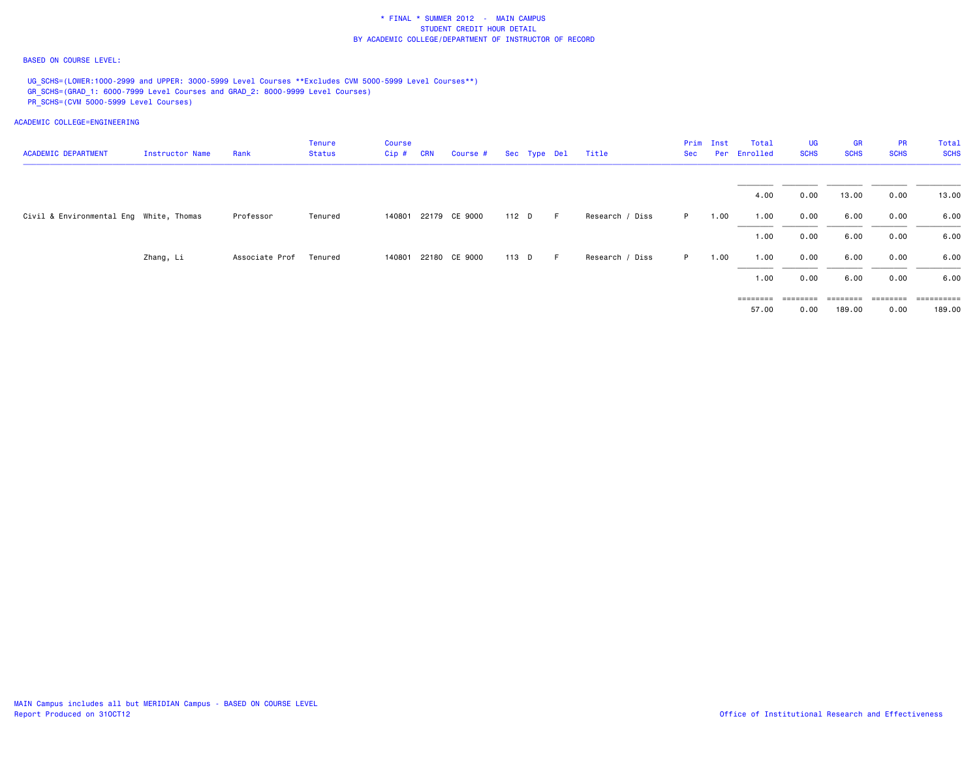### BASED ON COURSE LEVEL:

UG\_SCHS=(LOWER:1000-2999 and UPPER: 3000-5999 Level Courses \*\*Excludes CVM 5000-5999 Level Courses\*\*) GR\_SCHS=(GRAD\_1: 6000-7999 Level Courses and GRAD\_2: 8000-9999 Level Courses) PR\_SCHS=(CVM 5000-5999 Level Courses)

| <b>ACADEMIC DEPARTMENT</b>              | Instructor Name | Rank           | <b>Tenure</b><br>Status | Course<br>Cip # | <b>CRN</b> | <b>Course #</b>      |       | Sec Type Del |   | Title           | Sec | Prim Inst | Total<br>Per Enrolled      | <b>UG</b><br><b>SCHS</b>  | <b>GR</b><br><b>SCHS</b> | <b>PR</b><br><b>SCHS</b>                                                        | Total<br><b>SCHS</b> |
|-----------------------------------------|-----------------|----------------|-------------------------|-----------------|------------|----------------------|-------|--------------|---|-----------------|-----|-----------|----------------------------|---------------------------|--------------------------|---------------------------------------------------------------------------------|----------------------|
|                                         |                 |                |                         |                 |            |                      |       |              |   |                 |     |           | 4.00                       | 0.00                      | 13.00                    | 0.00                                                                            | 13.00                |
| Civil & Environmental Eng White, Thomas |                 | Professor      | Tenured                 |                 |            | 140801 22179 CE 9000 | 112 D |              | F | Research / Diss | P.  | 1.00      | 1.00                       | 0.00                      | 6.00                     | 0.00                                                                            | 6.00                 |
|                                         |                 |                |                         |                 |            |                      |       |              |   |                 |     |           | 1.00                       | 0.00                      | 6.00                     | 0.00                                                                            | 6.00                 |
|                                         | Zhang, Li       | Associate Prof | Tenured                 |                 |            | 140801 22180 CE 9000 | 113 D |              | F | Research / Diss | P   | 1.00      | 1.00                       | 0.00                      | 6.00                     | 0.00                                                                            | 6.00                 |
|                                         |                 |                |                         |                 |            |                      |       |              |   |                 |     |           | 1.00                       | 0.00                      | 6.00                     | 0.00                                                                            | 6.00                 |
|                                         |                 |                |                         |                 |            |                      |       |              |   |                 |     |           | $=$ = = = = = = =<br>57.00 | $=$ = = = = = = =<br>0.00 | 189.00                   | $\qquad \qquad \equiv \equiv \equiv \equiv \equiv \equiv \equiv \equiv$<br>0.00 | ==========<br>189.00 |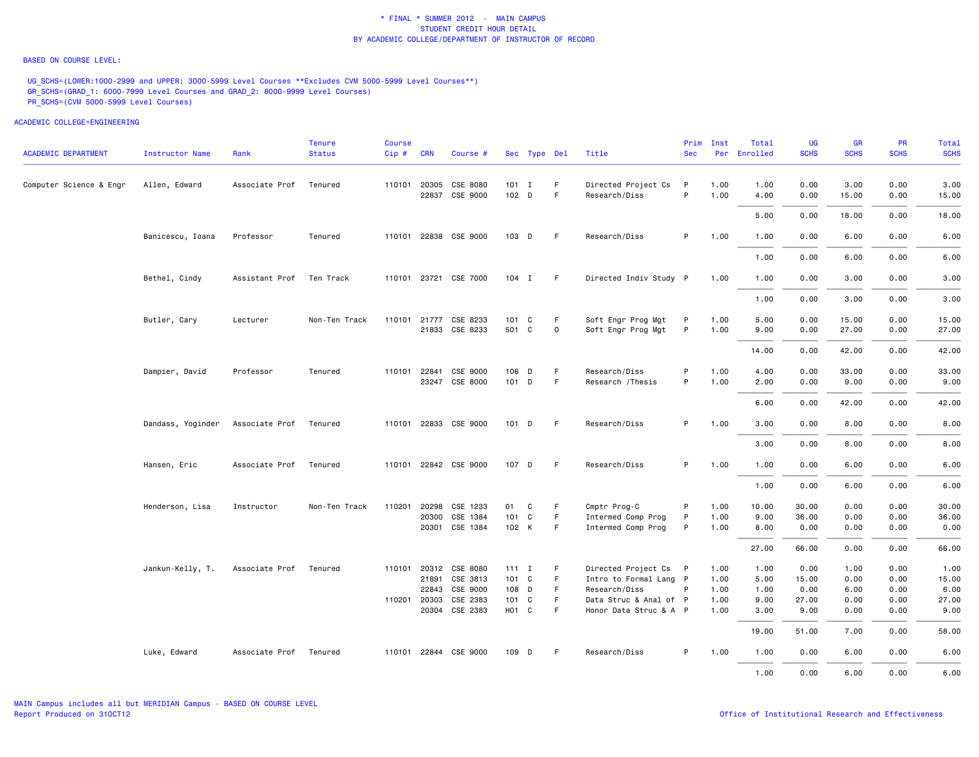#### BASED ON COURSE LEVEL:

UG\_SCHS=(LOWER:1000-2999 and UPPER: 3000-5999 Level Courses \*\*Excludes CVM 5000-5999 Level Courses\*\*) GR\_SCHS=(GRAD\_1: 6000-7999 Level Courses and GRAD\_2: 8000-9999 Level Courses) PR\_SCHS=(CVM 5000-5999 Level Courses)

| <b>ACADEMIC DEPARTMENT</b> | Instructor Name   | Rank           | <b>Tenure</b><br><b>Status</b> | Course<br>Cip# | <b>CRN</b>            | Course #              |                             | Sec Type Del |             | Title                                   | Prim<br><b>Sec</b> | Inst         | Total<br>Per Enrolled | UG<br><b>SCHS</b> | <b>GR</b><br><b>SCHS</b> | <b>PR</b><br><b>SCHS</b> | Total<br><b>SCHS</b> |
|----------------------------|-------------------|----------------|--------------------------------|----------------|-----------------------|-----------------------|-----------------------------|--------------|-------------|-----------------------------------------|--------------------|--------------|-----------------------|-------------------|--------------------------|--------------------------|----------------------|
| Computer Science & Engr    | Allen, Edward     | Associate Prof | Tenured                        |                | 110101 20305<br>22837 | CSE 8080<br>CSE 9000  | $101$ I<br>102 <sub>D</sub> |              | F<br>F      | Directed Project Cs<br>Research/Diss    | P<br>P             | 1.00<br>1.00 | 1.00<br>4.00          | 0.00<br>0.00      | 3.00<br>15.00            | 0.00<br>0.00             | 3.00<br>15.00        |
|                            |                   |                |                                |                |                       |                       |                             |              |             |                                         |                    |              | 5.00                  | 0.00              | 18.00                    | 0.00                     | 18.00                |
|                            | Banicescu, Ioana  | Professor      | Tenured                        |                |                       | 110101 22838 CSE 9000 | 103 D                       |              | F.          | Research/Diss                           | P                  | 1.00         | 1.00                  | 0.00              | 6.00                     | 0.00                     | 6.00                 |
|                            |                   |                |                                |                |                       |                       |                             |              |             |                                         |                    |              | 1.00                  | 0.00              | 6.00                     | 0.00                     | 6.00                 |
|                            | Bethel, Cindy     | Assistant Prof | Ten Track                      |                |                       | 110101 23721 CSE 7000 | 104 I                       |              | -F          | Directed Indiv Study P                  |                    | 1.00         | 1.00                  | 0.00              | 3.00                     | 0.00                     | 3.00                 |
|                            |                   |                |                                |                |                       |                       |                             |              |             |                                         |                    |              | 1.00                  | 0.00              | 3.00                     | 0.00                     | 3.00                 |
|                            | Butler, Cary      | Lecturer       | Non-Ten Track                  |                |                       | 110101 21777 CSE 8233 | 101 C                       |              | F.          | Soft Engr Prog Mgt                      | P                  | 1.00         | 5.00                  | 0.00              | 15.00                    | 0.00                     | 15.00                |
|                            |                   |                |                                |                |                       | 21833 CSE 8233        | 501 C                       |              | $\mathbf 0$ | Soft Engr Prog Mgt                      | P                  | 1.00         | 9.00                  | 0.00              | 27.00                    | 0.00                     | 27.00                |
|                            |                   |                |                                |                |                       |                       |                             |              |             |                                         |                    |              | 14.00                 | 0.00              | 42.00                    | 0.00                     | 42.00                |
|                            | Dampier, David    | Professor      | Tenured                        |                | 110101 22841          | CSE 9000              | 106 D                       |              | F           | Research/Diss                           | P                  | 1.00         | 4.00                  | 0.00              | 33.00                    | 0.00                     | 33.00                |
|                            |                   |                |                                |                |                       | 23247 CSE 8000        | $101$ D                     |              | F           | Research / Thesis                       | P                  | 1.00         | 2.00                  | 0.00              | 9.00                     | 0.00                     | 9.00                 |
|                            |                   |                |                                |                |                       |                       |                             |              |             |                                         |                    |              | 6.00                  | 0.00              | 42.00                    | 0.00                     | 42.00                |
|                            | Dandass, Yoginder | Associate Prof | Tenured                        |                |                       | 110101 22833 CSE 9000 | $101$ D                     |              | -F          | Research/Diss                           | P                  | 1.00         | 3.00                  | 0.00              | 8.00                     | 0.00                     | 8.00                 |
|                            |                   |                |                                |                |                       |                       |                             |              |             |                                         |                    |              | 3.00                  | 0.00              | 8.00                     | 0.00                     | 8.00                 |
|                            | Hansen, Eric      | Associate Prof | Tenured                        |                |                       | 110101 22842 CSE 9000 | 107 D                       |              | F.          | Research/Diss                           | P.                 | 1.00         | 1.00                  | 0.00              | 6.00                     | 0.00                     | 6.00                 |
|                            |                   |                |                                |                |                       |                       |                             |              |             |                                         |                    |              | 1.00                  | 0.00              | 6.00                     | 0.00                     | 6.00                 |
|                            | Henderson, Lisa   | Instructor     | Non-Ten Track                  |                | 110201 20298          | CSE 1233              | 01                          | C            | F.          | Cmptr Prog-C                            | P                  | 1.00         | 10.00                 | 30.00             | 0.00                     | 0.00                     | 30.00                |
|                            |                   |                |                                |                | 20300                 | CSE 1384              | 101 C                       |              | F           | Intermed Comp Prog                      | P                  | 1.00         | 9.00                  | 36.00             | 0.00                     | 0.00                     | 36.00                |
|                            |                   |                |                                |                | 20301                 | CSE 1384              | 102 K                       |              | F.          | Intermed Comp Prog                      | P                  | 1.00         | 8.00                  | 0.00              | 0.00                     | 0.00                     | 0.00                 |
|                            |                   |                |                                |                |                       |                       |                             |              |             |                                         |                    |              | 27.00                 | 66.00             | 0.00                     | 0.00                     | 66.00                |
|                            | Jankun-Kelly, T.  | Associate Prof | Tenured                        |                |                       | 110101 20312 CSE 8080 | $111$ I                     |              | F           | Directed Project Cs P                   |                    | 1.00         | 1.00                  | 0.00              | 1.00                     | 0.00                     | 1.00                 |
|                            |                   |                |                                |                | 21891                 | CSE 3813<br>CSE 9000  | 101 C<br>108 D              |              | F.<br>F     | Intro to Formal Lang P<br>Research/Diss | P                  | 1.00         | 5.00                  | 15.00             | 0.00                     | 0.00                     | 15.00                |
|                            |                   |                |                                |                | 22843<br>110201 20303 | CSE 2383              | 101 C                       |              | F.          | Data Struc & Anal of P                  |                    | 1.00<br>1.00 | 1.00<br>9.00          | 0.00<br>27.00     | 6.00<br>0.00             | 0.00<br>0.00             | 6.00<br>27.00        |
|                            |                   |                |                                |                |                       | 20304 CSE 2383        | H01 C                       |              | F.          | Honor Data Struc & A P                  |                    | 1.00         | 3.00                  | 9.00              | 0.00                     | 0.00                     | 9.00                 |
|                            |                   |                |                                |                |                       |                       |                             |              |             |                                         |                    |              | 19.00                 | 51.00             | 7.00                     | 0.00                     | 58.00                |
|                            | Luke, Edward      | Associate Prof | Tenured                        |                |                       | 110101 22844 CSE 9000 | 109 D                       |              | F           | Research/Diss                           | P.                 | 1.00         | 1.00                  | 0.00              | 6.00                     | 0.00                     | 6.00                 |
|                            |                   |                |                                |                |                       |                       |                             |              |             |                                         |                    |              | 1.00                  | 0.00              | 6.00                     | 0.00                     | 6.00                 |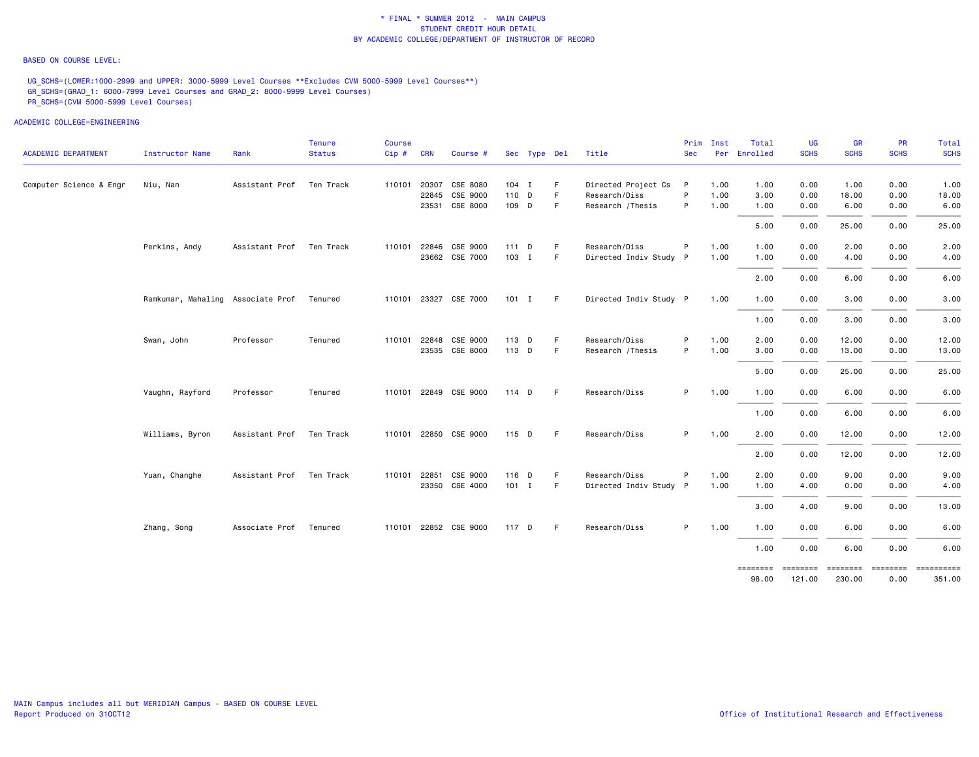## BASED ON COURSE LEVEL:

UG\_SCHS=(LOWER:1000-2999 and UPPER: 3000-5999 Level Courses \*\*Excludes CVM 5000-5999 Level Courses\*\*) GR\_SCHS=(GRAD\_1: 6000-7999 Level Courses and GRAD\_2: 8000-9999 Level Courses) PR\_SCHS=(CVM 5000-5999 Level Courses)

|                            |                                   |                          | <b>Tenure</b> | <b>Course</b> |            |                       |         |              |    |                        | Prim         | Inst | Total             | <b>UG</b>          | <b>GR</b>          | <b>PR</b>                  | Total       |
|----------------------------|-----------------------------------|--------------------------|---------------|---------------|------------|-----------------------|---------|--------------|----|------------------------|--------------|------|-------------------|--------------------|--------------------|----------------------------|-------------|
| <b>ACADEMIC DEPARTMENT</b> | Instructor Name                   | Rank                     | <b>Status</b> | $Cip \#$      | <b>CRN</b> | Course #              |         | Sec Type Del |    | Title                  | <b>Sec</b>   |      | Per Enrolled      | <b>SCHS</b>        | <b>SCHS</b>        | <b>SCHS</b>                | <b>SCHS</b> |
| Computer Science & Engr    | Niu, Nan                          | Assistant Prof Ten Track |               | 110101        |            | 20307 CSE 8080        | $104$ I |              | F. | Directed Project Cs    | $\mathsf{P}$ | 1.00 | 1.00              | 0.00               | 1.00               | 0.00                       | 1.00        |
|                            |                                   |                          |               |               |            | 22845 CSE 9000        | 110 D   |              | F  | Research/Diss          | P            | 1.00 | 3.00              | 0.00               | 18.00              | 0.00                       | 18.00       |
|                            |                                   |                          |               |               |            | 23531 CSE 8000        | 109 D   |              | F  | Research / Thesis      | P            | 1.00 | 1.00              | 0.00               | 6.00               | 0.00                       | 6.00        |
|                            |                                   |                          |               |               |            |                       |         |              |    |                        |              |      | 5.00              | 0.00               | 25.00              | 0.00                       | 25.00       |
|                            | Perkins, Andy                     | Assistant Prof Ten Track |               | 110101        |            | 22846 CSE 9000        | $111$ D |              | F. | Research/Diss          | P            | 1.00 | 1.00              | 0.00               | 2.00               | 0.00                       | 2.00        |
|                            |                                   |                          |               |               |            | 23662 CSE 7000        | 103 I   |              | F  | Directed Indiv Study P |              | 1.00 | 1.00              | 0.00               | 4.00               | 0.00                       | 4.00        |
|                            |                                   |                          |               |               |            |                       |         |              |    |                        |              |      | 2.00              | 0.00               | 6.00               | 0.00                       | 6.00        |
|                            | Ramkumar, Mahaling Associate Prof |                          | Tenured       |               |            | 110101 23327 CSE 7000 | 101 I   |              | -F | Directed Indiv Study P |              | 1.00 | 1.00              | 0.00               | 3.00               | 0.00                       | 3.00        |
|                            |                                   |                          |               |               |            |                       |         |              |    |                        |              |      | 1.00              | 0.00               | 3.00               | 0.00                       | 3.00        |
|                            | Swan, John                        | Professor                | Tenured       | 110101        |            | 22848 CSE 9000        | 113 D   |              | F  | Research/Diss          | P            | 1.00 | 2.00              | 0.00               | 12.00              | 0.00                       | 12.00       |
|                            |                                   |                          |               |               |            | 23535 CSE 8000        | 113 D   |              | F  | Research / Thesis      | P            | 1.00 | 3.00              | 0.00               | 13.00              | 0.00                       | 13.00       |
|                            |                                   |                          |               |               |            |                       |         |              |    |                        |              |      | 5.00              | 0.00               | 25.00              | 0.00                       | 25.00       |
|                            | Vaughn, Rayford                   | Professor                | Tenured       |               |            | 110101 22849 CSE 9000 | 114 D   |              | F. | Research/Diss          | P.           | 1.00 | 1.00              | 0.00               | 6.00               | 0.00                       | 6.00        |
|                            |                                   |                          |               |               |            |                       |         |              |    |                        |              |      | 1.00              | 0.00               | 6.00               | 0.00                       | 6.00        |
|                            | Williams, Byron                   | Assistant Prof Ten Track |               |               |            | 110101 22850 CSE 9000 | 115 D   |              | F. | Research/Diss          | P            | 1.00 | 2.00              | 0.00               | 12.00              | 0.00                       | 12.00       |
|                            |                                   |                          |               |               |            |                       |         |              |    |                        |              |      | 2.00              | 0.00               | 12.00              | 0.00                       | 12.00       |
|                            | Yuan, Changhe                     | Assistant Prof Ten Track |               | 110101        | 22851      | CSE 9000              | 116 D   |              | F. | Research/Diss          | P            | 1.00 | 2.00              | 0.00               | 9.00               | 0.00                       | 9.00        |
|                            |                                   |                          |               |               |            | 23350 CSE 4000        | $101$ I |              | F  | Directed Indiv Study P |              | 1.00 | 1.00              | 4.00               | 0.00               | 0.00                       | 4.00        |
|                            |                                   |                          |               |               |            |                       |         |              |    |                        |              |      | 3.00              | 4.00               | 9.00               | 0.00                       | 13.00       |
|                            | Zhang, Song                       | Associate Prof Tenured   |               |               |            | 110101 22852 CSE 9000 | 117 D   |              | F  | Research/Diss          | P.           | 1.00 | 1.00              | 0.00               | 6.00               | 0.00                       | 6.00        |
|                            |                                   |                          |               |               |            |                       |         |              |    |                        |              |      | 1.00              | 0.00               | 6.00               | 0.00                       | 6.00        |
|                            |                                   |                          |               |               |            |                       |         |              |    |                        |              |      | ========<br>98.00 | ========<br>121.00 | ========<br>230.00 | ======== =========<br>0.00 | 351.00      |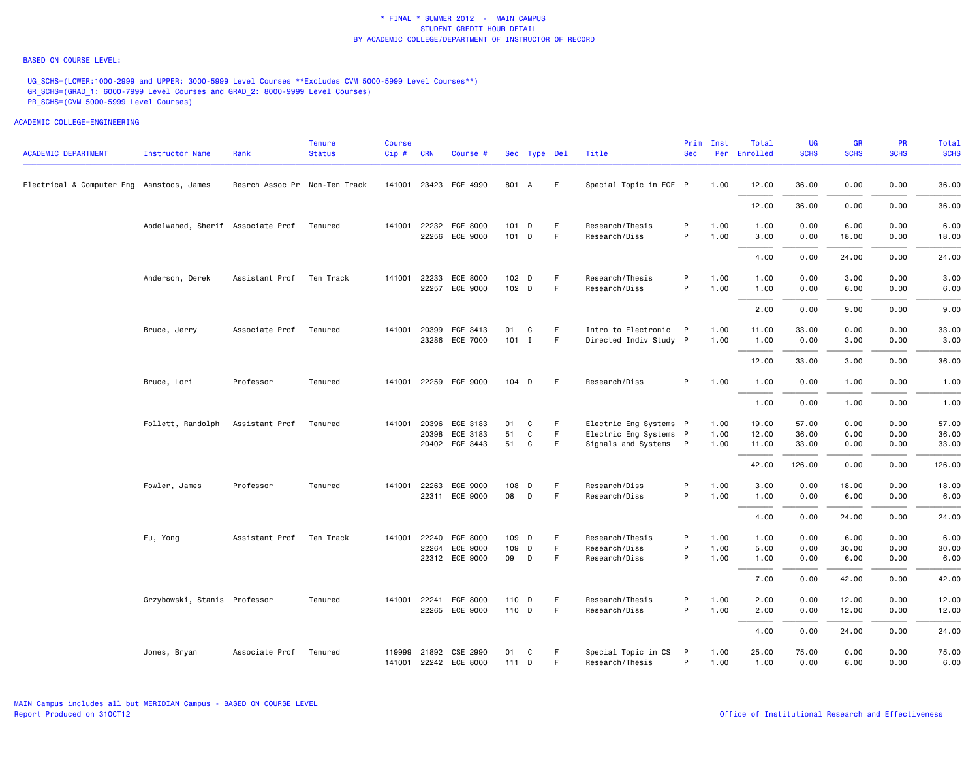### BASED ON COURSE LEVEL:

UG\_SCHS=(LOWER:1000-2999 and UPPER: 3000-5999 Level Courses \*\*Excludes CVM 5000-5999 Level Courses\*\*) GR\_SCHS=(GRAD\_1: 6000-7999 Level Courses and GRAD\_2: 8000-9999 Level Courses) PR\_SCHS=(CVM 5000-5999 Level Courses)

| <b>ACADEMIC DEPARTMENT</b>                | <b>Instructor Name</b>            | Rank                          | <b>Tenure</b><br><b>Status</b> | <b>Course</b><br>$Cip \#$ | <b>CRN</b>   | Course #                   |                  | Sec Type Del      |        | Title                                           | Prim<br><b>Sec</b> | Inst         | Total<br>Per Enrolled | UG<br><b>SCHS</b> | <b>GR</b><br><b>SCHS</b> | <b>PR</b><br><b>SCHS</b> | Total<br><b>SCHS</b> |
|-------------------------------------------|-----------------------------------|-------------------------------|--------------------------------|---------------------------|--------------|----------------------------|------------------|-------------------|--------|-------------------------------------------------|--------------------|--------------|-----------------------|-------------------|--------------------------|--------------------------|----------------------|
| Electrical & Computer Eng Aanstoos, James |                                   | Resrch Assoc Pr Non-Ten Track |                                |                           |              | 141001 23423 ECE 4990      | 801 A            |                   | F      | Special Topic in ECE P                          |                    | 1.00         | 12.00                 | 36.00             | 0.00                     | 0.00                     | 36.00                |
|                                           |                                   |                               |                                |                           |              |                            |                  |                   |        |                                                 |                    |              | 12.00                 | 36.00             | 0.00                     | 0.00                     | 36.00                |
|                                           | Abdelwahed, Sherif Associate Prof |                               | Tenured                        |                           |              | 141001 22232 ECE 8000      | 101 D            |                   | F      | Research/Thesis                                 | P                  | 1.00         | 1.00                  | 0.00              | 6.00                     | 0.00                     | 6.00                 |
|                                           |                                   |                               |                                |                           | 22256        | ECE 9000                   | $101$ D          |                   | F      | Research/Diss                                   | P                  | 1.00         | 3.00                  | 0.00              | 18.00                    | 0.00                     | 18.00                |
|                                           |                                   |                               |                                |                           |              |                            |                  |                   |        |                                                 |                    |              | 4.00                  | 0.00              | 24.00                    | 0.00                     | 24.00                |
|                                           | Anderson, Derek                   | Assistant Prof Ten Track      |                                |                           | 141001 22233 | ECE 8000                   | 102 D            |                   | F.     | Research/Thesis                                 | P                  | 1.00         | 1.00                  | 0.00              | 3.00                     | 0.00                     | 3.00                 |
|                                           |                                   |                               |                                |                           |              | 22257 ECE 9000             | 102 <sub>D</sub> |                   | F.     | Research/Diss                                   | P                  | 1.00         | 1.00                  | 0.00              | 6.00                     | 0.00                     | 6.00                 |
|                                           |                                   |                               |                                |                           |              |                            |                  |                   |        |                                                 |                    |              | 2.00                  | 0.00              | 9.00                     | 0.00                     | 9.00                 |
|                                           | Bruce, Jerry                      | Associate Prof                | Tenured                        | 141001                    | 20399        | ECE 3413                   | 01               | C                 | F.     | Intro to Electronic                             | $\mathsf{P}$       | 1.00         | 11.00                 | 33.00             | 0.00                     | 0.00                     | 33.00                |
|                                           |                                   |                               |                                |                           |              | 23286 ECE 7000             | $101$ I          |                   | F.     | Directed Indiv Study P                          |                    | 1.00         | 1.00                  | 0.00              | 3.00                     | 0.00                     | 3.00                 |
|                                           |                                   |                               |                                |                           |              |                            |                  |                   |        |                                                 |                    |              | 12.00                 | 33.00             | 3.00                     | 0.00                     | 36.00                |
|                                           | Bruce, Lori                       | Professor                     | Tenured                        |                           |              | 141001 22259 ECE 9000      | $104$ D          |                   | -F     | Research/Diss                                   | P                  | 1.00         | 1.00                  | 0.00              | 1.00                     | 0.00                     | 1.00                 |
|                                           |                                   |                               |                                |                           |              |                            |                  |                   |        |                                                 |                    |              | 1.00                  | 0.00              | 1.00                     | 0.00                     | 1.00                 |
|                                           | Follett, Randolph                 | Assistant Prof                | Tenured                        |                           | 141001 20396 | ECE 3183                   | 01               | C                 | F      | Electric Eng Systems P                          |                    | 1.00         | 19.00                 | 57.00             | 0.00                     | 0.00                     | 57.00                |
|                                           |                                   |                               |                                |                           | 20398        | ECE 3183<br>20402 ECE 3443 | 51<br>51         | $\mathtt{C}$<br>C | F<br>F | Electric Eng Systems P<br>Signals and Systems P |                    | 1.00<br>1.00 | 12.00<br>11.00        | 36.00<br>33.00    | 0.00<br>0.00             | 0.00<br>0.00             | 36.00<br>33.00       |
|                                           |                                   |                               |                                |                           |              |                            |                  |                   |        |                                                 |                    |              |                       |                   |                          |                          |                      |
|                                           |                                   |                               |                                |                           |              |                            |                  |                   |        |                                                 |                    |              | 42.00                 | 126.00            | 0.00                     | 0.00                     | 126.00               |
|                                           | Fowler, James                     | Professor                     | Tenured                        | 141001                    | 22263        | ECE 9000                   | 108              | D                 | F      | Research/Diss                                   | P                  | 1.00         | 3.00                  | 0.00              | 18.00                    | 0.00                     | 18.00                |
|                                           |                                   |                               |                                |                           |              | 22311 ECE 9000             | 08               | D                 | F      | Research/Diss                                   | P                  | 1.00         | 1.00                  | 0.00              | 6.00                     | 0.00                     | 6.00                 |
|                                           |                                   |                               |                                |                           |              |                            |                  |                   |        |                                                 |                    |              | 4.00                  | 0.00              | 24.00                    | 0.00                     | 24.00                |
|                                           | Fu, Yong                          | Assistant Prof                | Ten Track                      |                           | 141001 22240 | ECE 8000                   | 109 D            |                   | F      | Research/Thesis                                 | P                  | 1.00         | 1.00                  | 0.00              | 6.00                     | 0.00                     | 6.00                 |
|                                           |                                   |                               |                                |                           | 22264        | ECE 9000                   | 109 D            |                   | F.     | Research/Diss                                   | P                  | 1.00         | 5.00                  | 0.00              | 30.00                    | 0.00                     | 30.00                |
|                                           |                                   |                               |                                |                           |              | 22312 ECE 9000             | 09               | D                 | F.     | Research/Diss                                   | P                  | 1.00         | 1.00                  | 0.00              | 6.00                     | 0.00                     | 6.00                 |
|                                           |                                   |                               |                                |                           |              |                            |                  |                   |        |                                                 |                    |              | 7.00                  | 0.00              | 42.00                    | 0.00                     | 42.00                |
|                                           | Grzybowski, Stanis Professor      |                               | Tenured                        |                           | 141001 22241 | ECE 8000                   | 110 D            |                   | F.     | Research/Thesis                                 | P                  | 1.00         | 2.00                  | 0.00              | 12.00                    | 0.00                     | 12.00                |
|                                           |                                   |                               |                                |                           |              | 22265 ECE 9000             | 110 D            |                   | F.     | Research/Diss                                   | P                  | 1.00         | 2.00                  | 0.00              | 12.00                    | 0.00                     | 12.00                |
|                                           |                                   |                               |                                |                           |              |                            |                  |                   |        |                                                 |                    |              | 4.00                  | 0.00              | 24.00                    | 0.00                     | 24.00                |
|                                           | Jones, Bryan                      | Associate Prof                | Tenured                        |                           | 119999 21892 | CSE 2990                   | 01               | C                 | F      | Special Topic in CS                             | P                  | 1.00         | 25.00                 | 75.00             | 0.00                     | 0.00                     | 75.00                |
|                                           |                                   |                               |                                |                           |              | 141001 22242 ECE 8000      | 111 D            |                   | F      | Research/Thesis                                 | P                  | 1.00         | 1.00                  | 0.00              | 6.00                     | 0.00                     | 6.00                 |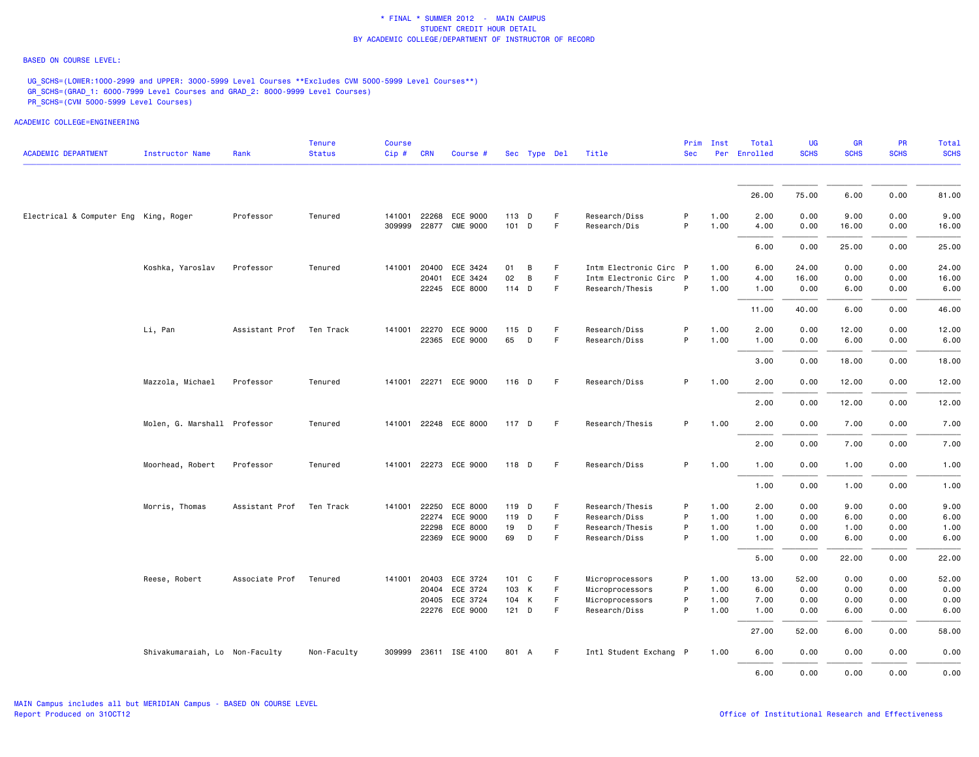## BASED ON COURSE LEVEL:

UG\_SCHS=(LOWER:1000-2999 and UPPER: 3000-5999 Level Courses \*\*Excludes CVM 5000-5999 Level Courses\*\*) GR\_SCHS=(GRAD\_1: 6000-7999 Level Courses and GRAD\_2: 8000-9999 Level Courses) PR\_SCHS=(CVM 5000-5999 Level Courses)

|                                       |                                |                          | Tenure        | <b>Course</b> |            |                       |         |               |    |                        | Prim       | Inst | Total        | UG          | GR          | <b>PR</b>   | Total       |
|---------------------------------------|--------------------------------|--------------------------|---------------|---------------|------------|-----------------------|---------|---------------|----|------------------------|------------|------|--------------|-------------|-------------|-------------|-------------|
| <b>ACADEMIC DEPARTMENT</b>            | Instructor Name                | Rank                     | <b>Status</b> | Cip#          | <b>CRN</b> | Course #              |         | Sec Type Del  |    | Title                  | <b>Sec</b> |      | Per Enrolled | <b>SCHS</b> | <b>SCHS</b> | <b>SCHS</b> | <b>SCHS</b> |
|                                       |                                |                          |               |               |            |                       |         |               |    |                        |            |      | 26.00        | 75.00       | 6.00        | 0.00        | 81.00       |
|                                       |                                |                          |               |               |            |                       |         |               |    |                        |            |      |              |             |             |             |             |
| Electrical & Computer Eng King, Roger |                                | Professor                | Tenured       | 141001        | 22268      | ECE 9000              | 113 D   |               | E  | Research/Diss          | P          | 1.00 | 2.00         | 0.00        | 9.00        | 0.00        | 9.00        |
|                                       |                                |                          |               | 309999        | 22877      | <b>CME 9000</b>       | 101 D   |               | F  | Research/Dis           | P          | 1.00 | 4.00         | 0.00        | 16.00       | 0.00        | 16.00       |
|                                       |                                |                          |               |               |            |                       |         |               |    |                        |            |      | 6.00         | 0.00        | 25.00       | 0.00        | 25.00       |
|                                       | Koshka, Yaroslav               | Professor                | Tenured       | 141001        | 20400      | ECE 3424              | 01      | В             | F. | Intm Electronic Circ P |            | 1.00 | 6.00         | 24.00       | 0.00        | 0.00        | 24.00       |
|                                       |                                |                          |               |               | 20401      | ECE 3424              | 02      | В             | F  | Intm Electronic Circ P |            | 1.00 | 4.00         | 16.00       | 0.00        | 0.00        | 16.00       |
|                                       |                                |                          |               |               |            | 22245 ECE 8000        | 114 D   |               | F  | Research/Thesis        | P          | 1.00 | 1.00         | 0.00        | 6.00        | 0.00        | 6.00        |
|                                       |                                |                          |               |               |            |                       |         |               |    |                        |            |      | 11.00        | 40.00       | 6.00        | 0.00        | 46.00       |
|                                       | Li, Pan                        | Assistant Prof Ten Track |               | 141001        | 22270      | ECE 9000              | 115     | D             | E  | Research/Diss          | P          | 1.00 | 2.00         | 0.00        | 12.00       | 0.00        | 12.00       |
|                                       |                                |                          |               |               |            | 22365 ECE 9000        | 65      | D             | F  | Research/Diss          | P          | 1.00 | 1.00         | 0.00        | 6.00        | 0.00        | 6.00        |
|                                       |                                |                          |               |               |            |                       |         |               |    |                        |            |      | 3.00         | 0.00        | 18.00       | 0.00        | 18.00       |
|                                       | Mazzola, Michael               | Professor                | Tenured       |               |            | 141001 22271 ECE 9000 | 116 D   |               | F  | Research/Diss          | P          | 1.00 | 2.00         | 0.00        | 12.00       | 0.00        | 12.00       |
|                                       |                                |                          |               |               |            |                       |         |               |    |                        |            |      | 2.00         | 0.00        | 12.00       | 0.00        | 12.00       |
|                                       | Molen, G. Marshall Professor   |                          | Tenured       |               |            | 141001 22248 ECE 8000 | 117 D   |               | F  | Research/Thesis        | P          | 1.00 | 2.00         | 0.00        | 7.00        | 0.00        | 7.00        |
|                                       |                                |                          |               |               |            |                       |         |               |    |                        |            |      | 2.00         | 0.00        | 7.00        | 0.00        | 7.00        |
|                                       | Moorhead, Robert               | Professor                | Tenured       |               |            | 141001 22273 ECE 9000 | 118 D   |               | E  | Research/Diss          | P          | 1.00 | 1.00         | 0.00        | 1.00        | 0.00        | 1.00        |
|                                       |                                |                          |               |               |            |                       |         |               |    |                        |            |      | 1.00         | 0.00        | 1.00        | 0.00        | 1.00        |
|                                       | Morris, Thomas                 | Assistant Prof           | Ten Track     | 141001        | 22250      | ECE 8000              |         | 119 D         | F. | Research/Thesis        | P          | 1.00 | 2.00         | 0.00        | 9.00        | 0.00        | 9.00        |
|                                       |                                |                          |               |               | 22274      | ECE 9000              |         | 119 D         | F  | Research/Diss          | P          | 1.00 | 1.00         | 0.00        | 6.00        | 0.00        | 6.00        |
|                                       |                                |                          |               |               | 22298      | ECE 8000              | 19      | D             | F  | Research/Thesis        | P          | 1.00 | 1.00         | 0.00        | 1.00        | 0.00        | 1.00        |
|                                       |                                |                          |               |               |            | 22369 ECE 9000        | 69      | D             | F  | Research/Diss          | P          | 1.00 | 1.00         | 0.00        | 6.00        | 0.00        | 6.00        |
|                                       |                                |                          |               |               |            |                       |         |               |    |                        |            |      | 5.00         | 0.00        | 22.00       | 0.00        | 22.00       |
|                                       | Reese, Robert                  | Associate Prof           | Tenured       | 141001        | 20403      | ECE 3724              |         | $101 \quad C$ | F  | Microprocessors        | P          | 1.00 | 13.00        | 52.00       | 0.00        | 0.00        | 52.00       |
|                                       |                                |                          |               |               | 20404      | ECE 3724              |         | 103 K         | F  | Microprocessors        | P          | 1.00 | 6.00         | 0.00        | 0.00        | 0.00        | 0.00        |
|                                       |                                |                          |               |               | 20405      | ECE 3724              |         | 104 K         | F  | Microprocessors        | P          | 1.00 | 7.00         | 0.00        | 0.00        | 0.00        | 0.00        |
|                                       |                                |                          |               |               |            | 22276 ECE 9000        | $121$ D |               | F  | Research/Diss          | P          | 1.00 | 1.00         | 0.00        | 6.00        | 0.00        | 6.00        |
|                                       |                                |                          |               |               |            |                       |         |               |    |                        |            |      | 27.00        | 52.00       | 6.00        | 0.00        | 58.00       |
|                                       | Shivakumaraiah, Lo Non-Faculty |                          | Non-Faculty   |               |            | 309999 23611 ISE 4100 | 801 A   |               | F. | Intl Student Exchang P |            | 1.00 | 6.00         | 0.00        | 0.00        | 0.00        | 0.00        |
|                                       |                                |                          |               |               |            |                       |         |               |    |                        |            |      | 6.00         | 0.00        | 0.00        | 0.00        | 0.00        |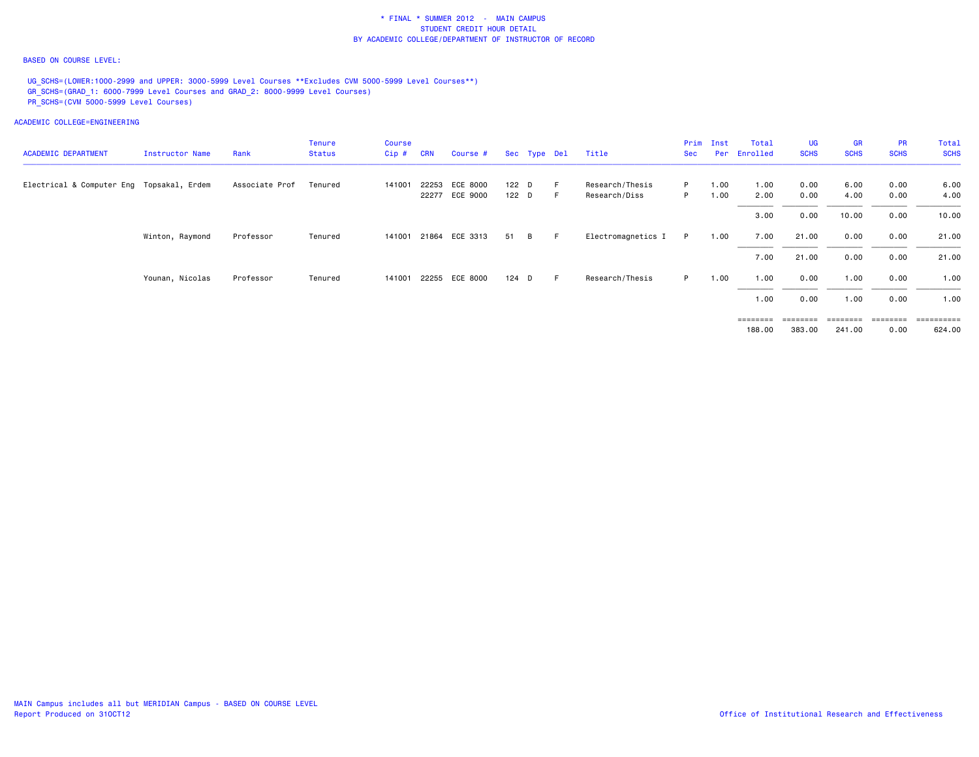## BASED ON COURSE LEVEL:

UG SCHS=(LOWER:1000-2999 and UPPER: 3000-5999 Level Courses \*\*Excludes CVM 5000-5999 Level Courses\*\*) GR\_SCHS=(GRAD\_1: 6000-7999 Level Courses and GRAD\_2: 8000-9999 Level Courses) PR\_SCHS=(CVM 5000-5999 Level Courses)

ACADEMIC COLLEGE=ENGINEERING

|                                           |                 |                | <b>Tenure</b> | <b>Course</b> |            |                       |       |              |    |                    | Prim | Inst | Total        | UG          | <b>GR</b>   | <b>PR</b>   | Total       |
|-------------------------------------------|-----------------|----------------|---------------|---------------|------------|-----------------------|-------|--------------|----|--------------------|------|------|--------------|-------------|-------------|-------------|-------------|
| <b>ACADEMIC DEPARTMENT</b>                | Instructor Name | Rank           | Status        | Cip#          | <b>CRN</b> | Course #              |       | Sec Type Del |    | Title              | Sec  |      | Per Enrolled | <b>SCHS</b> | <b>SCHS</b> | <b>SCHS</b> | <b>SCHS</b> |
| Electrical & Computer Eng Topsakal, Erdem |                 | Associate Prof | Tenured       | 141001        | 22253      | ECE 8000              | 122 D |              |    | Research/Thesis    | P.   | 1.00 | 1.00         | 0.00        | 6.00        | 0.00        | 6.00        |
|                                           |                 |                |               |               |            | 22277 ECE 9000        | 122 D |              |    | Research/Diss      | P.   | 1.00 | 2.00         | 0.00        | 4.00        | 0.00        | 4.00        |
|                                           |                 |                |               |               |            |                       |       |              |    |                    |      |      | 3.00         | 0.00        | 10.00       | 0.00        | 10.00       |
|                                           | Winton, Raymond | Professor      | Tenured       |               |            | 141001 21864 ECE 3313 | 51    | B.           | E. | Electromagnetics I | P    | 1.00 | 7.00         | 21.00       | 0.00        | 0.00        | 21.00       |
|                                           |                 |                |               |               |            |                       |       |              |    |                    |      |      | 7.00         | 21.00       | 0.00        | 0.00        | 21.00       |
|                                           | Younan, Nicolas | Professor      | Tenured       |               |            | 141001 22255 ECE 8000 | 124 D |              |    | Research/Thesis    | P.   | 1.00 | 1.00         | 0.00        | 1.00        | 0.00        | 1.00        |
|                                           |                 |                |               |               |            |                       |       |              |    |                    |      |      | 1.00         | 0.00        | 1.00        | 0.00        | 1.00        |
|                                           |                 |                |               |               |            |                       |       |              |    |                    |      |      | ========     | ---------   | ========    | ========    | ___________ |

188.00 383.00 241.00 0.00 624.00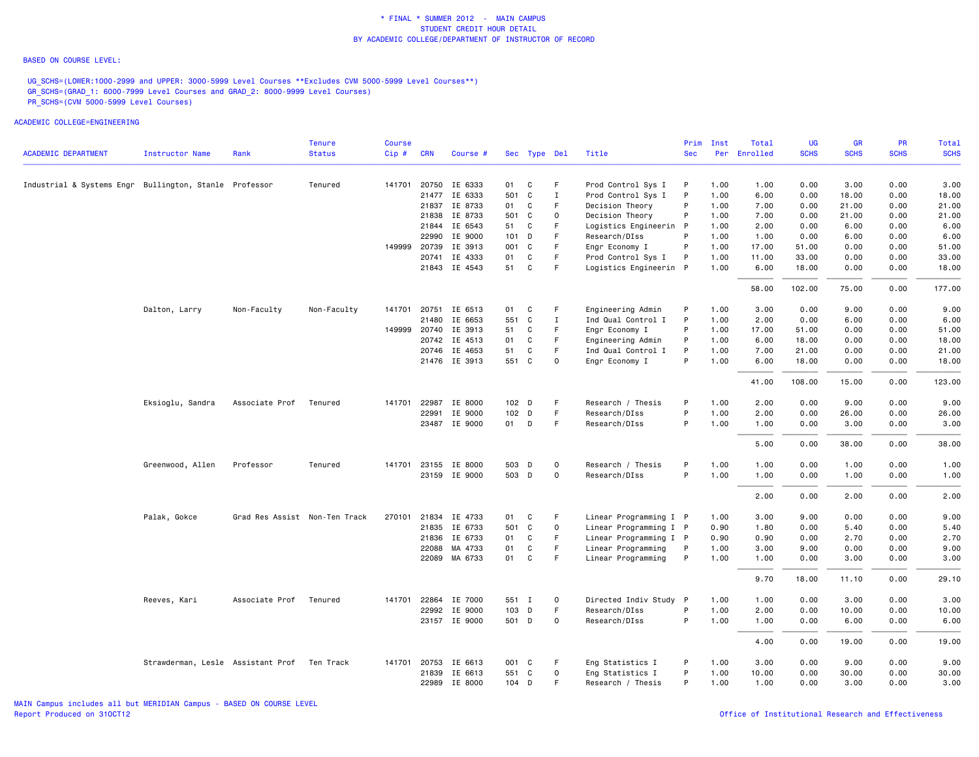### BASED ON COURSE LEVEL:

UG\_SCHS=(LOWER:1000-2999 and UPPER: 3000-5999 Level Courses \*\*Excludes CVM 5000-5999 Level Courses\*\*) GR\_SCHS=(GRAD\_1: 6000-7999 Level Courses and GRAD\_2: 8000-9999 Level Courses) PR\_SCHS=(CVM 5000-5999 Level Courses)

| <b>ACADEMIC DEPARTMENT</b>                             | <b>Instructor Name</b>                      | Rank                          | <b>Tenure</b><br><b>Status</b> | <b>Course</b><br>Cip# | <b>CRN</b> | Course #             |       | Sec Type Del |             | Title                  | Prim<br><b>Sec</b> | Inst | Total<br>Per Enrolled | <b>UG</b><br><b>SCHS</b> | <b>GR</b><br><b>SCHS</b> | PR<br><b>SCHS</b> | <b>Total</b><br><b>SCHS</b> |
|--------------------------------------------------------|---------------------------------------------|-------------------------------|--------------------------------|-----------------------|------------|----------------------|-------|--------------|-------------|------------------------|--------------------|------|-----------------------|--------------------------|--------------------------|-------------------|-----------------------------|
|                                                        |                                             |                               |                                |                       |            |                      |       |              |             |                        |                    |      |                       |                          |                          |                   |                             |
| Industrial & Systems Engr Bullington, Stanle Professor |                                             |                               | Tenured                        | 141701                | 20750      | IE 6333              | 01    | C            | F           | Prod Control Sys I     | P                  | 1.00 | 1.00                  | 0.00                     | 3.00                     | 0.00              | 3.00                        |
|                                                        |                                             |                               |                                |                       | 21477      | IE 6333              | 501   | C            | $\mathbf I$ | Prod Control Sys I     | P                  | 1.00 | 6.00                  | 0.00                     | 18.00                    | 0.00              | 18.00                       |
|                                                        |                                             |                               |                                |                       |            | 21837 IE 8733        | 01    | C            | F           | Decision Theory        | P                  | 1.00 | 7.00                  | 0.00                     | 21.00                    | 0.00              | 21.00                       |
|                                                        |                                             |                               |                                |                       | 21838      | IE 8733              | 501   | $\mathbf{C}$ | $\mathsf 0$ | Decision Theory        |                    | 1.00 | 7.00                  | 0.00                     | 21.00                    | 0.00              | 21.00                       |
|                                                        |                                             |                               |                                |                       |            | 21844 IE 6543        | 51    | C            | F           | Logistics Engineerin P |                    | 1.00 | 2.00                  | 0.00                     | 6.00                     | 0.00              | 6.00                        |
|                                                        |                                             |                               |                                |                       | 22990      | IE 9000              | 101 D |              | F           | Research/DIss          | P                  | 1.00 | 1.00                  | 0.00                     | 6.00                     | 0.00              | 6.00                        |
|                                                        |                                             |                               |                                | 149999                |            | 20739 IE 3913        | 001 C |              | F           | Engr Economy I         | P                  | 1.00 | 17.00                 | 51.00                    | 0.00                     | 0.00              | 51.00                       |
|                                                        |                                             |                               |                                |                       | 20741      | IE 4333              | 01    | C            | F           | Prod Control Sys I     | P                  | 1.00 | 11.00                 | 33.00                    | 0.00                     | 0.00              | 33.00                       |
|                                                        |                                             |                               |                                |                       |            | 21843 IE 4543        | 51    | C            | F           | Logistics Engineerin P |                    | 1.00 | 6.00                  | 18.00                    | 0.00                     | 0.00              | 18.00                       |
|                                                        |                                             |                               |                                |                       |            |                      |       |              |             |                        |                    |      | 58.00                 | 102.00                   | 75.00                    | 0.00              | 177.00                      |
|                                                        | Dalton, Larry                               | Non-Faculty                   | Non-Faculty                    |                       |            | 141701 20751 IE 6513 | 01    | C            | F           | Engineering Admin      | P                  | 1.00 | 3.00                  | 0.00                     | 9.00                     | 0.00              | 9.00                        |
|                                                        |                                             |                               |                                |                       |            | 21480 IE 6653        | 551   | C            | $\mathbf I$ | Ind Qual Control I     | P                  | 1.00 | 2.00                  | 0.00                     | 6.00                     | 0.00              | 6.00                        |
|                                                        |                                             |                               |                                | 149999                |            | 20740 IE 3913        | 51    | C            | F           | Engr Economy I         | P                  | 1.00 | 17.00                 | 51.00                    | 0.00                     | 0.00              | 51.00                       |
|                                                        |                                             |                               |                                |                       |            | 20742 IE 4513        | 01    | C            | F.          | Engineering Admin      | P                  | 1.00 | 6.00                  | 18.00                    | 0.00                     | 0.00              | 18.00                       |
|                                                        |                                             |                               |                                |                       |            | 20746 IE 4653        | 51    | C            | F           | Ind Qual Control I     | P                  | 1.00 | 7.00                  | 21.00                    | 0.00                     | 0.00              | 21,00                       |
|                                                        |                                             |                               |                                |                       |            | 21476 IE 3913        | 551 C |              | $\mathsf 0$ | Engr Economy I         | P                  | 1.00 | 6.00                  | 18.00                    | 0.00                     | 0.00              | 18.00                       |
|                                                        |                                             |                               |                                |                       |            |                      |       |              |             |                        |                    |      | 41.00                 | 108.00                   | 15.00                    | 0.00              | 123.00                      |
|                                                        | Eksioglu, Sandra                            | Associate Prof                | Tenured                        | 141701                | 22987      | IE 8000              | 102 D |              | F           | Research / Thesis      | P                  | 1.00 | 2.00                  | 0.00                     | 9.00                     | 0.00              | 9.00                        |
|                                                        |                                             |                               |                                |                       | 22991      | IE 9000              | 102 D |              | E           | Research/DIss          | P                  | 1.00 | 2.00                  | 0.00                     | 26.00                    | 0.00              | 26.00                       |
|                                                        |                                             |                               |                                |                       |            | 23487 IE 9000        | 01 D  |              | F           | Research/DIss          | P                  | 1.00 | 1.00                  | 0.00                     | 3.00                     | 0.00              | 3.00                        |
|                                                        |                                             |                               |                                |                       |            |                      |       |              |             |                        |                    |      | 5.00                  | 0.00                     | 38.00                    | 0.00              | 38.00                       |
|                                                        | Greenwood, Allen                            | Professor                     | Tenured                        | 141701                | 23155      | IE 8000              | 503 D |              | $\Omega$    | Research / Thesis      | P                  | 1.00 | 1.00                  | 0.00                     | 1.00                     | 0.00              | 1.00                        |
|                                                        |                                             |                               |                                |                       |            | 23159 IE 9000        | 503 D |              | $\mathsf 0$ | Research/DIss          | P                  | 1.00 | 1.00                  | 0.00                     | 1.00                     | 0.00              | 1.00                        |
|                                                        |                                             |                               |                                |                       |            |                      |       |              |             |                        |                    |      | 2.00                  | 0.00                     | 2.00                     | 0.00              | 2.00                        |
|                                                        | Palak, Gokce                                | Grad Res Assist Non-Ten Track |                                | 270101                |            | 21834 IE 4733        | 01    | C            | F           | Linear Programming I P |                    | 1.00 | 3.00                  | 9.00                     | 0.00                     | 0.00              | 9.00                        |
|                                                        |                                             |                               |                                |                       |            | 21835 IE 6733        | 501   | C            | $\mathsf 0$ | Linear Programming I P |                    | 0.90 | 1.80                  | 0.00                     | 5.40                     | 0.00              | 5.40                        |
|                                                        |                                             |                               |                                |                       | 21836      | IE 6733              | 01    | C            | F           | Linear Programming I P |                    | 0.90 | 0.90                  | 0.00                     | 2.70                     | 0.00              | 2.70                        |
|                                                        |                                             |                               |                                |                       |            | 22088 MA 4733        | 01    | C            | F           | Linear Programming     | P                  | 1.00 | 3.00                  | 9.00                     | 0.00                     | 0.00              | 9.00                        |
|                                                        |                                             |                               |                                |                       |            | 22089 MA 6733        | 01    | C            | F           | Linear Programming     | P                  | 1.00 | 1.00                  | 0.00                     | 3.00                     | 0.00              | 3.00                        |
|                                                        |                                             |                               |                                |                       |            |                      |       |              |             |                        |                    |      | 9.70                  | 18.00                    | 11.10                    | 0.00              | 29.10                       |
|                                                        | Reeves, Kari                                | Associate Prof                | Tenured                        | 141701                | 22864      | IE 7000              | 551 I |              | $\mathbf 0$ | Directed Indiv Study   | P                  | 1.00 | 1.00                  | 0.00                     | 3.00                     | 0.00              | 3.00                        |
|                                                        |                                             |                               |                                |                       |            | 22992 IE 9000        | 103 D |              | F           | Research/DIss          | P                  | 1.00 | 2.00                  | 0.00                     | 10.00                    | 0.00              | 10.00                       |
|                                                        |                                             |                               |                                |                       |            | 23157 IE 9000        | 501 D |              | $\mathbf 0$ | Research/DIss          | P                  | 1.00 | 1.00                  | 0.00                     | 6.00                     | 0.00              | 6.00                        |
|                                                        |                                             |                               |                                |                       |            |                      |       |              |             |                        |                    |      | 4.00                  | 0.00                     | 19.00                    | 0.00              | 19.00                       |
|                                                        | Strawderman, Lesle Assistant Prof Ten Track |                               |                                |                       |            | 141701 20753 IE 6613 | 001 C |              | F           | Eng Statistics I       | P                  | 1.00 | 3.00                  | 0.00                     | 9.00                     | 0.00              | 9.00                        |
|                                                        |                                             |                               |                                |                       | 21839      | IE 6613              | 551   | C            | $\mathbf 0$ | Eng Statistics I       |                    | 1.00 | 10.00                 | 0.00                     | 30.00                    | 0.00              | 30.00                       |
|                                                        |                                             |                               |                                |                       |            | 22989 IE 8000        | 104 D |              | F           | Research / Thesis      | P                  | 1.00 | 1.00                  | 0.00                     | 3.00                     | 0.00              | 3.00                        |
|                                                        |                                             |                               |                                |                       |            |                      |       |              |             |                        |                    |      |                       |                          |                          |                   |                             |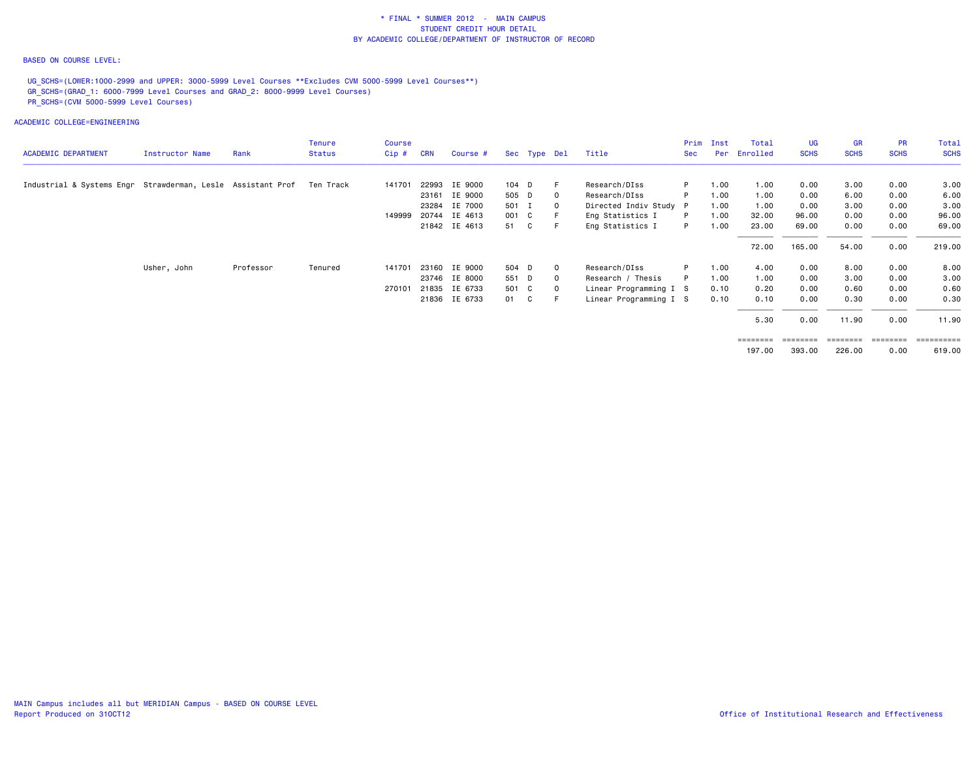## BASED ON COURSE LEVEL:

UG\_SCHS=(LOWER:1000-2999 and UPPER: 3000-5999 Level Courses \*\*Excludes CVM 5000-5999 Level Courses\*\*) GR\_SCHS=(GRAD\_1: 6000-7999 Level Courses and GRAD\_2: 8000-9999 Level Courses) PR\_SCHS=(CVM 5000-5999 Level Courses)

| <b>ACADEMIC DEPARTMENT</b>                                            | Instructor Name | Rank      | <b>Tenure</b><br><b>Status</b> | Course<br>$Cip$ # | <b>CRN</b> | Course #      |       | Sec Type Del |              | Title                  | <b>Sec</b> | Prim Inst<br>Per | Total<br>Enrolled | UG<br><b>SCHS</b> | <b>GR</b><br><b>SCHS</b> | <b>PR</b><br><b>SCHS</b> | Total<br><b>SCHS</b> |
|-----------------------------------------------------------------------|-----------------|-----------|--------------------------------|-------------------|------------|---------------|-------|--------------|--------------|------------------------|------------|------------------|-------------------|-------------------|--------------------------|--------------------------|----------------------|
|                                                                       |                 |           |                                |                   |            |               |       |              |              |                        |            |                  |                   |                   |                          |                          |                      |
| Industrial & Systems Engr Strawderman, Lesle Assistant Prof Ten Track |                 |           |                                | 141701            |            | 22993 IE 9000 | 104 D |              | F.           | Research/DIss          | P.         | 1.00             | 1.00              | 0.00              | 3.00                     | 0.00                     | 3.00                 |
|                                                                       |                 |           |                                |                   |            | 23161 IE 9000 | 505 D |              | $\mathbf{O}$ | Research/DIss          | P          | 1.00             | 1.00              | 0.00              | 6.00                     | 0.00                     | 6.00                 |
|                                                                       |                 |           |                                |                   | 23284      | IE 7000       | 501 I |              | 0            | Directed Indiv Study P |            | 1.00             | 1.00              | 0.00              | 3.00                     | 0.00                     | 3.00                 |
|                                                                       |                 |           |                                | 149999            |            | 20744 IE 4613 | 001 C |              |              | Eng Statistics I       | P          | 1.00             | 32.00             | 96.00             | 0.00                     | 0.00                     | 96.00                |
|                                                                       |                 |           |                                |                   |            | 21842 IE 4613 | 51 C  |              |              | Eng Statistics I       | P          | 1.00             | 23.00             | 69.00             | 0.00                     | 0.00                     | 69.00                |
|                                                                       |                 |           |                                |                   |            |               |       |              |              |                        |            |                  | 72.00             | 165.00            | 54.00                    | 0.00                     | 219.00               |
|                                                                       | Usher, John     | Professor | Tenured                        | 141701            |            | 23160 IE 9000 | 504 D |              | $\Omega$     | Research/DIss          | P          | 1.00             | 4.00              | 0.00              | 8.00                     | 0.00                     | 8.00                 |
|                                                                       |                 |           |                                |                   |            | 23746 IE 8000 | 551 D |              | $\Omega$     | Research / Thesis      |            | 1.00             | 1.00              | 0.00              | 3.00                     | 0.00                     | 3.00                 |
|                                                                       |                 |           |                                | 270101            |            | 21835 IE 6733 | 501 C |              | $\mathbf{O}$ | Linear Programming I S |            | 0.10             | 0.20              | 0.00              | 0.60                     | 0.00                     | 0.60                 |
|                                                                       |                 |           |                                |                   |            | 21836 IE 6733 | 01 C  |              |              | Linear Programming I S |            | 0.10             | 0.10              | 0.00              | 0.30                     | 0.00                     | 0.30                 |
|                                                                       |                 |           |                                |                   |            |               |       |              |              |                        |            |                  | 5.30              | 0.00              | 11.90                    | 0.00                     | 11.90                |
|                                                                       |                 |           |                                |                   |            |               |       |              |              |                        |            |                  | ========          | $=$ = = = = = = = | ========                 | $=$ = = = = = = =        | ==========           |
|                                                                       |                 |           |                                |                   |            |               |       |              |              |                        |            |                  | 197.00            | 393.00            | 226.00                   | 0.00                     | 619.00               |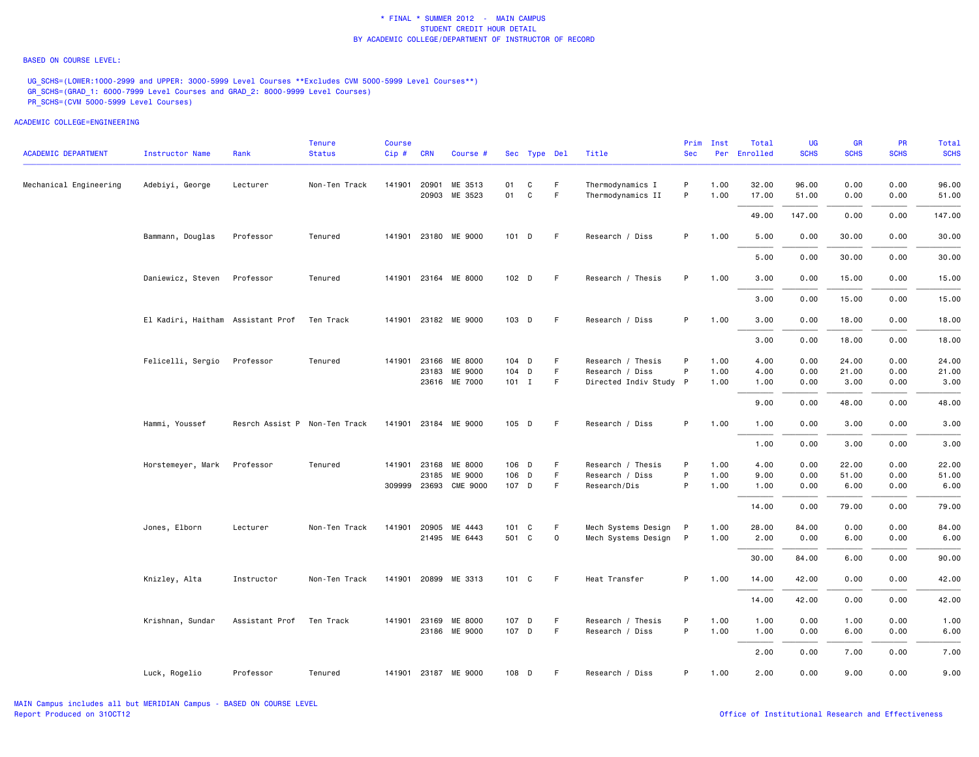#### BASED ON COURSE LEVEL:

UG\_SCHS=(LOWER:1000-2999 and UPPER: 3000-5999 Level Courses \*\*Excludes CVM 5000-5999 Level Courses\*\*) GR\_SCHS=(GRAD\_1: 6000-7999 Level Courses and GRAD\_2: 8000-9999 Level Courses) PR\_SCHS=(CVM 5000-5999 Level Courses)

| <b>ACADEMIC DEPARTMENT</b> | <b>Instructor Name</b>            | Rank                          | <b>Tenure</b><br><b>Status</b> | <b>Course</b><br>Cip# | <b>CRN</b>   | Course #                 |                  | Sec Type Del      |             | Title                                 | Prim<br><b>Sec</b> | Inst         | Total<br>Per Enrolled | <b>UG</b><br><b>SCHS</b> | <b>GR</b><br><b>SCHS</b> | <b>PR</b><br><b>SCHS</b> | <b>Total</b><br><b>SCHS</b> |
|----------------------------|-----------------------------------|-------------------------------|--------------------------------|-----------------------|--------------|--------------------------|------------------|-------------------|-------------|---------------------------------------|--------------------|--------------|-----------------------|--------------------------|--------------------------|--------------------------|-----------------------------|
| Mechanical Engineering     | Adebiyi, George                   | Lecturer                      | Non-Ten Track                  |                       | 141901 20901 | ME 3513<br>20903 ME 3523 | 01<br>01         | C<br>$\mathtt{C}$ | F.<br>F     | Thermodynamics I<br>Thermodynamics II | P<br>P             | 1.00<br>1.00 | 32.00<br>17.00        | 96.00<br>51.00           | 0.00<br>0.00             | 0.00<br>0.00             | 96.00<br>51.00              |
|                            |                                   |                               |                                |                       |              |                          |                  |                   |             |                                       |                    |              | 49.00                 | 147.00                   | 0.00                     | 0.00                     | 147.00                      |
|                            | Bammann, Douglas                  | Professor                     | Tenured                        |                       |              | 141901 23180 ME 9000     | 101 D            |                   | F.          | Research / Diss                       | P                  | 1.00         | 5.00                  | 0.00                     | 30.00                    | 0.00                     | 30.00                       |
|                            |                                   |                               |                                |                       |              |                          |                  |                   |             |                                       |                    |              | 5.00                  | 0.00                     | 30.00                    | 0.00                     | 30.00                       |
|                            | Daniewicz, Steven                 | Professor                     | Tenured                        |                       |              | 141901 23164 ME 8000     | 102 <sub>D</sub> |                   | F           | Research / Thesis                     | P                  | 1.00         | 3.00                  | 0.00                     | 15.00                    | 0.00                     | 15.00                       |
|                            |                                   |                               |                                |                       |              |                          |                  |                   |             |                                       |                    |              | 3.00                  | 0.00                     | 15.00                    | 0.00                     | 15.00                       |
|                            | El Kadiri, Haitham Assistant Prof |                               | Ten Track                      |                       |              | 141901 23182 ME 9000     | 103 D            |                   | F           | Research / Diss                       | P                  | 1.00         | 3.00                  | 0.00                     | 18.00                    | 0.00                     | 18.00                       |
|                            |                                   |                               |                                |                       |              |                          |                  |                   |             |                                       |                    |              | 3.00                  | 0.00                     | 18.00                    | 0.00                     | 18.00                       |
|                            | Felicelli, Sergio                 | Professor                     | Tenured                        | 141901                | 23166        | ME 8000                  | 104 D            |                   | F           | Research / Thesis                     | P                  | 1.00         | 4.00                  | 0.00                     | 24.00                    | 0.00                     | 24.00                       |
|                            |                                   |                               |                                |                       | 23183        | ME 9000                  | 104 D            |                   | F           | Research / Diss                       | P                  | 1.00         | 4.00                  | 0.00                     | 21.00                    | 0.00                     | 21.00                       |
|                            |                                   |                               |                                |                       |              | 23616 ME 7000            | $101$ I          |                   | F           | Directed Indiv Study P                |                    | 1.00         | 1.00                  | 0.00                     | 3.00                     | 0.00                     | 3.00                        |
|                            |                                   |                               |                                |                       |              |                          |                  |                   |             |                                       |                    |              | 9.00                  | 0.00                     | 48.00                    | 0.00                     | 48.00                       |
|                            | Hammi, Youssef                    | Resrch Assist P Non-Ten Track |                                |                       |              | 141901 23184 ME 9000     | 105 D            |                   | F.          | Research / Diss                       | P                  | 1.00         | 1.00                  | 0.00                     | 3.00                     | 0.00                     | 3.00                        |
|                            |                                   |                               |                                |                       |              |                          |                  |                   |             |                                       |                    |              | 1.00                  | 0.00                     | 3.00                     | 0.00                     | 3.00                        |
|                            | Horstemeyer, Mark                 | Professor                     | Tenured                        |                       | 141901 23168 | ME 8000                  | 106 D            |                   | F.          | Research / Thesis                     | P                  | 1.00         | 4.00                  | 0.00                     | 22.00                    | 0.00                     | 22.00                       |
|                            |                                   |                               |                                |                       |              | 23185 ME 9000            | 106 D            |                   | F.          | Research / Diss                       | P                  | 1.00         | 9.00                  | 0.00                     | 51.00                    | 0.00                     | 51.00                       |
|                            |                                   |                               |                                |                       |              | 309999 23693 CME 9000    | 107 D            |                   | F.          | Research/Dis                          | P                  | 1.00         | 1.00                  | 0.00                     | 6.00                     | 0.00                     | 6.00                        |
|                            |                                   |                               |                                |                       |              |                          |                  |                   |             |                                       |                    |              | 14.00                 | 0.00                     | 79.00                    | 0.00                     | 79.00                       |
|                            | Jones, Elborn                     | Lecturer                      | Non-Ten Track                  |                       |              | 141901 20905 ME 4443     | 101 C            |                   | F           | Mech Systems Design                   | P                  | 1.00         | 28.00                 | 84.00                    | 0.00                     | 0.00                     | 84.00                       |
|                            |                                   |                               |                                |                       |              | 21495 ME 6443            | 501 C            |                   | $\mathbf 0$ | Mech Systems Design                   | $\mathsf{P}$       | 1.00         | 2.00                  | 0.00                     | 6.00                     | 0.00                     | 6.00                        |
|                            |                                   |                               |                                |                       |              |                          |                  |                   |             |                                       |                    |              | 30.00                 | 84.00                    | 6.00                     | 0.00                     | 90.00                       |
|                            | Knizley, Alta                     | Instructor                    | Non-Ten Track                  |                       |              | 141901 20899 ME 3313     | 101 C            |                   | F           | Heat Transfer                         | P                  | 1.00         | 14.00                 | 42.00                    | 0.00                     | 0.00                     | 42.00                       |
|                            |                                   |                               |                                |                       |              |                          |                  |                   |             |                                       |                    |              | 14.00                 | 42.00                    | 0.00                     | 0.00                     | 42.00                       |
|                            | Krishnan, Sundar                  | Assistant Prof                | Ten Track                      |                       | 141901 23169 | ME 8000<br>23186 ME 9000 | 107 D<br>107 D   |                   | F<br>F      | Research / Thesis<br>Research / Diss  | P<br>P             | 1.00<br>1.00 | 1.00<br>1.00          | 0.00<br>0.00             | 1.00<br>6.00             | 0.00<br>0.00             | 1.00<br>6.00                |
|                            |                                   |                               |                                |                       |              |                          |                  |                   |             |                                       |                    |              | 2.00                  | 0.00                     | 7.00                     | 0.00                     | 7.00                        |
|                            | Luck, Rogelio                     | Professor                     | Tenured                        |                       |              | 141901 23187 ME 9000     | 108 D            |                   | F           | Research / Diss                       | P                  | 1.00         | 2.00                  | 0.00                     | 9.00                     | 0.00                     | 9.00                        |
|                            |                                   |                               |                                |                       |              |                          |                  |                   |             |                                       |                    |              |                       |                          |                          |                          |                             |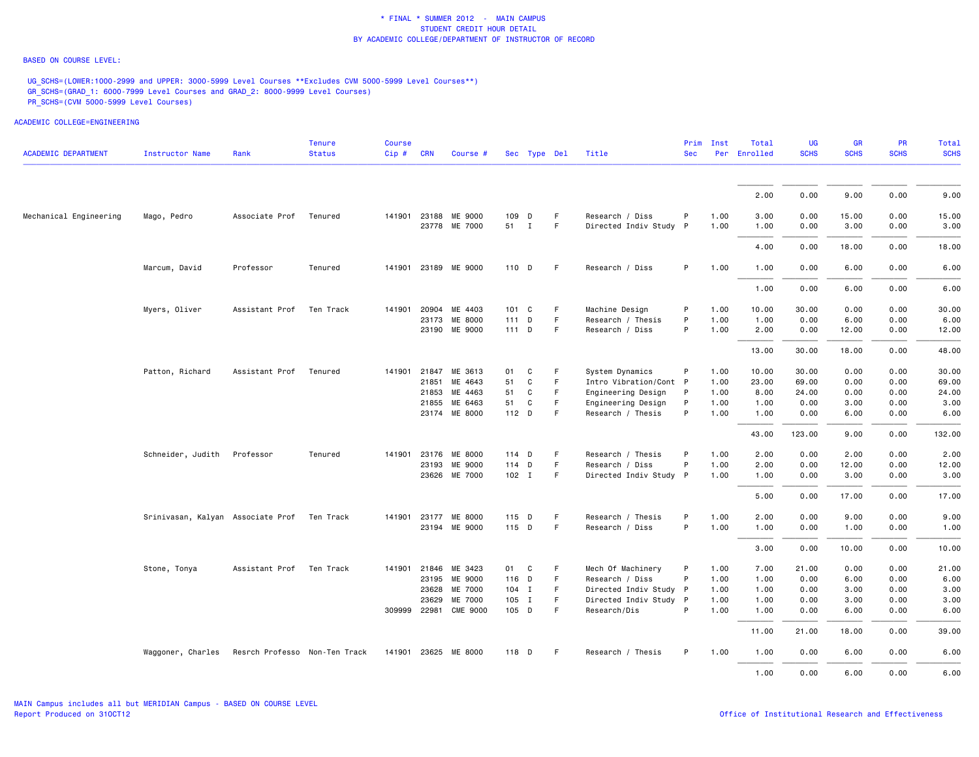## BASED ON COURSE LEVEL:

UG\_SCHS=(LOWER:1000-2999 and UPPER: 3000-5999 Level Courses \*\*Excludes CVM 5000-5999 Level Courses\*\*) GR\_SCHS=(GRAD\_1: 6000-7999 Level Courses and GRAD\_2: 8000-9999 Level Courses) PR\_SCHS=(CVM 5000-5999 Level Courses)

| <b>ACADEMIC DEPARTMENT</b> | Instructor Name                   | Rank                          | <b>Tenure</b><br><b>Status</b> | <b>Course</b><br>Cip # CRN |              | Course #              |         | Sec Type Del |    | Title                  | <b>Sec</b>   | Prim Inst | Total<br>Per Enrolled | <b>UG</b><br><b>SCHS</b> | <b>GR</b><br><b>SCHS</b> | <b>PR</b><br><b>SCHS</b> | Total<br><b>SCHS</b> |
|----------------------------|-----------------------------------|-------------------------------|--------------------------------|----------------------------|--------------|-----------------------|---------|--------------|----|------------------------|--------------|-----------|-----------------------|--------------------------|--------------------------|--------------------------|----------------------|
|                            |                                   |                               |                                |                            |              |                       |         |              |    |                        |              |           |                       |                          |                          |                          |                      |
|                            |                                   |                               |                                |                            |              |                       |         |              |    |                        |              |           | 2.00                  | 0.00                     | 9.00                     | 0.00                     | 9.00                 |
| Mechanical Engineering     | Mago, Pedro                       | Associate Prof                | Tenured                        |                            | 141901 23188 | ME 9000               |         | 109 D        | F  | Research / Diss        | P            | 1.00      | 3,00                  | 0.00                     | 15.00                    | 0.00                     | 15.00                |
|                            |                                   |                               |                                |                            |              | 23778 ME 7000         | 51 I    |              | F  | Directed Indiv Study P |              | 1.00      | 1.00                  | 0.00                     | 3.00                     | 0.00                     | 3.00                 |
|                            |                                   |                               |                                |                            |              |                       |         |              |    |                        |              |           | 4.00                  | 0.00                     | 18.00                    | 0.00                     | 18.00                |
|                            | Marcum, David                     | Professor                     | Tenured                        |                            |              | 141901 23189 ME 9000  | 110 D   |              | -F | Research / Diss        | P            | 1.00      | 1.00                  | 0.00                     | 6.00                     | 0.00                     | 6.00                 |
|                            |                                   |                               |                                |                            |              |                       |         |              |    |                        |              |           | 1.00                  | 0.00                     | 6.00                     | 0.00                     | 6.00                 |
|                            | Myers, Oliver                     | Assistant Prof                | Ten Track                      |                            |              | 141901 20904 ME 4403  |         | 101 C        | F  | Machine Design         | P            | 1.00      | 10.00                 | 30.00                    | 0.00                     | 0.00                     | 30.00                |
|                            |                                   |                               |                                |                            |              | 23173 ME 8000         | $111$ D |              | F  | Research / Thesis      | P            | 1.00      | 1.00                  | 0.00                     | 6.00                     | 0.00                     | 6.00                 |
|                            |                                   |                               |                                |                            |              | 23190 ME 9000         | $111$ D |              | F. | Research / Diss        | P            | 1.00      | 2.00                  | 0.00                     | 12.00                    | 0.00                     | 12.00                |
|                            |                                   |                               |                                |                            |              |                       |         |              |    |                        |              |           | 13.00                 | 30.00                    | 18.00                    | 0.00                     | 48.00                |
|                            | Patton, Richard                   | Assistant Prof                | Tenured                        |                            |              | 141901 21847 ME 3613  | 01      | C            | F  | System Dynamics        | P            | 1.00      | 10.00                 | 30.00                    | 0.00                     | 0.00                     | 30.00                |
|                            |                                   |                               |                                |                            | 21851        | ME 4643               | 51      | C            | F  | Intro Vibration/Cont P |              | 1.00      | 23.00                 | 69.00                    | 0.00                     | 0.00                     | 69.00                |
|                            |                                   |                               |                                |                            |              | 21853 ME 4463         | 51      | C            | F. | Engineering Design     | $\mathsf{P}$ | 1.00      | 8.00                  | 24.00                    | 0.00                     | 0.00                     | 24.00                |
|                            |                                   |                               |                                |                            | 21855        | ME 6463               | 51      | C            | F  | Engineering Design     | P            | 1.00      | 1.00                  | 0.00                     | 3.00                     | 0.00                     | 3.00                 |
|                            |                                   |                               |                                |                            |              | 23174 ME 8000         | 112 D   |              | F  | Research / Thesis      | P            | 1.00      | 1.00                  | 0.00                     | 6.00                     | 0.00                     | 6.00                 |
|                            |                                   |                               |                                |                            |              |                       |         |              |    |                        |              |           | 43.00                 | 123.00                   | 9.00                     | 0.00                     | 132.00               |
|                            | Schneider, Judith                 | Professor                     | Tenured                        | 141901                     |              | 23176 ME 8000         | 114 D   |              | -F | Research / Thesis      | P            | 1.00      | 2.00                  | 0.00                     | 2.00                     | 0.00                     | 2.00                 |
|                            |                                   |                               |                                |                            |              | 23193 ME 9000         | 114 D   |              | F  | Research / Diss        | P            | 1.00      | 2.00                  | 0.00                     | 12.00                    | 0.00                     | 12.00                |
|                            |                                   |                               |                                |                            |              | 23626 ME 7000         | $102$ I |              | F. | Directed Indiv Study P |              | 1.00      | 1.00                  | 0.00                     | 3.00                     | 0.00                     | 3.00                 |
|                            |                                   |                               |                                |                            |              |                       |         |              |    |                        |              |           | 5.00                  | 0.00                     | 17.00                    | 0.00                     | 17.00                |
|                            | Srinivasan, Kalyan Associate Prof |                               | Ten Track                      | 141901                     | 23177        | ME 8000               |         | 115 D        | F  | Research / Thesis      | P            | 1.00      | 2.00                  | 0.00                     | 9.00                     | 0.00                     | 9.00                 |
|                            |                                   |                               |                                |                            |              | 23194 ME 9000         | 115 D   |              | F  | Research / Diss        | P            | 1.00      | 1.00                  | 0.00                     | 1.00                     | 0.00                     | 1.00                 |
|                            |                                   |                               |                                |                            |              |                       |         |              |    |                        |              |           | 3.00                  | 0.00                     | 10.00                    | 0.00                     | 10.00                |
|                            | Stone, Tonya                      | Assistant Prof Ten Track      |                                |                            |              | 141901 21846 ME 3423  | 01 C    |              | F. | Mech Of Machinery      | P            | 1.00      | 7.00                  | 21.00                    | 0.00                     | 0.00                     | 21.00                |
|                            |                                   |                               |                                |                            |              | 23195 ME 9000         | 116 D   |              | F  | Research / Diss        | P            | 1.00      | 1.00                  | 0.00                     | 6.00                     | 0.00                     | 6.00                 |
|                            |                                   |                               |                                |                            | 23628        | ME 7000               |         | 104 I        | F. | Directed Indiv Study P |              | 1.00      | 1.00                  | 0.00                     | 3.00                     | 0.00                     | 3.00                 |
|                            |                                   |                               |                                |                            | 23629        | ME 7000               |         | 105 I        | F. | Directed Indiv Study P |              | 1.00      | 1.00                  | 0.00                     | 3.00                     | 0.00                     | 3.00                 |
|                            |                                   |                               |                                |                            |              | 309999 22981 CME 9000 | 105 D   |              | F  | Research/Dis           | P            | 1.00      | 1.00                  | 0.00                     | 6.00                     | 0.00                     | 6.00                 |
|                            |                                   |                               |                                |                            |              |                       |         |              |    |                        |              |           | 11.00                 | 21.00                    | 18.00                    | 0.00                     | 39.00                |
|                            | Waggoner, Charles                 | Resrch Professo Non-Ten Track |                                |                            |              | 141901 23625 ME 8000  | 118 D   |              | F. | Research / Thesis      | P            | 1.00      | 1.00                  | 0.00                     | 6.00                     | 0.00                     | 6.00                 |
|                            |                                   |                               |                                |                            |              |                       |         |              |    |                        |              |           | 1.00                  | 0.00                     | 6.00                     | 0.00                     | 6.00                 |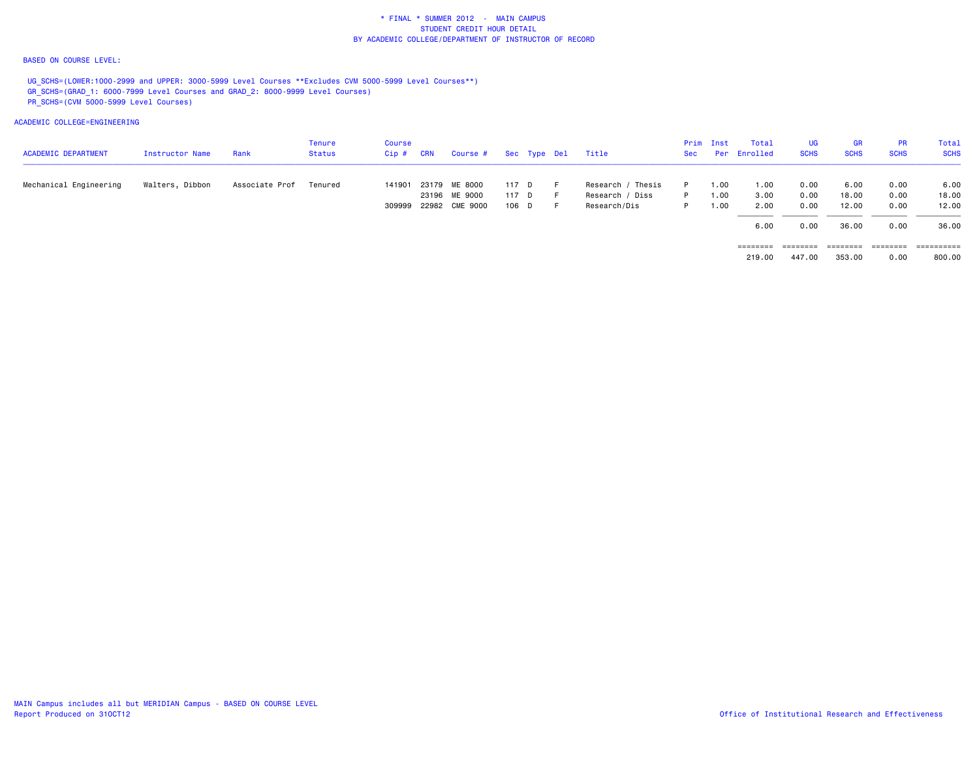## BASED ON COURSE LEVEL:

UG\_SCHS=(LOWER:1000-2999 and UPPER: 3000-5999 Level Courses \*\*Excludes CVM 5000-5999 Level Courses\*\*) GR\_SCHS=(GRAD\_1: 6000-7999 Level Courses and GRAD\_2: 8000-9999 Level Courses) PR\_SCHS=(CVM 5000-5999 Level Courses)

| <b>ACADEMIC DEPARTMENT</b> | Instructor Name | Rank           | Tenure<br>Status | Course<br>Cip# | CRN | Course #              |       | Sec Type Del | Title             | Sec | Prim Inst | Total<br>Per Enrolled | UG.<br><b>SCHS</b> | <b>GR</b><br><b>SCHS</b> | <b>PR</b><br><b>SCHS</b> | Total<br><b>SCHS</b> |
|----------------------------|-----------------|----------------|------------------|----------------|-----|-----------------------|-------|--------------|-------------------|-----|-----------|-----------------------|--------------------|--------------------------|--------------------------|----------------------|
| Mechanical Engineering     | Walters, Dibbon | Associate Prof | Tenured          | 141901         |     | 23179 ME 8000         | 117 D |              | Research / Thesis |     | 1.00      | 1.00                  | 0.00               | 6.00                     | 0.00                     | 6.00                 |
|                            |                 |                |                  |                |     | 23196 ME 9000         | 117 D |              | Research / Diss   | P.  | 1.00      | 3.00                  | 0.00               | 18.00                    | 0.00                     | 18,00                |
|                            |                 |                |                  |                |     | 309999 22982 CME 9000 | 106 D |              | Research/Dis      | P   | 1.00      | 2.00                  | 0.00               | 12.00                    | 0.00                     | 12.00                |
|                            |                 |                |                  |                |     |                       |       |              |                   |     |           | 6.00                  | 0.00               | 36.00                    | 0.00                     | 36.00                |
|                            |                 |                |                  |                |     |                       |       |              |                   |     |           | ========              | ========           | ========                 | ========                 |                      |
|                            |                 |                |                  |                |     |                       |       |              |                   |     |           | 219.00                | 447.00             | 353.00                   | 0.00                     | 800.00               |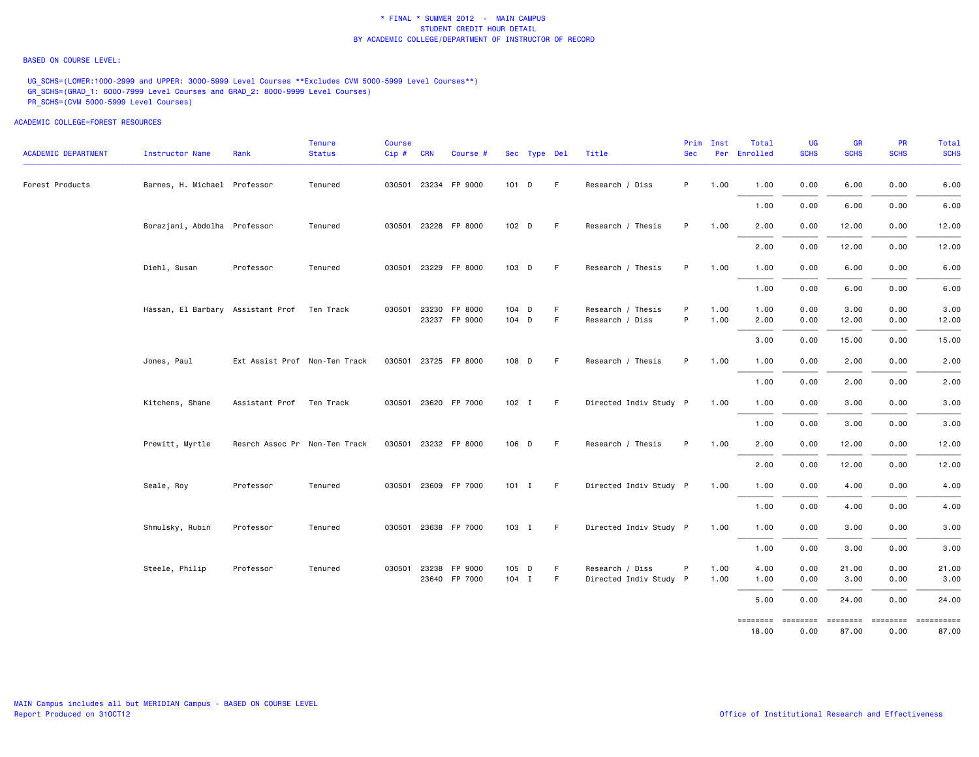### BASED ON COURSE LEVEL:

UG SCHS=(LOWER:1000-2999 and UPPER: 3000-5999 Level Courses \*\*Excludes CVM 5000-5999 Level Courses\*\*) GR\_SCHS=(GRAD\_1: 6000-7999 Level Courses and GRAD\_2: 8000-9999 Level Courses) PR\_SCHS=(CVM 5000-5999 Level Courses)

ACADEMIC COLLEGE=FOREST RESOURCES

| ACADEMIC DEPARTMENT | <b>Instructor Name</b>                      | Rank                          | <b>Tenure</b><br><b>Status</b> | Course<br>Cip# | <b>CRN</b> | Course #             |         | Sec Type Del |    | Title                  | Prim<br><b>Sec</b> | Inst | Total<br>Per Enrolled | UG<br><b>SCHS</b> | <b>GR</b><br><b>SCHS</b> | <b>PR</b><br><b>SCHS</b> | Total<br><b>SCHS</b> |
|---------------------|---------------------------------------------|-------------------------------|--------------------------------|----------------|------------|----------------------|---------|--------------|----|------------------------|--------------------|------|-----------------------|-------------------|--------------------------|--------------------------|----------------------|
| Forest Products     | Barnes, H. Michael Professor                |                               | Tenured                        |                |            | 030501 23234 FP 9000 | 101 D   |              | F. | Research / Diss        | P                  | 1.00 | 1.00                  | 0.00              | 6.00                     | 0.00                     | 6.00                 |
|                     |                                             |                               |                                |                |            |                      |         |              |    |                        |                    |      | 1.00                  | 0.00              | 6.00                     | 0.00                     | 6.00                 |
|                     | Borazjani, Abdolha Professor                |                               | Tenured                        |                |            | 030501 23228 FP 8000 | 102 D   |              | F. | Research / Thesis      | P                  | 1.00 | 2.00                  | 0.00              | 12.00                    | 0.00                     | 12.00                |
|                     |                                             |                               |                                |                |            |                      |         |              |    |                        |                    |      | 2.00                  | 0.00              | 12.00                    | 0.00                     | 12.00                |
|                     | Diehl, Susan                                | Professor                     | Tenured                        |                |            | 030501 23229 FP 8000 | 103 D   |              | F. | Research / Thesis      | P                  | 1.00 | 1.00                  | 0.00              | 6.00                     | 0.00                     | 6.00                 |
|                     |                                             |                               |                                |                |            |                      |         |              |    |                        |                    |      | 1.00                  | 0.00              | 6.00                     | 0.00                     | 6.00                 |
|                     | Hassan, El Barbary Assistant Prof Ten Track |                               |                                |                |            | 030501 23230 FP 8000 | 104 D   |              | F  | Research / Thesis      | P                  | 1.00 | 1.00                  | 0.00              | 3.00                     | 0.00                     | 3.00                 |
|                     |                                             |                               |                                |                |            | 23237 FP 9000        | 104 D   |              | F. | Research / Diss        | P                  | 1.00 | 2.00                  | 0.00              | 12.00                    | 0.00                     | 12.00                |
|                     |                                             |                               |                                |                |            |                      |         |              |    |                        |                    |      |                       |                   |                          |                          |                      |
|                     |                                             |                               |                                |                |            |                      |         |              |    |                        |                    |      | 3.00                  | 0.00              | 15.00                    | 0.00                     | 15.00                |
|                     | Jones, Paul                                 | Ext Assist Prof Non-Ten Track |                                |                |            | 030501 23725 FP 8000 | 108 D   |              | F. | Research / Thesis      | P                  | 1.00 | 1.00                  | 0.00              | 2.00                     | 0.00                     | 2.00                 |
|                     |                                             |                               |                                |                |            |                      |         |              |    |                        |                    |      | 1.00                  | 0.00              | 2.00                     | 0.00                     | 2.00                 |
|                     | Kitchens, Shane                             | Assistant Prof Ten Track      |                                |                |            | 030501 23620 FP 7000 |         | 102 I        | F. | Directed Indiv Study P |                    | 1.00 | 1.00                  | 0.00              | 3.00                     | 0.00                     | 3.00                 |
|                     |                                             |                               |                                |                |            |                      |         |              |    |                        |                    |      | 1.00                  | 0.00              | 3.00                     | 0.00                     | 3.00                 |
|                     | Prewitt, Myrtle                             | Resrch Assoc Pr Non-Ten Track |                                |                |            | 030501 23232 FP 8000 |         | 106 D        | F  | Research / Thesis      | P                  | 1.00 | 2.00                  | 0.00              | 12.00                    | 0.00                     | 12.00                |
|                     |                                             |                               |                                |                |            |                      |         |              |    |                        |                    |      | 2.00                  | 0.00              | 12.00                    | 0.00                     | 12.00                |
|                     | Seale, Roy                                  | Professor                     | Tenured                        |                |            | 030501 23609 FP 7000 |         | $101$ I      | F. | Directed Indiv Study P |                    | 1.00 | 1.00                  | 0.00              | 4.00                     | 0.00                     | 4.00                 |
|                     |                                             |                               |                                |                |            |                      |         |              |    |                        |                    |      | 1.00                  | 0.00              | 4.00                     | 0.00                     | 4.00                 |
|                     | Shmulsky, Rubin                             | Professor                     | Tenured                        |                |            | 030501 23638 FP 7000 |         | 103 I        | F. | Directed Indiv Study P |                    | 1.00 | 1.00                  | 0.00              | 3.00                     | 0.00                     | 3.00                 |
|                     |                                             |                               |                                |                |            |                      |         |              |    |                        |                    |      | 1.00                  | 0.00              | 3.00                     | 0.00                     | 3.00                 |
|                     | Steele, Philip                              | Professor                     | Tenured                        |                |            | 030501 23238 FP 9000 | 105 D   |              | F. | Research / Diss        | P                  | 1.00 | 4.00                  | 0.00              | 21.00                    | 0.00                     | 21.00                |
|                     |                                             |                               |                                |                |            | 23640 FP 7000        | $104$ I |              | F  | Directed Indiv Study P |                    | 1.00 | 1.00                  | 0.00              | 3.00                     | 0.00                     | 3.00                 |
|                     |                                             |                               |                                |                |            |                      |         |              |    |                        |                    |      | 5.00                  | 0.00              | 24.00                    | 0.00                     | 24.00                |
|                     |                                             |                               |                                |                |            |                      |         |              |    |                        |                    |      |                       |                   |                          |                          |                      |

87.00 18.00 0.00 87.00 0.00 87.00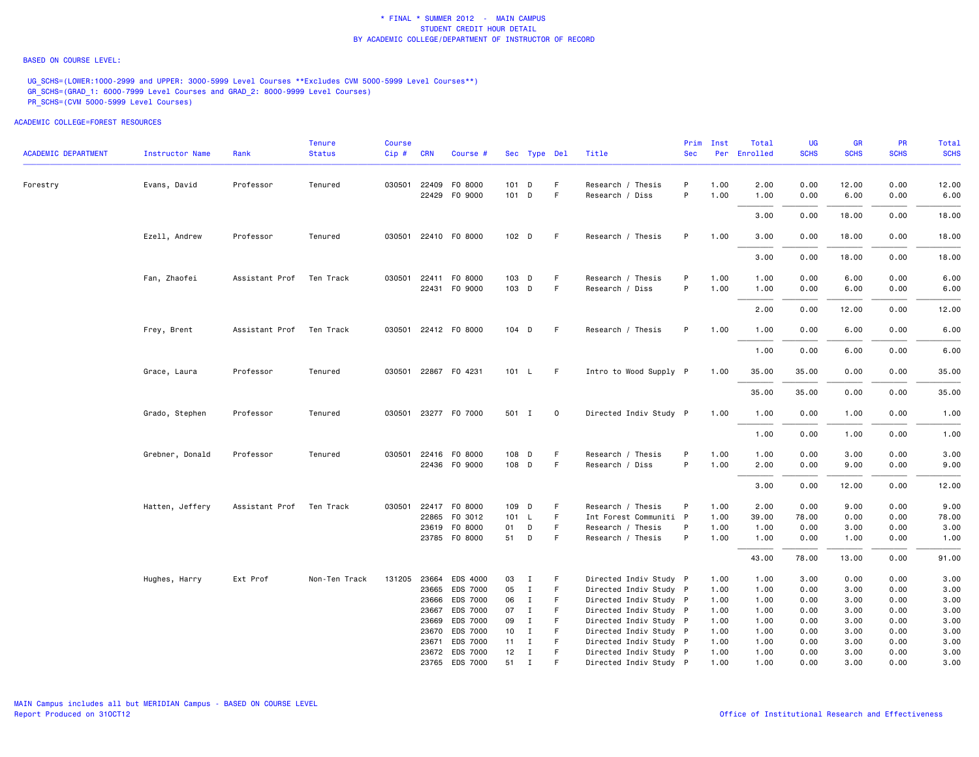### BASED ON COURSE LEVEL:

UG\_SCHS=(LOWER:1000-2999 and UPPER: 3000-5999 Level Courses \*\*Excludes CVM 5000-5999 Level Courses\*\*) GR\_SCHS=(GRAD\_1: 6000-7999 Level Courses and GRAD\_2: 8000-9999 Level Courses) PR\_SCHS=(CVM 5000-5999 Level Courses)

| <b>ACADEMIC DEPARTMENT</b> | <b>Instructor Name</b> | Rank                     | Tenure<br><b>Status</b> | Course<br>Cip# | <b>CRN</b>     | Course #             |                                 | Sec Type Del |             | Title                                            | Prim<br><b>Sec</b> | Inst         | Total<br>Per Enrolled | UG<br><b>SCHS</b> | GR<br><b>SCHS</b> | <b>PR</b><br><b>SCHS</b> | Total<br><b>SCHS</b> |
|----------------------------|------------------------|--------------------------|-------------------------|----------------|----------------|----------------------|---------------------------------|--------------|-------------|--------------------------------------------------|--------------------|--------------|-----------------------|-------------------|-------------------|--------------------------|----------------------|
|                            |                        |                          |                         |                |                |                      |                                 |              |             |                                                  |                    |              |                       |                   |                   |                          |                      |
| Forestry                   | Evans, David           | Professor                | Tenured                 |                |                | 030501 22409 F0 8000 | 101 D                           |              | F.          | Research / Thesis                                | P                  | 1.00         | 2.00                  | 0.00              | 12.00             | 0.00                     | 12.00                |
|                            |                        |                          |                         |                |                | 22429 F0 9000        | 101 D                           |              | $\mathsf F$ | Research / Diss                                  | P                  | 1.00         | 1.00                  | 0.00              | 6.00              | 0.00                     | 6.00                 |
|                            |                        |                          |                         |                |                |                      |                                 |              |             |                                                  |                    |              | 3.00                  | 0.00              | 18.00             | 0.00                     | 18.00                |
|                            | Ezell, Andrew          | Professor                | Tenured                 |                |                | 030501 22410 F0 8000 | 102 D                           |              | F.          | Research / Thesis                                | P                  | 1.00         | 3.00                  | 0.00              | 18.00             | 0.00                     | 18.00                |
|                            |                        |                          |                         |                |                |                      |                                 |              |             |                                                  |                    |              | 3.00                  | 0.00              | 18.00             | 0.00                     | 18.00                |
|                            | Fan, Zhaofei           | Assistant Prof Ten Track |                         |                |                | 030501 22411 F0 8000 | 103 D                           |              | F.          | Research / Thesis                                | P                  | 1.00         | 1.00                  | 0.00              | 6.00              | 0.00                     | 6.00                 |
|                            |                        |                          |                         |                |                | 22431 F0 9000        | 103 D                           |              | F.          | Research / Diss                                  | P                  | 1.00         | 1.00                  | 0.00              | 6.00              | 0.00                     | 6.00                 |
|                            |                        |                          |                         |                |                |                      |                                 |              |             |                                                  |                    |              | 2.00                  | 0.00              | 12.00             | 0.00                     | 12.00                |
|                            | Frey, Brent            | Assistant Prof           | Ten Track               |                |                | 030501 22412 F0 8000 | 104 D                           |              | -F          | Research / Thesis                                | P                  | 1.00         | 1.00                  | 0.00              | 6.00              | 0.00                     | 6.00                 |
|                            |                        |                          |                         |                |                |                      |                                 |              |             |                                                  |                    |              | 1.00                  | 0.00              | 6.00              | 0.00                     | 6.00                 |
|                            | Grace, Laura           | Professor                | Tenured                 |                |                | 030501 22867 F0 4231 | 101 L                           |              | -F          | Intro to Wood Supply P                           |                    | 1.00         | 35.00                 | 35.00             | 0.00              | 0.00                     | 35.00                |
|                            |                        |                          |                         |                |                |                      |                                 |              |             |                                                  |                    |              | 35.00                 | 35.00             | 0.00              | 0.00                     | 35.00                |
|                            | Grado, Stephen         | Professor                | Tenured                 |                |                | 030501 23277 F0 7000 | 501 I                           |              | $\mathbf 0$ | Directed Indiv Study P                           |                    | 1.00         | 1.00                  | 0.00              | 1.00              | 0.00                     | 1.00                 |
|                            |                        |                          |                         |                |                |                      |                                 |              |             |                                                  |                    |              | 1.00                  | 0.00              | 1.00              | 0.00                     | 1.00                 |
|                            | Grebner, Donald        | Professor                | Tenured                 | 030501         |                | 22416 F0 8000        | 108 D                           |              | F           | Research / Thesis                                | P                  | 1.00         | 1.00                  | 0.00              | 3.00              | 0.00                     | 3.00                 |
|                            |                        |                          |                         |                |                | 22436 FO 9000        | 108 D                           |              | F.          | Research / Diss                                  | P                  | 1.00         | 2.00                  | 0.00              | 9.00              | 0.00                     | 9.00                 |
|                            |                        |                          |                         |                |                |                      |                                 |              |             |                                                  |                    |              | 3.00                  | 0.00              | 12.00             | 0.00                     | 12.00                |
|                            | Hatten, Jeffery        | Assistant Prof Ten Track |                         |                |                | 030501 22417 F0 8000 | 109 D                           |              | F.          | Research / Thesis                                | P                  | 1.00         | 2.00                  | 0.00              | 9.00              | 0.00                     | 9.00                 |
|                            |                        |                          |                         |                |                | 22865 FO 3012        | 101 L                           |              | F.          | Int Forest Communiti P                           |                    | 1.00         | 39.00                 | 78.00             | 0.00              | 0.00                     | 78.00                |
|                            |                        |                          |                         |                |                | 23619 FO 8000        | 01                              | $\mathsf{D}$ | F           | Research / Thesis                                | P                  | 1.00         | 1.00                  | 0.00              | 3.00              | 0.00                     | 3.00                 |
|                            |                        |                          |                         |                |                | 23785 FO 8000        | 51 D                            |              | F           | Research / Thesis                                | P                  | 1.00         | 1.00                  | 0.00              | 1.00              | 0.00                     | 1.00                 |
|                            |                        |                          |                         |                |                |                      |                                 |              |             |                                                  |                    |              | 43.00                 | 78.00             | 13.00             | 0.00                     | 91.00                |
|                            | Hughes, Harry          | Ext Prof                 | Non-Ten Track           | 131205         |                | 23664 EDS 4000       | 03                              | $\mathbf{I}$ | F           | Directed Indiv Study P                           |                    | 1.00         | 1.00                  | 3.00              | 0.00              | 0.00                     | 3.00                 |
|                            |                        |                          |                         |                |                | 23665 EDS 7000       | 05                              | $\mathbf{I}$ | F           | Directed Indiv Study P                           |                    | 1.00         | 1.00                  | 0.00              | 3.00              | 0.00                     | 3.00                 |
|                            |                        |                          |                         |                |                | 23666 EDS 7000       | 06                              | $\mathbf{I}$ | F.          | Directed Indiv Study P                           |                    | 1.00         | 1.00                  | 0.00              | 3.00              | 0.00                     | 3.00                 |
|                            |                        |                          |                         |                |                | 23667 EDS 7000       | 07                              | $\mathbf{I}$ | F           | Directed Indiv Study P                           |                    | 1.00         | 1.00                  | 0.00              | 3.00              | 0.00                     | 3.00                 |
|                            |                        |                          |                         |                | 23669          | EDS 7000             | 09                              | $\mathbf{I}$ | F           | Directed Indiv Study P                           |                    | 1.00         | 1.00                  | 0.00              | 3.00              | 0.00                     | 3.00                 |
|                            |                        |                          |                         |                | 23670<br>23671 | EDS 7000<br>EDS 7000 | 10 <sub>1</sub><br>$11 \quad I$ | $\mathbf{I}$ | F<br>F      | Directed Indiv Study P<br>Directed Indiv Study P |                    | 1.00<br>1.00 | 1.00<br>1.00          | 0.00<br>0.00      | 3.00<br>3.00      | 0.00<br>0.00             | 3.00<br>3.00         |
|                            |                        |                          |                         |                |                | 23672 EDS 7000       | 12                              | $\mathbf{I}$ | F           | Directed Indiv Study P                           |                    | 1.00         | 1.00                  | 0.00              | 3.00              | 0.00                     | 3.00                 |
|                            |                        |                          |                         |                |                | 23765 EDS 7000       | 51                              | $\mathbf I$  | F           | Directed Indiv Study P                           |                    | 1.00         | 1.00                  | 0.00              | 3.00              | 0.00                     | 3.00                 |
|                            |                        |                          |                         |                |                |                      |                                 |              |             |                                                  |                    |              |                       |                   |                   |                          |                      |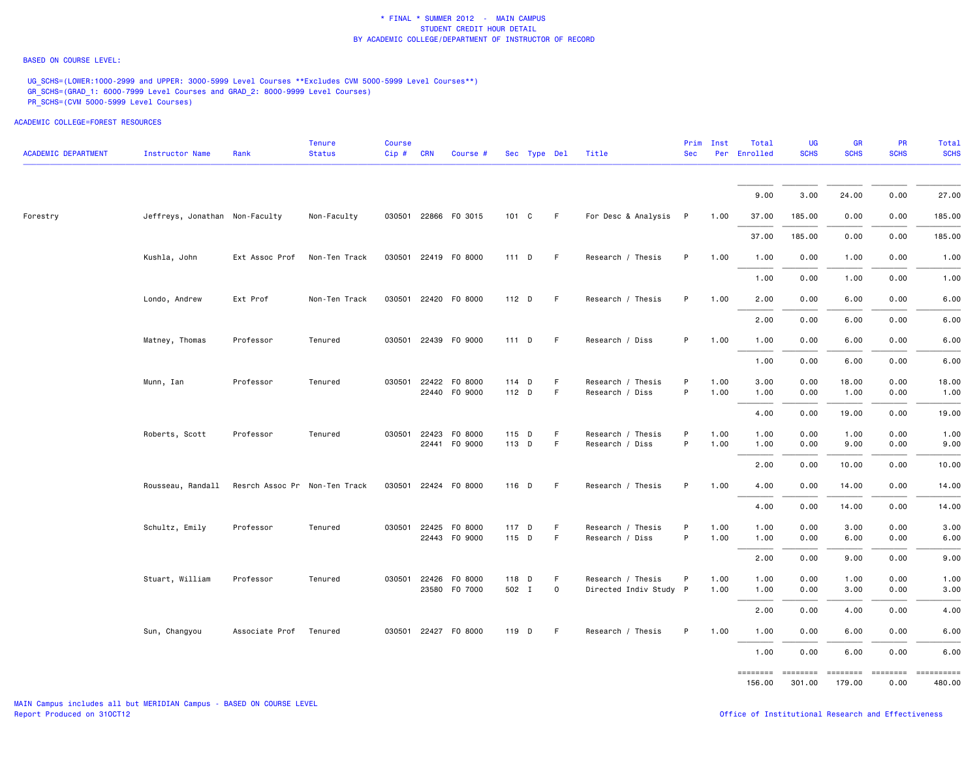# BASED ON COURSE LEVEL:

UG SCHS=(LOWER:1000-2999 and UPPER: 3000-5999 Level Courses \*\*Excludes CVM 5000-5999 Level Courses\*\*) GR\_SCHS=(GRAD\_1: 6000-7999 Level Courses and GRAD\_2: 8000-9999 Level Courses) PR\_SCHS=(CVM 5000-5999 Level Courses)

ACADEMIC COLLEGE=FOREST RESOURCES

 Tenure Course Prim Inst Total UG GR PR Total ACADEMIC DEPARTMENT Instructor Name Rank Status Cip # CRN Course # Sec Type Del Title Sec Per Enrolled SCHS SCHS SCHS SCHS  $9.00$   $3.00$   $24.00$   $0.00$   $27.00$  Forestry Jeffreys, Jonathan Non-Faculty Non-Faculty 030501 22866 FO 3015 101 C F For Desc & Analysis P 1.00 37.00 185.00 0.00 0.00 185.00 37.00 185.00 0.00 0.00 185.00 Kushla, John Ext Assoc Prof Non-Ten Track 030501 22419 FO 8000 111 D F Research / Thesis P 1.00 1.00 0.00 1.00 0.00 1.00  $1.00$   $0.00$   $1.00$   $0.00$   $1.00$   $1.00$  Londo, Andrew Ext Prof Non-Ten Track 030501 22420 FO 8000 112 D F Research / Thesis P 1.00 2.00 0.00 6.00 0.00 6.00  $\overline{f}$   $\overline{f}$   $\overline{f}$   $\overline{f}$   $\overline{f}$   $\overline{f}$   $\overline{f}$   $\overline{f}$   $\overline{f}$   $\overline{f}$   $\overline{f}$   $\overline{f}$   $\overline{f}$   $\overline{f}$   $\overline{f}$   $\overline{f}$   $\overline{f}$   $\overline{f}$   $\overline{f}$   $\overline{f}$   $\overline{f}$   $\overline{f}$   $\overline{f}$   $\overline{f}$   $\overline{$  $2.00$   $0.00$   $6.00$   $0.00$   $6.00$   $6.00$  Matney, Thomas Professor Tenured 030501 22439 FO 9000 111 D F Research / Diss P 1.00 1.00 0.00 6.00 0.00 6.00  $1.00$   $0.00$   $6.00$   $0.00$   $6.00$   $6.00$  Munn, Ian Professor Tenured 030501 22422 FO 8000 114 D F Research / Thesis P 1.00 3.00 0.00 18.00 0.00 18.00 22440 FO 9000 112 D F Research / Diss P 1.00 1.00 0.00 1.00 0.00 1.00 4.00 0.00 19.00 0.00 19.00 Roberts, Scott Professor Tenured 030501 22423 FO 8000 115 D F Research / Thesis P 1.00 1.00 0.00 1.00 0.00 1.00 22441 FO 9000 113 D F Research / Diss P 1.00 1.00 0.00 9.00 0.00 9.00 $2.00\qquad \quad 0.00\qquad \quad 10.00\qquad \quad 10.00$  Rousseau, Randall Resrch Assoc Pr Non-Ten Track 030501 22424 FO 8000 116 D F Research / Thesis P 1.00 4.00 0.00 14.00 0.00 14.00  $4.00$   $0.00$   $14.00$   $0.00$   $14.00$  Schultz, Emily Professor Tenured 030501 22425 FO 8000 117 D F Research / Thesis P 1.00 1.00 0.00 3.00 0.00 3.00 22443 FO 9000 115 D F Research / Diss P 1.00 1.00 0.00 6.00 0.00 6.00 $2.00 \qquad 0.00 \qquad 9.00 \qquad 0.00 \qquad 9.00$  Stuart, William Professor Tenured 030501 22426 FO 8000 118 D F Research / Thesis P 1.00 1.00 0.00 1.00 0.00 1.00 23580 FO 7000 502 I O Directed Indiv Study P 1.00 1.00 0.00 3.00 0.00 3.00  $2.00$   $0.00$   $4.00$   $0.00$   $4.00$ Sun, Changyou Associate Prof Tenured 030501 22427 FO 8000 119 D F Research / Thesis P 1.00 1.00 0.00 6.00 0.00 6.00

> ======== ======== ======== ======== ========== 156.00 301.00 179.00 0.00 480.00480.00

27.00

19.00

 $9.00$ 

 $1.00$   $0.00$   $6.00$   $0.00$   $6.00$   $6.00$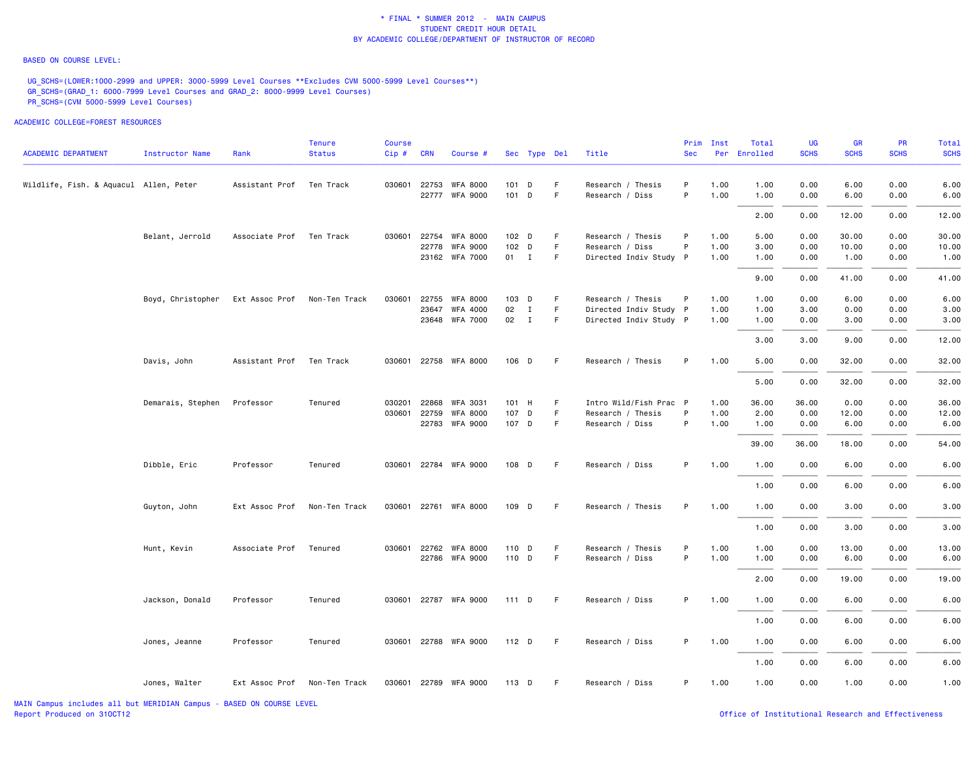#### BASED ON COURSE LEVEL:

UG\_SCHS=(LOWER:1000-2999 and UPPER: 3000-5999 Level Courses \*\*Excludes CVM 5000-5999 Level Courses\*\*) GR\_SCHS=(GRAD\_1: 6000-7999 Level Courses and GRAD\_2: 8000-9999 Level Courses) PR\_SCHS=(CVM 5000-5999 Level Courses)

| <b>ACADEMIC DEPARTMENT</b>             | <b>Instructor Name</b> | Rank           | Tenure<br><b>Status</b> | Course<br>$Cip$ # | <b>CRN</b>   | Course #              |                  | Sec Type Del |    | Title                  | Prim<br><b>Sec</b> | Inst | Total<br>Per Enrolled | UG<br><b>SCHS</b> | GR<br><b>SCHS</b> | <b>PR</b><br><b>SCHS</b> | Total<br><b>SCHS</b> |
|----------------------------------------|------------------------|----------------|-------------------------|-------------------|--------------|-----------------------|------------------|--------------|----|------------------------|--------------------|------|-----------------------|-------------------|-------------------|--------------------------|----------------------|
| Wildlife, Fish. & Aquacul Allen, Peter |                        | Assistant Prof | Ten Track               |                   |              | 030601 22753 WFA 8000 | 101 D            |              | F. | Research / Thesis      | P                  | 1.00 | 1.00                  | 0.00              | 6.00              | 0.00                     | 6.00                 |
|                                        |                        |                |                         |                   |              | 22777 WFA 9000        | 101 D            |              | F  | Research / Diss        | P                  | 1.00 | 1.00                  | 0.00              | 6.00              | 0.00                     | 6.00                 |
|                                        |                        |                |                         |                   |              |                       |                  |              |    |                        |                    |      | 2.00                  | 0.00              | 12.00             | 0.00                     | 12.00                |
|                                        | Belant, Jerrold        | Associate Prof | Ten Track               | 030601            | 22754        | <b>WFA 8000</b>       | 102 <sub>D</sub> |              | F. | Research / Thesis      | P                  | 1.00 | 5.00                  | 0.00              | 30.00             | 0.00                     | 30.00                |
|                                        |                        |                |                         |                   | 22778        | <b>WFA 9000</b>       | 102 D            |              | F  | Research / Diss        | P                  | 1.00 | 3.00                  | 0.00              | 10.00             | 0.00                     | 10.00                |
|                                        |                        |                |                         |                   |              | 23162 WFA 7000        | 01 I             |              | F. | Directed Indiv Study P |                    | 1.00 | 1.00                  | 0.00              | 1.00              | 0.00                     | 1.00                 |
|                                        |                        |                |                         |                   |              |                       |                  |              |    |                        |                    |      | 9.00                  | 0.00              | 41.00             | 0.00                     | 41.00                |
|                                        | Boyd, Christopher      | Ext Assoc Prof | Non-Ten Track           | 030601            |              | 22755 WFA 8000        | 103 D            |              | F  | Research / Thesis      | P                  | 1.00 | 1.00                  | 0.00              | 6.00              | 0.00                     | 6.00                 |
|                                        |                        |                |                         |                   |              | 23647 WFA 4000        | 02               | $\mathbf{I}$ | F  | Directed Indiv Study P |                    | 1.00 | 1.00                  | 3.00              | 0.00              | 0.00                     | 3.00                 |
|                                        |                        |                |                         |                   |              | 23648 WFA 7000        | 02               | $\mathbf{I}$ | F  | Directed Indiv Study P |                    | 1.00 | 1.00                  | 0.00              | 3.00              | 0.00                     | 3.00                 |
|                                        |                        |                |                         |                   |              |                       |                  |              |    |                        |                    |      | 3.00                  | 3,00              | 9.00              | 0.00                     | 12.00                |
|                                        | Davis, John            | Assistant Prof | Ten Track               |                   |              | 030601 22758 WFA 8000 | 106 D            |              | F. | Research / Thesis      | P                  | 1.00 | 5.00                  | 0.00              | 32.00             | 0.00                     | 32.00                |
|                                        |                        |                |                         |                   |              |                       |                  |              |    |                        |                    |      | 5.00                  | 0.00              | 32.00             | 0.00                     | 32.00                |
|                                        | Demarais, Stephen      | Professor      | Tenured                 | 030201            | 22868        | <b>WFA 3031</b>       | 101 H            |              | F  | Intro Wild/Fish Prac P |                    | 1.00 | 36.00                 | 36.00             | 0.00              | 0.00                     | 36.00                |
|                                        |                        |                |                         |                   | 030601 22759 | <b>WFA 8000</b>       | 107 D            |              | F  | Research / Thesis      | P                  | 1.00 | 2.00                  | 0.00              | 12.00             | 0.00                     | 12.00                |
|                                        |                        |                |                         |                   |              | 22783 WFA 9000        | 107 D            |              | F. | Research / Diss        | P                  | 1.00 | 1.00                  | 0.00              | 6.00              | 0.00                     | 6.00                 |
|                                        |                        |                |                         |                   |              |                       |                  |              |    |                        |                    |      | 39.00                 | 36.00             | 18.00             | 0.00                     | 54.00                |
|                                        | Dibble, Eric           | Professor      | Tenured                 |                   |              | 030601 22784 WFA 9000 | 108 D            |              | -F | Research / Diss        | P                  | 1.00 | 1.00                  | 0.00              | 6.00              | 0.00                     | 6.00                 |
|                                        |                        |                |                         |                   |              |                       |                  |              |    |                        |                    |      | 1.00                  | 0.00              | 6.00              | 0.00                     | 6.00                 |
|                                        | Guyton, John           | Ext Assoc Prof | Non-Ten Track           |                   |              | 030601 22761 WFA 8000 | 109 D            |              | F  | Research / Thesis      | P                  | 1.00 | 1.00                  | 0.00              | 3.00              | 0.00                     | 3.00                 |
|                                        |                        |                |                         |                   |              |                       |                  |              |    |                        |                    |      | 1.00                  | 0.00              | 3.00              | 0.00                     | 3.00                 |
|                                        | Hunt, Kevin            | Associate Prof | Tenured                 |                   | 030601 22762 | <b>WFA 8000</b>       | 110 D            |              | F  | Research / Thesis      | P                  | 1.00 | 1.00                  | 0.00              | 13.00             | 0.00                     | 13.00                |
|                                        |                        |                |                         |                   |              | 22786 WFA 9000        | 110 D            |              | F. | Research / Diss        | P                  | 1.00 | 1.00                  | 0.00              | 6.00              | 0.00                     | 6.00                 |
|                                        |                        |                |                         |                   |              |                       |                  |              |    |                        |                    |      |                       |                   |                   |                          |                      |
|                                        |                        |                |                         |                   |              |                       |                  |              |    |                        |                    |      | 2.00                  | 0.00              | 19.00             | 0.00                     | 19.00                |
|                                        | Jackson, Donald        | Professor      | Tenured                 |                   |              | 030601 22787 WFA 9000 | 111 D            |              | F. | Research / Diss        | P                  | 1.00 | 1.00                  | 0.00              | 6.00              | 0.00                     | 6.00                 |
|                                        |                        |                |                         |                   |              |                       |                  |              |    |                        |                    |      | 1.00                  | 0.00              | 6.00              | 0.00                     | 6.00                 |
|                                        | Jones, Jeanne          | Professor      | Tenured                 |                   |              | 030601 22788 WFA 9000 | $112$ D          |              | F  | Research / Diss        | P                  | 1.00 | 1.00                  | 0.00              | 6.00              | 0.00                     | 6.00                 |
|                                        |                        |                |                         |                   |              |                       |                  |              |    |                        |                    |      | 1.00                  | 0.00              | 6.00              | 0.00                     | 6.00                 |
|                                        | Jones, Walter          | Ext Assoc Prof | Non-Ten Track           |                   |              | 030601 22789 WFA 9000 | $113$ D          |              | F. | Research / Diss        | P.                 | 1.00 | 1.00                  | 0.00              | 1.00              | 0.00                     | 1.00                 |
|                                        |                        |                |                         |                   |              |                       |                  |              |    |                        |                    |      |                       |                   |                   |                          |                      |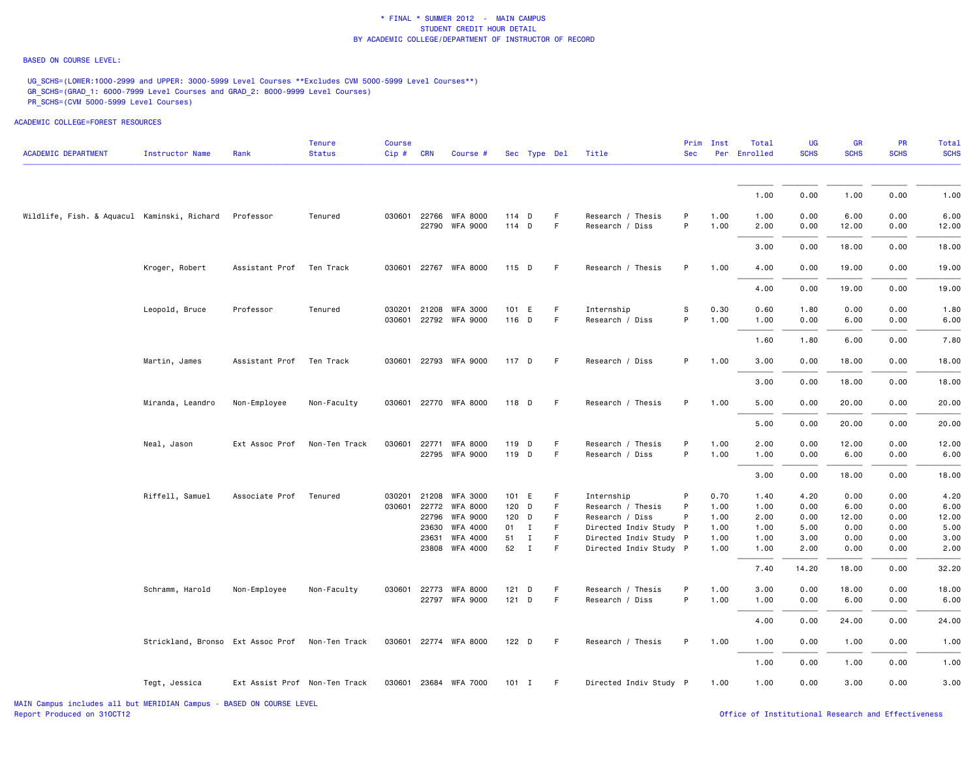### BASED ON COURSE LEVEL:

UG\_SCHS=(LOWER:1000-2999 and UPPER: 3000-5999 Level Courses \*\*Excludes CVM 5000-5999 Level Courses\*\*) GR\_SCHS=(GRAD\_1: 6000-7999 Level Courses and GRAD\_2: 8000-9999 Level Courses) PR\_SCHS=(CVM 5000-5999 Level Courses)

| <b>ACADEMIC DEPARTMENT</b>                  | <b>Instructor Name</b>            | Rank                          | <b>Tenure</b><br><b>Status</b> | Course<br>$Cip$ # | <b>CRN</b> | Course #              |         | Sec Type Del |    | Title                  | <b>Sec</b>  | Prim Inst | Total<br>Per Enrolled | <b>UG</b><br><b>SCHS</b> | <b>GR</b><br><b>SCHS</b> | PR<br><b>SCHS</b> | Total<br><b>SCHS</b> |
|---------------------------------------------|-----------------------------------|-------------------------------|--------------------------------|-------------------|------------|-----------------------|---------|--------------|----|------------------------|-------------|-----------|-----------------------|--------------------------|--------------------------|-------------------|----------------------|
|                                             |                                   |                               |                                |                   |            |                       |         |              |    |                        |             |           |                       |                          |                          |                   |                      |
|                                             |                                   |                               |                                |                   |            |                       |         |              |    |                        |             |           | 1.00                  | 0.00                     | 1.00                     | 0.00              | 1.00                 |
| Wildlife, Fish. & Aquacul Kaminski, Richard |                                   | Professor                     | Tenured                        | 030601 22766      |            | <b>WFA 8000</b>       | 114 D   |              | F  | Research / Thesis      | P           | 1.00      | 1.00                  | 0.00                     | 6.00                     | 0.00              | 6.00                 |
|                                             |                                   |                               |                                |                   |            | 22790 WFA 9000        | 114 D   |              | F  | Research / Diss        | P           | 1.00      | 2.00                  | 0.00                     | 12.00                    | 0.00              | 12.00                |
|                                             |                                   |                               |                                |                   |            |                       |         |              |    |                        |             |           | 3.00                  | 0.00                     | 18.00                    | 0.00              | 18.00                |
|                                             | Kroger, Robert                    | Assistant Prof                | Ten Track                      |                   |            | 030601 22767 WFA 8000 | 115 D   |              | F  | Research / Thesis      | P           | 1.00      | 4.00                  | 0.00                     | 19.00                    | 0.00              | 19.00                |
|                                             |                                   |                               |                                |                   |            |                       |         |              |    |                        |             |           | 4.00                  | 0.00                     | 19.00                    | 0.00              | 19.00                |
|                                             | Leopold, Bruce                    | Professor                     | Tenured                        | 030201            | 21208      | <b>WFA 3000</b>       | 101 E   |              | F. | Internship             | $\mathbb S$ | 0.30      | 0.60                  | 1.80                     | 0.00                     | 0.00              | 1.80                 |
|                                             |                                   |                               |                                |                   |            | 030601 22792 WFA 9000 | 116 D   |              | F  | Research / Diss        | P           | 1.00      | 1.00                  | 0.00                     | 6.00                     | 0.00              | 6.00                 |
|                                             |                                   |                               |                                |                   |            |                       |         |              |    |                        |             |           | 1.60                  | 1.80                     | 6.00                     | 0.00              | 7.80                 |
|                                             | Martin, James                     | Assistant Prof                | Ten Track                      |                   |            | 030601 22793 WFA 9000 | 117 D   |              | F  | Research / Diss        | P           | 1.00      | 3.00                  | 0.00                     | 18.00                    | 0.00              | 18.00                |
|                                             |                                   |                               |                                |                   |            |                       |         |              |    |                        |             |           | 3.00                  | 0.00                     | 18.00                    | 0.00              | 18.00                |
|                                             | Miranda, Leandro                  | Non-Employee                  | Non-Faculty                    |                   |            | 030601 22770 WFA 8000 | 118 D   |              | F. | Research / Thesis      | P           | 1.00      | 5.00                  | 0.00                     | 20.00                    | 0.00              | 20.00                |
|                                             |                                   |                               |                                |                   |            |                       |         |              |    |                        |             |           | 5.00                  | 0.00                     | 20.00                    | 0.00              | 20.00                |
|                                             | Neal, Jason                       | Ext Assoc Prof                | Non-Ten Track                  | 030601            | 22771      | <b>WFA 8000</b>       | 119 D   |              | F. | Research / Thesis      | P           | 1.00      | 2.00                  | 0.00                     | 12.00                    | 0.00              | 12.00                |
|                                             |                                   |                               |                                |                   |            | 22795 WFA 9000        | 119 D   |              | F  | Research / Diss        | P           | 1.00      | 1.00                  | 0.00                     | 6.00                     | 0.00              | 6.00                 |
|                                             |                                   |                               |                                |                   |            |                       |         |              |    |                        |             |           | 3.00                  | 0.00                     | 18.00                    | 0.00              | 18.00                |
|                                             | Riffell, Samuel                   | Associate Prof                | Tenured                        | 030201            | 21208      | <b>WFA 3000</b>       | 101 E   |              | F. | Internship             | P           | 0.70      | 1.40                  | 4.20                     | 0.00                     | 0.00              | 4.20                 |
|                                             |                                   |                               |                                |                   |            | 030601 22772 WFA 8000 | 120 D   |              | F  | Research / Thesis      | P           | 1.00      | 1.00                  | 0.00                     | 6.00                     | 0.00              | 6.00                 |
|                                             |                                   |                               |                                |                   |            | 22796 WFA 9000        | 120 D   |              | F. | Research / Diss        | P           | 1.00      | 2.00                  | 0.00                     | 12.00                    | 0.00              | 12.00                |
|                                             |                                   |                               |                                |                   | 23630      | WFA 4000              | 01 I    |              | F  | Directed Indiv Study P |             | 1.00      | 1.00                  | 5.00                     | 0.00                     | 0.00              | 5.00                 |
|                                             |                                   |                               |                                |                   | 23631      | WFA 4000              | 51      | $\mathbf I$  | F  | Directed Indiv Study P |             | 1.00      | 1.00                  | 3.00                     | 0.00                     | 0.00              | 3.00                 |
|                                             |                                   |                               |                                |                   |            | 23808 WFA 4000        | 52      | $\mathbf{I}$ | F  | Directed Indiv Study P |             | 1.00      | 1.00                  | 2.00                     | 0.00                     | 0.00              | 2.00                 |
|                                             |                                   |                               |                                |                   |            |                       |         |              |    |                        |             |           | 7.40                  | 14.20                    | 18.00                    | 0.00              | 32.20                |
|                                             | Schramm, Harold                   | Non-Employee                  | Non-Faculty                    | 030601 22773      |            | <b>WFA 8000</b>       | 121     | D            | F. | Research / Thesis      | P           | 1.00      | 3.00                  | 0.00                     | 18.00                    | 0.00              | 18.00                |
|                                             |                                   |                               |                                |                   |            | 22797 WFA 9000        | $121$ D |              | F  | Research / Diss        | P           | 1.00      | 1.00                  | 0.00                     | 6.00                     | 0.00              | 6.00                 |
|                                             |                                   |                               |                                |                   |            |                       |         |              |    |                        |             |           | 4.00                  | 0.00                     | 24.00                    | 0.00              | 24.00                |
|                                             | Strickland, Bronso Ext Assoc Prof |                               | Non-Ten Track                  |                   |            | 030601 22774 WFA 8000 | 122 D   |              | F  | Research / Thesis      | P           | 1.00      | 1.00                  | 0.00                     | 1.00                     | 0.00              | 1.00                 |
|                                             |                                   |                               |                                |                   |            |                       |         |              |    |                        |             |           | 1.00                  | 0.00                     | 1.00                     | 0.00              | 1.00                 |
|                                             | Tegt, Jessica                     | Ext Assist Prof Non-Ten Track |                                |                   |            | 030601 23684 WFA 7000 | $101$ I |              | F. | Directed Indiv Study P |             | 1.00      | 1.00                  | 0.00                     | 3.00                     | 0.00              | 3.00                 |
|                                             |                                   |                               |                                |                   |            |                       |         |              |    |                        |             |           |                       |                          |                          |                   |                      |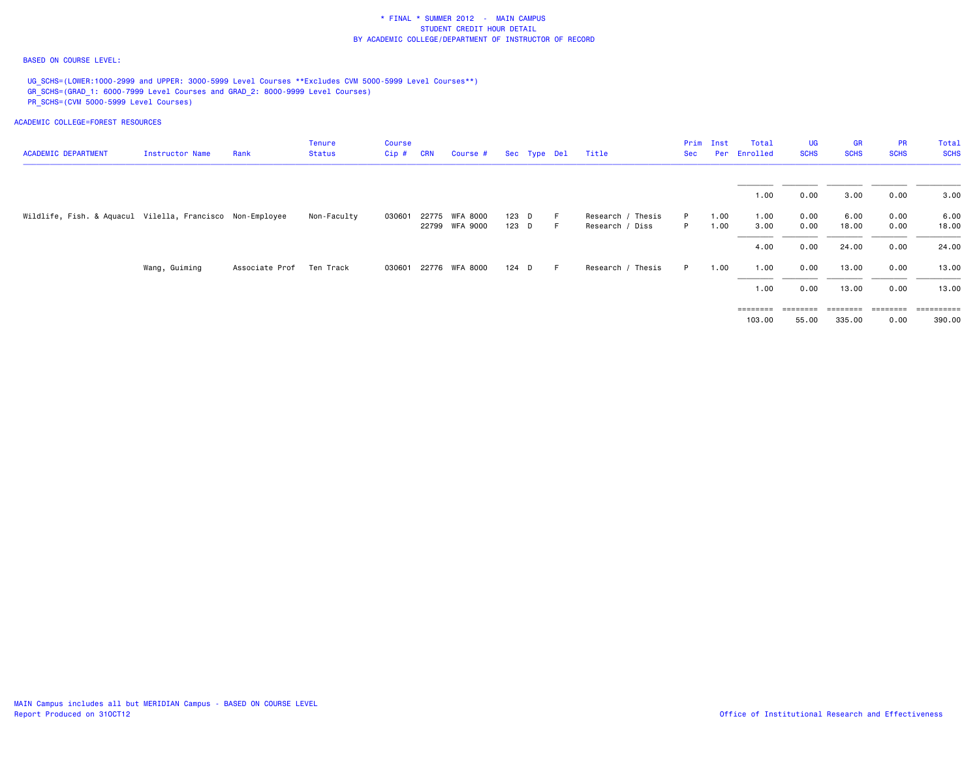## BASED ON COURSE LEVEL:

UG\_SCHS=(LOWER:1000-2999 and UPPER: 3000-5999 Level Courses \*\*Excludes CVM 5000-5999 Level Courses\*\*) GR\_SCHS=(GRAD\_1: 6000-7999 Level Courses and GRAD\_2: 8000-9999 Level Courses) PR\_SCHS=(CVM 5000-5999 Level Courses)

| <b>ACADEMIC DEPARTMENT</b>                                | Instructor Name | Rank           | Tenure<br><b>Status</b> | Course<br>Cip# | <b>CRN</b> | Course #              |       | Sec Type Del | Title             | Sec | Prim Inst<br>Per | Total<br>Enrolled | <b>UG</b><br><b>SCHS</b> | <b>GR</b><br><b>SCHS</b> | <b>PR</b><br><b>SCHS</b> | Total<br><b>SCHS</b>    |
|-----------------------------------------------------------|-----------------|----------------|-------------------------|----------------|------------|-----------------------|-------|--------------|-------------------|-----|------------------|-------------------|--------------------------|--------------------------|--------------------------|-------------------------|
|                                                           |                 |                |                         |                |            |                       |       |              |                   |     |                  |                   |                          |                          |                          |                         |
|                                                           |                 |                |                         |                |            |                       |       |              |                   |     |                  | 1.00              | 0.00                     | 3.00                     | 0.00                     | 3.00                    |
| Wildlife, Fish. & Aquacul Vilella, Francisco Non-Employee |                 |                | Non-Faculty             | 030601         | 22775      | WFA 8000              | 123 D |              | Research / Thesis | P   | 1.00             | 1.00              | 0.00                     | 6.00                     | 0.00                     | 6.00                    |
|                                                           |                 |                |                         |                |            | 22799 WFA 9000        | 123 D | -F.          | Research / Diss   | P.  | 1.00             | 3.00              | 0.00                     | 18.00                    | 0.00                     | 18.00                   |
|                                                           |                 |                |                         |                |            |                       |       |              |                   |     |                  | 4.00              | 0.00                     | 24.00                    | 0.00                     | 24.00                   |
|                                                           | Wang, Guiming   | Associate Prof | Ten Track               |                |            | 030601 22776 WFA 8000 | 124 D | - F          | Research / Thesis | P   | 1.00             | 1.00              | 0.00                     | 13.00                    | 0.00                     | 13.00                   |
|                                                           |                 |                |                         |                |            |                       |       |              |                   |     |                  | 1.00              | 0.00                     | 13.00                    | 0.00                     | 13.00                   |
|                                                           |                 |                |                         |                |            |                       |       |              |                   |     |                  | ========          |                          | $=$ = = = = = = =        | ========                 | $=$ = = = = = = = = $=$ |
|                                                           |                 |                |                         |                |            |                       |       |              |                   |     |                  | 103,00            | 55.00                    | 335.00                   | 0.00                     | 390.00                  |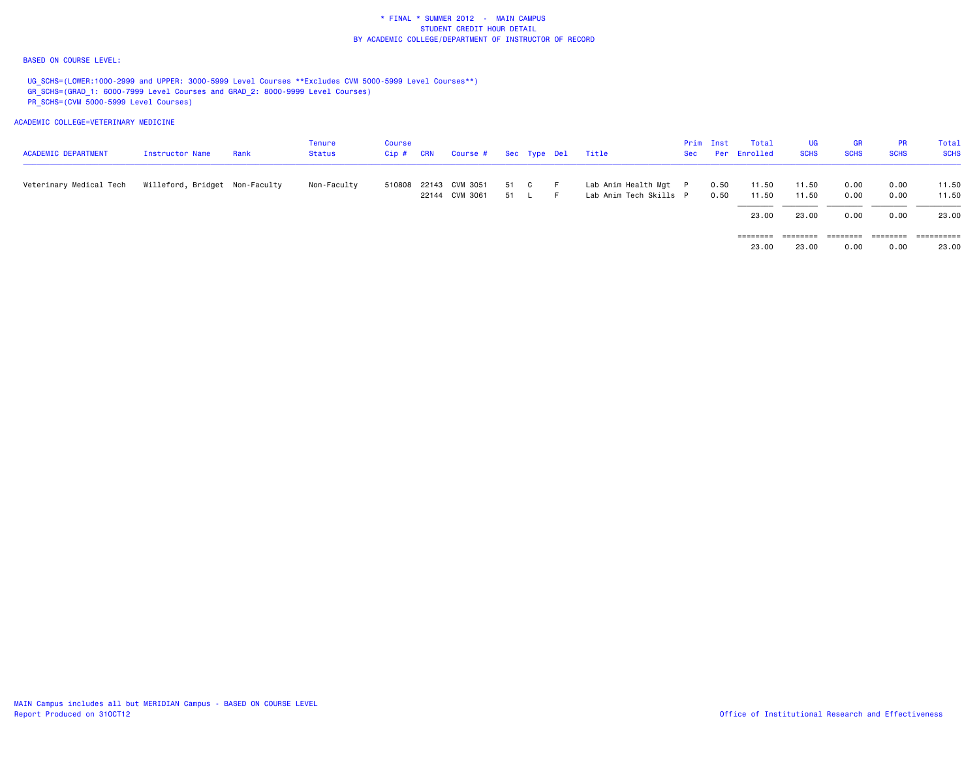## BASED ON COURSE LEVEL:

UG\_SCHS=(LOWER:1000-2999 and UPPER: 3000-5999 Level Courses \*\*Excludes CVM 5000-5999 Level Courses\*\*) GR\_SCHS=(GRAD\_1: 6000-7999 Level Courses and GRAD\_2: 8000-9999 Level Courses) PR\_SCHS=(CVM 5000-5999 Level Courses)

| <b>ACADEMIC DEPARTMENT</b> | Instructor Name                | Rank | Tenure<br>Status | Course<br>$Cip \# \quad CRN$ | Course #                                |                      | Sec Type Del | Title                                           | Sec | Prim Inst    | Total<br>Per Enrolled | UG<br><b>SCHS</b> | GR<br><b>SCHS</b> | <b>PR</b><br><b>SCHS</b> | Total<br><b>SCHS</b> |
|----------------------------|--------------------------------|------|------------------|------------------------------|-----------------------------------------|----------------------|--------------|-------------------------------------------------|-----|--------------|-----------------------|-------------------|-------------------|--------------------------|----------------------|
| Veterinary Medical Tech    | Willeford, Bridget Non-Faculty |      | Non-Faculty      |                              | 510808 22143 CVM 3051<br>22144 CVM 3061 | 51 C<br>$51 \quad L$ | -F.<br>F.    | Lab Anim Health Mgt P<br>Lab Anim Tech Skills P |     | 0.50<br>0.50 | 11.50<br>11.50        | 11.50<br>11.50    | 0.00<br>0.00      | 0.00<br>0.00             | 11.50<br>11.50       |
|                            |                                |      |                  |                              |                                         |                      |              |                                                 |     |              | 23,00                 | 23,00             | 0.00              | 0.00                     | 23.00                |
|                            |                                |      |                  |                              |                                         |                      |              |                                                 |     |              | ========              | ========          | ========          | ========                 |                      |
|                            |                                |      |                  |                              |                                         |                      |              |                                                 |     |              | 23.00                 | 23.00             | 0.00              | 0.00                     | 23.00                |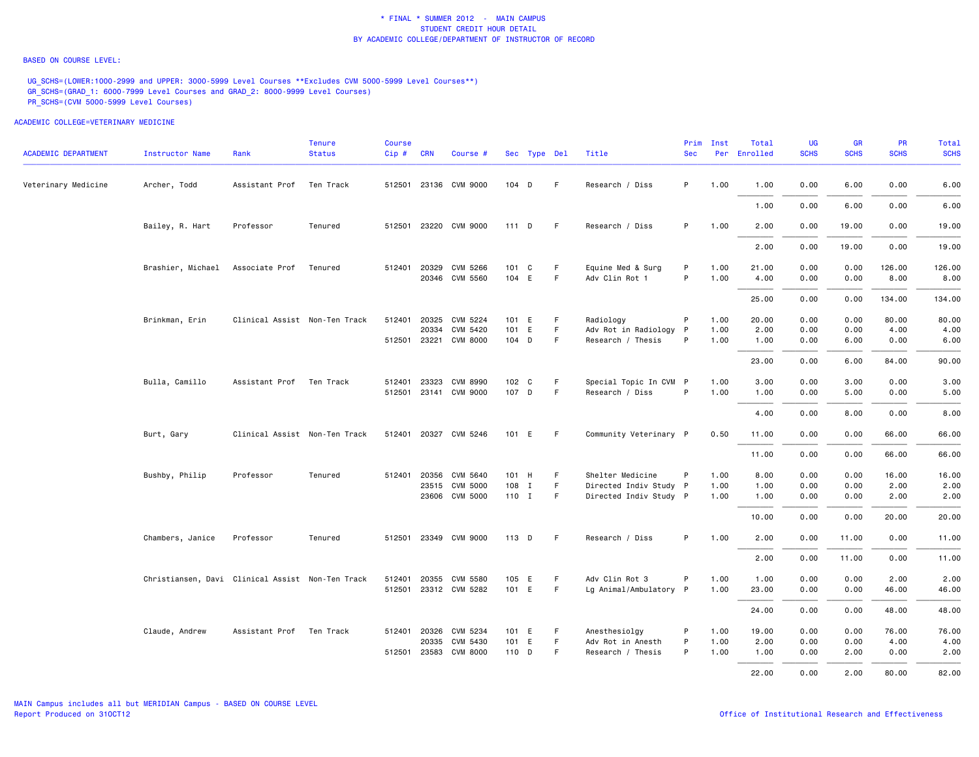### BASED ON COURSE LEVEL:

UG\_SCHS=(LOWER:1000-2999 and UPPER: 3000-5999 Level Courses \*\*Excludes CVM 5000-5999 Level Courses\*\*) GR\_SCHS=(GRAD\_1: 6000-7999 Level Courses and GRAD\_2: 8000-9999 Level Courses) PR\_SCHS=(CVM 5000-5999 Level Courses)

| <b>ACADEMIC DEPARTMENT</b> | <b>Instructor Name</b>                           | Rank                          | <b>Tenure</b><br><b>Status</b> | <b>Course</b><br>Cip # CRN |              | Course #                                 |                | Sec Type Del |                  | Title                                       | <b>Sec</b> | Prim Inst    | Total<br>Per Enrolled | <b>UG</b><br><b>SCHS</b> | <b>GR</b><br><b>SCHS</b> | PR<br><b>SCHS</b> | Total<br><b>SCHS</b> |
|----------------------------|--------------------------------------------------|-------------------------------|--------------------------------|----------------------------|--------------|------------------------------------------|----------------|--------------|------------------|---------------------------------------------|------------|--------------|-----------------------|--------------------------|--------------------------|-------------------|----------------------|
| Veterinary Medicine        | Archer, Todd                                     | Assistant Prof                | Ten Track                      |                            |              | 512501 23136 CVM 9000                    | 104 D          |              | F.               | Research / Diss                             | P          | 1.00         | 1.00                  | 0.00                     | 6.00                     | 0.00              | 6.00                 |
|                            |                                                  |                               |                                |                            |              |                                          |                |              |                  |                                             |            |              | 1.00                  | 0.00                     | 6.00                     | 0.00              | 6.00                 |
|                            | Bailey, R. Hart                                  | Professor                     | Tenured                        |                            |              | 512501 23220 CVM 9000                    | 111D           |              | -F               | Research / Diss                             | P          | 1.00         | 2.00                  | 0.00                     | 19.00                    | 0.00              | 19.00                |
|                            |                                                  |                               |                                |                            |              |                                          |                |              |                  |                                             |            |              | 2.00                  | 0.00                     | 19.00                    | 0.00              | 19.00                |
|                            | Brashier, Michael Associate Prof                 |                               | Tenured                        |                            | 512401 20329 | CVM 5266<br>20346 CVM 5560               | 101 C<br>104 E |              | F.<br>F.         | Equine Med & Surg<br>Adv Clin Rot 1         | P<br>P     | 1.00<br>1.00 | 21.00<br>4.00         | 0.00<br>0.00             | 0.00<br>0.00             | 126.00<br>8.00    | 126.00<br>8.00       |
|                            |                                                  |                               |                                |                            |              |                                          |                |              |                  |                                             |            |              | 25.00                 | 0.00                     | 0.00                     | 134.00            | 134.00               |
|                            | Brinkman, Erin                                   | Clinical Assist Non-Ten Track |                                |                            | 512401 20325 | CVM 5224                                 | 101 E          |              | -F.              | Radiology                                   | P          | 1.00         | 20.00                 | 0.00                     | 0.00                     | 80.00             | 80.00                |
|                            |                                                  |                               |                                |                            | 20334        | CVM 5420<br>512501 23221 CVM 8000        | 101 E<br>104 D |              | F.<br>F.         | Adv Rot in Radiology P<br>Research / Thesis | P          | 1.00<br>1.00 | 2.00<br>1.00          | 0.00<br>0.00             | 0.00<br>6.00             | 4.00<br>0.00      | 4.00<br>6.00         |
|                            |                                                  |                               |                                |                            |              |                                          |                |              |                  |                                             |            |              | 23.00                 | 0.00                     | 6.00                     | 84.00             | 90.00                |
|                            |                                                  |                               |                                |                            |              |                                          |                |              |                  |                                             |            |              |                       |                          |                          |                   |                      |
|                            | Bulla, Camillo                                   | Assistant Prof                | Ten Track                      | 512401                     | 23323        | <b>CVM 8990</b><br>512501 23141 CVM 9000 | 102 C<br>107 D |              | F<br>$\mathsf F$ | Special Topic In CVM P<br>Research / Diss   | P          | 1.00<br>1.00 | 3.00<br>1.00          | 0.00<br>0.00             | 3.00<br>5.00             | 0.00<br>0.00      | 3.00<br>5.00         |
|                            |                                                  |                               |                                |                            |              |                                          |                |              |                  |                                             |            |              | 4.00                  | 0.00                     | 8.00                     | 0.00              | 8.00                 |
|                            | Burt, Gary                                       | Clinical Assist Non-Ten Track |                                |                            |              | 512401 20327 CVM 5246                    | 101 E          |              | F                | Community Veterinary P                      |            | 0.50         | 11.00                 | 0.00                     | 0.00                     | 66.00             | 66.00                |
|                            |                                                  |                               |                                |                            |              |                                          |                |              |                  |                                             |            |              | 11.00                 | 0.00                     | 0.00                     | 66.00             | 66.00                |
|                            | Bushby, Philip                                   | Professor                     | Tenured                        | 512401                     | 20356        | CVM 5640                                 | 101 H          |              | F.               | Shelter Medicine                            | P          | 1.00         | 8.00                  | 0.00                     | 0.00                     | 16.00             | 16.00                |
|                            |                                                  |                               |                                |                            | 23515        | <b>CVM 5000</b>                          | 108 I          |              | F.               | Directed Indiv Study P                      |            | 1.00         | 1.00                  | 0.00                     | 0.00                     | 2.00              | 2.00                 |
|                            |                                                  |                               |                                |                            |              | 23606 CVM 5000                           | 110 I          |              | F.               | Directed Indiv Study P                      |            | 1.00         | 1.00                  | 0.00                     | 0.00                     | 2.00              | 2.00                 |
|                            |                                                  |                               |                                |                            |              |                                          |                |              |                  |                                             |            |              | 10.00                 | 0.00                     | 0.00                     | 20.00             | 20.00                |
|                            | Chambers, Janice                                 | Professor                     | Tenured                        |                            |              | 512501 23349 CVM 9000                    | 113 D          |              | -F               | Research / Diss                             | P          | 1.00         | 2.00                  | 0.00                     | 11.00                    | 0.00              | 11.00                |
|                            |                                                  |                               |                                |                            |              |                                          |                |              |                  |                                             |            |              | 2.00                  | 0.00                     | 11.00                    | 0.00              | 11.00                |
|                            | Christiansen, Davi Clinical Assist Non-Ten Track |                               |                                | 512401                     | 20355        | CVM 5580                                 | 105 E          |              | F.               | Adv Clin Rot 3                              | P          | 1.00         | 1.00                  | 0.00                     | 0.00                     | 2.00              | 2.00                 |
|                            |                                                  |                               |                                |                            |              | 512501 23312 CVM 5282                    | 101 E          |              | F.               | Lg Animal/Ambulatory P                      |            | 1.00         | 23.00                 | 0.00                     | 0.00                     | 46.00             | 46.00                |
|                            |                                                  |                               |                                |                            |              |                                          |                |              |                  |                                             |            |              | 24.00                 | 0.00                     | 0.00                     | 48.00             | 48.00                |
|                            | Claude, Andrew                                   | Assistant Prof Ten Track      |                                |                            | 512401 20326 | CVM 5234                                 | 101 E          |              | F.               | Anesthesiolgy                               | P          | 1.00         | 19.00                 | 0.00                     | 0.00                     | 76.00             | 76.00                |
|                            |                                                  |                               |                                |                            | 20335        | CVM 5430                                 | 101 E          |              | F.               | Adv Rot in Anesth                           | P          | 1.00         | 2.00                  | 0.00                     | 0.00                     | 4.00              | 4.00                 |
|                            |                                                  |                               |                                |                            |              | 512501 23583 CVM 8000                    | 110 D          |              | F.               | Research / Thesis                           | P          | 1.00         | 1.00                  | 0.00                     | 2.00                     | 0.00              | 2.00                 |
|                            |                                                  |                               |                                |                            |              |                                          |                |              |                  |                                             |            |              | 22.00                 | 0.00                     | 2.00                     | 80.00             | 82.00                |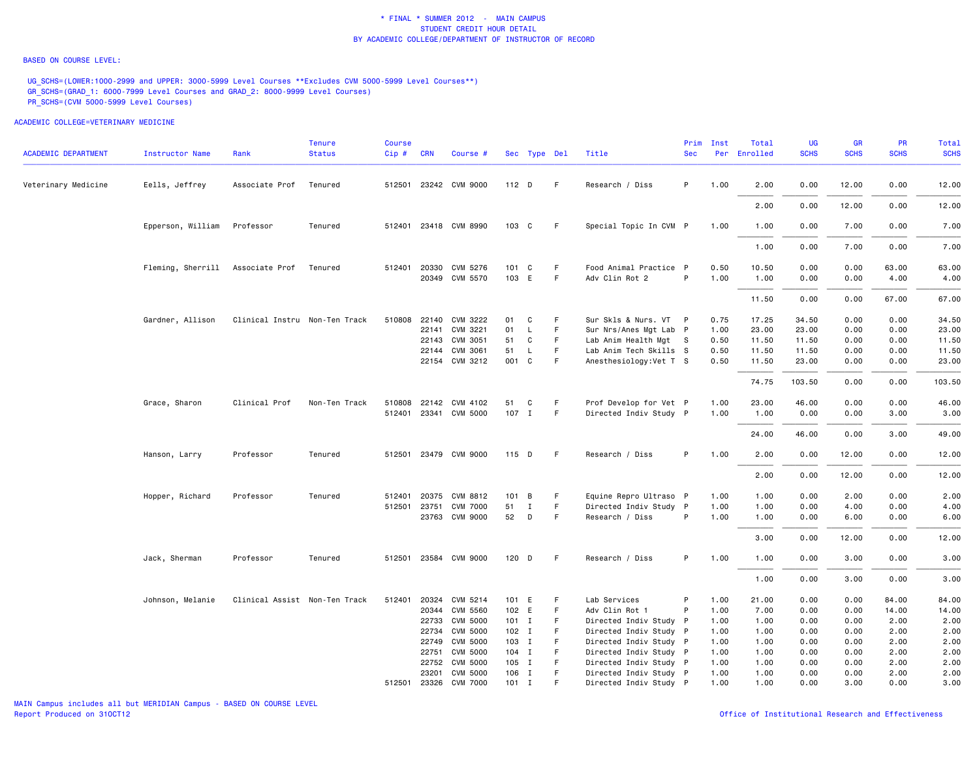### BASED ON COURSE LEVEL:

UG\_SCHS=(LOWER:1000-2999 and UPPER: 3000-5999 Level Courses \*\*Excludes CVM 5000-5999 Level Courses\*\*) GR\_SCHS=(GRAD\_1: 6000-7999 Level Courses and GRAD\_2: 8000-9999 Level Courses) PR\_SCHS=(CVM 5000-5999 Level Courses)

| <b>ACADEMIC DEPARTMENT</b> | Instructor Name                  | Rank                          | <b>Tenure</b><br><b>Status</b> | <b>Course</b><br>Cip # CRN |       | Course #                   |                | Sec Type Del |                  | Title                                    | Prim<br><b>Sec</b> | Inst         | Total<br>Per Enrolled | <b>UG</b><br><b>SCHS</b> | <b>GR</b><br><b>SCHS</b> | <b>PR</b><br><b>SCHS</b> | Total<br><b>SCHS</b> |
|----------------------------|----------------------------------|-------------------------------|--------------------------------|----------------------------|-------|----------------------------|----------------|--------------|------------------|------------------------------------------|--------------------|--------------|-----------------------|--------------------------|--------------------------|--------------------------|----------------------|
| Veterinary Medicine        | Eells, Jeffrey                   | Associate Prof                | Tenured                        |                            |       | 512501 23242 CVM 9000      | 112 D          |              | F.               | Research / Diss                          | P                  | 1.00         | 2.00                  | 0.00                     | 12.00                    | 0.00                     | 12.00                |
|                            |                                  |                               |                                |                            |       |                            |                |              |                  |                                          |                    |              | 2.00                  | 0.00                     | 12.00                    | 0.00                     | 12.00                |
|                            | Epperson, William                | Professor                     | Tenured                        |                            |       | 512401 23418 CVM 8990      | 103 C          |              | -F               | Special Topic In CVM P                   |                    | 1.00         | 1.00                  | 0.00                     | 7.00                     | 0.00                     | 7.00                 |
|                            |                                  |                               |                                |                            |       |                            |                |              |                  |                                          |                    |              | 1.00                  | 0.00                     | 7.00                     | 0.00                     | 7.00                 |
|                            | Fleming, Sherrill Associate Prof |                               | Tenured                        | 512401 20330               |       | CVM 5276<br>20349 CVM 5570 | 101 C<br>103 E |              | F<br>$\mathsf F$ | Food Animal Practice P<br>Adv Clin Rot 2 | P                  | 0.50<br>1.00 | 10.50<br>1.00         | 0.00<br>0.00             | 0.00<br>0.00             | 63.00<br>4.00            | 63.00<br>4.00        |
|                            |                                  |                               |                                |                            |       |                            |                |              |                  |                                          |                    |              | 11.50                 | 0.00                     | 0.00                     | 67.00                    | 67.00                |
|                            | Gardner, Allison                 | Clinical Instru Non-Ten Track |                                | 510808 22140               |       | CVM 3222                   | 01             | C            | F.               | Sur Skls & Nurs. VT P                    |                    | 0.75         | 17.25                 | 34.50                    | 0.00                     | 0.00                     | 34.50                |
|                            |                                  |                               |                                |                            | 22141 | CVM 3221                   | 01             | L            | F                | Sur Nrs/Anes Mgt Lab P                   |                    | 1.00         | 23.00                 | 23.00                    | 0.00                     | 0.00                     | 23.00                |
|                            |                                  |                               |                                |                            |       | 22143 CVM 3051             | 51             | C            | F                | Lab Anim Health Mgt S                    |                    | 0.50         | 11.50                 | 11.50                    | 0.00                     | 0.00                     | 11.50                |
|                            |                                  |                               |                                |                            | 22144 | CVM 3061                   | 51             | L            | F                | Lab Anim Tech Skills S                   |                    | 0.50         | 11.50                 | 11.50                    | 0.00                     | 0.00                     | 11.50                |
|                            |                                  |                               |                                |                            |       | 22154 CVM 3212             | 001 C          |              | F                | Anesthesiology: Vet T S                  |                    | 0.50         | 11.50                 | 23.00                    | 0.00                     | 0.00                     | 23.00                |
|                            |                                  |                               |                                |                            |       |                            |                |              |                  |                                          |                    |              | 74.75                 | 103.50                   | 0.00                     | 0.00                     | 103.50               |
|                            | Grace, Sharon                    | Clinical Prof                 | Non-Ten Track                  |                            |       | 510808 22142 CVM 4102      | 51             | C            | F.               | Prof Develop for Vet P                   |                    | 1.00         | 23.00                 | 46.00                    | 0.00                     | 0.00                     | 46.00                |
|                            |                                  |                               |                                |                            |       | 512401 23341 CVM 5000      | 107 I          |              | F.               | Directed Indiv Study P                   |                    | 1.00         | 1.00                  | 0.00                     | 0.00                     | 3.00                     | 3.00                 |
|                            |                                  |                               |                                |                            |       |                            |                |              |                  |                                          |                    |              | 24.00                 | 46.00                    | 0.00                     | 3.00                     | 49.00                |
|                            | Hanson, Larry                    | Professor                     | Tenured                        |                            |       | 512501 23479 CVM 9000      | 115 D          |              | -F               | Research / Diss                          | P                  | 1.00         | 2.00                  | 0.00                     | 12.00                    | 0.00                     | 12.00                |
|                            |                                  |                               |                                |                            |       |                            |                |              |                  |                                          |                    |              | 2.00                  | 0.00                     | 12.00                    | 0.00                     | 12.00                |
|                            | Hopper, Richard                  | Professor                     | Tenured                        | 512401                     | 20375 | CVM 8812                   | 101 B          |              | F                | Equine Repro Ultraso P                   |                    | 1.00         | 1.00                  | 0.00                     | 2.00                     | 0.00                     | 2.00                 |
|                            |                                  |                               |                                | 512501                     | 23751 | <b>CVM 7000</b>            | 51             | $\mathbf I$  | F                | Directed Indiv Study P                   |                    | 1.00         | 1.00                  | 0.00                     | 4.00                     | 0.00                     | 4.00                 |
|                            |                                  |                               |                                |                            |       | 23763 CVM 9000             | 52             | D            | F                | Research / Diss                          | P                  | 1.00         | 1.00                  | 0.00                     | 6.00                     | 0.00                     | 6.00                 |
|                            |                                  |                               |                                |                            |       |                            |                |              |                  |                                          |                    |              | 3.00                  | 0.00                     | 12.00                    | 0.00                     | 12.00                |
|                            | Jack, Sherman                    | Professor                     | Tenured                        |                            |       | 512501 23584 CVM 9000      | 120 D          |              | -F               | Research / Diss                          | P                  | 1.00         | 1.00                  | 0.00                     | 3.00                     | 0.00                     | 3.00                 |
|                            |                                  |                               |                                |                            |       |                            |                |              |                  |                                          |                    |              | 1.00                  | 0.00                     | 3.00                     | 0.00                     | 3.00                 |
|                            | Johnson, Melanie                 | Clinical Assist Non-Ten Track |                                | 512401                     | 20324 | CVM 5214                   | 101 E          |              | F                | Lab Services                             | P                  | 1.00         | 21.00                 | 0.00                     | 0.00                     | 84.00                    | 84.00                |
|                            |                                  |                               |                                |                            |       | 20344 CVM 5560             | 102 E          |              | F                | Adv Clin Rot 1                           | P                  | 1.00         | 7.00                  | 0.00                     | 0.00                     | 14.00                    | 14.00                |
|                            |                                  |                               |                                |                            |       | 22733 CVM 5000             | $101$ I        |              | F                | Directed Indiv Study P                   |                    | 1.00         | 1.00                  | 0.00                     | 0.00                     | 2.00                     | 2.00                 |
|                            |                                  |                               |                                |                            | 22734 | <b>CVM 5000</b>            | $102$ I        |              | F.               | Directed Indiv Study P                   |                    | 1.00         | 1.00                  | 0.00                     | 0.00                     | 2.00                     | 2.00                 |
|                            |                                  |                               |                                |                            | 22749 | <b>CVM 5000</b>            | 103 I          |              | F.               | Directed Indiv Study P                   |                    | 1.00         | 1.00                  | 0.00                     | 0.00                     | 2.00                     | 2.00                 |
|                            |                                  |                               |                                |                            | 22751 | <b>CVM 5000</b>            | 104 I          |              | F                | Directed Indiv Study P                   |                    | 1.00         | 1.00                  | 0.00                     | 0.00                     | 2.00                     | 2.00                 |
|                            |                                  |                               |                                |                            | 22752 | <b>CVM 5000</b>            | 105 I          |              | F                | Directed Indiv Study P                   |                    | 1.00         | 1.00                  | 0.00                     | 0.00                     | 2.00                     | 2.00                 |
|                            |                                  |                               |                                |                            | 23201 | <b>CVM 5000</b>            | 106 I          |              | F                | Directed Indiv Study P                   |                    | 1.00         | 1.00                  | 0.00                     | 0.00                     | 2.00                     | 2.00                 |
|                            |                                  |                               |                                |                            |       | 512501 23326 CVM 7000      | $101$ I        |              | F                | Directed Indiv Study P                   |                    | 1.00         | 1.00                  | 0.00                     | 3.00                     | 0.00                     | 3.00                 |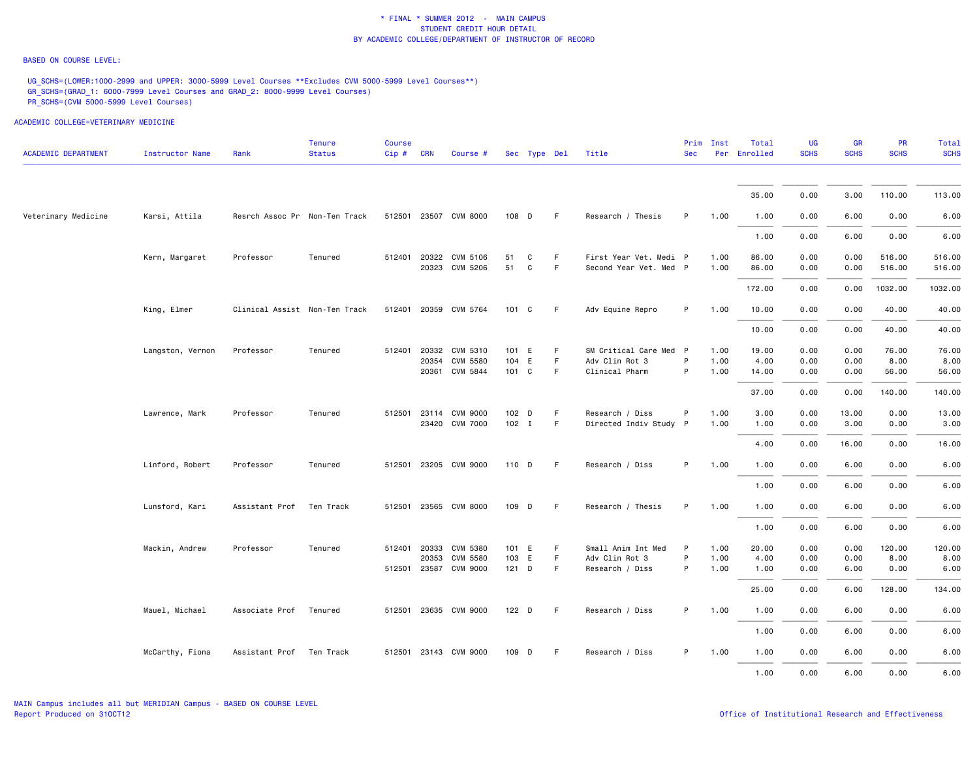## BASED ON COURSE LEVEL:

UG\_SCHS=(LOWER:1000-2999 and UPPER: 3000-5999 Level Courses \*\*Excludes CVM 5000-5999 Level Courses\*\*) GR\_SCHS=(GRAD\_1: 6000-7999 Level Courses and GRAD\_2: 8000-9999 Level Courses) PR\_SCHS=(CVM 5000-5999 Level Courses)

| <b>ACADEMIC DEPARTMENT</b> | Instructor Name  | Rank                          | <b>Tenure</b><br><b>Status</b> | <b>Course</b><br>Cip# | <b>CRN</b>   | Course #              |         | Sec Type Del |    | Title                  | <b>Sec</b> | Prim Inst | Total<br>Per Enrolled | UG<br><b>SCHS</b> | <b>GR</b><br><b>SCHS</b> | <b>PR</b><br><b>SCHS</b> | Total<br><b>SCHS</b> |
|----------------------------|------------------|-------------------------------|--------------------------------|-----------------------|--------------|-----------------------|---------|--------------|----|------------------------|------------|-----------|-----------------------|-------------------|--------------------------|--------------------------|----------------------|
|                            |                  |                               |                                |                       |              |                       |         |              |    |                        |            |           |                       |                   |                          |                          |                      |
|                            |                  |                               |                                |                       |              |                       |         |              |    |                        |            |           | 35.00                 | 0.00              | 3.00                     | 110.00                   | 113.00               |
| Veterinary Medicine        | Karsi, Attila    | Resrch Assoc Pr Non-Ten Track |                                |                       |              | 512501 23507 CVM 8000 | 108 D   |              | F. | Research / Thesis      | P          | 1.00      | 1.00                  | 0.00              | 6.00                     | 0.00                     | 6.00                 |
|                            |                  |                               |                                |                       |              |                       |         |              |    |                        |            |           | 1.00                  | 0.00              | 6.00                     | 0.00                     | 6.00                 |
|                            | Kern, Margaret   | Professor                     | Tenured                        |                       | 512401 20322 | CVM 5106              | 51      | C            | F  | First Year Vet. Medi P |            | 1.00      | 86.00                 | 0.00              | 0.00                     | 516.00                   | 516.00               |
|                            |                  |                               |                                |                       |              | 20323 CVM 5206        | 51      | C            | F  | Second Year Vet. Med P |            | 1.00      | 86.00                 | 0.00              | 0.00                     | 516.00                   | 516.00               |
|                            |                  |                               |                                |                       |              |                       |         |              |    |                        |            |           | 172.00                | 0.00              | 0.00                     | 1032.00                  | 1032.00              |
|                            | King, Elmer      | Clinical Assist Non-Ten Track |                                |                       |              | 512401 20359 CVM 5764 | 101 C   |              | F. | Adv Equine Repro       | P          | 1.00      | 10.00                 | 0.00              | 0.00                     | 40.00                    | 40.00                |
|                            |                  |                               |                                |                       |              |                       |         |              |    |                        |            |           | 10.00                 | 0.00              | 0.00                     | 40.00                    | 40.00                |
|                            | Langston, Vernon | Professor                     | Tenured                        |                       | 512401 20332 | CVM 5310              | 101 E   |              | F  | SM Critical Care Med P |            | 1.00      | 19.00                 | 0.00              | 0.00                     | 76.00                    | 76.00                |
|                            |                  |                               |                                |                       | 20354        | <b>CVM 5580</b>       | 104     | E            | F. | Adv Clin Rot 3         | P          | 1.00      | 4.00                  | 0.00              | 0.00                     | 8.00                     | 8.00                 |
|                            |                  |                               |                                |                       |              | 20361 CVM 5844        | 101 C   |              | F  | Clinical Pharm         | P          | 1.00      | 14.00                 | 0.00              | 0.00                     | 56.00                    | 56.00                |
|                            |                  |                               |                                |                       |              |                       |         |              |    |                        |            |           | 37.00                 | 0.00              | 0.00                     | 140.00                   | 140.00               |
|                            | Lawrence, Mark   | Professor                     | Tenured                        |                       |              | 512501 23114 CVM 9000 | 102 D   |              | F  | Research / Diss        | P          | 1.00      | 3.00                  | 0.00              | 13.00                    | 0.00                     | 13.00                |
|                            |                  |                               |                                |                       |              | 23420 CVM 7000        | 102 I   |              | F. | Directed Indiv Study P |            | 1.00      | 1.00                  | 0.00              | 3.00                     | 0.00                     | 3.00                 |
|                            |                  |                               |                                |                       |              |                       |         |              |    |                        |            |           | 4.00                  | 0.00              | 16.00                    | 0.00                     | 16.00                |
|                            | Linford, Robert  | Professor                     | Tenured                        |                       |              | 512501 23205 CVM 9000 | 110 D   |              | F. | Research / Diss        | P          | 1.00      | 1.00                  | 0.00              | 6.00                     | 0.00                     | 6.00                 |
|                            |                  |                               |                                |                       |              |                       |         |              |    |                        |            |           | 1.00                  | 0.00              | 6.00                     | 0.00                     | 6.00                 |
|                            | Lunsford, Kari   | Assistant Prof                | Ten Track                      |                       |              | 512501 23565 CVM 8000 | 109 D   |              | F. | Research / Thesis      | P          | 1.00      | 1.00                  | 0.00              | 6.00                     | 0.00                     | 6.00                 |
|                            |                  |                               |                                |                       |              |                       |         |              |    |                        |            |           | 1.00                  | 0.00              | 6.00                     | 0.00                     | 6.00                 |
|                            | Mackin, Andrew   | Professor                     | Tenured                        |                       | 512401 20333 | <b>CVM 5380</b>       | 101 E   |              | F  | Small Anim Int Med     | P          | 1.00      | 20.00                 | 0.00              | 0.00                     | 120.00                   | 120.00               |
|                            |                  |                               |                                |                       | 20353        | CVM 5580              | 103     | E            | F. | Adv Clin Rot 3         | P          | 1.00      | 4.00                  | 0.00              | 0.00                     | 8.00                     | 8.00                 |
|                            |                  |                               |                                |                       |              | 512501 23587 CVM 9000 | $121$ D |              | F. | Research / Diss        | P          | 1.00      | 1.00                  | 0.00              | 6.00                     | 0.00                     | 6.00                 |
|                            |                  |                               |                                |                       |              |                       |         |              |    |                        |            |           | 25.00                 | 0.00              | 6.00                     | 128.00                   | 134.00               |
|                            | Mauel, Michael   | Associate Prof                | Tenured                        |                       |              | 512501 23635 CVM 9000 | $122$ D |              | F  | Research / Diss        | P          | 1.00      | 1.00                  | 0.00              | 6.00                     | 0.00                     | 6.00                 |
|                            |                  |                               |                                |                       |              |                       |         |              |    |                        |            |           | 1.00                  | 0.00              | 6.00                     | 0.00                     | 6.00                 |
|                            | McCarthy, Fiona  | Assistant Prof                | Ten Track                      |                       |              | 512501 23143 CVM 9000 | 109 D   |              | F  | Research / Diss        | P          | 1.00      | 1.00                  | 0.00              | 6.00                     | 0.00                     | 6.00                 |
|                            |                  |                               |                                |                       |              |                       |         |              |    |                        |            |           | 1.00                  | 0.00              | 6.00                     | 0.00                     | 6.00                 |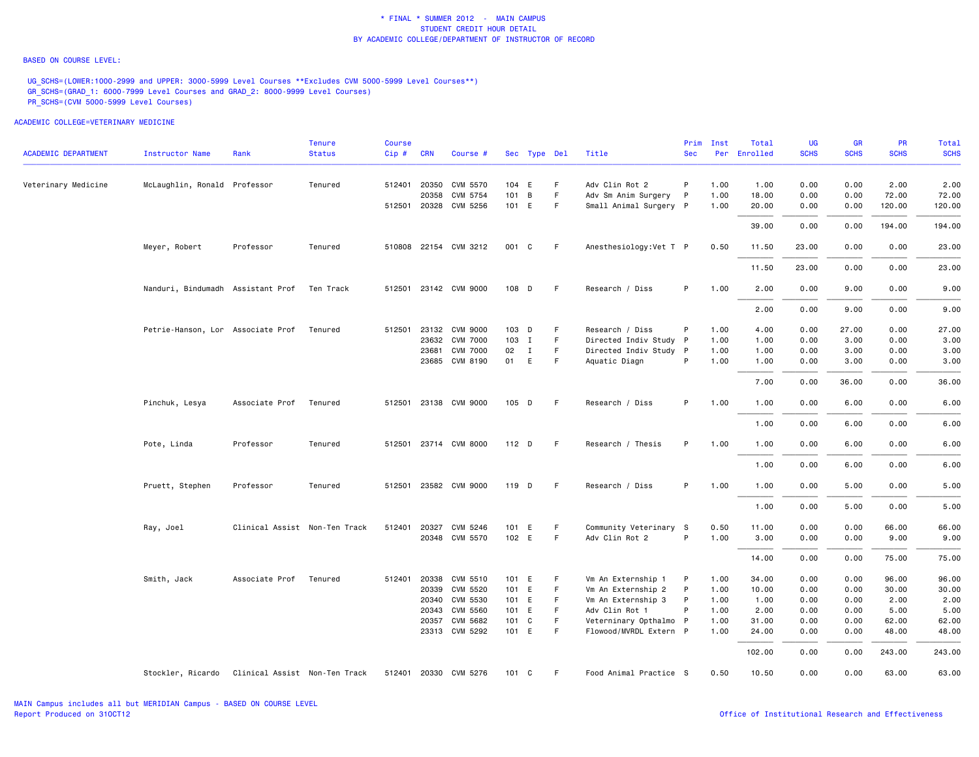### BASED ON COURSE LEVEL:

UG\_SCHS=(LOWER:1000-2999 and UPPER: 3000-5999 Level Courses \*\*Excludes CVM 5000-5999 Level Courses\*\*) GR\_SCHS=(GRAD\_1: 6000-7999 Level Courses and GRAD\_2: 8000-9999 Level Courses) PR\_SCHS=(CVM 5000-5999 Level Courses)

|                            |                                   |                               | <b>Tenure</b> | <b>Course</b> |              |                       |       |              |    |                         | Prim         | Inst | Total        | UG          | <b>GR</b>   | <b>PR</b>   | Total       |
|----------------------------|-----------------------------------|-------------------------------|---------------|---------------|--------------|-----------------------|-------|--------------|----|-------------------------|--------------|------|--------------|-------------|-------------|-------------|-------------|
| <b>ACADEMIC DEPARTMENT</b> | Instructor Name                   | Rank                          | <b>Status</b> | Cip#          | <b>CRN</b>   | Course #              |       | Sec Type Del |    | Title                   | <b>Sec</b>   |      | Per Enrolled | <b>SCHS</b> | <b>SCHS</b> | <b>SCHS</b> | <b>SCHS</b> |
| Veterinary Medicine        | McLaughlin, Ronald Professor      |                               | Tenured       |               | 512401 20350 | CVM 5570              | 104 E |              | F. | Adv Clin Rot 2          | P            | 1.00 | 1.00         | 0.00        | 0.00        | 2.00        | 2.00        |
|                            |                                   |                               |               |               | 20358        | CVM 5754              | 101   | B            | F  | Adv Sm Anim Surgery     | $\mathsf{P}$ | 1.00 | 18.00        | 0.00        | 0.00        | 72.00       | 72.00       |
|                            |                                   |                               |               |               |              | 512501 20328 CVM 5256 | 101 E |              | F. | Small Animal Surgery P  |              | 1.00 | 20.00        | 0.00        | 0.00        | 120.00      | 120.00      |
|                            |                                   |                               |               |               |              |                       |       |              |    |                         |              |      | 39.00        | 0.00        | 0.00        | 194.00      | 194.00      |
|                            | Meyer, Robert                     | Professor                     | Tenured       |               |              | 510808 22154 CVM 3212 | 001 C |              | F. | Anesthesiology: Vet T P |              | 0.50 | 11.50        | 23.00       | 0.00        | 0.00        | 23.00       |
|                            |                                   |                               |               |               |              |                       |       |              |    |                         |              |      | 11.50        | 23.00       | 0.00        | 0.00        | 23.00       |
|                            | Nanduri, Bindumadh Assistant Prof |                               | Ten Track     |               |              | 512501 23142 CVM 9000 | 108 D |              | F  | Research / Diss         | P            | 1.00 | 2.00         | 0.00        | 9.00        | 0.00        | 9.00        |
|                            |                                   |                               |               |               |              |                       |       |              |    |                         |              |      | 2.00         | 0.00        | 9.00        | 0.00        | 9.00        |
|                            | Petrie-Hanson, Lor Associate Prof |                               | Tenured       |               |              | 512501 23132 CVM 9000 | 103 D |              | F  | Research / Diss         | P            | 1.00 | 4.00         | 0.00        | 27.00       | 0.00        | 27.00       |
|                            |                                   |                               |               |               |              | 23632 CVM 7000        | 103 I |              | F  | Directed Indiv Study P  |              | 1.00 | 1.00         | 0.00        | 3.00        | 0.00        | 3.00        |
|                            |                                   |                               |               |               | 23681        | <b>CVM 7000</b>       | 02    | $\mathbf{I}$ | F. | Directed Indiv Study P  |              | 1.00 | 1.00         | 0.00        | 3.00        | 0.00        | 3.00        |
|                            |                                   |                               |               |               |              | 23685 CVM 8190        | 01    | E            | F. | Aquatic Diagn           | P            | 1.00 | 1.00         | 0.00        | 3.00        | 0.00        | 3.00        |
|                            |                                   |                               |               |               |              |                       |       |              |    |                         |              |      | 7.00         | 0.00        | 36.00       | 0.00        | 36.00       |
|                            | Pinchuk, Lesya                    | Associate Prof                | Tenured       |               |              | 512501 23138 CVM 9000 | 105 D |              | F  | Research / Diss         | P            | 1.00 | 1.00         | 0.00        | 6.00        | 0.00        | 6.00        |
|                            |                                   |                               |               |               |              |                       |       |              |    |                         |              |      | 1.00         | 0.00        | 6.00        | 0.00        | 6.00        |
|                            | Pote, Linda                       | Professor                     | Tenured       |               |              | 512501 23714 CVM 8000 | 112 D |              | F. | Research / Thesis       | P            | 1.00 | 1.00         | 0.00        | 6.00        | 0.00        | 6.00        |
|                            |                                   |                               |               |               |              |                       |       |              |    |                         |              |      | 1.00         | 0.00        | 6.00        | 0.00        | 6.00        |
|                            | Pruett, Stephen                   | Professor                     | Tenured       |               |              | 512501 23582 CVM 9000 | 119 D |              | F. | Research / Diss         | P            | 1.00 | 1.00         | 0.00        | 5.00        | 0.00        | 5.00        |
|                            |                                   |                               |               |               |              |                       |       |              |    |                         |              |      | 1.00         | 0.00        | 5.00        | 0.00        | 5.00        |
|                            | Ray, Joel                         | Clinical Assist Non-Ten Track |               |               |              | 512401 20327 CVM 5246 | 101 E |              | F  | Community Veterinary S  |              | 0.50 | 11.00        | 0.00        | 0.00        | 66.00       | 66.00       |
|                            |                                   |                               |               |               |              | 20348 CVM 5570        | 102 E |              | F. | Adv Clin Rot 2          | P            | 1.00 | 3.00         | 0.00        | 0.00        | 9.00        | 9.00        |
|                            |                                   |                               |               |               |              |                       |       |              |    |                         |              |      | 14.00        | 0.00        | 0.00        | 75.00       | 75.00       |
|                            | Smith, Jack                       | Associate Prof                | Tenured       | 512401        |              | 20338 CVM 5510        | 101 E |              | F  | Vm An Externship 1      | P            | 1.00 | 34.00        | 0.00        | 0.00        | 96.00       | 96.00       |
|                            |                                   |                               |               |               | 20339        | <b>CVM 5520</b>       | 101 E |              | F  | Vm An Externship 2      | P            | 1.00 | 10.00        | 0.00        | 0.00        | 30.00       | 30.00       |
|                            |                                   |                               |               |               | 20340        | CVM 5530              | 101 E |              | F. | Vm An Externship 3      | P            | 1.00 | 1.00         | 0.00        | 0.00        | 2.00        | 2.00        |
|                            |                                   |                               |               |               |              | 20343 CVM 5560        | 101 E |              | F  | Adv Clin Rot 1          | P            | 1.00 | 2.00         | 0.00        | 0.00        | 5.00        | 5.00        |
|                            |                                   |                               |               |               |              | 20357 CVM 5682        | 101 C |              | F  | Veterninary Opthalmo P  |              | 1.00 | 31.00        | 0.00        | 0.00        | 62.00       | 62.00       |
|                            |                                   |                               |               |               |              | 23313 CVM 5292        | 101 E |              | F. | Flowood/MVRDL Extern P  |              | 1.00 | 24.00        | 0.00        | 0.00        | 48.00       | 48.00       |
|                            |                                   |                               |               |               |              |                       |       |              |    |                         |              |      | 102.00       | 0.00        | 0.00        | 243.00      | 243.00      |
|                            | Stockler, Ricardo                 | Clinical Assist Non-Ten Track |               |               |              | 512401 20330 CVM 5276 | 101   | C            | F  | Food Animal Practice S  |              | 0.50 | 10.50        | 0.00        | 0.00        | 63.00       | 63.00       |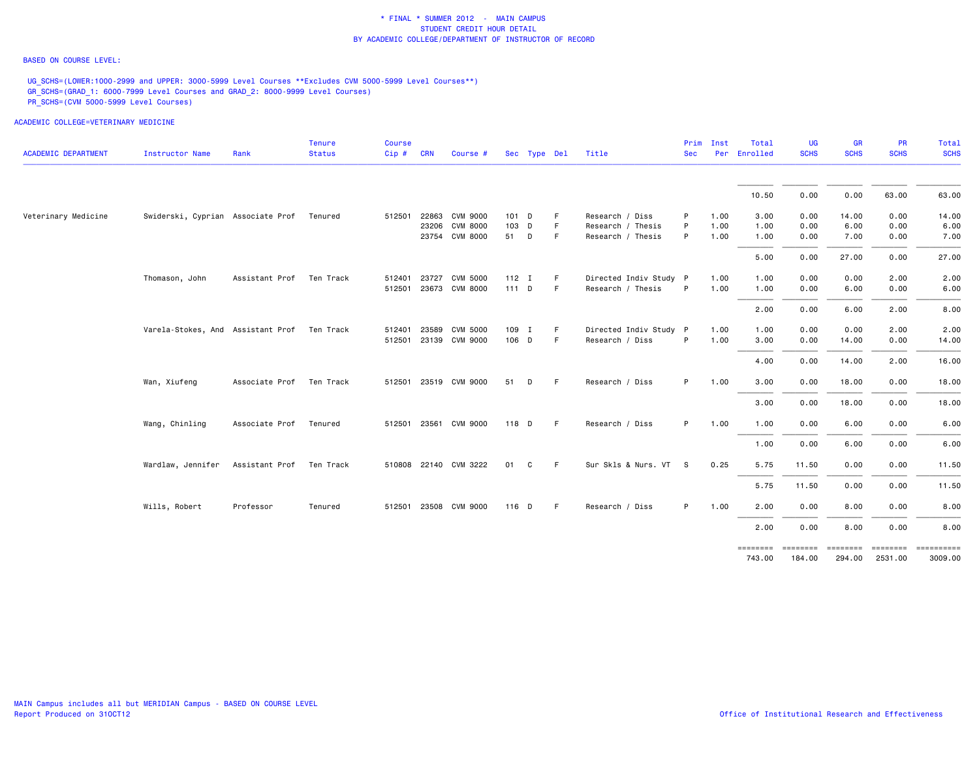## BASED ON COURSE LEVEL:

UG\_SCHS=(LOWER:1000-2999 and UPPER: 3000-5999 Level Courses \*\*Excludes CVM 5000-5999 Level Courses\*\*) GR\_SCHS=(GRAD\_1: 6000-7999 Level Courses and GRAD\_2: 8000-9999 Level Courses) PR\_SCHS=(CVM 5000-5999 Level Courses)

| <b>ACADEMIC DEPARTMENT</b> | <b>Instructor Name</b>                      | Rank           | Tenure<br><b>Status</b> | <b>Course</b><br>Cip# | <b>CRN</b> | Course #              |         | Sec Type Del |    | Title                  | Prim<br><b>Sec</b> | Inst<br>Per | Total<br>Enrolled | <b>UG</b><br><b>SCHS</b> | GR<br><b>SCHS</b>  | PR<br><b>SCHS</b>          | <b>Total</b><br><b>SCHS</b> |
|----------------------------|---------------------------------------------|----------------|-------------------------|-----------------------|------------|-----------------------|---------|--------------|----|------------------------|--------------------|-------------|-------------------|--------------------------|--------------------|----------------------------|-----------------------------|
|                            |                                             |                |                         |                       |            |                       |         |              |    |                        |                    |             | 10.50             | 0.00                     | 0.00               | 63.00                      | 63.00                       |
| Veterinary Medicine        | Swiderski, Cyprian Associate Prof           |                | Tenured                 | 512501                |            | 22863 CVM 9000        | 101 D   |              | F  | Research / Diss        | P                  | 1.00        | 3.00              | 0.00                     | 14.00              | 0.00                       | 14.00                       |
|                            |                                             |                |                         |                       |            | 23206 CVM 8000        | 103 D   |              | F  | Research / Thesis      | P                  | 1.00        | 1.00              | 0.00                     | 6.00               | 0.00                       | 6.00                        |
|                            |                                             |                |                         |                       |            | 23754 CVM 8000        | 51 D    |              | F. | Research / Thesis      | P                  | 1.00        | 1.00              | 0.00                     | 7.00               | 0.00                       | 7.00                        |
|                            |                                             |                |                         |                       |            |                       |         |              |    |                        |                    |             | 5.00              | 0.00                     | 27.00              | 0.00                       | 27.00                       |
|                            | Thomason, John                              | Assistant Prof | Ten Track               | 512401 23727          |            | <b>CVM 5000</b>       | $112$ I |              | -F | Directed Indiv Study P |                    | 1.00        | 1.00              | 0.00                     | 0.00               | 2.00                       | 2.00                        |
|                            |                                             |                |                         |                       |            | 512501 23673 CVM 8000 | 111 D   |              | F  | Research / Thesis      | P                  | 1.00        | 1.00              | 0.00                     | 6.00               | 0.00                       | 6.00                        |
|                            |                                             |                |                         |                       |            |                       |         |              |    |                        |                    |             | 2.00              | 0.00                     | 6.00               | 2.00                       | 8.00                        |
|                            | Varela-Stokes, And Assistant Prof Ten Track |                |                         |                       |            | 512401 23589 CVM 5000 | 109 I   |              | -F | Directed Indiv Study P |                    | 1.00        | 1.00              | 0.00                     | 0.00               | 2.00                       | 2.00                        |
|                            |                                             |                |                         |                       |            | 512501 23139 CVM 9000 | 106 D   |              | F  | Research / Diss        | P                  | 1.00        | 3.00              | 0.00                     | 14.00              | 0.00                       | 14.00                       |
|                            |                                             |                |                         |                       |            |                       |         |              |    |                        |                    |             | 4.00              | 0.00                     | 14.00              | 2.00                       | 16.00                       |
|                            | Wan, Xiufeng                                | Associate Prof | Ten Track               |                       |            | 512501 23519 CVM 9000 | 51      | D            | -F | Research / Diss        | P.                 | 1.00        | 3.00              | 0.00                     | 18.00              | 0.00                       | 18.00                       |
|                            |                                             |                |                         |                       |            |                       |         |              |    |                        |                    |             | 3.00              | 0.00                     | 18.00              | 0.00                       | 18.00                       |
|                            | Wang, Chinling                              | Associate Prof | Tenured                 |                       |            | 512501 23561 CVM 9000 | 118 D   |              | -F | Research / Diss        | P.                 | 1.00        | 1.00              | 0.00                     | 6.00               | 0.00                       | 6.00                        |
|                            |                                             |                |                         |                       |            |                       |         |              |    |                        |                    |             | 1.00              | 0.00                     | 6.00               | 0.00                       | 6.00                        |
|                            | Wardlaw, Jennifer                           | Assistant Prof | Ten Track               |                       |            | 510808 22140 CVM 3222 | 01      | C            | F. | Sur Skls & Nurs. VT S  |                    | 0.25        | 5.75              | 11.50                    | 0.00               | 0.00                       | 11.50                       |
|                            |                                             |                |                         |                       |            |                       |         |              |    |                        |                    |             | 5.75              | 11.50                    | 0.00               | 0.00                       | 11.50                       |
|                            | Wills, Robert                               | Professor      | Tenured                 |                       |            | 512501 23508 CVM 9000 | $116$ D |              | -F | Research / Diss        | P.                 | 1.00        | 2.00              | 0.00                     | 8.00               | 0.00                       | 8.00                        |
|                            |                                             |                |                         |                       |            |                       |         |              |    |                        |                    |             | 2.00              | 0.00                     | 8.00               | 0.00                       | 8.00                        |
|                            |                                             |                |                         |                       |            |                       |         |              |    |                        |                    |             | 743.00            | ========<br>184.00       | ========<br>294.00 | <b>SEESSEES</b><br>2531.00 | 3009.00                     |